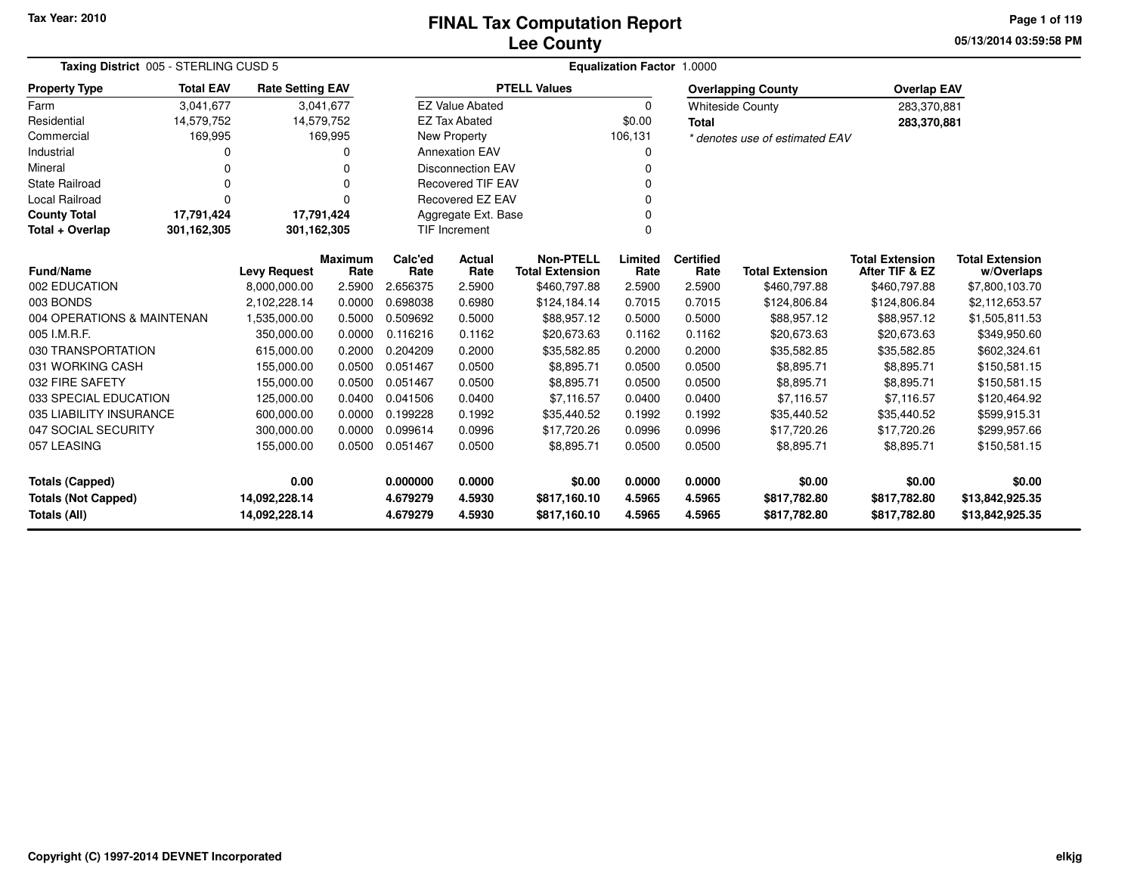### **Lee CountyFINAL Tax Computation Report**

**05/13/2014 03:59:58 PM Page 1 of 119**

| Taxing District 005 - STERLING CUSD 5             | <b>Equalization Factor 1.0000</b> |                                     |                        |                          |                          |                                            |                  |                          |                                |                                          |                                      |
|---------------------------------------------------|-----------------------------------|-------------------------------------|------------------------|--------------------------|--------------------------|--------------------------------------------|------------------|--------------------------|--------------------------------|------------------------------------------|--------------------------------------|
| <b>Property Type</b>                              | <b>Total EAV</b>                  | <b>Rate Setting EAV</b>             |                        |                          |                          | <b>PTELL Values</b>                        |                  |                          | <b>Overlapping County</b>      | <b>Overlap EAV</b>                       |                                      |
| Farm                                              | 3,041,677                         |                                     | 3,041,677              |                          | <b>EZ Value Abated</b>   |                                            | $\Omega$         |                          | <b>Whiteside County</b>        | 283,370,881                              |                                      |
| Residential                                       | 14,579,752                        | 14,579,752                          |                        |                          | <b>EZ Tax Abated</b>     |                                            | \$0.00           | <b>Total</b>             |                                | 283,370,881                              |                                      |
| Commercial                                        | 169,995                           |                                     | 169,995                |                          | New Property             |                                            | 106,131          |                          | * denotes use of estimated EAV |                                          |                                      |
| Industrial                                        |                                   |                                     |                        |                          | <b>Annexation EAV</b>    |                                            | 0                |                          |                                |                                          |                                      |
| Mineral                                           |                                   |                                     | 0                      |                          | <b>Disconnection EAV</b> |                                            | n                |                          |                                |                                          |                                      |
| State Railroad                                    | 0                                 |                                     | 0                      | <b>Recovered TIF EAV</b> |                          |                                            |                  |                          |                                |                                          |                                      |
| <b>Local Railroad</b>                             | $\Omega$                          |                                     | U                      |                          | Recovered EZ EAV         |                                            |                  |                          |                                |                                          |                                      |
| <b>County Total</b>                               | 17,791,424                        | 17,791,424                          |                        |                          | Aggregate Ext. Base      |                                            | 0                |                          |                                |                                          |                                      |
| Total + Overlap                                   | 301,162,305                       | 301,162,305<br>TIF Increment        |                        |                          |                          |                                            | $\Omega$         |                          |                                |                                          |                                      |
| <b>Fund/Name</b>                                  |                                   |                                     | <b>Maximum</b><br>Rate | Calc'ed<br>Rate          | Actual<br>Rate           | <b>Non-PTELL</b><br><b>Total Extension</b> | Limited<br>Rate  | <b>Certified</b><br>Rate | <b>Total Extension</b>         | <b>Total Extension</b><br>After TIF & EZ | <b>Total Extension</b><br>w/Overlaps |
| 002 EDUCATION                                     |                                   | <b>Levy Request</b><br>8,000,000.00 | 2.5900                 | 2.656375                 | 2.5900                   | \$460,797.88                               | 2.5900           | 2.5900                   | \$460,797.88                   | \$460,797.88                             | \$7,800,103.70                       |
| 003 BONDS                                         |                                   | 2,102,228.14                        | 0.0000                 | 0.698038                 | 0.6980                   | \$124,184.14                               | 0.7015           | 0.7015                   | \$124,806.84                   | \$124,806.84                             | \$2,112,653.57                       |
| 004 OPERATIONS & MAINTENAN                        |                                   | 1,535,000.00                        | 0.5000                 | 0.509692                 | 0.5000                   | \$88,957.12                                | 0.5000           | 0.5000                   | \$88,957.12                    | \$88,957.12                              | \$1,505,811.53                       |
| 005 I.M.R.F.                                      |                                   | 350,000.00                          | 0.0000                 | 0.116216                 | 0.1162                   | \$20,673.63                                | 0.1162           | 0.1162                   | \$20,673.63                    | \$20,673.63                              | \$349,950.60                         |
| 030 TRANSPORTATION                                |                                   | 615,000.00                          | 0.2000                 | 0.204209                 | 0.2000                   | \$35,582.85                                | 0.2000           | 0.2000                   | \$35,582.85                    | \$35,582.85                              | \$602,324.61                         |
| 031 WORKING CASH                                  |                                   | 155,000.00                          | 0.0500                 | 0.051467                 | 0.0500                   | \$8,895.71                                 | 0.0500           | 0.0500                   | \$8,895.71                     | \$8,895.71                               | \$150,581.15                         |
| 032 FIRE SAFETY                                   |                                   | 155,000.00                          | 0.0500                 | 0.051467                 | 0.0500                   | \$8,895.71                                 | 0.0500           | 0.0500                   | \$8,895.71                     | \$8,895.71                               | \$150,581.15                         |
| 033 SPECIAL EDUCATION                             |                                   | 125,000.00                          | 0.0400                 | 0.041506                 | 0.0400                   | \$7,116.57                                 | 0.0400           | 0.0400                   | \$7,116.57                     | \$7,116.57                               | \$120,464.92                         |
| 035 LIABILITY INSURANCE                           |                                   | 600,000.00                          | 0.0000                 | 0.199228                 | 0.1992                   | \$35,440.52                                | 0.1992           | 0.1992                   | \$35,440.52                    | \$35,440.52                              | \$599,915.31                         |
| 047 SOCIAL SECURITY                               |                                   | 300,000.00                          | 0.0000                 | 0.099614                 | 0.0996                   | \$17,720.26                                | 0.0996           | 0.0996                   | \$17,720.26                    | \$17,720.26                              | \$299,957.66                         |
| 057 LEASING                                       |                                   | 155,000.00                          | 0.0500                 | 0.051467                 | 0.0500                   | \$8,895.71                                 | 0.0500           | 0.0500                   | \$8,895.71                     | \$8,895.71                               | \$150,581.15                         |
| <b>Totals (Capped)</b>                            |                                   | 0.00                                |                        | 0.000000                 | 0.0000                   | \$0.00                                     | 0.0000           | 0.0000                   | \$0.00                         | \$0.00                                   | \$0.00                               |
| <b>Totals (Not Capped)</b><br><b>Totals (All)</b> |                                   | 14,092,228.14<br>14,092,228.14      |                        | 4.679279<br>4.679279     | 4.5930<br>4.5930         | \$817,160.10<br>\$817,160.10               | 4.5965<br>4.5965 | 4.5965<br>4.5965         | \$817,782.80<br>\$817,782.80   | \$817,782.80<br>\$817,782.80             | \$13,842,925.35<br>\$13,842,925.35   |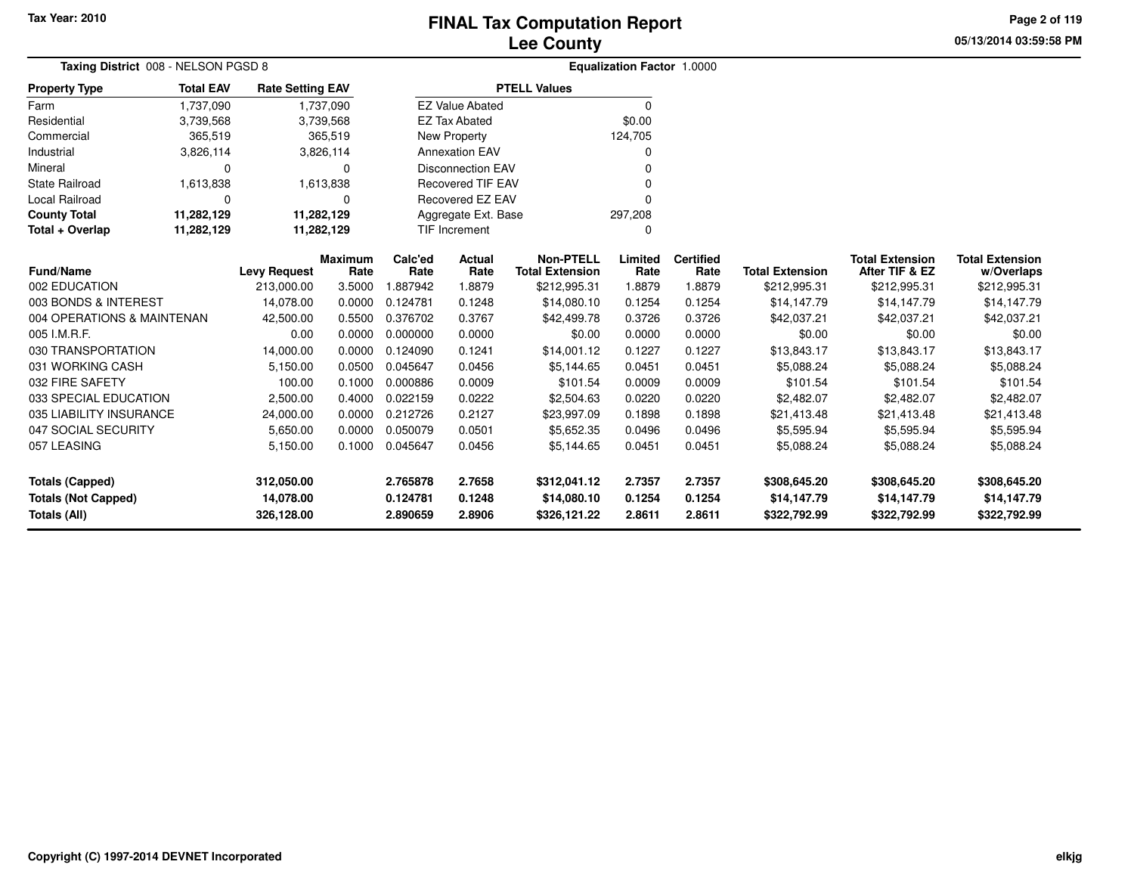# **Lee CountyFINAL Tax Computation Report**

**05/13/2014 03:59:58 PM**

**Page 2 of 119**

| Taxing District 008 - NELSON PGSD 8 |                  |                         |                            |          |                                |                        | <b>Equalization Factor 1.0000</b> |                  |                        |                        |                        |
|-------------------------------------|------------------|-------------------------|----------------------------|----------|--------------------------------|------------------------|-----------------------------------|------------------|------------------------|------------------------|------------------------|
| <b>Property Type</b>                | <b>Total EAV</b> | <b>Rate Setting EAV</b> |                            |          |                                | <b>PTELL Values</b>    |                                   |                  |                        |                        |                        |
| Farm                                | 1,737,090        |                         | 1,737,090                  |          | <b>EZ Value Abated</b>         |                        | $\Omega$                          |                  |                        |                        |                        |
| Residential                         | 3,739,568        |                         | 3,739,568                  |          | <b>EZ Tax Abated</b>           |                        | \$0.00                            |                  |                        |                        |                        |
| Commercial                          | 365,519          |                         | 365,519                    |          | New Property                   |                        | 124,705                           |                  |                        |                        |                        |
| Industrial                          | 3,826,114        |                         | 3,826,114                  |          | <b>Annexation EAV</b>          |                        | O                                 |                  |                        |                        |                        |
| Mineral                             | $\Omega$         |                         | $\Omega$                   |          | <b>Disconnection EAV</b>       |                        | $\Omega$                          |                  |                        |                        |                        |
| <b>State Railroad</b>               | 1,613,838        |                         | 1,613,838                  |          | <b>Recovered TIF EAV</b>       |                        |                                   |                  |                        |                        |                        |
| <b>Local Railroad</b>               | $\Omega$         |                         | Recovered EZ EAV<br>0<br>ŋ |          |                                |                        |                                   |                  |                        |                        |                        |
| <b>County Total</b>                 | 11,282,129       | 11,282,129              |                            |          | 297,208<br>Aggregate Ext. Base |                        |                                   |                  |                        |                        |                        |
| Total + Overlap                     | 11,282,129       | 11,282,129              |                            |          | <b>TIF Increment</b>           |                        | $\Omega$                          |                  |                        |                        |                        |
|                                     |                  |                         | <b>Maximum</b>             | Calc'ed  | Actual                         | <b>Non-PTELL</b>       | Limited                           | <b>Certified</b> |                        | <b>Total Extension</b> | <b>Total Extension</b> |
| <b>Fund/Name</b>                    |                  | <b>Levy Request</b>     | Rate                       | Rate     | Rate                           | <b>Total Extension</b> | Rate                              | Rate             | <b>Total Extension</b> | After TIF & EZ         | w/Overlaps             |
| 002 EDUCATION                       |                  | 213,000.00              | 3.5000                     | .887942  | 1.8879                         | \$212,995.31           | 1.8879                            | 1.8879           | \$212,995.31           | \$212,995.31           | \$212,995.31           |
| 003 BONDS & INTEREST                |                  | 14,078.00               | 0.0000                     | 0.124781 | 0.1248                         | \$14,080.10            | 0.1254                            | 0.1254           | \$14,147.79            | \$14,147.79            | \$14,147.79            |
| 004 OPERATIONS & MAINTENAN          |                  | 42,500.00               | 0.5500                     | 0.376702 | 0.3767                         | \$42,499.78            | 0.3726                            | 0.3726           | \$42,037.21            | \$42,037.21            | \$42,037.21            |
| 005 I.M.R.F.                        |                  | 0.00                    | 0.0000                     | 0.000000 | 0.0000                         | \$0.00                 | 0.0000                            | 0.0000           | \$0.00                 | \$0.00                 | \$0.00                 |
| 030 TRANSPORTATION                  |                  | 14,000.00               | 0.0000                     | 0.124090 | 0.1241                         | \$14,001.12            | 0.1227                            | 0.1227           | \$13,843.17            | \$13,843.17            | \$13,843.17            |
| 031 WORKING CASH                    |                  | 5,150.00                | 0.0500                     | 0.045647 | 0.0456                         | \$5,144.65             | 0.0451                            | 0.0451           | \$5,088.24             | \$5,088.24             | \$5,088.24             |
| 032 FIRE SAFETY                     |                  | 100.00                  | 0.1000                     | 0.000886 | 0.0009                         | \$101.54               | 0.0009                            | 0.0009           | \$101.54               | \$101.54               | \$101.54               |
| 033 SPECIAL EDUCATION               |                  | 2,500.00                | 0.4000                     | 0.022159 | 0.0222                         | \$2,504.63             | 0.0220                            | 0.0220           | \$2,482.07             | \$2,482.07             | \$2,482.07             |
| 035 LIABILITY INSURANCE             |                  | 24,000.00               | 0.0000                     | 0.212726 | 0.2127                         | \$23,997.09            | 0.1898                            | 0.1898           | \$21,413.48            | \$21,413.48            | \$21,413.48            |
| 047 SOCIAL SECURITY                 |                  | 5,650.00                | 0.0000                     | 0.050079 | 0.0501                         | \$5,652.35             | 0.0496                            | 0.0496           | \$5,595.94             | \$5,595.94             | \$5,595.94             |
| 057 LEASING                         |                  | 5,150.00                | 0.1000                     | 0.045647 | 0.0456                         | \$5,144.65             | 0.0451                            | 0.0451           | \$5,088.24             | \$5,088.24             | \$5,088.24             |
| <b>Totals (Capped)</b>              |                  | 312,050.00              |                            | 2.765878 | 2.7658                         | \$312,041.12           | 2.7357                            | 2.7357           | \$308,645.20           | \$308,645.20           | \$308,645.20           |
| <b>Totals (Not Capped)</b>          |                  | 14,078.00               |                            | 0.124781 | 0.1248                         | \$14,080.10            | 0.1254                            | 0.1254           | \$14,147.79            | \$14,147.79            | \$14,147.79            |
| Totals (All)                        |                  | 326,128.00              |                            | 2.890659 | 2.8906                         | \$326,121.22           | 2.8611                            | 2.8611           | \$322,792.99           | \$322,792.99           | \$322,792.99           |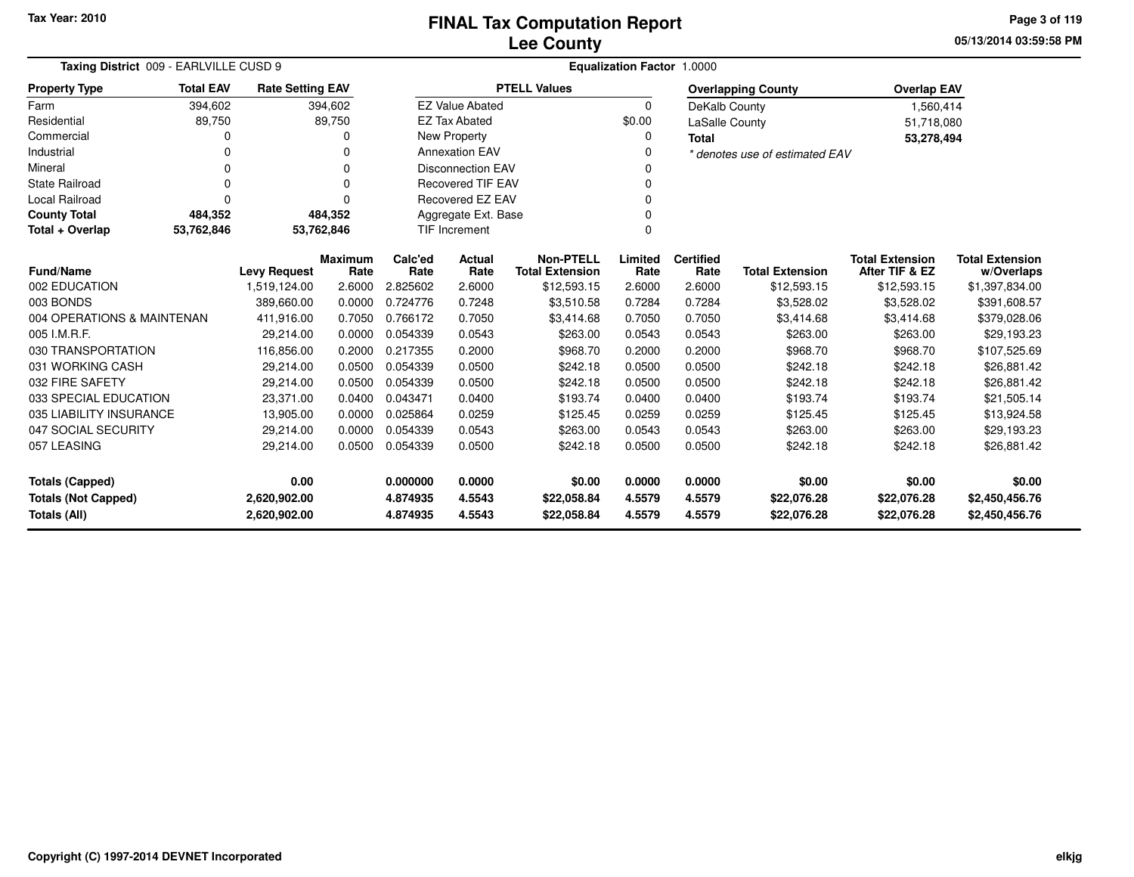**05/13/2014 03:59:58 PMPage 3 of 119**

| Taxing District 009 - EARLVILLE CUSD 9 |                                         |                         |                        | Equalization Factor 1.0000 |                          |                                            |                 |                          |                                |                                          |                                      |
|----------------------------------------|-----------------------------------------|-------------------------|------------------------|----------------------------|--------------------------|--------------------------------------------|-----------------|--------------------------|--------------------------------|------------------------------------------|--------------------------------------|
| <b>Property Type</b>                   | <b>Total EAV</b>                        | <b>Rate Setting EAV</b> |                        |                            |                          | <b>PTELL Values</b>                        |                 |                          | <b>Overlapping County</b>      | <b>Overlap EAV</b>                       |                                      |
| Farm                                   | 394,602                                 |                         | 394,602                |                            | <b>EZ Value Abated</b>   |                                            | $\Omega$        | DeKalb County            |                                | 1,560,414                                |                                      |
| Residential                            | 89,750                                  |                         | 89,750                 |                            | <b>EZ Tax Abated</b>     |                                            | \$0.00          | LaSalle County           |                                | 51,718,080                               |                                      |
| Commercial                             | O                                       |                         | o                      |                            | New Property             |                                            | 0               | <b>Total</b>             |                                | 53,278,494                               |                                      |
| Industrial                             | 0                                       |                         |                        |                            | <b>Annexation EAV</b>    |                                            |                 |                          | * denotes use of estimated EAV |                                          |                                      |
| Mineral                                | 0                                       |                         | 0                      |                            | <b>Disconnection EAV</b> |                                            | n               |                          |                                |                                          |                                      |
| <b>State Railroad</b>                  | 0                                       |                         | 0                      |                            | <b>Recovered TIF EAV</b> |                                            |                 |                          |                                |                                          |                                      |
| <b>Local Railroad</b>                  | $\Omega$                                |                         | U                      |                            | <b>Recovered EZ EAV</b>  |                                            | 0               |                          |                                |                                          |                                      |
| <b>County Total</b>                    | 484,352                                 |                         | 484,352                |                            | Aggregate Ext. Base      |                                            |                 |                          |                                |                                          |                                      |
| Total + Overlap                        | 53,762,846                              | 53,762,846              |                        |                            | <b>TIF Increment</b>     |                                            | $\Omega$        |                          |                                |                                          |                                      |
|                                        | <b>Fund/Name</b><br><b>Levy Request</b> |                         | <b>Maximum</b><br>Rate | Calc'ed<br>Rate            | Actual<br>Rate           | <b>Non-PTELL</b><br><b>Total Extension</b> | Limited<br>Rate | <b>Certified</b><br>Rate | <b>Total Extension</b>         | <b>Total Extension</b><br>After TIF & EZ | <b>Total Extension</b><br>w/Overlaps |
| 002 EDUCATION                          |                                         | 1,519,124.00            | 2.6000                 | 2.825602                   | 2.6000                   | \$12,593.15                                | 2.6000          | 2.6000                   | \$12,593.15                    | \$12,593.15                              | \$1,397,834.00                       |
| 003 BONDS                              |                                         | 389,660.00              | 0.0000                 | 0.724776                   | 0.7248                   | \$3,510.58                                 | 0.7284          | 0.7284                   | \$3,528.02                     | \$3,528.02                               | \$391,608.57                         |
| 004 OPERATIONS & MAINTENAN             |                                         | 411,916.00              | 0.7050                 | 0.766172                   | 0.7050                   | \$3,414.68                                 | 0.7050          | 0.7050                   | \$3,414.68                     | \$3,414.68                               | \$379,028.06                         |
| 005 I.M.R.F.                           |                                         | 29.214.00               | 0.0000                 | 0.054339                   | 0.0543                   | \$263.00                                   | 0.0543          | 0.0543                   | \$263.00                       | \$263.00                                 | \$29,193.23                          |
| 030 TRANSPORTATION                     |                                         | 116,856.00              | 0.2000                 | 0.217355                   | 0.2000                   | \$968.70                                   | 0.2000          | 0.2000                   | \$968.70                       | \$968.70                                 | \$107,525.69                         |
| 031 WORKING CASH                       |                                         | 29,214.00               | 0.0500                 | 0.054339                   | 0.0500                   | \$242.18                                   | 0.0500          | 0.0500                   | \$242.18                       | \$242.18                                 | \$26,881.42                          |
| 032 FIRE SAFETY                        |                                         | 29,214.00               | 0.0500                 | 0.054339                   | 0.0500                   | \$242.18                                   | 0.0500          | 0.0500                   | \$242.18                       | \$242.18                                 | \$26,881.42                          |
| 033 SPECIAL EDUCATION                  |                                         | 23,371.00               | 0.0400                 | 0.043471                   | 0.0400                   | \$193.74                                   | 0.0400          | 0.0400                   | \$193.74                       | \$193.74                                 | \$21,505.14                          |
| 035 LIABILITY INSURANCE                |                                         | 13,905.00               | 0.0000                 | 0.025864                   | 0.0259                   | \$125.45                                   | 0.0259          | 0.0259                   | \$125.45                       | \$125.45                                 | \$13,924.58                          |
| 047 SOCIAL SECURITY                    |                                         | 29,214.00               | 0.0000                 | 0.054339                   | 0.0543                   | \$263.00                                   | 0.0543          | 0.0543                   | \$263.00                       | \$263.00                                 | \$29,193.23                          |
| 057 LEASING                            |                                         | 29,214.00               | 0.0500                 | 0.054339                   | 0.0500                   | \$242.18                                   | 0.0500          | 0.0500                   | \$242.18                       | \$242.18                                 | \$26,881.42                          |
| 0.00<br><b>Totals (Capped)</b>         |                                         |                         |                        | 0.000000                   | 0.0000                   | \$0.00                                     | 0.0000          | 0.0000                   | \$0.00                         | \$0.00                                   | \$0.00                               |
| <b>Totals (Not Capped)</b>             |                                         | 2,620,902.00            |                        | 4.874935                   | 4.5543                   | \$22,058.84                                | 4.5579          | 4.5579                   | \$22,076.28                    | \$22,076.28                              | \$2,450,456.76                       |
| Totals (All)<br>2,620,902.00           |                                         |                         |                        | 4.874935                   | 4.5543                   | \$22,058.84                                | 4.5579          | 4.5579                   | \$22,076.28                    | \$22,076.28                              | \$2,450,456.76                       |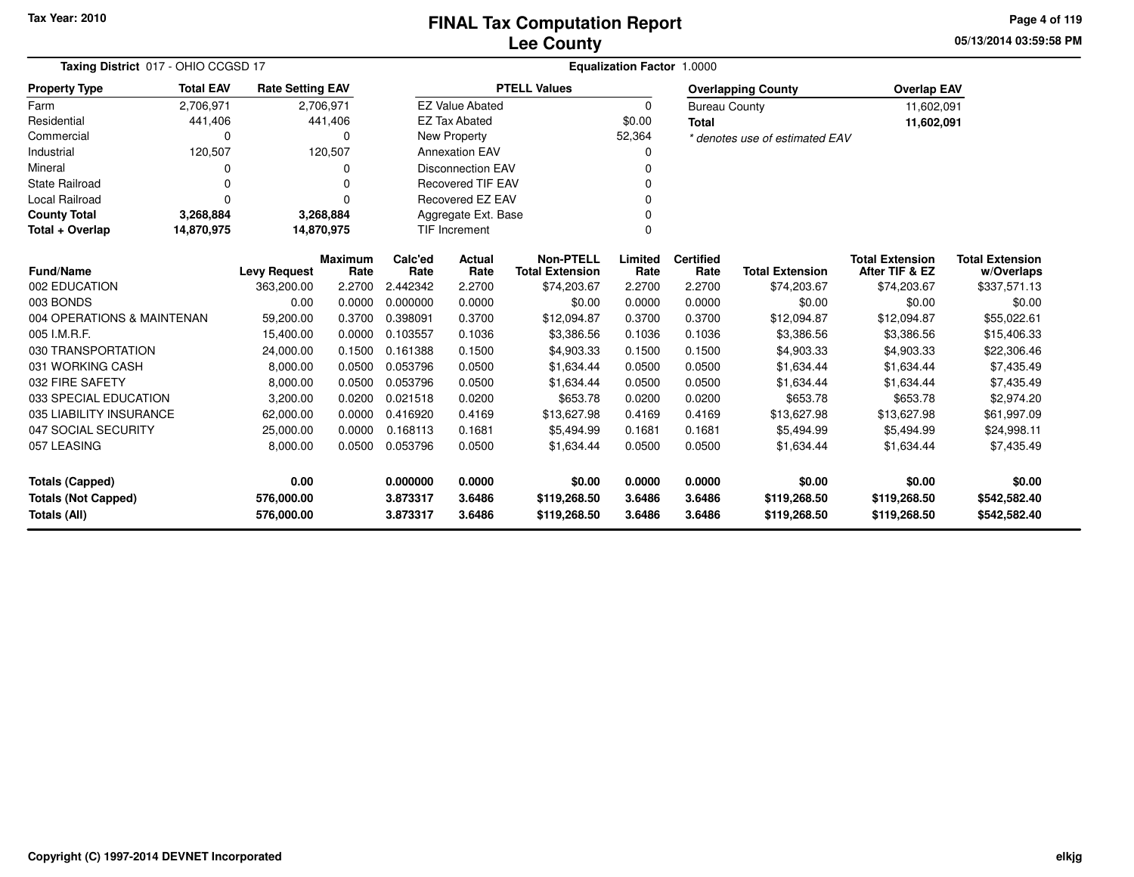**05/13/2014 03:59:58 PM Page 4 of 119**

| Taxing District 017 - OHIO CCGSD 17 |                  |                         |                        |                 |                          | <b>Equalization Factor</b>                 | 1.0000          |                          |                                |                                          |                                      |
|-------------------------------------|------------------|-------------------------|------------------------|-----------------|--------------------------|--------------------------------------------|-----------------|--------------------------|--------------------------------|------------------------------------------|--------------------------------------|
| <b>Property Type</b>                | <b>Total EAV</b> | <b>Rate Setting EAV</b> |                        |                 |                          | <b>PTELL Values</b>                        |                 |                          | <b>Overlapping County</b>      | <b>Overlap EAV</b>                       |                                      |
| Farm                                | 2,706,971        | 2,706,971               |                        |                 | <b>EZ Value Abated</b>   |                                            | 0               | <b>Bureau County</b>     |                                | 11,602,091                               |                                      |
| Residential                         | 441,406          |                         | 441,406                |                 | <b>EZ Tax Abated</b>     |                                            | \$0.00          | <b>Total</b>             |                                | 11,602,091                               |                                      |
| Commercial                          | 0                |                         | $\Omega$               |                 | New Property             |                                            | 52,364          |                          | * denotes use of estimated EAV |                                          |                                      |
| Industrial                          | 120,507          |                         | 120,507                |                 | <b>Annexation EAV</b>    |                                            | 0               |                          |                                |                                          |                                      |
| Mineral                             |                  |                         | <sup>0</sup>           |                 | <b>Disconnection EAV</b> |                                            | 0               |                          |                                |                                          |                                      |
| <b>State Railroad</b>               |                  |                         |                        |                 | <b>Recovered TIF EAV</b> |                                            |                 |                          |                                |                                          |                                      |
| Local Railroad                      | 0                |                         | $\Omega$               |                 | Recovered EZ EAV         |                                            |                 |                          |                                |                                          |                                      |
| <b>County Total</b>                 | 3,268,884        | 3,268,884               |                        |                 | Aggregate Ext. Base      |                                            | U               |                          |                                |                                          |                                      |
| Total + Overlap                     | 14,870,975       | 14,870,975              |                        |                 | <b>TIF Increment</b>     |                                            | 0               |                          |                                |                                          |                                      |
| <b>Fund/Name</b>                    |                  | <b>Levy Request</b>     | <b>Maximum</b><br>Rate | Calc'ed<br>Rate | Actual<br>Rate           | <b>Non-PTELL</b><br><b>Total Extension</b> | Limited<br>Rate | <b>Certified</b><br>Rate | <b>Total Extension</b>         | <b>Total Extension</b><br>After TIF & EZ | <b>Total Extension</b><br>w/Overlaps |
| 002 EDUCATION                       |                  | 363,200.00              | 2.2700                 | 2.442342        | 2.2700                   | \$74,203.67                                | 2.2700          | 2.2700                   | \$74,203.67                    | \$74,203.67                              | \$337,571.13                         |
| 003 BONDS                           |                  | 0.00                    | 0.0000                 | 0.000000        | 0.0000                   | \$0.00                                     | 0.0000          | 0.0000                   | \$0.00                         | \$0.00                                   | \$0.00                               |
| 004 OPERATIONS & MAINTENAN          |                  | 59,200.00               | 0.3700                 | 0.398091        | 0.3700                   | \$12,094.87                                | 0.3700          | 0.3700                   | \$12,094.87                    | \$12,094.87                              | \$55,022.61                          |
| 005 I.M.R.F.                        |                  | 15,400.00               | 0.0000                 | 0.103557        | 0.1036                   | \$3,386.56                                 | 0.1036          | 0.1036                   | \$3,386.56                     | \$3,386.56                               | \$15,406.33                          |
| 030 TRANSPORTATION                  |                  | 24,000.00               | 0.1500                 | 0.161388        | 0.1500                   | \$4,903.33                                 | 0.1500          | 0.1500                   | \$4,903.33                     | \$4,903.33                               | \$22,306.46                          |
| 031 WORKING CASH                    |                  | 8,000.00                | 0.0500                 | 0.053796        | 0.0500                   | \$1,634.44                                 | 0.0500          | 0.0500                   | \$1,634.44                     | \$1,634.44                               | \$7,435.49                           |
| 032 FIRE SAFETY                     |                  | 8,000.00                | 0.0500                 | 0.053796        | 0.0500                   | \$1,634.44                                 | 0.0500          | 0.0500                   | \$1,634.44                     | \$1,634.44                               | \$7,435.49                           |
| 033 SPECIAL EDUCATION               |                  | 3,200.00                | 0.0200                 | 0.021518        | 0.0200                   | \$653.78                                   | 0.0200          | 0.0200                   | \$653.78                       | \$653.78                                 | \$2,974.20                           |
| 035 LIABILITY INSURANCE             |                  | 62,000.00               | 0.0000                 | 0.416920        | 0.4169                   | \$13,627.98                                | 0.4169          | 0.4169                   | \$13,627.98                    | \$13,627.98                              | \$61,997.09                          |
| 047 SOCIAL SECURITY                 |                  | 25,000.00               | 0.0000                 | 0.168113        | 0.1681                   | \$5,494.99                                 | 0.1681          | 0.1681                   | \$5,494.99                     | \$5,494.99                               | \$24,998.11                          |
| 057 LEASING                         |                  | 8,000.00                | 0.0500                 | 0.053796        | 0.0500                   | \$1,634.44                                 | 0.0500          | 0.0500                   | \$1,634.44                     | \$1,634.44                               | \$7,435.49                           |
| <b>Totals (Capped)</b>              |                  | 0.00                    |                        | 0.000000        | 0.0000                   | \$0.00                                     | 0.0000          | 0.0000                   | \$0.00                         | \$0.00                                   | \$0.00                               |
| <b>Totals (Not Capped)</b>          |                  | 576,000.00              |                        | 3.873317        | 3.6486                   | \$119,268.50                               | 3.6486          | 3.6486                   | \$119,268.50                   | \$119,268.50                             | \$542,582.40                         |
| Totals (All)                        |                  | 576,000.00              |                        | 3.873317        | 3.6486                   | \$119,268.50                               | 3.6486          | 3.6486                   | \$119,268.50                   | \$119,268.50                             | \$542,582.40                         |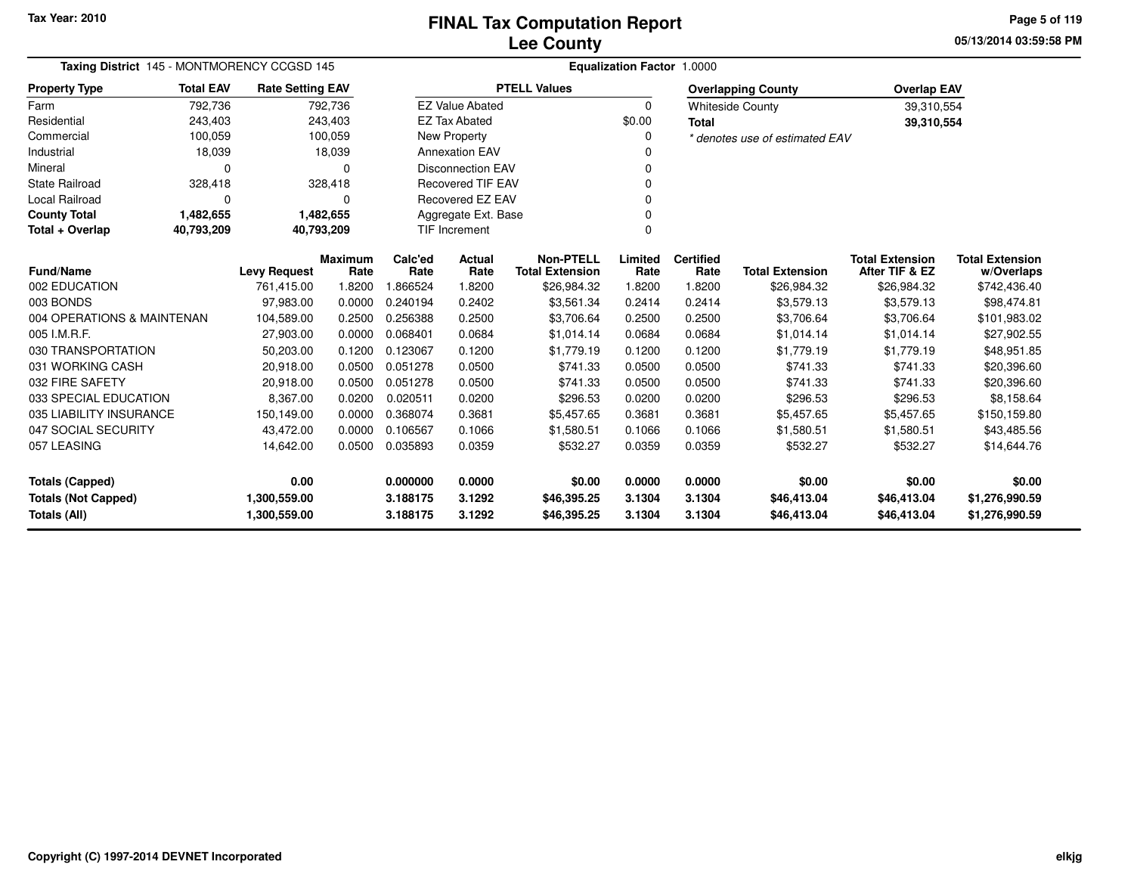**05/13/2014 03:59:58 PM Page 5 of 119**

| Taxing District 145 - MONTMORENCY CCGSD 145 |                  |                         |                        | <b>Equalization Factor 1.0000</b> |                          |                                            |                 |                          |                                |                                          |                                      |  |  |
|---------------------------------------------|------------------|-------------------------|------------------------|-----------------------------------|--------------------------|--------------------------------------------|-----------------|--------------------------|--------------------------------|------------------------------------------|--------------------------------------|--|--|
| <b>Property Type</b>                        | <b>Total EAV</b> | <b>Rate Setting EAV</b> |                        |                                   |                          | <b>PTELL Values</b>                        |                 |                          | <b>Overlapping County</b>      | <b>Overlap EAV</b>                       |                                      |  |  |
| Farm                                        | 792,736          |                         | 792,736                |                                   | <b>EZ Value Abated</b>   |                                            | $\Omega$        |                          | <b>Whiteside County</b>        | 39,310,554                               |                                      |  |  |
| Residential                                 | 243,403          |                         | 243,403                |                                   | <b>EZ Tax Abated</b>     |                                            | \$0.00          | <b>Total</b>             |                                | 39,310,554                               |                                      |  |  |
| Commercial                                  | 100,059          |                         | 100,059                |                                   | <b>New Property</b>      |                                            | $\Omega$        |                          | * denotes use of estimated EAV |                                          |                                      |  |  |
| Industrial                                  | 18,039           |                         | 18,039                 |                                   | <b>Annexation EAV</b>    |                                            |                 |                          |                                |                                          |                                      |  |  |
| Mineral                                     | 0                |                         | $\Omega$               |                                   | <b>Disconnection EAV</b> |                                            | <sup>0</sup>    |                          |                                |                                          |                                      |  |  |
| <b>State Railroad</b>                       | 328,418          |                         | 328,418                |                                   | <b>Recovered TIF EAV</b> |                                            | 0               |                          |                                |                                          |                                      |  |  |
| Local Railroad                              | 0                |                         | 0                      |                                   | Recovered EZ EAV         |                                            | $\Omega$        |                          |                                |                                          |                                      |  |  |
| <b>County Total</b>                         | 1,482,655        |                         | 1,482,655              |                                   | Aggregate Ext. Base      |                                            | $\Omega$        |                          |                                |                                          |                                      |  |  |
| Total + Overlap                             | 40,793,209       |                         | 40,793,209             |                                   | <b>TIF Increment</b>     |                                            | $\Omega$        |                          |                                |                                          |                                      |  |  |
| <b>Fund/Name</b>                            |                  | <b>Levy Request</b>     | <b>Maximum</b><br>Rate | Calc'ed<br>Rate                   | Actual<br>Rate           | <b>Non-PTELL</b><br><b>Total Extension</b> | Limited<br>Rate | <b>Certified</b><br>Rate | <b>Total Extension</b>         | <b>Total Extension</b><br>After TIF & EZ | <b>Total Extension</b><br>w/Overlaps |  |  |
| 002 EDUCATION                               |                  | 761,415.00              | 1.8200                 | 866524                            | 1.8200                   | \$26,984.32                                | 1.8200          | 1.8200                   | \$26,984.32                    | \$26,984.32                              | \$742,436.40                         |  |  |
| 003 BONDS                                   |                  | 97,983.00               | 0.0000                 | 0.240194                          | 0.2402                   | \$3,561.34                                 | 0.2414          | 0.2414                   | \$3,579.13                     | \$3,579.13                               | \$98,474.81                          |  |  |
| 004 OPERATIONS & MAINTENAN                  |                  | 104,589.00              | 0.2500                 | 0.256388                          | 0.2500                   | \$3,706.64                                 | 0.2500          | 0.2500                   | \$3,706.64                     | \$3,706.64                               | \$101,983.02                         |  |  |
| 005 I.M.R.F.                                |                  | 27,903.00               | 0.0000                 | 0.068401                          | 0.0684                   | \$1.014.14                                 | 0.0684          | 0.0684                   | \$1.014.14                     | \$1.014.14                               | \$27,902.55                          |  |  |
| 030 TRANSPORTATION                          |                  | 50,203.00               | 0.1200                 | 0.123067                          | 0.1200                   | \$1,779.19                                 | 0.1200          | 0.1200                   | \$1,779.19                     | \$1,779.19                               | \$48,951.85                          |  |  |
| 031 WORKING CASH                            |                  | 20,918.00               | 0.0500                 | 0.051278                          | 0.0500                   | \$741.33                                   | 0.0500          | 0.0500                   | \$741.33                       | \$741.33                                 | \$20,396.60                          |  |  |
| 032 FIRE SAFETY                             |                  | 20,918.00               | 0.0500                 | 0.051278                          | 0.0500                   | \$741.33                                   | 0.0500          | 0.0500                   | \$741.33                       | \$741.33                                 | \$20,396.60                          |  |  |
| 033 SPECIAL EDUCATION                       |                  | 8,367.00                | 0.0200                 | 0.020511                          | 0.0200                   | \$296.53                                   | 0.0200          | 0.0200                   | \$296.53                       | \$296.53                                 | \$8,158.64                           |  |  |
| 035 LIABILITY INSURANCE                     |                  | 150,149.00              | 0.0000                 | 0.368074                          | 0.3681                   | \$5,457.65                                 | 0.3681          | 0.3681                   | \$5,457.65                     | \$5,457.65                               | \$150,159.80                         |  |  |
| 047 SOCIAL SECURITY                         |                  | 43,472.00               | 0.0000                 | 0.106567                          | 0.1066                   | \$1,580.51                                 | 0.1066          | 0.1066                   | \$1,580.51                     | \$1,580.51                               | \$43,485.56                          |  |  |
| 057 LEASING                                 |                  | 14,642.00               | 0.0500                 | 0.035893                          | 0.0359                   | \$532.27                                   | 0.0359          | 0.0359                   | \$532.27                       | \$532.27                                 | \$14,644.76                          |  |  |
| 0.00<br><b>Totals (Capped)</b>              |                  |                         | 0.000000               | 0.0000                            | \$0.00                   | 0.0000                                     | 0.0000          | \$0.00                   | \$0.00                         | \$0.00                                   |                                      |  |  |
| <b>Totals (Not Capped)</b><br>1,300,559.00  |                  |                         | 3.188175               | 3.1292                            | \$46,395.25              | 3.1304                                     | 3.1304          | \$46,413.04              | \$46,413.04                    | \$1,276,990.59                           |                                      |  |  |
| <b>Totals (All)</b>                         |                  | 1,300,559.00            |                        | 3.188175                          | 3.1292                   | \$46,395.25                                | 3.1304          | 3.1304                   | \$46,413.04                    | \$46,413.04                              | \$1,276,990.59                       |  |  |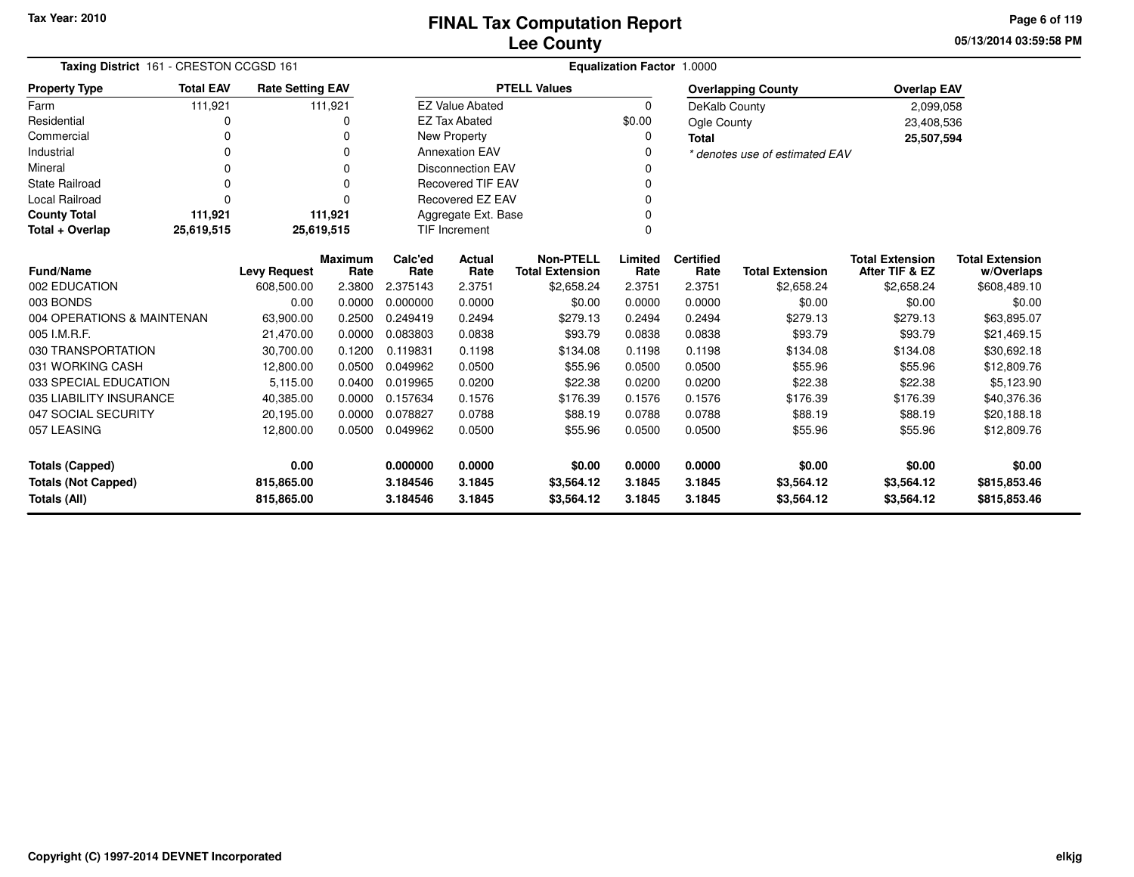**05/13/2014 03:59:58 PM Page 6 of 119**

| Taxing District 161 - CRESTON CCGSD 161          |                     |                         |                        |                 | <b>Equalization Factor 1.0000</b> |                                            |                 |                          |                                |                                          |                                      |  |  |
|--------------------------------------------------|---------------------|-------------------------|------------------------|-----------------|-----------------------------------|--------------------------------------------|-----------------|--------------------------|--------------------------------|------------------------------------------|--------------------------------------|--|--|
| <b>Property Type</b>                             | <b>Total EAV</b>    | <b>Rate Setting EAV</b> |                        |                 |                                   | <b>PTELL Values</b>                        |                 |                          | <b>Overlapping County</b>      | <b>Overlap EAV</b>                       |                                      |  |  |
| Farm                                             | 111,921             |                         | 111,921                |                 | <b>EZ Value Abated</b>            |                                            | $\Omega$        | DeKalb County            |                                | 2,099,058                                |                                      |  |  |
| Residential                                      |                     |                         | 0                      |                 | <b>EZ Tax Abated</b>              |                                            | \$0.00          | Ogle County              |                                | 23,408,536                               |                                      |  |  |
| Commercial                                       | 0                   |                         | O                      |                 | <b>New Property</b>               |                                            | 0               | <b>Total</b>             |                                | 25,507,594                               |                                      |  |  |
| Industrial                                       | 0                   |                         | 0                      |                 | <b>Annexation EAV</b>             |                                            |                 |                          | * denotes use of estimated EAV |                                          |                                      |  |  |
| Mineral                                          | 0                   |                         | 0                      |                 | <b>Disconnection EAV</b>          |                                            |                 |                          |                                |                                          |                                      |  |  |
| <b>State Railroad</b>                            | $\Omega$            |                         | 0                      |                 | <b>Recovered TIF EAV</b>          |                                            | 0               |                          |                                |                                          |                                      |  |  |
| <b>Local Railroad</b>                            | $\Omega$            |                         | 0                      |                 | Recovered EZ EAV                  |                                            |                 |                          |                                |                                          |                                      |  |  |
| <b>County Total</b>                              | 111,921             |                         | 111,921                |                 | Aggregate Ext. Base<br>0          |                                            |                 |                          |                                |                                          |                                      |  |  |
| Total + Overlap                                  | 25,619,515          | 25,619,515              |                        |                 | TIF Increment                     |                                            | 0               |                          |                                |                                          |                                      |  |  |
| <b>Fund/Name</b>                                 | <b>Levy Request</b> |                         | <b>Maximum</b><br>Rate | Calc'ed<br>Rate | Actual<br>Rate                    | <b>Non-PTELL</b><br><b>Total Extension</b> | Limited<br>Rate | <b>Certified</b><br>Rate | <b>Total Extension</b>         | <b>Total Extension</b><br>After TIF & EZ | <b>Total Extension</b><br>w/Overlaps |  |  |
| 002 EDUCATION                                    |                     | 608,500.00              | 2.3800                 | 2.375143        | 2.3751                            | \$2,658.24                                 | 2.3751          | 2.3751                   | \$2,658.24                     | \$2,658.24                               | \$608,489.10                         |  |  |
| 003 BONDS                                        |                     | 0.00                    | 0.0000                 | 0.000000        | 0.0000                            | \$0.00                                     | 0.0000          | 0.0000                   | \$0.00                         | \$0.00                                   | \$0.00                               |  |  |
| 004 OPERATIONS & MAINTENAN                       |                     | 63,900.00               | 0.2500                 | 0.249419        | 0.2494                            | \$279.13                                   | 0.2494          | 0.2494                   | \$279.13                       | \$279.13                                 | \$63,895.07                          |  |  |
| 005 I.M.R.F.                                     |                     | 21,470.00               | 0.0000                 | 0.083803        | 0.0838                            | \$93.79                                    | 0.0838          | 0.0838                   | \$93.79                        | \$93.79                                  | \$21,469.15                          |  |  |
| 030 TRANSPORTATION                               |                     | 30,700.00               | 0.1200                 | 0.119831        | 0.1198                            | \$134.08                                   | 0.1198          | 0.1198                   | \$134.08                       | \$134.08                                 | \$30,692.18                          |  |  |
| 031 WORKING CASH                                 |                     | 12,800.00               | 0.0500                 | 0.049962        | 0.0500                            | \$55.96                                    | 0.0500          | 0.0500                   | \$55.96                        | \$55.96                                  | \$12,809.76                          |  |  |
| 033 SPECIAL EDUCATION                            |                     | 5,115.00                | 0.0400                 | 0.019965        | 0.0200                            | \$22.38                                    | 0.0200          | 0.0200                   | \$22.38                        | \$22.38                                  | \$5,123.90                           |  |  |
| 035 LIABILITY INSURANCE                          |                     | 40,385.00               | 0.0000                 | 0.157634        | 0.1576                            | \$176.39                                   | 0.1576          | 0.1576                   | \$176.39                       | \$176.39                                 | \$40,376.36                          |  |  |
| 047 SOCIAL SECURITY                              |                     | 20,195.00               | 0.0000                 | 0.078827        | 0.0788                            | \$88.19                                    | 0.0788          | 0.0788                   | \$88.19                        | \$88.19                                  | \$20,188.18                          |  |  |
| 057 LEASING                                      |                     | 12,800.00               | 0.0500                 | 0.049962        | 0.0500                            | \$55.96                                    | 0.0500          | 0.0500                   | \$55.96                        | \$55.96                                  | \$12,809.76                          |  |  |
| 0.00<br><b>Totals (Capped)</b>                   |                     |                         | 0.000000               | 0.0000          | \$0.00                            | 0.0000                                     | 0.0000          | \$0.00                   | \$0.00                         | \$0.00                                   |                                      |  |  |
| <b>Totals (Not Capped)</b>                       |                     | 815,865.00              |                        | 3.184546        | 3.1845                            | \$3,564.12                                 | 3.1845          | 3.1845                   | \$3,564.12                     | \$3,564.12                               | \$815,853.46                         |  |  |
| Totals (All)<br>3.184546<br>3.1845<br>815,865.00 |                     |                         |                        |                 | \$3,564.12                        | 3.1845                                     | 3.1845          | \$3,564.12               | \$3,564.12                     | \$815,853.46                             |                                      |  |  |

–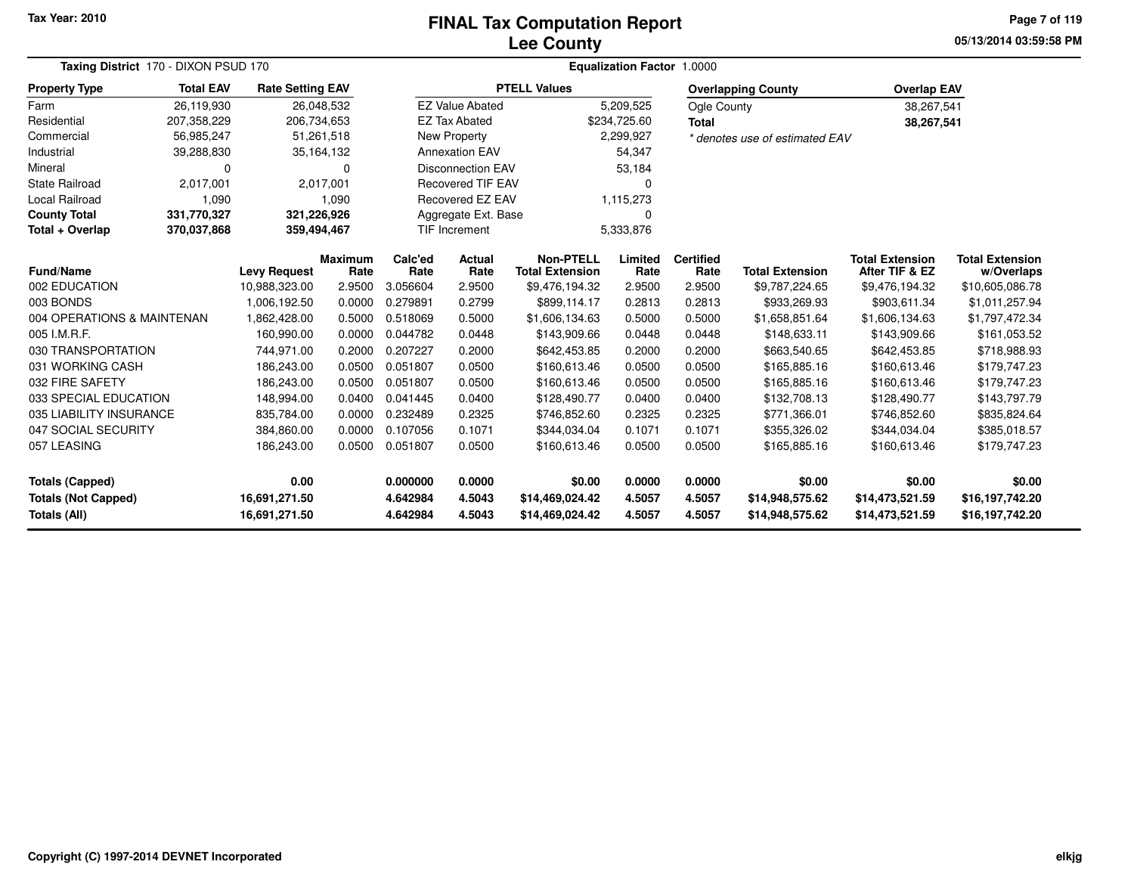### **Lee CountyFINAL Tax Computation Report**

**05/13/2014 03:59:58 PM Page 7 of 119**

| Taxing District 170 - DIXON PSUD 170                                                                                                                                                                                                                                               |                  |                         |                | <b>Equalization Factor 1.0000</b> |                          |                        |              |                    |                                |                        |                        |  |  |
|------------------------------------------------------------------------------------------------------------------------------------------------------------------------------------------------------------------------------------------------------------------------------------|------------------|-------------------------|----------------|-----------------------------------|--------------------------|------------------------|--------------|--------------------|--------------------------------|------------------------|------------------------|--|--|
| <b>Property Type</b>                                                                                                                                                                                                                                                               | <b>Total EAV</b> | <b>Rate Setting EAV</b> |                |                                   |                          | <b>PTELL Values</b>    |              |                    | <b>Overlapping County</b>      | <b>Overlap EAV</b>     |                        |  |  |
| Farm                                                                                                                                                                                                                                                                               | 26,119,930       | 26,048,532              |                |                                   | <b>EZ Value Abated</b>   |                        | 5,209,525    | <b>Ogle County</b> |                                | 38,267,541             |                        |  |  |
| Residential                                                                                                                                                                                                                                                                        | 207,358,229      | 206,734,653             |                |                                   | <b>EZ Tax Abated</b>     |                        | \$234,725.60 | <b>Total</b>       |                                | 38,267,541             |                        |  |  |
| Commercial                                                                                                                                                                                                                                                                         | 56,985,247       | 51,261,518              |                |                                   | <b>New Property</b>      |                        | 2,299,927    |                    | * denotes use of estimated EAV |                        |                        |  |  |
| Industrial                                                                                                                                                                                                                                                                         | 39,288,830       | 35,164,132              |                |                                   | <b>Annexation EAV</b>    |                        | 54,347       |                    |                                |                        |                        |  |  |
| Mineral                                                                                                                                                                                                                                                                            | $\Omega$         |                         | $\Omega$       |                                   | <b>Disconnection EAV</b> |                        | 53,184       |                    |                                |                        |                        |  |  |
| <b>State Railroad</b>                                                                                                                                                                                                                                                              | 2,017,001        |                         | 2,017,001      |                                   | <b>Recovered TIF EAV</b> |                        | O            |                    |                                |                        |                        |  |  |
| Local Railroad                                                                                                                                                                                                                                                                     | 1,090            |                         | 1,090          |                                   | Recovered EZ EAV         |                        | 1,115,273    |                    |                                |                        |                        |  |  |
| <b>County Total</b>                                                                                                                                                                                                                                                                | 331,770,327      | 321,226,926             |                |                                   | Aggregate Ext. Base      |                        | 0            |                    |                                |                        |                        |  |  |
| Total + Overlap                                                                                                                                                                                                                                                                    | 370,037,868      | 359,494,467             |                |                                   | <b>TIF Increment</b>     |                        | 5,333,876    |                    |                                |                        |                        |  |  |
|                                                                                                                                                                                                                                                                                    |                  |                         | <b>Maximum</b> | Calc'ed                           | Actual                   | <b>Non-PTELL</b>       | Limited      | <b>Certified</b>   |                                | <b>Total Extension</b> | <b>Total Extension</b> |  |  |
| <b>Fund/Name</b>                                                                                                                                                                                                                                                                   |                  | <b>Levy Request</b>     | Rate           | Rate                              | Rate                     | <b>Total Extension</b> | Rate         | Rate               | <b>Total Extension</b>         | After TIF & EZ         | w/Overlaps             |  |  |
| 002 EDUCATION                                                                                                                                                                                                                                                                      |                  | 10,988,323.00           | 2.9500         | 3.056604                          | 2.9500                   | \$9,476,194.32         | 2.9500       | 2.9500             | \$9,787,224.65                 | \$9,476,194.32         | \$10,605,086.78        |  |  |
| 003 BONDS                                                                                                                                                                                                                                                                          |                  | 1,006,192.50            | 0.0000         | 0.279891                          | 0.2799                   | \$899,114.17           | 0.2813       | 0.2813             | \$933,269.93                   | \$903,611.34           | \$1,011,257.94         |  |  |
| 004 OPERATIONS & MAINTENAN                                                                                                                                                                                                                                                         |                  | 1,862,428.00            | 0.5000         | 0.518069                          | 0.5000                   | \$1,606,134.63         | 0.5000       | 0.5000             | \$1,658,851.64                 | \$1,606,134.63         | \$1,797,472.34         |  |  |
| 005 I.M.R.F.                                                                                                                                                                                                                                                                       |                  | 160,990.00              | 0.0000         | 0.044782                          | 0.0448                   | \$143,909.66           | 0.0448       | 0.0448             | \$148,633.11                   | \$143,909.66           | \$161,053.52           |  |  |
| 030 TRANSPORTATION                                                                                                                                                                                                                                                                 |                  | 744,971.00              | 0.2000         | 0.207227                          | 0.2000                   | \$642,453.85           | 0.2000       | 0.2000             | \$663,540.65                   | \$642,453.85           | \$718,988.93           |  |  |
| 031 WORKING CASH                                                                                                                                                                                                                                                                   |                  | 186,243.00              | 0.0500         | 0.051807                          | 0.0500                   | \$160,613.46           | 0.0500       | 0.0500             | \$165,885.16                   | \$160,613.46           | \$179,747.23           |  |  |
| 032 FIRE SAFETY                                                                                                                                                                                                                                                                    |                  | 186,243.00              | 0.0500         | 0.051807                          | 0.0500                   | \$160,613.46           | 0.0500       | 0.0500             | \$165,885.16                   | \$160,613.46           | \$179,747.23           |  |  |
| 033 SPECIAL EDUCATION                                                                                                                                                                                                                                                              |                  | 148,994.00              | 0.0400         | 0.041445                          | 0.0400                   | \$128,490.77           | 0.0400       | 0.0400             | \$132,708.13                   | \$128,490.77           | \$143,797.79           |  |  |
| 035 LIABILITY INSURANCE                                                                                                                                                                                                                                                            |                  | 835,784.00              | 0.0000         | 0.232489                          | 0.2325                   | \$746,852.60           | 0.2325       | 0.2325             | \$771,366.01                   | \$746,852.60           | \$835,824.64           |  |  |
| 047 SOCIAL SECURITY                                                                                                                                                                                                                                                                |                  | 384,860.00              | 0.0000         | 0.107056                          | 0.1071                   | \$344,034.04           | 0.1071       | 0.1071             | \$355,326.02                   | \$344,034.04           | \$385,018.57           |  |  |
| 057 LEASING                                                                                                                                                                                                                                                                        |                  | 186,243.00              | 0.0500         | 0.051807                          | 0.0500                   | \$160,613.46           | 0.0500       | 0.0500             | \$165,885.16                   | \$160,613.46           | \$179,747.23           |  |  |
| <b>Totals (Capped)</b><br>0.00                                                                                                                                                                                                                                                     |                  |                         |                | 0.000000                          | 0.0000                   | \$0.00                 | 0.0000       | 0.0000             | \$0.00                         | \$0.00                 | \$0.00                 |  |  |
|                                                                                                                                                                                                                                                                                    |                  |                         |                |                                   |                          |                        |              |                    |                                |                        | \$16,197,742.20        |  |  |
| <b>Totals (Not Capped)</b><br>4.642984<br>4.5043<br>\$14,469,024.42<br>4.5057<br>\$14,473,521.59<br>16,691,271.50<br>4.5057<br>\$14,948,575.62<br>Totals (All)<br>4.642984<br>16,691,271.50<br>4.5043<br>\$14,469,024.42<br>4.5057<br>4.5057<br>\$14,948,575.62<br>\$14,473,521.59 |                  |                         |                |                                   | \$16,197,742.20          |                        |              |                    |                                |                        |                        |  |  |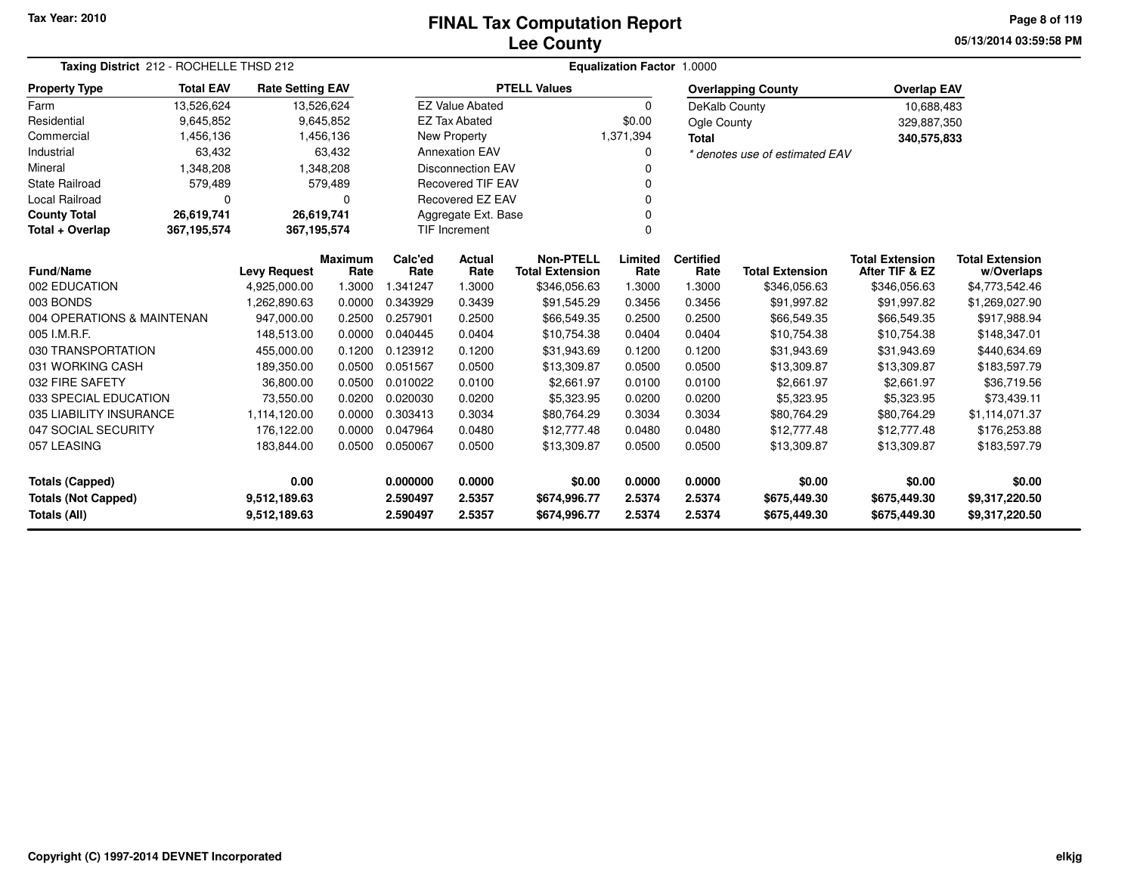### **Lee CountyFINAL Tax Computation Report**

**05/13/2014 03:59:58 PMPage 8 of 119**

| Taxing District 212 - ROCHELLE THSD 212 | Equalization Factor 1.0000 |                         |                        |                 |                          |                                            |                 |                          |                                |                                          |                                      |
|-----------------------------------------|----------------------------|-------------------------|------------------------|-----------------|--------------------------|--------------------------------------------|-----------------|--------------------------|--------------------------------|------------------------------------------|--------------------------------------|
| <b>Property Type</b>                    | <b>Total EAV</b>           | <b>Rate Setting EAV</b> |                        |                 |                          | <b>PTELL Values</b>                        |                 |                          | <b>Overlapping County</b>      | <b>Overlap EAV</b>                       |                                      |
| Farm                                    | 13,526,624                 | 13,526,624              |                        |                 | <b>EZ Value Abated</b>   |                                            | $\Omega$        | DeKalb County            |                                | 10,688,483                               |                                      |
| Residential                             | 9,645,852                  |                         | 9,645,852              |                 | <b>EZ Tax Abated</b>     |                                            | \$0.00          | Ogle County              |                                | 329,887,350                              |                                      |
| Commercial                              | 1,456,136                  |                         | 1,456,136              |                 | New Property             |                                            | 1,371,394       | <b>Total</b>             |                                | 340,575,833                              |                                      |
| Industrial                              | 63,432                     |                         | 63,432                 |                 | <b>Annexation EAV</b>    |                                            | 0               |                          | * denotes use of estimated EAV |                                          |                                      |
| Mineral                                 | 1,348,208                  |                         | 1,348,208              |                 | <b>Disconnection EAV</b> |                                            | ŋ               |                          |                                |                                          |                                      |
| <b>State Railroad</b>                   | 579,489                    |                         | 579,489                |                 | <b>Recovered TIF EAV</b> |                                            |                 |                          |                                |                                          |                                      |
| Local Railroad                          | $\Omega$                   |                         | $\Omega$               |                 | <b>Recovered EZ EAV</b>  |                                            | 0               |                          |                                |                                          |                                      |
| <b>County Total</b>                     | 26,619,741                 | 26,619,741              |                        |                 | Aggregate Ext. Base      |                                            |                 |                          |                                |                                          |                                      |
| Total + Overlap                         | 367,195,574                | 367,195,574             |                        |                 | <b>TIF Increment</b>     |                                            | $\Omega$        |                          |                                |                                          |                                      |
| <b>Fund/Name</b>                        |                            | <b>Levy Request</b>     | <b>Maximum</b><br>Rate | Calc'ed<br>Rate | Actual<br>Rate           | <b>Non-PTELL</b><br><b>Total Extension</b> | Limited<br>Rate | <b>Certified</b><br>Rate | <b>Total Extension</b>         | <b>Total Extension</b><br>After TIF & EZ | <b>Total Extension</b><br>w/Overlaps |
| 002 EDUCATION                           |                            | 4,925,000.00            | 1.3000                 | 1.341247        | 1.3000                   | \$346,056.63                               | 1.3000          | 1.3000                   | \$346,056.63                   | \$346,056.63                             | \$4,773,542.46                       |
| 003 BONDS                               |                            | 1,262,890.63            | 0.0000                 | 0.343929        | 0.3439                   | \$91,545.29                                | 0.3456          | 0.3456                   | \$91,997.82                    | \$91,997.82                              | \$1,269,027.90                       |
| 004 OPERATIONS & MAINTENAN              |                            | 947.000.00              | 0.2500                 | 0.257901        | 0.2500                   | \$66,549.35                                | 0.2500          | 0.2500                   | \$66,549.35                    | \$66,549.35                              | \$917,988.94                         |
| 005 I.M.R.F.                            |                            | 148,513.00              | 0.0000                 | 0.040445        | 0.0404                   | \$10,754.38                                | 0.0404          | 0.0404                   | \$10,754.38                    | \$10,754.38                              | \$148,347.01                         |
| 030 TRANSPORTATION                      |                            | 455,000.00              | 0.1200                 | 0.123912        | 0.1200                   | \$31,943.69                                | 0.1200          | 0.1200                   | \$31,943.69                    | \$31,943.69                              | \$440,634.69                         |
| 031 WORKING CASH                        |                            | 189,350.00              | 0.0500                 | 0.051567        | 0.0500                   | \$13,309.87                                | 0.0500          | 0.0500                   | \$13,309.87                    | \$13,309.87                              | \$183,597.79                         |
| 032 FIRE SAFETY                         |                            | 36,800.00               | 0.0500                 | 0.010022        | 0.0100                   | \$2,661.97                                 | 0.0100          | 0.0100                   | \$2,661.97                     | \$2,661.97                               | \$36,719.56                          |
| 033 SPECIAL EDUCATION                   |                            | 73,550.00               | 0.0200                 | 0.020030        | 0.0200                   | \$5,323.95                                 | 0.0200          | 0.0200                   | \$5,323.95                     | \$5,323.95                               | \$73,439.11                          |
| 035 LIABILITY INSURANCE                 |                            | 1,114,120.00            | 0.0000                 | 0.303413        | 0.3034                   | \$80,764.29                                | 0.3034          | 0.3034                   | \$80,764.29                    | \$80,764.29                              | \$1,114,071.37                       |
| 047 SOCIAL SECURITY                     |                            | 176,122.00              | 0.0000                 | 0.047964        | 0.0480                   | \$12,777.48                                | 0.0480          | 0.0480                   | \$12,777.48                    | \$12,777.48                              | \$176,253.88                         |
| 057 LEASING                             |                            | 183,844.00              | 0.0500                 | 0.050067        | 0.0500                   | \$13,309.87                                | 0.0500          | 0.0500                   | \$13,309.87                    | \$13,309.87                              | \$183,597.79                         |
| 0.00<br><b>Totals (Capped)</b>          |                            |                         |                        | 0.000000        | 0.0000                   | \$0.00                                     | 0.0000          | 0.0000                   | \$0.00                         | \$0.00                                   | \$0.00                               |
| <b>Totals (Not Capped)</b>              |                            | 9,512,189.63            |                        | 2.590497        | 2.5357                   | \$674,996.77                               | 2.5374          | 2.5374                   | \$675,449.30                   | \$675,449.30                             | \$9,317,220.50                       |
| Totals (All)                            |                            | 2.590497                | 2.5357                 | \$674,996.77    | 2.5374                   | 2.5374                                     | \$675,449.30    | \$675,449.30             | \$9,317,220.50                 |                                          |                                      |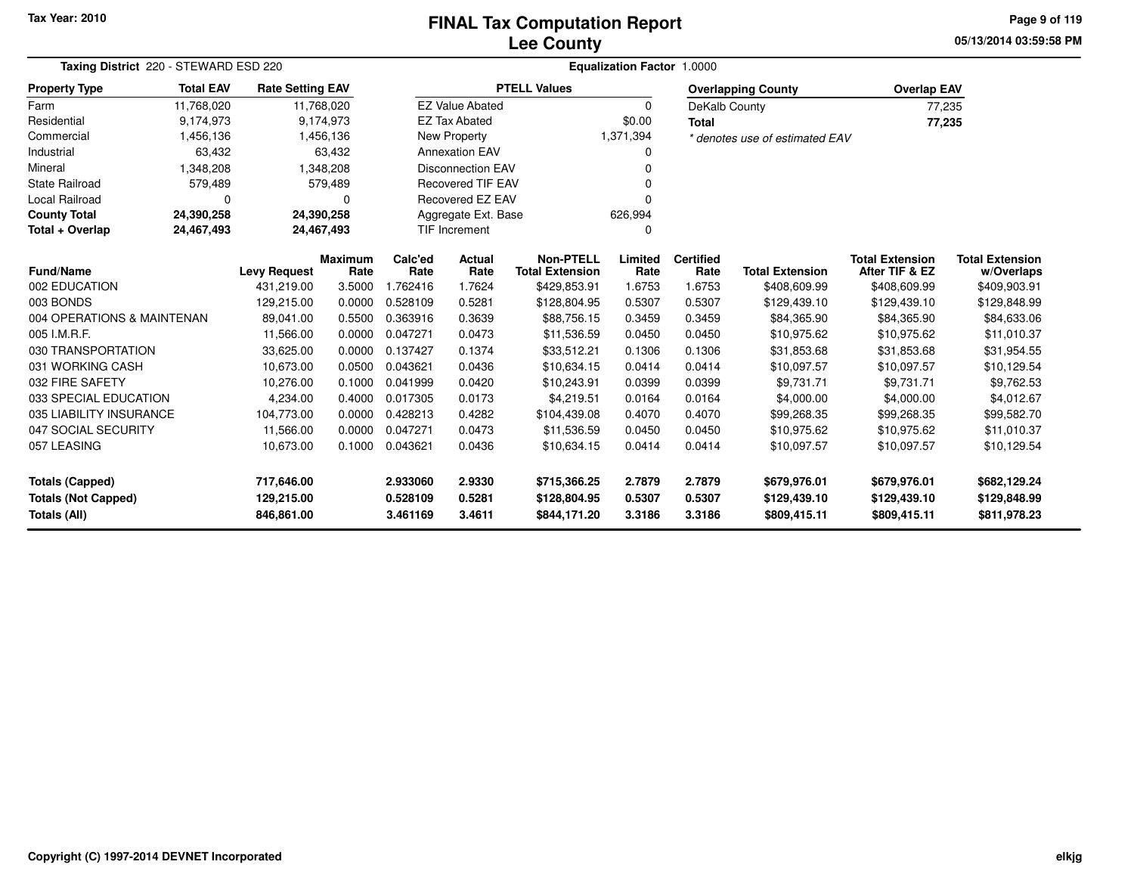### **Lee CountyFINAL Tax Computation Report**

**05/13/2014 03:59:58 PM Page 9 of 119**

|                            | Taxing District 220 - STEWARD ESD 220 |                         |                        |                 |                          | <b>Equalization Factor 1.0000</b>          |                 |                          |                                |                                          |                                      |  |  |  |
|----------------------------|---------------------------------------|-------------------------|------------------------|-----------------|--------------------------|--------------------------------------------|-----------------|--------------------------|--------------------------------|------------------------------------------|--------------------------------------|--|--|--|
| <b>Property Type</b>       | <b>Total EAV</b>                      | <b>Rate Setting EAV</b> |                        |                 |                          | <b>PTELL Values</b>                        |                 |                          | <b>Overlapping County</b>      | <b>Overlap EAV</b>                       |                                      |  |  |  |
| Farm                       | 11,768,020                            |                         | 11,768,020             |                 | <b>EZ Value Abated</b>   |                                            | 0               | DeKalb County            |                                | 77,235                                   |                                      |  |  |  |
| Residential                | 9,174,973                             |                         | 9,174,973              |                 | <b>EZ Tax Abated</b>     |                                            | \$0.00          | <b>Total</b>             |                                | 77,235                                   |                                      |  |  |  |
| Commercial                 | 1,456,136                             |                         | 1,456,136              |                 | <b>New Property</b>      |                                            | 1,371,394       |                          | * denotes use of estimated EAV |                                          |                                      |  |  |  |
| Industrial                 | 63,432                                |                         | 63,432                 |                 | <b>Annexation EAV</b>    |                                            |                 |                          |                                |                                          |                                      |  |  |  |
| Mineral                    | 1,348,208                             |                         | 1,348,208              |                 | <b>Disconnection EAV</b> |                                            |                 |                          |                                |                                          |                                      |  |  |  |
| <b>State Railroad</b>      | 579,489                               |                         | 579,489                |                 | <b>Recovered TIF EAV</b> |                                            |                 |                          |                                |                                          |                                      |  |  |  |
| Local Railroad             | O                                     |                         | 0                      |                 | Recovered EZ EAV         |                                            |                 |                          |                                |                                          |                                      |  |  |  |
| <b>County Total</b>        | 24,390,258                            | 24,390,258              |                        |                 | Aggregate Ext. Base      |                                            | 626,994         |                          |                                |                                          |                                      |  |  |  |
| Total + Overlap            | 24,467,493                            | 24,467,493              |                        |                 | <b>TIF Increment</b>     | $\Omega$                                   |                 |                          |                                |                                          |                                      |  |  |  |
| <b>Fund/Name</b>           |                                       | <b>Levy Request</b>     | <b>Maximum</b><br>Rate | Calc'ed<br>Rate | Actual<br>Rate           | <b>Non-PTELL</b><br><b>Total Extension</b> | Limited<br>Rate | <b>Certified</b><br>Rate | <b>Total Extension</b>         | <b>Total Extension</b><br>After TIF & EZ | <b>Total Extension</b><br>w/Overlaps |  |  |  |
| 002 EDUCATION              |                                       | 431,219.00              | 3.5000                 | 1.762416        | 1.7624                   | \$429,853.91                               | 1.6753          | 1.6753                   | \$408,609.99                   | \$408,609.99                             | \$409,903.91                         |  |  |  |
| 003 BONDS                  |                                       | 129,215.00              | 0.0000                 | 0.528109        | 0.5281                   | \$128,804.95                               | 0.5307          | 0.5307                   | \$129,439.10                   | \$129,439.10                             | \$129,848.99                         |  |  |  |
| 004 OPERATIONS & MAINTENAN |                                       | 89,041.00               | 0.5500                 | 0.363916        | 0.3639                   | \$88,756.15                                | 0.3459          | 0.3459                   | \$84,365.90                    | \$84,365.90                              | \$84,633.06                          |  |  |  |
| 005 I.M.R.F.               |                                       | 11,566.00               | 0.0000                 | 0.047271        | 0.0473                   | \$11,536.59                                | 0.0450          | 0.0450                   | \$10,975.62                    | \$10,975.62                              | \$11,010.37                          |  |  |  |
| 030 TRANSPORTATION         |                                       | 33,625.00               | 0.0000                 | 0.137427        | 0.1374                   | \$33,512.21                                | 0.1306          | 0.1306                   | \$31,853.68                    | \$31,853.68                              | \$31,954.55                          |  |  |  |
| 031 WORKING CASH           |                                       | 10,673.00               | 0.0500                 | 0.043621        | 0.0436                   | \$10,634.15                                | 0.0414          | 0.0414                   | \$10,097.57                    | \$10,097.57                              | \$10,129.54                          |  |  |  |
| 032 FIRE SAFETY            |                                       | 10,276.00               | 0.1000                 | 0.041999        | 0.0420                   | \$10,243.91                                | 0.0399          | 0.0399                   | \$9,731.71                     | \$9,731.71                               | \$9,762.53                           |  |  |  |
| 033 SPECIAL EDUCATION      |                                       | 4,234.00                | 0.4000                 | 0.017305        | 0.0173                   | \$4,219.51                                 | 0.0164          | 0.0164                   | \$4,000.00                     | \$4,000.00                               | \$4,012.67                           |  |  |  |
| 035 LIABILITY INSURANCE    |                                       | 104,773.00              | 0.0000                 | 0.428213        | 0.4282                   | \$104,439.08                               | 0.4070          | 0.4070                   | \$99,268.35                    | \$99,268.35                              | \$99,582.70                          |  |  |  |
| 047 SOCIAL SECURITY        |                                       | 11,566.00               | 0.0000                 | 0.047271        | 0.0473                   | \$11,536.59                                | 0.0450          | 0.0450                   | \$10,975.62                    | \$10,975.62                              | \$11,010.37                          |  |  |  |
| 057 LEASING                |                                       | 10,673.00               | 0.1000                 | 0.043621        | 0.0436                   | \$10,634.15                                | 0.0414          | 0.0414                   | \$10,097.57                    | \$10,097.57                              | \$10,129.54                          |  |  |  |
| <b>Totals (Capped)</b>     |                                       | 717,646.00              |                        | 2.933060        | 2.9330                   | \$715,366.25                               | 2.7879          | 2.7879                   | \$679,976.01                   | \$679,976.01                             | \$682,129.24                         |  |  |  |
| <b>Totals (Not Capped)</b> |                                       | 129,215.00              |                        | 0.528109        | 0.5281                   | \$128,804.95                               | 0.5307          | 0.5307                   | \$129,439.10                   | \$129,439.10                             | \$129,848.99                         |  |  |  |
| <b>Totals (All)</b>        |                                       | 846,861.00              |                        | 3.461169        | 3.4611                   | \$844,171.20                               | 3.3186          | 3.3186                   | \$809,415.11                   | \$809,415.11                             | \$811,978.23                         |  |  |  |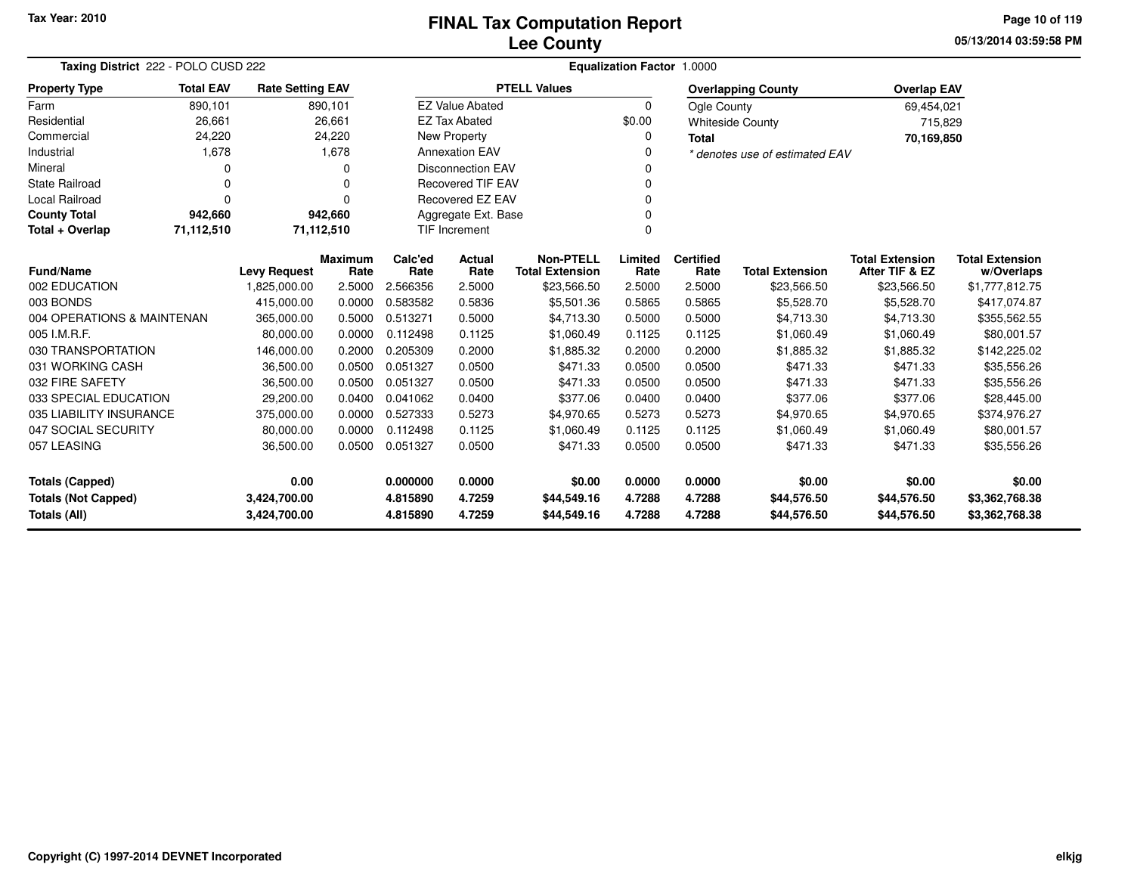### **Lee CountyFINAL Tax Computation Report**

**05/13/2014 03:59:58 PMPage 10 of 119**

| Taxing District 222 - POLO CUSD 222                                                                                                                                                                                                                             |                                                           |                         | Equalization Factor 1.0000 |          |                                  |                        |          |                  |                                |                                          |                        |  |
|-----------------------------------------------------------------------------------------------------------------------------------------------------------------------------------------------------------------------------------------------------------------|-----------------------------------------------------------|-------------------------|----------------------------|----------|----------------------------------|------------------------|----------|------------------|--------------------------------|------------------------------------------|------------------------|--|
| <b>Property Type</b>                                                                                                                                                                                                                                            | <b>Total EAV</b>                                          | <b>Rate Setting EAV</b> |                            |          |                                  | <b>PTELL Values</b>    |          |                  | <b>Overlapping County</b>      | <b>Overlap EAV</b>                       |                        |  |
| Farm                                                                                                                                                                                                                                                            | 890,101                                                   |                         | 890,101                    |          | <b>EZ Value Abated</b>           |                        | 0        | Ogle County      |                                | 69,454,021                               |                        |  |
| Residential                                                                                                                                                                                                                                                     | 26,661                                                    |                         | 26,661                     |          | <b>EZ Tax Abated</b>             |                        | \$0.00   |                  | <b>Whiteside County</b>        | 715,829                                  |                        |  |
| Commercial                                                                                                                                                                                                                                                      | 24,220                                                    |                         | 24,220                     |          | New Property                     |                        | 0        | <b>Total</b>     |                                | 70,169,850                               |                        |  |
| Industrial                                                                                                                                                                                                                                                      | 1,678                                                     |                         | 1,678                      |          | <b>Annexation EAV</b>            |                        | 0        |                  | * denotes use of estimated EAV |                                          |                        |  |
| Mineral                                                                                                                                                                                                                                                         |                                                           |                         | 0                          |          | <b>Disconnection EAV</b>         |                        | O        |                  |                                |                                          |                        |  |
| <b>State Railroad</b>                                                                                                                                                                                                                                           | 0                                                         |                         | $\Omega$                   |          | <b>Recovered TIF EAV</b>         |                        | $\Omega$ |                  |                                |                                          |                        |  |
| <b>Local Railroad</b>                                                                                                                                                                                                                                           | $\Omega$                                                  |                         | n                          |          | <b>Recovered EZ EAV</b>          |                        | 0        |                  |                                |                                          |                        |  |
| <b>County Total</b>                                                                                                                                                                                                                                             | 942,660                                                   |                         | 942,660                    |          | Aggregate Ext. Base<br>0         |                        |          |                  |                                |                                          |                        |  |
| Total + Overlap                                                                                                                                                                                                                                                 | 71,112,510                                                | 71,112,510              |                            |          | <b>TIF Increment</b><br>$\Omega$ |                        |          |                  |                                |                                          |                        |  |
|                                                                                                                                                                                                                                                                 | <b>Maximum</b><br><b>Fund/Name</b><br><b>Levy Request</b> |                         |                            |          | Actual                           | <b>Non-PTELL</b>       | Limited  | <b>Certified</b> |                                | <b>Total Extension</b>                   | <b>Total Extension</b> |  |
|                                                                                                                                                                                                                                                                 |                                                           |                         | Rate                       | Rate     | Rate                             | <b>Total Extension</b> | Rate     | Rate             | <b>Total Extension</b>         | After TIF & EZ                           | w/Overlaps             |  |
| 002 EDUCATION                                                                                                                                                                                                                                                   |                                                           | 1,825,000.00            | 2.5000                     | 2.566356 | 2.5000                           | \$23,566.50            | 2.5000   | 2.5000           | \$23,566.50                    | \$23,566.50                              | \$1,777,812.75         |  |
| 003 BONDS                                                                                                                                                                                                                                                       |                                                           | 415,000.00              | 0.0000                     | 0.583582 | 0.5836                           | \$5,501.36             | 0.5865   | 0.5865           |                                | \$5,528.70<br>\$5,528.70<br>\$417,074.87 |                        |  |
| 004 OPERATIONS & MAINTENAN                                                                                                                                                                                                                                      |                                                           | 365,000.00              | 0.5000                     | 0.513271 | 0.5000                           | \$4,713.30             | 0.5000   | 0.5000           | \$4,713.30                     | \$4,713.30                               | \$355,562.55           |  |
| 005 I.M.R.F.                                                                                                                                                                                                                                                    |                                                           | 80,000.00               | 0.0000                     | 0.112498 | 0.1125                           | \$1,060.49             | 0.1125   | 0.1125           | \$1,060.49                     | \$1,060.49                               | \$80,001.57            |  |
| 030 TRANSPORTATION                                                                                                                                                                                                                                              |                                                           | 146,000.00              | 0.2000                     | 0.205309 | 0.2000                           | \$1,885.32             | 0.2000   | 0.2000           | \$1,885.32                     | \$1,885.32                               | \$142,225.02           |  |
| 031 WORKING CASH                                                                                                                                                                                                                                                |                                                           | 36,500.00               | 0.0500                     | 0.051327 | 0.0500                           | \$471.33               | 0.0500   | 0.0500           | \$471.33                       | \$471.33                                 | \$35,556.26            |  |
| 032 FIRE SAFETY                                                                                                                                                                                                                                                 |                                                           | 36,500.00               | 0.0500                     | 0.051327 | 0.0500                           | \$471.33               | 0.0500   | 0.0500           | \$471.33                       | \$471.33                                 | \$35,556.26            |  |
| 033 SPECIAL EDUCATION                                                                                                                                                                                                                                           |                                                           | 29,200.00               | 0.0400                     | 0.041062 | 0.0400                           | \$377.06               | 0.0400   | 0.0400           | \$377.06                       | \$377.06                                 | \$28,445.00            |  |
| 035 LIABILITY INSURANCE                                                                                                                                                                                                                                         |                                                           | 375,000.00              | 0.0000                     | 0.527333 | 0.5273                           | \$4,970.65             | 0.5273   | 0.5273           | \$4,970.65                     | \$4,970.65                               | \$374,976.27           |  |
| 047 SOCIAL SECURITY                                                                                                                                                                                                                                             |                                                           | 80,000.00               | 0.0000                     | 0.112498 | 0.1125                           | \$1,060.49             | 0.1125   | 0.1125           | \$1,060.49                     | \$1,060.49                               | \$80,001.57            |  |
| 057 LEASING                                                                                                                                                                                                                                                     |                                                           | 36,500.00               | 0.0500                     | 0.051327 | 0.0500                           | \$471.33               | 0.0500   | 0.0500           | \$471.33                       | \$471.33                                 | \$35,556.26            |  |
| 0.00<br><b>Totals (Capped)</b>                                                                                                                                                                                                                                  |                                                           |                         |                            | 0.000000 | 0.0000                           | \$0.00                 | 0.0000   | 0.0000           | \$0.00                         | \$0.00                                   | \$0.00                 |  |
|                                                                                                                                                                                                                                                                 |                                                           |                         |                            |          |                                  |                        |          |                  |                                |                                          | \$3,362,768.38         |  |
| 4.7259<br>4.7288<br>4.7288<br><b>Totals (Not Capped)</b><br>3,424,700.00<br>4.815890<br>\$44,549.16<br>\$44,576.50<br>\$44,576.50<br><b>Totals (All)</b><br>4.7259<br>4.7288<br>4.7288<br>3,424,700.00<br>4.815890<br>\$44,549.16<br>\$44,576.50<br>\$44,576.50 |                                                           |                         |                            |          | \$3,362,768.38                   |                        |          |                  |                                |                                          |                        |  |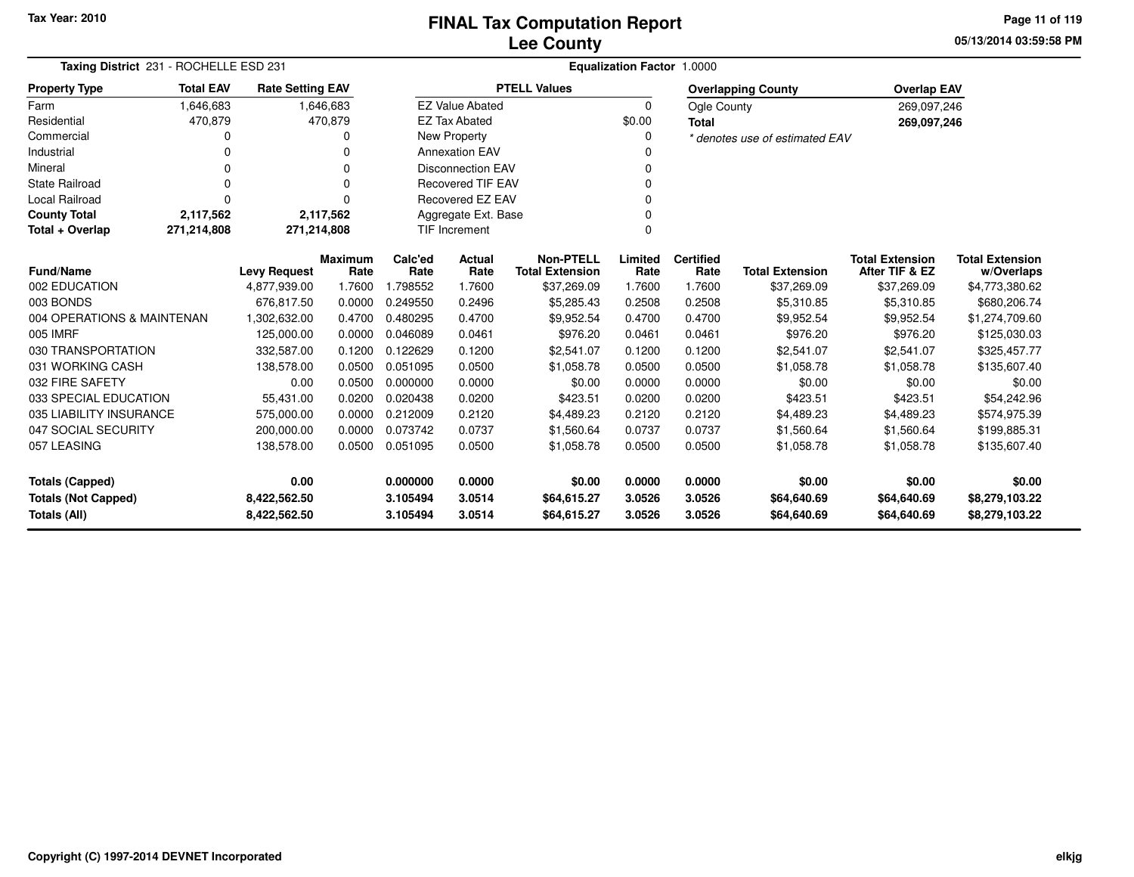**05/13/2014 03:59:58 PM Page 11 of 119**

| Taxing District 231 - ROCHELLE ESD 231 |                                                           |                         |                |                 | Equalization Factor 1.0000 |                                            |                 |                          |                                |                                          |                              |  |  |  |
|----------------------------------------|-----------------------------------------------------------|-------------------------|----------------|-----------------|----------------------------|--------------------------------------------|-----------------|--------------------------|--------------------------------|------------------------------------------|------------------------------|--|--|--|
| <b>Property Type</b>                   | <b>Total EAV</b>                                          | <b>Rate Setting EAV</b> |                |                 |                            | <b>PTELL Values</b>                        |                 |                          | <b>Overlapping County</b>      | <b>Overlap EAV</b>                       |                              |  |  |  |
| Farm                                   | 1,646,683                                                 |                         | 1,646,683      |                 | <b>EZ Value Abated</b>     |                                            | $\Omega$        | Ogle County              |                                | 269,097,246                              |                              |  |  |  |
| Residential                            | 470,879                                                   |                         | 470,879        |                 | <b>EZ Tax Abated</b>       |                                            | \$0.00          | <b>Total</b>             |                                | 269,097,246                              |                              |  |  |  |
| Commercial                             | O                                                         |                         | 0              |                 | <b>New Property</b>        |                                            | 0               |                          | * denotes use of estimated EAV |                                          |                              |  |  |  |
| Industrial                             |                                                           |                         |                |                 | <b>Annexation EAV</b>      |                                            |                 |                          |                                |                                          |                              |  |  |  |
| Mineral                                | O                                                         |                         | $\Omega$       |                 | <b>Disconnection EAV</b>   |                                            | 0               |                          |                                |                                          |                              |  |  |  |
| <b>State Railroad</b>                  |                                                           |                         | $\Omega$       |                 | <b>Recovered TIF EAV</b>   |                                            | $\Omega$        |                          |                                |                                          |                              |  |  |  |
| Local Railroad                         | $\Omega$                                                  |                         | n              |                 | <b>Recovered EZ EAV</b>    |                                            | $\Omega$        |                          |                                |                                          |                              |  |  |  |
| <b>County Total</b>                    | 2,117,562                                                 |                         | 2,117,562      |                 | Aggregate Ext. Base        |                                            | $\Omega$        |                          |                                |                                          |                              |  |  |  |
| Total + Overlap                        | 271,214,808                                               | 271,214,808             |                |                 | TIF Increment<br>$\Omega$  |                                            |                 |                          |                                |                                          |                              |  |  |  |
|                                        | <b>Maximum</b><br><b>Fund/Name</b><br><b>Levy Request</b> |                         |                | Calc'ed<br>Rate | Actual<br>Rate             | <b>Non-PTELL</b><br><b>Total Extension</b> | Limited<br>Rate | <b>Certified</b><br>Rate | <b>Total Extension</b>         | <b>Total Extension</b><br>After TIF & EZ | <b>Total Extension</b>       |  |  |  |
| 002 EDUCATION                          |                                                           | 4,877,939.00            | Rate<br>1.7600 | 1.798552        | 1.7600                     | \$37,269.09                                | 1.7600          | 1.7600                   | \$37,269.09                    | \$37,269.09                              | w/Overlaps<br>\$4,773,380.62 |  |  |  |
| 003 BONDS                              |                                                           | 676.817.50              | 0.0000         | 0.249550        | 0.2496                     | \$5,285.43                                 | 0.2508          | 0.2508                   | \$5,310.85                     | \$5,310.85                               | \$680,206.74                 |  |  |  |
| 004 OPERATIONS & MAINTENAN             |                                                           | 1,302,632.00            | 0.4700         | 0.480295        | 0.4700                     | \$9,952.54                                 | 0.4700          | 0.4700                   | \$9,952.54                     | \$9,952.54                               | \$1,274,709.60               |  |  |  |
| 005 IMRF                               |                                                           | 125,000.00              | 0.0000         | 0.046089        | 0.0461                     | \$976.20                                   | 0.0461          | 0.0461                   | \$976.20                       | \$976.20                                 | \$125,030.03                 |  |  |  |
| 030 TRANSPORTATION                     |                                                           | 332,587.00              | 0.1200         | 0.122629        | 0.1200                     | \$2,541.07                                 | 0.1200          | 0.1200                   | \$2,541.07                     | \$2,541.07                               | \$325,457.77                 |  |  |  |
| 031 WORKING CASH                       |                                                           | 138,578.00              | 0.0500         | 0.051095        | 0.0500                     | \$1,058.78                                 | 0.0500          | 0.0500                   | \$1,058.78                     | \$1,058.78                               | \$135,607.40                 |  |  |  |
| 032 FIRE SAFETY                        |                                                           | 0.00                    | 0.0500         | 0.000000        | 0.0000                     | \$0.00                                     | 0.0000          | 0.0000                   | \$0.00                         | \$0.00                                   | \$0.00                       |  |  |  |
| 033 SPECIAL EDUCATION                  |                                                           | 55,431.00               | 0.0200         | 0.020438        | 0.0200                     | \$423.51                                   | 0.0200          | 0.0200                   | \$423.51                       | \$423.51                                 | \$54,242.96                  |  |  |  |
| 035 LIABILITY INSURANCE                |                                                           | 575,000.00              | 0.0000         | 0.212009        | 0.2120                     | \$4,489.23                                 | 0.2120          | 0.2120                   | \$4,489.23                     | \$4,489.23                               | \$574,975.39                 |  |  |  |
| 047 SOCIAL SECURITY                    |                                                           | 200,000.00              | 0.0000         | 0.073742        | 0.0737                     | \$1,560.64                                 | 0.0737          | 0.0737                   | \$1,560.64                     | \$1,560.64                               | \$199,885.31                 |  |  |  |
| 057 LEASING                            |                                                           | 138,578.00              | 0.0500         | 0.051095        | 0.0500                     | \$1,058.78                                 | 0.0500          | 0.0500                   | \$1,058.78                     | \$1,058.78                               | \$135,607.40                 |  |  |  |
|                                        |                                                           |                         |                |                 |                            |                                            |                 |                          |                                |                                          |                              |  |  |  |
| 0.00<br><b>Totals (Capped)</b>         |                                                           |                         |                | 0.000000        | 0.0000                     | \$0.00                                     | 0.0000          | 0.0000                   | \$0.00                         | \$0.00                                   | \$0.00                       |  |  |  |
| <b>Totals (Not Capped)</b>             |                                                           | 8,422,562.50            |                | 3.105494        | 3.0514                     | \$64,615.27                                | 3.0526          | 3.0526                   | \$64,640.69                    | \$64,640.69                              | \$8,279,103.22               |  |  |  |
| Totals (All)                           |                                                           | 8,422,562.50            |                | 3.105494        | 3.0514                     | \$64,615.27                                | 3.0526          | 3.0526                   | \$64,640.69                    | \$64,640.69                              | \$8,279,103.22               |  |  |  |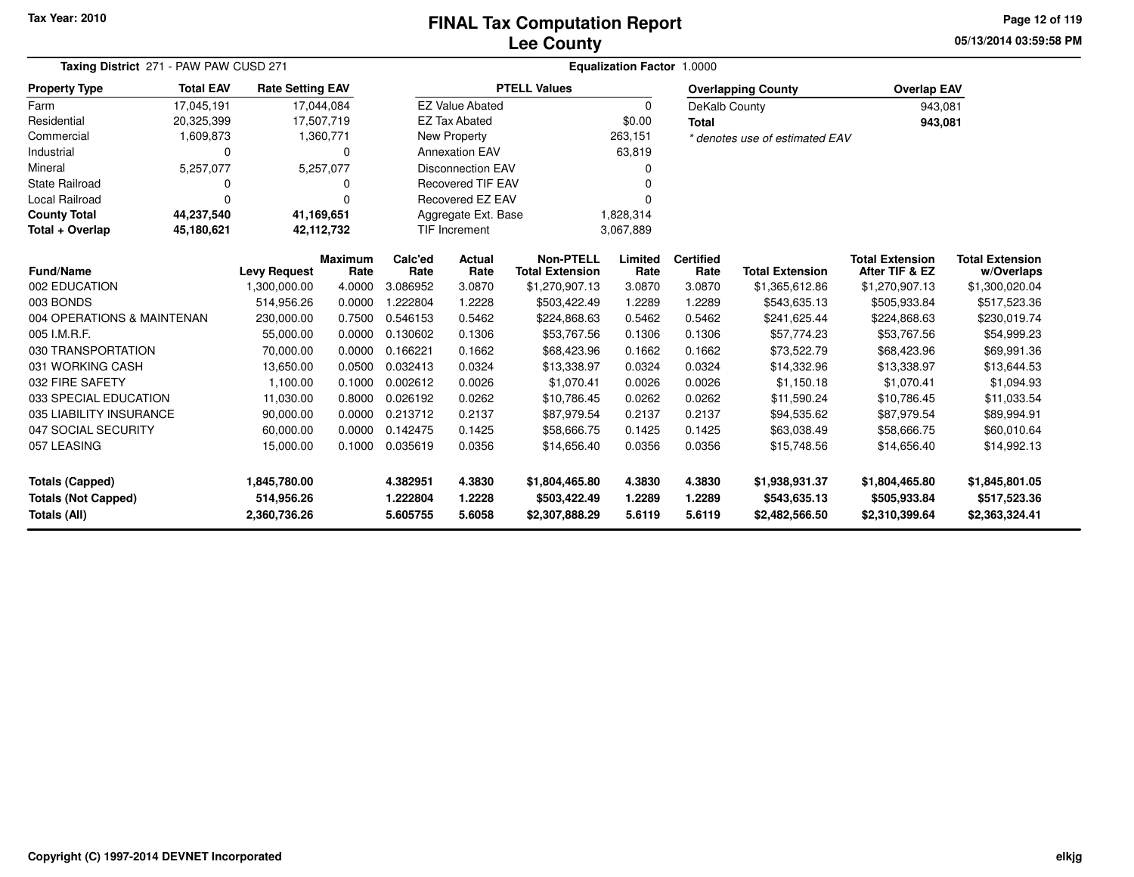### **Lee CountyFINAL Tax Computation Report**

**05/13/2014 03:59:58 PMPage 12 of 119**

| Taxing District 271 - PAW PAW CUSD 271 |                                                                                       |                     |                        |                 | Equalization Factor 1.0000 |                                            |                 |                          |                                |                                          |                                      |
|----------------------------------------|---------------------------------------------------------------------------------------|---------------------|------------------------|-----------------|----------------------------|--------------------------------------------|-----------------|--------------------------|--------------------------------|------------------------------------------|--------------------------------------|
| <b>Property Type</b>                   | <b>Total EAV</b><br><b>Rate Setting EAV</b><br>17,045,191<br>17,044,084<br>17,507,719 |                     |                        |                 |                            | <b>PTELL Values</b>                        |                 |                          | <b>Overlapping County</b>      | <b>Overlap EAV</b>                       |                                      |
| Farm                                   |                                                                                       |                     |                        |                 | <b>EZ Value Abated</b>     |                                            | 0               | DeKalb County            |                                | 943,081                                  |                                      |
| Residential                            | 20,325,399                                                                            |                     |                        |                 | <b>EZ Tax Abated</b>       |                                            | \$0.00          | <b>Total</b>             |                                | 943,081                                  |                                      |
| Commercial                             | 1,609,873                                                                             |                     | 1,360,771              |                 | New Property               |                                            | 263,151         |                          | * denotes use of estimated EAV |                                          |                                      |
| Industrial                             | 0                                                                                     |                     | $\mathbf 0$            |                 | <b>Annexation EAV</b>      |                                            | 63,819          |                          |                                |                                          |                                      |
| Mineral                                | 5,257,077                                                                             |                     | 5,257,077              |                 | <b>Disconnection EAV</b>   |                                            | <sup>0</sup>    |                          |                                |                                          |                                      |
| <b>State Railroad</b>                  | 0                                                                                     |                     | 0                      |                 | <b>Recovered TIF EAV</b>   |                                            | n               |                          |                                |                                          |                                      |
| Local Railroad                         | $\Omega$                                                                              |                     | 0                      |                 | Recovered EZ EAV           |                                            | $\Omega$        |                          |                                |                                          |                                      |
| <b>County Total</b>                    | 44,237,540                                                                            | 41,169,651          |                        |                 | Aggregate Ext. Base        |                                            | 1,828,314       |                          |                                |                                          |                                      |
| Total + Overlap                        | 45,180,621                                                                            | 42,112,732          |                        |                 | <b>TIF Increment</b>       |                                            | 3,067,889       |                          |                                |                                          |                                      |
| <b>Fund/Name</b>                       |                                                                                       | <b>Levy Request</b> | <b>Maximum</b><br>Rate | Calc'ed<br>Rate | Actual<br>Rate             | <b>Non-PTELL</b><br><b>Total Extension</b> | Limited<br>Rate | <b>Certified</b><br>Rate | <b>Total Extension</b>         | <b>Total Extension</b><br>After TIF & EZ | <b>Total Extension</b><br>w/Overlaps |
| 002 EDUCATION                          |                                                                                       | 1,300,000.00        | 4.0000                 | 3.086952        | 3.0870                     | \$1,270,907.13                             | 3.0870          | 3.0870                   | \$1,365,612.86                 | \$1,270,907.13                           | \$1,300,020.04                       |
| 003 BONDS                              |                                                                                       | 514,956.26          | 0.0000                 | .222804         | 1.2228                     | \$503,422.49                               | 1.2289          | 1.2289                   | \$543,635.13                   | \$505,933.84                             | \$517,523.36                         |
| 004 OPERATIONS & MAINTENAN             |                                                                                       | 230,000.00          | 0.7500                 | 0.546153        | 0.5462                     | \$224,868.63                               | 0.5462          | 0.5462                   | \$241,625.44                   | \$224,868.63                             | \$230,019.74                         |
| 005 I.M.R.F.                           |                                                                                       | 55,000.00           | 0.0000                 | 0.130602        | 0.1306                     | \$53,767.56                                | 0.1306          | 0.1306                   | \$57,774.23                    | \$53,767.56                              | \$54,999.23                          |
| 030 TRANSPORTATION                     |                                                                                       | 70,000.00           | 0.0000                 | 0.166221        | 0.1662                     | \$68,423.96                                | 0.1662          | 0.1662                   | \$73,522.79                    | \$68,423.96                              | \$69,991.36                          |
| 031 WORKING CASH                       |                                                                                       | 13,650.00           | 0.0500                 | 0.032413        | 0.0324                     | \$13,338.97                                | 0.0324          | 0.0324                   | \$14,332.96                    | \$13,338.97                              | \$13,644.53                          |
| 032 FIRE SAFETY                        |                                                                                       | 1,100.00            | 0.1000                 | 0.002612        | 0.0026                     | \$1,070.41                                 | 0.0026          | 0.0026                   | \$1,150.18                     | \$1,070.41                               | \$1,094.93                           |
| 033 SPECIAL EDUCATION                  |                                                                                       | 11,030.00           | 0.8000                 | 0.026192        | 0.0262                     | \$10,786.45                                | 0.0262          | 0.0262                   | \$11,590.24                    | \$10,786.45                              | \$11,033.54                          |
| 035 LIABILITY INSURANCE                |                                                                                       | 90,000.00           | 0.0000                 | 0.213712        | 0.2137                     | \$87,979.54                                | 0.2137          | 0.2137                   | \$94,535.62                    | \$87,979.54                              | \$89,994.91                          |
| 047 SOCIAL SECURITY                    |                                                                                       | 60,000.00           | 0.0000                 | 0.142475        | 0.1425                     | \$58,666.75                                | 0.1425          | 0.1425                   | \$63,038.49                    | \$58,666.75                              | \$60,010.64                          |
| 057 LEASING                            |                                                                                       | 15,000.00           | 0.1000                 | 0.035619        | 0.0356                     | \$14,656.40                                | 0.0356          | 0.0356                   | \$15,748.56                    | \$14,656.40                              | \$14,992.13                          |
| <b>Totals (Capped)</b><br>1,845,780.00 |                                                                                       |                     | 4.382951               | 4.3830          | \$1,804,465.80             | 4.3830                                     | 4.3830          | \$1,938,931.37           | \$1,804,465.80                 | \$1,845,801.05                           |                                      |
| <b>Totals (Not Capped)</b>             |                                                                                       | 514,956.26          |                        | 1.222804        | 1.2228                     | \$503,422.49                               | 1.2289          | 1.2289                   | \$543,635.13                   | \$505,933.84                             | \$517,523.36                         |
| Totals (All)                           |                                                                                       | 2,360,736.26        |                        | 5.605755        | 5.6058                     | \$2,307,888.29                             | 5.6119          | 5.6119                   | \$2,482,566.50                 | \$2,310,399.64                           | \$2,363,324.41                       |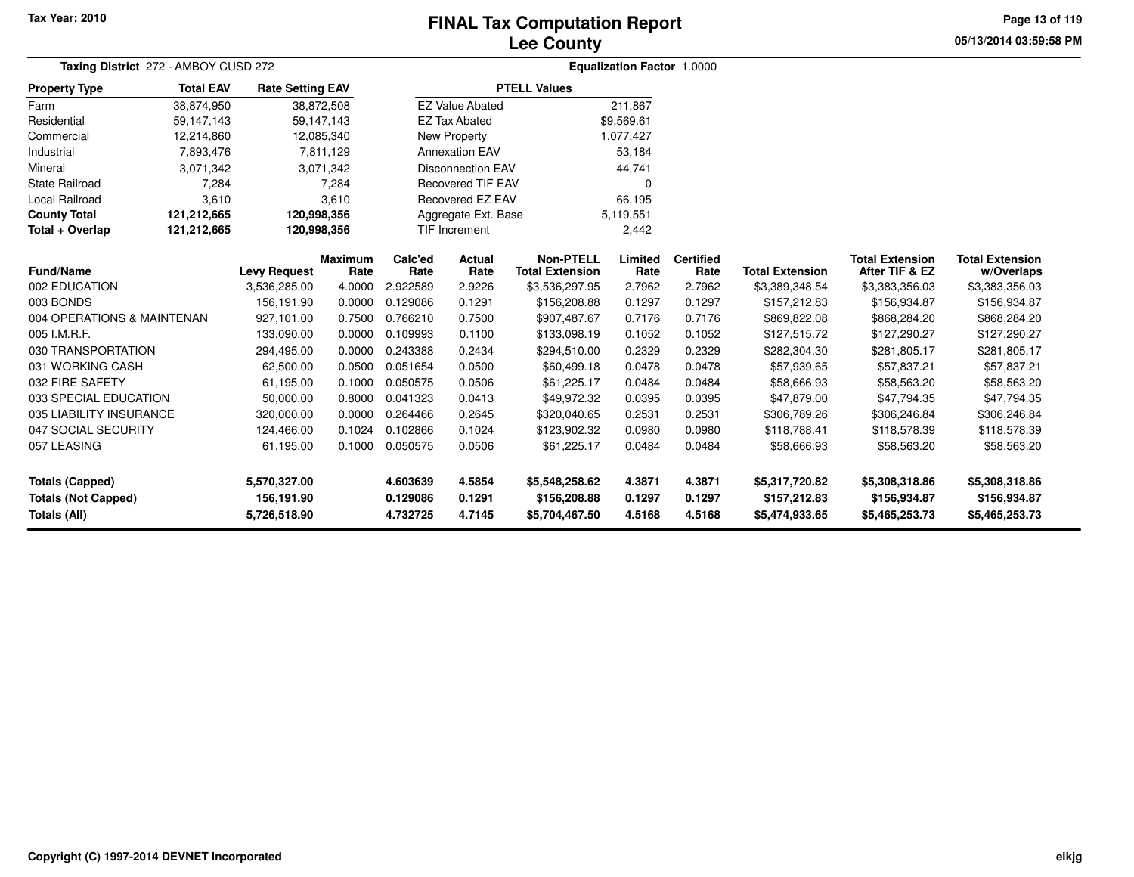# **Lee CountyFINAL Tax Computation Report**

**05/13/2014 03:59:58 PM Page 13 of 119**

|                            | Taxing District 272 - AMBOY CUSD 272                                                                |                     |                 |                 |                          | <b>Equalization Factor 1.0000</b>          |                 |                          |                        |                                          |                                      |
|----------------------------|-----------------------------------------------------------------------------------------------------|---------------------|-----------------|-----------------|--------------------------|--------------------------------------------|-----------------|--------------------------|------------------------|------------------------------------------|--------------------------------------|
| <b>Property Type</b>       | <b>Total EAV</b><br><b>Rate Setting EAV</b><br>38,874,950<br>38,872,508<br>59,147,143<br>59,147,143 |                     |                 |                 |                          | <b>PTELL Values</b>                        |                 |                          |                        |                                          |                                      |
| Farm                       |                                                                                                     |                     |                 |                 | <b>EZ Value Abated</b>   |                                            | 211,867         |                          |                        |                                          |                                      |
| Residential                |                                                                                                     |                     |                 |                 | <b>EZ Tax Abated</b>     |                                            | \$9.569.61      |                          |                        |                                          |                                      |
| Commercial                 | 12,214,860                                                                                          | 12,085,340          |                 |                 | New Property             |                                            | 1,077,427       |                          |                        |                                          |                                      |
| Industrial                 | 7,893,476                                                                                           |                     | 7,811,129       |                 | <b>Annexation EAV</b>    |                                            | 53,184          |                          |                        |                                          |                                      |
| Mineral                    | 3,071,342                                                                                           |                     | 3,071,342       |                 | <b>Disconnection EAV</b> |                                            | 44,741          |                          |                        |                                          |                                      |
| State Railroad             | 7,284                                                                                               |                     | 7,284           |                 | <b>Recovered TIF EAV</b> |                                            | 0               |                          |                        |                                          |                                      |
| <b>Local Railroad</b>      | 3,610                                                                                               |                     | 3,610           |                 | Recovered EZ EAV         |                                            | 66,195          |                          |                        |                                          |                                      |
| <b>County Total</b>        | 121,212,665<br>120,998,356                                                                          |                     |                 |                 | Aggregate Ext. Base      |                                            | 5,119,551       |                          |                        |                                          |                                      |
| Total + Overlap            | 121,212,665<br>120,998,356                                                                          |                     |                 |                 | <b>TIF Increment</b>     |                                            | 2,442           |                          |                        |                                          |                                      |
| <b>Fund/Name</b>           |                                                                                                     | <b>Levy Request</b> | Maximum<br>Rate | Calc'ed<br>Rate | Actual<br>Rate           | <b>Non-PTELL</b><br><b>Total Extension</b> | Limited<br>Rate | <b>Certified</b><br>Rate | <b>Total Extension</b> | <b>Total Extension</b><br>After TIF & EZ | <b>Total Extension</b><br>w/Overlaps |
| 002 EDUCATION              |                                                                                                     | 3,536,285.00        | 4.0000          | 2.922589        | 2.9226                   | \$3,536,297.95                             | 2.7962          | 2.7962                   | \$3,389,348.54         | \$3,383,356.03                           | \$3,383,356.03                       |
| 003 BONDS                  |                                                                                                     | 156,191.90          | 0.0000          | 0.129086        | 0.1291                   | \$156,208.88                               | 0.1297          | 0.1297                   | \$157,212.83           | \$156,934.87                             | \$156,934.87                         |
| 004 OPERATIONS & MAINTENAN |                                                                                                     | 927,101.00          | 0.7500          | 0.766210        | 0.7500                   | \$907,487.67                               | 0.7176          | 0.7176                   | \$869,822.08           | \$868,284.20                             | \$868,284.20                         |
| 005 I.M.R.F.               |                                                                                                     | 133,090.00          | 0.0000          | 0.109993        | 0.1100                   | \$133,098.19                               | 0.1052          | 0.1052                   | \$127,515.72           | \$127,290.27                             | \$127,290.27                         |
| 030 TRANSPORTATION         |                                                                                                     | 294,495.00          | 0.0000          | 0.243388        | 0.2434                   | \$294,510.00                               | 0.2329          | 0.2329                   | \$282,304.30           | \$281,805.17                             | \$281,805.17                         |
| 031 WORKING CASH           |                                                                                                     | 62,500.00           | 0.0500          | 0.051654        | 0.0500                   | \$60,499.18                                | 0.0478          | 0.0478                   | \$57,939.65            | \$57,837.21                              | \$57,837.21                          |
| 032 FIRE SAFETY            |                                                                                                     | 61,195.00           | 0.1000          | 0.050575        | 0.0506                   | \$61,225.17                                | 0.0484          | 0.0484                   | \$58,666.93            | \$58,563.20                              | \$58,563.20                          |
| 033 SPECIAL EDUCATION      |                                                                                                     | 50,000.00           | 0.8000          | 0.041323        | 0.0413                   | \$49,972.32                                | 0.0395          | 0.0395                   | \$47,879.00            | \$47,794.35                              | \$47,794.35                          |
| 035 LIABILITY INSURANCE    |                                                                                                     | 320,000.00          | 0.0000          | 0.264466        | 0.2645                   | \$320,040.65                               | 0.2531          | 0.2531                   | \$306,789.26           | \$306,246.84                             | \$306,246.84                         |
| 047 SOCIAL SECURITY        |                                                                                                     | 124,466.00          | 0.1024          | 0.102866        | 0.1024                   | \$123,902.32                               | 0.0980          | 0.0980                   | \$118,788.41           | \$118,578.39                             | \$118,578.39                         |
| 057 LEASING                |                                                                                                     | 61,195.00           | 0.1000          | 0.050575        | 0.0506                   | \$61,225.17                                | 0.0484          | 0.0484                   | \$58,666.93            | \$58,563.20                              | \$58,563.20                          |
| <b>Totals (Capped)</b>     |                                                                                                     | 5,570,327.00        |                 | 4.603639        | 4.5854                   | \$5,548,258.62                             | 4.3871          | 4.3871                   | \$5,317,720.82         | \$5,308,318.86                           | \$5,308,318.86                       |
| <b>Totals (Not Capped)</b> |                                                                                                     | 156,191.90          |                 | 0.129086        | 0.1291                   | \$156,208.88                               | 0.1297          | 0.1297                   | \$157,212.83           | \$156,934.87                             | \$156,934.87                         |
| <b>Totals (All)</b>        |                                                                                                     | 5,726,518.90        |                 | 4.732725        | 4.7145                   | \$5,704,467.50                             | 4.5168          | 4.5168                   | \$5,474,933.65         | \$5,465,253.73                           | \$5,465,253.73                       |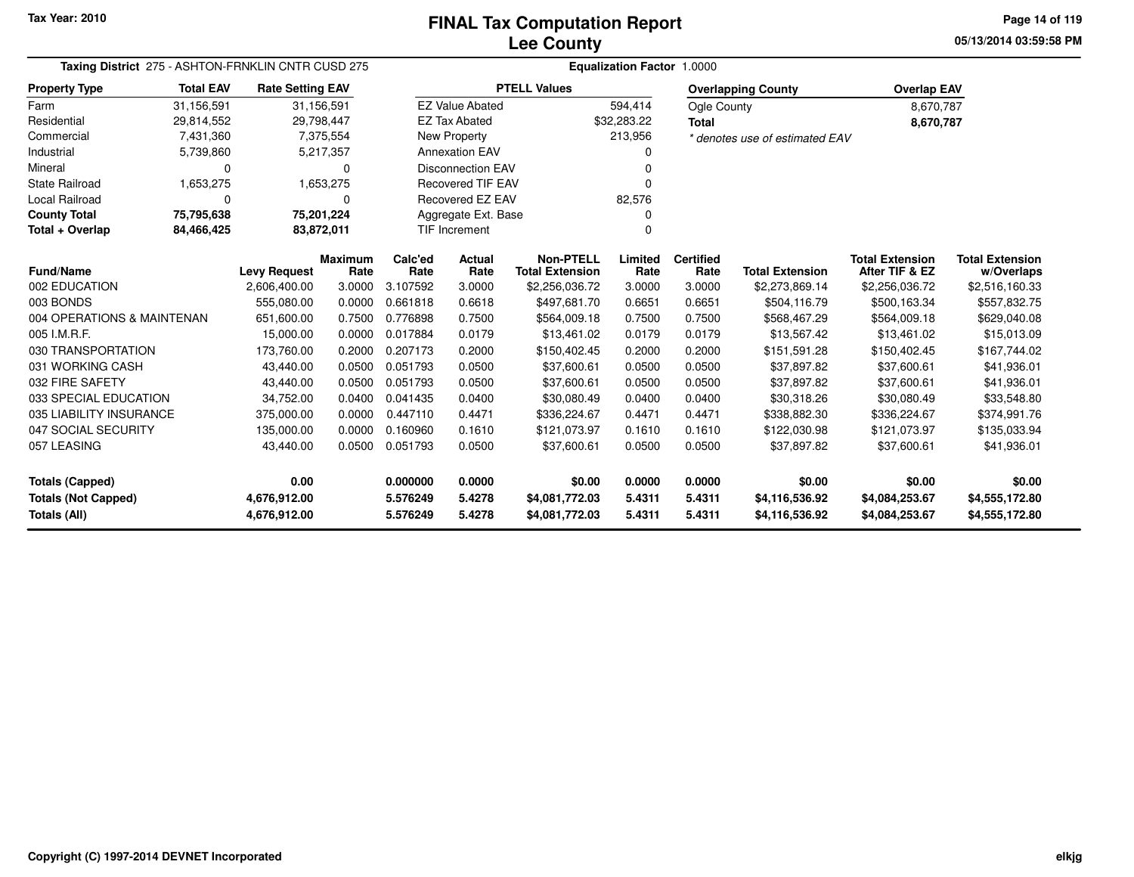**05/13/2014 03:59:58 PM Page 14 of 119**

|                            | Taxing District 275 - ASHTON-FRNKLIN CNTR CUSD 275<br><b>Total EAV</b><br><b>Rate Setting EAV</b> |                     |                        |                 |                          |                                            | Equalization Factor 1.0000 |                          |                                |                                          |                                      |
|----------------------------|---------------------------------------------------------------------------------------------------|---------------------|------------------------|-----------------|--------------------------|--------------------------------------------|----------------------------|--------------------------|--------------------------------|------------------------------------------|--------------------------------------|
| <b>Property Type</b>       |                                                                                                   |                     |                        |                 |                          | <b>PTELL Values</b>                        |                            |                          | <b>Overlapping County</b>      | <b>Overlap EAV</b>                       |                                      |
| Farm                       | 31,156,591                                                                                        | 31,156,591          |                        |                 | <b>EZ Value Abated</b>   |                                            | 594,414                    | Ogle County              |                                | 8,670,787                                |                                      |
| Residential                | 29,814,552                                                                                        | 29,798,447          |                        |                 | <b>EZ Tax Abated</b>     |                                            | \$32,283.22                | <b>Total</b>             |                                | 8,670,787                                |                                      |
| Commercial                 | 7,431,360                                                                                         |                     | 7,375,554              |                 | New Property             |                                            | 213,956                    |                          | * denotes use of estimated EAV |                                          |                                      |
| Industrial                 | 5,739,860                                                                                         |                     | 5,217,357              |                 | <b>Annexation EAV</b>    |                                            | O                          |                          |                                |                                          |                                      |
| Mineral                    | $\Omega$                                                                                          |                     | 0                      |                 | <b>Disconnection EAV</b> |                                            |                            |                          |                                |                                          |                                      |
| State Railroad             | 1,653,275                                                                                         |                     | 1,653,275              |                 | <b>Recovered TIF EAV</b> |                                            | ŋ                          |                          |                                |                                          |                                      |
| <b>Local Railroad</b>      | $\Omega$                                                                                          |                     | 0                      |                 | <b>Recovered EZ EAV</b>  |                                            | 82,576                     |                          |                                |                                          |                                      |
| <b>County Total</b>        | 75,795,638                                                                                        | 75,201,224          |                        |                 | Aggregate Ext. Base      |                                            |                            |                          |                                |                                          |                                      |
| Total + Overlap            | 84,466,425<br>83,872,011                                                                          |                     |                        |                 | TIF Increment            |                                            | 0                          |                          |                                |                                          |                                      |
| <b>Fund/Name</b>           |                                                                                                   | <b>Levy Request</b> | <b>Maximum</b><br>Rate | Calc'ed<br>Rate | Actual<br>Rate           | <b>Non-PTELL</b><br><b>Total Extension</b> | Limited<br>Rate            | <b>Certified</b><br>Rate | <b>Total Extension</b>         | <b>Total Extension</b><br>After TIF & EZ | <b>Total Extension</b><br>w/Overlaps |
| 002 EDUCATION              |                                                                                                   | 2,606,400.00        | 3.0000                 | 3.107592        | 3.0000                   | \$2,256,036.72                             | 3.0000                     | 3.0000                   | \$2,273,869.14                 | \$2,256,036.72                           | \$2,516,160.33                       |
| 003 BONDS                  |                                                                                                   | 555,080.00          | 0.0000                 | 0.661818        | 0.6618                   | \$497,681.70                               | 0.6651                     | 0.6651                   | \$504,116.79                   | \$500,163.34                             | \$557,832.75                         |
| 004 OPERATIONS & MAINTENAN |                                                                                                   | 651,600.00          | 0.7500                 | 0.776898        | 0.7500                   | \$564,009.18                               | 0.7500                     | 0.7500                   | \$568,467.29                   | \$564,009.18                             | \$629,040.08                         |
| 005 I.M.R.F.               |                                                                                                   | 15,000.00           | 0.0000                 | 0.017884        | 0.0179                   | \$13,461.02                                | 0.0179                     | 0.0179                   | \$13,567.42                    | \$13,461.02                              | \$15,013.09                          |
| 030 TRANSPORTATION         |                                                                                                   | 173,760.00          | 0.2000                 | 0.207173        | 0.2000                   | \$150,402.45                               | 0.2000                     | 0.2000                   | \$151,591.28                   | \$150,402.45                             | \$167,744.02                         |
| 031 WORKING CASH           |                                                                                                   | 43,440.00           | 0.0500                 | 0.051793        | 0.0500                   | \$37,600.61                                | 0.0500                     | 0.0500                   | \$37,897.82                    | \$37,600.61                              | \$41,936.01                          |
| 032 FIRE SAFETY            |                                                                                                   | 43,440.00           | 0.0500                 | 0.051793        | 0.0500                   | \$37,600.61                                | 0.0500                     | 0.0500                   | \$37,897.82                    | \$37,600.61                              | \$41,936.01                          |
| 033 SPECIAL EDUCATION      |                                                                                                   | 34,752.00           | 0.0400                 | 0.041435        | 0.0400                   | \$30,080.49                                | 0.0400                     | 0.0400                   | \$30,318.26                    | \$30,080.49                              | \$33,548.80                          |
| 035 LIABILITY INSURANCE    |                                                                                                   | 375,000.00          | 0.0000                 | 0.447110        | 0.4471                   | \$336,224.67                               | 0.4471                     | 0.4471                   | \$338,882.30                   | \$336,224.67                             | \$374,991.76                         |
| 047 SOCIAL SECURITY        |                                                                                                   | 135,000.00          | 0.0000                 | 0.160960        | 0.1610                   | \$121,073.97                               | 0.1610                     | 0.1610                   | \$122,030.98                   | \$121,073.97                             | \$135,033.94                         |
| 057 LEASING                |                                                                                                   | 43,440.00           | 0.0500                 | 0.051793        | 0.0500                   | \$37,600.61                                | 0.0500                     | 0.0500                   | \$37,897.82                    | \$37,600.61                              | \$41,936.01                          |
| <b>Totals (Capped)</b>     |                                                                                                   | 0.00                |                        | 0.000000        | 0.0000                   | \$0.00                                     | 0.0000                     | 0.0000                   | \$0.00                         | \$0.00                                   | \$0.00                               |
| <b>Totals (Not Capped)</b> |                                                                                                   | 4,676,912.00        |                        | 5.576249        | 5.4278                   | \$4,081,772.03                             | 5.4311                     | 5.4311                   | \$4,116,536.92                 | \$4,084,253.67                           | \$4,555,172.80                       |
| <b>Totals (All)</b>        |                                                                                                   | 4,676,912.00        |                        | 5.576249        | 5.4278                   | \$4,081,772.03                             | 5.4311                     | 5.4311                   | \$4,116,536.92                 | \$4,084,253.67                           | \$4,555,172.80                       |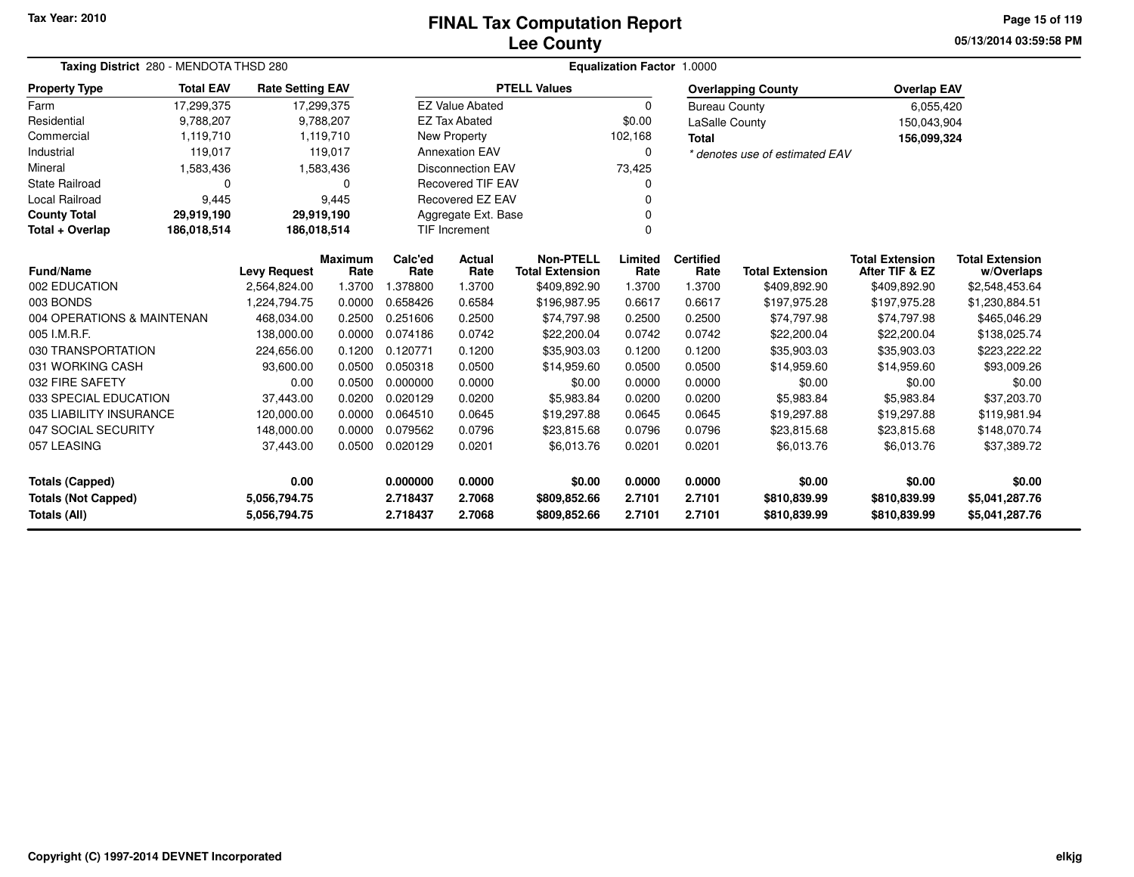### **Lee CountyFINAL Tax Computation Report**

**05/13/2014 03:59:58 PMPage 15 of 119**

| Taxing District 280 - MENDOTA THSD 280                                                                                 |                                                                                     |                     |                        | Equalization Factor 1.0000 |                          |                                            |                  |                          |                                |                                          |                                      |  |  |
|------------------------------------------------------------------------------------------------------------------------|-------------------------------------------------------------------------------------|---------------------|------------------------|----------------------------|--------------------------|--------------------------------------------|------------------|--------------------------|--------------------------------|------------------------------------------|--------------------------------------|--|--|
| <b>Property Type</b>                                                                                                   | <b>Total EAV</b><br><b>Rate Setting EAV</b><br>17,299,375<br>9,788,207<br>1,119,710 |                     |                        |                            |                          | <b>PTELL Values</b>                        |                  |                          | <b>Overlapping County</b>      | <b>Overlap EAV</b>                       |                                      |  |  |
| Farm                                                                                                                   |                                                                                     | 17,299,375          |                        |                            | <b>EZ Value Abated</b>   |                                            | $\Omega$         | <b>Bureau County</b>     |                                | 6,055,420                                |                                      |  |  |
| Residential                                                                                                            |                                                                                     |                     | 9,788,207              |                            | <b>EZ Tax Abated</b>     |                                            | \$0.00           | LaSalle County           |                                | 150,043,904                              |                                      |  |  |
| Commercial                                                                                                             |                                                                                     |                     | 1,119,710              |                            | <b>New Property</b>      |                                            | 102,168          | <b>Total</b>             |                                | 156,099,324                              |                                      |  |  |
| Industrial                                                                                                             | 119,017                                                                             |                     | 119,017                |                            | <b>Annexation EAV</b>    |                                            | $\mathbf 0$      |                          | * denotes use of estimated EAV |                                          |                                      |  |  |
| Mineral<br>1,583,436                                                                                                   |                                                                                     |                     | 1,583,436              |                            | <b>Disconnection EAV</b> |                                            | 73,425           |                          |                                |                                          |                                      |  |  |
| <b>State Railroad</b>                                                                                                  | 0                                                                                   |                     | 0                      |                            | <b>Recovered TIF EAV</b> |                                            |                  |                          |                                |                                          |                                      |  |  |
| Local Railroad                                                                                                         | 9,445                                                                               |                     | 9,445                  |                            | <b>Recovered EZ EAV</b>  |                                            |                  |                          |                                |                                          |                                      |  |  |
| <b>County Total</b><br>29,919,190                                                                                      |                                                                                     | 29,919,190          |                        |                            | Aggregate Ext. Base      |                                            |                  |                          |                                |                                          |                                      |  |  |
| Total + Overlap<br>186,018,514                                                                                         |                                                                                     | 186,018,514         |                        |                            | <b>TIF Increment</b>     |                                            | $\Omega$         |                          |                                |                                          |                                      |  |  |
| Fund/Name                                                                                                              |                                                                                     | <b>Levy Request</b> | <b>Maximum</b><br>Rate | Calc'ed<br>Rate            | Actual<br>Rate           | <b>Non-PTELL</b><br><b>Total Extension</b> | Limited<br>Rate  | <b>Certified</b><br>Rate | <b>Total Extension</b>         | <b>Total Extension</b><br>After TIF & EZ | <b>Total Extension</b><br>w/Overlaps |  |  |
| 002 EDUCATION                                                                                                          |                                                                                     | 2,564,824.00        | 1.3700                 | 1.378800                   | 1.3700                   | \$409,892.90                               | 1.3700           | 1.3700                   | \$409,892.90                   | \$409,892.90                             | \$2,548,453.64                       |  |  |
| 003 BONDS                                                                                                              |                                                                                     | 1,224,794.75        | 0.0000                 | 0.658426                   | 0.6584                   | \$196,987.95                               | 0.6617           | 0.6617                   | \$197,975.28                   | \$197,975.28                             | \$1,230,884.51                       |  |  |
| 004 OPERATIONS & MAINTENAN                                                                                             |                                                                                     | 468,034.00          | 0.2500                 | 0.251606                   | 0.2500                   | \$74,797.98                                | 0.2500           | 0.2500                   | \$74,797.98                    | \$74,797.98                              | \$465,046.29                         |  |  |
| 005 I.M.R.F.                                                                                                           |                                                                                     | 138,000.00          | 0.0000                 | 0.074186                   | 0.0742                   | \$22,200.04                                | 0.0742           | 0.0742                   | \$22,200.04                    | \$22,200.04                              | \$138,025.74                         |  |  |
| 030 TRANSPORTATION                                                                                                     |                                                                                     | 224,656.00          | 0.1200                 | 0.120771                   | 0.1200                   | \$35,903.03                                | 0.1200           | 0.1200                   | \$35,903.03                    | \$35,903.03                              | \$223,222.22                         |  |  |
| 031 WORKING CASH                                                                                                       |                                                                                     | 93,600.00           | 0.0500                 | 0.050318                   | 0.0500                   | \$14,959.60                                | 0.0500           | 0.0500                   | \$14,959.60                    | \$14,959.60                              | \$93,009.26                          |  |  |
| 032 FIRE SAFETY                                                                                                        |                                                                                     | 0.00                | 0.0500                 | 0.000000                   | 0.0000                   | \$0.00                                     | 0.0000           | 0.0000                   | \$0.00                         | \$0.00                                   | \$0.00                               |  |  |
| 033 SPECIAL EDUCATION                                                                                                  |                                                                                     | 37,443.00           | 0.0200                 | 0.020129                   | 0.0200                   | \$5,983.84                                 | 0.0200           | 0.0200                   | \$5,983.84                     | \$5,983.84                               | \$37,203.70                          |  |  |
| 035 LIABILITY INSURANCE                                                                                                |                                                                                     | 120,000.00          | 0.0000                 | 0.064510                   | 0.0645                   | \$19,297.88                                | 0.0645           | 0.0645                   | \$19,297.88                    | \$19,297.88                              | \$119,981.94                         |  |  |
| 047 SOCIAL SECURITY                                                                                                    |                                                                                     | 148,000.00          | 0.0000                 | 0.079562                   | 0.0796                   | \$23,815.68                                | 0.0796           | 0.0796                   | \$23,815.68                    | \$23,815.68                              | \$148,070.74                         |  |  |
| 0.0500<br>057 LEASING<br>37,443.00<br>0.020129<br>0.0201<br>0.0201<br>0.0201<br>\$6,013.76<br>\$6,013.76<br>\$6,013.76 |                                                                                     |                     |                        | \$37,389.72                |                          |                                            |                  |                          |                                |                                          |                                      |  |  |
| 0.00<br><b>Totals (Capped)</b>                                                                                         |                                                                                     |                     |                        | 0.000000                   | 0.0000                   | \$0.00                                     | 0.0000           | 0.0000                   | \$0.00                         | \$0.00                                   | \$0.00                               |  |  |
| <b>Totals (Not Capped)</b><br>5,056,794.75<br>Totals (All)<br>5,056,794.75                                             |                                                                                     |                     |                        | 2.718437<br>2.718437       | 2.7068<br>2.7068         | \$809,852.66<br>\$809,852.66               | 2.7101<br>2.7101 | 2.7101<br>2.7101         | \$810,839.99<br>\$810,839.99   | \$810,839.99<br>\$810,839.99             | \$5,041,287.76<br>\$5,041,287.76     |  |  |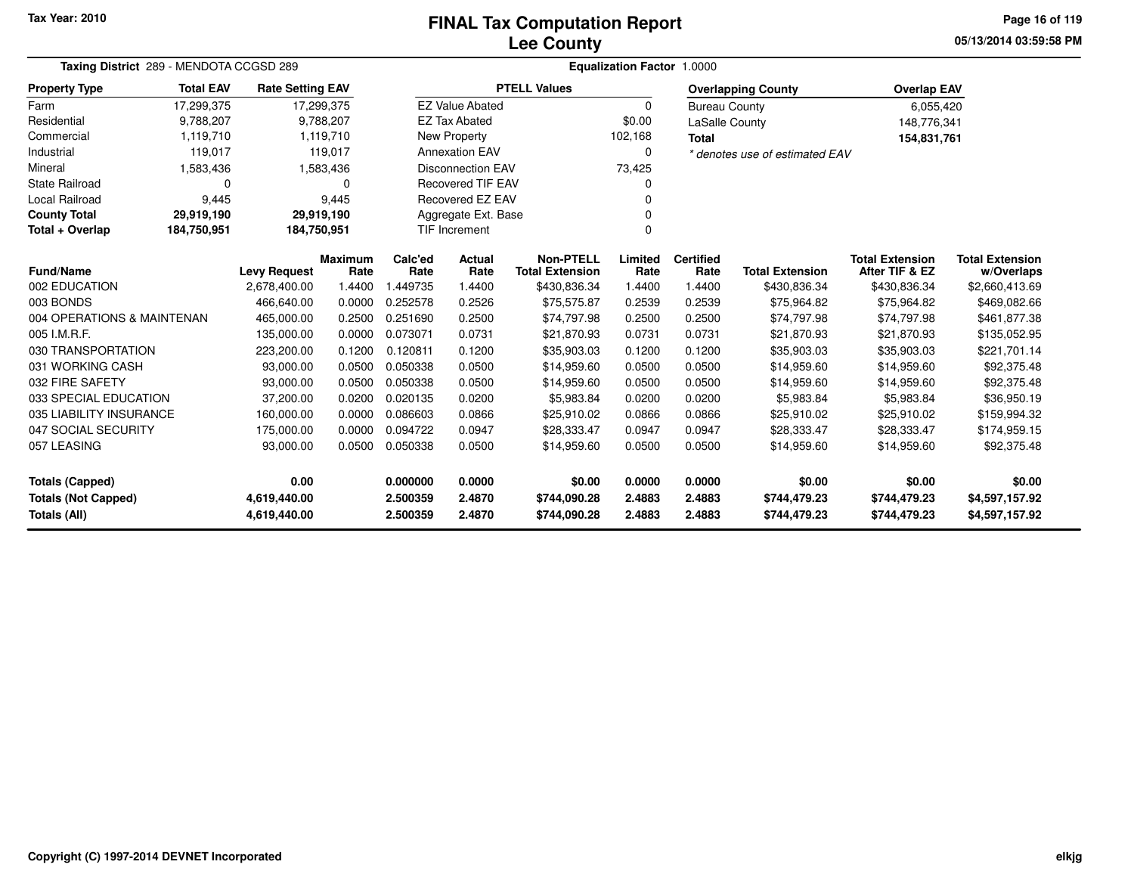### **Lee CountyFINAL Tax Computation Report**

**05/13/2014 03:59:58 PMPage 16 of 119**

| Taxing District 289 - MENDOTA CCGSD 289    |                                                                                     |                                     |                        | <b>Equalization Factor 1.0000</b> |                          |                                        |                 |                          |                                |                                          |                                      |  |  |
|--------------------------------------------|-------------------------------------------------------------------------------------|-------------------------------------|------------------------|-----------------------------------|--------------------------|----------------------------------------|-----------------|--------------------------|--------------------------------|------------------------------------------|--------------------------------------|--|--|
| <b>Property Type</b>                       | <b>Total EAV</b><br><b>Rate Setting EAV</b><br>17,299,375<br>9,788,207<br>1,119,710 |                                     |                        |                                   |                          | <b>PTELL Values</b>                    |                 |                          | <b>Overlapping County</b>      | <b>Overlap EAV</b>                       |                                      |  |  |
| Farm                                       |                                                                                     | 17,299,375                          |                        |                                   | <b>EZ Value Abated</b>   |                                        | $\Omega$        | <b>Bureau County</b>     |                                | 6,055,420                                |                                      |  |  |
| Residential                                |                                                                                     |                                     | 9,788,207              |                                   | <b>EZ Tax Abated</b>     |                                        | \$0.00          | LaSalle County           |                                | 148,776,341                              |                                      |  |  |
| Commercial                                 |                                                                                     |                                     | 1,119,710              |                                   | New Property             |                                        | 102,168         | <b>Total</b>             |                                | 154,831,761                              |                                      |  |  |
| Industrial                                 | 119,017                                                                             |                                     | 119,017                |                                   | <b>Annexation EAV</b>    |                                        | 0               |                          | * denotes use of estimated EAV |                                          |                                      |  |  |
| Mineral                                    | 1,583,436                                                                           |                                     | 1,583,436              |                                   | <b>Disconnection EAV</b> |                                        | 73,425          |                          |                                |                                          |                                      |  |  |
| <b>State Railroad</b>                      | 0                                                                                   |                                     | $\Omega$               |                                   | <b>Recovered TIF EAV</b> |                                        | 0               |                          |                                |                                          |                                      |  |  |
| Local Railroad                             | 9,445                                                                               |                                     | 9,445                  |                                   | <b>Recovered EZ EAV</b>  |                                        | n               |                          |                                |                                          |                                      |  |  |
| <b>County Total</b>                        | 29,919,190                                                                          | 29,919,190                          |                        |                                   | Aggregate Ext. Base      |                                        |                 |                          |                                |                                          |                                      |  |  |
| Total + Overlap                            | <b>TIF Increment</b><br>184,750,951<br>184,750,951<br>$\Omega$                      |                                     |                        |                                   |                          |                                        |                 |                          |                                |                                          |                                      |  |  |
| Fund/Name                                  |                                                                                     |                                     | <b>Maximum</b><br>Rate | Calc'ed<br>Rate                   | Actual<br>Rate           | <b>Non-PTELL</b>                       | Limited<br>Rate | <b>Certified</b><br>Rate | <b>Total Extension</b>         | <b>Total Extension</b><br>After TIF & EZ | <b>Total Extension</b><br>w/Overlaps |  |  |
| 002 EDUCATION                              |                                                                                     | <b>Levy Request</b><br>2,678,400.00 | 1.4400                 | 1.449735                          | 1.4400                   | <b>Total Extension</b><br>\$430,836.34 | 1.4400          | 1.4400                   | \$430,836.34                   | \$430,836.34                             | \$2,660,413.69                       |  |  |
| 003 BONDS                                  |                                                                                     | 466,640.00                          | 0.0000                 | 0.252578                          | 0.2526                   | \$75,575.87                            | 0.2539          | 0.2539                   | \$75,964.82                    | \$75,964.82                              | \$469,082.66                         |  |  |
| 004 OPERATIONS & MAINTENAN                 |                                                                                     | 465,000.00                          | 0.2500                 | 0.251690                          | 0.2500                   | \$74,797.98                            | 0.2500          | 0.2500                   | \$74,797.98                    | \$74,797.98                              | \$461,877.38                         |  |  |
| 005 I.M.R.F.                               |                                                                                     | 135,000.00                          | 0.0000                 | 0.073071                          | 0.0731                   | \$21,870.93                            | 0.0731          | 0.0731                   | \$21,870.93                    | \$21,870.93                              | \$135,052.95                         |  |  |
| 030 TRANSPORTATION                         |                                                                                     | 223,200.00                          | 0.1200                 | 0.120811                          | 0.1200                   | \$35,903.03                            | 0.1200          | 0.1200                   | \$35,903.03                    | \$35,903.03                              | \$221,701.14                         |  |  |
| 031 WORKING CASH                           |                                                                                     | 93,000.00                           | 0.0500                 | 0.050338                          | 0.0500                   | \$14,959.60                            | 0.0500          | 0.0500                   | \$14,959.60                    | \$14,959.60                              | \$92,375.48                          |  |  |
| 032 FIRE SAFETY                            |                                                                                     | 93,000.00                           | 0.0500                 | 0.050338                          | 0.0500                   | \$14,959.60                            | 0.0500          | 0.0500                   | \$14,959.60                    | \$14,959.60                              | \$92,375.48                          |  |  |
| 033 SPECIAL EDUCATION                      |                                                                                     | 37,200.00                           | 0.0200                 | 0.020135                          | 0.0200                   | \$5,983.84                             | 0.0200          | 0.0200                   | \$5,983.84                     | \$5,983.84                               | \$36,950.19                          |  |  |
| 035 LIABILITY INSURANCE                    |                                                                                     | 160,000.00                          | 0.0000                 | 0.086603                          | 0.0866                   | \$25,910.02                            | 0.0866          | 0.0866                   | \$25,910.02                    | \$25,910.02                              | \$159,994.32                         |  |  |
| 047 SOCIAL SECURITY                        |                                                                                     | 175,000.00                          | 0.0000                 | 0.094722                          | 0.0947                   | \$28,333.47                            | 0.0947          | 0.0947                   | \$28,333.47                    | \$28,333.47                              | \$174,959.15                         |  |  |
| 057 LEASING<br>93,000.00                   |                                                                                     | 0.0500                              | 0.050338               | 0.0500                            | \$14,959.60              | 0.0500                                 | 0.0500          | \$14,959.60              | \$14,959.60                    | \$92,375.48                              |                                      |  |  |
| 0.00<br><b>Totals (Capped)</b>             |                                                                                     |                                     |                        | 0.000000                          | 0.0000                   | \$0.00                                 | 0.0000          | 0.0000                   | \$0.00                         | \$0.00                                   | \$0.00                               |  |  |
| <b>Totals (Not Capped)</b><br>4,619,440.00 |                                                                                     |                                     |                        | 2.500359                          | 2.4870                   | \$744,090.28                           | 2.4883          | 2.4883                   | \$744,479.23                   | \$744,479.23                             | \$4,597,157.92                       |  |  |
| Totals (All)                               | 4,619,440.00                                                                        |                                     | 2.500359               | 2.4870                            | \$744,090.28             | 2.4883                                 | 2.4883          | \$744,479.23             | \$744,479.23                   | \$4,597,157.92                           |                                      |  |  |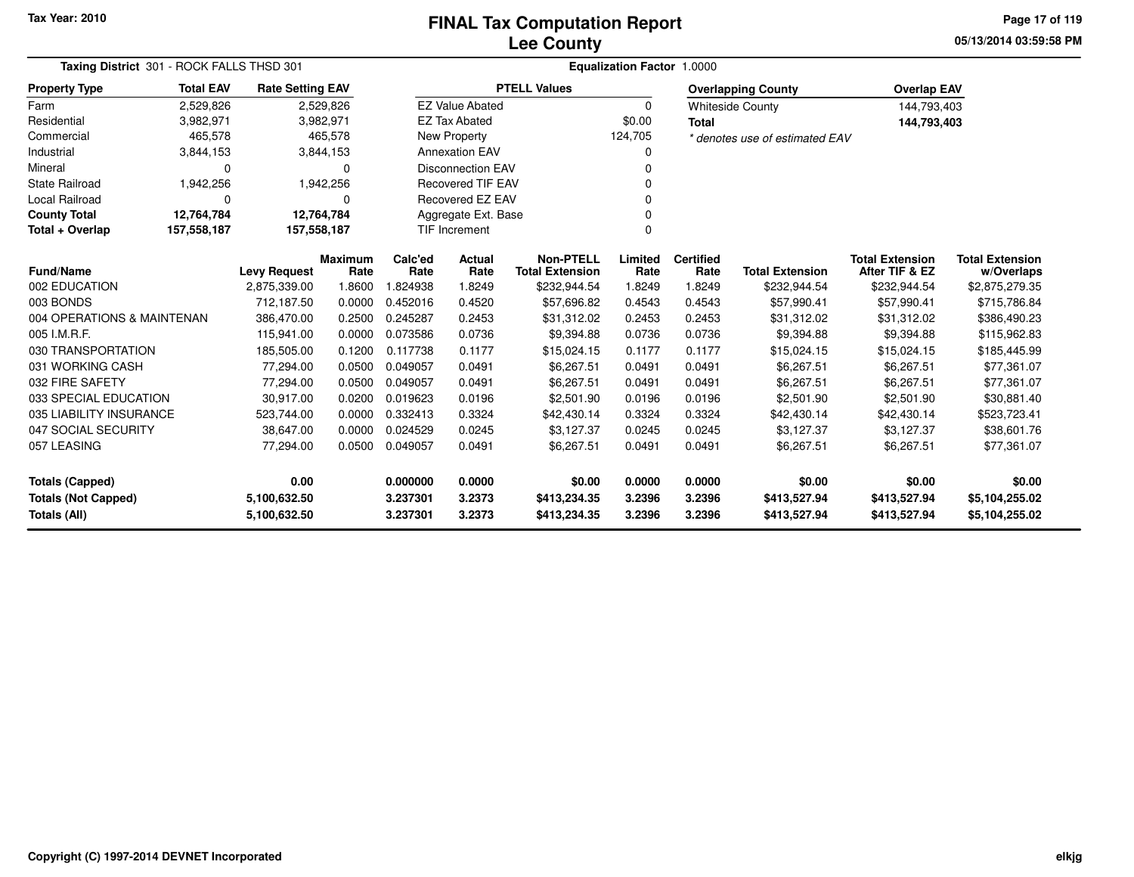**05/13/2014 03:59:58 PMPage 17 of 119**

|                                            | Taxing District 301 - ROCK FALLS THSD 301 |                              |                        |                      | <b>Equalization Factor 1.0000</b> |                                            |                  |                          |                                |                                          |                                      |  |  |  |
|--------------------------------------------|-------------------------------------------|------------------------------|------------------------|----------------------|-----------------------------------|--------------------------------------------|------------------|--------------------------|--------------------------------|------------------------------------------|--------------------------------------|--|--|--|
| <b>Property Type</b>                       | <b>Total EAV</b>                          | <b>Rate Setting EAV</b>      |                        |                      |                                   | <b>PTELL Values</b>                        |                  |                          | <b>Overlapping County</b>      | <b>Overlap EAV</b>                       |                                      |  |  |  |
| Farm                                       | 2,529,826                                 |                              | 2,529,826              |                      | <b>EZ Value Abated</b>            |                                            | $\Omega$         |                          | <b>Whiteside County</b>        | 144,793,403                              |                                      |  |  |  |
| Residential                                | 3,982,971                                 |                              | 3,982,971              |                      | <b>EZ Tax Abated</b>              |                                            | \$0.00           | <b>Total</b>             |                                | 144,793,403                              |                                      |  |  |  |
| Commercial                                 | 465,578                                   |                              | 465,578                |                      | New Property                      |                                            | 124,705          |                          | * denotes use of estimated EAV |                                          |                                      |  |  |  |
| Industrial                                 | 3,844,153                                 |                              | 3,844,153              |                      | <b>Annexation EAV</b>             |                                            |                  |                          |                                |                                          |                                      |  |  |  |
| Mineral                                    | $\Omega$                                  |                              | $\Omega$               |                      | <b>Disconnection EAV</b>          |                                            | 0                |                          |                                |                                          |                                      |  |  |  |
| <b>State Railroad</b>                      | 1,942,256                                 |                              | 1,942,256              |                      | <b>Recovered TIF EAV</b>          |                                            |                  |                          |                                |                                          |                                      |  |  |  |
| <b>Local Railroad</b>                      | $\Omega$                                  |                              | $\Omega$               |                      | <b>Recovered EZ EAV</b>           |                                            |                  |                          |                                |                                          |                                      |  |  |  |
| <b>County Total</b>                        | 12,764,784                                | 12,764,784                   |                        |                      | Aggregate Ext. Base               |                                            |                  |                          |                                |                                          |                                      |  |  |  |
| Total + Overlap                            | 157,558,187                               | 157,558,187                  |                        |                      | <b>TIF Increment</b>              |                                            | O                |                          |                                |                                          |                                      |  |  |  |
| <b>Fund/Name</b>                           |                                           | <b>Levy Request</b>          | <b>Maximum</b><br>Rate | Calc'ed<br>Rate      | Actual<br>Rate                    | <b>Non-PTELL</b><br><b>Total Extension</b> | Limited<br>Rate  | <b>Certified</b><br>Rate | <b>Total Extension</b>         | <b>Total Extension</b><br>After TIF & EZ | <b>Total Extension</b><br>w/Overlaps |  |  |  |
| 002 EDUCATION                              |                                           | 2,875,339.00                 | 1.8600                 | .824938              | 1.8249                            | \$232,944.54                               | 1.8249           | 1.8249                   | \$232,944.54                   | \$232,944.54                             | \$2,875,279.35                       |  |  |  |
| 003 BONDS                                  |                                           | 712,187.50                   | 0.0000                 | 0.452016             | 0.4520                            | \$57,696.82                                | 0.4543           | 0.4543                   | \$57,990.41                    | \$57,990.41                              | \$715,786.84                         |  |  |  |
| 004 OPERATIONS & MAINTENAN                 |                                           | 386,470.00                   | 0.2500                 | 0.245287             | 0.2453                            | \$31,312.02                                | 0.2453           | 0.2453                   | \$31,312.02                    | \$31,312.02                              | \$386,490.23                         |  |  |  |
| 005 I.M.R.F.                               |                                           | 115,941.00                   | 0.0000                 | 0.073586             | 0.0736                            | \$9,394.88                                 | 0.0736           | 0.0736                   | \$9,394.88                     | \$9,394.88                               | \$115,962.83                         |  |  |  |
| 030 TRANSPORTATION                         |                                           | 185,505.00                   | 0.1200                 | 0.117738             | 0.1177                            | \$15,024.15                                | 0.1177           | 0.1177                   | \$15,024.15                    | \$15,024.15                              | \$185,445.99                         |  |  |  |
| 031 WORKING CASH                           |                                           | 77,294.00                    | 0.0500                 | 0.049057             | 0.0491                            | \$6,267.51                                 | 0.0491           | 0.0491                   | \$6,267.51                     | \$6,267.51                               | \$77,361.07                          |  |  |  |
| 032 FIRE SAFETY                            |                                           | 77,294.00                    | 0.0500                 | 0.049057             | 0.0491                            | \$6,267.51                                 | 0.0491           | 0.0491                   | \$6,267.51                     | \$6,267.51                               | \$77,361.07                          |  |  |  |
| 033 SPECIAL EDUCATION                      |                                           | 30,917.00                    | 0.0200                 | 0.019623             | 0.0196                            | \$2,501.90                                 | 0.0196           | 0.0196                   | \$2,501.90                     | \$2,501.90                               | \$30,881.40                          |  |  |  |
| 035 LIABILITY INSURANCE                    |                                           | 523,744.00                   | 0.0000                 | 0.332413             | 0.3324                            | \$42,430.14                                | 0.3324           | 0.3324                   | \$42,430.14                    | \$42,430.14                              | \$523,723.41                         |  |  |  |
| 047 SOCIAL SECURITY                        |                                           | 38,647.00                    | 0.0000                 | 0.024529             | 0.0245                            | \$3,127.37                                 | 0.0245           | 0.0245                   | \$3,127.37                     | \$3,127.37                               | \$38,601.76                          |  |  |  |
| 057 LEASING                                |                                           | 77,294.00                    | 0.0500                 | 0.049057             | 0.0491                            | \$6,267.51                                 | 0.0491           | 0.0491                   | \$6,267.51                     | \$6,267.51                               | \$77,361.07                          |  |  |  |
| <b>Totals (Capped)</b>                     |                                           | 0.00                         |                        | 0.000000             | 0.0000                            | \$0.00                                     | 0.0000           | 0.0000                   | \$0.00                         | \$0.00                                   | \$0.00                               |  |  |  |
| <b>Totals (Not Capped)</b><br>Totals (All) |                                           | 5,100,632.50<br>5,100,632.50 |                        | 3.237301<br>3.237301 | 3.2373<br>3.2373                  | \$413,234.35<br>\$413,234.35               | 3.2396<br>3.2396 | 3.2396<br>3.2396         | \$413,527.94<br>\$413,527.94   | \$413,527.94<br>\$413,527.94             | \$5,104,255.02<br>\$5,104,255.02     |  |  |  |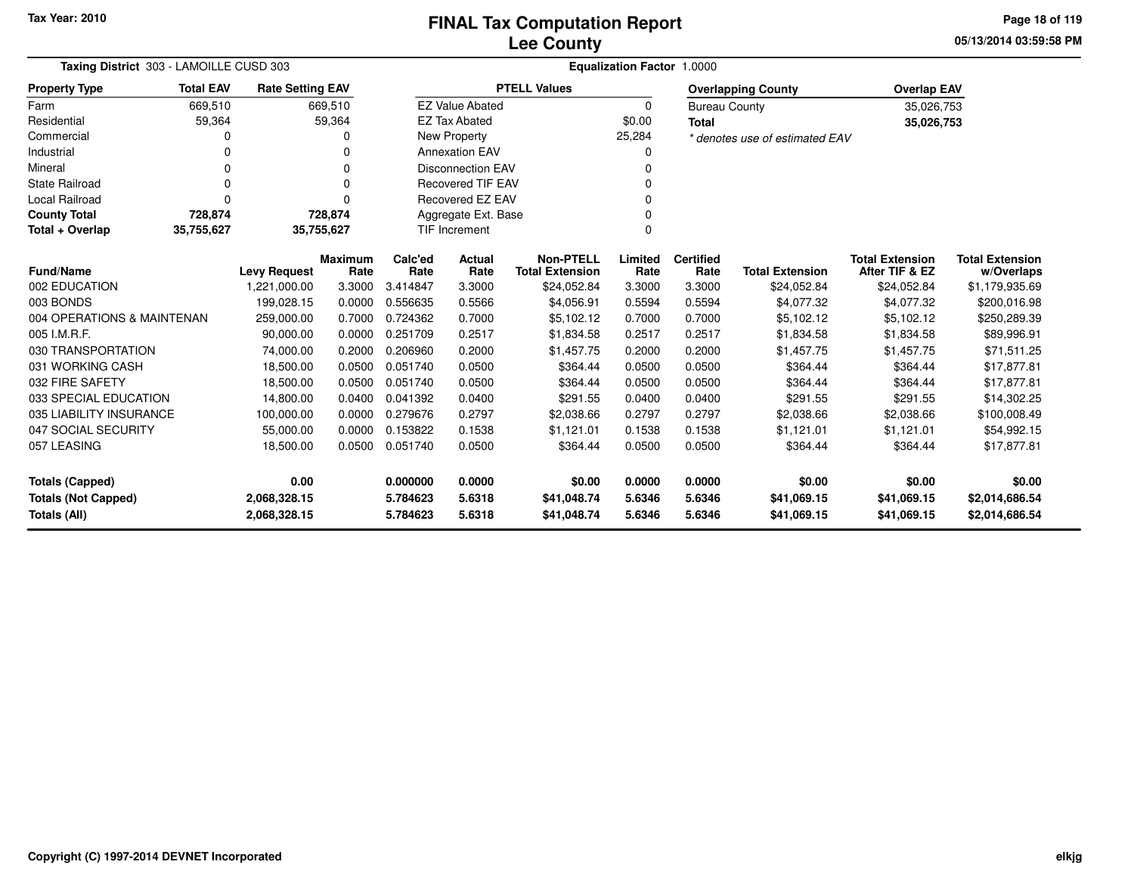**05/13/2014 03:59:58 PMPage 18 of 119**

| Taxing District 303 - LAMOILLE CUSD 303 |                                                                                       |                     |                        | Equalization Factor 1.0000 |                          |                                            |                 |                          |                                |                                          |                                      |
|-----------------------------------------|---------------------------------------------------------------------------------------|---------------------|------------------------|----------------------------|--------------------------|--------------------------------------------|-----------------|--------------------------|--------------------------------|------------------------------------------|--------------------------------------|
| <b>Property Type</b>                    | <b>Total EAV</b><br><b>Rate Setting EAV</b><br>669,510<br>669,510<br>59,364<br>59,364 |                     |                        |                            |                          | <b>PTELL Values</b>                        |                 |                          | <b>Overlapping County</b>      | <b>Overlap EAV</b>                       |                                      |
| Farm                                    |                                                                                       |                     |                        |                            | <b>EZ Value Abated</b>   |                                            | $\Omega$        | <b>Bureau County</b>     |                                | 35,026,753                               |                                      |
| Residential                             |                                                                                       |                     |                        |                            | <b>EZ Tax Abated</b>     |                                            | \$0.00          | <b>Total</b>             |                                | 35,026,753                               |                                      |
| Commercial                              | ი                                                                                     |                     | 0                      |                            | New Property             |                                            | 25,284          |                          | * denotes use of estimated EAV |                                          |                                      |
| Industrial                              | n                                                                                     |                     | 0                      |                            | <b>Annexation EAV</b>    |                                            |                 |                          |                                |                                          |                                      |
| Mineral                                 | 0                                                                                     |                     | 0                      |                            | <b>Disconnection EAV</b> |                                            |                 |                          |                                |                                          |                                      |
| <b>State Railroad</b>                   | $\Omega$                                                                              |                     | 0                      |                            | <b>Recovered TIF EAV</b> |                                            |                 |                          |                                |                                          |                                      |
| Local Railroad                          | $\Omega$                                                                              |                     | 0                      |                            | Recovered EZ EAV         |                                            | n               |                          |                                |                                          |                                      |
| <b>County Total</b>                     | 728,874                                                                               |                     | 728,874                |                            | Aggregate Ext. Base      |                                            |                 |                          |                                |                                          |                                      |
| Total + Overlap                         | $\Omega$<br>35,755,627<br>35,755,627<br><b>TIF Increment</b>                          |                     |                        |                            |                          |                                            |                 |                          |                                |                                          |                                      |
| <b>Fund/Name</b>                        |                                                                                       | <b>Levy Request</b> | <b>Maximum</b><br>Rate | Calc'ed<br>Rate            | Actual<br>Rate           | <b>Non-PTELL</b><br><b>Total Extension</b> | Limited<br>Rate | <b>Certified</b><br>Rate | <b>Total Extension</b>         | <b>Total Extension</b><br>After TIF & EZ | <b>Total Extension</b><br>w/Overlaps |
| 002 EDUCATION                           |                                                                                       | 1,221,000.00        | 3.3000                 | 3.414847                   | 3.3000                   | \$24,052.84                                | 3.3000          | 3.3000                   | \$24,052.84                    | \$24,052.84                              | \$1,179,935.69                       |
| 003 BONDS                               |                                                                                       | 199,028.15          | 0.0000                 | 0.556635                   | 0.5566                   | \$4,056.91                                 | 0.5594          | 0.5594                   | \$4,077.32                     | \$4,077.32                               | \$200,016.98                         |
| 004 OPERATIONS & MAINTENAN              |                                                                                       | 259,000.00          | 0.7000                 | 0.724362                   | 0.7000                   | \$5,102.12                                 | 0.7000          | 0.7000                   | \$5,102.12                     | \$5,102.12                               | \$250,289.39                         |
| 005 I.M.R.F.                            |                                                                                       | 90,000.00           | 0.0000                 | 0.251709                   | 0.2517                   | \$1,834.58                                 | 0.2517          | 0.2517                   | \$1,834.58                     | \$1,834.58                               | \$89,996.91                          |
| 030 TRANSPORTATION                      |                                                                                       | 74,000.00           | 0.2000                 | 0.206960                   | 0.2000                   | \$1,457.75                                 | 0.2000          | 0.2000                   | \$1,457.75                     | \$1,457.75                               | \$71,511.25                          |
| 031 WORKING CASH                        |                                                                                       | 18,500.00           | 0.0500                 | 0.051740                   | 0.0500                   | \$364.44                                   | 0.0500          | 0.0500                   | \$364.44                       | \$364.44                                 | \$17,877.81                          |
| 032 FIRE SAFETY                         |                                                                                       | 18,500.00           | 0.0500                 | 0.051740                   | 0.0500                   | \$364.44                                   | 0.0500          | 0.0500                   | \$364.44                       | \$364.44                                 | \$17,877.81                          |
| 033 SPECIAL EDUCATION                   |                                                                                       | 14,800.00           | 0.0400                 | 0.041392                   | 0.0400                   | \$291.55                                   | 0.0400          | 0.0400                   | \$291.55                       | \$291.55                                 | \$14,302.25                          |
| 035 LIABILITY INSURANCE                 |                                                                                       | 100,000.00          | 0.0000                 | 0.279676                   | 0.2797                   | \$2,038.66                                 | 0.2797          | 0.2797                   | \$2,038.66                     | \$2,038.66                               | \$100,008.49                         |
| 047 SOCIAL SECURITY                     |                                                                                       | 55,000.00           | 0.0000                 | 0.153822                   | 0.1538                   | \$1,121.01                                 | 0.1538          | 0.1538                   | \$1,121.01                     | \$1,121.01                               | \$54,992.15                          |
| 057 LEASING                             |                                                                                       | 18,500.00           | 0.0500                 | 0.051740                   | 0.0500                   | \$364.44                                   | 0.0500          | 0.0500                   | \$364.44                       | \$364.44                                 | \$17,877.81                          |
| <b>Totals (Capped)</b>                  |                                                                                       | 0.00                |                        | 0.000000                   | 0.0000                   | \$0.00                                     | 0.0000          | 0.0000                   | \$0.00                         | \$0.00                                   | \$0.00                               |
| <b>Totals (Not Capped)</b>              |                                                                                       | 2,068,328.15        |                        | 5.784623                   | 5.6318                   | \$41,048.74                                | 5.6346          | 5.6346                   | \$41,069.15                    | \$41,069.15                              | \$2,014,686.54                       |
| Totals (All)                            |                                                                                       | 2,068,328.15        |                        | 5.784623                   | 5.6318                   | \$41,048.74                                | 5.6346          | 5.6346                   | \$41,069.15                    | \$41,069.15                              | \$2,014,686.54                       |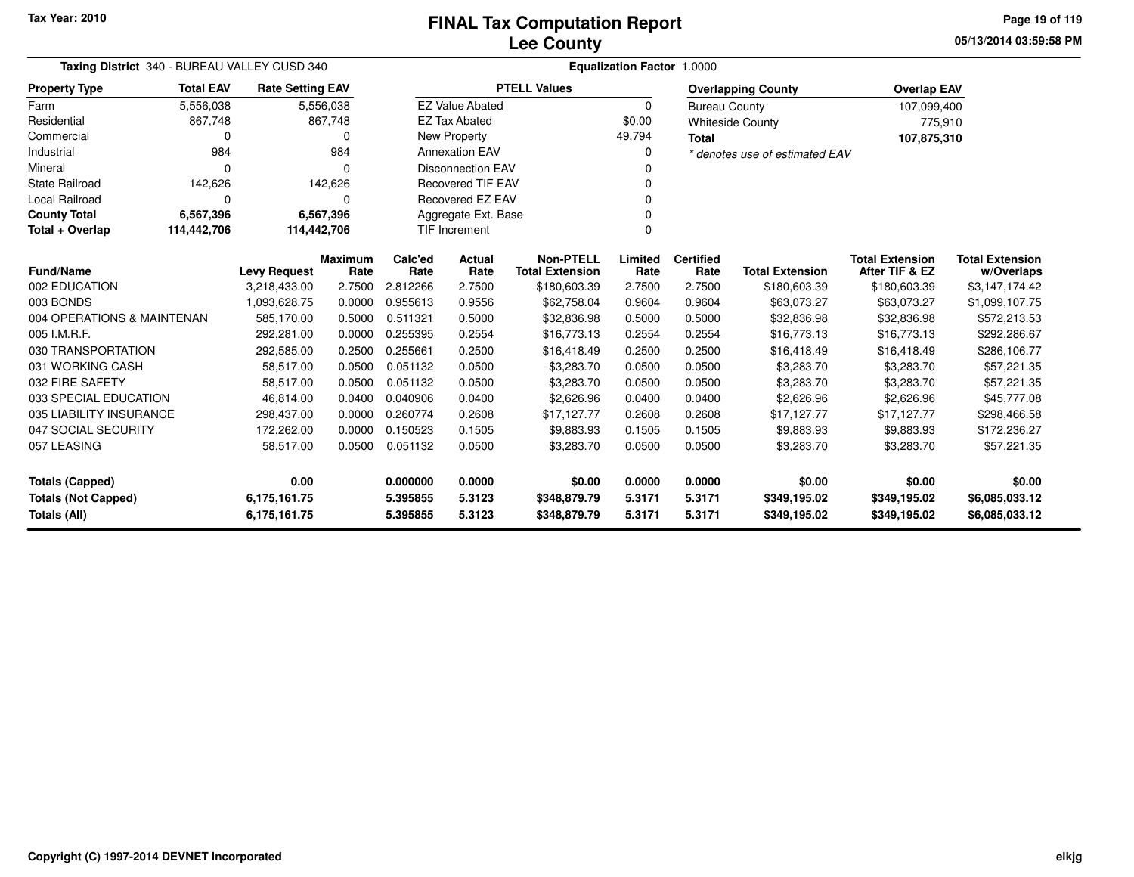**05/13/2014 03:59:58 PMPage 19 of 119**

| Taxing District 340 - BUREAU VALLEY CUSD 340 |                  |                         |                        | Equalization Factor 1.0000 |                          |                                            |                 |                          |                                |                                          |                                      |
|----------------------------------------------|------------------|-------------------------|------------------------|----------------------------|--------------------------|--------------------------------------------|-----------------|--------------------------|--------------------------------|------------------------------------------|--------------------------------------|
| <b>Property Type</b>                         | <b>Total EAV</b> | <b>Rate Setting EAV</b> |                        |                            |                          | <b>PTELL Values</b>                        |                 |                          | <b>Overlapping County</b>      | <b>Overlap EAV</b>                       |                                      |
| Farm                                         | 5,556,038        |                         | 5,556,038              |                            | <b>EZ Value Abated</b>   |                                            | $\Omega$        | <b>Bureau County</b>     |                                | 107,099,400                              |                                      |
| Residential                                  | 867,748          |                         | 867,748                |                            | <b>EZ Tax Abated</b>     |                                            | \$0.00          |                          | <b>Whiteside County</b>        | 775,910                                  |                                      |
| Commercial                                   | <sup>0</sup>     |                         | 0                      |                            | New Property             |                                            | 49,794          | <b>Total</b>             |                                | 107,875,310                              |                                      |
| Industrial                                   | 984              |                         | 984                    |                            | <b>Annexation EAV</b>    |                                            | 0               |                          | * denotes use of estimated EAV |                                          |                                      |
| Mineral                                      | n                |                         | 0                      |                            | <b>Disconnection EAV</b> |                                            | 0               |                          |                                |                                          |                                      |
| <b>State Railroad</b>                        | 142,626          |                         | 142,626                |                            | <b>Recovered TIF EAV</b> |                                            |                 |                          |                                |                                          |                                      |
| Local Railroad                               | $\Omega$         |                         | 0                      |                            | <b>Recovered EZ EAV</b>  |                                            | 0               |                          |                                |                                          |                                      |
| <b>County Total</b>                          | 6,567,396        |                         | 6,567,396              |                            | Aggregate Ext. Base      |                                            |                 |                          |                                |                                          |                                      |
| Total + Overlap                              | 114,442,706      | 114,442,706             |                        |                            | <b>TIF Increment</b>     |                                            | $\Omega$        |                          |                                |                                          |                                      |
| Fund/Name                                    |                  | <b>Levy Request</b>     | <b>Maximum</b><br>Rate | Calc'ed<br>Rate            | <b>Actual</b><br>Rate    | <b>Non-PTELL</b><br><b>Total Extension</b> | Limited<br>Rate | <b>Certified</b><br>Rate | <b>Total Extension</b>         | <b>Total Extension</b><br>After TIF & EZ | <b>Total Extension</b><br>w/Overlaps |
| 002 EDUCATION                                |                  | 3,218,433.00            | 2.7500                 | 2.812266                   | 2.7500                   | \$180,603.39                               | 2.7500          | 2.7500                   | \$180,603.39                   | \$180,603.39                             | \$3,147,174.42                       |
| 003 BONDS                                    |                  | 1,093,628.75            | 0.0000                 | 0.955613                   | 0.9556                   | \$62,758.04                                | 0.9604          | 0.9604                   | \$63,073.27                    | \$63,073.27                              | \$1,099,107.75                       |
| 004 OPERATIONS & MAINTENAN                   |                  | 585,170.00              | 0.5000                 | 0.511321                   | 0.5000                   | \$32,836.98                                | 0.5000          | 0.5000                   | \$32,836.98                    | \$32,836.98                              | \$572,213.53                         |
| 005 I.M.R.F.                                 |                  | 292,281.00              | 0.0000                 | 0.255395                   | 0.2554                   | \$16,773.13                                | 0.2554          | 0.2554                   | \$16,773.13                    | \$16,773.13                              | \$292,286.67                         |
| 030 TRANSPORTATION                           |                  | 292,585.00              | 0.2500                 | 0.255661                   | 0.2500                   | \$16,418.49                                | 0.2500          | 0.2500                   | \$16,418.49                    | \$16,418.49                              | \$286,106.77                         |
| 031 WORKING CASH                             |                  | 58,517.00               | 0.0500                 | 0.051132                   | 0.0500                   | \$3,283.70                                 | 0.0500          | 0.0500                   | \$3,283.70                     | \$3,283.70                               | \$57,221.35                          |
| 032 FIRE SAFETY                              |                  | 58,517.00               | 0.0500                 | 0.051132                   | 0.0500                   | \$3,283.70                                 | 0.0500          | 0.0500                   | \$3,283.70                     | \$3,283.70                               | \$57,221.35                          |
| 033 SPECIAL EDUCATION                        |                  | 46,814.00               | 0.0400                 | 0.040906                   | 0.0400                   | \$2,626.96                                 | 0.0400          | 0.0400                   | \$2,626.96                     | \$2,626.96                               | \$45,777.08                          |
| 035 LIABILITY INSURANCE                      |                  | 298,437.00              | 0.0000                 | 0.260774                   | 0.2608                   | \$17,127.77                                | 0.2608          | 0.2608                   | \$17,127.77                    | \$17,127.77                              | \$298,466.58                         |
| 047 SOCIAL SECURITY                          |                  | 172,262.00              | 0.0000                 | 0.150523                   | 0.1505                   | \$9,883.93                                 | 0.1505          | 0.1505                   | \$9,883.93                     | \$9,883.93                               | \$172,236.27                         |
| 057 LEASING                                  |                  | 58,517.00               | 0.0500                 | 0.051132                   | 0.0500                   | \$3,283.70                                 | 0.0500          | 0.0500                   | \$3,283.70                     | \$3,283.70                               | \$57,221.35                          |
| 0.00<br><b>Totals (Capped)</b>               |                  |                         | 0.000000               | 0.0000                     | \$0.00                   | 0.0000                                     | 0.0000          | \$0.00                   | \$0.00                         | \$0.00                                   |                                      |
| <b>Totals (Not Capped)</b><br>6,175,161.75   |                  |                         | 5.395855               | 5.3123                     | \$348,879.79             | 5.3171                                     | 5.3171          | \$349,195.02             | \$349,195.02                   | \$6,085,033.12                           |                                      |
| Totals (All)                                 |                  | 6,175,161.75            |                        | 5.395855                   | 5.3123                   | \$348,879.79                               | 5.3171          | 5.3171                   | \$349,195.02                   | \$349,195.02                             | \$6,085,033.12                       |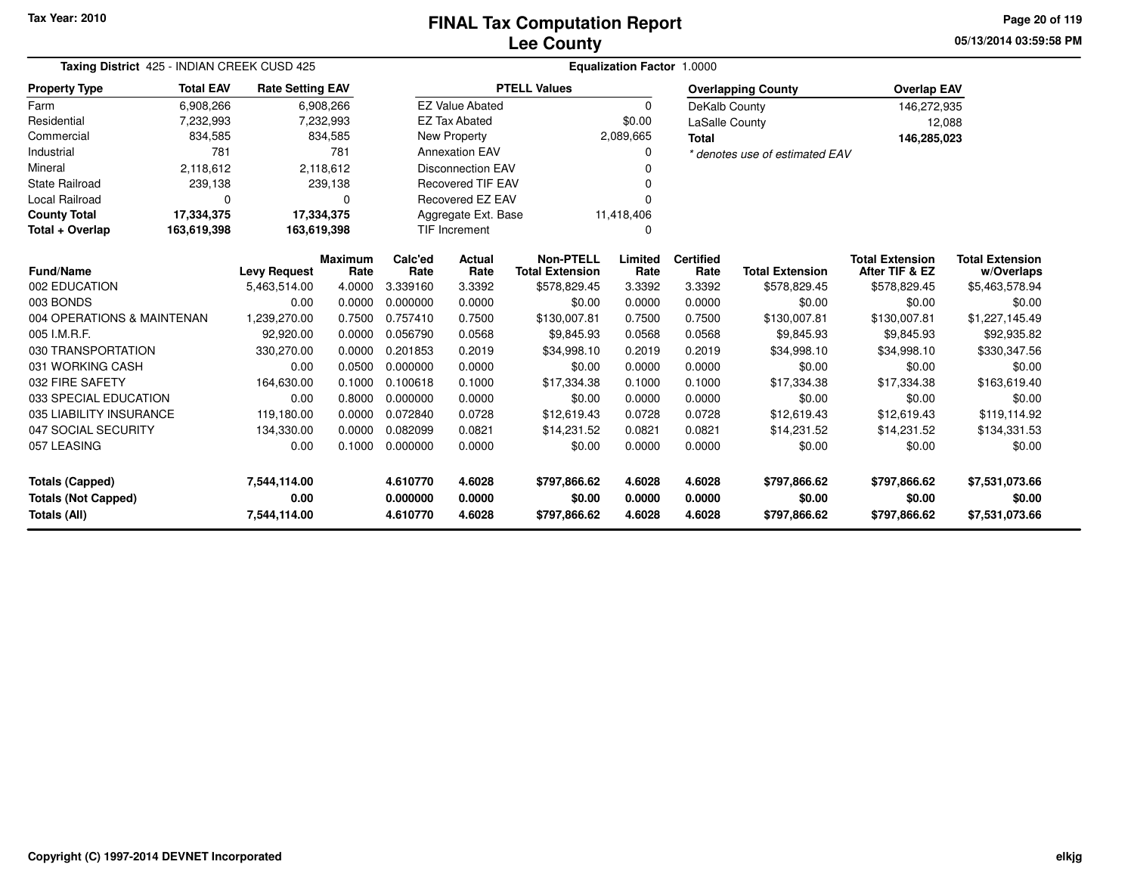### **Lee CountyFINAL Tax Computation Report**

**05/13/2014 03:59:58 PMPage 20 of 119**

| Taxing District 425 - INDIAN CREEK CUSD 425 |                  |                         |                        | <b>Equalization Factor 1.0000</b> |                          |                                            |                  |                          |                                |                                          |                                      |  |
|---------------------------------------------|------------------|-------------------------|------------------------|-----------------------------------|--------------------------|--------------------------------------------|------------------|--------------------------|--------------------------------|------------------------------------------|--------------------------------------|--|
| <b>Property Type</b>                        | <b>Total EAV</b> | <b>Rate Setting EAV</b> |                        |                                   |                          | <b>PTELL Values</b>                        |                  |                          | <b>Overlapping County</b>      | <b>Overlap EAV</b>                       |                                      |  |
| Farm                                        | 6,908,266        |                         | 6,908,266              |                                   | <b>EZ Value Abated</b>   |                                            | $\Omega$         | DeKalb County            |                                | 146,272,935                              |                                      |  |
| Residential                                 | 7,232,993        |                         | 7,232,993              |                                   | <b>EZ Tax Abated</b>     |                                            | \$0.00           | LaSalle County           |                                | 12,088                                   |                                      |  |
| Commercial                                  | 834,585          |                         | 834,585                |                                   | New Property             |                                            | 2,089,665        | <b>Total</b>             |                                | 146,285,023                              |                                      |  |
| Industrial                                  | 781              |                         | 781                    |                                   | <b>Annexation EAV</b>    |                                            | 0                |                          | * denotes use of estimated EAV |                                          |                                      |  |
| Mineral                                     | 2,118,612        |                         | 2,118,612              |                                   | <b>Disconnection EAV</b> |                                            |                  |                          |                                |                                          |                                      |  |
| <b>State Railroad</b>                       | 239,138          |                         | 239,138                |                                   | Recovered TIF EAV        |                                            |                  |                          |                                |                                          |                                      |  |
| <b>Local Railroad</b>                       | 0                |                         | 0                      |                                   | Recovered EZ EAV         |                                            |                  |                          |                                |                                          |                                      |  |
| <b>County Total</b>                         | 17,334,375       | 17,334,375              |                        |                                   | Aggregate Ext. Base      |                                            | 11,418,406       |                          |                                |                                          |                                      |  |
| Total + Overlap                             | 163,619,398      | 163,619,398             |                        | <b>TIF Increment</b>              |                          |                                            | $\Omega$         |                          |                                |                                          |                                      |  |
| Fund/Name                                   |                  | <b>Levy Request</b>     | <b>Maximum</b><br>Rate | Calc'ed<br>Rate                   | Actual<br>Rate           | <b>Non-PTELL</b><br><b>Total Extension</b> | Limited<br>Rate  | <b>Certified</b><br>Rate | <b>Total Extension</b>         | <b>Total Extension</b><br>After TIF & EZ | <b>Total Extension</b><br>w/Overlaps |  |
| 002 EDUCATION                               |                  | 5,463,514.00            | 4.0000                 | 3.339160                          | 3.3392                   | \$578,829.45                               | 3.3392           | 3.3392                   | \$578,829.45                   | \$578,829.45                             | \$5,463,578.94                       |  |
| 003 BONDS                                   |                  | 0.00                    | 0.0000                 | 0.000000                          | 0.0000                   | \$0.00                                     | 0.0000           | 0.0000                   | \$0.00                         | \$0.00                                   | \$0.00                               |  |
| 004 OPERATIONS & MAINTENAN                  |                  | 1,239,270.00            | 0.7500                 | 0.757410                          | 0.7500                   | \$130,007.81                               | 0.7500           | 0.7500                   | \$130,007.81                   | \$130,007.81                             | \$1,227,145.49                       |  |
| 005 I.M.R.F.                                |                  | 92,920.00               | 0.0000                 | 0.056790                          | 0.0568                   | \$9,845.93                                 | 0.0568           | 0.0568                   | \$9,845.93                     | \$9,845.93                               | \$92,935.82                          |  |
| 030 TRANSPORTATION                          |                  | 330,270.00              | 0.0000                 | 0.201853                          | 0.2019                   | \$34,998.10                                | 0.2019           | 0.2019                   | \$34,998.10                    | \$34,998.10                              | \$330,347.56                         |  |
| 031 WORKING CASH                            |                  | 0.00                    | 0.0500                 | 0.000000                          | 0.0000                   | \$0.00                                     | 0.0000           | 0.0000                   | \$0.00                         | \$0.00                                   | \$0.00                               |  |
| 032 FIRE SAFETY                             |                  | 164,630.00              | 0.1000                 | 0.100618                          | 0.1000                   | \$17,334.38                                | 0.1000           | 0.1000                   | \$17,334.38                    | \$17,334.38                              | \$163,619.40                         |  |
| 033 SPECIAL EDUCATION                       |                  | 0.00                    | 0.8000                 | 0.000000                          | 0.0000                   | \$0.00                                     | 0.0000           | 0.0000                   | \$0.00                         | \$0.00                                   | \$0.00                               |  |
| 035 LIABILITY INSURANCE                     |                  | 119,180.00              | 0.0000                 | 0.072840                          | 0.0728                   | \$12,619.43                                | 0.0728           | 0.0728                   | \$12,619.43                    | \$12,619.43                              | \$119,114.92                         |  |
| 047 SOCIAL SECURITY                         |                  | 134,330.00              | 0.0000                 | 0.082099                          | 0.0821                   | \$14,231.52                                | 0.0821           | 0.0821                   | \$14,231.52                    | \$14,231.52                              | \$134,331.53                         |  |
| 057 LEASING                                 |                  | 0.00                    | 0.1000                 | 0.000000                          | 0.0000                   | \$0.00                                     | 0.0000           | 0.0000                   | \$0.00                         | \$0.00                                   | \$0.00                               |  |
| <b>Totals (Capped)</b>                      |                  | 7,544,114.00            |                        | 4.610770                          | 4.6028                   | \$797,866.62                               | 4.6028           | 4.6028                   | \$797,866.62                   | \$797,866.62                             | \$7,531,073.66                       |  |
| <b>Totals (Not Capped)</b><br>Totals (All)  |                  | 0.00<br>7,544,114.00    |                        | 0.000000<br>4.610770              | 0.0000<br>4.6028         | \$0.00<br>\$797,866.62                     | 0.0000<br>4.6028 | 0.0000<br>4.6028         | \$0.00<br>\$797,866.62         | \$0.00<br>\$797,866.62                   | \$0.00<br>\$7,531,073.66             |  |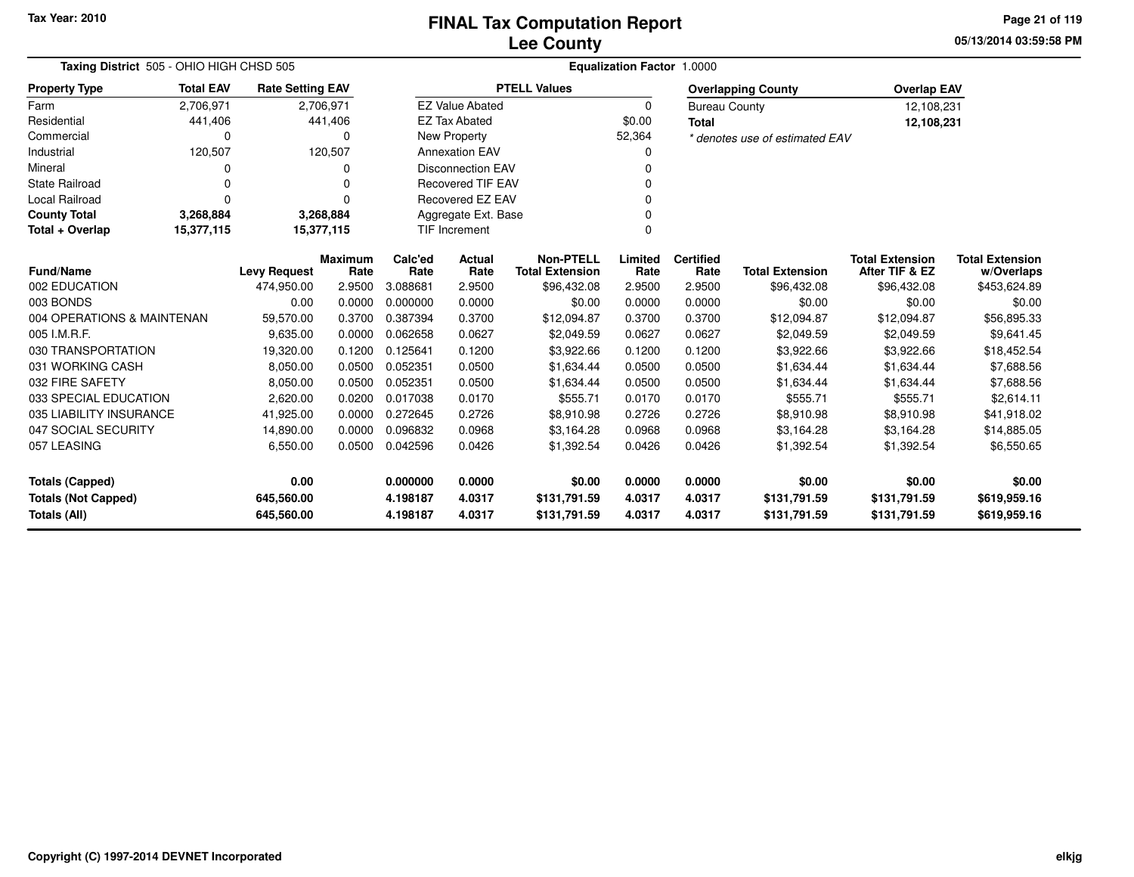**05/13/2014 03:59:58 PMPage 21 of 119**

| Taxing District 505 - OHIO HIGH CHSD 505 |                          |                         |                        |                 |                          |                                            |                 | Equalization Factor 1.0000 |                                |                                          |                                      |
|------------------------------------------|--------------------------|-------------------------|------------------------|-----------------|--------------------------|--------------------------------------------|-----------------|----------------------------|--------------------------------|------------------------------------------|--------------------------------------|
| <b>Property Type</b>                     | <b>Total EAV</b>         | <b>Rate Setting EAV</b> |                        |                 |                          | <b>PTELL Values</b>                        |                 |                            | <b>Overlapping County</b>      | <b>Overlap EAV</b>                       |                                      |
| Farm                                     | 2,706,971                | 2,706,971               |                        |                 | <b>EZ Value Abated</b>   |                                            | 0               | <b>Bureau County</b>       |                                | 12,108,231                               |                                      |
| Residential                              | 441,406                  |                         | 441,406                |                 | <b>EZ Tax Abated</b>     |                                            | \$0.00          | <b>Total</b>               |                                | 12,108,231                               |                                      |
| Commercial                               | 0                        |                         | $\Omega$               |                 | New Property             |                                            | 52,364          |                            | * denotes use of estimated EAV |                                          |                                      |
| Industrial                               | 120,507                  |                         | 120,507                |                 | <b>Annexation EAV</b>    |                                            | 0               |                            |                                |                                          |                                      |
| Mineral                                  | 0                        |                         | O                      |                 | <b>Disconnection EAV</b> |                                            | 0               |                            |                                |                                          |                                      |
| <b>State Railroad</b>                    | 0                        |                         | 0                      |                 | <b>Recovered TIF EAV</b> |                                            | $\Omega$        |                            |                                |                                          |                                      |
| Local Railroad                           | $\Omega$                 |                         | $\Omega$               |                 | Recovered EZ EAV         |                                            | $\Omega$        |                            |                                |                                          |                                      |
| <b>County Total</b>                      | 3,268,884                | 3,268,884               |                        |                 | Aggregate Ext. Base      |                                            | $\Omega$        |                            |                                |                                          |                                      |
| Total + Overlap                          | 15,377,115<br>15,377,115 |                         |                        |                 | <b>TIF Increment</b>     |                                            | $\Omega$        |                            |                                |                                          |                                      |
| Fund/Name                                |                          | <b>Levy Request</b>     | <b>Maximum</b><br>Rate | Calc'ed<br>Rate | Actual<br>Rate           | <b>Non-PTELL</b><br><b>Total Extension</b> | Limited<br>Rate | <b>Certified</b><br>Rate   | <b>Total Extension</b>         | <b>Total Extension</b><br>After TIF & EZ | <b>Total Extension</b><br>w/Overlaps |
| 002 EDUCATION                            |                          | 474,950.00              | 2.9500                 | 3.088681        | 2.9500                   | \$96,432.08                                | 2.9500          | 2.9500                     | \$96,432.08                    | \$96,432.08                              | \$453,624.89                         |
| 003 BONDS                                |                          | 0.00                    | 0.0000                 | 0.000000        | 0.0000                   | \$0.00                                     | 0.0000          | 0.0000                     | \$0.00                         | \$0.00                                   | \$0.00                               |
| 004 OPERATIONS & MAINTENAN               |                          | 59,570.00               | 0.3700                 | 0.387394        | 0.3700                   | \$12,094.87                                | 0.3700          | 0.3700                     | \$12,094.87                    | \$12,094.87                              | \$56,895.33                          |
| 005 I.M.R.F.                             |                          | 9,635.00                | 0.0000                 | 0.062658        | 0.0627                   | \$2,049.59                                 | 0.0627          | 0.0627                     | \$2,049.59                     | \$2,049.59                               | \$9,641.45                           |
| 030 TRANSPORTATION                       |                          | 19,320.00               | 0.1200                 | 0.125641        | 0.1200                   | \$3,922.66                                 | 0.1200          | 0.1200                     | \$3,922.66                     | \$3,922.66                               | \$18,452.54                          |
| 031 WORKING CASH                         |                          | 8,050.00                | 0.0500                 | 0.052351        | 0.0500                   | \$1,634.44                                 | 0.0500          | 0.0500                     | \$1,634.44                     | \$1,634.44                               | \$7,688.56                           |
| 032 FIRE SAFETY                          |                          | 8,050.00                | 0.0500                 | 0.052351        | 0.0500                   | \$1,634.44                                 | 0.0500          | 0.0500                     | \$1,634.44                     | \$1,634.44                               | \$7,688.56                           |
| 033 SPECIAL EDUCATION                    |                          | 2,620.00                | 0.0200                 | 0.017038        | 0.0170                   | \$555.71                                   | 0.0170          | 0.0170                     | \$555.71                       | \$555.71                                 | \$2,614.11                           |
| 035 LIABILITY INSURANCE                  |                          | 41,925.00               | 0.0000                 | 0.272645        | 0.2726                   | \$8,910.98                                 | 0.2726          | 0.2726                     | \$8,910.98                     | \$8,910.98                               | \$41,918.02                          |
| 047 SOCIAL SECURITY                      |                          | 14,890.00               | 0.0000                 | 0.096832        | 0.0968                   | \$3,164.28                                 | 0.0968          | 0.0968                     | \$3,164.28                     | \$3,164.28                               | \$14,885.05                          |
| 057 LEASING                              |                          | 6,550.00                | 0.0500                 | 0.042596        | 0.0426                   | \$1,392.54                                 | 0.0426          | 0.0426                     | \$1,392.54                     | \$1,392.54                               | \$6,550.65                           |
| <b>Totals (Capped)</b>                   |                          | 0.00                    |                        | 0.000000        | 0.0000                   | \$0.00                                     | 0.0000          | 0.0000                     | \$0.00                         | \$0.00                                   | \$0.00                               |
| <b>Totals (Not Capped)</b>               |                          | 645,560.00              |                        | 4.198187        | 4.0317                   | \$131,791.59                               | 4.0317          | 4.0317                     | \$131,791.59                   | \$131,791.59                             | \$619,959.16                         |
| Totals (All)                             |                          | 645,560.00              |                        | 4.198187        | 4.0317                   | \$131,791.59                               | 4.0317          | 4.0317                     | \$131,791.59                   | \$131,791.59                             | \$619,959.16                         |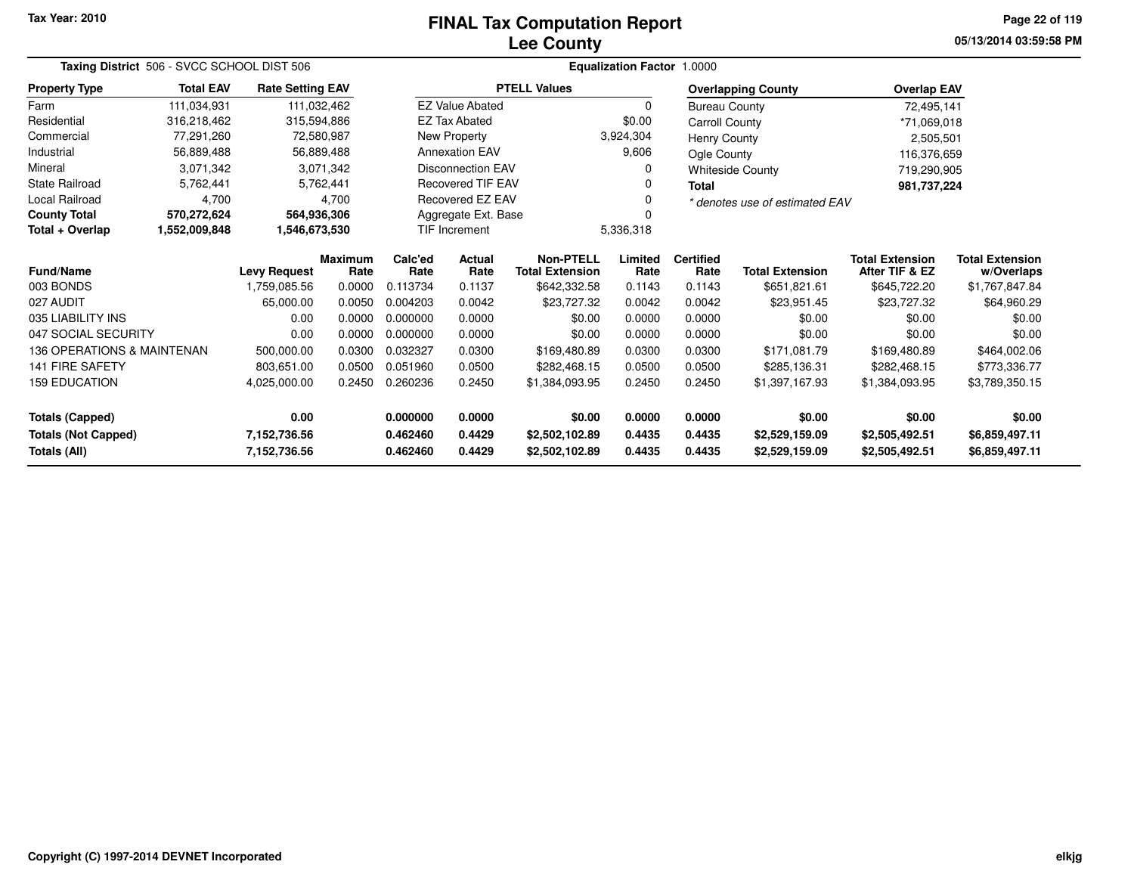# **Lee CountyFINAL Tax Computation Report**

**05/13/2014 03:59:58 PM Page 22 of 119**

| Taxing District 506 - SVCC SCHOOL DIST 506 |                                                      |                         |                 | <b>Equalization Factor 1.0000</b> |                                            |                     |                          |                        |                                          |                                      |                |  |
|--------------------------------------------|------------------------------------------------------|-------------------------|-----------------|-----------------------------------|--------------------------------------------|---------------------|--------------------------|------------------------|------------------------------------------|--------------------------------------|----------------|--|
| <b>Property Type</b>                       | <b>Total EAV</b>                                     | <b>Rate Setting EAV</b> |                 |                                   |                                            | <b>PTELL Values</b> |                          |                        | <b>Overlapping County</b>                | <b>Overlap EAV</b>                   |                |  |
| Farm                                       | 111,034,931                                          |                         | 111,032,462     |                                   | <b>EZ Value Abated</b>                     |                     | $\Omega$                 | <b>Bureau County</b>   |                                          | 72,495,141                           |                |  |
| Residential                                | 316,218,462                                          | 315,594,886             |                 |                                   | <b>EZ Tax Abated</b>                       |                     | \$0.00                   | Carroll County         |                                          | *71,069,018                          |                |  |
| Commercial                                 | 77,291,260                                           |                         | 72,580,987      |                                   | New Property                               |                     | 3,924,304                | <b>Henry County</b>    |                                          | 2,505,501                            |                |  |
| Industrial                                 | 56,889,488                                           |                         | 56,889,488      |                                   | <b>Annexation EAV</b>                      |                     | 9,606                    | Ogle County            |                                          | 116,376,659                          |                |  |
| Mineral                                    | 3,071,342                                            |                         | 3,071,342       |                                   | <b>Disconnection EAV</b>                   |                     | 0                        |                        | <b>Whiteside County</b>                  | 719,290,905                          |                |  |
| <b>State Railroad</b>                      | 5,762,441                                            |                         | 5,762,441       |                                   | <b>Recovered TIF EAV</b>                   |                     | ი                        | <b>Total</b>           |                                          | 981,737,224                          |                |  |
| <b>Local Railroad</b>                      | 4,700                                                |                         | 4,700           |                                   | Recovered EZ EAV                           |                     | O                        |                        | * denotes use of estimated EAV           |                                      |                |  |
| <b>County Total</b>                        | 570,272,624                                          | 564,936,306             |                 |                                   | Aggregate Ext. Base                        |                     |                          |                        |                                          |                                      |                |  |
| Total + Overlap                            | 1,552,009,848                                        |                         |                 |                                   | TIF Increment                              |                     | 5,336,318                |                        |                                          |                                      |                |  |
| <b>Fund/Name</b>                           | 1,546,673,530<br><b>Levy Request</b><br>1,759,085.56 | <b>Maximum</b><br>Rate  | Calc'ed<br>Rate | <b>Actual</b><br>Rate             | <b>Non-PTELL</b><br><b>Total Extension</b> | Limited<br>Rate     | <b>Certified</b><br>Rate | <b>Total Extension</b> | <b>Total Extension</b><br>After TIF & EZ | <b>Total Extension</b><br>w/Overlaps |                |  |
| 003 BONDS                                  |                                                      |                         | 0.0000          | 0.113734                          | 0.1137                                     | \$642,332.58        | 0.1143                   | 0.1143                 | \$651,821.61                             | \$645,722.20                         | \$1,767,847.84 |  |
| 027 AUDIT                                  |                                                      | 65,000.00               | 0.0050          | 0.004203                          | 0.0042                                     | \$23,727.32         | 0.0042                   | 0.0042                 | \$23,951.45                              | \$23,727.32                          | \$64,960.29    |  |
| 035 LIABILITY INS                          |                                                      | 0.00                    | 0.0000          | 0.000000                          | 0.0000                                     | \$0.00              | 0.0000                   | 0.0000                 | \$0.00                                   | \$0.00                               | \$0.00         |  |
| 047 SOCIAL SECURITY                        |                                                      | 0.00                    | 0.0000          | 0.000000                          | 0.0000                                     | \$0.00              | 0.0000                   | 0.0000                 | \$0.00                                   | \$0.00                               | \$0.00         |  |
| 136 OPERATIONS & MAINTENAN                 |                                                      | 500,000.00              | 0.0300          | 0.032327                          | 0.0300                                     | \$169,480.89        | 0.0300                   | 0.0300                 | \$171,081.79                             | \$169,480.89                         | \$464,002.06   |  |
| <b>141 FIRE SAFETY</b>                     |                                                      | 803,651.00              | 0.0500          | 0.051960                          | 0.0500                                     | \$282,468.15        | 0.0500                   | 0.0500                 | \$285,136.31                             | \$282,468.15                         | \$773,336.77   |  |
| <b>159 EDUCATION</b>                       |                                                      | 4,025,000.00            | 0.2450          | 0.260236                          | 0.2450                                     | \$1,384,093.95      | 0.2450                   | 0.2450                 | \$1,397,167.93                           | \$1,384,093.95<br>\$3,789,350.15     |                |  |
| 0.00<br>0.000000<br><b>Totals (Capped)</b> |                                                      |                         | 0.0000          | \$0.00                            | 0.0000                                     | 0.0000              | \$0.00                   | \$0.00                 | \$0.00                                   |                                      |                |  |
| <b>Totals (Not Capped)</b>                 |                                                      | 7,152,736.56            |                 | 0.462460                          | 0.4429                                     | \$2,502,102.89      | 0.4435                   | 0.4435                 | \$2,529,159.09                           | \$2,505,492.51<br>\$6,859,497.11     |                |  |
| <b>Totals (All)</b><br>7,152,736.56        |                                                      |                         |                 | 0.462460                          | 0.4429                                     | \$2,502,102.89      | 0.4435                   | 0.4435                 | \$2,529,159.09                           | \$2,505,492.51                       | \$6,859,497.11 |  |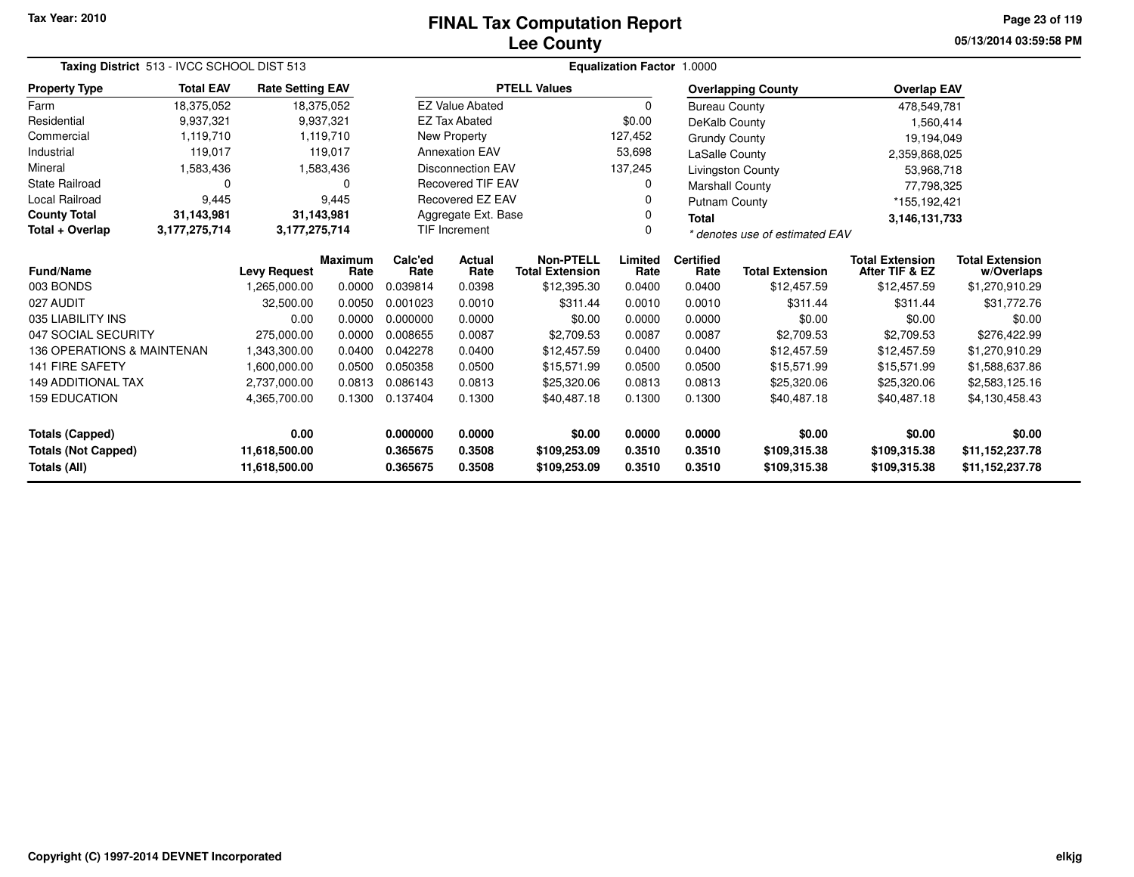# **Lee CountyFINAL Tax Computation Report**

**05/13/2014 03:59:58 PM Page 23 of 119**

| Taxing District 513 - IVCC SCHOOL DIST 513                                                           |                  |                         |                        | Equalization Factor 1.0000   |                          |                                                                                                                                                                                                                                  |                              |                              |                                    |                                      |                |
|------------------------------------------------------------------------------------------------------|------------------|-------------------------|------------------------|------------------------------|--------------------------|----------------------------------------------------------------------------------------------------------------------------------------------------------------------------------------------------------------------------------|------------------------------|------------------------------|------------------------------------|--------------------------------------|----------------|
| <b>Property Type</b>                                                                                 | <b>Total EAV</b> | <b>Rate Setting EAV</b> |                        |                              |                          | <b>PTELL Values</b>                                                                                                                                                                                                              |                              |                              | <b>Overlapping County</b>          | <b>Overlap EAV</b>                   |                |
| Farm                                                                                                 | 18,375,052       |                         | 18,375,052             |                              | <b>EZ Value Abated</b>   |                                                                                                                                                                                                                                  | 0                            | <b>Bureau County</b>         |                                    | 478,549,781                          |                |
| Residential                                                                                          | 9,937,321        |                         | 9,937,321              |                              | <b>EZ Tax Abated</b>     |                                                                                                                                                                                                                                  | \$0.00                       | DeKalb County                |                                    | 1,560,414                            |                |
| Commercial                                                                                           | 1,119,710        |                         | 1,119,710              |                              | New Property             |                                                                                                                                                                                                                                  | 127,452                      | <b>Grundy County</b>         |                                    | 19,194,049                           |                |
| Industrial                                                                                           | 119,017          |                         | 119,017                |                              | <b>Annexation EAV</b>    |                                                                                                                                                                                                                                  | 53,698                       | <b>LaSalle County</b>        |                                    | 2,359,868,025                        |                |
| Mineral                                                                                              | 1,583,436        |                         | 1,583,436              |                              | <b>Disconnection EAV</b> |                                                                                                                                                                                                                                  | 137,245                      |                              | Livingston County                  | 53,968,718                           |                |
| <b>State Railroad</b>                                                                                | $\Omega$         |                         | 0                      |                              | <b>Recovered TIF EAV</b> |                                                                                                                                                                                                                                  | 0                            | <b>Marshall County</b>       |                                    | 77,798,325                           |                |
| Local Railroad                                                                                       | 9,445            |                         | 9.445                  |                              | <b>Recovered EZ EAV</b>  |                                                                                                                                                                                                                                  | 0                            | <b>Putnam County</b>         |                                    | *155,192,421                         |                |
| <b>County Total</b>                                                                                  | 31,143,981       |                         | 31,143,981             |                              | Aggregate Ext. Base      |                                                                                                                                                                                                                                  | 0                            | <b>Total</b>                 |                                    | 3,146,131,733                        |                |
| Total + Overlap                                                                                      | 3,177,275,714    | 3,177,275,714           |                        |                              | TIF Increment            |                                                                                                                                                                                                                                  | 0                            |                              | * denotes use of estimated EAV     |                                      |                |
| Fund/Name                                                                                            |                  | <b>Levy Request</b>     | <b>Maximum</b><br>Rate | Calc'ed<br>Rate              | Actual<br>Rate           | <b>Non-PTELL</b><br>Limited<br><b>Certified</b><br><b>Total Extension</b><br>After TIF & EZ<br><b>Total Extension</b><br><b>Total Extension</b><br>Rate<br>Rate<br>0.0400<br>\$12,395.30<br>0.0400<br>\$12,457.59<br>\$12,457.59 |                              |                              |                                    | <b>Total Extension</b><br>w/Overlaps |                |
| 003 BONDS                                                                                            |                  | 1,265,000.00            | 0.0000                 | 0.039814                     | 0.0398                   |                                                                                                                                                                                                                                  |                              |                              |                                    |                                      | \$1,270,910.29 |
| 027 AUDIT                                                                                            |                  | 32,500.00               | 0.0050                 | 0.001023                     | 0.0010                   | \$311.44                                                                                                                                                                                                                         | 0.0010                       | 0.0010                       | \$311.44                           | \$311.44                             | \$31,772.76    |
| 035 LIABILITY INS                                                                                    |                  | 0.00                    | 0.0000                 | 0.000000                     | 0.0000                   | \$0.00                                                                                                                                                                                                                           | 0.0000                       | 0.0000                       | \$0.00                             | \$0.00                               | \$0.00         |
| 047 SOCIAL SECURITY                                                                                  |                  | 275,000.00              | 0.0000                 | 0.008655                     | 0.0087                   | \$2,709.53                                                                                                                                                                                                                       | 0.0087                       | 0.0087                       | \$2,709.53                         | \$2,709.53                           | \$276,422.99   |
| 136 OPERATIONS & MAINTENAN                                                                           |                  | 1,343,300.00            | 0.0400                 | 0.042278                     | 0.0400                   | \$12,457.59                                                                                                                                                                                                                      | 0.0400                       | 0.0400                       | \$12,457.59                        | \$12,457.59                          | \$1,270,910.29 |
| <b>141 FIRE SAFETY</b>                                                                               |                  | 1.600.000.00            | 0.0500                 | 0.050358                     | 0.0500                   | \$15,571.99                                                                                                                                                                                                                      | 0.0500                       | 0.0500                       | \$15,571.99                        | \$15,571.99                          | \$1,588,637.86 |
| <b>149 ADDITIONAL TAX</b>                                                                            |                  | 2,737,000.00            | 0.0813                 | 0.086143                     | 0.0813                   | \$25,320.06                                                                                                                                                                                                                      | 0.0813                       | 0.0813                       | \$25,320.06                        | \$25,320.06                          | \$2,583,125.16 |
| <b>159 EDUCATION</b>                                                                                 |                  | 4,365,700.00            | 0.1300                 | 0.137404                     | 0.1300                   | \$40,487.18                                                                                                                                                                                                                      | 0.1300                       | 0.1300                       | \$40,487.18<br>\$40,487.18         |                                      | \$4,130,458.43 |
| <b>Totals (Capped)</b>                                                                               |                  | 0.00                    |                        | 0.000000                     | 0.0000                   | \$0.00                                                                                                                                                                                                                           | 0.0000                       | 0.0000                       | \$0.00                             | \$0.00                               | \$0.00         |
| <b>Totals (Not Capped)</b><br>11,618,500.00<br>0.365675<br>Totals (All)<br>11,618,500.00<br>0.365675 |                  |                         | 0.3508<br>0.3508       | \$109,253.09<br>\$109,253.09 | 0.3510<br>0.3510         | 0.3510<br>0.3510                                                                                                                                                                                                                 | \$109,315.38<br>\$109,315.38 | \$109,315.38<br>\$109,315.38 | \$11,152,237.78<br>\$11,152,237.78 |                                      |                |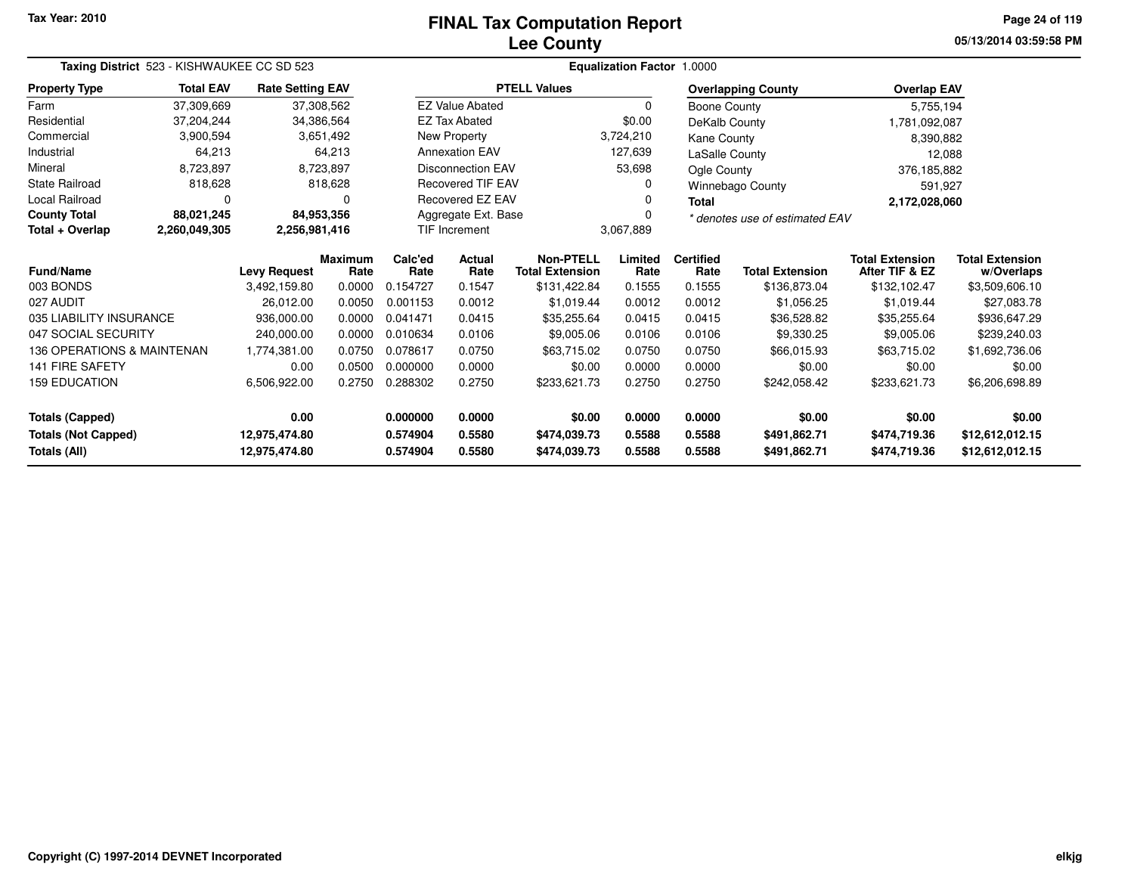# **Lee CountyFINAL Tax Computation Report**

**05/13/2014 03:59:58 PM Page 24 of 119**

| Taxing District 523 - KISHWAUKEE CC SD 523<br><b>Total EAV</b><br><b>Rate Setting EAV</b><br>37,308,562 |                                                                                 |                     |                        |                 |                          |                                            | Equalization Factor 1.0000 |                          |                                |                                          |                                      |
|---------------------------------------------------------------------------------------------------------|---------------------------------------------------------------------------------|---------------------|------------------------|-----------------|--------------------------|--------------------------------------------|----------------------------|--------------------------|--------------------------------|------------------------------------------|--------------------------------------|
| <b>Property Type</b>                                                                                    |                                                                                 |                     |                        |                 |                          | <b>PTELL Values</b>                        |                            |                          | <b>Overlapping County</b>      | <b>Overlap EAV</b>                       |                                      |
| Farm                                                                                                    | 37,309,669                                                                      |                     |                        |                 | <b>EZ Value Abated</b>   |                                            | 0                          | <b>Boone County</b>      |                                | 5,755,194                                |                                      |
| Residential                                                                                             | 37,204,244                                                                      |                     | 34,386,564             |                 | <b>EZ Tax Abated</b>     |                                            | \$0.00                     | DeKalb County            |                                | 1,781,092,087                            |                                      |
| Commercial                                                                                              | 3,900,594<br>64,213<br>8,723,897<br>818,628<br>0<br>88,021,245<br>2,260,049,305 |                     | 3,651,492              |                 | New Property             |                                            | 3,724,210                  | Kane County              |                                | 8,390,882                                |                                      |
| Industrial                                                                                              |                                                                                 |                     | 64,213                 |                 | <b>Annexation EAV</b>    |                                            | 127,639                    | LaSalle County           |                                | 12,088                                   |                                      |
| Mineral                                                                                                 |                                                                                 |                     | 8,723,897              |                 | <b>Disconnection EAV</b> |                                            | 53,698                     | Ogle County              |                                | 376,185,882                              |                                      |
| <b>State Railroad</b>                                                                                   |                                                                                 |                     | 818,628                |                 | <b>Recovered TIF EAV</b> |                                            | 0                          |                          | <b>Winnebago County</b>        | 591,927                                  |                                      |
| Local Railroad                                                                                          |                                                                                 |                     | O                      |                 | <b>Recovered EZ EAV</b>  |                                            | 0                          | Total                    |                                | 2,172,028,060                            |                                      |
| <b>County Total</b>                                                                                     |                                                                                 |                     | 84,953,356             |                 | Aggregate Ext. Base      |                                            |                            |                          | * denotes use of estimated EAV |                                          |                                      |
| Total + Overlap                                                                                         |                                                                                 | 2,256,981,416       |                        |                 | <b>TIF Increment</b>     |                                            | 3,067,889                  |                          |                                |                                          |                                      |
| <b>Fund/Name</b>                                                                                        |                                                                                 | <b>Levy Request</b> | <b>Maximum</b><br>Rate | Calc'ed<br>Rate | <b>Actual</b><br>Rate    | <b>Non-PTELL</b><br><b>Total Extension</b> | Limited<br>Rate            | <b>Certified</b><br>Rate | <b>Total Extension</b>         | <b>Total Extension</b><br>After TIF & EZ | <b>Total Extension</b><br>w/Overlaps |
| 003 BONDS                                                                                               |                                                                                 | 3,492,159.80        | 0.0000                 | 0.154727        | 0.1547                   | \$131,422.84                               | 0.1555                     | 0.1555                   | \$136,873.04                   | \$132,102.47                             | \$3,509,606.10                       |
| 027 AUDIT                                                                                               |                                                                                 | 26,012.00           | 0.0050                 | 0.001153        | 0.0012                   | \$1,019.44                                 | 0.0012                     | 0.0012                   | \$1,056.25                     | \$1,019.44                               | \$27,083.78                          |
| 035 LIABILITY INSURANCE                                                                                 |                                                                                 | 936,000.00          | 0.0000                 | 0.041471        | 0.0415                   | \$35,255.64                                | 0.0415                     | 0.0415                   | \$36,528.82                    | \$35,255.64                              | \$936,647.29                         |
| 047 SOCIAL SECURITY                                                                                     |                                                                                 | 240,000.00          | 0.0000                 | 0.010634        | 0.0106                   | \$9,005.06                                 | 0.0106                     | 0.0106                   | \$9,330.25                     | \$9,005.06                               | \$239,240.03                         |
| <b>136 OPERATIONS &amp; MAINTENAN</b>                                                                   |                                                                                 | 1,774,381.00        | 0.0750                 | 0.078617        | 0.0750                   | \$63,715.02                                | 0.0750                     | 0.0750                   | \$66,015.93                    | \$63,715.02                              | \$1,692,736.06                       |
| <b>141 FIRE SAFETY</b>                                                                                  |                                                                                 | 0.00                | 0.0500                 | 0.000000        | 0.0000                   | \$0.00                                     | 0.0000                     | 0.0000                   | \$0.00                         | \$0.00                                   | \$0.00                               |
| <b>159 EDUCATION</b>                                                                                    |                                                                                 | 6,506,922.00        | 0.2750                 | 0.288302        | 0.2750                   | \$233,621.73                               | 0.2750                     | 0.2750                   | \$242,058.42                   | \$233,621.73<br>\$6,206,698.89           |                                      |
| <b>Totals (Capped)</b>                                                                                  |                                                                                 | 0.00                |                        | 0.000000        | 0.0000                   | \$0.00                                     | 0.0000                     | 0.0000                   | \$0.00                         | \$0.00                                   | \$0.00                               |
| <b>Totals (Not Capped)</b>                                                                              |                                                                                 | 12,975,474.80       |                        | 0.574904        | 0.5580                   | \$474,039.73                               | 0.5588                     | 0.5588                   | \$491,862.71                   | \$474,719.36                             | \$12,612,012.15                      |
| Totals (All)                                                                                            |                                                                                 | 12,975,474.80       |                        | 0.574904        | 0.5580                   | \$474,039.73                               | 0.5588                     | 0.5588                   | \$491,862.71                   | \$474,719.36                             | \$12,612,012.15                      |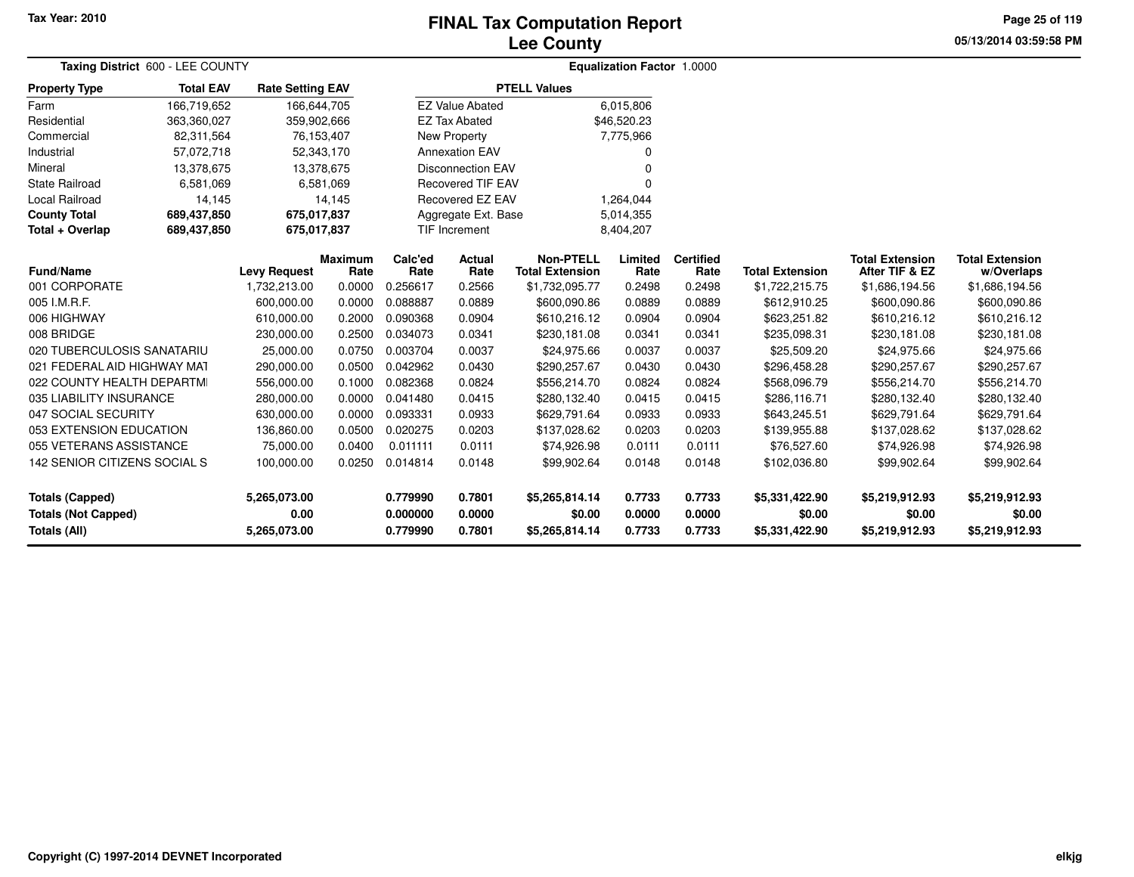# **Lee CountyFINAL Tax Computation Report**

**05/13/2014 03:59:58 PMPage 25 of 119**

| Taxing District 600 - LEE COUNTY                     |                  |                         |                        | Equalization Factor 1.0000 |                          |                                            |                  |                          |                          |                                          |                                      |  |
|------------------------------------------------------|------------------|-------------------------|------------------------|----------------------------|--------------------------|--------------------------------------------|------------------|--------------------------|--------------------------|------------------------------------------|--------------------------------------|--|
| <b>Property Type</b>                                 | <b>Total EAV</b> | <b>Rate Setting EAV</b> |                        |                            |                          | <b>PTELL Values</b>                        |                  |                          |                          |                                          |                                      |  |
| Farm                                                 | 166,719,652      | 166,644,705             |                        |                            | <b>EZ Value Abated</b>   |                                            | 6,015,806        |                          |                          |                                          |                                      |  |
| Residential                                          | 363,360,027      | 359,902,666             |                        |                            | <b>EZ Tax Abated</b>     |                                            | \$46,520.23      |                          |                          |                                          |                                      |  |
| Commercial                                           | 82,311,564       | 76, 153, 407            |                        |                            | <b>New Property</b>      |                                            | 7,775,966        |                          |                          |                                          |                                      |  |
| Industrial                                           | 57,072,718       | 52,343,170              |                        |                            | <b>Annexation EAV</b>    |                                            | 0                |                          |                          |                                          |                                      |  |
| Mineral                                              | 13,378,675       | 13,378,675              |                        |                            | <b>Disconnection EAV</b> |                                            | 0                |                          |                          |                                          |                                      |  |
| <b>State Railroad</b>                                | 6,581,069        |                         | 6,581,069              |                            | <b>Recovered TIF EAV</b> |                                            | 0                |                          |                          |                                          |                                      |  |
| <b>Local Railroad</b>                                | 14,145           |                         | 14.145                 |                            | Recovered EZ EAV         |                                            | 1,264,044        |                          |                          |                                          |                                      |  |
| <b>County Total</b>                                  | 689,437,850      | 675,017,837             |                        |                            | Aggregate Ext. Base      |                                            | 5,014,355        |                          |                          |                                          |                                      |  |
| Total + Overlap                                      | 689,437,850      | 675,017,837             |                        |                            | <b>TIF Increment</b>     |                                            | 8,404,207        |                          |                          |                                          |                                      |  |
| <b>Fund/Name</b>                                     |                  | <b>Levy Request</b>     | <b>Maximum</b><br>Rate | Calc'ed<br>Rate            | <b>Actual</b><br>Rate    | <b>Non-PTELL</b><br><b>Total Extension</b> | Limited<br>Rate  | <b>Certified</b><br>Rate | <b>Total Extension</b>   | <b>Total Extension</b><br>After TIF & EZ | <b>Total Extension</b><br>w/Overlaps |  |
| 001 CORPORATE                                        |                  | 1,732,213.00            | 0.0000                 | 0.256617                   | 0.2566                   | \$1,732,095.77                             | 0.2498           | 0.2498                   | \$1,722,215.75           | \$1,686,194.56                           | \$1,686,194.56                       |  |
| 005 I.M.R.F.                                         |                  | 600,000.00              | 0.0000                 | 0.088887                   | 0.0889                   | \$600,090.86                               | 0.0889           | 0.0889                   | \$612,910.25             | \$600,090.86                             | \$600,090.86                         |  |
| 006 HIGHWAY                                          |                  | 610,000.00              | 0.2000                 | 0.090368                   | 0.0904                   | \$610,216.12                               | 0.0904           | 0.0904                   | \$623,251.82             | \$610,216.12                             | \$610,216.12                         |  |
| 008 BRIDGE                                           |                  | 230,000.00              | 0.2500                 | 0.034073                   | 0.0341                   | \$230,181.08                               | 0.0341           | 0.0341                   | \$235,098.31             | \$230,181.08                             | \$230,181.08                         |  |
| 020 TUBERCULOSIS SANATARIU                           |                  | 25,000.00               | 0.0750                 | 0.003704                   | 0.0037                   | \$24,975.66                                | 0.0037           | 0.0037                   | \$25,509.20              | \$24,975.66                              | \$24,975.66                          |  |
| 021 FEDERAL AID HIGHWAY MAT                          |                  | 290,000.00              | 0.0500                 | 0.042962                   | 0.0430                   | \$290,257.67                               | 0.0430           | 0.0430                   | \$296,458.28             | \$290,257.67                             | \$290,257.67                         |  |
| 022 COUNTY HEALTH DEPARTMI                           |                  | 556,000.00              | 0.1000                 | 0.082368                   | 0.0824                   | \$556,214.70                               | 0.0824           | 0.0824                   | \$568,096.79             | \$556,214.70                             | \$556,214.70                         |  |
| 035 LIABILITY INSURANCE                              |                  | 280,000.00              | 0.0000                 | 0.041480                   | 0.0415                   | \$280,132.40                               | 0.0415           | 0.0415                   | \$286,116.71             | \$280,132.40                             | \$280,132.40                         |  |
| 047 SOCIAL SECURITY                                  |                  | 630,000.00              | 0.0000                 | 0.093331                   | 0.0933                   | \$629,791.64                               | 0.0933           | 0.0933                   | \$643,245.51             | \$629,791.64                             | \$629,791.64                         |  |
| 053 EXTENSION EDUCATION                              |                  | 136,860.00              | 0.0500                 | 0.020275                   | 0.0203                   | \$137,028.62                               | 0.0203           | 0.0203                   | \$139,955.88             | \$137,028.62                             | \$137,028.62                         |  |
| 055 VETERANS ASSISTANCE                              |                  | 75.000.00               | 0.0400                 | 0.011111                   | 0.0111                   | \$74,926.98                                | 0.0111           | 0.0111                   | \$76,527.60              | \$74,926.98                              | \$74,926.98                          |  |
| 142 SENIOR CITIZENS SOCIAL S                         |                  | 100,000.00              | 0.0250                 | 0.014814                   | 0.0148                   | \$99,902.64                                | 0.0148           | 0.0148                   | \$102,036.80             | \$99,902.64                              | \$99,902.64                          |  |
| <b>Totals (Capped)</b><br><b>Totals (Not Capped)</b> |                  | 5,265,073.00<br>0.00    |                        | 0.779990<br>0.000000       | 0.7801<br>0.0000         | \$5,265,814.14<br>\$0.00                   | 0.7733<br>0.0000 | 0.7733<br>0.0000         | \$5,331,422.90<br>\$0.00 | \$5,219,912.93<br>\$0.00                 | \$5,219,912.93<br>\$0.00             |  |
| Totals (All)                                         |                  | 5,265,073.00            |                        | 0.779990                   | 0.7801                   | \$5,265,814.14                             | 0.7733           | 0.7733                   | \$5,331,422.90           | \$5,219,912.93                           | \$5,219,912.93                       |  |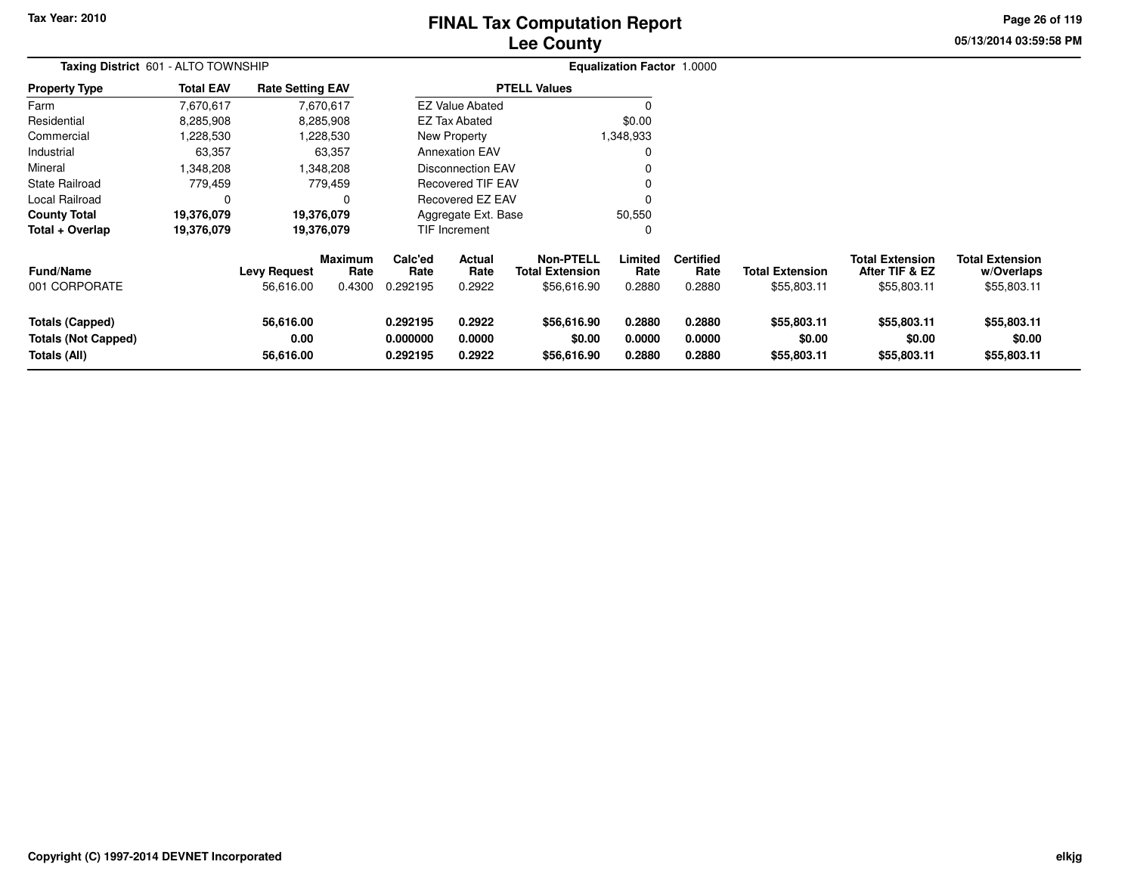# **Lee CountyFINAL Tax Computation Report**

**05/13/2014 03:59:58 PM Page 26 of 119**

| Taxing District 601 - ALTO TOWNSHIP                           |                  |                                  |                                  |                                  |                            |                                                           |                            |                                    |                                       |                                                         |                                                     |
|---------------------------------------------------------------|------------------|----------------------------------|----------------------------------|----------------------------------|----------------------------|-----------------------------------------------------------|----------------------------|------------------------------------|---------------------------------------|---------------------------------------------------------|-----------------------------------------------------|
| <b>Property Type</b>                                          | <b>Total EAV</b> | <b>Rate Setting EAV</b>          |                                  |                                  |                            | <b>PTELL Values</b>                                       |                            |                                    |                                       |                                                         |                                                     |
| Farm                                                          | 7,670,617        |                                  | 7,670,617                        |                                  | <b>EZ Value Abated</b>     |                                                           |                            |                                    |                                       |                                                         |                                                     |
| Residential                                                   | 8,285,908        |                                  | 8,285,908                        |                                  | EZ Tax Abated              |                                                           | \$0.00                     |                                    |                                       |                                                         |                                                     |
| Commercial                                                    | 1,228,530        |                                  | 1,228,530                        |                                  | New Property               |                                                           | 1,348,933                  |                                    |                                       |                                                         |                                                     |
| Industrial                                                    | 63,357           |                                  | 63,357                           |                                  | <b>Annexation EAV</b>      |                                                           | 0                          |                                    |                                       |                                                         |                                                     |
| Mineral                                                       | 1,348,208        |                                  | 1,348,208                        |                                  | <b>Disconnection EAV</b>   |                                                           |                            |                                    |                                       |                                                         |                                                     |
| <b>State Railroad</b>                                         | 779,459          |                                  | 779,459                          |                                  | <b>Recovered TIF EAV</b>   |                                                           |                            |                                    |                                       |                                                         |                                                     |
| Local Railroad                                                | $\mathbf 0$      |                                  |                                  |                                  | Recovered EZ EAV           |                                                           | $\Omega$                   |                                    |                                       |                                                         |                                                     |
| <b>County Total</b>                                           | 19,376,079       |                                  | 19,376,079                       | Aggregate Ext. Base              |                            |                                                           | 50,550                     |                                    |                                       |                                                         |                                                     |
| Total + Overlap                                               | 19,376,079       |                                  | 19,376,079                       |                                  | <b>TIF Increment</b>       |                                                           | 0                          |                                    |                                       |                                                         |                                                     |
| <b>Fund/Name</b><br>001 CORPORATE                             |                  | <b>Levy Request</b><br>56,616.00 | <b>Maximum</b><br>Rate<br>0.4300 | Calc'ed<br>Rate<br>0.292195      | Actual<br>Rate<br>0.2922   | <b>Non-PTELL</b><br><b>Total Extension</b><br>\$56,616.90 | Limited<br>Rate<br>0.2880  | <b>Certified</b><br>Rate<br>0.2880 | <b>Total Extension</b><br>\$55,803.11 | <b>Total Extension</b><br>After TIF & EZ<br>\$55,803.11 | <b>Total Extension</b><br>w/Overlaps<br>\$55,803.11 |
| Totals (Capped)<br><b>Totals (Not Capped)</b><br>Totals (All) |                  | 56,616.00<br>0.00<br>56,616.00   |                                  | 0.292195<br>0.000000<br>0.292195 | 0.2922<br>0.0000<br>0.2922 | \$56,616.90<br>\$0.00<br>\$56,616.90                      | 0.2880<br>0.0000<br>0.2880 | 0.2880<br>0.0000<br>0.2880         | \$55,803.11<br>\$0.00<br>\$55,803.11  | \$55,803.11<br>\$0.00<br>\$55,803.11                    | \$55,803.11<br>\$0.00<br>\$55,803.11                |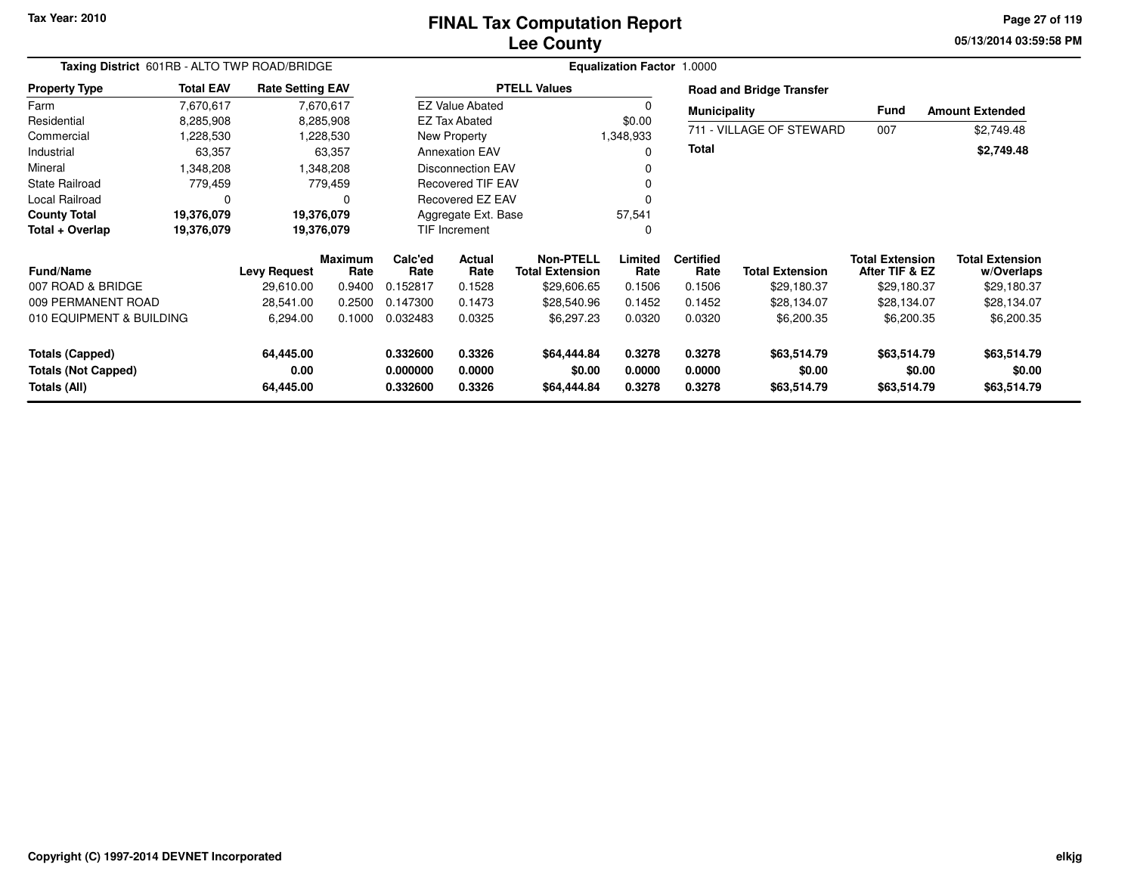## **Lee CountyFINAL Tax Computation Report**

**05/13/2014 03:59:58 PM Page 27 of 119**

| Taxing District 601RB - ALTO TWP ROAD/BRIDGE |                  |                         |                        |                         |                               | <b>Equalization Factor 1.0000</b>   |                 |                          |                                 |                                          |                                      |
|----------------------------------------------|------------------|-------------------------|------------------------|-------------------------|-------------------------------|-------------------------------------|-----------------|--------------------------|---------------------------------|------------------------------------------|--------------------------------------|
| <b>Property Type</b>                         | <b>Total EAV</b> | <b>Rate Setting EAV</b> |                        |                         |                               | <b>PTELL Values</b>                 |                 |                          | <b>Road and Bridge Transfer</b> |                                          |                                      |
| Farm                                         | 7,670,617        |                         | 7,670,617              |                         | <b>EZ Value Abated</b>        |                                     | $\Omega$        | <b>Municipality</b>      |                                 | Fund                                     | <b>Amount Extended</b>               |
| Residential                                  | 8,285,908        |                         | 8,285,908              |                         | <b>EZ Tax Abated</b>          |                                     | \$0.00          |                          |                                 |                                          |                                      |
| Commercial                                   | ,228,530         |                         | 1,228,530              |                         | New Property                  |                                     | 1,348,933       |                          | 711 - VILLAGE OF STEWARD        | 007                                      | \$2,749.48                           |
| Industrial                                   | 63,357           |                         | 63,357                 |                         | <b>Annexation EAV</b>         |                                     | $\Omega$        | <b>Total</b>             |                                 |                                          | \$2,749.48                           |
| Mineral                                      | .348,208         |                         | 1,348,208              |                         | <b>Disconnection EAV</b><br>0 |                                     |                 |                          |                                 |                                          |                                      |
| <b>State Railroad</b>                        | 779,459          |                         | 779,459                | Recovered TIF EAV       |                               |                                     | 0               |                          |                                 |                                          |                                      |
| Local Railroad                               | $\Omega$         |                         | $\Omega$               | <b>Recovered EZ EAV</b> |                               |                                     |                 |                          |                                 |                                          |                                      |
| <b>County Total</b>                          | 19,376,079       | 19,376,079              |                        |                         | Aggregate Ext. Base           |                                     | 57,541          |                          |                                 |                                          |                                      |
| Total + Overlap                              | 19,376,079       | 19,376,079              |                        | TIF Increment           |                               |                                     | 0               |                          |                                 |                                          |                                      |
| Fund/Name                                    |                  | <b>Levy Request</b>     | <b>Maximum</b><br>Rate | Calc'ed<br>Rate         | Actual<br>Rate                | Non-PTELL<br><b>Total Extension</b> | Limited<br>Rate | <b>Certified</b><br>Rate | <b>Total Extension</b>          | <b>Total Extension</b><br>After TIF & EZ | <b>Total Extension</b><br>w/Overlaps |
| 007 ROAD & BRIDGE                            |                  | 29,610.00               | 0.9400                 | 0.152817                | 0.1528                        | \$29,606.65                         | 0.1506          | 0.1506                   | \$29,180.37                     | \$29,180.37                              | \$29,180.37                          |
| 009 PERMANENT ROAD                           |                  | 28,541.00               | 0.2500                 | 0.147300                | 0.1473                        | \$28,540.96                         | 0.1452          | 0.1452                   | \$28,134.07                     | \$28,134.07                              | \$28,134.07                          |
| 010 EQUIPMENT & BUILDING                     |                  | 6,294.00                | 0.1000                 | 0.032483                | 0.0325                        | \$6,297.23                          | 0.0320          | 0.0320                   | \$6,200.35                      | \$6,200.35                               | \$6,200.35                           |
| <b>Totals (Capped)</b>                       |                  | 64,445.00               |                        | 0.332600                | 0.3326                        | \$64,444.84                         | 0.3278          | 0.3278                   | \$63,514.79                     | \$63,514.79                              | \$63,514.79                          |
| <b>Totals (Not Capped)</b>                   |                  | 0.00                    |                        | 0.000000                | 0.0000                        | \$0.00                              | 0.0000          | 0.0000                   | \$0.00                          | \$0.00                                   | \$0.00                               |
| Totals (All)                                 |                  | 64,445.00               |                        | 0.332600                | 0.3326                        | \$64,444.84                         | 0.3278          | 0.3278                   | \$63,514.79                     | \$63,514.79                              | \$63,514.79                          |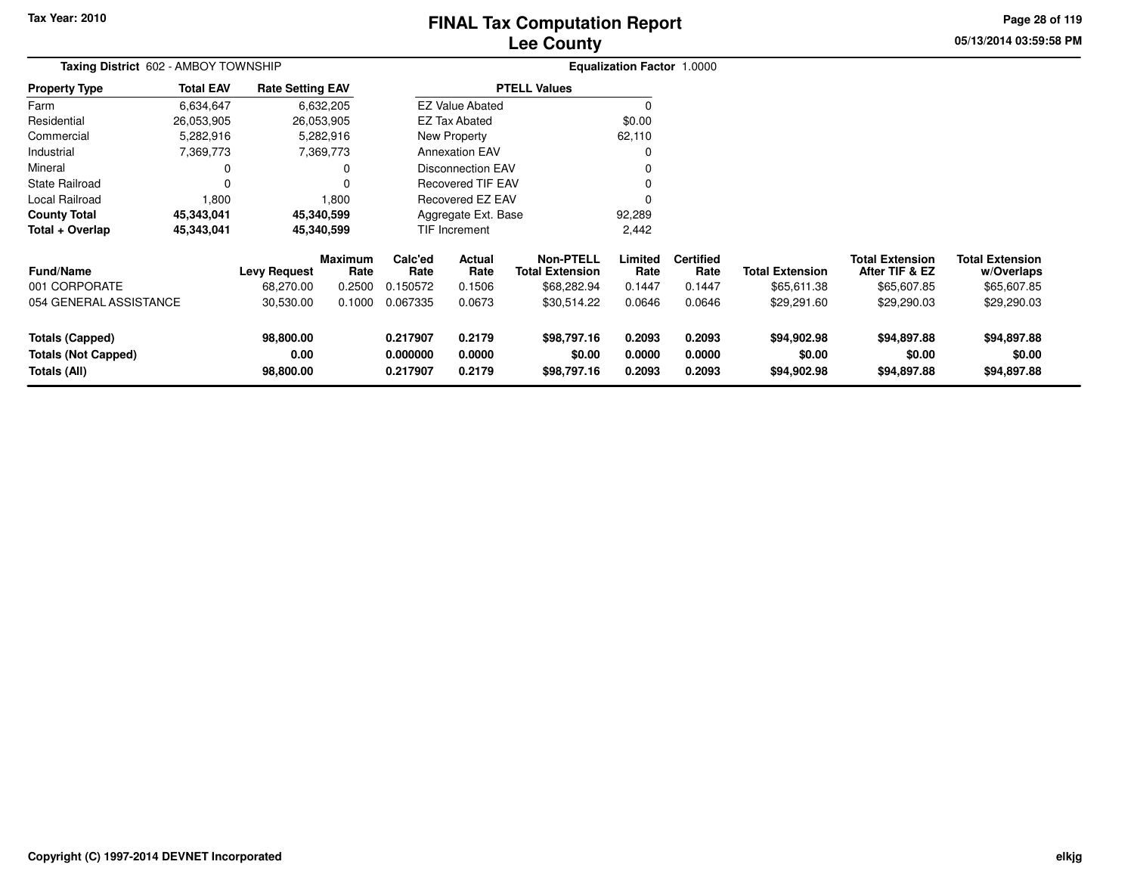# **Lee CountyFINAL Tax Computation Report**

**05/13/2014 03:59:58 PM Page 28 of 119**

| Taxing District 602 - AMBOY TOWNSHIP                                        |                  |                                  |                                  | Equalization Factor 1.0000       |                            |                                                           |                            |                                    |                                       |                                                         |                                                     |  |
|-----------------------------------------------------------------------------|------------------|----------------------------------|----------------------------------|----------------------------------|----------------------------|-----------------------------------------------------------|----------------------------|------------------------------------|---------------------------------------|---------------------------------------------------------|-----------------------------------------------------|--|
| <b>Property Type</b>                                                        | <b>Total EAV</b> | <b>Rate Setting EAV</b>          |                                  |                                  |                            | <b>PTELL Values</b>                                       |                            |                                    |                                       |                                                         |                                                     |  |
| Farm                                                                        | 6,634,647        |                                  | 6,632,205                        |                                  | <b>EZ Value Abated</b>     |                                                           |                            |                                    |                                       |                                                         |                                                     |  |
| Residential                                                                 | 26,053,905       |                                  | 26,053,905                       |                                  | <b>EZ Tax Abated</b>       |                                                           | \$0.00                     |                                    |                                       |                                                         |                                                     |  |
| Commercial                                                                  | 5,282,916        |                                  | 5,282,916                        |                                  | New Property               |                                                           | 62,110                     |                                    |                                       |                                                         |                                                     |  |
| Industrial                                                                  | 7,369,773        |                                  | 7,369,773                        |                                  | <b>Annexation EAV</b>      |                                                           |                            |                                    |                                       |                                                         |                                                     |  |
| Mineral                                                                     | 0                |                                  |                                  |                                  | <b>Disconnection EAV</b>   |                                                           |                            |                                    |                                       |                                                         |                                                     |  |
| State Railroad                                                              | 0                |                                  |                                  | <b>Recovered TIF EAV</b>         |                            |                                                           |                            |                                    |                                       |                                                         |                                                     |  |
| Local Railroad                                                              | 1,800            |                                  | 1,800                            |                                  | <b>Recovered EZ EAV</b>    |                                                           |                            |                                    |                                       |                                                         |                                                     |  |
| <b>County Total</b>                                                         | 45,343,041       |                                  | 45,340,599                       | Aggregate Ext. Base              |                            |                                                           | 92,289                     |                                    |                                       |                                                         |                                                     |  |
| Total + Overlap                                                             | 45,343,041       |                                  | 45,340,599                       |                                  | TIF Increment<br>2,442     |                                                           |                            |                                    |                                       |                                                         |                                                     |  |
| <b>Fund/Name</b><br>001 CORPORATE                                           |                  | <b>Levy Request</b><br>68,270.00 | <b>Maximum</b><br>Rate<br>0.2500 | Calc'ed<br>Rate<br>0.150572      | Actual<br>Rate<br>0.1506   | <b>Non-PTELL</b><br><b>Total Extension</b><br>\$68,282.94 | Limited<br>Rate<br>0.1447  | <b>Certified</b><br>Rate<br>0.1447 | <b>Total Extension</b><br>\$65,611.38 | <b>Total Extension</b><br>After TIF & EZ<br>\$65,607.85 | <b>Total Extension</b><br>w/Overlaps<br>\$65,607.85 |  |
| 054 GENERAL ASSISTANCE                                                      |                  | 30,530.00                        | 0.1000                           | 0.067335                         | 0.0673                     | \$30,514.22                                               | 0.0646                     | 0.0646                             | \$29,291.60                           | \$29,290.03                                             | \$29,290.03                                         |  |
| <b>Totals (Capped)</b><br><b>Totals (Not Capped)</b><br><b>Totals (All)</b> |                  | 98,800.00<br>0.00<br>98,800.00   |                                  | 0.217907<br>0.000000<br>0.217907 | 0.2179<br>0.0000<br>0.2179 | \$98,797.16<br>\$0.00<br>\$98,797.16                      | 0.2093<br>0.0000<br>0.2093 | 0.2093<br>0.0000<br>0.2093         | \$94,902.98<br>\$0.00<br>\$94,902.98  | \$94,897.88<br>\$0.00<br>\$94,897.88                    | \$94,897.88<br>\$0.00<br>\$94,897.88                |  |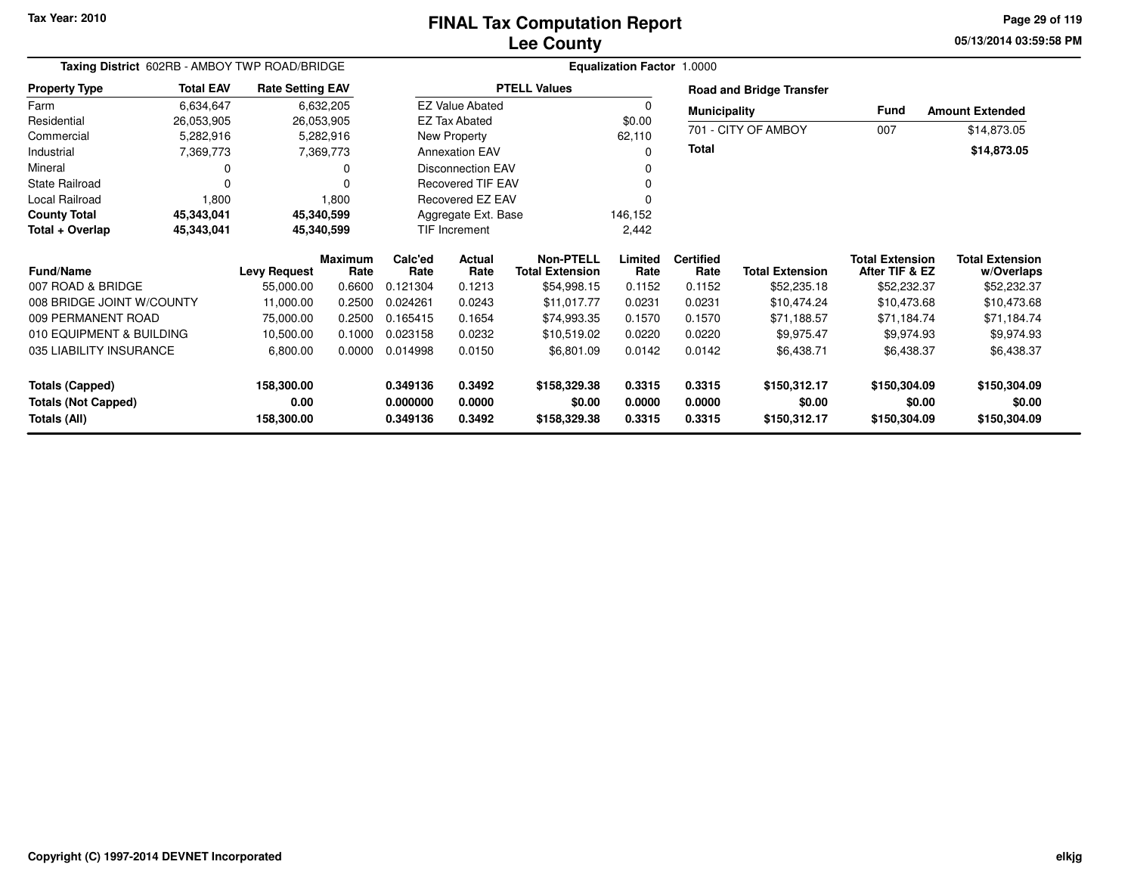### **Lee CountyFINAL Tax Computation Report**

**05/13/2014 03:59:58 PM Page 29 of 119**

|                            | Taxing District 602RB - AMBOY TWP ROAD/BRIDGE |                         |                        |                      | <b>Equalization Factor 1.0000</b> |                                            |                 |                          |                                 |                                          |                                      |  |  |  |
|----------------------------|-----------------------------------------------|-------------------------|------------------------|----------------------|-----------------------------------|--------------------------------------------|-----------------|--------------------------|---------------------------------|------------------------------------------|--------------------------------------|--|--|--|
| <b>Property Type</b>       | <b>Total EAV</b>                              | <b>Rate Setting EAV</b> |                        |                      |                                   | <b>PTELL Values</b>                        |                 |                          | <b>Road and Bridge Transfer</b> |                                          |                                      |  |  |  |
| Farm                       | 6,634,647                                     |                         | 6,632,205              |                      | <b>EZ Value Abated</b>            |                                            | 0               | <b>Municipality</b>      |                                 | Fund                                     | <b>Amount Extended</b>               |  |  |  |
| Residential                | 26,053,905                                    | 26,053,905              |                        |                      | <b>EZ Tax Abated</b>              |                                            | \$0.00          |                          |                                 |                                          |                                      |  |  |  |
| Commercial                 | 5,282,916                                     |                         | 5,282,916              |                      | New Property                      |                                            | 62,110          |                          | 701 - CITY OF AMBOY             | 007                                      | \$14,873.05                          |  |  |  |
| Industrial                 | 7,369,773                                     |                         | 7,369,773              |                      | <b>Annexation EAV</b>             |                                            | $\Omega$        | Total                    |                                 |                                          | \$14,873.05                          |  |  |  |
| Mineral                    | 0                                             |                         | 0                      |                      | <b>Disconnection EAV</b>          |                                            | 0               |                          |                                 |                                          |                                      |  |  |  |
| <b>State Railroad</b>      | $\Omega$                                      |                         | 0                      |                      | <b>Recovered TIF EAV</b>          |                                            | 0               |                          |                                 |                                          |                                      |  |  |  |
| Local Railroad             | 1,800                                         |                         | 1,800                  |                      | Recovered EZ EAV                  |                                            | 0               |                          |                                 |                                          |                                      |  |  |  |
| <b>County Total</b>        | 45,343,041                                    | 45,340,599              |                        |                      | Aggregate Ext. Base               |                                            | 146,152         |                          |                                 |                                          |                                      |  |  |  |
| Total + Overlap            | 45,343,041                                    | 45,340,599              |                        | <b>TIF Increment</b> |                                   |                                            | 2,442           |                          |                                 |                                          |                                      |  |  |  |
| <b>Fund/Name</b>           |                                               | <b>Levy Request</b>     | <b>Maximum</b><br>Rate | Calc'ed<br>Rate      | <b>Actual</b><br>Rate             | <b>Non-PTELL</b><br><b>Total Extension</b> | Limited<br>Rate | <b>Certified</b><br>Rate | <b>Total Extension</b>          | <b>Total Extension</b><br>After TIF & EZ | <b>Total Extension</b><br>w/Overlaps |  |  |  |
| 007 ROAD & BRIDGE          |                                               | 55,000.00               | 0.6600                 | 0.121304             | 0.1213                            | \$54,998.15                                | 0.1152          | 0.1152                   | \$52,235.18                     | \$52,232.37                              | \$52,232.37                          |  |  |  |
| 008 BRIDGE JOINT W/COUNTY  |                                               | 11,000.00               | 0.2500                 | 0.024261             | 0.0243                            | \$11,017.77                                | 0.0231          | 0.0231                   | \$10,474.24                     | \$10,473.68                              | \$10,473.68                          |  |  |  |
| 009 PERMANENT ROAD         |                                               | 75,000.00               | 0.2500                 | 0.165415             | 0.1654                            | \$74,993.35                                | 0.1570          | 0.1570                   | \$71,188.57                     | \$71,184.74                              | \$71,184.74                          |  |  |  |
| 010 EQUIPMENT & BUILDING   |                                               | 10,500.00               | 0.1000                 | 0.023158             | 0.0232                            | \$10,519.02                                | 0.0220          | 0.0220                   | \$9,975.47                      | \$9,974.93                               | \$9,974.93                           |  |  |  |
| 035 LIABILITY INSURANCE    |                                               | 6,800.00                | 0.0000                 | 0.014998             | 0.0150                            | \$6,801.09                                 | 0.0142          | 0.0142                   | \$6,438.71                      | \$6,438.37                               | \$6,438.37                           |  |  |  |
| <b>Totals (Capped)</b>     |                                               | 158,300.00              |                        | 0.349136             | 0.3492                            | \$158,329.38                               | 0.3315          | 0.3315                   | \$150,312.17                    | \$150,304.09                             | \$150,304.09                         |  |  |  |
| <b>Totals (Not Capped)</b> |                                               | 0.00                    |                        | 0.000000             | 0.0000                            | \$0.00                                     | 0.0000          | 0.0000                   | \$0.00                          | \$0.00                                   | \$0.00                               |  |  |  |
| Totals (All)               |                                               | 158,300.00              |                        | 0.349136             | 0.3492                            | \$158,329.38                               | 0.3315          | 0.3315                   | \$150,312.17                    | \$150,304.09                             | \$150,304.09                         |  |  |  |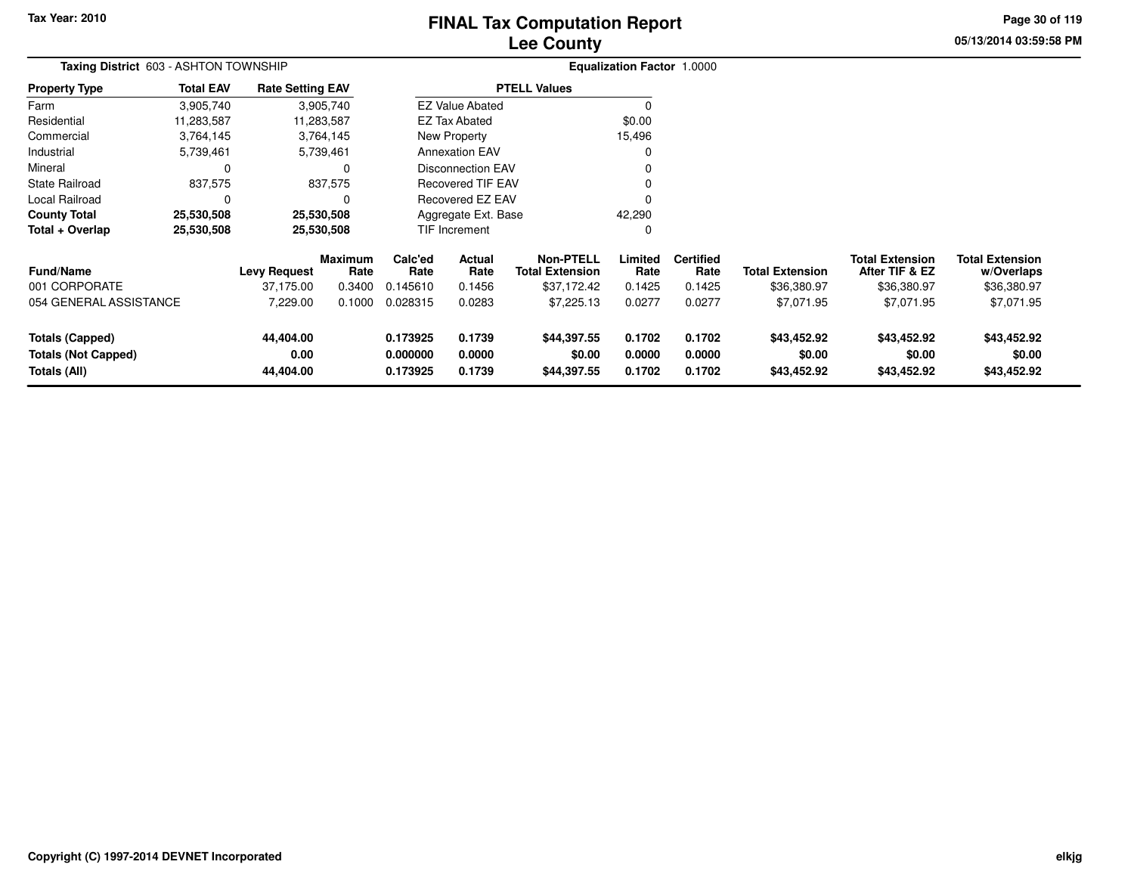# **Lee CountyFINAL Tax Computation Report**

**05/13/2014 03:59:58 PM Page 30 of 119**

| Taxing District 603 - ASHTON TOWNSHIP                                |                  |                                |                        |                                  |                                                      |                                      | <b>Equalization Factor 1.0000</b> |                            |                                      |                                          |                                      |
|----------------------------------------------------------------------|------------------|--------------------------------|------------------------|----------------------------------|------------------------------------------------------|--------------------------------------|-----------------------------------|----------------------------|--------------------------------------|------------------------------------------|--------------------------------------|
| <b>Property Type</b>                                                 | <b>Total EAV</b> | <b>Rate Setting EAV</b>        |                        |                                  |                                                      | <b>PTELL Values</b>                  |                                   |                            |                                      |                                          |                                      |
| Farm                                                                 | 3,905,740        |                                | 3,905,740              |                                  | <b>EZ Value Abated</b>                               |                                      | $\Omega$                          |                            |                                      |                                          |                                      |
| Residential                                                          | 11,283,587       |                                | 11,283,587             |                                  | <b>EZ Tax Abated</b>                                 |                                      | \$0.00                            |                            |                                      |                                          |                                      |
| Commercial                                                           | 3,764,145        |                                | 3,764,145              |                                  | New Property                                         |                                      | 15,496                            |                            |                                      |                                          |                                      |
| Industrial                                                           | 5,739,461        |                                | 5,739,461              |                                  | <b>Annexation EAV</b>                                |                                      | 0                                 |                            |                                      |                                          |                                      |
| Mineral                                                              | 0                |                                | $\Omega$               |                                  | <b>Disconnection EAV</b><br><b>Recovered TIF EAV</b> |                                      |                                   |                            |                                      |                                          |                                      |
| <b>State Railroad</b>                                                | 837,575          |                                | 837,575                |                                  |                                                      |                                      |                                   |                            |                                      |                                          |                                      |
| Local Railroad                                                       | 0                |                                |                        |                                  | <b>Recovered EZ EAV</b>                              |                                      |                                   |                            |                                      |                                          |                                      |
| <b>County Total</b>                                                  | 25,530,508       |                                | 25,530,508             |                                  | Aggregate Ext. Base                                  |                                      | 42,290                            |                            |                                      |                                          |                                      |
| Total + Overlap                                                      | 25,530,508       |                                | 25,530,508             |                                  | <b>TIF Increment</b><br>0                            |                                      |                                   |                            |                                      |                                          |                                      |
| <b>Fund/Name</b>                                                     |                  | <b>Levy Request</b>            | <b>Maximum</b><br>Rate | Calc'ed<br>Rate                  | Actual<br>Rate                                       | Non-PTELL<br><b>Total Extension</b>  | Limited<br>Rate                   | <b>Certified</b><br>Rate   | <b>Total Extension</b>               | <b>Total Extension</b><br>After TIF & EZ | <b>Total Extension</b><br>w/Overlaps |
| 001 CORPORATE                                                        |                  | 37,175.00                      | 0.3400                 | 0.145610                         | 0.1456                                               | \$37,172.42                          | 0.1425                            | 0.1425                     | \$36,380.97                          | \$36,380.97                              | \$36,380.97                          |
| 054 GENERAL ASSISTANCE                                               |                  | 7,229.00                       | 0.1000                 | 0.028315                         | 0.0283                                               | \$7,225.13                           | 0.0277                            | 0.0277                     | \$7,071.95                           | \$7,071.95                               | \$7,071.95                           |
| <b>Totals (Capped)</b><br><b>Totals (Not Capped)</b><br>Totals (All) |                  | 44,404.00<br>0.00<br>44,404.00 |                        | 0.173925<br>0.000000<br>0.173925 | 0.1739<br>0.0000<br>0.1739                           | \$44,397.55<br>\$0.00<br>\$44,397.55 | 0.1702<br>0.0000<br>0.1702        | 0.1702<br>0.0000<br>0.1702 | \$43,452.92<br>\$0.00<br>\$43,452.92 | \$43,452.92<br>\$0.00<br>\$43,452.92     | \$43,452.92<br>\$0.00<br>\$43,452.92 |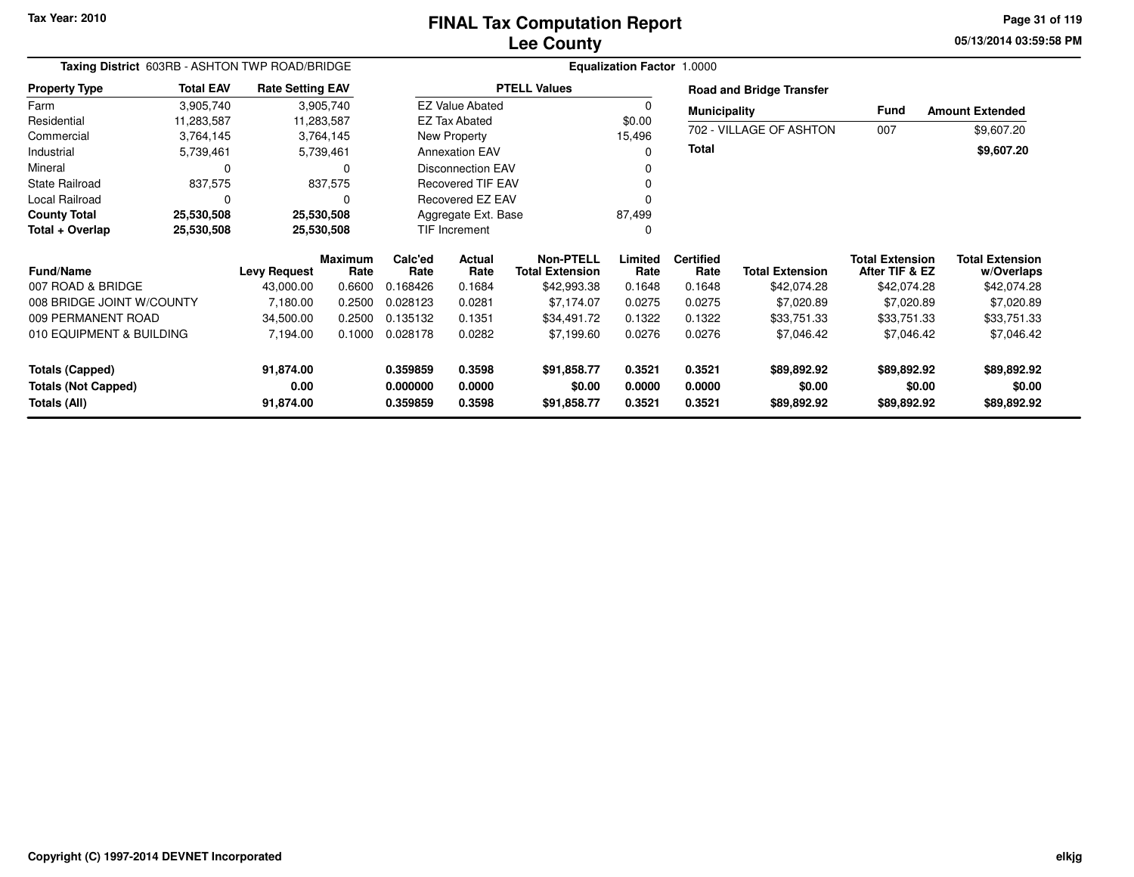**05/13/2014 03:59:58 PMPage 31 of 119**

| Taxing District 603RB - ASHTON TWP ROAD/BRIDGE                       |                  |                                |                        | <b>Equalization Factor 1.0000</b> |                            |                                            |                            |                            |                                      |                                          |                                      |  |
|----------------------------------------------------------------------|------------------|--------------------------------|------------------------|-----------------------------------|----------------------------|--------------------------------------------|----------------------------|----------------------------|--------------------------------------|------------------------------------------|--------------------------------------|--|
| <b>Property Type</b>                                                 | <b>Total EAV</b> | <b>Rate Setting EAV</b>        |                        |                                   |                            | <b>PTELL Values</b>                        |                            |                            | <b>Road and Bridge Transfer</b>      |                                          |                                      |  |
| Farm                                                                 | 3,905,740        |                                | 3,905,740              |                                   | <b>EZ Value Abated</b>     |                                            | $\Omega$                   | <b>Municipality</b>        |                                      | <b>Fund</b>                              | <b>Amount Extended</b>               |  |
| Residential                                                          | 11,283,587       | 11,283,587                     |                        |                                   | <b>EZ Tax Abated</b>       |                                            | \$0.00                     |                            |                                      |                                          |                                      |  |
| Commercial                                                           | 3,764,145        |                                | 3,764,145              |                                   | <b>New Property</b>        |                                            | 15,496                     |                            | 702 - VILLAGE OF ASHTON              | 007                                      | \$9,607.20                           |  |
| Industrial                                                           | 5,739,461        |                                | 5,739,461              |                                   | <b>Annexation EAV</b>      |                                            | 0                          | <b>Total</b>               |                                      |                                          | \$9,607.20                           |  |
| Mineral                                                              | $\Omega$         |                                | 0                      |                                   | <b>Disconnection EAV</b>   |                                            |                            |                            |                                      |                                          |                                      |  |
| <b>State Railroad</b>                                                | 837,575          |                                | 837,575                |                                   | <b>Recovered TIF EAV</b>   |                                            | $\Omega$                   |                            |                                      |                                          |                                      |  |
| Local Railroad                                                       | $\Omega$         |                                | 0                      |                                   | Recovered EZ EAV           |                                            |                            |                            |                                      |                                          |                                      |  |
| <b>County Total</b>                                                  | 25,530,508       | 25,530,508                     |                        |                                   | Aggregate Ext. Base        |                                            | 87,499                     |                            |                                      |                                          |                                      |  |
| Total + Overlap                                                      | 25,530,508       | 25,530,508                     |                        | TIF Increment                     |                            |                                            | 0                          |                            |                                      |                                          |                                      |  |
| <b>Fund/Name</b>                                                     |                  | <b>Levy Request</b>            | <b>Maximum</b><br>Rate | Calc'ed<br>Rate                   | Actual<br>Rate             | <b>Non-PTELL</b><br><b>Total Extension</b> | Limited<br>Rate            | <b>Certified</b><br>Rate   | <b>Total Extension</b>               | <b>Total Extension</b><br>After TIF & EZ | <b>Total Extension</b><br>w/Overlaps |  |
| 007 ROAD & BRIDGE                                                    |                  | 43,000.00                      | 0.6600                 | 0.168426                          | 0.1684                     | \$42,993.38                                | 0.1648                     | 0.1648                     | \$42,074.28                          | \$42,074.28                              | \$42,074.28                          |  |
| 008 BRIDGE JOINT W/COUNTY                                            |                  | 7,180.00                       | 0.2500                 | 0.028123                          | 0.0281                     | \$7,174.07                                 | 0.0275                     | 0.0275                     | \$7,020.89                           | \$7,020.89                               | \$7,020.89                           |  |
| 009 PERMANENT ROAD                                                   |                  | 34,500.00                      | 0.2500                 | 0.135132                          | 0.1351                     | \$34,491.72                                | 0.1322                     | 0.1322                     | \$33,751.33                          | \$33,751.33                              | \$33,751.33                          |  |
| 010 EQUIPMENT & BUILDING                                             |                  | 7,194.00                       | 0.1000                 | 0.028178                          | 0.0282                     | \$7,199.60                                 | 0.0276                     | 0.0276                     | \$7,046.42                           | \$7,046.42                               | \$7,046.42                           |  |
| <b>Totals (Capped)</b><br><b>Totals (Not Capped)</b><br>Totals (All) |                  | 91,874.00<br>0.00<br>91,874.00 |                        | 0.359859<br>0.000000<br>0.359859  | 0.3598<br>0.0000<br>0.3598 | \$91,858.77<br>\$0.00<br>\$91,858.77       | 0.3521<br>0.0000<br>0.3521 | 0.3521<br>0.0000<br>0.3521 | \$89,892.92<br>\$0.00<br>\$89,892.92 | \$89,892.92<br>\$0.00<br>\$89,892.92     | \$89,892.92<br>\$0.00<br>\$89,892.92 |  |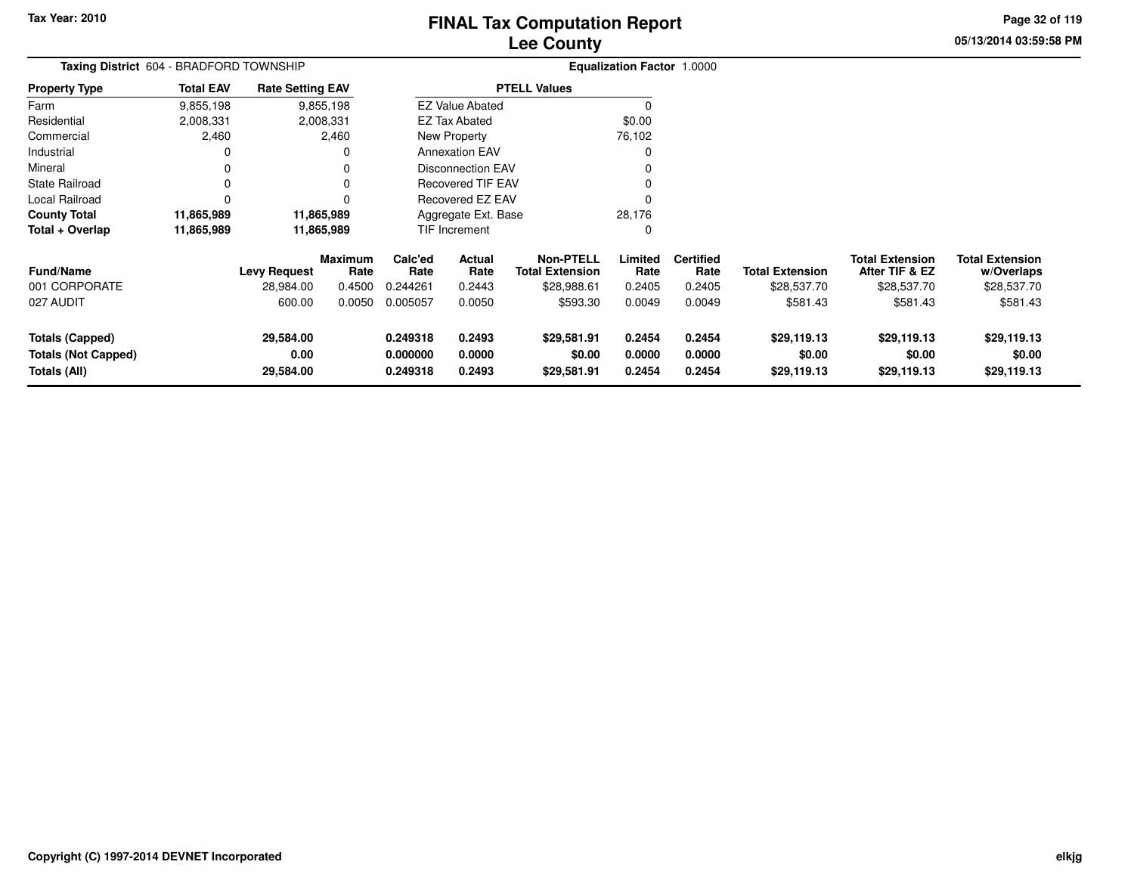# **Lee CountyFINAL Tax Computation Report**

**05/13/2014 03:59:58 PM Page 32 of 119**

|                            | Taxing District 604 - BRADFORD TOWNSHIP |                         |                        |                                   |                          |                                            | <b>Equalization Factor 1.0000</b> |                          |                        |                                          |                                      |  |
|----------------------------|-----------------------------------------|-------------------------|------------------------|-----------------------------------|--------------------------|--------------------------------------------|-----------------------------------|--------------------------|------------------------|------------------------------------------|--------------------------------------|--|
| <b>Property Type</b>       | <b>Total EAV</b>                        | <b>Rate Setting EAV</b> |                        |                                   |                          | <b>PTELL Values</b>                        |                                   |                          |                        |                                          |                                      |  |
| Farm                       | 9,855,198                               |                         | 9,855,198              |                                   | <b>EZ Value Abated</b>   |                                            | $\Omega$                          |                          |                        |                                          |                                      |  |
| Residential                | 2,008,331                               |                         | 2,008,331              |                                   | <b>EZ Tax Abated</b>     |                                            | \$0.00                            |                          |                        |                                          |                                      |  |
| Commercial                 | 2,460                                   |                         | 2,460                  |                                   | New Property             |                                            | 76,102                            |                          |                        |                                          |                                      |  |
| Industrial                 | 0                                       |                         |                        |                                   | <b>Annexation EAV</b>    |                                            | $\Omega$                          |                          |                        |                                          |                                      |  |
| Mineral                    | 0                                       |                         | 0                      |                                   | <b>Disconnection EAV</b> |                                            | 0                                 |                          |                        |                                          |                                      |  |
| <b>State Railroad</b>      | 0                                       |                         | $\Omega$               |                                   | <b>Recovered TIF EAV</b> |                                            | 0                                 |                          |                        |                                          |                                      |  |
| Local Railroad             | 0                                       |                         |                        |                                   | <b>Recovered EZ EAV</b>  |                                            | $\Omega$                          |                          |                        |                                          |                                      |  |
| <b>County Total</b>        | 11,865,989                              | 11,865,989              |                        |                                   | Aggregate Ext. Base      |                                            | 28,176                            |                          |                        |                                          |                                      |  |
| Total + Overlap            | 11,865,989                              | 11,865,989              |                        |                                   | TIF Increment            |                                            | $\Omega$                          |                          |                        |                                          |                                      |  |
| Fund/Name                  |                                         | <b>Levy Request</b>     | <b>Maximum</b><br>Rate | Calc'ed<br>Rate                   | Actual<br>Rate           | <b>Non-PTELL</b><br><b>Total Extension</b> | Limited<br>Rate                   | <b>Certified</b><br>Rate | <b>Total Extension</b> | <b>Total Extension</b><br>After TIF & EZ | <b>Total Extension</b><br>w/Overlaps |  |
| 001 CORPORATE              |                                         | 28,984.00               | 0.4500                 | 0.244261                          | 0.2443                   | \$28,988.61                                | 0.2405                            | 0.2405                   | \$28,537.70            | \$28,537.70                              | \$28,537.70                          |  |
| 027 AUDIT                  |                                         | 600.00                  | 0.0050                 | 0.005057                          | 0.0050                   | \$593.30                                   | 0.0049                            | 0.0049                   | \$581.43               | \$581.43                                 | \$581.43                             |  |
| <b>Totals (Capped)</b>     |                                         | 29,584.00               |                        | 0.249318<br>0.2493                |                          | \$29,581.91                                | 0.2454                            | 0.2454                   | \$29,119.13            | \$29,119.13                              | \$29,119.13                          |  |
| <b>Totals (Not Capped)</b> |                                         | 0.00                    |                        | 0.000000<br>0.0000                |                          | \$0.00                                     | 0.0000                            | 0.0000                   | \$0.00                 | \$0.00                                   | \$0.00                               |  |
| Totals (All)               |                                         | 29,584.00               |                        | 0.249318<br>0.2493<br>\$29,581.91 |                          |                                            | 0.2454                            | 0.2454                   | \$29,119.13            | \$29,119.13                              | \$29,119.13                          |  |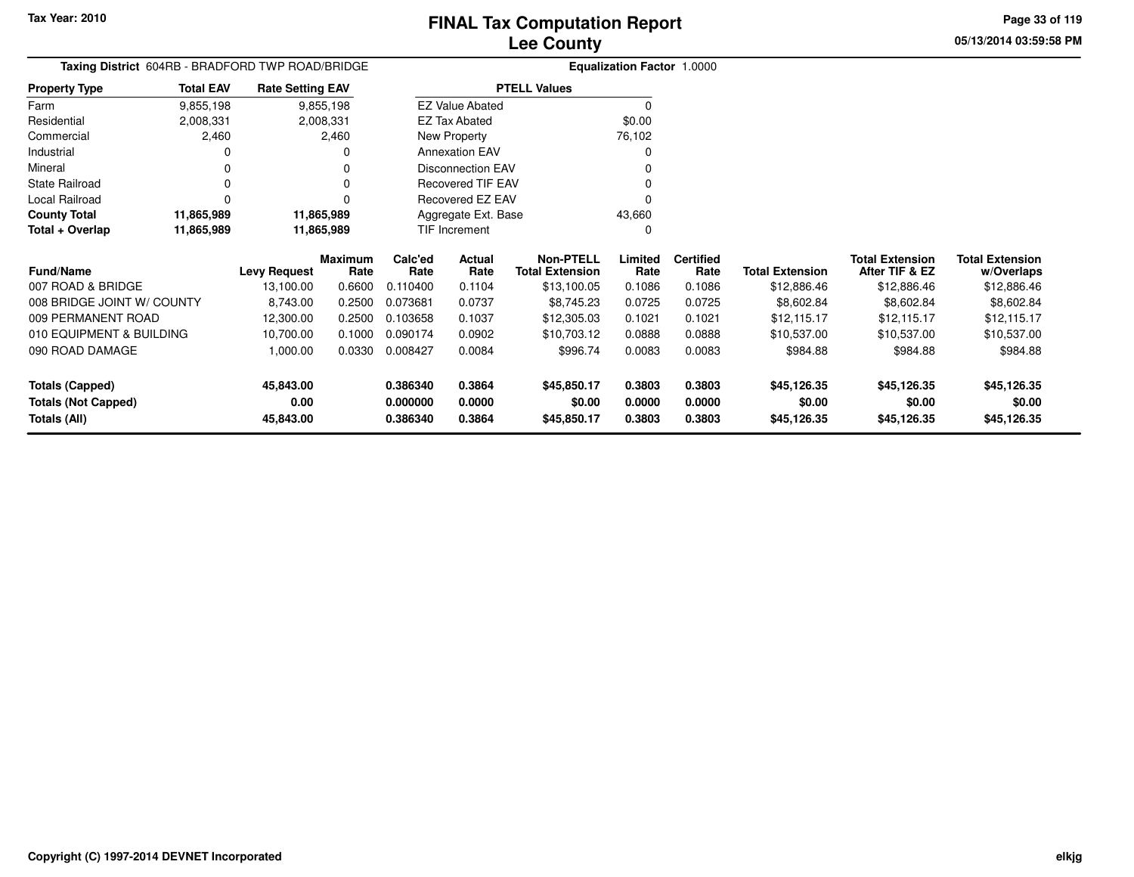**05/13/2014 03:59:58 PM Page 33 of 119**

| Taxing District 604RB - BRADFORD TWP ROAD/BRIDGE |                  |                         |                 |                     |                          |                                            | <b>Equalization Factor 1.0000</b> |                          |                        |                                          |                                      |
|--------------------------------------------------|------------------|-------------------------|-----------------|---------------------|--------------------------|--------------------------------------------|-----------------------------------|--------------------------|------------------------|------------------------------------------|--------------------------------------|
| <b>Property Type</b>                             | <b>Total EAV</b> | <b>Rate Setting EAV</b> |                 |                     |                          | <b>PTELL Values</b>                        |                                   |                          |                        |                                          |                                      |
| Farm                                             | 9,855,198        |                         | 9,855,198       |                     | <b>EZ Value Abated</b>   |                                            | $\Omega$                          |                          |                        |                                          |                                      |
| Residential                                      | 2,008,331        |                         | 2,008,331       |                     | <b>EZ Tax Abated</b>     |                                            | \$0.00                            |                          |                        |                                          |                                      |
| Commercial                                       | 2,460            |                         | 2,460           |                     | New Property             |                                            | 76,102                            |                          |                        |                                          |                                      |
| Industrial                                       |                  |                         |                 |                     | <b>Annexation EAV</b>    |                                            |                                   |                          |                        |                                          |                                      |
| Mineral                                          |                  |                         |                 |                     | <b>Disconnection EAV</b> |                                            |                                   |                          |                        |                                          |                                      |
| <b>State Railroad</b>                            |                  |                         |                 |                     | <b>Recovered TIF EAV</b> |                                            |                                   |                          |                        |                                          |                                      |
| Local Railroad                                   | $\Omega$         |                         |                 |                     | Recovered EZ EAV         |                                            |                                   |                          |                        |                                          |                                      |
| <b>County Total</b>                              | 11,865,989       | 11,865,989              |                 | Aggregate Ext. Base |                          |                                            | 43,660                            |                          |                        |                                          |                                      |
| Total + Overlap                                  | 11,865,989       | 11,865,989              |                 |                     | <b>TIF Increment</b>     |                                            | O                                 |                          |                        |                                          |                                      |
| Fund/Name                                        |                  | <b>Levy Request</b>     | Maximum<br>Rate | Calc'ed<br>Rate     | Actual<br>Rate           | <b>Non-PTELL</b><br><b>Total Extension</b> | Limited<br>Rate                   | <b>Certified</b><br>Rate | <b>Total Extension</b> | <b>Total Extension</b><br>After TIF & EZ | <b>Total Extension</b><br>w/Overlaps |
| 007 ROAD & BRIDGE                                |                  | 13,100.00               | 0.6600          | 0.110400            | 0.1104                   | \$13,100.05                                | 0.1086                            | 0.1086                   | \$12,886.46            | \$12,886.46                              | \$12,886.46                          |
| 008 BRIDGE JOINT W/ COUNTY                       |                  | 8,743.00                | 0.2500          | 0.073681            | 0.0737                   | \$8,745.23                                 | 0.0725                            | 0.0725                   | \$8,602.84             | \$8,602.84                               | \$8,602.84                           |
| 009 PERMANENT ROAD                               |                  | 12,300.00               | 0.2500          | 0.103658            | 0.1037                   | \$12,305.03                                | 0.1021                            | 0.1021                   | \$12,115.17            | \$12,115.17                              | \$12,115.17                          |
| 010 EQUIPMENT & BUILDING                         |                  | 10,700.00               | 0.1000          | 0.090174            | 0.0902                   | \$10,703.12                                | 0.0888                            | 0.0888                   | \$10,537.00            | \$10,537.00                              | \$10,537.00                          |
| 090 ROAD DAMAGE                                  |                  | 1,000.00                | 0.0330          | 0.008427            | 0.0084                   | \$996.74                                   | 0.0083                            | 0.0083                   | \$984.88               | \$984.88                                 | \$984.88                             |
| <b>Totals (Capped)</b>                           |                  | 45,843.00               |                 | 0.386340            | 0.3864                   | \$45,850.17                                | 0.3803                            | 0.3803                   | \$45,126.35            | \$45,126.35                              | \$45,126.35                          |
| <b>Totals (Not Capped)</b>                       |                  | 0.00                    |                 | 0.000000            | 0.0000                   | \$0.00                                     | 0.0000                            | 0.0000                   | \$0.00                 | \$0.00                                   | \$0.00                               |
| <b>Totals (All)</b>                              |                  | 45,843.00               |                 | 0.386340            | 0.3864                   | \$45,850.17                                | 0.3803                            | 0.3803                   | \$45,126.35            | \$45,126.35                              | \$45,126.35                          |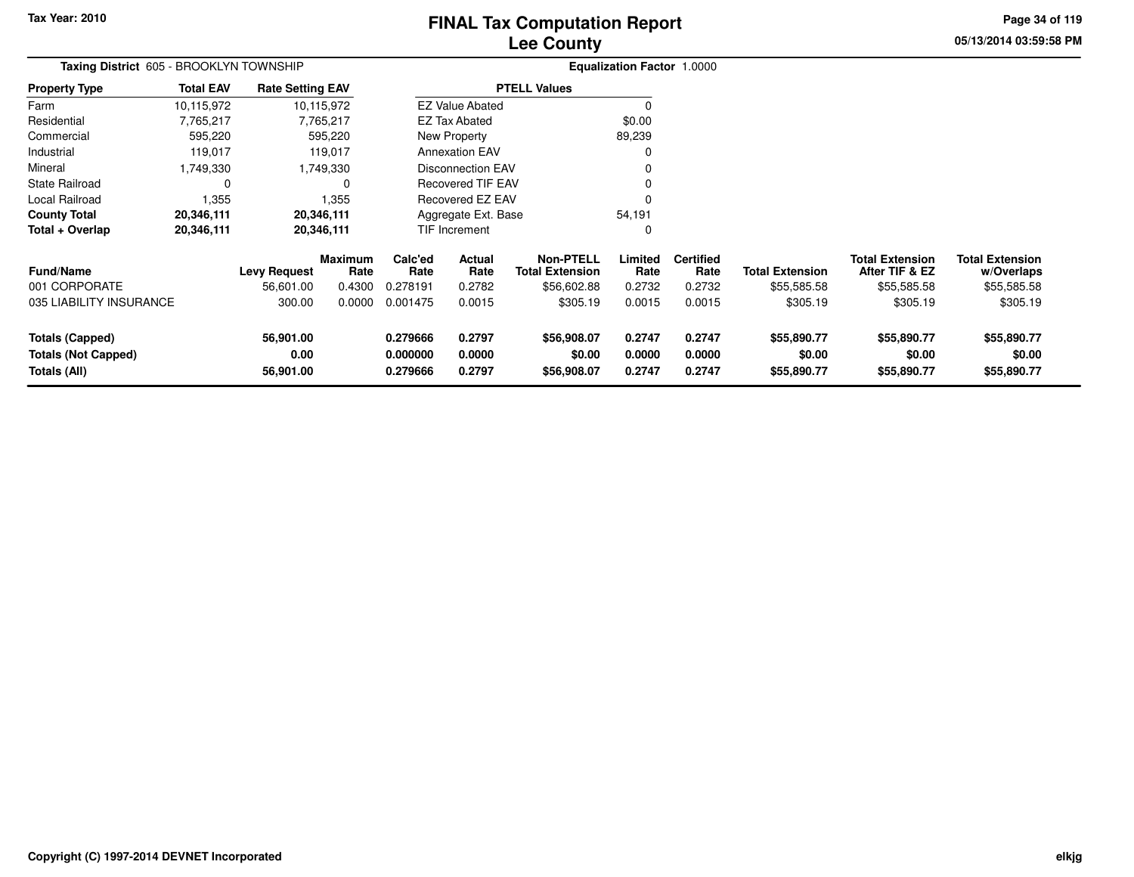# **Lee CountyFINAL Tax Computation Report**

**05/13/2014 03:59:58 PM Page 34 of 119**

|                                                      | Taxing District 605 - BROOKLYN TOWNSHIP |                         |                 |                      |                          |                                            | <b>Equalization Factor 1.0000</b> |                          |                        |                                          |                                      |
|------------------------------------------------------|-----------------------------------------|-------------------------|-----------------|----------------------|--------------------------|--------------------------------------------|-----------------------------------|--------------------------|------------------------|------------------------------------------|--------------------------------------|
| <b>Property Type</b>                                 | <b>Total EAV</b>                        | <b>Rate Setting EAV</b> |                 |                      |                          | <b>PTELL Values</b>                        |                                   |                          |                        |                                          |                                      |
| Farm                                                 | 10,115,972                              |                         | 10,115,972      |                      | <b>EZ Value Abated</b>   |                                            | 0                                 |                          |                        |                                          |                                      |
| Residential                                          | 7,765,217                               |                         | 7,765,217       |                      | <b>EZ Tax Abated</b>     |                                            | \$0.00                            |                          |                        |                                          |                                      |
| Commercial                                           | 595,220                                 |                         | 595,220         |                      | New Property             |                                            | 89,239                            |                          |                        |                                          |                                      |
| Industrial                                           | 119,017                                 |                         | 119,017         |                      | <b>Annexation EAV</b>    |                                            |                                   |                          |                        |                                          |                                      |
| Mineral                                              | 1,749,330                               |                         | 1,749,330       |                      | <b>Disconnection EAV</b> |                                            |                                   |                          |                        |                                          |                                      |
| <b>State Railroad</b>                                | 0                                       |                         | 0               |                      | Recovered TIF EAV        |                                            |                                   |                          |                        |                                          |                                      |
| Local Railroad                                       | 1,355                                   |                         | 1,355           |                      | Recovered EZ EAV         |                                            |                                   |                          |                        |                                          |                                      |
| <b>County Total</b>                                  | 20,346,111                              |                         | 20,346,111      |                      | Aggregate Ext. Base      |                                            | 54,191                            |                          |                        |                                          |                                      |
| Total + Overlap                                      | 20,346,111                              |                         | 20,346,111      | TIF Increment        |                          |                                            | 0                                 |                          |                        |                                          |                                      |
| <b>Fund/Name</b>                                     |                                         | <b>Levy Request</b>     | Maximum<br>Rate | Calc'ed<br>Rate      | Actual<br>Rate           | <b>Non-PTELL</b><br><b>Total Extension</b> | Limited<br>Rate                   | <b>Certified</b><br>Rate | <b>Total Extension</b> | <b>Total Extension</b><br>After TIF & EZ | <b>Total Extension</b><br>w/Overlaps |
| 001 CORPORATE                                        |                                         | 56,601.00               | 0.4300          | 0.278191             | 0.2782                   | \$56,602.88                                | 0.2732                            | 0.2732                   | \$55,585.58            | \$55,585.58                              | \$55,585.58                          |
| 035 LIABILITY INSURANCE                              |                                         | 300.00                  | 0.0000          | 0.001475             | 0.0015                   | \$305.19                                   | 0.0015                            | 0.0015                   | \$305.19               | \$305.19                                 | \$305.19                             |
| <b>Totals (Capped)</b><br><b>Totals (Not Capped)</b> |                                         | 56,901.00<br>0.00       |                 | 0.279666<br>0.000000 | 0.2797<br>0.0000         | \$56,908.07<br>\$0.00                      | 0.2747<br>0.0000                  | 0.2747<br>0.0000         | \$55,890.77<br>\$0.00  | \$55,890.77<br>\$0.00                    | \$55,890.77<br>\$0.00                |
| Totals (All)                                         |                                         | 56,901.00               |                 | 0.279666             | 0.2797                   | \$56,908.07                                | 0.2747                            | 0.2747                   | \$55,890.77            | \$55,890.77                              | \$55,890.77                          |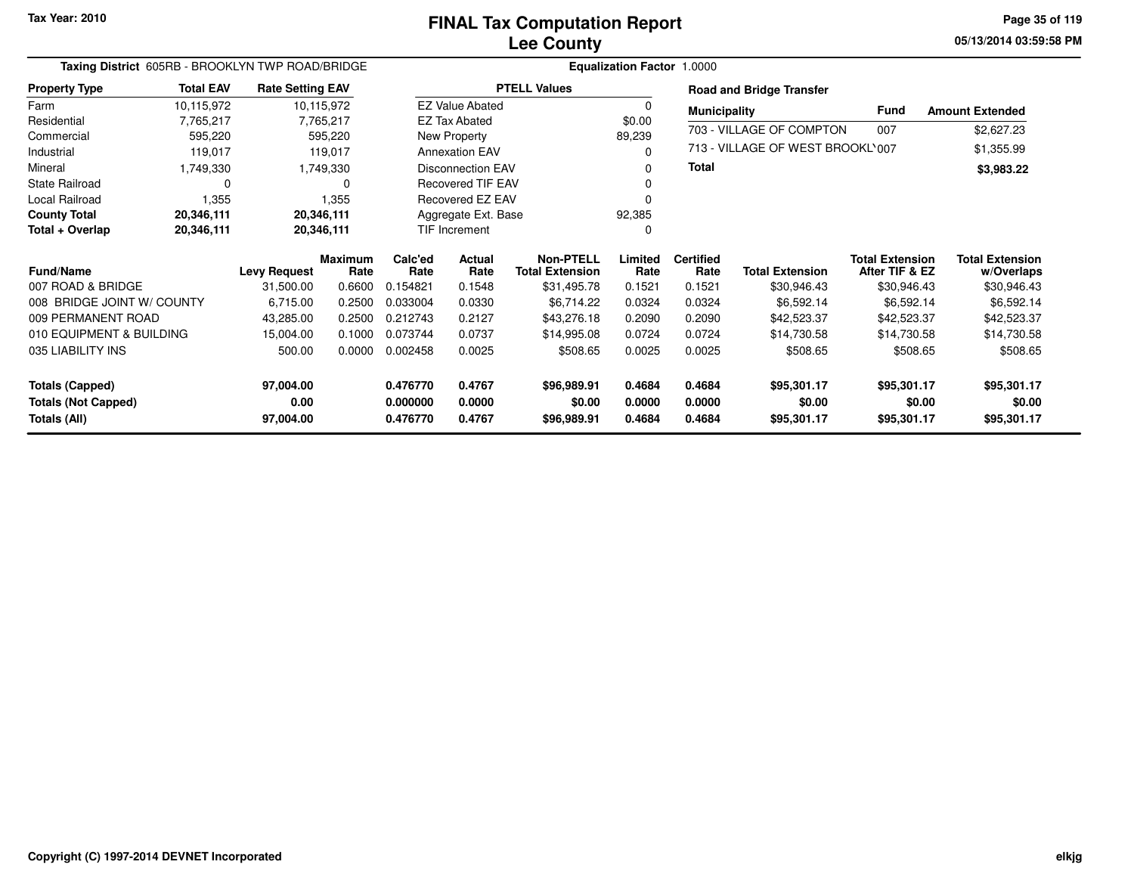**05/13/2014 03:59:58 PM Page 35 of 119**

|                            | Taxing District 605RB - BROOKLYN TWP ROAD/BRIDGE |                         |                        |                 |                          | Equalization Factor 1.0000                 |                 |                          |                                  |                                          |                                      |
|----------------------------|--------------------------------------------------|-------------------------|------------------------|-----------------|--------------------------|--------------------------------------------|-----------------|--------------------------|----------------------------------|------------------------------------------|--------------------------------------|
| <b>Property Type</b>       | <b>Total EAV</b>                                 | <b>Rate Setting EAV</b> |                        |                 |                          | <b>PTELL Values</b>                        |                 |                          | <b>Road and Bridge Transfer</b>  |                                          |                                      |
| Farm                       | 10,115,972                                       |                         | 10,115,972             |                 | <b>EZ Value Abated</b>   |                                            |                 | <b>Municipality</b>      |                                  | <b>Fund</b>                              | <b>Amount Extended</b>               |
| Residential                | 7,765,217                                        |                         | 7,765,217              |                 | <b>EZ Tax Abated</b>     |                                            | \$0.00          |                          | 703 - VILLAGE OF COMPTON         |                                          |                                      |
| Commercial                 | 595,220                                          |                         | 595,220                |                 | New Property             |                                            | 89,239          |                          |                                  | 007                                      | \$2,627.23                           |
| Industrial                 | 119,017                                          |                         | 119,017                |                 | <b>Annexation EAV</b>    |                                            |                 |                          | 713 - VILLAGE OF WEST BROOKL'007 |                                          | \$1,355.99                           |
| Mineral                    | 1,749,330                                        |                         | 1,749,330              |                 | Disconnection EAV        |                                            |                 | <b>Total</b>             |                                  |                                          | \$3,983.22                           |
| <b>State Railroad</b>      |                                                  |                         | 0                      |                 | <b>Recovered TIF EAV</b> |                                            |                 |                          |                                  |                                          |                                      |
| Local Railroad             | 1,355                                            |                         | 1,355                  |                 | Recovered EZ EAV         |                                            |                 |                          |                                  |                                          |                                      |
| <b>County Total</b>        | 20,346,111                                       | 20,346,111              |                        |                 | Aggregate Ext. Base      |                                            | 92,385          |                          |                                  |                                          |                                      |
| Total + Overlap            | 20,346,111                                       | 20,346,111              |                        |                 | <b>TIF Increment</b>     |                                            |                 |                          |                                  |                                          |                                      |
| <b>Fund/Name</b>           |                                                  | <b>Levy Request</b>     | <b>Maximum</b><br>Rate | Calc'ed<br>Rate | Actual<br>Rate           | <b>Non-PTELL</b><br><b>Total Extension</b> | Limited<br>Rate | <b>Certified</b><br>Rate | <b>Total Extension</b>           | <b>Total Extension</b><br>After TIF & EZ | <b>Total Extension</b><br>w/Overlaps |
| 007 ROAD & BRIDGE          |                                                  | 31,500.00               | 0.6600                 | 0.154821        | 0.1548                   | \$31,495.78                                | 0.1521          | 0.1521                   | \$30,946.43                      | \$30,946.43                              | \$30,946.43                          |
| 008 BRIDGE JOINT W/ COUNTY |                                                  | 6,715.00                | 0.2500                 | 0.033004        | 0.0330                   | \$6,714.22                                 | 0.0324          | 0.0324                   | \$6,592.14                       | \$6,592.14                               | \$6,592.14                           |
| 009 PERMANENT ROAD         |                                                  | 43,285.00               | 0.2500                 | 0.212743        | 0.2127                   | \$43,276.18                                | 0.2090          | 0.2090                   | \$42,523.37                      | \$42,523.37                              | \$42,523.37                          |
| 010 EQUIPMENT & BUILDING   |                                                  | 15,004.00               | 0.1000                 | 0.073744        | 0.0737                   | \$14,995.08                                | 0.0724          | 0.0724                   | \$14,730.58                      | \$14,730.58                              | \$14,730.58                          |
| 035 LIABILITY INS          |                                                  | 500.00                  | 0.0000                 | 0.002458        | 0.0025                   | \$508.65                                   | 0.0025          | 0.0025                   | \$508.65                         | \$508.65                                 | \$508.65                             |
| <b>Totals (Capped)</b>     |                                                  | 97,004.00               |                        | 0.476770        | 0.4767                   | \$96,989.91                                | 0.4684          | 0.4684                   | \$95,301.17                      | \$95,301.17                              | \$95,301.17                          |
| <b>Totals (Not Capped)</b> |                                                  | 0.00                    |                        | 0.000000        | 0.0000                   | \$0.00                                     | 0.0000          | 0.0000                   | \$0.00                           | \$0.00                                   | \$0.00                               |
| Totals (All)               |                                                  | 97,004.00               |                        | 0.476770        | 0.4767                   | \$96,989.91                                | 0.4684          | 0.4684                   | \$95,301.17                      | \$95,301.17                              | \$95,301.17                          |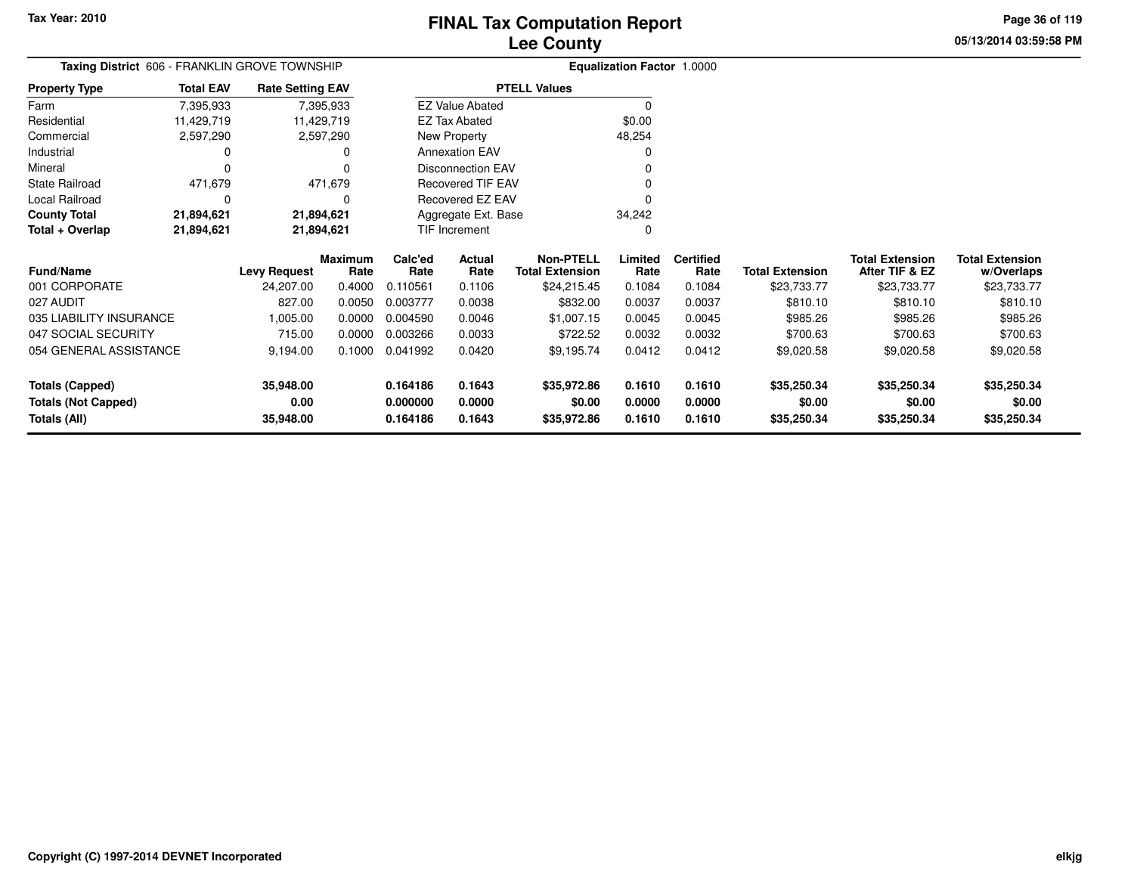**Totals (Capped)**

**Totals (All)**

**Totals (Not Capped)**

054 GENERAL ASSISTANCE

**35,948.00**

**35,948.00**

**0.00**

## **Lee CountyFINAL Tax Computation Report**

**05/13/2014 03:59:58 PMPage 36 of 119**

|                         | Taxing District 606 - FRANKLIN GROVE TOWNSHIP |                         |                        |                 |                          |                                            | Equalization Factor 1.0000 |                          |                        |                                          |                                      |
|-------------------------|-----------------------------------------------|-------------------------|------------------------|-----------------|--------------------------|--------------------------------------------|----------------------------|--------------------------|------------------------|------------------------------------------|--------------------------------------|
| <b>Property Type</b>    | <b>Total EAV</b>                              | <b>Rate Setting EAV</b> |                        |                 |                          | <b>PTELL Values</b>                        |                            |                          |                        |                                          |                                      |
| Farm                    | 7,395,933                                     |                         | 7,395,933              |                 | <b>EZ Value Abated</b>   |                                            |                            |                          |                        |                                          |                                      |
| Residential             | 11,429,719                                    |                         | 11,429,719             |                 | EZ Tax Abated            |                                            | \$0.00                     |                          |                        |                                          |                                      |
| Commercial              | 2,597,290                                     |                         | 2,597,290              |                 | New Property             |                                            | 48,254                     |                          |                        |                                          |                                      |
| Industrial              | 0                                             |                         | 0                      |                 | <b>Annexation EAV</b>    |                                            | $\Omega$                   |                          |                        |                                          |                                      |
| Mineral                 |                                               |                         |                        |                 | <b>Disconnection EAV</b> |                                            |                            |                          |                        |                                          |                                      |
| State Railroad          | 471,679                                       |                         | 471,679                |                 | Recovered TIF EAV        |                                            |                            |                          |                        |                                          |                                      |
| Local Railroad          | 0                                             |                         | 0                      |                 | Recovered EZ EAV         |                                            |                            |                          |                        |                                          |                                      |
| <b>County Total</b>     | 21,894,621                                    |                         | 21,894,621             |                 | Aggregate Ext. Base      |                                            | 34,242                     |                          |                        |                                          |                                      |
| Total + Overlap         | 21,894,621                                    |                         | 21,894,621             |                 | TIF Increment            |                                            | 0                          |                          |                        |                                          |                                      |
| <b>Fund/Name</b>        |                                               | <b>Levy Request</b>     | <b>Maximum</b><br>Rate | Calc'ed<br>Rate | <b>Actual</b><br>Rate    | <b>Non-PTELL</b><br><b>Total Extension</b> | Limited<br>Rate            | <b>Certified</b><br>Rate | <b>Total Extension</b> | <b>Total Extension</b><br>After TIF & EZ | <b>Total Extension</b><br>w/Overlaps |
| 001 CORPORATE           |                                               | 24,207.00               | 0.4000                 | 0.110561        | 0.1106                   | \$24,215.45                                | 0.1084                     | 0.1084                   | \$23,733.77            | \$23,733.77                              | \$23,733.77                          |
| 027 AUDIT               |                                               | 827.00                  | 0.0050                 | 0.003777        | 0.0038                   | \$832.00                                   | 0.0037                     | 0.0037                   | \$810.10               | \$810.10                                 | \$810.10                             |
| 035 LIABILITY INSURANCE |                                               | 1,005.00                | 0.0000                 | 0.004590        | 0.0046                   | \$1,007.15                                 | 0.0045                     | 0.0045                   | \$985.26               | \$985.26                                 | \$985.26                             |
| 047 SOCIAL SECURITY     |                                               | 715.00                  | 0.0000                 | 0.003266        | 0.0033                   | \$722.52                                   | 0.0032                     | 0.0032                   | \$700.63               | \$700.63                                 | \$700.63                             |
|                         |                                               |                         |                        |                 |                          |                                            |                            |                          |                        |                                          |                                      |

9,194.00 0.1000 0.041992 0.0420 \$9,195.74 0.0412 0.0412 \$9,020.58 \$9,020.58 \$9,020.58

**0.164186 0.1643 \$35,972.86 0.1610 0.1610 \$35,250.34 \$35,250.34 \$35,250.34**

**0.000000 0.0000 \$0.00 0.0000 0.0000 \$0.00 \$0.00 \$0.00**

**0.164186 0.1643 \$35,972.86 0.1610 0.1610 \$35,250.34 \$35,250.34 \$35,250.34**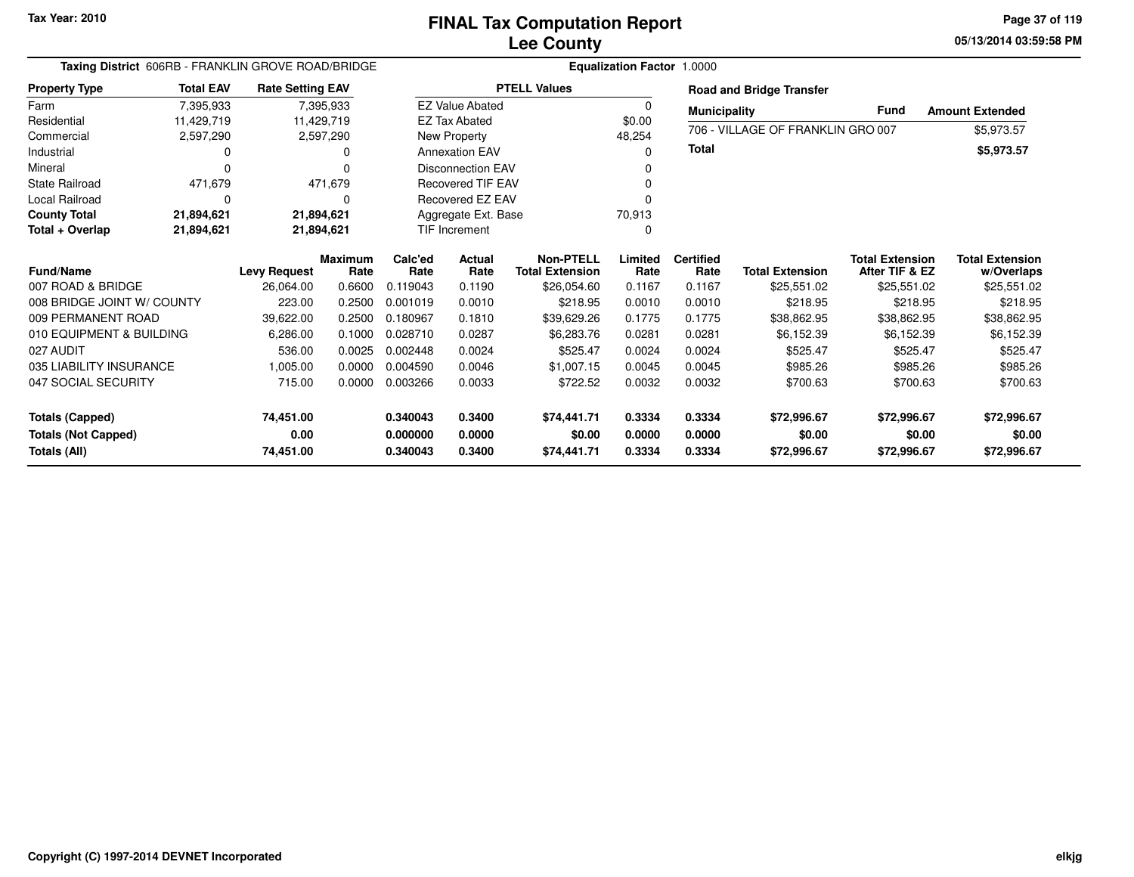**05/13/2014 03:59:58 PM Page 37 of 119**

| Taxing District 606RB - FRANKLIN GROVE ROAD/BRIDGE |                  |                         |                |          | Equalization Factor 1.0000 |                        |          |                     |                                   |                        |                        |  |  |
|----------------------------------------------------|------------------|-------------------------|----------------|----------|----------------------------|------------------------|----------|---------------------|-----------------------------------|------------------------|------------------------|--|--|
| <b>Property Type</b>                               | <b>Total EAV</b> | <b>Rate Setting EAV</b> |                |          |                            | <b>PTELL Values</b>    |          |                     | <b>Road and Bridge Transfer</b>   |                        |                        |  |  |
| Farm                                               | 7,395,933        | 7,395,933               |                |          | <b>EZ Value Abated</b>     |                        | $\Omega$ | <b>Municipality</b> |                                   | <b>Fund</b>            | <b>Amount Extended</b> |  |  |
| Residential                                        | 11,429,719       | 11,429,719              |                |          | <b>EZ Tax Abated</b>       |                        | \$0.00   |                     | 706 - VILLAGE OF FRANKLIN GRO 007 |                        |                        |  |  |
| Commercial                                         | 2,597,290        | 2,597,290               |                |          | New Property               |                        | 48,254   |                     |                                   |                        | \$5,973.57             |  |  |
| Industrial                                         |                  |                         | 0              |          | <b>Annexation EAV</b>      |                        | $\Omega$ | <b>Total</b>        |                                   |                        | \$5,973.57             |  |  |
| Mineral                                            |                  |                         | <sup>0</sup>   |          | <b>Disconnection EAV</b>   |                        |          |                     |                                   |                        |                        |  |  |
| <b>State Railroad</b>                              | 471,679          |                         | 471,679        |          | <b>Recovered TIF EAV</b>   |                        |          |                     |                                   |                        |                        |  |  |
| Local Railroad                                     | O                |                         | $\Omega$       |          | Recovered EZ EAV           |                        |          |                     |                                   |                        |                        |  |  |
| <b>County Total</b>                                | 21,894,621       | 21,894,621              |                |          | Aggregate Ext. Base        |                        | 70,913   |                     |                                   |                        |                        |  |  |
| Total + Overlap                                    | 21,894,621       | 21,894,621              |                |          | TIF Increment              |                        | $\Omega$ |                     |                                   |                        |                        |  |  |
| <b>Fund/Name</b>                                   |                  |                         | <b>Maximum</b> | Calc'ed  | <b>Actual</b>              | <b>Non-PTELL</b>       | Limited  | <b>Certified</b>    |                                   | <b>Total Extension</b> | <b>Total Extension</b> |  |  |
|                                                    |                  | <b>Levy Request</b>     | Rate           | Rate     | Rate                       | <b>Total Extension</b> | Rate     | Rate                | <b>Total Extension</b>            | After TIF & EZ         | w/Overlaps             |  |  |
| 007 ROAD & BRIDGE                                  |                  | 26.064.00               | 0.6600         | 0.119043 | 0.1190                     | \$26,054.60            | 0.1167   | 0.1167              | \$25,551.02                       | \$25,551.02            | \$25,551.02            |  |  |
| 008 BRIDGE JOINT W/ COUNTY                         |                  | 223.00                  | 0.2500         | 0.001019 | 0.0010                     | \$218.95               | 0.0010   | 0.0010              | \$218.95                          | \$218.95               | \$218.95               |  |  |
| 009 PERMANENT ROAD                                 |                  | 39.622.00               | 0.2500         | 0.180967 | 0.1810                     | \$39,629.26            | 0.1775   | 0.1775              | \$38,862.95                       | \$38,862.95            | \$38,862.95            |  |  |
| 010 EQUIPMENT & BUILDING                           |                  | 6,286.00                | 0.1000         | 0.028710 | 0.0287                     | \$6,283.76             | 0.0281   | 0.0281              | \$6,152.39                        | \$6,152.39             | \$6,152.39             |  |  |
| 027 AUDIT                                          |                  | 536.00                  | 0.0025         | 0.002448 | 0.0024                     | \$525.47               | 0.0024   | 0.0024              | \$525.47                          | \$525.47               | \$525.47               |  |  |
| 035 LIABILITY INSURANCE                            |                  | 1.005.00                | 0.0000         | 0.004590 | 0.0046                     | \$1,007.15             | 0.0045   | 0.0045              | \$985.26                          | \$985.26               | \$985.26               |  |  |
| 047 SOCIAL SECURITY                                |                  | 715.00                  | 0.0000         | 0.003266 | 0.0033                     | \$722.52               | 0.0032   | 0.0032              | \$700.63                          | \$700.63               | \$700.63               |  |  |
| <b>Totals (Capped)</b>                             |                  | 74,451.00               |                | 0.340043 | 0.3400                     | \$74,441.71            | 0.3334   | 0.3334              | \$72,996.67                       | \$72,996.67            | \$72,996.67            |  |  |
| <b>Totals (Not Capped)</b>                         |                  | 0.00                    |                | 0.000000 | 0.0000                     | \$0.00                 | 0.0000   | 0.0000              | \$0.00                            | \$0.00                 | \$0.00                 |  |  |
| <b>Totals (All)</b>                                |                  | 74,451.00               |                | 0.340043 | 0.3400                     | \$74,441.71            | 0.3334   | 0.3334              | \$72,996.67                       | \$72,996.67            | \$72,996.67            |  |  |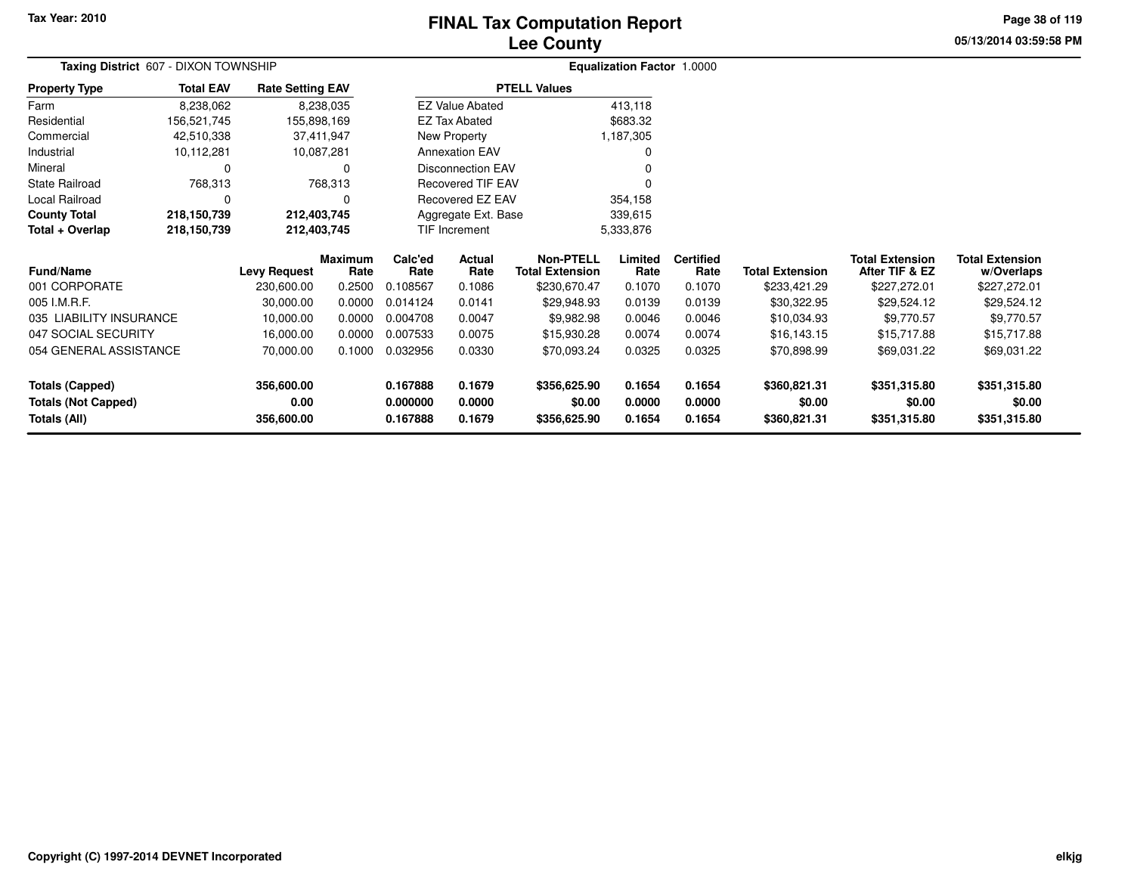# **Lee CountyFINAL Tax Computation Report**

**05/13/2014 03:59:58 PM Page 38 of 119**

|                                                      | Taxing District 607 - DIXON TOWNSHIP |                         |                        |                      |                          |                                            | <b>Equalization Factor 1.0000</b> |                          |                        |                                          |                                      |  |
|------------------------------------------------------|--------------------------------------|-------------------------|------------------------|----------------------|--------------------------|--------------------------------------------|-----------------------------------|--------------------------|------------------------|------------------------------------------|--------------------------------------|--|
| <b>Property Type</b>                                 | <b>Total EAV</b>                     | <b>Rate Setting EAV</b> |                        |                      |                          | <b>PTELL Values</b>                        |                                   |                          |                        |                                          |                                      |  |
| Farm                                                 | 8,238,062                            |                         | 8,238,035              |                      | <b>EZ Value Abated</b>   |                                            | 413,118                           |                          |                        |                                          |                                      |  |
| Residential                                          | 156,521,745                          |                         | 155,898,169            |                      | EZ Tax Abated            |                                            | \$683.32                          |                          |                        |                                          |                                      |  |
| Commercial                                           | 42,510,338                           |                         | 37,411,947             |                      | New Property             |                                            | 1,187,305                         |                          |                        |                                          |                                      |  |
| Industrial                                           | 10,112,281                           |                         | 10,087,281             |                      | <b>Annexation EAV</b>    |                                            | 0                                 |                          |                        |                                          |                                      |  |
| Mineral                                              | $\Omega$                             |                         | 0                      |                      | <b>Disconnection EAV</b> |                                            |                                   |                          |                        |                                          |                                      |  |
| <b>State Railroad</b>                                | 768,313                              |                         | 768,313                |                      | <b>Recovered TIF EAV</b> |                                            | $\Omega$                          |                          |                        |                                          |                                      |  |
| Local Railroad                                       | 0                                    |                         | 0                      |                      | <b>Recovered EZ EAV</b>  |                                            | 354,158                           |                          |                        |                                          |                                      |  |
| <b>County Total</b>                                  | 218,150,739<br>212,403,745           |                         |                        |                      | Aggregate Ext. Base      |                                            | 339,615                           |                          |                        |                                          |                                      |  |
| Total + Overlap                                      | 218,150,739                          | 212,403,745             |                        | <b>TIF Increment</b> |                          |                                            | 5,333,876                         |                          |                        |                                          |                                      |  |
| <b>Fund/Name</b>                                     |                                      | <b>Levy Request</b>     | <b>Maximum</b><br>Rate | Calc'ed<br>Rate      | Actual<br>Rate           | <b>Non-PTELL</b><br><b>Total Extension</b> | Limited<br>Rate                   | <b>Certified</b><br>Rate | <b>Total Extension</b> | <b>Total Extension</b><br>After TIF & EZ | <b>Total Extension</b><br>w/Overlaps |  |
| 001 CORPORATE                                        |                                      | 230,600.00              | 0.2500                 | 0.108567             | 0.1086                   | \$230,670.47                               | 0.1070                            | 0.1070                   | \$233,421.29           | \$227,272.01                             | \$227,272.01                         |  |
| 005 I.M.R.F.                                         |                                      | 30,000.00               | 0.0000                 | 0.014124             | 0.0141                   | \$29,948.93                                | 0.0139                            | 0.0139                   | \$30,322.95            | \$29,524.12                              | \$29,524.12                          |  |
| 035 LIABILITY INSURANCE                              |                                      | 10,000.00               | 0.0000                 | 0.004708             | 0.0047                   | \$9,982.98                                 | 0.0046                            | 0.0046                   | \$10,034.93            | \$9,770.57                               | \$9,770.57                           |  |
| 047 SOCIAL SECURITY                                  |                                      | 16,000.00               | 0.0000                 | 0.007533             | 0.0075                   | \$15,930.28                                | 0.0074                            | 0.0074                   | \$16,143.15            | \$15,717.88                              | \$15,717.88                          |  |
| 054 GENERAL ASSISTANCE                               |                                      | 70,000.00               | 0.1000                 | 0.032956             | 0.0330                   | \$70,093.24                                | 0.0325                            | 0.0325                   | \$70,898.99            | \$69,031.22                              | \$69,031.22                          |  |
| <b>Totals (Capped)</b><br><b>Totals (Not Capped)</b> |                                      | 356,600.00<br>0.00      |                        | 0.167888<br>0.000000 | 0.1679<br>0.0000         | \$356,625.90<br>\$0.00                     | 0.1654<br>0.0000                  | 0.1654<br>0.0000         | \$360,821.31<br>\$0.00 | \$351,315.80<br>\$0.00                   | \$351,315.80<br>\$0.00               |  |
| Totals (All)                                         |                                      | 356,600.00              |                        | 0.167888             | 0.1679                   | \$356,625.90                               | 0.1654                            | 0.1654                   | \$360,821.31           | \$351,315.80                             | \$351,315.80                         |  |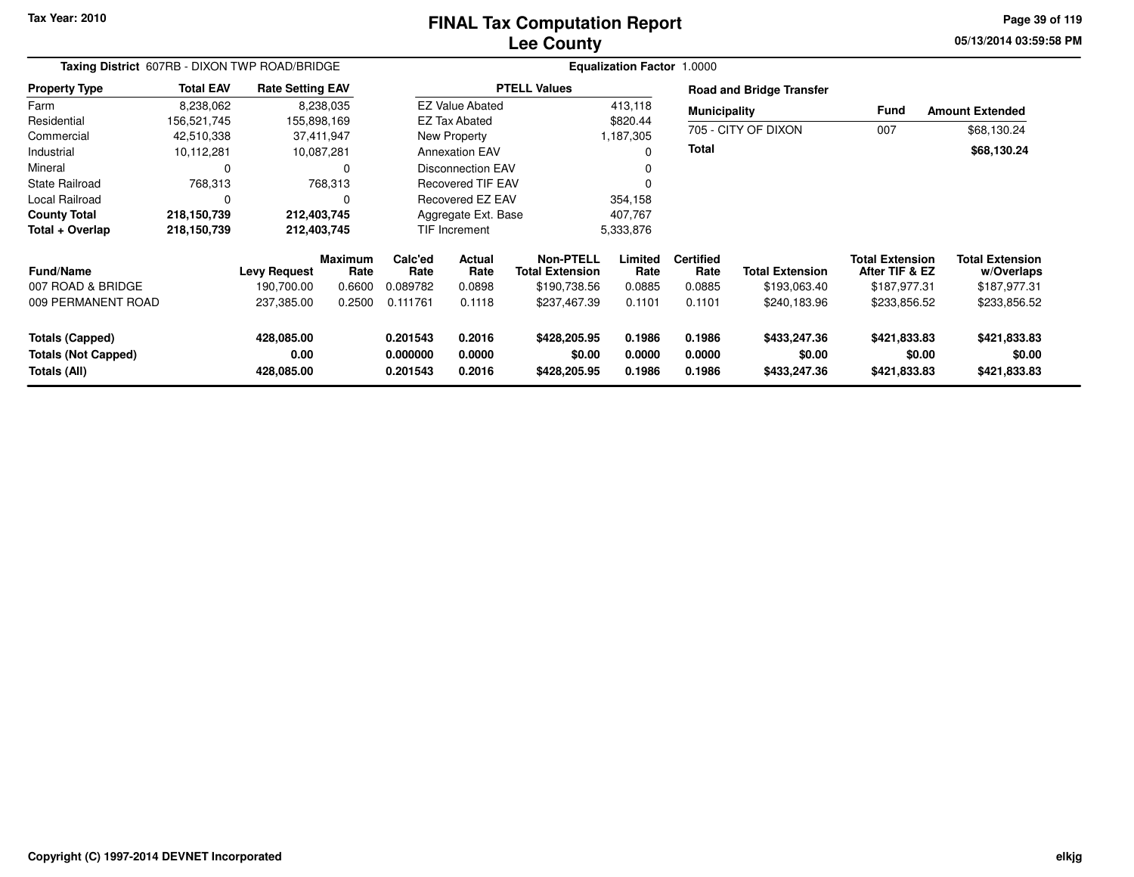#### **Lee CountyFINAL Tax Computation Report**

**05/13/2014 03:59:58 PM Page 39 of 119**

| Taxing District 607RB - DIXON TWP ROAD/BRIDGE                        |                  |                                  |                        | Equalization Factor 1.0000       |                                |                                        |                            |                            |                                        |                                          |                                        |  |
|----------------------------------------------------------------------|------------------|----------------------------------|------------------------|----------------------------------|--------------------------------|----------------------------------------|----------------------------|----------------------------|----------------------------------------|------------------------------------------|----------------------------------------|--|
| <b>Property Type</b>                                                 | <b>Total EAV</b> | <b>Rate Setting EAV</b>          |                        |                                  |                                | <b>PTELL Values</b>                    |                            |                            | <b>Road and Bridge Transfer</b>        |                                          |                                        |  |
| Farm                                                                 | 8,238,062        |                                  | 8,238,035              |                                  | <b>EZ Value Abated</b>         |                                        | 413,118                    | <b>Municipality</b>        |                                        | <b>Fund</b>                              | <b>Amount Extended</b>                 |  |
| Residential                                                          | 156,521,745      | 155,898,169                      |                        |                                  | <b>EZ Tax Abated</b>           |                                        | \$820.44                   |                            |                                        |                                          |                                        |  |
| Commercial                                                           | 42,510,338       |                                  | 37,411,947             |                                  | New Property                   |                                        | 1,187,305                  |                            | 705 - CITY OF DIXON                    | 007                                      | \$68,130.24                            |  |
| Industrial                                                           | 10,112,281       |                                  | 10,087,281             |                                  | <b>Annexation EAV</b>          |                                        | ი                          | <b>Total</b>               |                                        |                                          | \$68,130.24                            |  |
| Mineral                                                              | 0                |                                  | 0                      |                                  | <b>Disconnection EAV</b>       |                                        |                            |                            |                                        |                                          |                                        |  |
| <b>State Railroad</b>                                                | 768,313          |                                  | 768,313                |                                  | <b>Recovered TIF EAV</b>       |                                        |                            |                            |                                        |                                          |                                        |  |
| Local Railroad                                                       | 0                |                                  | 0                      |                                  | Recovered EZ EAV<br>354,158    |                                        |                            |                            |                                        |                                          |                                        |  |
| <b>County Total</b>                                                  | 218,150,739      | 212,403,745                      |                        |                                  | Aggregate Ext. Base<br>407.767 |                                        |                            |                            |                                        |                                          |                                        |  |
| Total + Overlap                                                      | 218,150,739      | 212,403,745                      |                        |                                  | TIF Increment                  |                                        | 5,333,876                  |                            |                                        |                                          |                                        |  |
| <b>Fund/Name</b>                                                     |                  | <b>Levy Request</b>              | <b>Maximum</b><br>Rate | Calc'ed<br>Rate                  | Actual<br>Rate                 | Non-PTELL<br><b>Total Extension</b>    | Limited<br>Rate            | <b>Certified</b><br>Rate   | <b>Total Extension</b>                 | <b>Total Extension</b><br>After TIF & EZ | <b>Total Extension</b><br>w/Overlaps   |  |
| 007 ROAD & BRIDGE                                                    |                  | 190,700.00                       | 0.6600                 | 0.089782                         | 0.0898                         | \$190,738.56                           | 0.0885                     | 0.0885                     | \$193,063.40                           | \$187,977.31                             | \$187,977.31                           |  |
| 009 PERMANENT ROAD                                                   |                  | 237,385.00                       | 0.2500                 | 0.111761                         | 0.1118                         | \$237,467.39                           | 0.1101                     | 0.1101                     | \$240,183.96                           | \$233,856.52                             | \$233,856.52                           |  |
| <b>Totals (Capped)</b><br><b>Totals (Not Capped)</b><br>Totals (All) |                  | 428,085.00<br>0.00<br>428,085.00 |                        | 0.201543<br>0.000000<br>0.201543 | 0.2016<br>0.0000<br>0.2016     | \$428,205.95<br>\$0.00<br>\$428,205.95 | 0.1986<br>0.0000<br>0.1986 | 0.1986<br>0.0000<br>0.1986 | \$433,247.36<br>\$0.00<br>\$433,247.36 | \$421,833.83<br>\$0.00<br>\$421,833.83   | \$421,833.83<br>\$0.00<br>\$421,833.83 |  |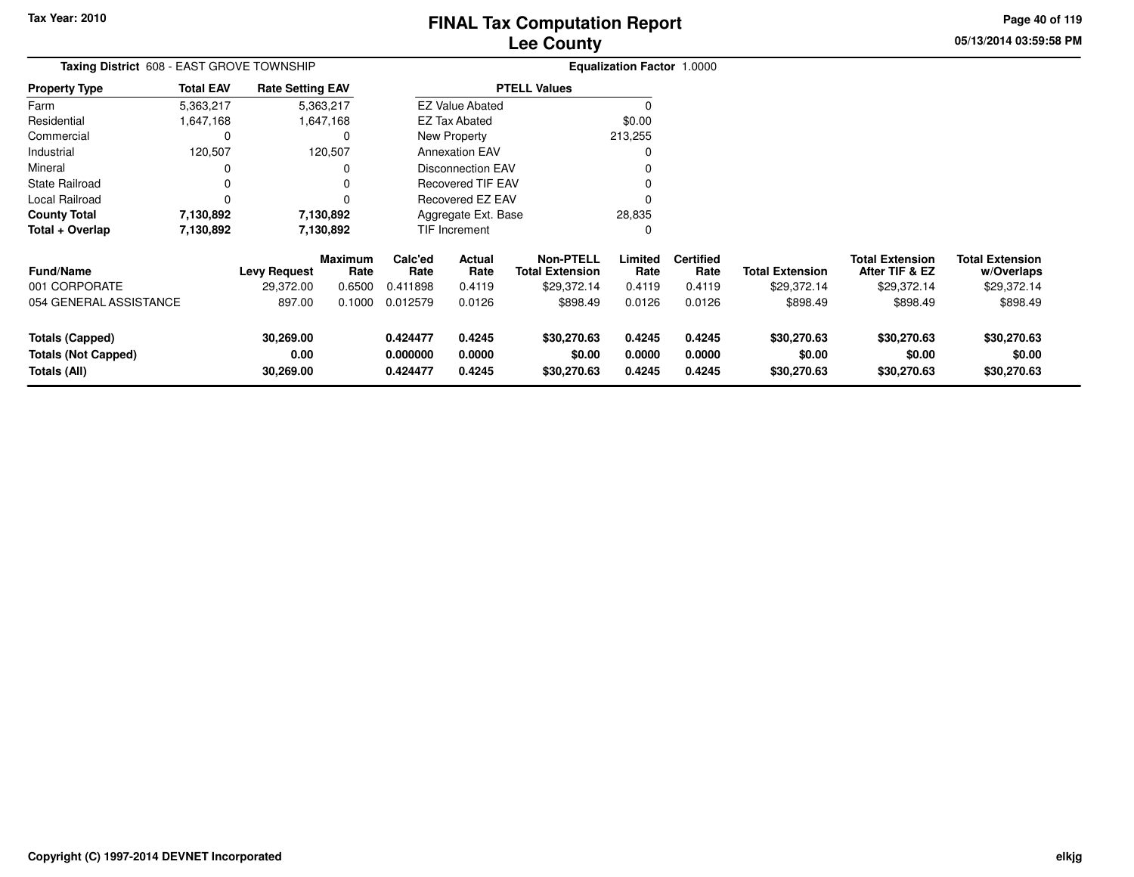**05/13/2014 03:59:58 PM Page 40 of 119**

| Taxing District 608 - EAST GROVE TOWNSHIP            |                  |                         |                 |                      | <b>Equalization Factor 1.0000</b> |                                            |                  |                          |                        |                                          |                                      |
|------------------------------------------------------|------------------|-------------------------|-----------------|----------------------|-----------------------------------|--------------------------------------------|------------------|--------------------------|------------------------|------------------------------------------|--------------------------------------|
| Property Type                                        | <b>Total EAV</b> | <b>Rate Setting EAV</b> |                 |                      |                                   | <b>PTELL Values</b>                        |                  |                          |                        |                                          |                                      |
| Farm                                                 | 5,363,217        |                         | 5,363,217       |                      | <b>EZ Value Abated</b>            |                                            | 0                |                          |                        |                                          |                                      |
| Residential                                          | 1,647,168        |                         | 1,647,168       |                      | <b>EZ Tax Abated</b>              |                                            | \$0.00           |                          |                        |                                          |                                      |
| Commercial                                           | 0                |                         | 0               |                      | <b>New Property</b>               |                                            | 213,255          |                          |                        |                                          |                                      |
| Industrial                                           | 120,507          |                         | 120,507         |                      | <b>Annexation EAV</b>             |                                            | 0                |                          |                        |                                          |                                      |
| Mineral                                              |                  |                         |                 |                      | Disconnection EAV                 |                                            |                  |                          |                        |                                          |                                      |
| State Railroad                                       |                  |                         | 0               |                      | Recovered TIF EAV                 |                                            |                  |                          |                        |                                          |                                      |
| Local Railroad                                       | 0                |                         |                 |                      | Recovered EZ EAV                  |                                            |                  |                          |                        |                                          |                                      |
| County Total                                         | 7,130,892        |                         | 7,130,892       |                      | Aggregate Ext. Base               |                                            | 28,835           |                          |                        |                                          |                                      |
| Total + Overlap                                      | 7,130,892        |                         | 7,130,892       |                      | <b>TIF Increment</b>              |                                            | 0                |                          |                        |                                          |                                      |
| <b>Fund/Name</b>                                     |                  | <b>Levy Request</b>     | Maximum<br>Rate | Calc'ed<br>Rate      | Actual<br>Rate                    | <b>Non-PTELL</b><br><b>Total Extension</b> | Limited<br>Rate  | <b>Certified</b><br>Rate | <b>Total Extension</b> | <b>Total Extension</b><br>After TIF & EZ | <b>Total Extension</b><br>w/Overlaps |
| 001 CORPORATE                                        |                  | 29,372.00               | 0.6500          | 0.411898             | 0.4119                            | \$29,372.14                                | 0.4119           | 0.4119                   | \$29,372.14            | \$29,372.14                              | \$29,372.14                          |
| 054 GENERAL ASSISTANCE                               |                  | 897.00                  | 0.1000          | 0.012579             | 0.0126                            | \$898.49                                   | 0.0126           | 0.0126                   | \$898.49               | \$898.49                                 | \$898.49                             |
| <b>Totals (Capped)</b><br><b>Totals (Not Capped)</b> |                  | 30,269.00<br>0.00       |                 | 0.424477<br>0.000000 | 0.4245<br>0.0000                  | \$30,270.63<br>\$0.00                      | 0.4245<br>0.0000 | 0.4245<br>0.0000         | \$30,270.63<br>\$0.00  | \$30,270.63<br>\$0.00                    | \$30,270.63<br>\$0.00                |
| Totals (All)                                         |                  | 30,269.00               |                 | 0.424477             | 0.4245                            | \$30,270.63                                | 0.4245           | 0.4245                   | \$30,270.63            | \$30,270.63                              | \$30,270.63                          |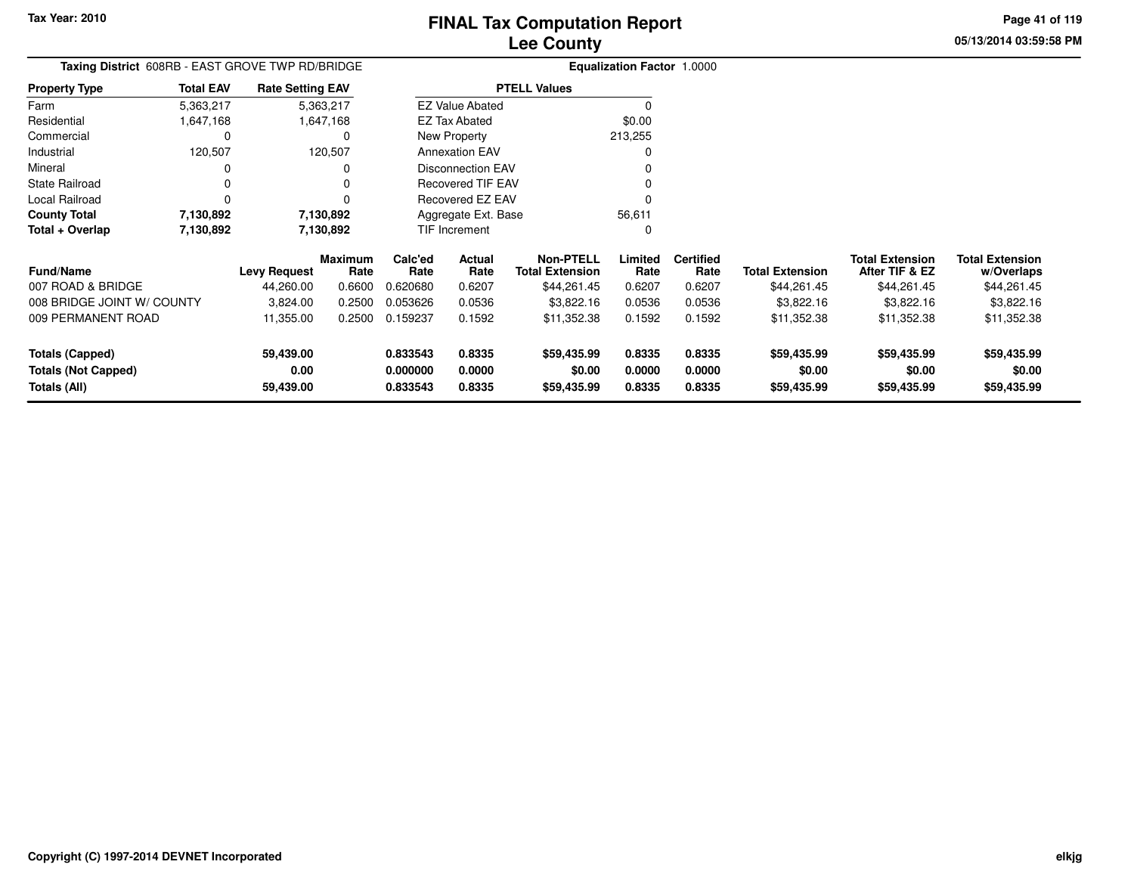**Totals (Capped)**

**Totals (All)**

**Totals (Not Capped)**

**59,439.00**

**59,439.00**

**0.00**

# **Lee CountyFINAL Tax Computation Report**

**05/13/2014 03:59:58 PMPage 41 of 119**

| Taxing District 608RB - EAST GROVE TWP RD/BRIDGE |                  |                         |                        | <b>Equalization Factor 1.0000</b> |                                   |                                            |                 |                          |                        |                                          |                                      |
|--------------------------------------------------|------------------|-------------------------|------------------------|-----------------------------------|-----------------------------------|--------------------------------------------|-----------------|--------------------------|------------------------|------------------------------------------|--------------------------------------|
| <b>Property Type</b>                             | <b>Total EAV</b> | <b>Rate Setting EAV</b> |                        |                                   |                                   | <b>PTELL Values</b>                        |                 |                          |                        |                                          |                                      |
| Farm                                             | 5,363,217        |                         | 5,363,217              |                                   | <b>EZ Value Abated</b>            |                                            |                 |                          |                        |                                          |                                      |
| Residential                                      | 647,168          |                         | 1,647,168              |                                   | EZ Tax Abated                     |                                            | \$0.00          |                          |                        |                                          |                                      |
| Commercial                                       | 0                |                         | 0                      |                                   | New Property                      |                                            | 213,255         |                          |                        |                                          |                                      |
| Industrial                                       | 120,507          |                         | 120,507                |                                   | <b>Annexation EAV</b><br>$\Omega$ |                                            |                 |                          |                        |                                          |                                      |
| Mineral                                          | 0                |                         | 0                      |                                   | <b>Disconnection EAV</b>          |                                            |                 |                          |                        |                                          |                                      |
| State Railroad                                   | 0                |                         |                        |                                   | <b>Recovered TIF EAV</b>          |                                            |                 |                          |                        |                                          |                                      |
| Local Railroad                                   | $\Omega$         |                         | 0                      |                                   | Recovered EZ EAV                  |                                            | $\Omega$        |                          |                        |                                          |                                      |
| <b>County Total</b>                              | 7,130,892        |                         | 7,130,892              |                                   | Aggregate Ext. Base               |                                            | 56,611          |                          |                        |                                          |                                      |
| Total + Overlap                                  | 7,130,892        |                         | 7,130,892              |                                   | TIF Increment                     |                                            | 0               |                          |                        |                                          |                                      |
| <b>Fund/Name</b>                                 |                  | <b>Levy Request</b>     | <b>Maximum</b><br>Rate | Calc'ed<br>Rate                   | Actual<br>Rate                    | <b>Non-PTELL</b><br><b>Total Extension</b> | Limited<br>Rate | <b>Certified</b><br>Rate | <b>Total Extension</b> | <b>Total Extension</b><br>After TIF & EZ | <b>Total Extension</b><br>w/Overlaps |
| 007 ROAD & BRIDGE                                |                  | 44,260.00               | 0.6600                 | 0.620680                          | 0.6207                            | \$44,261.45                                | 0.6207          | 0.6207                   | \$44,261.45            | \$44,261.45                              | \$44,261.45                          |
| 008 BRIDGE JOINT W/ COUNTY                       |                  | 3,824.00                | 0.2500                 | 0.053626                          | 0.0536                            | \$3,822.16                                 | 0.0536          | 0.0536                   | \$3,822.16             | \$3,822.16                               | \$3,822.16                           |
| 009 PERMANENT ROAD                               |                  | 11,355.00               | 0.2500                 | 0.159237                          | 0.1592                            | \$11,352.38                                | 0.1592          | 0.1592                   | \$11,352.38            | \$11,352.38                              | \$11,352.38                          |

**0.833543 0.8335 \$59,435.99 0.8335 0.8335 \$59,435.99 \$59,435.99 \$59,435.99**

**0.000000 0.0000 \$0.00 0.0000 0.0000 \$0.00 \$0.00 \$0.00**

**0.833543 0.8335 \$59,435.99 0.8335 0.8335 \$59,435.99 \$59,435.99 \$59,435.99**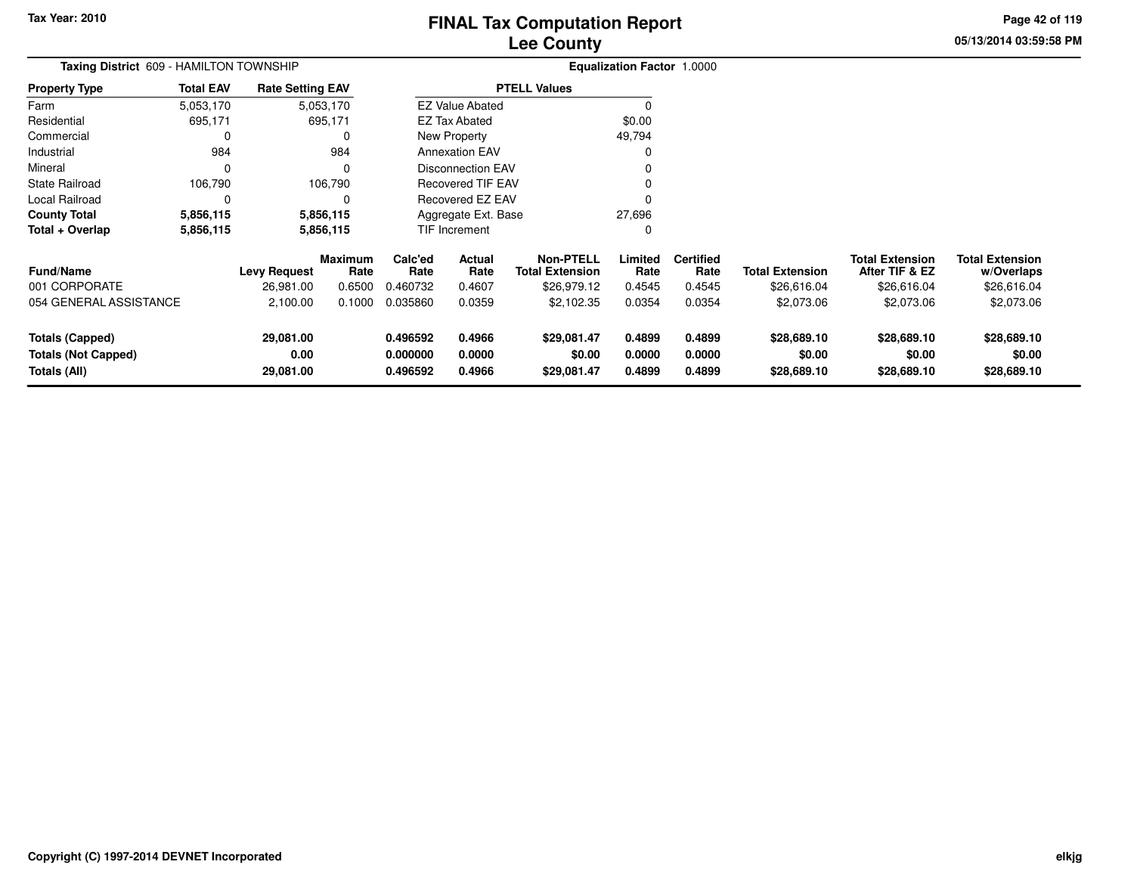**05/13/2014 03:59:58 PM Page 42 of 119**

| Taxing District 609 - HAMILTON TOWNSHIP                              |                  |                                |                        |                                  |                            |                                            | <b>Equalization Factor 1.0000</b> |                            |                                      |                                          |                                      |
|----------------------------------------------------------------------|------------------|--------------------------------|------------------------|----------------------------------|----------------------------|--------------------------------------------|-----------------------------------|----------------------------|--------------------------------------|------------------------------------------|--------------------------------------|
| <b>Property Type</b>                                                 | <b>Total EAV</b> | <b>Rate Setting EAV</b>        |                        |                                  |                            | <b>PTELL Values</b>                        |                                   |                            |                                      |                                          |                                      |
| Farm                                                                 | 5,053,170        |                                | 5,053,170              |                                  | <b>EZ Value Abated</b>     |                                            | $\Omega$                          |                            |                                      |                                          |                                      |
| Residential                                                          | 695,171          |                                | 695,171                |                                  | <b>EZ Tax Abated</b>       |                                            | \$0.00                            |                            |                                      |                                          |                                      |
| Commercial                                                           | 0                |                                | 0                      |                                  | New Property               |                                            | 49,794                            |                            |                                      |                                          |                                      |
| Industrial                                                           | 984              |                                | 984                    |                                  | <b>Annexation EAV</b>      |                                            | 0                                 |                            |                                      |                                          |                                      |
| Mineral                                                              | 0                |                                | $\Omega$               |                                  | <b>Disconnection EAV</b>   |                                            |                                   |                            |                                      |                                          |                                      |
| State Railroad                                                       | 106,790          |                                | 106,790                |                                  | <b>Recovered TIF EAV</b>   |                                            |                                   |                            |                                      |                                          |                                      |
| Local Railroad                                                       | 0                |                                |                        |                                  | Recovered EZ EAV           |                                            | O                                 |                            |                                      |                                          |                                      |
| <b>County Total</b>                                                  | 5,856,115        |                                | 5,856,115              | 27,696<br>Aggregate Ext. Base    |                            |                                            |                                   |                            |                                      |                                          |                                      |
| Total + Overlap                                                      | 5,856,115        |                                | 5,856,115              |                                  | TIF Increment              |                                            | 0                                 |                            |                                      |                                          |                                      |
| Fund/Name                                                            |                  | <b>Levy Request</b>            | <b>Maximum</b><br>Rate | Calc'ed<br>Rate                  | <b>Actual</b><br>Rate      | <b>Non-PTELL</b><br><b>Total Extension</b> | Limited<br>Rate                   | <b>Certified</b><br>Rate   | <b>Total Extension</b>               | <b>Total Extension</b><br>After TIF & EZ | <b>Total Extension</b><br>w/Overlaps |
| 001 CORPORATE                                                        |                  | 26,981.00                      | 0.6500                 | 0.460732                         | 0.4607                     | \$26,979.12                                | 0.4545                            | 0.4545                     | \$26,616.04                          | \$26,616.04                              | \$26,616.04                          |
| 054 GENERAL ASSISTANCE                                               |                  | 2,100.00                       | 0.1000                 | 0.035860                         | 0.0359                     | \$2,102.35                                 | 0.0354                            | 0.0354                     | \$2,073.06                           | \$2,073.06                               | \$2,073.06                           |
| <b>Totals (Capped)</b><br><b>Totals (Not Capped)</b><br>Totals (All) |                  | 29,081.00<br>0.00<br>29,081.00 |                        | 0.496592<br>0.000000<br>0.496592 | 0.4966<br>0.0000<br>0.4966 | \$29,081.47<br>\$0.00<br>\$29,081.47       | 0.4899<br>0.0000<br>0.4899        | 0.4899<br>0.0000<br>0.4899 | \$28,689.10<br>\$0.00<br>\$28,689.10 | \$28,689.10<br>\$0.00<br>\$28,689.10     | \$28,689.10<br>\$0.00<br>\$28,689.10 |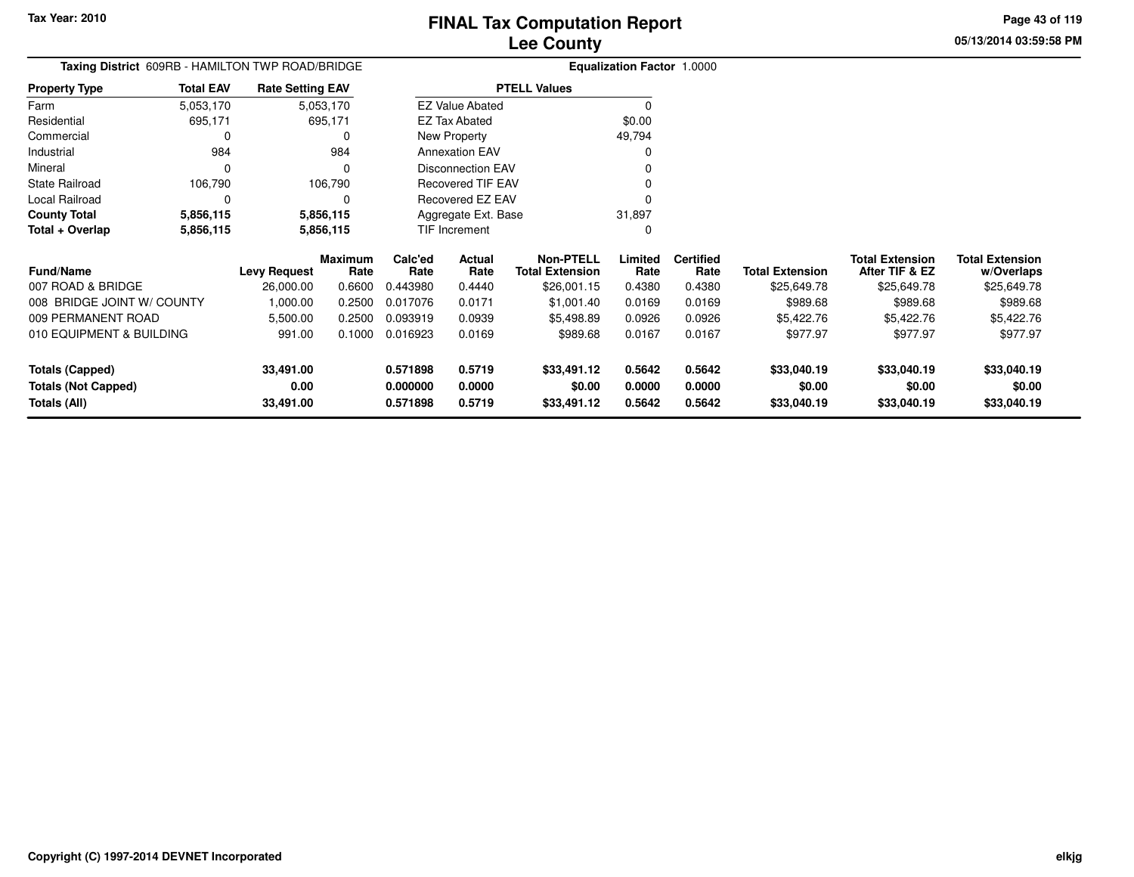**Totals (All)**

# **Lee CountyFINAL Tax Computation Report**

**0.000000 0.0000 \$0.00 0.0000 0.0000 \$0.00 \$0.00 \$0.00**

**0.571898 0.5719 \$33,491.12 0.5642 0.5642 \$33,040.19 \$33,040.19 \$33,040.19**

**05/13/2014 03:59:58 PMPage 43 of 119**

| Taxing District 609RB - HAMILTON TWP ROAD/BRIDGE |                  |                         |                        |                 |                        |                                            | Equalization Factor 1.0000 |                          |                        |                                          |                                      |
|--------------------------------------------------|------------------|-------------------------|------------------------|-----------------|------------------------|--------------------------------------------|----------------------------|--------------------------|------------------------|------------------------------------------|--------------------------------------|
| <b>Property Type</b>                             | <b>Total EAV</b> | <b>Rate Setting EAV</b> |                        |                 |                        | <b>PTELL Values</b>                        |                            |                          |                        |                                          |                                      |
| Farm                                             | 5,053,170        |                         | 5,053,170              |                 | <b>EZ Value Abated</b> |                                            |                            |                          |                        |                                          |                                      |
| Residential                                      | 695,171          |                         | 695,171                |                 | <b>EZ Tax Abated</b>   |                                            | \$0.00                     |                          |                        |                                          |                                      |
| Commercial                                       |                  |                         | 0                      |                 | New Property           |                                            | 49,794                     |                          |                        |                                          |                                      |
| Industrial                                       | 984              |                         | 984                    |                 | <b>Annexation EAV</b>  |                                            |                            |                          |                        |                                          |                                      |
| Mineral                                          |                  |                         | $\Omega$               |                 | Disconnection EAV      |                                            |                            |                          |                        |                                          |                                      |
| <b>State Railroad</b>                            | 106,790          |                         | 106,790                |                 | Recovered TIF EAV      |                                            |                            |                          |                        |                                          |                                      |
| Local Railroad                                   | ∩                |                         |                        |                 | Recovered EZ EAV       |                                            |                            |                          |                        |                                          |                                      |
| <b>County Total</b><br>5,856,115                 |                  |                         | 5,856,115              |                 | Aggregate Ext. Base    |                                            | 31,897                     |                          |                        |                                          |                                      |
| Total + Overlap                                  | 5,856,115        | 5,856,115               |                        |                 | TIF Increment          |                                            |                            |                          |                        |                                          |                                      |
| <b>Fund/Name</b>                                 |                  | <b>Levy Request</b>     | <b>Maximum</b><br>Rate | Calc'ed<br>Rate | Actual<br>Rate         | <b>Non-PTELL</b><br><b>Total Extension</b> | Limited<br>Rate            | <b>Certified</b><br>Rate | <b>Total Extension</b> | <b>Total Extension</b><br>After TIF & EZ | <b>Total Extension</b><br>w/Overlaps |
| 007 ROAD & BRIDGE                                |                  | 26,000.00               | 0.6600                 | 0.443980        | 0.4440                 | \$26,001.15                                | 0.4380                     | 0.4380                   | \$25,649.78            | \$25,649.78                              | \$25,649.78                          |
| 008 BRIDGE JOINT W/ COUNTY                       |                  | 1,000.00                | 0.2500                 | 0.017076        | 0.0171                 | \$1,001.40                                 | 0.0169                     | 0.0169                   | \$989.68               | \$989.68                                 | \$989.68                             |
| 009 PERMANENT ROAD                               |                  | 5,500.00                | 0.2500                 | 0.093919        | 0.0939                 | \$5,498.89                                 | 0.0926                     | 0.0926                   | \$5,422.76             | \$5,422.76                               | \$5,422.76                           |
| 010 EQUIPMENT & BUILDING                         |                  | 991.00                  | 0.1000                 | 0.016923        | 0.0169                 | \$989.68                                   | 0.0167                     | 0.0167                   | \$977.97               | \$977.97                                 | \$977.97                             |
| <b>Totals (Capped)</b>                           |                  | 33,491.00               |                        | 0.571898        | 0.5719                 | \$33,491.12                                | 0.5642                     | 0.5642                   | \$33,040.19            | \$33,040.19                              | \$33,040.19                          |
| <b>Totals (Not Capped)</b>                       |                  | 0.00                    |                        | 0.000000        | 0.0000                 | \$0.00                                     | 0.0000                     | 0.0000                   | \$0.00                 | \$0.00                                   | \$0.00                               |

**33,491.00**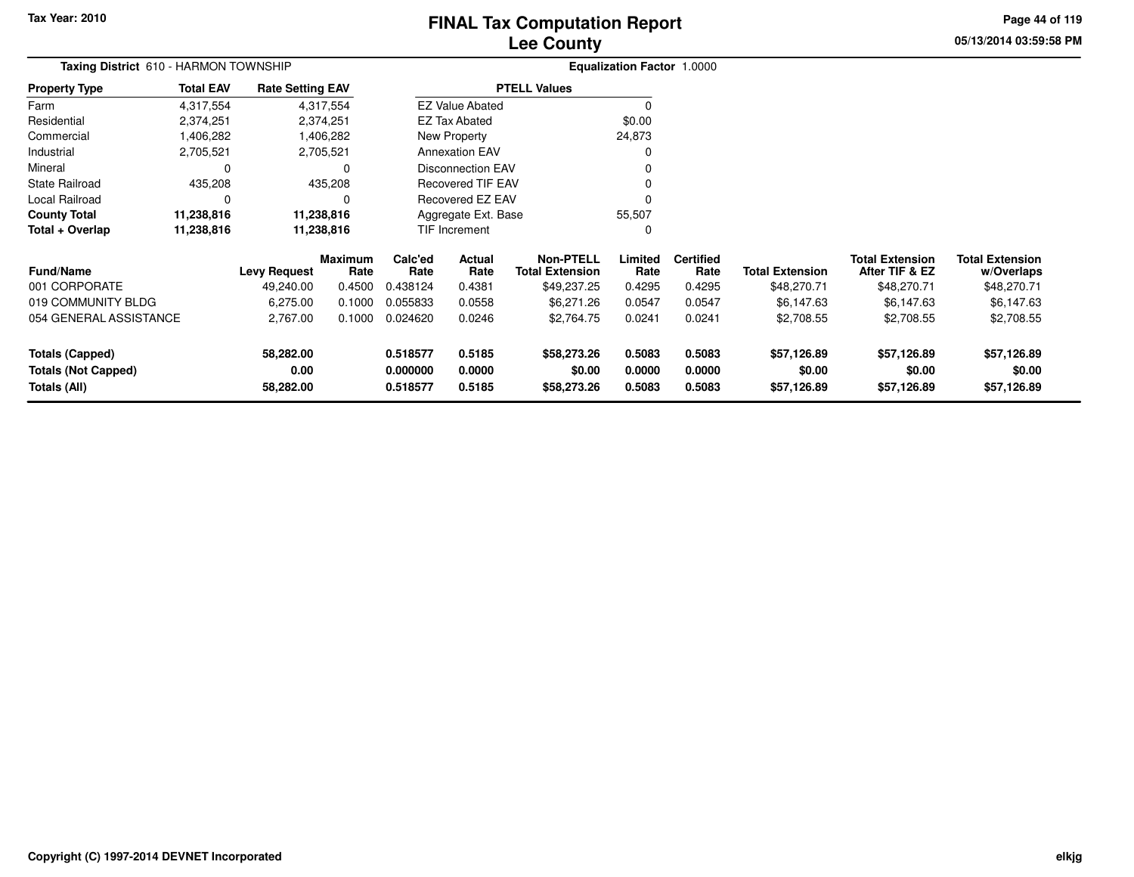# **Lee CountyFINAL Tax Computation Report**

**05/13/2014 03:59:58 PMPage 44 of 119**

| <b>Rate Setting EAV</b>                                                                                                                          |                                     |                                                                                              | <b>EZ Value Abated</b><br><b>EZ Tax Abated</b> | <b>PTELL Values</b>                        |                                                                                         |                          |                        |                                          |                                      |
|--------------------------------------------------------------------------------------------------------------------------------------------------|-------------------------------------|----------------------------------------------------------------------------------------------|------------------------------------------------|--------------------------------------------|-----------------------------------------------------------------------------------------|--------------------------|------------------------|------------------------------------------|--------------------------------------|
| <b>Total EAV</b><br><b>Property Type</b><br>4,317,554<br>4,317,554<br>2,374,251<br>2,374,251<br>1,406,282<br>1,406,282<br>2,705,521<br>2,705,521 |                                     |                                                                                              |                                                |                                            |                                                                                         |                          |                        |                                          |                                      |
|                                                                                                                                                  |                                     |                                                                                              |                                                |                                            |                                                                                         |                          |                        |                                          |                                      |
|                                                                                                                                                  |                                     |                                                                                              |                                                |                                            | \$0.00                                                                                  |                          |                        |                                          |                                      |
|                                                                                                                                                  |                                     |                                                                                              | New Property                                   |                                            | 24,873                                                                                  |                          |                        |                                          |                                      |
|                                                                                                                                                  |                                     |                                                                                              | <b>Annexation EAV</b>                          |                                            |                                                                                         |                          |                        |                                          |                                      |
| $\Omega$                                                                                                                                         |                                     |                                                                                              |                                                |                                            |                                                                                         |                          |                        |                                          |                                      |
|                                                                                                                                                  |                                     |                                                                                              |                                                |                                            |                                                                                         |                          |                        |                                          |                                      |
| $\Omega$                                                                                                                                         |                                     |                                                                                              |                                                |                                            |                                                                                         |                          |                        |                                          |                                      |
|                                                                                                                                                  |                                     |                                                                                              | Aggregate Ext. Base                            |                                            |                                                                                         |                          |                        |                                          |                                      |
|                                                                                                                                                  |                                     | <b>TIF Increment</b>                                                                         |                                                |                                            | 0                                                                                       |                          |                        |                                          |                                      |
|                                                                                                                                                  | Maximum                             | Calc'ed<br>Rate                                                                              | Actual<br>Rate                                 | <b>Non-PTELL</b><br><b>Total Extension</b> | Limited<br>Rate                                                                         | <b>Certified</b><br>Rate | <b>Total Extension</b> | <b>Total Extension</b><br>After TIF & EZ | <b>Total Extension</b><br>w/Overlaps |
| 49,240.00                                                                                                                                        | 0.4500                              | 0.438124                                                                                     | 0.4381                                         | \$49,237.25                                | 0.4295                                                                                  | 0.4295                   | \$48,270.71            | \$48,270.71                              | \$48,270.71                          |
| 6,275.00                                                                                                                                         | 0.1000                              | 0.055833                                                                                     | 0.0558                                         | \$6,271.26                                 | 0.0547                                                                                  | 0.0547                   | \$6,147.63             | \$6,147.63                               | \$6,147.63                           |
| 2,767.00                                                                                                                                         | 0.1000                              | 0.024620                                                                                     | 0.0246                                         | \$2,764.75                                 | 0.0241                                                                                  | 0.0241                   | \$2,708.55             | \$2,708.55                               | \$2,708.55                           |
| 0.00                                                                                                                                             |                                     | 0.518577<br>0.000000                                                                         | 0.5185<br>0.0000                               | \$58,273.26<br>\$0.00                      | 0.5083<br>0.0000                                                                        | 0.5083<br>0.0000         | \$57,126.89<br>\$0.00  | \$57,126.89<br>\$0.00                    | \$57,126.89<br>\$0.00<br>\$57,126.89 |
|                                                                                                                                                  | 435,208<br>11,238,816<br>11,238,816 | 435,208<br>11,238,816<br>11,238,816<br>Rate<br><b>Levy Request</b><br>58,282.00<br>58,282.00 | 0.518577                                       | 0.5185                                     | <b>Disconnection EAV</b><br><b>Recovered TIF EAV</b><br>Recovered EZ EAV<br>\$58,273.26 | 55,507<br>0.5083         | 0.5083                 | \$57,126.89                              | \$57,126.89                          |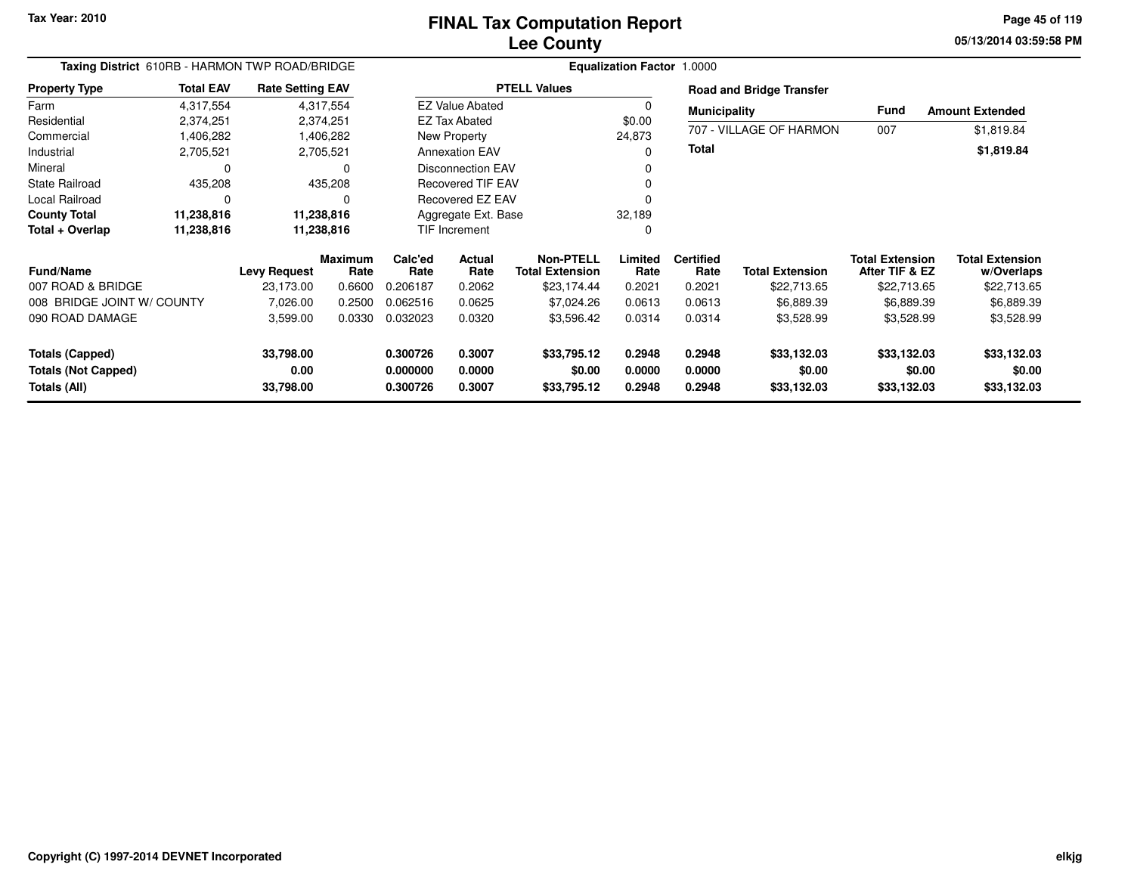**05/13/2014 03:59:58 PMPage 45 of 119**

| Taxing District 610RB - HARMON TWP ROAD/BRIDGE |                  |                         |                 | <b>Equalization Factor 1.0000</b> |                          |                                     |                 |                          |                                 |                                          |                                      |  |
|------------------------------------------------|------------------|-------------------------|-----------------|-----------------------------------|--------------------------|-------------------------------------|-----------------|--------------------------|---------------------------------|------------------------------------------|--------------------------------------|--|
| <b>Property Type</b>                           | <b>Total EAV</b> | <b>Rate Setting EAV</b> |                 |                                   |                          | <b>PTELL Values</b>                 |                 |                          | <b>Road and Bridge Transfer</b> |                                          |                                      |  |
| Farm                                           | 4,317,554        |                         | 4,317,554       |                                   | <b>EZ Value Abated</b>   |                                     | 0               | <b>Municipality</b>      |                                 | Fund                                     | <b>Amount Extended</b>               |  |
| Residential                                    | 2,374,251        |                         | 2,374,251       |                                   | <b>EZ Tax Abated</b>     |                                     | \$0.00          |                          |                                 |                                          |                                      |  |
| Commercial                                     | 1,406,282        |                         | 1,406,282       |                                   | New Property             |                                     | 24,873          |                          | 707 - VILLAGE OF HARMON         | 007                                      | \$1,819.84                           |  |
| Industrial                                     | 2,705,521        |                         | 2,705,521       |                                   | <b>Annexation EAV</b>    |                                     | 0               | Total                    |                                 |                                          | \$1,819.84                           |  |
| Mineral                                        | $\Omega$         |                         | $\Omega$        |                                   | <b>Disconnection EAV</b> |                                     | O               |                          |                                 |                                          |                                      |  |
| <b>State Railroad</b>                          | 435,208          |                         | 435,208         |                                   | <b>Recovered TIF EAV</b> |                                     |                 |                          |                                 |                                          |                                      |  |
| Local Railroad                                 | $\Omega$         |                         | 0               |                                   | Recovered EZ EAV         |                                     |                 |                          |                                 |                                          |                                      |  |
| <b>County Total</b>                            | 11,238,816       |                         | 11,238,816      |                                   | Aggregate Ext. Base      |                                     | 32,189          |                          |                                 |                                          |                                      |  |
| Total + Overlap                                | 11,238,816       |                         | 11,238,816      |                                   | TIF Increment<br>0       |                                     |                 |                          |                                 |                                          |                                      |  |
| <b>Fund/Name</b>                               |                  | <b>Levy Request</b>     | Maximum<br>Rate | Calc'ed<br>Rate                   | <b>Actual</b><br>Rate    | Non-PTELL<br><b>Total Extension</b> | Limited<br>Rate | <b>Certified</b><br>Rate | <b>Total Extension</b>          | <b>Total Extension</b><br>After TIF & EZ | <b>Total Extension</b><br>w/Overlaps |  |
| 007 ROAD & BRIDGE                              |                  | 23,173.00               | 0.6600          | 0.206187                          | 0.2062                   | \$23,174.44                         | 0.2021          | 0.2021                   | \$22,713.65                     | \$22,713.65                              | \$22,713.65                          |  |
| 008 BRIDGE JOINT W/ COUNTY                     |                  | 7,026.00                | 0.2500          | 0.062516                          | 0.0625                   | \$7,024.26                          | 0.0613          | 0.0613                   | \$6,889.39                      | \$6,889.39                               | \$6,889.39                           |  |
| 090 ROAD DAMAGE                                |                  | 3,599.00                | 0.0330          | 0.032023                          | 0.0320                   | \$3,596.42                          | 0.0314          | 0.0314                   | \$3,528.99                      | \$3,528.99                               | \$3,528.99                           |  |
| <b>Totals (Capped)</b>                         |                  | 33,798.00               |                 | 0.300726                          | 0.3007                   | \$33,795.12                         | 0.2948          | 0.2948                   | \$33,132.03                     | \$33,132.03                              | \$33,132.03                          |  |
| <b>Totals (Not Capped)</b>                     |                  | 0.00                    |                 | 0.000000                          | 0.0000                   | \$0.00                              | 0.0000          | 0.0000                   | \$0.00                          | \$0.00                                   | \$0.00                               |  |
| Totals (All)                                   |                  | 33,798.00               |                 | 0.300726                          | 0.3007                   | \$33,795.12                         | 0.2948          | 0.2948                   | \$33,132.03                     | \$33,132.03                              | \$33,132.03                          |  |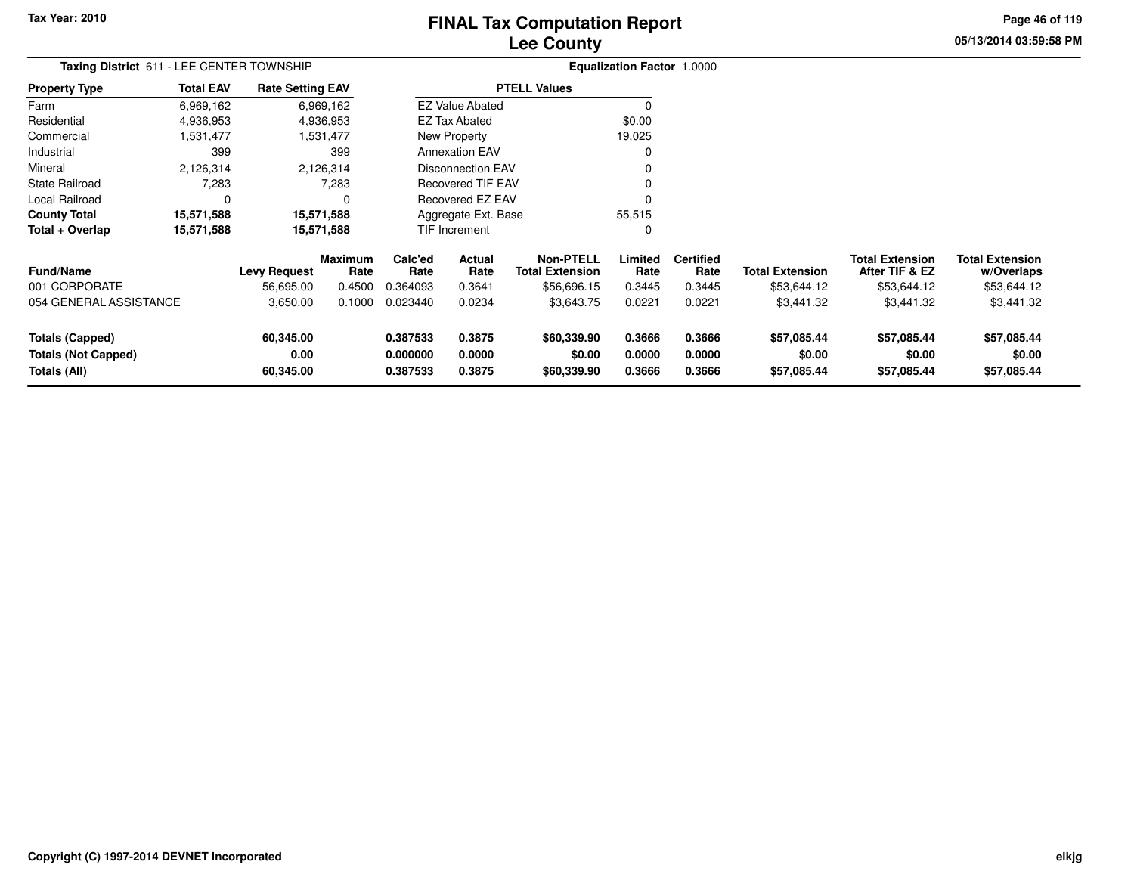# **Lee CountyFINAL Tax Computation Report**

**05/13/2014 03:59:58 PM Page 46 of 119**

| Taxing District 611 - LEE CENTER TOWNSHIP |                  |                         |                        |                     |                          |                                            | Equalization Factor 1.0000 |                          |                        |                                          |                                      |
|-------------------------------------------|------------------|-------------------------|------------------------|---------------------|--------------------------|--------------------------------------------|----------------------------|--------------------------|------------------------|------------------------------------------|--------------------------------------|
| <b>Property Type</b>                      | <b>Total EAV</b> | <b>Rate Setting EAV</b> |                        |                     |                          | <b>PTELL Values</b>                        |                            |                          |                        |                                          |                                      |
| Farm                                      | 6,969,162        |                         | 6,969,162              |                     | <b>EZ Value Abated</b>   |                                            | $\Omega$                   |                          |                        |                                          |                                      |
| Residential                               | 4,936,953        |                         | 4,936,953              |                     | EZ Tax Abated            |                                            | \$0.00                     |                          |                        |                                          |                                      |
| Commercial                                | 1,531,477        |                         | 1,531,477              |                     | New Property             |                                            | 19,025                     |                          |                        |                                          |                                      |
| Industrial                                | 399              |                         | 399                    |                     | <b>Annexation EAV</b>    |                                            |                            |                          |                        |                                          |                                      |
| Mineral                                   | 2,126,314        |                         | 2,126,314              |                     | <b>Disconnection EAV</b> |                                            |                            |                          |                        |                                          |                                      |
| <b>State Railroad</b>                     | 7,283            |                         | 7,283                  |                     | <b>Recovered TIF EAV</b> |                                            |                            |                          |                        |                                          |                                      |
| Local Railroad                            | 0                |                         |                        |                     | <b>Recovered EZ EAV</b>  |                                            |                            |                          |                        |                                          |                                      |
| <b>County Total</b>                       | 15,571,588       | 15,571,588              |                        | Aggregate Ext. Base |                          |                                            | 55,515                     |                          |                        |                                          |                                      |
| Total + Overlap                           | 15,571,588       | 15,571,588              |                        |                     | TIF Increment            |                                            | 0                          |                          |                        |                                          |                                      |
| <b>Fund/Name</b>                          |                  | <b>Levy Request</b>     | <b>Maximum</b><br>Rate | Calc'ed<br>Rate     | Actual<br>Rate           | <b>Non-PTELL</b><br><b>Total Extension</b> | Limited<br>Rate            | <b>Certified</b><br>Rate | <b>Total Extension</b> | <b>Total Extension</b><br>After TIF & EZ | <b>Total Extension</b><br>w/Overlaps |
| 001 CORPORATE                             |                  | 56,695.00               | 0.4500                 | 0.364093            | 0.3641                   | \$56,696.15                                | 0.3445                     | 0.3445                   | \$53,644.12            | \$53,644.12                              | \$53,644.12                          |
| 054 GENERAL ASSISTANCE                    |                  | 3,650.00                | 0.1000                 | 0.023440            | 0.0234                   | \$3,643.75                                 | 0.0221                     | 0.0221                   | \$3,441.32             | \$3,441.32                               | \$3,441.32                           |
| <b>Totals (Capped)</b>                    |                  | 60,345.00               |                        | 0.387533            | 0.3875                   | \$60,339.90                                | 0.3666                     | 0.3666                   | \$57,085.44            | \$57,085.44                              | \$57,085.44                          |
| <b>Totals (Not Capped)</b>                |                  | 0.00                    |                        | 0.000000            | 0.0000                   | \$0.00                                     | 0.0000                     | 0.0000                   | \$0.00                 | \$0.00                                   | \$0.00                               |
| Totals (All)                              |                  | 60,345.00               |                        | 0.387533            | 0.3875                   | \$60,339.90                                | 0.3666                     | 0.3666                   | \$57,085.44            | \$57,085.44                              | \$57,085.44                          |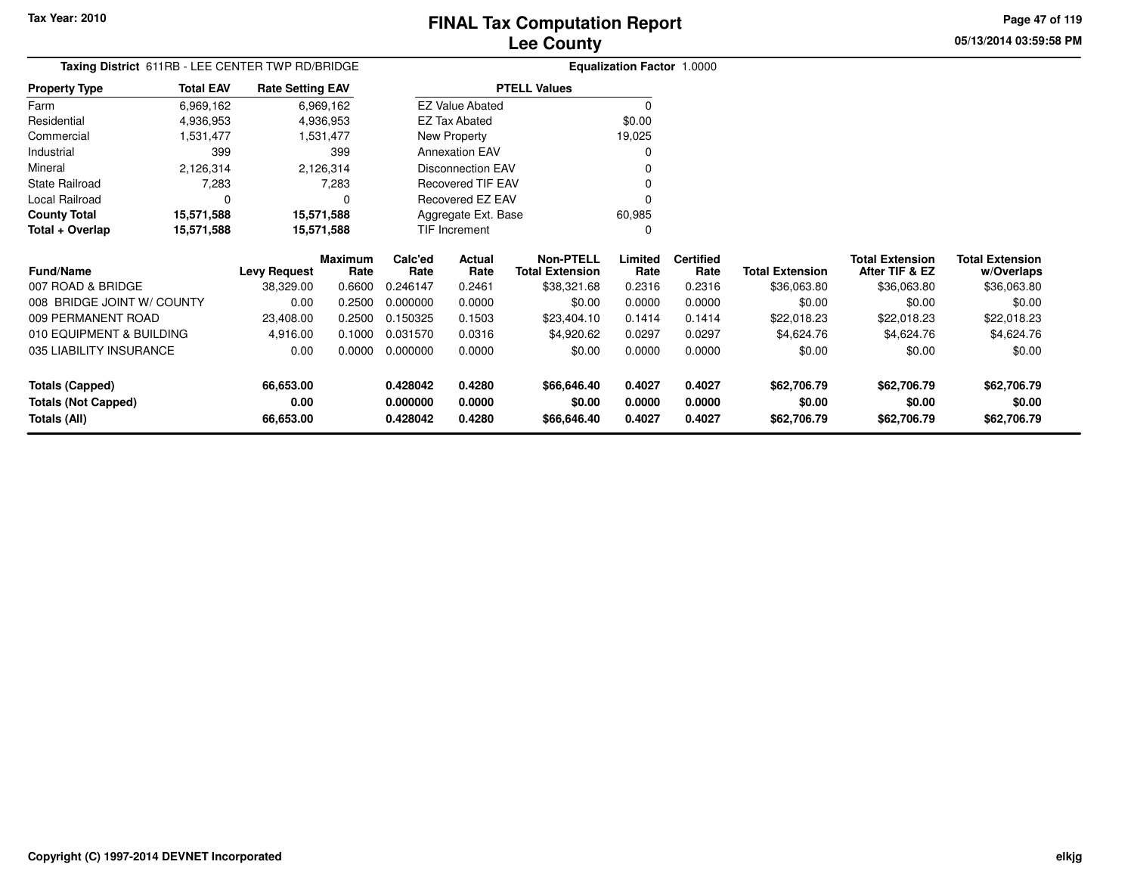**Totals (Not Capped)**

**Totals (All)**

# **Lee CountyFINAL Tax Computation Report**

**0.428042 0.4280 \$66,646.40 0.4027 0.4027 \$62,706.79 \$62,706.79 \$62,706.79**

**0.000000 0.0000 \$0.00 0.0000 0.0000 \$0.00 \$0.00 \$0.00**

**0.428042 0.4280 \$66,646.40 0.4027 0.4027 \$62,706.79 \$62,706.79 \$62,706.79**

**05/13/2014 03:59:58 PMPage 47 of 119**

> **w/Overlaps** \$36,063.80

| Taxing District 611RB - LEE CENTER TWP RD/BRIDGE |                  |                         |                        |                 | Equalization Factor 1.0000 |                                            |                 |                          |                        |                                          |                                      |
|--------------------------------------------------|------------------|-------------------------|------------------------|-----------------|----------------------------|--------------------------------------------|-----------------|--------------------------|------------------------|------------------------------------------|--------------------------------------|
| <b>Property Type</b>                             | <b>Total EAV</b> | <b>Rate Setting EAV</b> |                        |                 |                            | <b>PTELL Values</b>                        |                 |                          |                        |                                          |                                      |
| Farm                                             | 6,969,162        |                         | 6,969,162              |                 | <b>EZ Value Abated</b>     |                                            | 0               |                          |                        |                                          |                                      |
| Residential                                      | 4,936,953        |                         | 4,936,953              |                 | EZ Tax Abated              |                                            | \$0.00          |                          |                        |                                          |                                      |
| Commercial                                       | 1,531,477        |                         | 1,531,477              |                 | New Property               |                                            | 19,025          |                          |                        |                                          |                                      |
| Industrial                                       | 399              |                         | 399                    |                 | <b>Annexation EAV</b>      |                                            | 0               |                          |                        |                                          |                                      |
| Mineral                                          | 2,126,314        |                         | 2,126,314              |                 | Disconnection EAV          |                                            | 0               |                          |                        |                                          |                                      |
| <b>State Railroad</b>                            | 7,283            |                         | 7,283                  |                 | Recovered TIF EAV          |                                            | 0               |                          |                        |                                          |                                      |
| Local Railroad                                   | 0                |                         | 0                      |                 | Recovered EZ EAV           |                                            | 0               |                          |                        |                                          |                                      |
| <b>County Total</b>                              | 15,571,588       |                         | 15,571,588             |                 | Aggregate Ext. Base        |                                            | 60,985          |                          |                        |                                          |                                      |
| Total + Overlap                                  | 15,571,588       | 15,571,588              |                        |                 | <b>TIF Increment</b>       |                                            | 0               |                          |                        |                                          |                                      |
| <b>Fund/Name</b>                                 |                  | <b>Levy Request</b>     | <b>Maximum</b><br>Rate | Calc'ed<br>Rate | Actual<br>Rate             | <b>Non-PTELL</b><br><b>Total Extension</b> | Limited<br>Rate | <b>Certified</b><br>Rate | <b>Total Extension</b> | <b>Total Extension</b><br>After TIF & EZ | <b>Total Extension</b><br>w/Overlaps |
| 007 ROAD & BRIDGE                                |                  | 38,329.00               | 0.6600                 | 0.246147        | 0.2461                     | \$38,321.68                                | 0.2316          | 0.2316                   | \$36,063.80            | \$36,063.80                              | \$36,063.80                          |
| 008 BRIDGE JOINT W/ COUNTY                       |                  | 0.00                    | 0.2500                 | 0.000000        | 0.0000                     | \$0.00                                     | 0.0000          | 0.0000                   | \$0.00                 | \$0.00                                   | \$0.00                               |
| 009 PERMANENT ROAD                               |                  | 23,408.00               | 0.2500                 | 0.150325        | 0.1503                     | \$23,404.10                                | 0.1414          | 0.1414                   | \$22,018.23            | \$22,018.23                              | \$22,018.23                          |
| 010 EQUIPMENT & BUILDING                         |                  | 4,916.00                | 0.1000                 | 0.031570        | 0.0316                     | \$4,920.62                                 | 0.0297          | 0.0297                   | \$4,624.76             | \$4,624.76                               | \$4,624.76                           |
| 035 LIABILITY INSURANCE                          |                  | 0.00                    | 0.0000                 | 0.000000        | 0.0000                     | \$0.00                                     | 0.0000          | 0.0000                   | \$0.00                 | \$0.00                                   | \$0.00                               |
| <b>Totals (Capped)</b>                           |                  | 66,653.00               |                        | 0.428042        | 0.4280                     | \$66,646.40                                | 0.4027          | 0.4027                   | \$62,706.79            | \$62,706.79                              | \$62,706.79                          |

**0.00**

**66,653.00**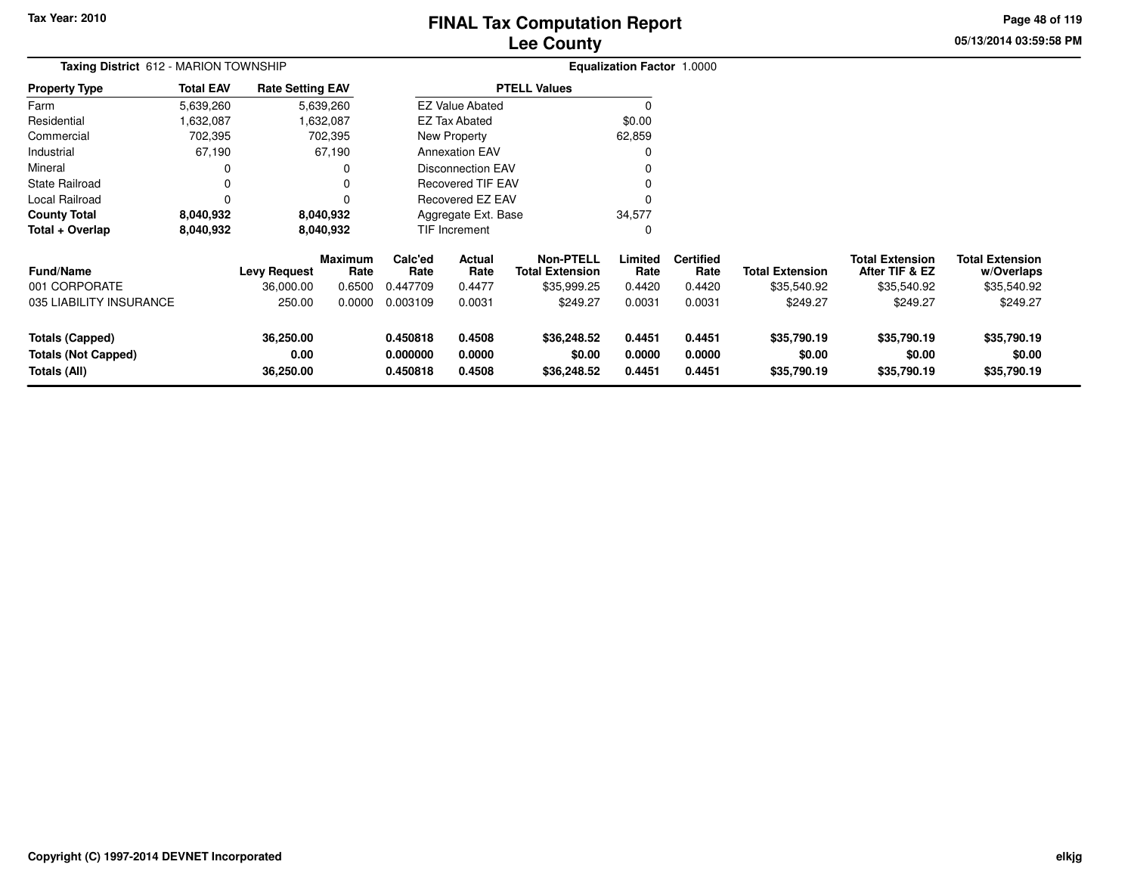# **Lee CountyFINAL Tax Computation Report**

**05/13/2014 03:59:58 PM Page 48 of 119**

| Taxing District 612 - MARION TOWNSHIP                                |                  |                                |                        |                                  | <b>Equalization Factor 1.0000</b> |                                      |                            |                            |                                      |                                          |                                      |
|----------------------------------------------------------------------|------------------|--------------------------------|------------------------|----------------------------------|-----------------------------------|--------------------------------------|----------------------------|----------------------------|--------------------------------------|------------------------------------------|--------------------------------------|
| <b>Property Type</b>                                                 | <b>Total EAV</b> | <b>Rate Setting EAV</b>        |                        |                                  |                                   | <b>PTELL Values</b>                  |                            |                            |                                      |                                          |                                      |
| Farm                                                                 | 5,639,260        |                                | 5,639,260              |                                  | <b>EZ Value Abated</b>            |                                      | $\Omega$                   |                            |                                      |                                          |                                      |
| Residential                                                          | 632,087,         |                                | 1,632,087              |                                  | <b>EZ Tax Abated</b>              |                                      | \$0.00                     |                            |                                      |                                          |                                      |
| Commercial                                                           | 702,395          |                                | 702,395                |                                  | New Property                      |                                      | 62,859                     |                            |                                      |                                          |                                      |
| Industrial                                                           | 67,190           |                                | 67,190                 |                                  | <b>Annexation EAV</b>             |                                      | 0                          |                            |                                      |                                          |                                      |
| Mineral                                                              | 0                |                                |                        |                                  | <b>Disconnection EAV</b>          |                                      |                            |                            |                                      |                                          |                                      |
| <b>State Railroad</b>                                                | 0                |                                |                        |                                  | Recovered TIF EAV                 |                                      |                            |                            |                                      |                                          |                                      |
| Local Railroad                                                       | $\Omega$         |                                |                        | <b>Recovered EZ EAV</b>          |                                   |                                      |                            |                            |                                      |                                          |                                      |
| <b>County Total</b>                                                  | 8,040,932        |                                | 8,040,932              | 34,577<br>Aggregate Ext. Base    |                                   |                                      |                            |                            |                                      |                                          |                                      |
| Total + Overlap                                                      | 8,040,932        |                                | 8,040,932              |                                  | TIF Increment                     |                                      | 0                          |                            |                                      |                                          |                                      |
| <b>Fund/Name</b>                                                     |                  | <b>Levy Request</b>            | <b>Maximum</b><br>Rate | Calc'ed<br>Rate                  | Actual<br>Rate                    | Non-PTELL<br><b>Total Extension</b>  | Limited<br>Rate            | <b>Certified</b><br>Rate   | <b>Total Extension</b>               | <b>Total Extension</b><br>After TIF & EZ | <b>Total Extension</b><br>w/Overlaps |
| 001 CORPORATE                                                        |                  | 36,000.00                      | 0.6500                 | 0.447709                         | 0.4477                            | \$35,999.25                          | 0.4420                     | 0.4420                     | \$35,540.92                          | \$35,540.92                              | \$35,540.92                          |
| 035 LIABILITY INSURANCE                                              |                  | 250.00                         | 0.0000                 | 0.003109                         | 0.0031                            | \$249.27                             | 0.0031                     | 0.0031                     | \$249.27                             | \$249.27                                 | \$249.27                             |
| <b>Totals (Capped)</b><br><b>Totals (Not Capped)</b><br>Totals (All) |                  | 36,250.00<br>0.00<br>36,250.00 |                        | 0.450818<br>0.000000<br>0.450818 | 0.4508<br>0.0000<br>0.4508        | \$36,248.52<br>\$0.00<br>\$36,248.52 | 0.4451<br>0.0000<br>0.4451 | 0.4451<br>0.0000<br>0.4451 | \$35,790.19<br>\$0.00<br>\$35,790.19 | \$35,790.19<br>\$0.00<br>\$35,790.19     | \$35,790.19<br>\$0.00<br>\$35,790.19 |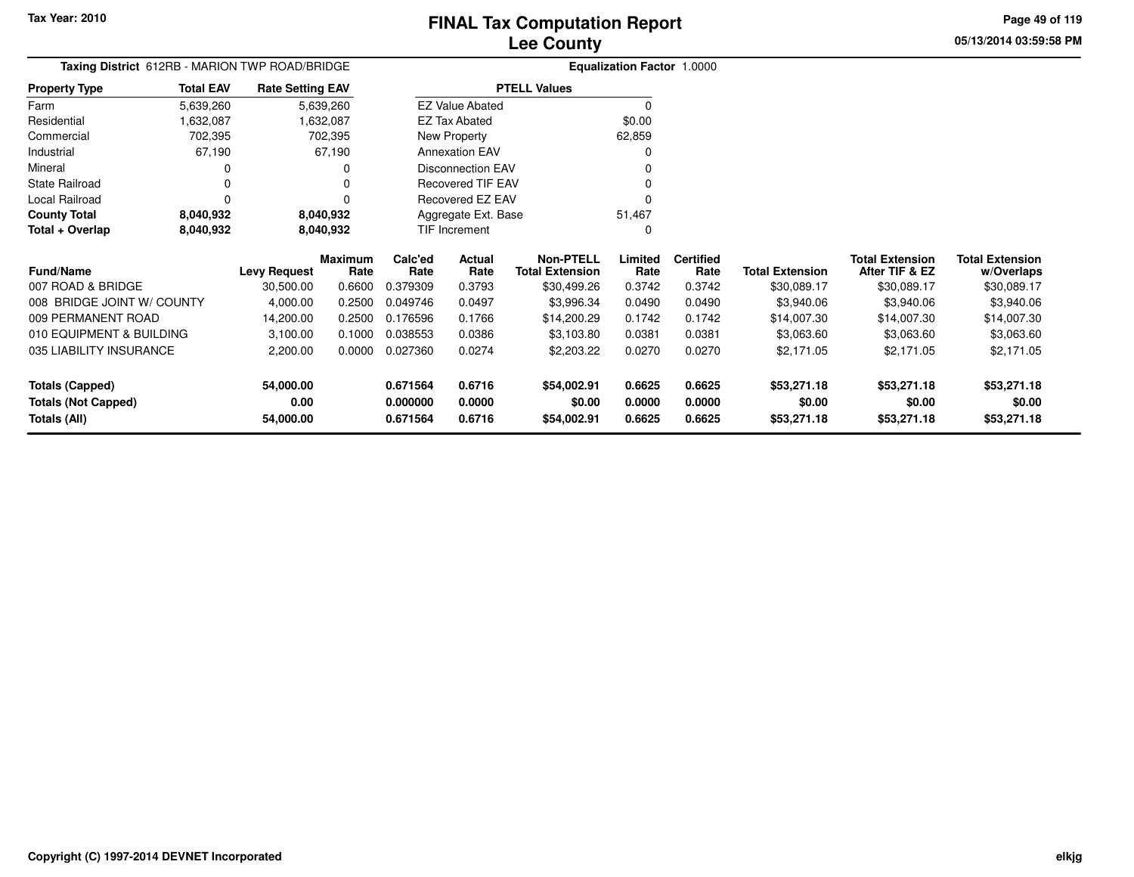**05/13/2014 03:59:58 PMPage 49 of 119**

| <b>Taxing District</b> 612RB - MARION TWP ROAD/BRIDGE |                  |                         |                 |                 |                          |                                            | <b>Equalization Factor 1.0000</b> |                          |                        |                                          |                                      |
|-------------------------------------------------------|------------------|-------------------------|-----------------|-----------------|--------------------------|--------------------------------------------|-----------------------------------|--------------------------|------------------------|------------------------------------------|--------------------------------------|
| <b>Property Type</b>                                  | <b>Total EAV</b> | <b>Rate Setting EAV</b> |                 |                 |                          | <b>PTELL Values</b>                        |                                   |                          |                        |                                          |                                      |
| Farm                                                  | 5,639,260        |                         | 5,639,260       |                 | <b>EZ Value Abated</b>   |                                            | $\Omega$                          |                          |                        |                                          |                                      |
| Residential                                           | 1,632,087        |                         | 1,632,087       |                 | <b>EZ Tax Abated</b>     |                                            | \$0.00                            |                          |                        |                                          |                                      |
| Commercial                                            | 702,395          |                         | 702,395         |                 | New Property             |                                            | 62,859                            |                          |                        |                                          |                                      |
| Industrial                                            | 67,190           |                         | 67,190          |                 | <b>Annexation EAV</b>    |                                            |                                   |                          |                        |                                          |                                      |
| Mineral                                               |                  |                         |                 |                 | <b>Disconnection EAV</b> |                                            |                                   |                          |                        |                                          |                                      |
| <b>State Railroad</b>                                 |                  |                         |                 |                 | <b>Recovered TIF EAV</b> |                                            |                                   |                          |                        |                                          |                                      |
| Local Railroad                                        | $\Omega$         |                         |                 |                 | Recovered EZ EAV         |                                            |                                   |                          |                        |                                          |                                      |
| <b>County Total</b>                                   | 8,040,932        |                         | 8,040,932       |                 | Aggregate Ext. Base      |                                            | 51,467                            |                          |                        |                                          |                                      |
| Total + Overlap                                       | 8,040,932        |                         | 8,040,932       |                 | TIF Increment            |                                            | O                                 |                          |                        |                                          |                                      |
| Fund/Name                                             |                  | <b>Levy Request</b>     | Maximum<br>Rate | Calc'ed<br>Rate | Actual<br>Rate           | <b>Non-PTELL</b><br><b>Total Extension</b> | Limited<br>Rate                   | <b>Certified</b><br>Rate | <b>Total Extension</b> | <b>Total Extension</b><br>After TIF & EZ | <b>Total Extension</b><br>w/Overlaps |
| 007 ROAD & BRIDGE                                     |                  | 30,500.00               | 0.6600          | 0.379309        | 0.3793                   | \$30,499.26                                | 0.3742                            | 0.3742                   | \$30,089.17            | \$30,089.17                              | \$30,089.17                          |
| 008 BRIDGE JOINT W/ COUNTY                            |                  | 4,000.00                | 0.2500          | 0.049746        | 0.0497                   | \$3,996.34                                 | 0.0490                            | 0.0490                   | \$3,940.06             | \$3,940.06                               | \$3,940.06                           |
| 009 PERMANENT ROAD                                    |                  | 14,200.00               | 0.2500          | 0.176596        | 0.1766                   | \$14,200.29                                | 0.1742                            | 0.1742                   | \$14,007.30            | \$14,007.30                              | \$14,007.30                          |
| 010 EQUIPMENT & BUILDING                              |                  | 3,100.00                | 0.1000          | 0.038553        | 0.0386                   | \$3,103.80                                 | 0.0381                            | 0.0381                   | \$3,063.60             | \$3,063.60                               | \$3,063.60                           |
| 035 LIABILITY INSURANCE                               |                  | 2,200.00                | 0.0000          | 0.027360        | 0.0274                   | \$2,203.22                                 | 0.0270                            | 0.0270                   | \$2,171.05             | \$2,171.05                               | \$2,171.05                           |
| <b>Totals (Capped)</b>                                |                  | 54,000.00               |                 | 0.671564        | 0.6716                   | \$54,002.91                                | 0.6625                            | 0.6625                   | \$53,271.18            | \$53,271.18                              | \$53,271.18                          |
| <b>Totals (Not Capped)</b>                            |                  | 0.00                    |                 | 0.000000        | 0.0000                   | \$0.00                                     | 0.0000                            | 0.0000                   | \$0.00                 | \$0.00                                   | \$0.00                               |
| Totals (All)                                          |                  | 54,000.00               |                 | 0.671564        | 0.6716                   | \$54,002.91                                | 0.6625                            | 0.6625                   | \$53,271.18            | \$53,271.18                              | \$53,271.18                          |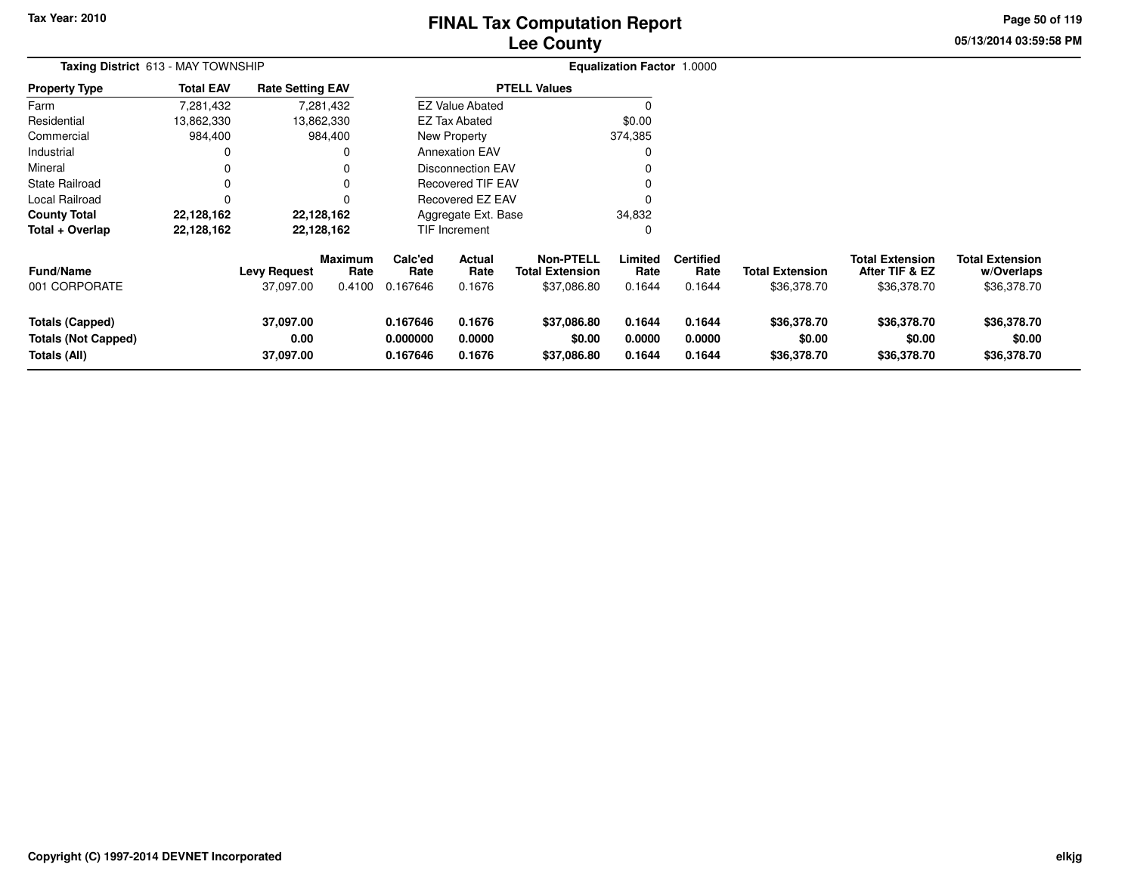# **Lee CountyFINAL Tax Computation Report**

**05/13/2014 03:59:58 PM Page 50 of 119**

| Taxing District 613 - MAY TOWNSHIP                                   |                  |                                  |                                  |                                  |                            |                                                           | <b>Equalization Factor 1.0000</b> |                                    |                                       |                                                         |                                                     |
|----------------------------------------------------------------------|------------------|----------------------------------|----------------------------------|----------------------------------|----------------------------|-----------------------------------------------------------|-----------------------------------|------------------------------------|---------------------------------------|---------------------------------------------------------|-----------------------------------------------------|
| <b>Property Type</b>                                                 | <b>Total EAV</b> | <b>Rate Setting EAV</b>          |                                  |                                  |                            | <b>PTELL Values</b>                                       |                                   |                                    |                                       |                                                         |                                                     |
| Farm                                                                 | 7,281,432        |                                  | 7,281,432                        |                                  | <b>EZ Value Abated</b>     |                                                           |                                   |                                    |                                       |                                                         |                                                     |
| Residential                                                          | 13,862,330       |                                  | 13,862,330                       |                                  | <b>EZ Tax Abated</b>       |                                                           | \$0.00                            |                                    |                                       |                                                         |                                                     |
| Commercial                                                           | 984,400          |                                  | 984,400                          |                                  | New Property               |                                                           | 374,385                           |                                    |                                       |                                                         |                                                     |
| Industrial                                                           | 0                |                                  | 0                                |                                  | <b>Annexation EAV</b>      |                                                           |                                   |                                    |                                       |                                                         |                                                     |
| Mineral                                                              | 0                |                                  |                                  |                                  | Disconnection EAV          |                                                           |                                   |                                    |                                       |                                                         |                                                     |
| <b>State Railroad</b>                                                | $\Omega$         |                                  | 0                                |                                  | <b>Recovered TIF EAV</b>   |                                                           |                                   |                                    |                                       |                                                         |                                                     |
| Local Railroad                                                       | $\Omega$         |                                  |                                  |                                  | Recovered EZ EAV           |                                                           |                                   |                                    |                                       |                                                         |                                                     |
| <b>County Total</b>                                                  | 22,128,162       |                                  | 22,128,162                       |                                  | Aggregate Ext. Base        |                                                           | 34,832                            |                                    |                                       |                                                         |                                                     |
| Total + Overlap                                                      | 22,128,162       |                                  | 22,128,162                       |                                  | TIF Increment              |                                                           | C                                 |                                    |                                       |                                                         |                                                     |
| <b>Fund/Name</b><br>001 CORPORATE                                    |                  | <b>Levy Request</b><br>37,097.00 | <b>Maximum</b><br>Rate<br>0.4100 | Calc'ed<br>Rate<br>0.167646      | Actual<br>Rate<br>0.1676   | <b>Non-PTELL</b><br><b>Total Extension</b><br>\$37,086.80 | Limited<br>Rate<br>0.1644         | <b>Certified</b><br>Rate<br>0.1644 | <b>Total Extension</b><br>\$36,378.70 | <b>Total Extension</b><br>After TIF & EZ<br>\$36,378.70 | <b>Total Extension</b><br>w/Overlaps<br>\$36,378.70 |
| <b>Totals (Capped)</b><br><b>Totals (Not Capped)</b><br>Totals (All) |                  | 37,097.00<br>0.00<br>37,097.00   |                                  | 0.167646<br>0.000000<br>0.167646 | 0.1676<br>0.0000<br>0.1676 | \$37,086.80<br>\$0.00<br>\$37,086.80                      | 0.1644<br>0.0000<br>0.1644        | 0.1644<br>0.0000<br>0.1644         | \$36,378.70<br>\$0.00<br>\$36,378.70  | \$36,378.70<br>\$0.00<br>\$36,378.70                    | \$36,378.70<br>\$0.00<br>\$36,378.70                |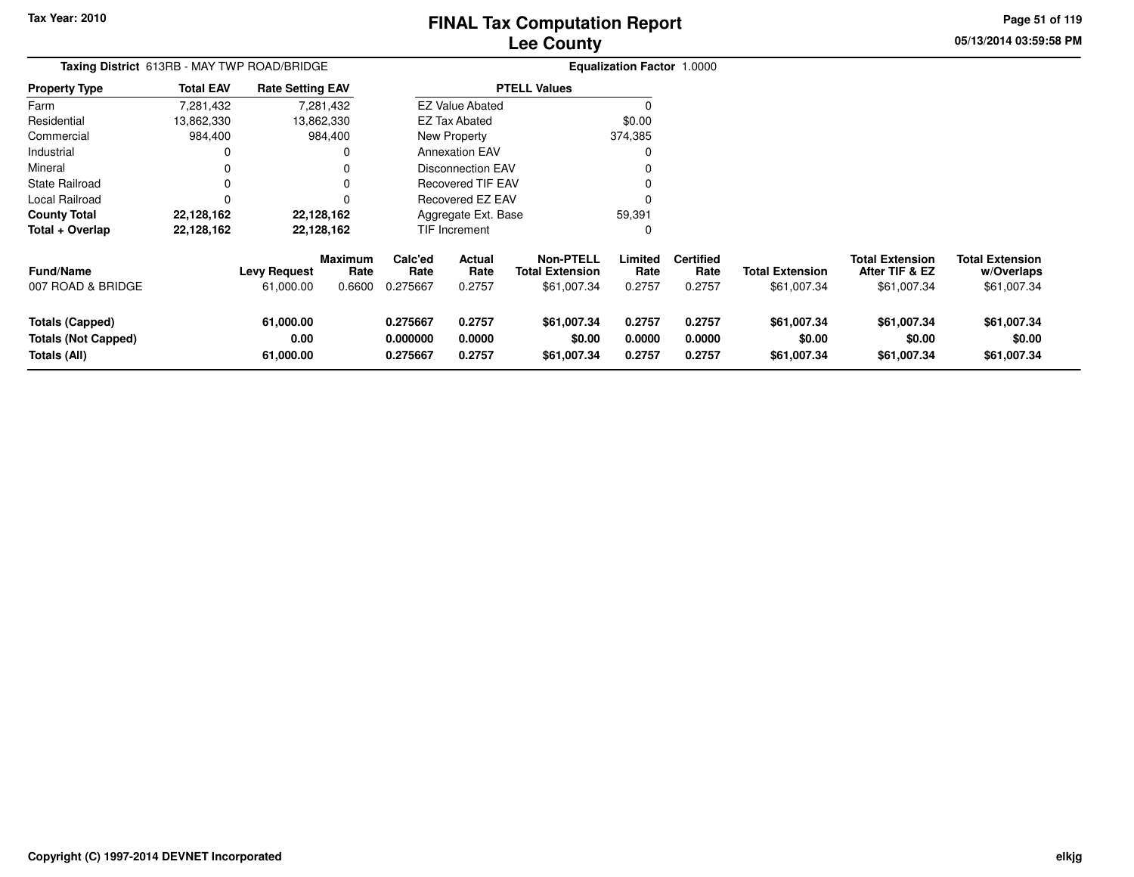# **Lee CountyFINAL Tax Computation Report**

**05/13/2014 03:59:58 PM Page 51 of 119**

| Taxing District 613RB - MAY TWP ROAD/BRIDGE                          |                  |                                  |                                  |                                  |                                 |                                                           | Equalization Factor 1.0000 |                                    |                                       |                                                         |                                                     |
|----------------------------------------------------------------------|------------------|----------------------------------|----------------------------------|----------------------------------|---------------------------------|-----------------------------------------------------------|----------------------------|------------------------------------|---------------------------------------|---------------------------------------------------------|-----------------------------------------------------|
| <b>Property Type</b>                                                 | <b>Total EAV</b> | <b>Rate Setting EAV</b>          |                                  |                                  |                                 | <b>PTELL Values</b>                                       |                            |                                    |                                       |                                                         |                                                     |
| Farm                                                                 | 7,281,432        |                                  | 7,281,432                        |                                  | <b>EZ Value Abated</b>          |                                                           | $\Omega$                   |                                    |                                       |                                                         |                                                     |
| Residential                                                          | 13,862,330       |                                  | 13,862,330                       |                                  | <b>EZ Tax Abated</b>            |                                                           | \$0.00                     |                                    |                                       |                                                         |                                                     |
| Commercial                                                           | 984,400          |                                  | 984,400                          |                                  | New Property                    |                                                           | 374,385                    |                                    |                                       |                                                         |                                                     |
| Industrial                                                           | 0                |                                  | 0                                |                                  | <b>Annexation EAV</b>           |                                                           | 0                          |                                    |                                       |                                                         |                                                     |
| Mineral                                                              | 0                |                                  | 0                                |                                  | <b>Disconnection EAV</b>        |                                                           |                            |                                    |                                       |                                                         |                                                     |
| State Railroad                                                       | 0                |                                  |                                  |                                  | <b>Recovered TIF EAV</b>        |                                                           |                            |                                    |                                       |                                                         |                                                     |
| Local Railroad                                                       | 0                |                                  |                                  |                                  | Recovered EZ EAV                |                                                           |                            |                                    |                                       |                                                         |                                                     |
| <b>County Total</b>                                                  | 22,128,162       |                                  | 22,128,162                       |                                  | Aggregate Ext. Base             |                                                           | 59,391                     |                                    |                                       |                                                         |                                                     |
| Total + Overlap                                                      | 22,128,162       |                                  | 22,128,162                       |                                  | TIF Increment                   |                                                           | 0                          |                                    |                                       |                                                         |                                                     |
| <b>Fund/Name</b><br>007 ROAD & BRIDGE                                |                  | <b>Levy Request</b><br>61,000.00 | <b>Maximum</b><br>Rate<br>0.6600 | Calc'ed<br>Rate<br>0.275667      | <b>Actual</b><br>Rate<br>0.2757 | <b>Non-PTELL</b><br><b>Total Extension</b><br>\$61,007.34 | Limited<br>Rate<br>0.2757  | <b>Certified</b><br>Rate<br>0.2757 | <b>Total Extension</b><br>\$61,007.34 | <b>Total Extension</b><br>After TIF & EZ<br>\$61,007.34 | <b>Total Extension</b><br>w/Overlaps<br>\$61,007.34 |
| <b>Totals (Capped)</b><br><b>Totals (Not Capped)</b><br>Totals (All) |                  | 61,000.00<br>0.00<br>61,000.00   |                                  | 0.275667<br>0.000000<br>0.275667 | 0.2757<br>0.0000<br>0.2757      | \$61,007.34<br>\$0.00<br>\$61,007.34                      | 0.2757<br>0.0000<br>0.2757 | 0.2757<br>0.0000<br>0.2757         | \$61,007.34<br>\$0.00<br>\$61,007.34  | \$61,007.34<br>\$0.00<br>\$61,007.34                    | \$61,007.34<br>\$0.00<br>\$61,007.34                |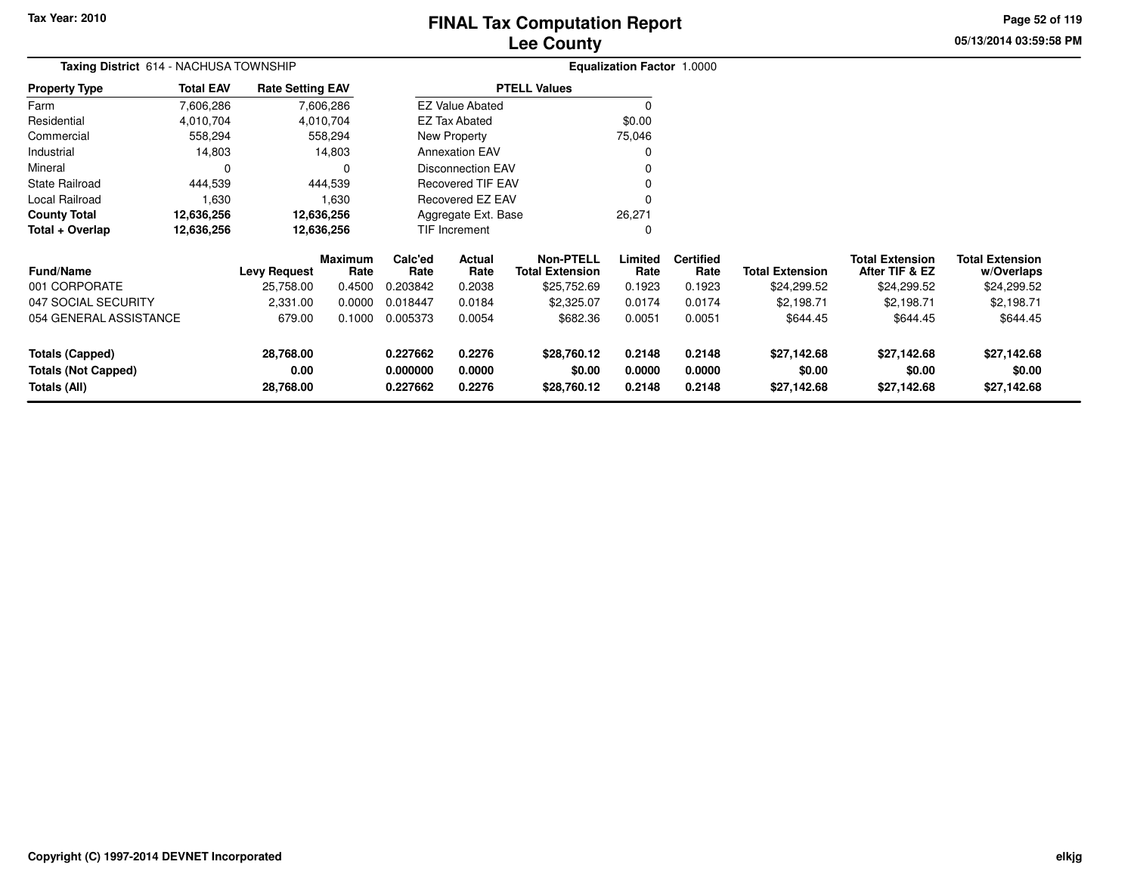# **Lee CountyFINAL Tax Computation Report**

**05/13/2014 03:59:58 PM Page 52 of 119**

| <b>Total EAV</b>       |           |                                                                       |                                                                                                                                 |                |                                                                                                 |                                                                                                                                                            |                          |                                             |                                          |                                      |
|------------------------|-----------|-----------------------------------------------------------------------|---------------------------------------------------------------------------------------------------------------------------------|----------------|-------------------------------------------------------------------------------------------------|------------------------------------------------------------------------------------------------------------------------------------------------------------|--------------------------|---------------------------------------------|------------------------------------------|--------------------------------------|
| 7,606,286              |           |                                                                       |                                                                                                                                 |                |                                                                                                 | 0                                                                                                                                                          |                          |                                             |                                          |                                      |
| 4,010,704              |           |                                                                       |                                                                                                                                 |                |                                                                                                 | \$0.00                                                                                                                                                     |                          |                                             |                                          |                                      |
| 558,294                |           |                                                                       |                                                                                                                                 |                |                                                                                                 | 75,046                                                                                                                                                     |                          |                                             |                                          |                                      |
| 14,803                 |           |                                                                       |                                                                                                                                 |                |                                                                                                 | 0                                                                                                                                                          |                          |                                             |                                          |                                      |
| 0                      |           | 0                                                                     |                                                                                                                                 |                |                                                                                                 | 0                                                                                                                                                          |                          |                                             |                                          |                                      |
| 444,539                |           |                                                                       |                                                                                                                                 |                |                                                                                                 | 0                                                                                                                                                          |                          |                                             |                                          |                                      |
| 1,630                  |           | 1,630                                                                 |                                                                                                                                 |                |                                                                                                 | 0                                                                                                                                                          |                          |                                             |                                          |                                      |
| 12,636,256             |           |                                                                       |                                                                                                                                 |                |                                                                                                 | 26,271                                                                                                                                                     |                          |                                             |                                          |                                      |
| 12,636,256             |           |                                                                       |                                                                                                                                 |                |                                                                                                 | 0                                                                                                                                                          |                          |                                             |                                          |                                      |
|                        |           | Rate                                                                  | Calc'ed<br>Rate                                                                                                                 | Actual<br>Rate | <b>Non-PTELL</b><br><b>Total Extension</b>                                                      | Limited<br>Rate                                                                                                                                            | <b>Certified</b><br>Rate | <b>Total Extension</b>                      | <b>Total Extension</b><br>After TIF & EZ | <b>Total Extension</b><br>w/Overlaps |
|                        | 25,758.00 | 0.4500                                                                | 0.203842                                                                                                                        | 0.2038         | \$25,752.69                                                                                     | 0.1923                                                                                                                                                     | 0.1923                   | \$24,299.52                                 | \$24,299.52                              | \$24,299.52                          |
|                        | 2,331.00  | 0.0000                                                                | 0.018447                                                                                                                        | 0.0184         | \$2,325.07                                                                                      | 0.0174                                                                                                                                                     | 0.0174                   | \$2,198.71                                  | \$2,198.71                               | \$2,198.71                           |
| 054 GENERAL ASSISTANCE | 679.00    | 0.1000                                                                | 0.005373                                                                                                                        | 0.0054         | \$682.36                                                                                        | 0.0051                                                                                                                                                     | 0.0051                   | \$644.45                                    | \$644.45                                 | \$644.45                             |
|                        | 28,768.00 |                                                                       | 0.227662                                                                                                                        | 0.2276         | \$28,760.12                                                                                     | 0.2148                                                                                                                                                     | 0.2148                   | \$27,142.68                                 | \$27,142.68                              | \$27,142.68                          |
|                        | 28,768.00 |                                                                       | 0.227662                                                                                                                        | 0.2276         | \$28,760.12                                                                                     | 0.2148                                                                                                                                                     | 0.2148                   | \$27,142.68                                 | \$27,142.68                              | \$0.00<br>\$27,142.68                |
|                        |           | Taxing District 614 - NACHUSA TOWNSHIP<br><b>Levy Request</b><br>0.00 | <b>Rate Setting EAV</b><br>7,606,286<br>4,010,704<br>558,294<br>14,803<br>444,539<br>12,636,256<br>12,636,256<br><b>Maximum</b> | 0.000000       | <b>EZ Tax Abated</b><br>New Property<br><b>Annexation EAV</b><br><b>TIF Increment</b><br>0.0000 | <b>PTELL Values</b><br><b>EZ Value Abated</b><br><b>Disconnection EAV</b><br><b>Recovered TIF EAV</b><br>Recovered EZ EAV<br>Aggregate Ext. Base<br>\$0.00 | 0.0000                   | <b>Equalization Factor 1.0000</b><br>0.0000 | \$0.00                                   | \$0.00                               |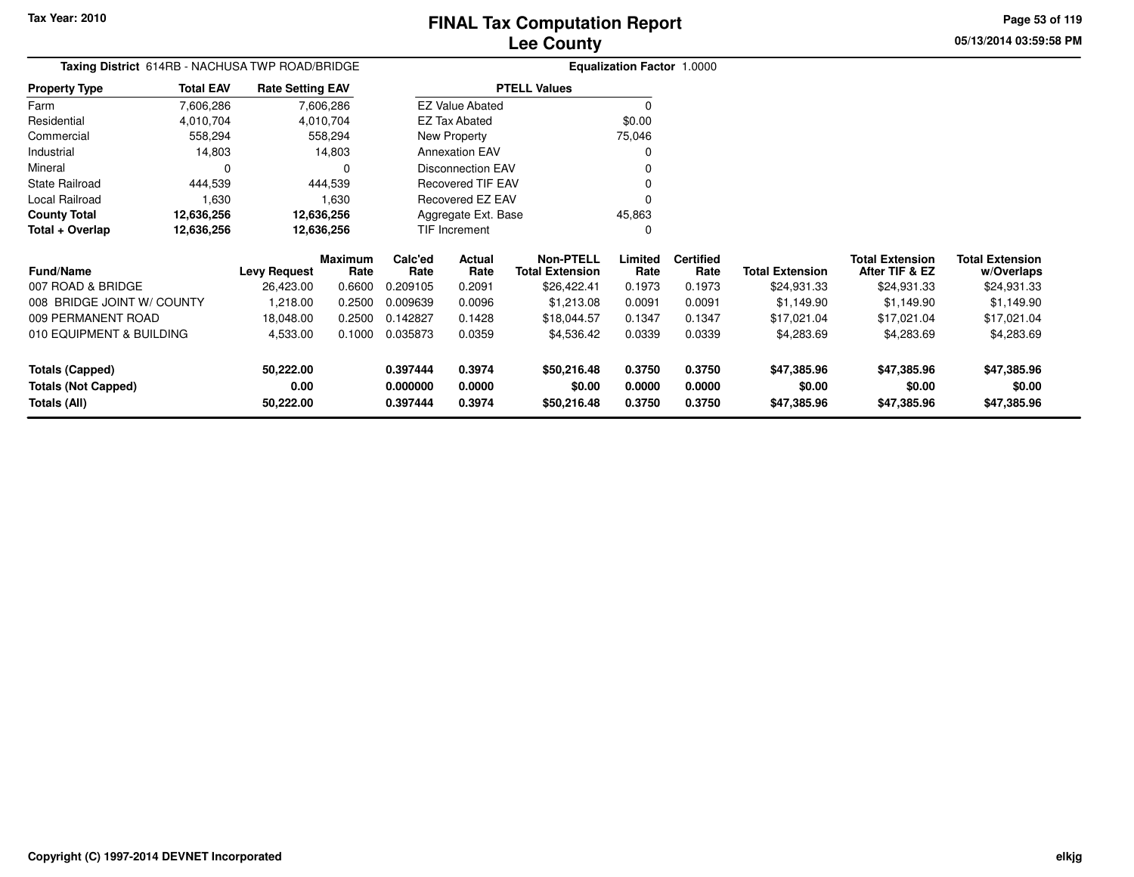**05/13/2014 03:59:58 PMPage 53 of 119**

|                            | Taxing District 614RB - NACHUSA TWP ROAD/BRIDGE |                         |            |                 |                          |                        | Equalization Factor 1.0000 |                  |                        |                        |                        |
|----------------------------|-------------------------------------------------|-------------------------|------------|-----------------|--------------------------|------------------------|----------------------------|------------------|------------------------|------------------------|------------------------|
| <b>Property Type</b>       | <b>Total EAV</b>                                | <b>Rate Setting EAV</b> |            |                 |                          | <b>PTELL Values</b>    |                            |                  |                        |                        |                        |
| Farm                       | 7,606,286                                       |                         | 7,606,286  |                 | <b>EZ Value Abated</b>   |                        |                            |                  |                        |                        |                        |
| Residential                | 4.010.704                                       |                         | 4.010.704  |                 | EZ Tax Abated            |                        | \$0.00                     |                  |                        |                        |                        |
| Commercial                 | 558,294                                         |                         | 558,294    |                 | New Property             |                        | 75,046                     |                  |                        |                        |                        |
| Industrial                 | 14,803                                          |                         | 14,803     |                 | <b>Annexation EAV</b>    |                        | 0                          |                  |                        |                        |                        |
| Mineral                    | 0                                               |                         | 0          |                 | <b>Disconnection EAV</b> |                        | 0                          |                  |                        |                        |                        |
| <b>State Railroad</b>      | 444,539                                         |                         | 444,539    |                 | <b>Recovered TIF EAV</b> |                        |                            |                  |                        |                        |                        |
| Local Railroad             | 1.630                                           |                         | 1,630      |                 | <b>Recovered EZ EAV</b>  |                        |                            |                  |                        |                        |                        |
| <b>County Total</b>        | 12,636,256                                      |                         | 12,636,256 |                 | Aggregate Ext. Base      |                        | 45,863                     |                  |                        |                        |                        |
| Total + Overlap            | 12,636,256                                      |                         | 12,636,256 |                 | TIF Increment            |                        | 0                          |                  |                        |                        |                        |
|                            |                                                 |                         | Maximum    | Calc'ed         | Actual                   | <b>Non-PTELL</b>       | Limited                    | <b>Certified</b> |                        | <b>Total Extension</b> | <b>Total Extension</b> |
| <b>Fund/Name</b>           |                                                 | <b>Levy Request</b>     | Rate       | Rate            | Rate                     | <b>Total Extension</b> | Rate                       | Rate             | <b>Total Extension</b> | After TIF & EZ         | w/Overlaps             |
| 007 ROAD & BRIDGE          |                                                 | 26,423.00               | 0.6600     | 0.209105        | 0.2091                   | \$26,422.41            | 0.1973                     | 0.1973           | \$24,931.33            | \$24,931.33            | \$24,931.33            |
| 008 BRIDGE JOINT W/ COUNTY |                                                 | 1,218.00                | 0.2500     | 0.009639        | 0.0096                   | \$1,213.08             | 0.0091                     | 0.0091           | \$1,149.90             | \$1.149.90             | \$1,149.90             |
| 009 PERMANENT ROAD         |                                                 | 18 048 00               |            | 0.2500 0.142827 | 0.1428                   | \$18,044,57            | 0.1347                     | 0.1347           | \$17.021.04            | 41702104               | \$17.021.04            |

| 008 BRIDGE JOINT W/COUNTY  | .218.00   | 0.2500 | 0.009639 | 0.0096 | \$1.213.08  | 0.0091 | 0.0091 | \$1.149.90  | \$1.149.90  | \$1.149.90  |
|----------------------------|-----------|--------|----------|--------|-------------|--------|--------|-------------|-------------|-------------|
| 009 PERMANENT ROAD         | 18.048.00 | 0.2500 | .142827  | 0.1428 | \$18.044.57 | 0.1347 | 0.1347 | \$17.021.04 | \$17,021.04 | \$17,021.04 |
| 010 EQUIPMENT & BUILDING   | 4.533.00  | 0.1000 | 0.035873 | 0.0359 | \$4.536.42  | 0.0339 | 0.0339 | \$4,283.69  | \$4,283.69  | \$4,283.69  |
|                            |           |        |          |        |             |        |        |             |             |             |
| Totals (Capped)            | 50.222.00 |        | 0.397444 | 0.3974 | \$50,216.48 | 0.3750 | 0.3750 | \$47,385,96 | \$47.385.96 | \$47,385.96 |
| <b>Totals (Not Capped)</b> | 0.00      |        | 0.000000 | 0.0000 | \$0.00      | 0.0000 | 0.0000 | \$0.00      | \$0.00      | \$0.00      |
| Totals (All)               | 50.222.00 |        | 0.397444 | 0.3974 | \$50,216.48 | 0.3750 | 0.3750 | \$47,385,96 | \$47.385.96 | \$47,385.96 |
|                            |           |        |          |        |             |        |        |             |             |             |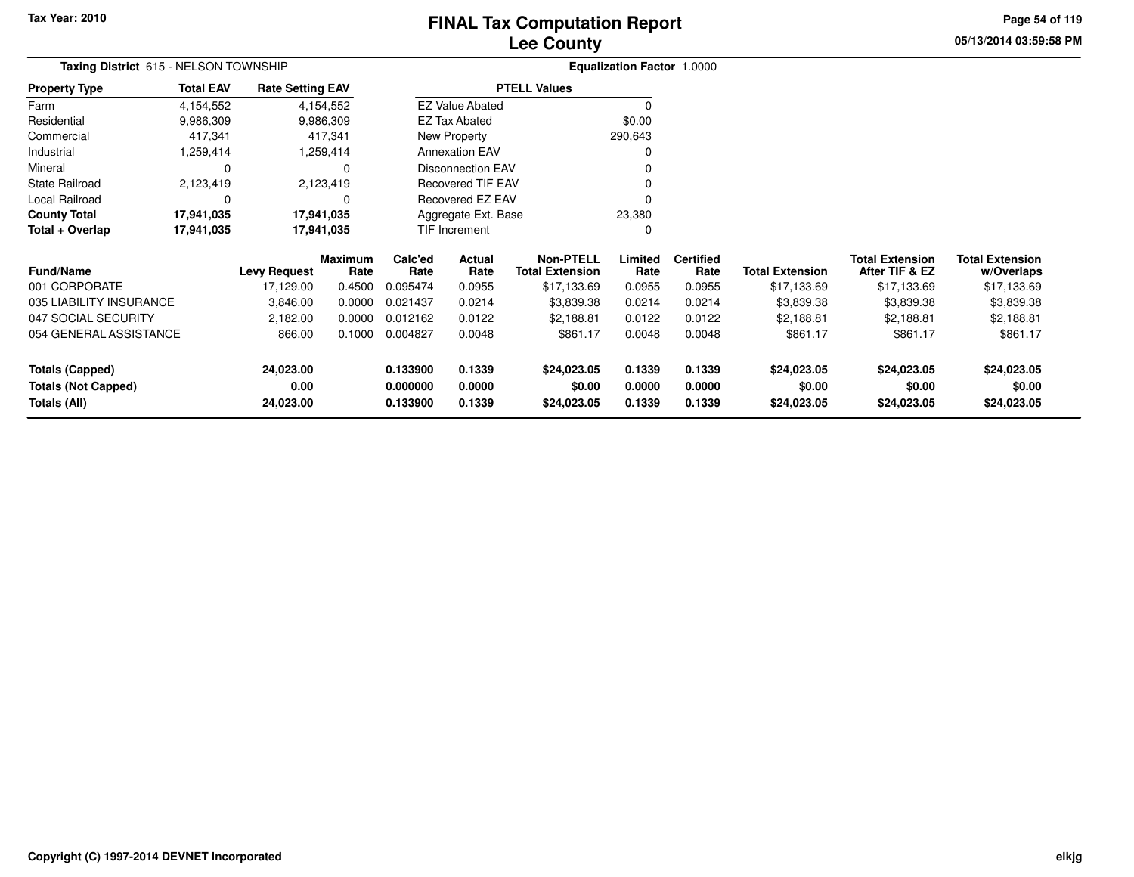# **Lee CountyFINAL Tax Computation Report**

**05/13/2014 03:59:58 PMPage 54 of 119**

| Taxing District 615 - NELSON TOWNSHIP |                  |                         |                 | <b>Equalization Factor 1.0000</b> |                          |                                            |                 |                          |                        |                                          |                                      |
|---------------------------------------|------------------|-------------------------|-----------------|-----------------------------------|--------------------------|--------------------------------------------|-----------------|--------------------------|------------------------|------------------------------------------|--------------------------------------|
| <b>Property Type</b>                  | <b>Total EAV</b> | <b>Rate Setting EAV</b> |                 |                                   |                          | <b>PTELL Values</b>                        |                 |                          |                        |                                          |                                      |
| Farm                                  | 4,154,552        |                         | 4,154,552       |                                   | <b>EZ Value Abated</b>   |                                            | $\Omega$        |                          |                        |                                          |                                      |
| Residential                           | 9,986,309        |                         | 9,986,309       |                                   | EZ Tax Abated            |                                            | \$0.00          |                          |                        |                                          |                                      |
| Commercial                            | 417,341          |                         | 417,341         |                                   | New Property             |                                            | 290,643         |                          |                        |                                          |                                      |
| Industrial                            | 1,259,414        |                         | 1,259,414       |                                   | <b>Annexation EAV</b>    |                                            | $\Omega$        |                          |                        |                                          |                                      |
| Mineral                               | 0                |                         | 0               |                                   | <b>Disconnection EAV</b> |                                            | n               |                          |                        |                                          |                                      |
| <b>State Railroad</b>                 | 2,123,419        |                         | 2,123,419       |                                   | <b>Recovered TIF EAV</b> |                                            |                 |                          |                        |                                          |                                      |
| Local Railroad                        | $\Omega$         |                         | $\Omega$        |                                   | Recovered EZ EAV         |                                            |                 |                          |                        |                                          |                                      |
| <b>County Total</b>                   | 17,941,035       | 17,941,035              |                 |                                   | Aggregate Ext. Base      |                                            | 23,380          |                          |                        |                                          |                                      |
| Total + Overlap                       | 17,941,035       | 17,941,035              |                 |                                   | TIF Increment            |                                            | 0               |                          |                        |                                          |                                      |
| <b>Fund/Name</b>                      |                  | <b>Levy Request</b>     | Maximum<br>Rate | Calc'ed<br>Rate                   | Actual<br>Rate           | <b>Non-PTELL</b><br><b>Total Extension</b> | Limited<br>Rate | <b>Certified</b><br>Rate | <b>Total Extension</b> | <b>Total Extension</b><br>After TIF & EZ | <b>Total Extension</b><br>w/Overlaps |
| 001 CORPORATE                         |                  | 17,129.00               | 0.4500          | 0.095474                          | 0.0955                   | \$17,133.69                                | 0.0955          | 0.0955                   | \$17,133.69            | \$17,133.69                              | \$17,133.69                          |
| 035 LIABILITY INSURANCE               |                  | 3,846.00                | 0.0000          | 0.021437                          | 0.0214                   | \$3,839.38                                 | 0.0214          | 0.0214                   | \$3,839.38             | \$3,839.38                               | \$3,839.38                           |
| 047 SOCIAL SECURITY                   |                  | 2,182.00                | 0.0000          | 0.012162                          | 0.0122                   | \$2,188.81                                 | 0.0122          | 0.0122                   | \$2,188.81             | \$2,188.81                               | \$2,188.81                           |
| 054 GENERAL ASSISTANCE                |                  | 866.00                  | 0.1000          | 0.004827                          | 0.0048                   | \$861.17                                   | 0.0048          | 0.0048                   | \$861.17               | \$861.17                                 | \$861.17                             |
| <b>Totals (Capped)</b>                |                  | 24,023.00               |                 | 0.133900                          | 0.1339                   | \$24,023.05                                | 0.1339          | 0.1339                   | \$24,023.05            | \$24,023.05                              | \$24,023.05                          |
| <b>Totals (Not Capped)</b>            |                  | 0.00                    |                 | 0.000000                          | 0.0000                   | \$0.00                                     | 0.0000          | 0.0000                   | \$0.00                 | \$0.00                                   | \$0.00                               |
| Totals (All)                          |                  | 24,023.00               |                 | 0.133900                          | 0.1339                   | \$24,023.05                                | 0.1339          | 0.1339                   | \$24,023.05            | \$24,023.05                              | \$24,023.05                          |

**0.133900 0.1339 \$24,023.05 0.1339 0.1339 \$24,023.05 \$24,023.05 \$24,023.05**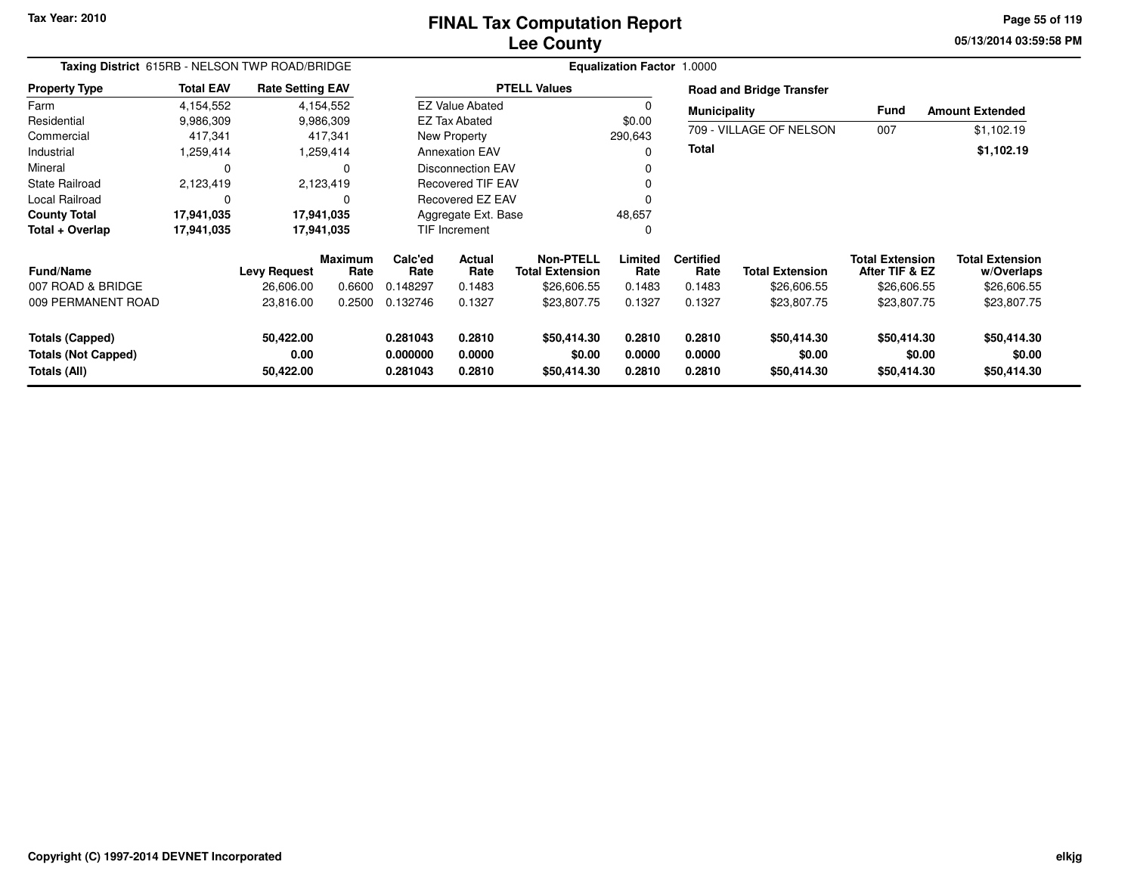### **Lee CountyFINAL Tax Computation Report**

**05/13/2014 03:59:58 PM Page 55 of 119**

| Taxing District 615RB - NELSON TWP ROAD/BRIDGE                |                  |                                |                        |                                  |                            |                                            | <b>Equalization Factor 1.0000</b> |                            |                                      |                                          |                                      |
|---------------------------------------------------------------|------------------|--------------------------------|------------------------|----------------------------------|----------------------------|--------------------------------------------|-----------------------------------|----------------------------|--------------------------------------|------------------------------------------|--------------------------------------|
| <b>Property Type</b>                                          | <b>Total EAV</b> | <b>Rate Setting EAV</b>        |                        |                                  |                            | <b>PTELL Values</b>                        |                                   |                            | <b>Road and Bridge Transfer</b>      |                                          |                                      |
| Farm                                                          | 4,154,552        |                                | 4,154,552              |                                  | <b>EZ Value Abated</b>     |                                            |                                   | <b>Municipality</b>        |                                      | <b>Fund</b>                              | <b>Amount Extended</b>               |
| Residential                                                   | 9,986,309        |                                | 9,986,309              |                                  | <b>EZ Tax Abated</b>       |                                            | \$0.00                            |                            |                                      |                                          |                                      |
| Commercial                                                    | 417,341          |                                | 417,341                |                                  | New Property               |                                            | 290,643                           |                            | 709 - VILLAGE OF NELSON              | 007                                      | \$1,102.19                           |
| Industrial                                                    | 1,259,414        |                                | 1,259,414              |                                  | <b>Annexation EAV</b>      |                                            |                                   | <b>Total</b>               |                                      |                                          | \$1,102.19                           |
| Mineral                                                       | 0                |                                | 0                      |                                  | <b>Disconnection EAV</b>   |                                            |                                   |                            |                                      |                                          |                                      |
| <b>State Railroad</b>                                         | 2,123,419        |                                | 2,123,419              |                                  | <b>Recovered TIF EAV</b>   |                                            |                                   |                            |                                      |                                          |                                      |
| Local Railroad                                                | $\Omega$         |                                | $\Omega$               |                                  | Recovered EZ EAV           |                                            |                                   |                            |                                      |                                          |                                      |
| <b>County Total</b>                                           | 17,941,035       |                                | 17,941,035             |                                  | Aggregate Ext. Base        |                                            | 48,657                            |                            |                                      |                                          |                                      |
| Total + Overlap                                               | 17,941,035       |                                | 17,941,035             |                                  | TIF Increment              |                                            |                                   |                            |                                      |                                          |                                      |
| <b>Fund/Name</b>                                              |                  | <b>Levy Request</b>            | <b>Maximum</b><br>Rate | Calc'ed<br>Rate                  | <b>Actual</b><br>Rate      | <b>Non-PTELL</b><br><b>Total Extension</b> | Limited<br>Rate                   | <b>Certified</b><br>Rate   | <b>Total Extension</b>               | <b>Total Extension</b><br>After TIF & EZ | <b>Total Extension</b><br>w/Overlaps |
| 007 ROAD & BRIDGE                                             |                  | 26,606.00                      | 0.6600                 | 0.148297                         | 0.1483                     | \$26,606.55                                | 0.1483                            | 0.1483                     | \$26,606.55                          | \$26,606.55                              | \$26,606.55                          |
| 009 PERMANENT ROAD                                            |                  | 23,816.00                      | 0.2500                 | 0.132746                         | 0.1327                     | \$23,807.75                                | 0.1327                            | 0.1327                     | \$23,807.75                          | \$23,807.75                              | \$23,807.75                          |
| Totals (Capped)<br><b>Totals (Not Capped)</b><br>Totals (All) |                  | 50,422.00<br>0.00<br>50,422.00 |                        | 0.281043<br>0.000000<br>0.281043 | 0.2810<br>0.0000<br>0.2810 | \$50,414.30<br>\$0.00<br>\$50,414.30       | 0.2810<br>0.0000<br>0.2810        | 0.2810<br>0.0000<br>0.2810 | \$50,414.30<br>\$0.00<br>\$50,414.30 | \$50,414.30<br>\$0.00<br>\$50,414.30     | \$50,414.30<br>\$0.00<br>\$50,414.30 |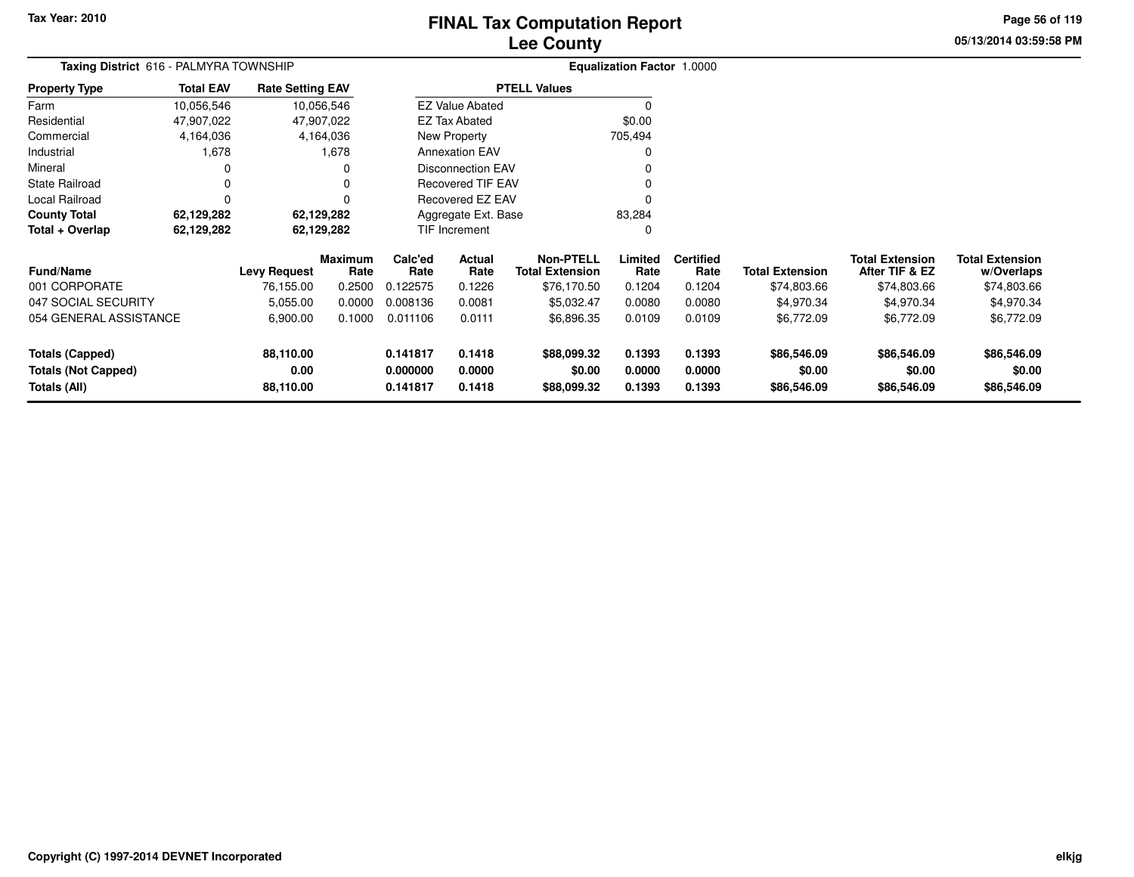# **Lee CountyFINAL Tax Computation Report**

**05/13/2014 03:59:58 PM Page 56 of 119**

| <b>Taxing District</b> 616 - PALMYRA TOWNSHIP                 |                  |                                |                 |                                  |                            |                                            | Equalization Factor 1.0000 |                            |                                      |                                          |                                      |
|---------------------------------------------------------------|------------------|--------------------------------|-----------------|----------------------------------|----------------------------|--------------------------------------------|----------------------------|----------------------------|--------------------------------------|------------------------------------------|--------------------------------------|
| <b>Property Type</b>                                          | <b>Total EAV</b> | <b>Rate Setting EAV</b>        |                 |                                  |                            | <b>PTELL Values</b>                        |                            |                            |                                      |                                          |                                      |
| Farm                                                          | 10,056,546       |                                | 10,056,546      |                                  | <b>EZ Value Abated</b>     |                                            |                            |                            |                                      |                                          |                                      |
| Residential                                                   | 47,907,022       |                                | 47,907,022      |                                  | <b>EZ Tax Abated</b>       |                                            | \$0.00                     |                            |                                      |                                          |                                      |
| Commercial                                                    | 4,164,036        |                                | 4,164,036       |                                  | New Property               |                                            | 705,494                    |                            |                                      |                                          |                                      |
| Industrial                                                    | 1,678            |                                | 1,678           |                                  | <b>Annexation EAV</b>      |                                            | O                          |                            |                                      |                                          |                                      |
| Mineral                                                       |                  |                                | 0               |                                  | <b>Disconnection EAV</b>   |                                            |                            |                            |                                      |                                          |                                      |
| <b>State Railroad</b>                                         |                  |                                | 0               |                                  | <b>Recovered TIF EAV</b>   |                                            |                            |                            |                                      |                                          |                                      |
| Local Railroad                                                | $\Omega$         |                                | 0               |                                  | Recovered EZ EAV           |                                            |                            |                            |                                      |                                          |                                      |
| <b>County Total</b>                                           | 62,129,282       |                                | 62,129,282      |                                  | Aggregate Ext. Base        |                                            | 83,284                     |                            |                                      |                                          |                                      |
| Total + Overlap                                               | 62,129,282       |                                | 62,129,282      |                                  | TIF Increment              |                                            | 0                          |                            |                                      |                                          |                                      |
| <b>Fund/Name</b>                                              |                  | <b>Levy Request</b>            | Maximum<br>Rate | Calc'ed<br>Rate                  | Actual<br>Rate             | <b>Non-PTELL</b><br><b>Total Extension</b> | Limited<br>Rate            | <b>Certified</b><br>Rate   | <b>Total Extension</b>               | <b>Total Extension</b><br>After TIF & EZ | <b>Total Extension</b><br>w/Overlaps |
| 001 CORPORATE                                                 |                  | 76,155.00                      | 0.2500          | 0.122575                         | 0.1226                     | \$76,170.50                                | 0.1204                     | 0.1204                     | \$74,803.66                          | \$74,803.66                              | \$74,803.66                          |
| 047 SOCIAL SECURITY                                           |                  | 5,055.00                       | 0.0000          | 0.008136                         | 0.0081                     | \$5,032.47                                 | 0.0080                     | 0.0080                     | \$4,970.34                           | \$4,970.34                               | \$4,970.34                           |
| 054 GENERAL ASSISTANCE                                        |                  | 6,900.00                       | 0.1000          | 0.011106                         | 0.0111                     | \$6,896.35                                 | 0.0109                     | 0.0109                     | \$6,772.09                           | \$6,772.09                               | \$6,772.09                           |
| Totals (Capped)<br><b>Totals (Not Capped)</b><br>Totals (All) |                  | 88,110.00<br>0.00<br>88,110.00 |                 | 0.141817<br>0.000000<br>0.141817 | 0.1418<br>0.0000<br>0.1418 | \$88,099.32<br>\$0.00<br>\$88,099.32       | 0.1393<br>0.0000<br>0.1393 | 0.1393<br>0.0000<br>0.1393 | \$86,546.09<br>\$0.00<br>\$86,546.09 | \$86,546.09<br>\$0.00<br>\$86,546.09     | \$86,546.09<br>\$0.00<br>\$86,546.09 |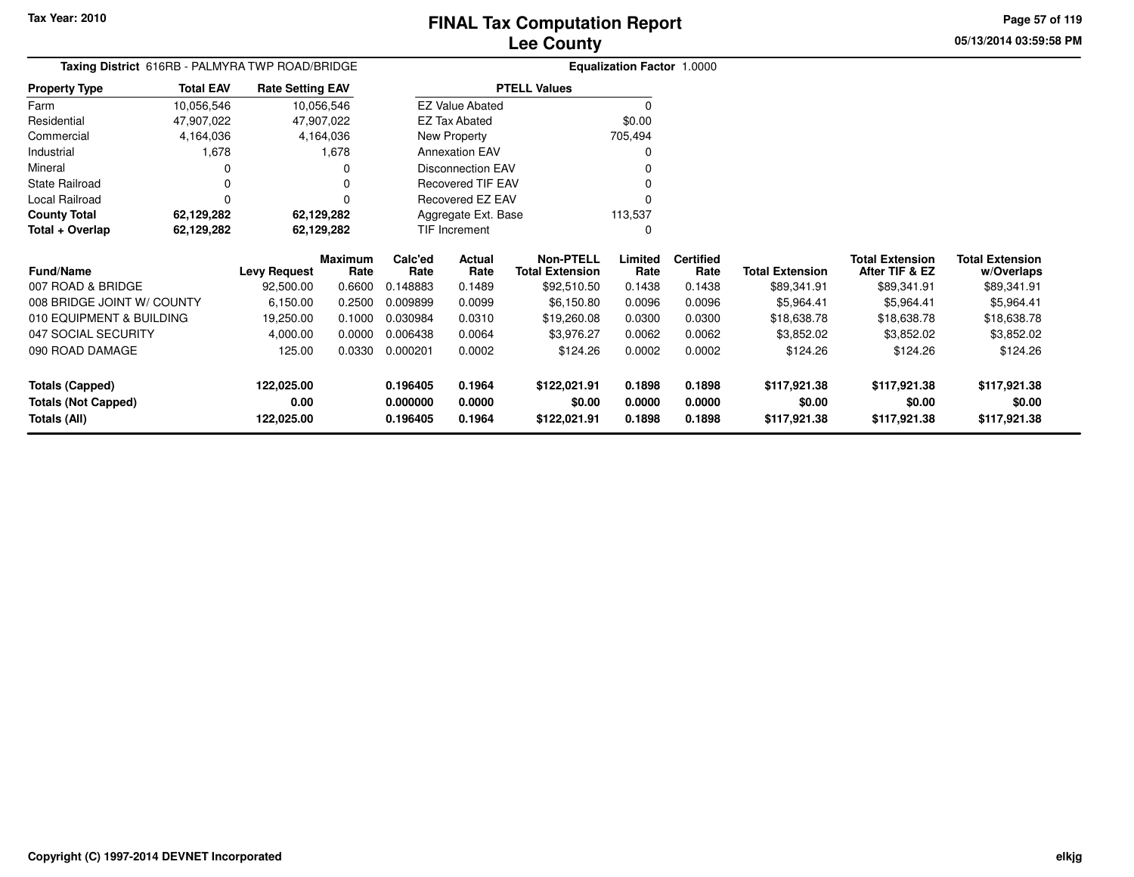**05/13/2014 03:59:58 PMPage 57 of 119**

| <b>Taxing District</b> 616RB - PALMYRA TWP ROAD/BRIDGE |                  |                         |                 |                 |                          |                                            | <b>Equalization Factor 1.0000</b> |                          |                        |                                          |                                      |
|--------------------------------------------------------|------------------|-------------------------|-----------------|-----------------|--------------------------|--------------------------------------------|-----------------------------------|--------------------------|------------------------|------------------------------------------|--------------------------------------|
| <b>Property Type</b>                                   | <b>Total EAV</b> | <b>Rate Setting EAV</b> |                 |                 |                          | <b>PTELL Values</b>                        |                                   |                          |                        |                                          |                                      |
| Farm                                                   | 10,056,546       | 10,056,546              |                 |                 | <b>EZ Value Abated</b>   |                                            |                                   |                          |                        |                                          |                                      |
| Residential                                            | 47,907,022       | 47,907,022              |                 |                 | <b>EZ Tax Abated</b>     |                                            | \$0.00                            |                          |                        |                                          |                                      |
| Commercial                                             | 4,164,036        |                         | 4,164,036       |                 | New Property             |                                            | 705,494                           |                          |                        |                                          |                                      |
| Industrial                                             | 1,678            |                         | 1,678           |                 | <b>Annexation EAV</b>    |                                            |                                   |                          |                        |                                          |                                      |
| Mineral                                                |                  |                         | 0               |                 | <b>Disconnection EAV</b> |                                            |                                   |                          |                        |                                          |                                      |
| <b>State Railroad</b>                                  |                  |                         |                 |                 | Recovered TIF EAV        |                                            |                                   |                          |                        |                                          |                                      |
| Local Railroad                                         | O                |                         | $\Omega$        |                 | Recovered EZ EAV         |                                            |                                   |                          |                        |                                          |                                      |
| <b>County Total</b>                                    | 62,129,282       | 62,129,282              |                 |                 | Aggregate Ext. Base      |                                            | 113,537                           |                          |                        |                                          |                                      |
| Total + Overlap                                        | 62,129,282       | 62,129,282              |                 |                 | TIF Increment            |                                            | 0                                 |                          |                        |                                          |                                      |
| <b>Fund/Name</b>                                       |                  | <b>Levy Request</b>     | Maximum<br>Rate | Calc'ed<br>Rate | Actual<br>Rate           | <b>Non-PTELL</b><br><b>Total Extension</b> | Limited<br>Rate                   | <b>Certified</b><br>Rate | <b>Total Extension</b> | <b>Total Extension</b><br>After TIF & EZ | <b>Total Extension</b><br>w/Overlaps |
| 007 ROAD & BRIDGE                                      |                  | 92,500.00               | 0.6600          | 0.148883        | 0.1489                   | \$92,510.50                                | 0.1438                            | 0.1438                   | \$89,341.91            | \$89,341.91                              | \$89,341.91                          |
| 008 BRIDGE JOINT W/ COUNTY                             |                  | 6,150.00                | 0.2500          | 0.009899        | 0.0099                   | \$6,150.80                                 | 0.0096                            | 0.0096                   | \$5,964.41             | \$5,964.41                               | \$5,964.41                           |
| 010 EQUIPMENT & BUILDING                               |                  | 19,250.00               | 0.1000          | 0.030984        | 0.0310                   | \$19,260.08                                | 0.0300                            | 0.0300                   | \$18,638.78            | \$18,638.78                              | \$18,638.78                          |
| 047 SOCIAL SECURITY                                    |                  | 4,000.00                | 0.0000          | 0.006438        | 0.0064                   | \$3,976.27                                 | 0.0062                            | 0.0062                   | \$3,852.02             | \$3,852.02                               | \$3,852.02                           |
| 090 ROAD DAMAGE                                        |                  | 125.00                  | 0.0330          | 0.000201        | 0.0002                   | \$124.26                                   | 0.0002                            | 0.0002                   | \$124.26               | \$124.26                                 | \$124.26                             |
| <b>Totals (Capped)</b>                                 |                  | 122,025.00              |                 | 0.196405        | 0.1964                   | \$122,021.91                               | 0.1898                            | 0.1898                   | \$117,921.38           | \$117,921.38                             | \$117,921.38                         |
| <b>Totals (Not Capped)</b>                             |                  | 0.00                    |                 | 0.000000        | 0.0000                   | \$0.00                                     | 0.0000                            | 0.0000                   | \$0.00                 | \$0.00                                   | \$0.00                               |
| Totals (All)                                           |                  | 122,025.00              |                 | 0.196405        | 0.1964                   | \$122,021.91                               | 0.1898                            | 0.1898                   | \$117,921.38           | \$117,921.38                             | \$117,921.38                         |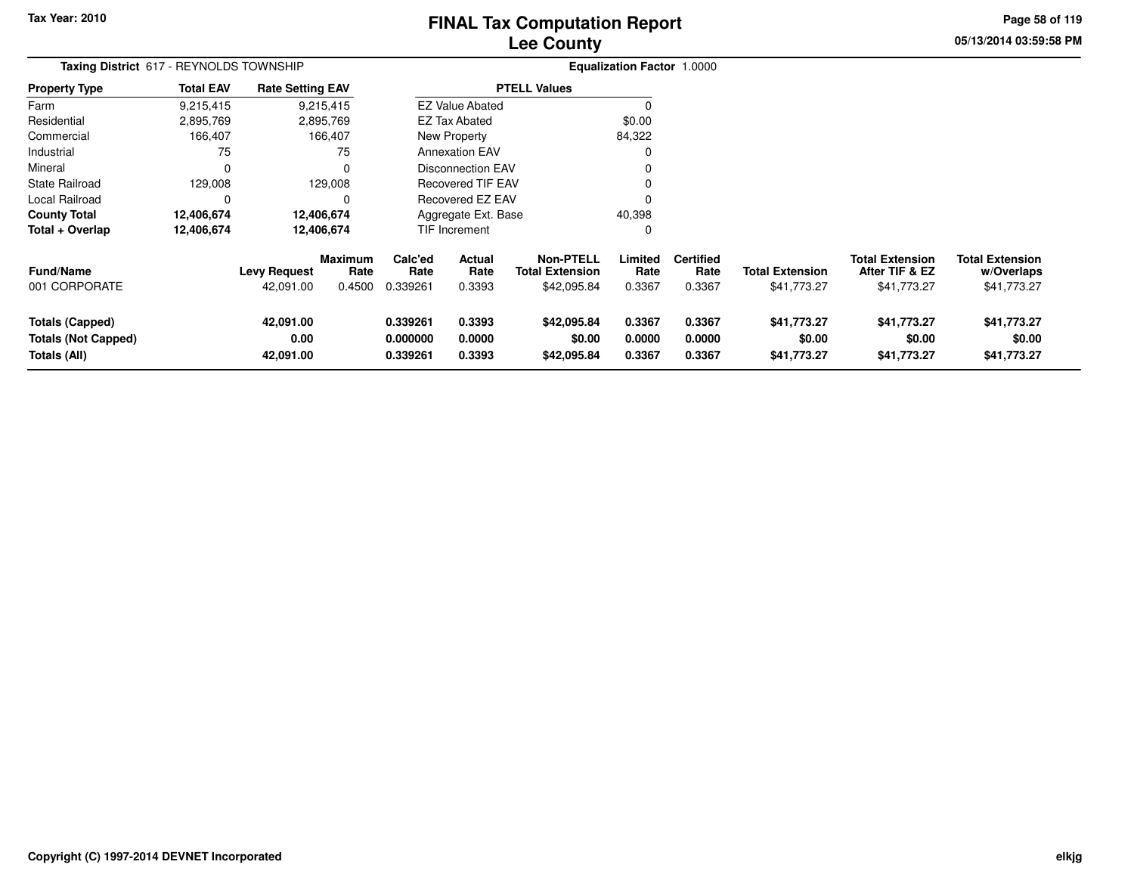# **Lee CountyFINAL Tax Computation Report**

**05/13/2014 03:59:58 PM Page 58 of 119**

| Taxing District 617 - REYNOLDS TOWNSHIP                       |                  |                                  |                           |                                  |                                 |                                                           | <b>Equalization Factor 1.0000</b> |                                    |                                       |                                                         |                                                     |
|---------------------------------------------------------------|------------------|----------------------------------|---------------------------|----------------------------------|---------------------------------|-----------------------------------------------------------|-----------------------------------|------------------------------------|---------------------------------------|---------------------------------------------------------|-----------------------------------------------------|
| <b>Property Type</b>                                          | <b>Total EAV</b> | <b>Rate Setting EAV</b>          |                           |                                  |                                 | <b>PTELL Values</b>                                       |                                   |                                    |                                       |                                                         |                                                     |
| Farm                                                          | 9,215,415        |                                  | 9,215,415                 |                                  | <b>EZ Value Abated</b>          |                                                           |                                   |                                    |                                       |                                                         |                                                     |
| Residential                                                   | 2,895,769        |                                  | 2,895,769                 |                                  | EZ Tax Abated                   |                                                           | \$0.00                            |                                    |                                       |                                                         |                                                     |
| Commercial                                                    | 166,407          |                                  | 166,407                   |                                  | New Property                    |                                                           | 84,322                            |                                    |                                       |                                                         |                                                     |
| Industrial                                                    | 75               |                                  | 75                        |                                  | <b>Annexation EAV</b>           |                                                           | 0                                 |                                    |                                       |                                                         |                                                     |
| Mineral                                                       | $\Omega$         |                                  | 0                         |                                  | <b>Disconnection EAV</b>        |                                                           | 0                                 |                                    |                                       |                                                         |                                                     |
| State Railroad                                                | 129,008          |                                  | 129,008                   |                                  | <b>Recovered TIF EAV</b>        |                                                           | 0                                 |                                    |                                       |                                                         |                                                     |
| Local Railroad                                                | 0                |                                  | 0                         |                                  | Recovered EZ EAV                |                                                           | 0                                 |                                    |                                       |                                                         |                                                     |
| <b>County Total</b>                                           | 12,406,674       |                                  | 12,406,674                |                                  | Aggregate Ext. Base             |                                                           | 40,398                            |                                    |                                       |                                                         |                                                     |
| Total + Overlap                                               | 12,406,674       |                                  | 12,406,674                |                                  | <b>TIF Increment</b>            |                                                           | 0                                 |                                    |                                       |                                                         |                                                     |
| <b>Fund/Name</b><br>001 CORPORATE                             |                  | <b>Levy Request</b><br>42,091.00 | Maximum<br>Rate<br>0.4500 | Calc'ed<br>Rate<br>0.339261      | <b>Actual</b><br>Rate<br>0.3393 | <b>Non-PTELL</b><br><b>Total Extension</b><br>\$42,095.84 | Limited<br>Rate<br>0.3367         | <b>Certified</b><br>Rate<br>0.3367 | <b>Total Extension</b><br>\$41,773.27 | <b>Total Extension</b><br>After TIF & EZ<br>\$41,773.27 | <b>Total Extension</b><br>w/Overlaps<br>\$41,773.27 |
| Totals (Capped)<br><b>Totals (Not Capped)</b><br>Totals (All) |                  | 42,091.00<br>0.00<br>42,091.00   |                           | 0.339261<br>0.000000<br>0.339261 | 0.3393<br>0.0000<br>0.3393      | \$42,095.84<br>\$0.00<br>\$42,095.84                      | 0.3367<br>0.0000<br>0.3367        | 0.3367<br>0.0000<br>0.3367         | \$41,773.27<br>\$0.00<br>\$41,773.27  | \$41,773.27<br>\$0.00<br>\$41,773.27                    | \$41,773.27<br>\$0.00<br>\$41,773.27                |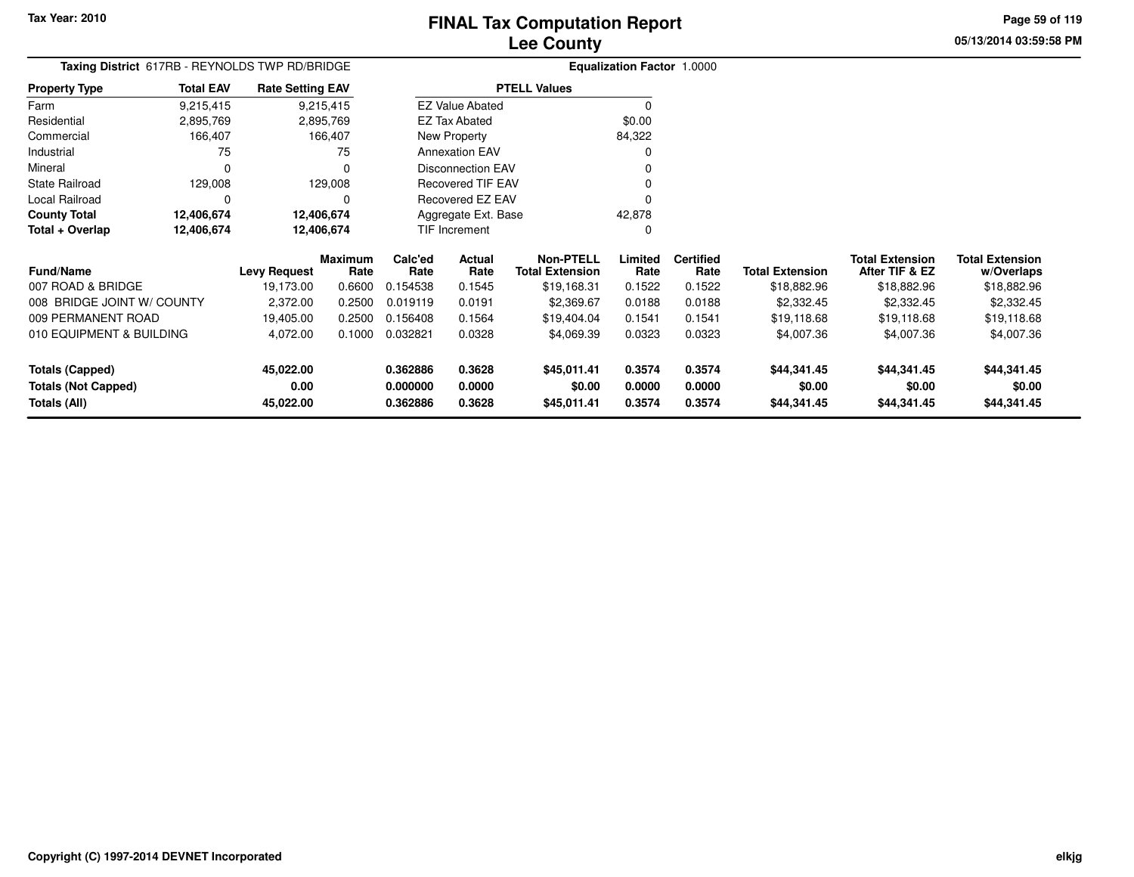**Property Type**

FarmResidential

Industrial Mineral

State Railroad Local Railroad

**Total + Overlap**

**County Total 12,406,674 12,406,674**

**12,406,674 12,406,674**

# **Lee CountyFINAL Tax Computation Report**

**05/13/2014 03:59:58 PMPage 59 of 119**

|                |                  |                                                | Lee County            |                                   |  |
|----------------|------------------|------------------------------------------------|-----------------------|-----------------------------------|--|
|                |                  | Taxing District 617RB - REYNOLDS TWP RD/BRIDGE |                       | <b>Equalization Factor 1.0000</b> |  |
| Property Type  | <b>Total EAV</b> | <b>Rate Setting EAV</b>                        | <b>PTELL Values</b>   |                                   |  |
| Farm           | 9,215,415        | 9,215,415                                      | EZ Value Abated       |                                   |  |
| Residential    | 2,895,769        | 2,895,769                                      | EZ Tax Abated         | \$0.00                            |  |
| Commercial     | 166.407          | 166.407                                        | New Property          | 84.322                            |  |
| Industrial     | 75               | 75                                             | <b>Annexation EAV</b> |                                   |  |
| Mineral        |                  |                                                | Disconnection EAV     |                                   |  |
| State Railroad | 129.008          | 129.008                                        | Recovered TIF EAV     |                                   |  |
| Local Railroad |                  |                                                | Recovered EZ EAV      |                                   |  |
| - - - -        |                  |                                                |                       |                                   |  |

0

Aggregate Ext. BaseTIF Increment

42,878 $\pmb{0}$ 

| <b>Fund/Name</b>                                              | Levy Request                   | <b>Maximum</b><br>Rate | Calc'ed<br>Rate                  | <b>Actual</b><br>Rate      | <b>Non-PTELL</b><br><b>Total Extension</b> | Limited<br>Rate            | <b>Certified</b><br>Rate   | <b>Total Extension</b>               | <b>Total Extension</b><br>After TIF & EZ | <b>Total Extension</b><br>w/Overlaps |
|---------------------------------------------------------------|--------------------------------|------------------------|----------------------------------|----------------------------|--------------------------------------------|----------------------------|----------------------------|--------------------------------------|------------------------------------------|--------------------------------------|
| 007 ROAD & BRIDGE                                             | 19,173.00                      | 0.6600                 | 154538.                          | 0.1545                     | \$19.168.31                                | 0.1522                     | 0.1522                     | \$18,882.96                          | \$18,882.96                              | \$18,882.96                          |
| 008 BRIDGE JOINT W/ COUNTY                                    | 2,372.00                       | 0.2500                 | 0.019119                         | 0.0191                     | \$2,369.67                                 | 0.0188                     | 0.0188                     | \$2,332.45                           | \$2,332.45                               | \$2,332.45                           |
| 009 PERMANENT ROAD                                            | 19.405.00                      | 0.2500                 | 0.156408                         | 0.1564                     | \$19.404.04                                | 0.1541                     | 0.1541                     | \$19,118.68                          | \$19.118.68                              | \$19,118.68                          |
| 010 EQUIPMENT & BUILDING                                      | 4.072.00                       | 0.1000                 | 0.032821                         | 0.0328                     | \$4.069.39                                 | 0.0323                     | 0.0323                     | \$4,007.36                           | \$4,007.36                               | \$4,007.36                           |
| Totals (Capped)<br><b>Totals (Not Capped)</b><br>Totals (All) | 45.022.00<br>0.00<br>45.022.00 |                        | 0.362886<br>0.000000<br>0.362886 | 0.3628<br>0.0000<br>0.3628 | \$45,011.41<br>\$0.00<br>\$45,011.41       | 0.3574<br>0.0000<br>0.3574 | 0.3574<br>0.0000<br>0.3574 | \$44,341,45<br>\$0.00<br>\$44,341.45 | \$44.341.45<br>\$0.00<br>\$44,341.45     | \$44,341.45<br>\$0.00<br>\$44,341.45 |

12,406,674

12,406,674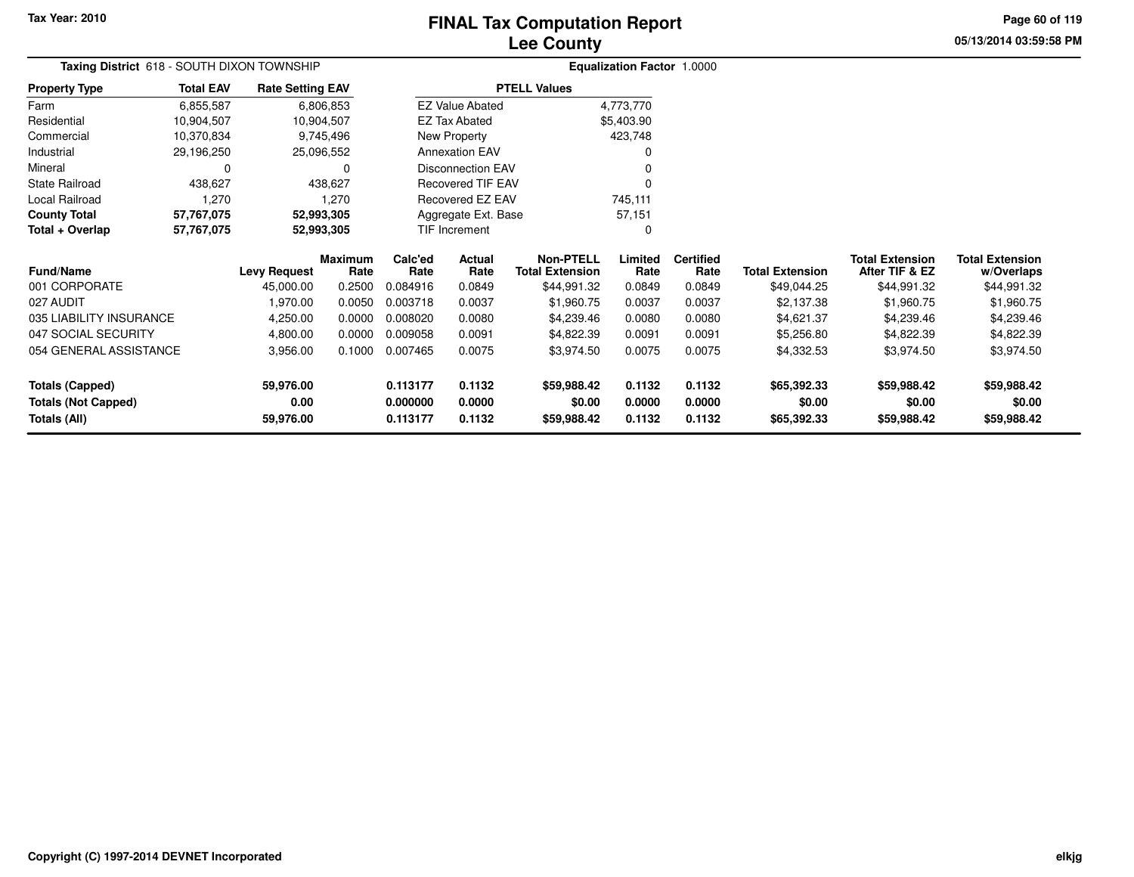# **Lee CountyFINAL Tax Computation Report**

**05/13/2014 03:59:58 PM Page 60 of 119**

| Taxing District 618 - SOUTH DIXON TOWNSHIP |                  |                         |                        |                          |                        |                                            | <b>Equalization Factor 1.0000</b> |                          |                        |                                          |                                      |
|--------------------------------------------|------------------|-------------------------|------------------------|--------------------------|------------------------|--------------------------------------------|-----------------------------------|--------------------------|------------------------|------------------------------------------|--------------------------------------|
| <b>Property Type</b>                       | <b>Total EAV</b> | <b>Rate Setting EAV</b> |                        |                          |                        | <b>PTELL Values</b>                        |                                   |                          |                        |                                          |                                      |
| Farm                                       | 6,855,587        |                         | 6,806,853              |                          | <b>EZ Value Abated</b> |                                            | 4,773,770                         |                          |                        |                                          |                                      |
| Residential                                | 10,904,507       |                         | 10,904,507             |                          | EZ Tax Abated          |                                            | \$5,403.90                        |                          |                        |                                          |                                      |
| Commercial                                 | 10,370,834       |                         | 9,745,496              |                          | New Property           |                                            | 423,748                           |                          |                        |                                          |                                      |
| Industrial                                 | 29,196,250       |                         | 25,096,552             | <b>Annexation EAV</b>    |                        |                                            |                                   |                          |                        |                                          |                                      |
| Mineral                                    | 0                |                         | 0                      | <b>Disconnection EAV</b> |                        |                                            |                                   |                          |                        |                                          |                                      |
| <b>State Railroad</b>                      | 438,627          |                         | 438,627                |                          | Recovered TIF EAV      |                                            |                                   |                          |                        |                                          |                                      |
| Local Railroad                             | 1,270            |                         | 1,270                  |                          | Recovered EZ EAV       |                                            | 745,111                           |                          |                        |                                          |                                      |
| <b>County Total</b>                        | 57,767,075       |                         | 52,993,305             |                          | Aggregate Ext. Base    |                                            | 57,151                            |                          |                        |                                          |                                      |
| Total + Overlap                            | 57,767,075       |                         | 52,993,305             |                          | TIF Increment          |                                            | 0                                 |                          |                        |                                          |                                      |
| <b>Fund/Name</b>                           |                  | <b>Levy Request</b>     | <b>Maximum</b><br>Rate | Calc'ed<br>Rate          | Actual<br>Rate         | <b>Non-PTELL</b><br><b>Total Extension</b> | Limited<br>Rate                   | <b>Certified</b><br>Rate | <b>Total Extension</b> | <b>Total Extension</b><br>After TIF & EZ | <b>Total Extension</b><br>w/Overlaps |
| 001 CORPORATE                              |                  | 45,000.00               | 0.2500                 | 0.084916                 | 0.0849                 | \$44,991.32                                | 0.0849                            | 0.0849                   | \$49,044.25            | \$44,991.32                              | \$44,991.32                          |
| 027 AUDIT                                  |                  | 1,970.00                | 0.0050                 | 0.003718                 | 0.0037                 | \$1,960.75                                 | 0.0037                            | 0.0037                   | \$2,137.38             | \$1,960.75                               | \$1,960.75                           |
| 035 LIABILITY INSURANCE                    |                  | 4,250.00                | 0.0000                 | 0.008020                 | 0.0080                 | \$4,239.46                                 | 0.0080                            | 0.0080                   | \$4,621.37             | \$4,239.46                               | \$4,239.46                           |
| 047 SOCIAL SECURITY                        |                  | 4,800.00                | 0.0000                 | 0.009058                 | 0.0091                 | \$4,822.39                                 | 0.0091                            | 0.0091                   | \$5,256.80             | \$4,822.39                               | \$4,822.39                           |
| 054 GENERAL ASSISTANCE                     |                  | 3,956.00                | 0.1000                 | 0.007465                 | 0.0075                 | \$3,974.50                                 | 0.0075                            | 0.0075                   | \$4,332.53             | \$3,974.50                               | \$3,974.50                           |
| <b>Totals (Capped)</b>                     |                  | 59,976.00               |                        | 0.113177                 | 0.1132                 | \$59,988.42                                | 0.1132                            | 0.1132                   | \$65,392.33            | \$59,988.42                              | \$59,988.42                          |
| <b>Totals (Not Capped)</b>                 |                  | 0.00                    |                        | 0.000000                 | 0.0000                 | \$0.00                                     | 0.0000                            | 0.0000                   | \$0.00                 | \$0.00                                   | \$0.00                               |
| Totals (All)                               |                  | 59,976.00               |                        | 0.113177                 | 0.1132                 | \$59,988.42                                | 0.1132                            | 0.1132                   | \$65,392.33            | \$59,988.42                              | \$59,988.42                          |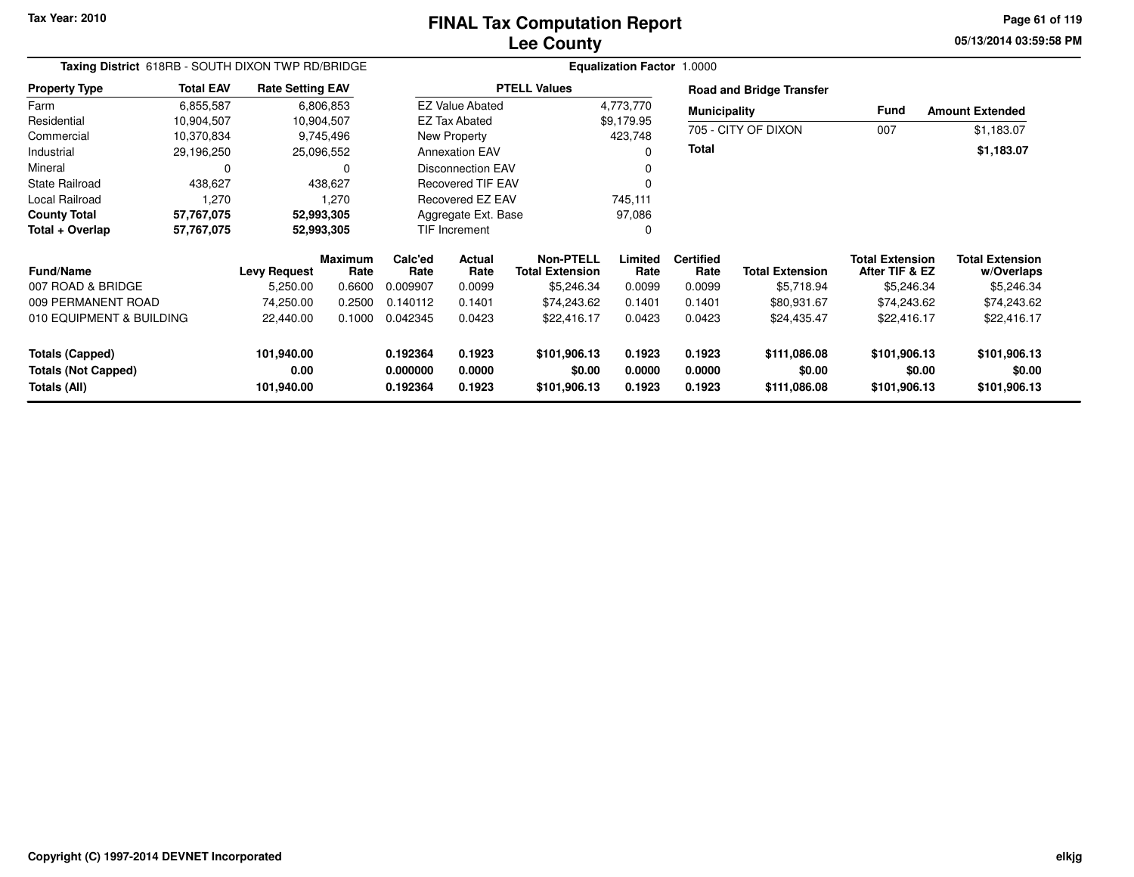**05/13/2014 03:59:58 PM Page 61 of 119**

| Taxing District 618RB - SOUTH DIXON TWP RD/BRIDGE |                  |                         |                        |                 |                          | Equalization Factor 1.0000                 |                 |                          |                                 |                                          |                                      |
|---------------------------------------------------|------------------|-------------------------|------------------------|-----------------|--------------------------|--------------------------------------------|-----------------|--------------------------|---------------------------------|------------------------------------------|--------------------------------------|
| <b>Property Type</b>                              | <b>Total EAV</b> | <b>Rate Setting EAV</b> |                        |                 |                          | <b>PTELL Values</b>                        |                 |                          | <b>Road and Bridge Transfer</b> |                                          |                                      |
| Farm                                              | 6,855,587        |                         | 6,806,853              |                 | <b>EZ Value Abated</b>   |                                            | 4,773,770       | <b>Municipality</b>      |                                 | <b>Fund</b>                              | <b>Amount Extended</b>               |
| Residential                                       | 10,904,507       |                         | 10,904,507             |                 | <b>EZ Tax Abated</b>     |                                            | \$9,179.95      |                          |                                 |                                          |                                      |
| Commercial                                        | 10,370,834       |                         | 9,745,496              |                 | New Property             |                                            | 423,748         |                          | 705 - CITY OF DIXON             | 007                                      | \$1,183.07                           |
| Industrial                                        | 29,196,250       |                         | 25,096,552             |                 | <b>Annexation EAV</b>    |                                            | $\Omega$        | <b>Total</b>             |                                 |                                          | \$1,183.07                           |
| Mineral                                           | 0                |                         | 0                      |                 | <b>Disconnection EAV</b> |                                            |                 |                          |                                 |                                          |                                      |
| <b>State Railroad</b>                             | 438,627          |                         | 438,627                |                 | <b>Recovered TIF EAV</b> |                                            |                 |                          |                                 |                                          |                                      |
| Local Railroad                                    | 1,270            |                         | 1,270                  |                 | Recovered EZ EAV         |                                            | 745,111         |                          |                                 |                                          |                                      |
| <b>County Total</b>                               | 57,767,075       |                         | 52,993,305             |                 | Aggregate Ext. Base      |                                            | 97,086          |                          |                                 |                                          |                                      |
| Total + Overlap                                   | 57,767,075       |                         | 52,993,305             |                 | TIF Increment<br>0       |                                            |                 |                          |                                 |                                          |                                      |
| <b>Fund/Name</b>                                  |                  | <b>Levy Request</b>     | <b>Maximum</b><br>Rate | Calc'ed<br>Rate | Actual<br>Rate           | <b>Non-PTELL</b><br><b>Total Extension</b> | Limited<br>Rate | <b>Certified</b><br>Rate | <b>Total Extension</b>          | <b>Total Extension</b><br>After TIF & EZ | <b>Total Extension</b><br>w/Overlaps |
| 007 ROAD & BRIDGE                                 |                  | 5,250.00                | 0.6600                 | 0.009907        | 0.0099                   | \$5,246.34                                 | 0.0099          | 0.0099                   | \$5,718.94                      | \$5,246.34                               | \$5,246.34                           |
| 009 PERMANENT ROAD                                |                  | 74,250.00               | 0.2500                 | 0.140112        | 0.1401                   | \$74,243.62                                | 0.1401          | 0.1401                   | \$80,931.67                     | \$74,243.62                              | \$74,243.62                          |
| 010 EQUIPMENT & BUILDING                          |                  | 22,440.00               | 0.1000                 | 0.042345        | 0.0423                   | \$22,416.17                                | 0.0423          | 0.0423                   | \$24,435.47                     | \$22,416.17                              | \$22,416.17                          |
| Totals (Capped)                                   |                  | 101,940.00              |                        | 0.192364        | 0.1923                   | \$101,906.13                               | 0.1923          | 0.1923                   | \$111,086.08                    | \$101,906.13                             | \$101,906.13                         |
| <b>Totals (Not Capped)</b>                        |                  | 0.00                    |                        | 0.000000        | 0.0000                   | \$0.00                                     | 0.0000          | 0.0000                   | \$0.00                          | \$0.00                                   | \$0.00                               |
| Totals (All)                                      |                  | 101,940.00              |                        | 0.192364        | 0.1923                   | \$101,906.13                               | 0.1923          | 0.1923                   | \$111,086.08                    | \$101,906.13                             | \$101,906.13                         |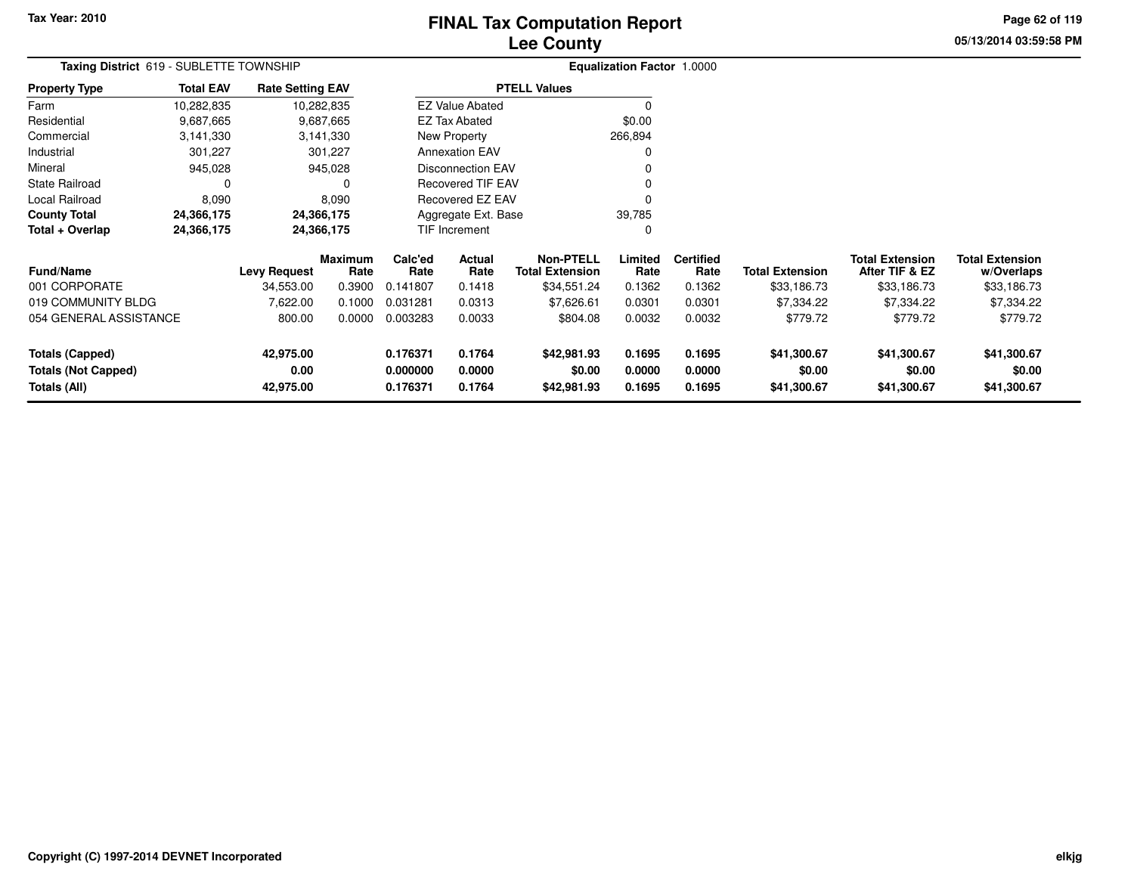# **Lee CountyFINAL Tax Computation Report**

**05/13/2014 03:59:58 PM Page 62 of 119**

| Taxing District 619 - SUBLETTE TOWNSHIP              |                          |                         |                        |                               |                          |                                            | <b>Equalization Factor 1.0000</b> |                          |                        |                                          |                                      |
|------------------------------------------------------|--------------------------|-------------------------|------------------------|-------------------------------|--------------------------|--------------------------------------------|-----------------------------------|--------------------------|------------------------|------------------------------------------|--------------------------------------|
| <b>Property Type</b>                                 | <b>Total EAV</b>         | <b>Rate Setting EAV</b> |                        |                               |                          | <b>PTELL Values</b>                        |                                   |                          |                        |                                          |                                      |
| Farm                                                 | 10,282,835               |                         | 10,282,835             |                               | <b>EZ Value Abated</b>   |                                            | 0                                 |                          |                        |                                          |                                      |
| Residential                                          | 9,687,665                |                         | 9,687,665              |                               | <b>EZ Tax Abated</b>     |                                            | \$0.00                            |                          |                        |                                          |                                      |
| Commercial                                           | 3,141,330                |                         | 3,141,330              |                               | New Property             |                                            | 266,894                           |                          |                        |                                          |                                      |
| Industrial                                           | 301,227                  |                         | 301,227                |                               | <b>Annexation EAV</b>    |                                            | 0                                 |                          |                        |                                          |                                      |
| Mineral                                              | 945,028                  |                         | 945,028                | Disconnection EAV             |                          |                                            |                                   |                          |                        |                                          |                                      |
| <b>State Railroad</b>                                | 0                        |                         |                        |                               | <b>Recovered TIF EAV</b> |                                            |                                   |                          |                        |                                          |                                      |
| Local Railroad                                       | 8,090                    |                         | 8,090                  |                               | Recovered EZ EAV         |                                            |                                   |                          |                        |                                          |                                      |
| <b>County Total</b>                                  | 24,366,175               |                         | 24,366,175             | 39,785<br>Aggregate Ext. Base |                          |                                            |                                   |                          |                        |                                          |                                      |
| Total + Overlap                                      | 24,366,175<br>24,366,175 |                         |                        |                               | TIF Increment            |                                            | 0                                 |                          |                        |                                          |                                      |
| <b>Fund/Name</b>                                     |                          | <b>Levy Request</b>     | <b>Maximum</b><br>Rate | Calc'ed<br>Rate               | Actual<br>Rate           | <b>Non-PTELL</b><br><b>Total Extension</b> | Limited<br>Rate                   | <b>Certified</b><br>Rate | <b>Total Extension</b> | <b>Total Extension</b><br>After TIF & EZ | <b>Total Extension</b><br>w/Overlaps |
| 001 CORPORATE                                        |                          | 34,553.00               | 0.3900                 | 0.141807                      | 0.1418                   | \$34,551.24                                | 0.1362                            | 0.1362                   | \$33,186.73            | \$33,186.73                              | \$33,186.73                          |
| 019 COMMUNITY BLDG                                   |                          | 7,622.00                | 0.1000                 | 0.031281                      | 0.0313                   | \$7,626.61                                 | 0.0301                            | 0.0301                   | \$7,334.22             | \$7,334.22                               | \$7,334.22                           |
| 054 GENERAL ASSISTANCE                               |                          | 800.00                  | 0.0000                 | 0.003283                      | 0.0033                   | \$804.08                                   | 0.0032                            | 0.0032                   | \$779.72               | \$779.72                                 | \$779.72                             |
| <b>Totals (Capped)</b><br><b>Totals (Not Capped)</b> |                          | 42,975.00<br>0.00       |                        | 0.176371<br>0.000000          | 0.1764<br>0.0000         | \$42,981.93<br>\$0.00                      | 0.1695<br>0.0000                  | 0.1695<br>0.0000         | \$41,300.67<br>\$0.00  | \$41,300.67<br>\$0.00                    | \$41,300.67<br>\$0.00                |
| <b>Totals (All)</b>                                  |                          | 42,975.00               |                        | 0.176371                      | 0.1764                   | \$42,981.93                                | 0.1695                            | 0.1695                   | \$41,300.67            | \$41,300.67                              | \$41,300.67                          |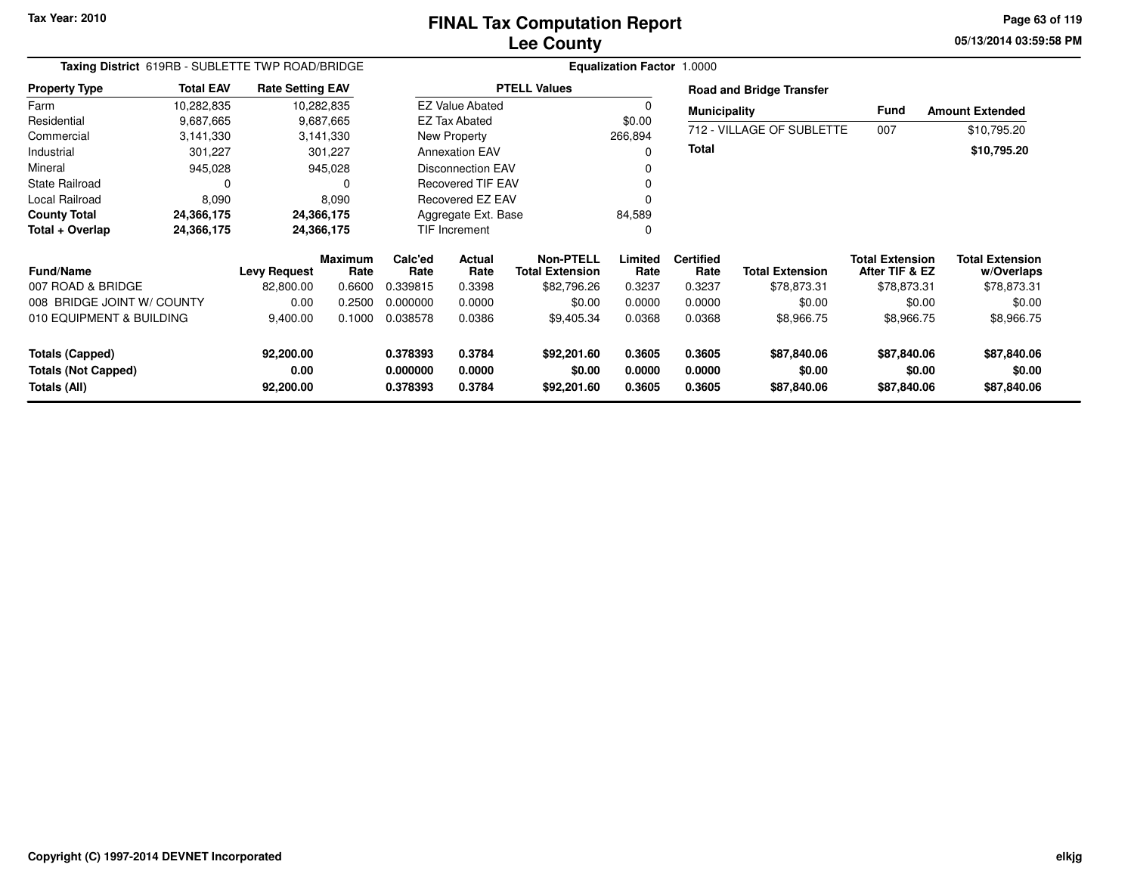**05/13/2014 03:59:58 PM Page 63 of 119**

| Taxing District 619RB - SUBLETTE TWP ROAD/BRIDGE |                  |                         |                        |                     | Equalization Factor 1.0000 |                                            |                 |                          |                                 |                                          |                                      |
|--------------------------------------------------|------------------|-------------------------|------------------------|---------------------|----------------------------|--------------------------------------------|-----------------|--------------------------|---------------------------------|------------------------------------------|--------------------------------------|
| <b>Property Type</b>                             | <b>Total EAV</b> | <b>Rate Setting EAV</b> |                        |                     |                            | <b>PTELL Values</b>                        |                 |                          | <b>Road and Bridge Transfer</b> |                                          |                                      |
| Farm                                             | 10,282,835       |                         | 10,282,835             |                     | <b>EZ Value Abated</b>     |                                            | 0               | <b>Municipality</b>      |                                 | Fund                                     | <b>Amount Extended</b>               |
| Residential                                      | 9,687,665        |                         | 9,687,665              |                     | <b>EZ Tax Abated</b>       |                                            | \$0.00          |                          |                                 |                                          |                                      |
| Commercial                                       | 3,141,330        |                         | 3,141,330              |                     | New Property               |                                            | 266,894         |                          | 712 - VILLAGE OF SUBLETTE       | 007                                      | \$10,795.20                          |
| Industrial                                       | 301,227          |                         | 301,227                |                     | <b>Annexation EAV</b>      |                                            | 0               | Total                    |                                 |                                          | \$10,795.20                          |
| Mineral                                          | 945,028          |                         | 945,028                |                     | <b>Disconnection EAV</b>   |                                            | 0               |                          |                                 |                                          |                                      |
| State Railroad                                   | 0                |                         | 0                      |                     | <b>Recovered TIF EAV</b>   |                                            | 0               |                          |                                 |                                          |                                      |
| Local Railroad                                   | 8,090            |                         | 8,090                  |                     | Recovered EZ EAV           |                                            | 0               |                          |                                 |                                          |                                      |
| <b>County Total</b>                              | 24,366,175       |                         | 24,366,175             | Aggregate Ext. Base |                            |                                            | 84,589          |                          |                                 |                                          |                                      |
| Total + Overlap                                  | 24,366,175       |                         | 24,366,175             |                     | TIF Increment              |                                            | 0               |                          |                                 |                                          |                                      |
| <b>Fund/Name</b>                                 |                  | <b>Levy Request</b>     | <b>Maximum</b><br>Rate | Calc'ed<br>Rate     | Actual<br>Rate             | <b>Non-PTELL</b><br><b>Total Extension</b> | Limited<br>Rate | <b>Certified</b><br>Rate | <b>Total Extension</b>          | <b>Total Extension</b><br>After TIF & EZ | <b>Total Extension</b><br>w/Overlaps |
| 007 ROAD & BRIDGE                                |                  | 82,800.00               | 0.6600                 | 0.339815            | 0.3398                     | \$82,796.26                                | 0.3237          | 0.3237                   | \$78,873.31                     | \$78,873.31                              | \$78,873.31                          |
| 008 BRIDGE JOINT W/ COUNTY                       |                  | 0.00                    | 0.2500                 | 0.000000            | 0.0000                     | \$0.00                                     | 0.0000          | 0.0000                   | \$0.00                          | \$0.00                                   | \$0.00                               |
| 010 EQUIPMENT & BUILDING                         |                  | 9,400.00                | 0.1000                 | 0.038578            | 0.0386                     | \$9,405.34                                 | 0.0368          | 0.0368                   | \$8,966.75                      | \$8,966.75                               | \$8,966.75                           |
| <b>Totals (Capped)</b>                           |                  | 92,200.00               |                        | 0.378393            | 0.3784                     | \$92,201.60                                | 0.3605          | 0.3605                   | \$87,840.06                     | \$87,840.06                              | \$87,840.06                          |
| <b>Totals (Not Capped)</b>                       |                  | 0.00                    |                        | 0.000000            | 0.0000                     | \$0.00                                     | 0.0000          | 0.0000                   | \$0.00                          | \$0.00                                   | \$0.00                               |
| Totals (All)                                     |                  | 92,200.00               |                        | 0.378393            | 0.3784                     | \$92,201.60                                | 0.3605          | 0.3605                   | \$87,840.06                     | \$87,840.06                              | \$87,840.06                          |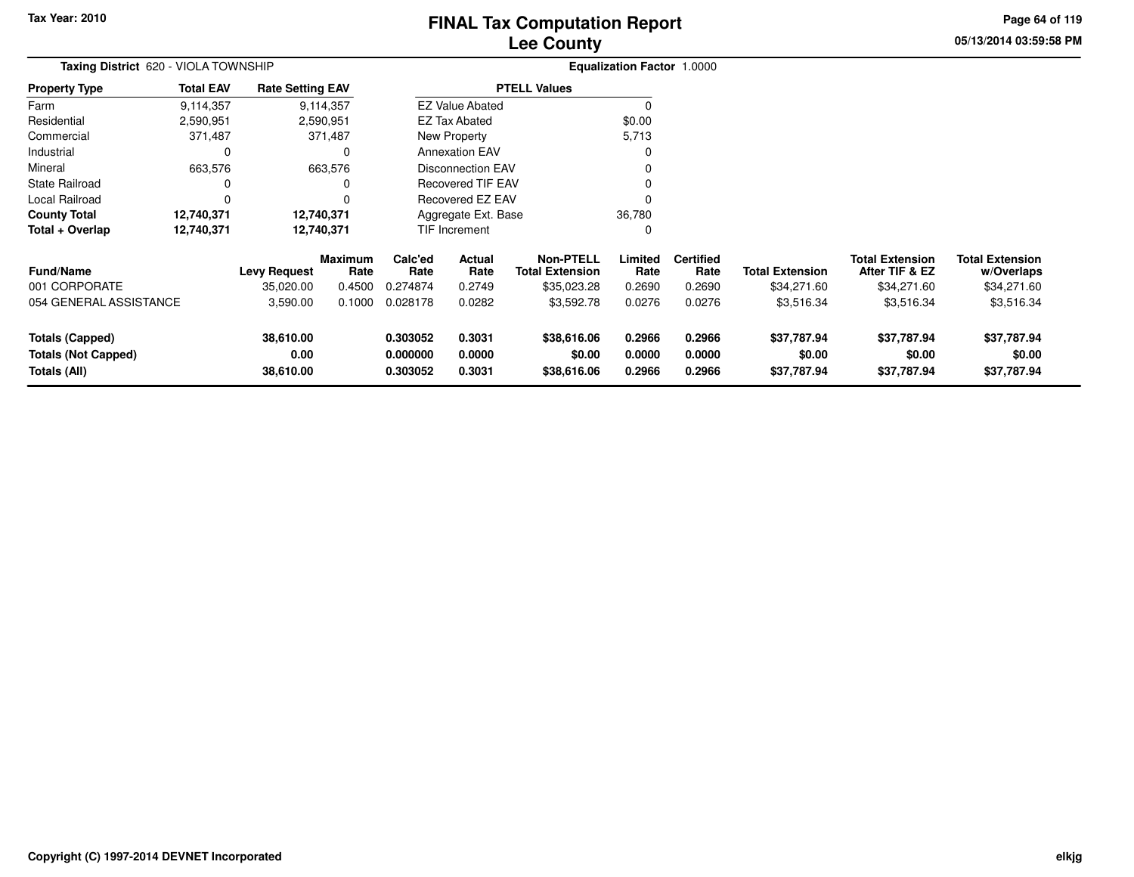# **Lee CountyFINAL Tax Computation Report**

**05/13/2014 03:59:58 PMPage 64 of 119**

| Taxing District 620 - VIOLA TOWNSHIP                                 |                  |                                |                 | <b>Equalization Factor 1.0000</b> |                            |                                            |                            |                            |                                      |                                          |                                      |
|----------------------------------------------------------------------|------------------|--------------------------------|-----------------|-----------------------------------|----------------------------|--------------------------------------------|----------------------------|----------------------------|--------------------------------------|------------------------------------------|--------------------------------------|
| <b>Property Type</b>                                                 | <b>Total EAV</b> | <b>Rate Setting EAV</b>        |                 |                                   |                            | <b>PTELL Values</b>                        |                            |                            |                                      |                                          |                                      |
| Farm                                                                 | 9,114,357        |                                | 9,114,357       |                                   | <b>EZ Value Abated</b>     |                                            | $\Omega$                   |                            |                                      |                                          |                                      |
| Residential                                                          | 2,590,951        |                                | 2,590,951       |                                   | <b>EZ Tax Abated</b>       |                                            | \$0.00                     |                            |                                      |                                          |                                      |
| Commercial                                                           | 371,487          |                                | 371,487         |                                   | New Property               |                                            | 5,713                      |                            |                                      |                                          |                                      |
| Industrial                                                           | 0                |                                | 0               |                                   | <b>Annexation EAV</b>      |                                            | 0                          |                            |                                      |                                          |                                      |
| Mineral                                                              | 663,576          |                                | 663,576         |                                   | <b>Disconnection EAV</b>   |                                            |                            |                            |                                      |                                          |                                      |
| <b>State Railroad</b>                                                | 0                |                                |                 |                                   | <b>Recovered TIF EAV</b>   |                                            |                            |                            |                                      |                                          |                                      |
| Local Railroad                                                       | $\Omega$         |                                |                 | Recovered EZ EAV                  |                            |                                            |                            |                            |                                      |                                          |                                      |
| <b>County Total</b>                                                  | 12,740,371       |                                | 12,740,371      | 36,780<br>Aggregate Ext. Base     |                            |                                            |                            |                            |                                      |                                          |                                      |
| Total + Overlap                                                      | 12,740,371       | 12,740,371                     |                 |                                   | TIF Increment              |                                            | 0                          |                            |                                      |                                          |                                      |
| <b>Fund/Name</b>                                                     |                  | <b>Levy Request</b>            | Maximum<br>Rate | Calc'ed<br>Rate                   | Actual<br>Rate             | <b>Non-PTELL</b><br><b>Total Extension</b> | Limited<br>Rate            | <b>Certified</b><br>Rate   | <b>Total Extension</b>               | <b>Total Extension</b><br>After TIF & EZ | <b>Total Extension</b><br>w/Overlaps |
| 001 CORPORATE                                                        |                  | 35,020.00                      | 0.4500          | 0.274874                          | 0.2749                     | \$35,023.28                                | 0.2690                     | 0.2690                     | \$34,271.60                          | \$34,271.60                              | \$34,271.60                          |
| 054 GENERAL ASSISTANCE                                               |                  | 3,590.00                       | 0.1000          | 0.028178                          | 0.0282                     | \$3,592.78                                 | 0.0276                     | 0.0276                     | \$3,516.34                           | \$3,516.34                               | \$3,516.34                           |
| <b>Totals (Capped)</b><br><b>Totals (Not Capped)</b><br>Totals (All) |                  | 38,610.00<br>0.00<br>38,610.00 |                 | 0.303052<br>0.000000<br>0.303052  | 0.3031<br>0.0000<br>0.3031 | \$38,616.06<br>\$0.00<br>\$38,616.06       | 0.2966<br>0.0000<br>0.2966 | 0.2966<br>0.0000<br>0.2966 | \$37,787.94<br>\$0.00<br>\$37,787.94 | \$37,787.94<br>\$0.00<br>\$37,787.94     | \$37,787.94<br>\$0.00<br>\$37,787.94 |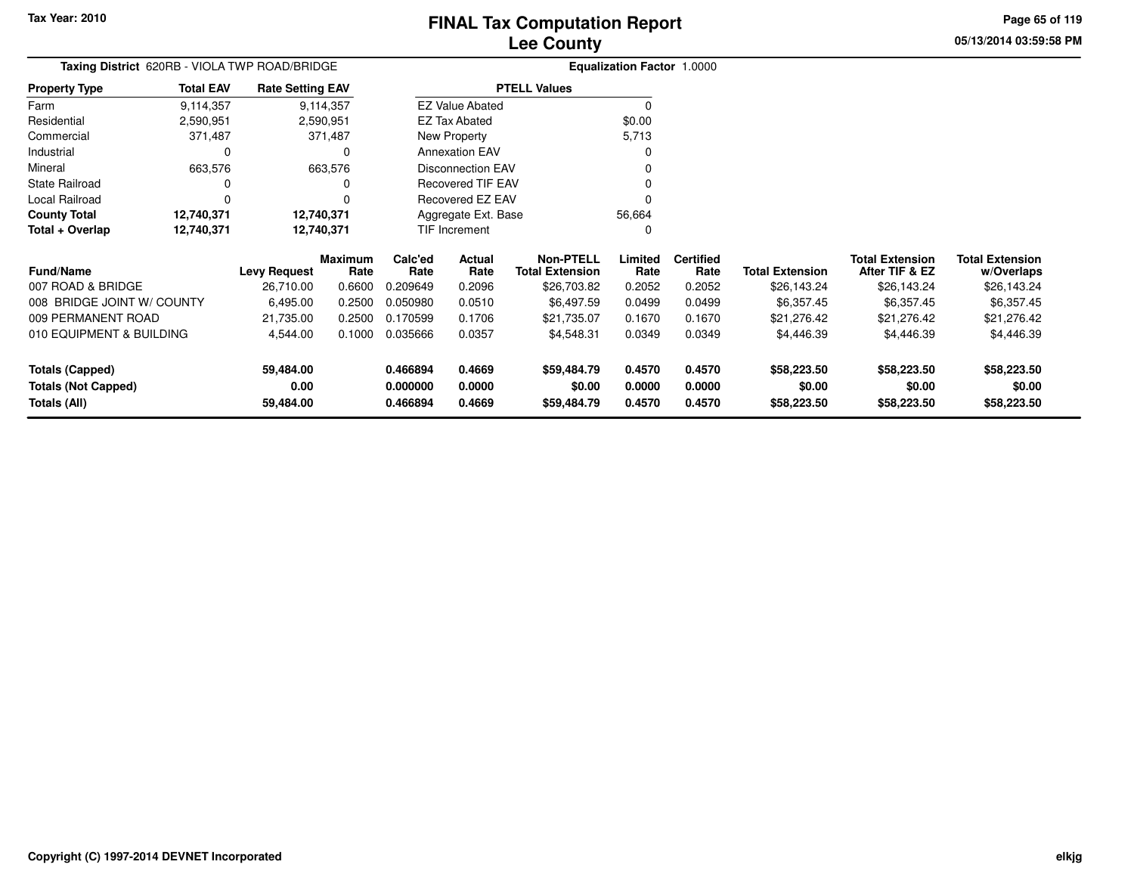**Totals (Capped)**

**Totals (All)**

**Totals (Not Capped)**

#### **Lee CountyFINAL Tax Computation Report**

**0.466894 0.4669 \$59,484.79 0.4570 0.4570 \$58,223.50 \$58,223.50 \$58,223.50**

**0.000000 0.0000 \$0.00 0.0000 0.0000 \$0.00 \$0.00 \$0.00**

**0.466894 0.4669 \$59,484.79 0.4570 0.4570 \$58,223.50 \$58,223.50 \$58,223.50**

**05/13/2014 03:59:58 PMPage 65 of 119**

> **w/Overlaps** \$26,143.24

| Taxing District 620RB - VIOLA TWP ROAD/BRIDGE                        |                  |                         |                        |                                   | <b>Equalization Factor 1.0000</b> |                                            |                 |                          |                        |                                          |                                      |
|----------------------------------------------------------------------|------------------|-------------------------|------------------------|-----------------------------------|-----------------------------------|--------------------------------------------|-----------------|--------------------------|------------------------|------------------------------------------|--------------------------------------|
| <b>Property Type</b>                                                 | <b>Total EAV</b> | <b>Rate Setting EAV</b> |                        |                                   |                                   | <b>PTELL Values</b>                        |                 |                          |                        |                                          |                                      |
| Farm                                                                 | 9,114,357        |                         | 9,114,357              |                                   | <b>EZ Value Abated</b>            |                                            | 0               |                          |                        |                                          |                                      |
| Residential                                                          | 2,590,951        |                         | 2,590,951              |                                   | EZ Tax Abated                     |                                            | \$0.00          |                          |                        |                                          |                                      |
| Commercial                                                           | 371,487          |                         | 371,487                | 5,713<br>New Property             |                                   |                                            |                 |                          |                        |                                          |                                      |
| Industrial                                                           | 0                |                         | 0                      |                                   | <b>Annexation EAV</b>             |                                            |                 |                          |                        |                                          |                                      |
| Mineral                                                              | 663,576          |                         | 663,576                | <b>Disconnection EAV</b>          |                                   |                                            |                 |                          |                        |                                          |                                      |
| <b>State Railroad</b>                                                | 0                |                         |                        | <b>Recovered TIF EAV</b><br>0     |                                   |                                            |                 |                          |                        |                                          |                                      |
| Local Railroad                                                       |                  |                         |                        |                                   | Recovered EZ EAV                  |                                            | 0               |                          |                        |                                          |                                      |
| <b>County Total</b>                                                  | 12,740,371       |                         | 12,740,371             | Aggregate Ext. Base               |                                   |                                            | 56,664          |                          |                        |                                          |                                      |
| Total + Overlap                                                      | 12,740,371       |                         | 12,740,371             |                                   | TIF Increment                     |                                            | 0               |                          |                        |                                          |                                      |
| <b>Fund/Name</b>                                                     |                  | <b>Levy Request</b>     | <b>Maximum</b><br>Rate | Calc'ed<br>Rate                   | Actual<br>Rate                    | <b>Non-PTELL</b><br><b>Total Extension</b> | Limited<br>Rate | <b>Certified</b><br>Rate | <b>Total Extension</b> | <b>Total Extension</b><br>After TIF & EZ | <b>Total Extension</b><br>w/Overlaps |
| 007 ROAD & BRIDGE                                                    |                  | 26,710.00               | 0.6600                 | 0.209649                          | 0.2096                            | \$26,703.82                                | 0.2052          | 0.2052                   | \$26,143.24            | \$26,143.24                              | \$26,143.24                          |
| 008 BRIDGE JOINT W/ COUNTY                                           |                  | 6,495.00                | 0.2500                 | 0.050980                          | 0.0510                            | \$6,497.59                                 | 0.0499          | 0.0499                   | \$6,357.45             | \$6,357.45                               | \$6,357.45                           |
| 009 PERMANENT ROAD                                                   |                  | 21,735.00               | 0.2500                 | 0.170599<br>0.1706<br>\$21,735.07 |                                   |                                            | 0.1670          | 0.1670                   | \$21,276.42            | \$21,276.42                              | \$21,276.42                          |
| 010 EQUIPMENT & BUILDING<br>4,544.00<br>0.1000<br>0.035666<br>0.0357 |                  |                         | \$4,548.31             | 0.0349                            | 0.0349                            | \$4,446.39                                 | \$4,446.39      | \$4,446.39               |                        |                                          |                                      |

**59,484.00**

**59,484.00**

**0.00**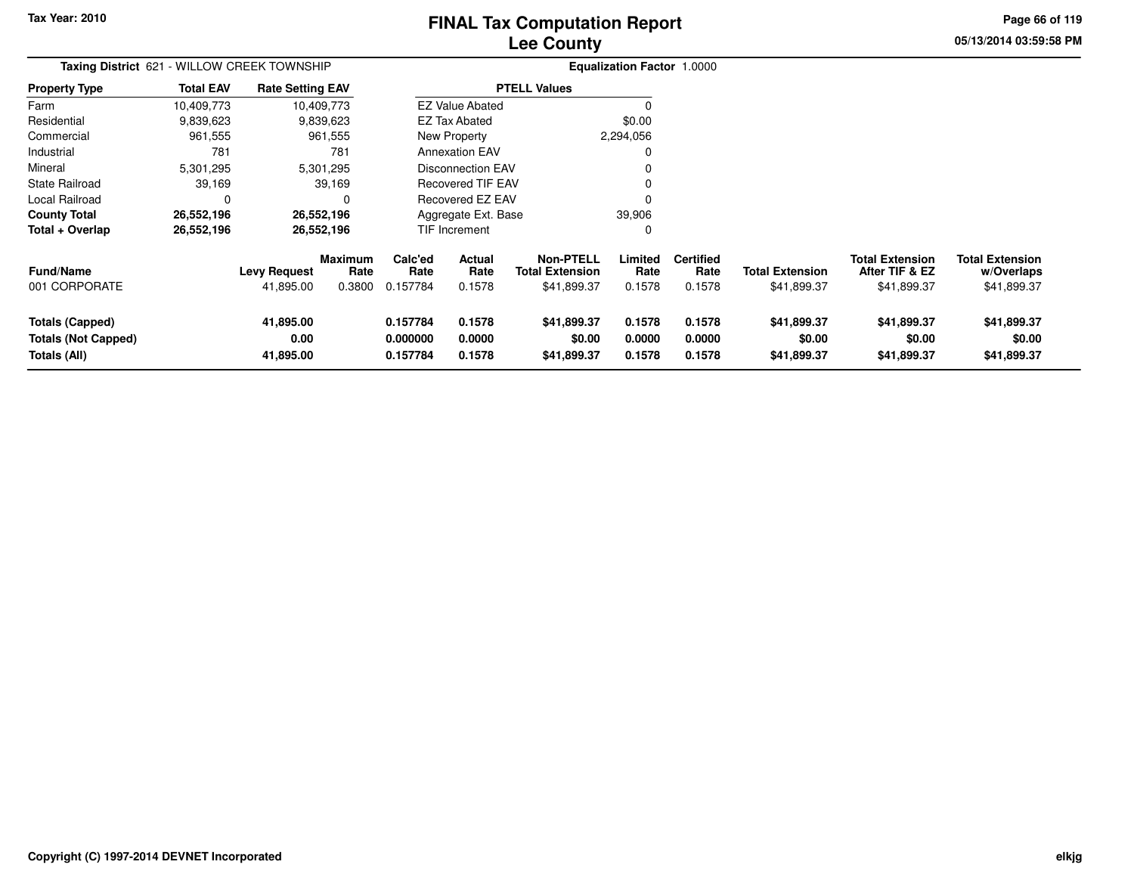# **Lee CountyFINAL Tax Computation Report**

**05/13/2014 03:59:58 PM Page 66 of 119**

| Taxing District 621 - WILLOW CREEK TOWNSHIP                   |                  |                                  |                                  |                                  |                            |                                                           |                            |                                    |                                       |                                                         |                                                     |
|---------------------------------------------------------------|------------------|----------------------------------|----------------------------------|----------------------------------|----------------------------|-----------------------------------------------------------|----------------------------|------------------------------------|---------------------------------------|---------------------------------------------------------|-----------------------------------------------------|
| <b>Property Type</b>                                          | <b>Total EAV</b> | <b>Rate Setting EAV</b>          |                                  |                                  |                            | <b>PTELL Values</b>                                       |                            |                                    |                                       |                                                         |                                                     |
| Farm                                                          | 10,409,773       |                                  | 10,409,773                       |                                  | <b>EZ Value Abated</b>     |                                                           | <sup>0</sup>               |                                    |                                       |                                                         |                                                     |
| Residential                                                   | 9,839,623        |                                  | 9,839,623                        |                                  | EZ Tax Abated              |                                                           | \$0.00                     |                                    |                                       |                                                         |                                                     |
| Commercial                                                    | 961,555          |                                  | 961,555                          |                                  | New Property               |                                                           | 2,294,056                  |                                    |                                       |                                                         |                                                     |
| Industrial                                                    | 781              |                                  | 781                              |                                  | <b>Annexation EAV</b>      |                                                           | 0                          |                                    |                                       |                                                         |                                                     |
| Mineral                                                       | 5,301,295        |                                  | 5,301,295                        |                                  | <b>Disconnection EAV</b>   |                                                           |                            |                                    |                                       |                                                         |                                                     |
| State Railroad                                                | 39,169           |                                  | 39,169                           |                                  | <b>Recovered TIF EAV</b>   |                                                           |                            |                                    |                                       |                                                         |                                                     |
| Local Railroad                                                | 0                |                                  | 0                                | <b>Recovered EZ EAV</b>          |                            |                                                           | 0                          |                                    |                                       |                                                         |                                                     |
| <b>County Total</b>                                           | 26,552,196       |                                  | 26,552,196                       | Aggregate Ext. Base<br>39,906    |                            |                                                           |                            |                                    |                                       |                                                         |                                                     |
| Total + Overlap                                               | 26,552,196       |                                  | 26,552,196                       |                                  | TIF Increment              |                                                           | 0                          |                                    |                                       |                                                         |                                                     |
| <b>Fund/Name</b><br>001 CORPORATE                             |                  | <b>Levy Request</b><br>41,895.00 | <b>Maximum</b><br>Rate<br>0.3800 | Calc'ed<br>Rate<br>0.157784      | Actual<br>Rate<br>0.1578   | <b>Non-PTELL</b><br><b>Total Extension</b><br>\$41,899.37 | Limited<br>Rate<br>0.1578  | <b>Certified</b><br>Rate<br>0.1578 | <b>Total Extension</b><br>\$41,899.37 | <b>Total Extension</b><br>After TIF & EZ<br>\$41,899.37 | <b>Total Extension</b><br>w/Overlaps<br>\$41,899.37 |
| Totals (Capped)<br><b>Totals (Not Capped)</b><br>Totals (All) |                  | 41,895.00<br>0.00<br>41,895.00   |                                  | 0.157784<br>0.000000<br>0.157784 | 0.1578<br>0.0000<br>0.1578 | \$41,899.37<br>\$0.00<br>\$41,899.37                      | 0.1578<br>0.0000<br>0.1578 | 0.1578<br>0.0000<br>0.1578         | \$41,899.37<br>\$0.00<br>\$41,899.37  | \$41,899.37<br>\$0.00<br>\$41,899.37                    | \$41,899.37<br>\$0.00<br>\$41,899.37                |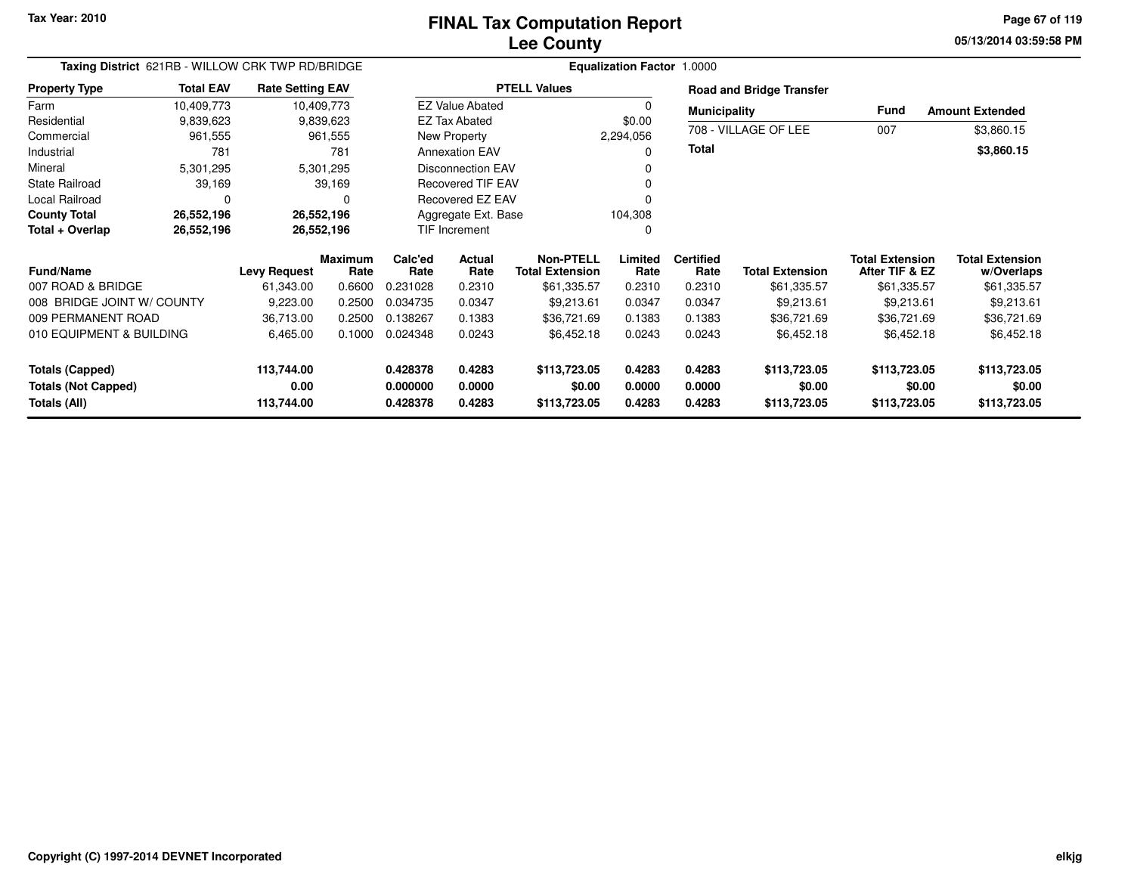**05/13/2014 03:59:58 PM Page 67 of 119**

| Taxing District 621RB - WILLOW CRK TWP RD/BRIDGE |                  |                         |                        |                      | <b>Equalization Factor 1.0000</b> |                                            |                  |                          |                                 |                                          |                                      |  |  |
|--------------------------------------------------|------------------|-------------------------|------------------------|----------------------|-----------------------------------|--------------------------------------------|------------------|--------------------------|---------------------------------|------------------------------------------|--------------------------------------|--|--|
| <b>Property Type</b>                             | <b>Total EAV</b> | <b>Rate Setting EAV</b> |                        |                      |                                   | <b>PTELL Values</b>                        |                  |                          | <b>Road and Bridge Transfer</b> |                                          |                                      |  |  |
| Farm                                             | 10,409,773       | 10,409,773              |                        |                      | <b>EZ Value Abated</b>            |                                            |                  | <b>Municipality</b>      |                                 | Fund                                     | <b>Amount Extended</b>               |  |  |
| Residential                                      | 9,839,623        |                         | 9,839,623              |                      | <b>EZ Tax Abated</b>              |                                            | \$0.00           |                          |                                 |                                          |                                      |  |  |
| Commercial                                       | 961,555          |                         | 961,555                |                      | New Property                      |                                            | 2,294,056        |                          | 708 - VILLAGE OF LEE            | 007                                      | \$3,860.15                           |  |  |
| Industrial                                       | 781              |                         | 781                    |                      | <b>Annexation EAV</b>             |                                            | $\Omega$         | Total                    |                                 |                                          | \$3,860.15                           |  |  |
| Mineral                                          | 5,301,295        |                         | 5,301,295              |                      | <b>Disconnection EAV</b>          |                                            |                  |                          |                                 |                                          |                                      |  |  |
| <b>State Railroad</b>                            | 39,169           |                         | 39,169                 |                      | <b>Recovered TIF EAV</b>          |                                            |                  |                          |                                 |                                          |                                      |  |  |
| <b>Local Railroad</b>                            |                  |                         | O                      |                      | Recovered EZ EAV                  |                                            | $\Omega$         |                          |                                 |                                          |                                      |  |  |
| <b>County Total</b>                              | 26,552,196       | 26,552,196              |                        |                      | Aggregate Ext. Base               |                                            | 104,308          |                          |                                 |                                          |                                      |  |  |
| Total + Overlap                                  | 26,552,196       | 26,552,196              |                        |                      | TIF Increment                     |                                            | $\Omega$         |                          |                                 |                                          |                                      |  |  |
| <b>Fund/Name</b>                                 |                  | <b>Levy Request</b>     | <b>Maximum</b><br>Rate | Calc'ed<br>Rate      | <b>Actual</b><br>Rate             | <b>Non-PTELL</b><br><b>Total Extension</b> | Limited<br>Rate  | <b>Certified</b><br>Rate | <b>Total Extension</b>          | <b>Total Extension</b><br>After TIF & EZ | <b>Total Extension</b><br>w/Overlaps |  |  |
| 007 ROAD & BRIDGE                                |                  | 61,343.00               | 0.6600                 | 0.231028             | 0.2310                            | \$61,335.57                                | 0.2310           | 0.2310                   | \$61,335.57                     | \$61,335.57                              | \$61,335.57                          |  |  |
| 008 BRIDGE JOINT W/ COUNTY                       |                  | 9,223.00                | 0.2500                 | 0.034735             | 0.0347                            | \$9,213.61                                 | 0.0347           | 0.0347                   | \$9,213.61                      | \$9,213.61                               | \$9,213.61                           |  |  |
| 009 PERMANENT ROAD                               |                  | 36,713.00               | 0.2500                 | 0.138267             | 0.1383                            | \$36,721.69                                | 0.1383           | 0.1383                   | \$36,721.69                     | \$36,721.69                              | \$36,721.69                          |  |  |
| 010 EQUIPMENT & BUILDING                         |                  | 6,465.00                | 0.1000                 | 0.024348             | 0.0243                            | \$6,452.18                                 | 0.0243           | 0.0243                   | \$6,452.18                      | \$6,452.18                               | \$6,452.18                           |  |  |
| <b>Totals (Capped)</b>                           |                  | 113,744.00              |                        | 0.428378             | 0.4283                            | \$113,723.05                               | 0.4283           | 0.4283                   | \$113,723.05                    | \$113,723.05                             | \$113,723.05                         |  |  |
| <b>Totals (Not Capped)</b><br>Totals (All)       |                  | 0.00<br>113,744.00      |                        | 0.000000<br>0.428378 | 0.0000<br>0.4283                  | \$0.00<br>\$113,723.05                     | 0.0000<br>0.4283 | 0.0000<br>0.4283         | \$0.00<br>\$113,723.05          | \$0.00<br>\$113,723.05                   | \$0.00<br>\$113,723.05               |  |  |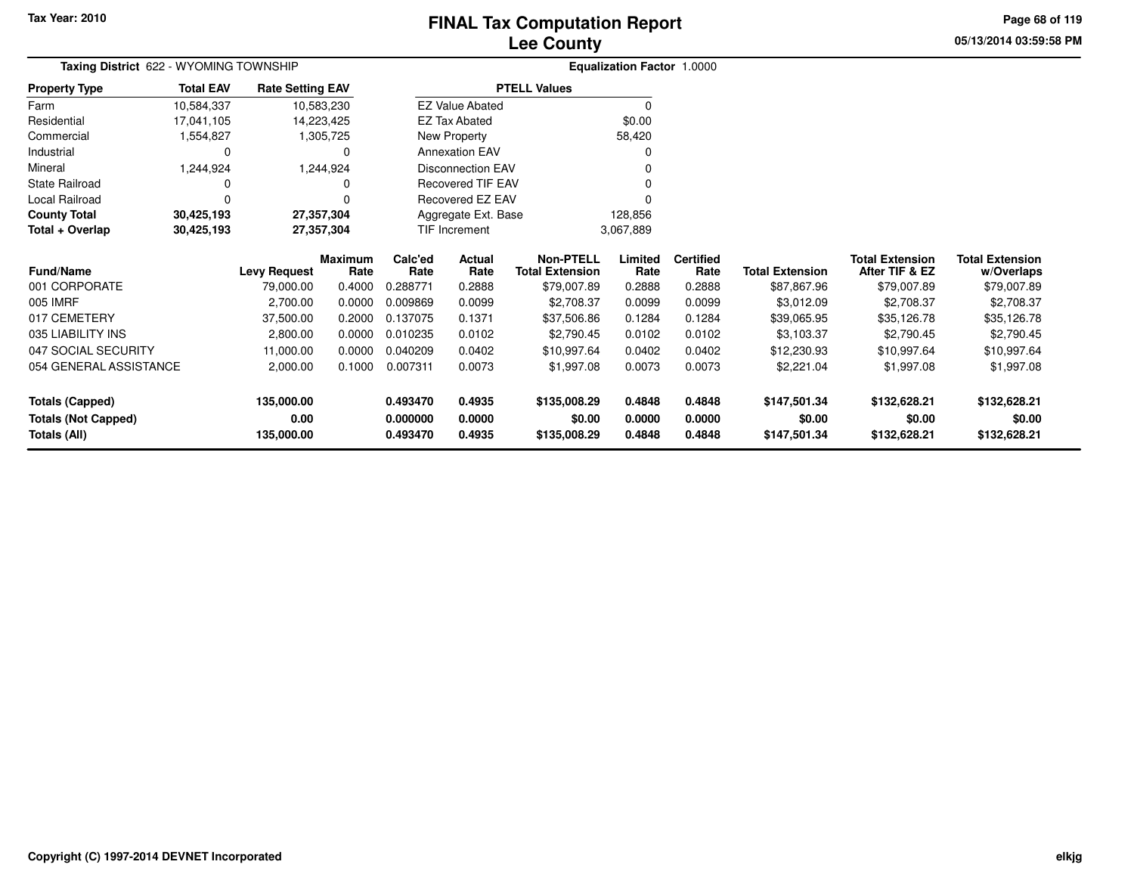# **Lee CountyFINAL Tax Computation Report**

**05/13/2014 03:59:58 PMPage 68 of 119**

| Taxing District 622 - WYOMING TOWNSHIP |                  |                         |                        | Equalization Factor 1.0000        |                        |                                            |                 |                          |                        |                                          |                                      |
|----------------------------------------|------------------|-------------------------|------------------------|-----------------------------------|------------------------|--------------------------------------------|-----------------|--------------------------|------------------------|------------------------------------------|--------------------------------------|
| <b>Property Type</b>                   | <b>Total EAV</b> | <b>Rate Setting EAV</b> |                        |                                   |                        | <b>PTELL Values</b>                        |                 |                          |                        |                                          |                                      |
| Farm                                   | 10,584,337       |                         | 10,583,230             |                                   | <b>EZ Value Abated</b> |                                            | 0               |                          |                        |                                          |                                      |
| Residential                            | 17,041,105       | 14,223,425              |                        |                                   | <b>EZ Tax Abated</b>   |                                            | \$0.00          |                          |                        |                                          |                                      |
| Commercial                             | 1,554,827        |                         | 1,305,725              |                                   | New Property           |                                            | 58,420          |                          |                        |                                          |                                      |
| Industrial                             | 0                |                         | 0                      |                                   | <b>Annexation EAV</b>  |                                            | 0               |                          |                        |                                          |                                      |
| Mineral                                | 1,244,924        |                         | 1,244,924              |                                   | Disconnection EAV      |                                            |                 |                          |                        |                                          |                                      |
| State Railroad                         | 0                |                         | 0                      |                                   | Recovered TIF EAV      |                                            |                 |                          |                        |                                          |                                      |
| Local Railroad                         | 0                |                         |                        |                                   | Recovered EZ EAV       |                                            |                 |                          |                        |                                          |                                      |
| <b>County Total</b>                    | 30,425,193       | 27,357,304              |                        |                                   | Aggregate Ext. Base    |                                            | 128,856         |                          |                        |                                          |                                      |
| Total + Overlap                        | 30,425,193       | 27,357,304              |                        | <b>TIF Increment</b><br>3,067,889 |                        |                                            |                 |                          |                        |                                          |                                      |
| Fund/Name                              |                  | <b>Levy Request</b>     | <b>Maximum</b><br>Rate | Calc'ed<br>Rate                   | Actual<br>Rate         | <b>Non-PTELL</b><br><b>Total Extension</b> | Limited<br>Rate | <b>Certified</b><br>Rate | <b>Total Extension</b> | <b>Total Extension</b><br>After TIF & EZ | <b>Total Extension</b><br>w/Overlaps |
| 001 CORPORATE                          |                  | 79,000.00               | 0.4000                 | 0.288771                          | 0.2888                 | \$79,007.89                                | 0.2888          | 0.2888                   | \$87,867.96            | \$79,007.89                              | \$79,007.89                          |
| 005 IMRF                               |                  | 2,700.00                | 0.0000                 | 0.009869                          | 0.0099                 | \$2,708.37                                 | 0.0099          | 0.0099                   | \$3,012.09             | \$2,708.37                               | \$2,708.37                           |
| 017 CEMETERY                           |                  | 37,500.00               | 0.2000                 | 0.137075                          | 0.1371                 | \$37,506.86                                | 0.1284          | 0.1284                   | \$39,065.95            | \$35,126.78                              | \$35,126.78                          |
| 035 LIABILITY INS                      |                  | 2,800.00                | 0.0000                 | 0.010235                          | 0.0102                 | \$2,790.45                                 | 0.0102          | 0.0102                   | \$3,103.37             | \$2,790.45                               | \$2,790.45                           |
| 047 SOCIAL SECURITY                    |                  | 11,000.00               | 0.0000                 | 0.040209                          | 0.0402                 | \$10,997.64                                | 0.0402          | 0.0402                   | \$12,230.93            | \$10,997.64                              | \$10,997.64                          |
| 054 GENERAL ASSISTANCE                 |                  | 2,000.00                | 0.1000                 | 0.007311                          | 0.0073                 | \$1,997.08                                 | 0.0073          | 0.0073                   | \$2,221.04             | \$1,997.08                               | \$1,997.08                           |
| <b>Totals (Capped)</b>                 |                  | 135,000.00              |                        | 0.493470                          | 0.4935                 | \$135,008.29                               | 0.4848          | 0.4848                   | \$147,501.34           | \$132,628.21                             | \$132,628.21                         |
| <b>Totals (Not Capped)</b>             |                  | 0.00                    |                        | 0.000000                          | 0.0000                 | \$0.00                                     | 0.0000          | 0.0000                   | \$0.00                 | \$0.00                                   | \$0.00                               |
| Totals (All)                           |                  | 135,000.00              |                        | 0.493470                          | 0.4935                 | \$135,008.29                               | 0.4848          | 0.4848                   | \$147,501.34           | \$132,628.21                             | \$132,628.21                         |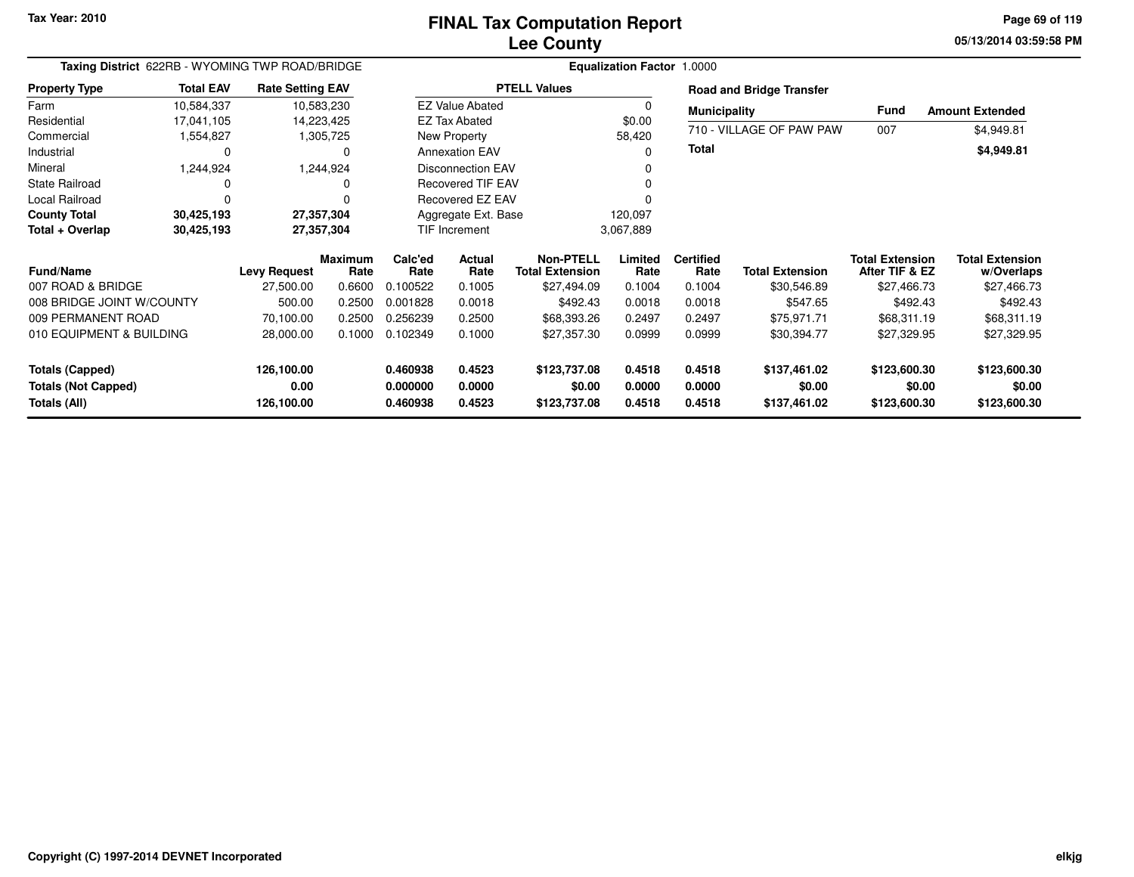**05/13/2014 03:59:58 PM Page 69 of 119**

| Taxing District 622RB - WYOMING TWP ROAD/BRIDGE |                  |                         |                        |                            |                          |                                            |                  |                          |                                 |                                          |                                      |
|-------------------------------------------------|------------------|-------------------------|------------------------|----------------------------|--------------------------|--------------------------------------------|------------------|--------------------------|---------------------------------|------------------------------------------|--------------------------------------|
| <b>Property Type</b>                            | <b>Total EAV</b> | <b>Rate Setting EAV</b> |                        |                            |                          | <b>PTELL Values</b>                        |                  |                          | <b>Road and Bridge Transfer</b> |                                          |                                      |
| Farm                                            | 10,584,337       | 10,583,230              |                        |                            | <b>EZ Value Abated</b>   |                                            | 0                | <b>Municipality</b>      |                                 | <b>Fund</b>                              | <b>Amount Extended</b>               |
| Residential                                     | 17,041,105       | 14,223,425              |                        |                            | <b>EZ Tax Abated</b>     |                                            | \$0.00           |                          |                                 |                                          |                                      |
| Commercial                                      | 1,554,827        |                         | 1,305,725              |                            | New Property             |                                            | 58,420           |                          | 710 - VILLAGE OF PAW PAW        | 007                                      | \$4,949.81                           |
| Industrial                                      | 0                |                         | 0                      |                            | <b>Annexation EAV</b>    |                                            | O                | <b>Total</b>             |                                 |                                          | \$4,949.81                           |
| Mineral                                         | 1,244,924        |                         | 1,244,924              |                            | <b>Disconnection EAV</b> |                                            |                  |                          |                                 |                                          |                                      |
| <b>State Railroad</b>                           |                  |                         |                        |                            | <b>Recovered TIF EAV</b> |                                            |                  |                          |                                 |                                          |                                      |
| Local Railroad                                  |                  |                         |                        |                            | <b>Recovered EZ EAV</b>  |                                            |                  |                          |                                 |                                          |                                      |
| <b>County Total</b>                             | 30,425,193       | 27,357,304              |                        |                            | Aggregate Ext. Base      |                                            | 120,097          |                          |                                 |                                          |                                      |
| Total + Overlap                                 | 30,425,193       | 27,357,304              |                        | TIF Increment<br>3,067,889 |                          |                                            |                  |                          |                                 |                                          |                                      |
| <b>Fund/Name</b>                                |                  | <b>Levy Request</b>     | <b>Maximum</b><br>Rate | Calc'ed<br>Rate            | Actual<br>Rate           | <b>Non-PTELL</b><br><b>Total Extension</b> | Limited<br>Rate  | <b>Certified</b><br>Rate | <b>Total Extension</b>          | <b>Total Extension</b><br>After TIF & EZ | <b>Total Extension</b><br>w/Overlaps |
| 007 ROAD & BRIDGE                               |                  | 27,500.00               | 0.6600                 | 0.100522                   | 0.1005                   | \$27,494.09                                | 0.1004           | 0.1004                   | \$30,546.89                     | \$27,466.73                              | \$27,466.73                          |
| 008 BRIDGE JOINT W/COUNTY                       |                  | 500.00                  | 0.2500                 | 0.001828                   | 0.0018                   | \$492.43                                   | 0.0018           | 0.0018                   | \$547.65                        | \$492.43                                 | \$492.43                             |
| 009 PERMANENT ROAD                              |                  | 70,100.00               | 0.2500                 | 0.256239                   | 0.2500                   | \$68,393.26                                | 0.2497           | 0.2497                   | \$75,971.71                     | \$68,311.19                              | \$68,311.19                          |
| 010 EQUIPMENT & BUILDING                        |                  | 28,000.00               | 0.1000                 | 0.102349                   | 0.1000                   | \$27,357.30                                | 0.0999           | 0.0999                   | \$30,394.77                     | \$27,329.95                              | \$27,329.95                          |
| <b>Totals (Capped)</b>                          |                  | 126,100.00              |                        | 0.460938                   | 0.4523                   | \$123,737.08                               | 0.4518           | 0.4518                   | \$137,461.02                    | \$123,600.30                             | \$123,600.30                         |
| <b>Totals (Not Capped)</b><br>Totals (All)      |                  | 0.00<br>126,100.00      |                        | 0.000000<br>0.460938       | 0.0000<br>0.4523         | \$0.00<br>\$123,737.08                     | 0.0000<br>0.4518 | 0.0000<br>0.4518         | \$0.00<br>\$137,461.02          | \$0.00<br>\$123,600.30                   | \$0.00<br>\$123,600.30               |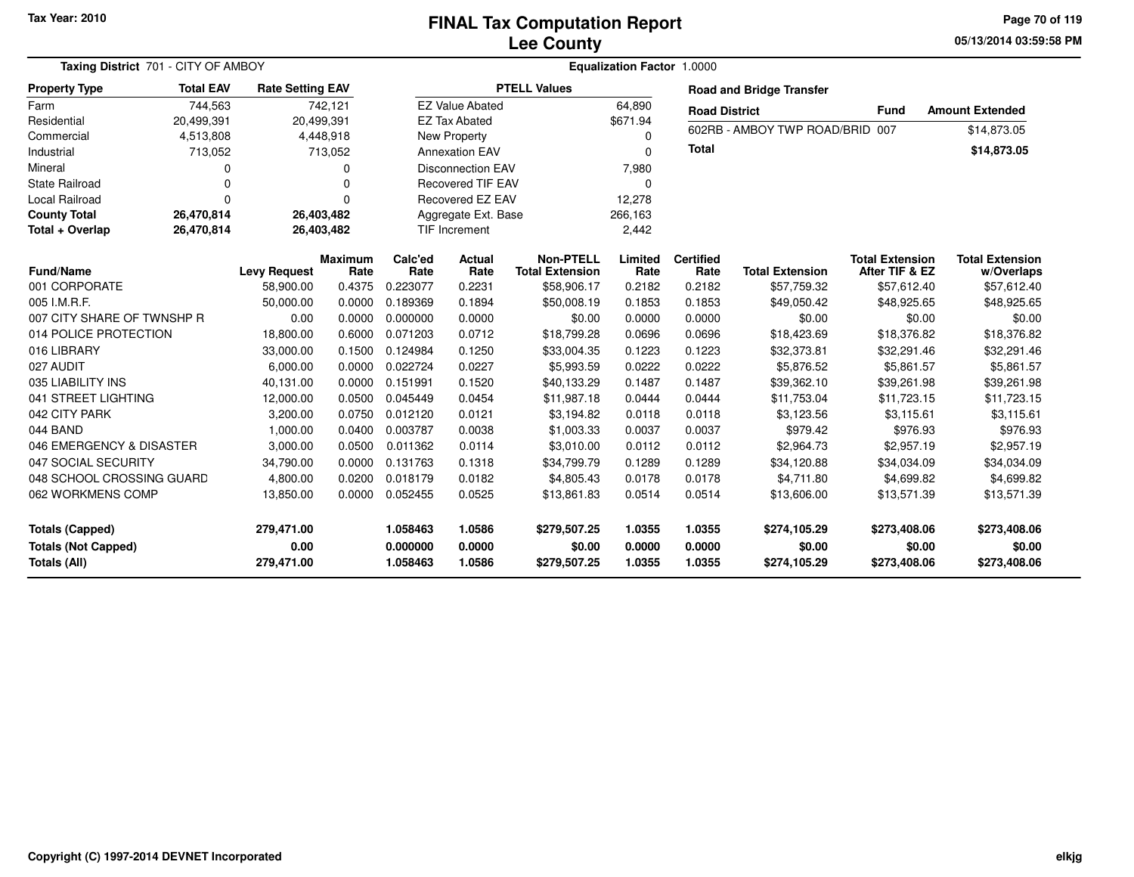#### **Lee CountyFINAL Tax Computation Report**

**05/13/2014 03:59:58 PM Page 70 of 119**

| Taxing District 701 - CITY OF AMBOY<br>Equalization Factor 1.0000    |                  |                                  |                        |                                  |                            |                                            |                            |                            |                                        |                                          |                                        |
|----------------------------------------------------------------------|------------------|----------------------------------|------------------------|----------------------------------|----------------------------|--------------------------------------------|----------------------------|----------------------------|----------------------------------------|------------------------------------------|----------------------------------------|
| <b>Property Type</b>                                                 | <b>Total EAV</b> | <b>Rate Setting EAV</b>          |                        |                                  |                            | <b>PTELL Values</b>                        |                            |                            | <b>Road and Bridge Transfer</b>        |                                          |                                        |
| Farm                                                                 | 744,563          |                                  | 742,121                |                                  | <b>EZ Value Abated</b>     |                                            | 64,890                     | <b>Road District</b>       |                                        | <b>Fund</b>                              | <b>Amount Extended</b>                 |
| Residential                                                          | 20,499,391       |                                  | 20,499,391             |                                  | <b>EZ Tax Abated</b>       |                                            | \$671.94                   |                            |                                        |                                          |                                        |
| Commercial                                                           | 4,513,808        |                                  | 4,448,918              | New Property                     |                            |                                            | 0                          |                            | 602RB - AMBOY TWP ROAD/BRID 007        |                                          | \$14,873.05                            |
| Industrial                                                           | 713,052          |                                  | 713,052                |                                  | <b>Annexation EAV</b>      |                                            | 0                          | <b>Total</b>               |                                        |                                          | \$14,873.05                            |
| Mineral                                                              | 0                |                                  | 0                      |                                  | <b>Disconnection EAV</b>   |                                            | 7,980                      |                            |                                        |                                          |                                        |
| <b>State Railroad</b>                                                | $\Omega$         |                                  | $\Omega$               |                                  | <b>Recovered TIF EAV</b>   |                                            | 0                          |                            |                                        |                                          |                                        |
| <b>Local Railroad</b>                                                | $\Omega$         |                                  | $\Omega$               |                                  | Recovered EZ EAV           |                                            | 12,278                     |                            |                                        |                                          |                                        |
| <b>County Total</b>                                                  | 26,470,814       |                                  | 26,403,482             |                                  | Aggregate Ext. Base        |                                            | 266,163                    |                            |                                        |                                          |                                        |
| Total + Overlap                                                      | 26,470,814       |                                  | 26,403,482             |                                  | <b>TIF Increment</b>       |                                            | 2,442                      |                            |                                        |                                          |                                        |
| <b>Fund/Name</b>                                                     |                  | <b>Levy Request</b>              | <b>Maximum</b><br>Rate | Calc'ed<br>Rate                  | <b>Actual</b><br>Rate      | <b>Non-PTELL</b><br><b>Total Extension</b> | Limited<br>Rate            | <b>Certified</b><br>Rate   | <b>Total Extension</b>                 | <b>Total Extension</b><br>After TIF & EZ | <b>Total Extension</b><br>w/Overlaps   |
| 001 CORPORATE                                                        |                  | 58,900.00                        | 0.4375                 | 0.223077                         | 0.2231                     | \$58,906.17                                | 0.2182                     | 0.2182                     | \$57,759.32                            | \$57,612.40                              | \$57,612.40                            |
| 005 I.M.R.F.                                                         |                  | 50,000.00                        | 0.0000                 | 0.189369                         | 0.1894                     | \$50,008.19                                | 0.1853                     | 0.1853                     | \$49,050.42                            | \$48,925.65                              | \$48,925.65                            |
| 007 CITY SHARE OF TWNSHP R                                           |                  | 0.00                             | 0.0000                 | 0.000000                         | 0.0000                     | \$0.00                                     | 0.0000                     | 0.0000                     | \$0.00                                 | \$0.00                                   | \$0.00                                 |
| 014 POLICE PROTECTION                                                |                  | 18,800.00                        | 0.6000                 | 0.071203                         | 0.0712                     | \$18,799.28                                | 0.0696                     | 0.0696                     | \$18,423.69                            | \$18,376.82                              | \$18,376.82                            |
| 016 LIBRARY                                                          |                  | 33,000.00                        | 0.1500                 | 0.124984                         | 0.1250                     | \$33,004.35                                | 0.1223                     | 0.1223                     | \$32,373.81                            | \$32,291.46                              | \$32,291.46                            |
| 027 AUDIT                                                            |                  | 6,000.00                         | 0.0000                 | 0.022724                         | 0.0227                     | \$5,993.59                                 | 0.0222                     | 0.0222                     | \$5,876.52                             | \$5,861.57                               | \$5,861.57                             |
| 035 LIABILITY INS                                                    |                  | 40,131.00                        | 0.0000                 | 0.151991                         | 0.1520                     | \$40,133.29                                | 0.1487                     | 0.1487                     | \$39,362.10                            | \$39,261.98                              | \$39,261.98                            |
| 041 STREET LIGHTING                                                  |                  | 12,000.00                        | 0.0500                 | 0.045449                         | 0.0454                     | \$11,987.18                                | 0.0444                     | 0.0444                     | \$11,753.04                            | \$11,723.15                              | \$11,723.15                            |
| 042 CITY PARK                                                        |                  | 3,200.00                         | 0.0750                 | 0.012120                         | 0.0121                     | \$3,194.82                                 | 0.0118                     | 0.0118                     | \$3,123.56                             | \$3,115.61                               | \$3,115.61                             |
| 044 BAND                                                             |                  | 1,000.00                         | 0.0400                 | 0.003787                         | 0.0038                     | \$1,003.33                                 | 0.0037                     | 0.0037                     | \$979.42                               | \$976.93                                 | \$976.93                               |
| 046 EMERGENCY & DISASTER                                             |                  | 3,000.00                         | 0.0500                 | 0.011362                         | 0.0114                     | \$3,010.00                                 | 0.0112                     | 0.0112                     | \$2,964.73                             | \$2,957.19                               | \$2,957.19                             |
| 047 SOCIAL SECURITY                                                  |                  | 34,790.00                        | 0.0000                 | 0.131763                         | 0.1318                     | \$34,799.79                                | 0.1289                     | 0.1289                     | \$34,120.88                            | \$34,034.09                              | \$34,034.09                            |
| 048 SCHOOL CROSSING GUARD                                            |                  | 4,800.00                         | 0.0200                 | 0.018179                         | 0.0182                     | \$4,805.43                                 | 0.0178                     | 0.0178                     | \$4,711.80                             | \$4,699.82                               | \$4,699.82                             |
| 062 WORKMENS COMP                                                    |                  | 13,850.00                        | 0.0000                 | 0.052455                         | 0.0525                     | \$13,861.83                                | 0.0514                     | 0.0514                     | \$13,606.00                            | \$13,571.39                              | \$13,571.39                            |
| <b>Totals (Capped)</b><br><b>Totals (Not Capped)</b><br>Totals (All) |                  | 279,471.00<br>0.00<br>279,471.00 |                        | 1.058463<br>0.000000<br>1.058463 | 1.0586<br>0.0000<br>1.0586 | \$279,507.25<br>\$0.00<br>\$279,507.25     | 1.0355<br>0.0000<br>1.0355 | 1.0355<br>0.0000<br>1.0355 | \$274,105.29<br>\$0.00<br>\$274,105.29 | \$273,408.06<br>\$0.00<br>\$273,408.06   | \$273,408.06<br>\$0.00<br>\$273,408.06 |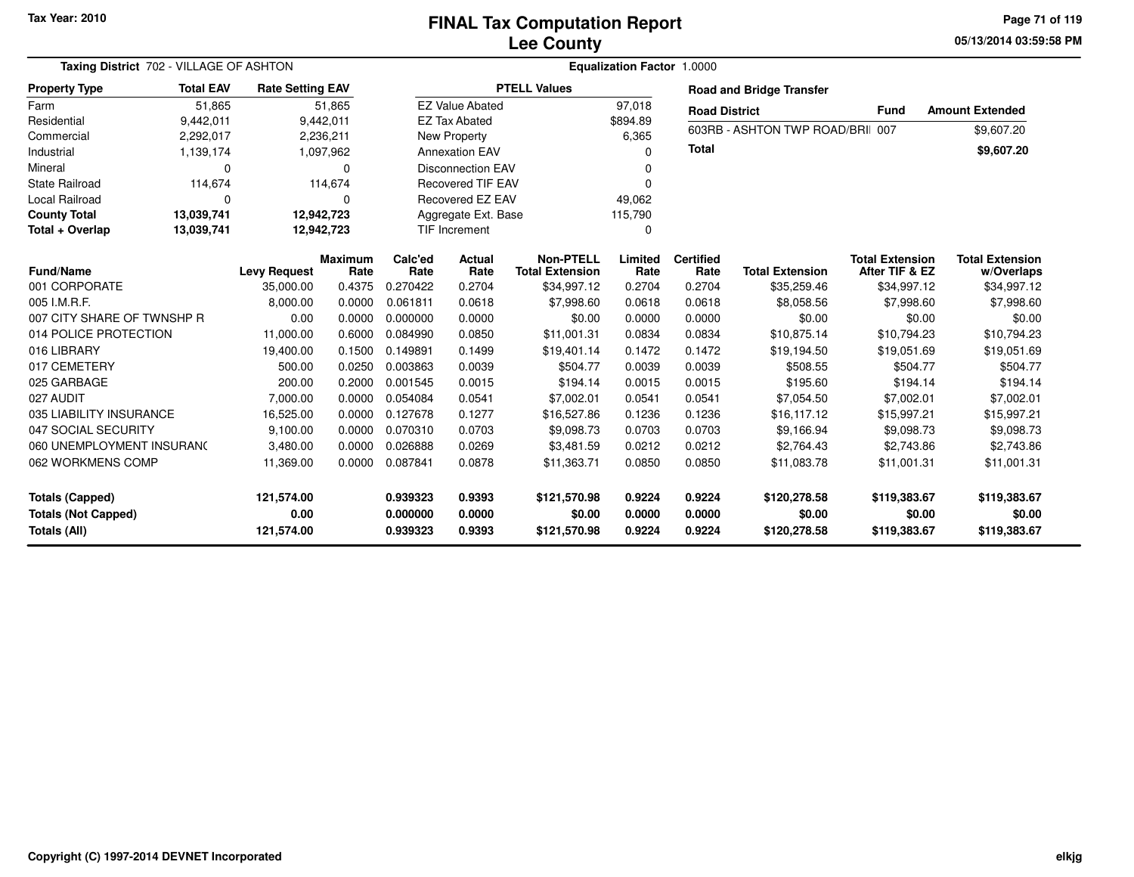**05/13/2014 03:59:58 PM Page 71 of 119**

| Taxing District 702 - VILLAGE OF ASHTON                             |            |                     |                        | Equalization Factor 1.0000 |                          |                                            |                  |                              |                                  |                                          |                                      |  |  |
|---------------------------------------------------------------------|------------|---------------------|------------------------|----------------------------|--------------------------|--------------------------------------------|------------------|------------------------------|----------------------------------|------------------------------------------|--------------------------------------|--|--|
| <b>Total EAV</b><br><b>Rate Setting EAV</b><br><b>Property Type</b> |            |                     |                        | <b>PTELL Values</b>        |                          |                                            |                  |                              | <b>Road and Bridge Transfer</b>  |                                          |                                      |  |  |
| Farm                                                                | 51,865     | 51,865              |                        | <b>EZ Value Abated</b>     |                          |                                            | 97,018           | <b>Road District</b><br>Fund |                                  |                                          | <b>Amount Extended</b>               |  |  |
| Residential<br>9,442,011                                            |            | 9,442,011           |                        |                            | <b>EZ Tax Abated</b>     |                                            | \$894.89         |                              |                                  |                                          |                                      |  |  |
| Commercial                                                          | 2,292,017  |                     | 2,236,211              |                            | New Property             |                                            | 6,365            |                              | 603RB - ASHTON TWP ROAD/BRII 007 |                                          | \$9,607.20                           |  |  |
| Industrial                                                          | 1,139,174  |                     | 1,097,962              |                            | <b>Annexation EAV</b>    |                                            | 0                | <b>Total</b>                 |                                  |                                          | \$9,607.20                           |  |  |
| Mineral                                                             | $\Omega$   |                     | 0                      |                            | <b>Disconnection EAV</b> |                                            | 0                |                              |                                  |                                          |                                      |  |  |
| <b>State Railroad</b>                                               | 114,674    |                     | 114,674                |                            | <b>Recovered TIF EAV</b> |                                            | 0                |                              |                                  |                                          |                                      |  |  |
| <b>Local Railroad</b><br>$\Omega$                                   |            | $\Omega$            |                        | Recovered EZ EAV           |                          |                                            | 49,062           |                              |                                  |                                          |                                      |  |  |
| <b>County Total</b>                                                 | 13,039,741 | 12,942,723          |                        | Aggregate Ext. Base        |                          |                                            | 115,790          |                              |                                  |                                          |                                      |  |  |
| Total + Overlap                                                     | 13,039,741 |                     | 12,942,723             |                            | TIF Increment            |                                            |                  |                              |                                  |                                          |                                      |  |  |
| <b>Fund/Name</b>                                                    |            | <b>Levy Request</b> | <b>Maximum</b><br>Rate | Calc'ed<br>Rate            | Actual<br>Rate           | <b>Non-PTELL</b><br><b>Total Extension</b> | Limited<br>Rate  | <b>Certified</b><br>Rate     | <b>Total Extension</b>           | <b>Total Extension</b><br>After TIF & EZ | <b>Total Extension</b><br>w/Overlaps |  |  |
| 001 CORPORATE                                                       |            | 35,000.00           | 0.4375                 | 0.270422                   | 0.2704                   | \$34,997.12                                | 0.2704           | 0.2704                       | \$35,259.46                      | \$34,997.12                              | \$34,997.12                          |  |  |
| 005 I.M.R.F.                                                        |            | 8,000.00            | 0.0000                 | 0.061811                   | 0.0618                   | \$7,998.60                                 | 0.0618           | 0.0618                       | \$8,058.56                       | \$7,998.60                               | \$7,998.60                           |  |  |
| 007 CITY SHARE OF TWNSHP R                                          |            | 0.00                | 0.0000                 | 0.000000                   | 0.0000                   | \$0.00                                     | 0.0000           | 0.0000                       | \$0.00                           | \$0.00                                   | \$0.00                               |  |  |
| 014 POLICE PROTECTION                                               |            | 11,000.00           | 0.6000                 | 0.084990                   | 0.0850                   | \$11,001.31                                | 0.0834           | 0.0834                       | \$10.875.14                      | \$10.794.23                              | \$10,794.23                          |  |  |
| 016 LIBRARY                                                         |            | 19,400.00           | 0.1500                 | 0.149891                   | 0.1499                   | \$19,401.14                                | 0.1472           | 0.1472                       | \$19,194.50                      | \$19,051.69                              | \$19,051.69                          |  |  |
| 017 CEMETERY                                                        |            | 500.00              | 0.0250                 | 0.003863                   | 0.0039                   | \$504.77                                   | 0.0039           | 0.0039                       | \$508.55                         | \$504.77                                 | \$504.77                             |  |  |
| 025 GARBAGE                                                         |            | 200.00              | 0.2000                 | 0.001545                   | 0.0015                   | \$194.14                                   | 0.0015           | 0.0015                       | \$195.60                         | \$194.14                                 | \$194.14                             |  |  |
| 027 AUDIT                                                           |            | 7,000.00            | 0.0000                 | 0.054084                   | 0.0541                   | \$7,002.01                                 | 0.0541           | 0.0541                       | \$7,054.50                       | \$7,002.01                               | \$7,002.01                           |  |  |
| 035 LIABILITY INSURANCE                                             |            | 16,525.00           | 0.0000                 | 0.127678                   | 0.1277                   | \$16,527.86                                | 0.1236           | 0.1236                       | \$16,117.12                      | \$15,997.21                              | \$15,997.21                          |  |  |
| 047 SOCIAL SECURITY                                                 |            | 9,100.00            | 0.0000                 | 0.070310                   | 0.0703                   | \$9,098.73                                 | 0.0703           | 0.0703                       | \$9,166.94                       | \$9,098.73                               | \$9,098.73                           |  |  |
| 060 UNEMPLOYMENT INSURANC                                           |            | 3,480.00            | 0.0000                 | 0.026888                   | 0.0269                   | \$3,481.59                                 | 0.0212           | 0.0212                       | \$2,764.43                       | \$2,743.86                               | \$2,743.86                           |  |  |
| 062 WORKMENS COMP                                                   |            | 11,369.00           | 0.0000                 | 0.087841                   | 0.0878                   | \$11,363.71                                | 0.0850           | 0.0850                       | \$11,083.78                      | \$11,001.31                              | \$11,001.31                          |  |  |
| <b>Totals (Capped)</b>                                              |            | 121,574.00          |                        | 0.939323                   | 0.9393                   | \$121,570.98                               | 0.9224           | 0.9224                       | \$120,278.58                     | \$119,383.67                             | \$119,383.67                         |  |  |
| <b>Totals (Not Capped)</b><br>Totals (All)                          |            | 0.00<br>121,574.00  |                        | 0.000000<br>0.939323       | 0.0000<br>0.9393         | \$0.00<br>\$121,570.98                     | 0.0000<br>0.9224 | 0.0000<br>0.9224             | \$0.00<br>\$120,278.58           | \$0.00<br>\$119,383.67                   | \$0.00<br>\$119,383.67               |  |  |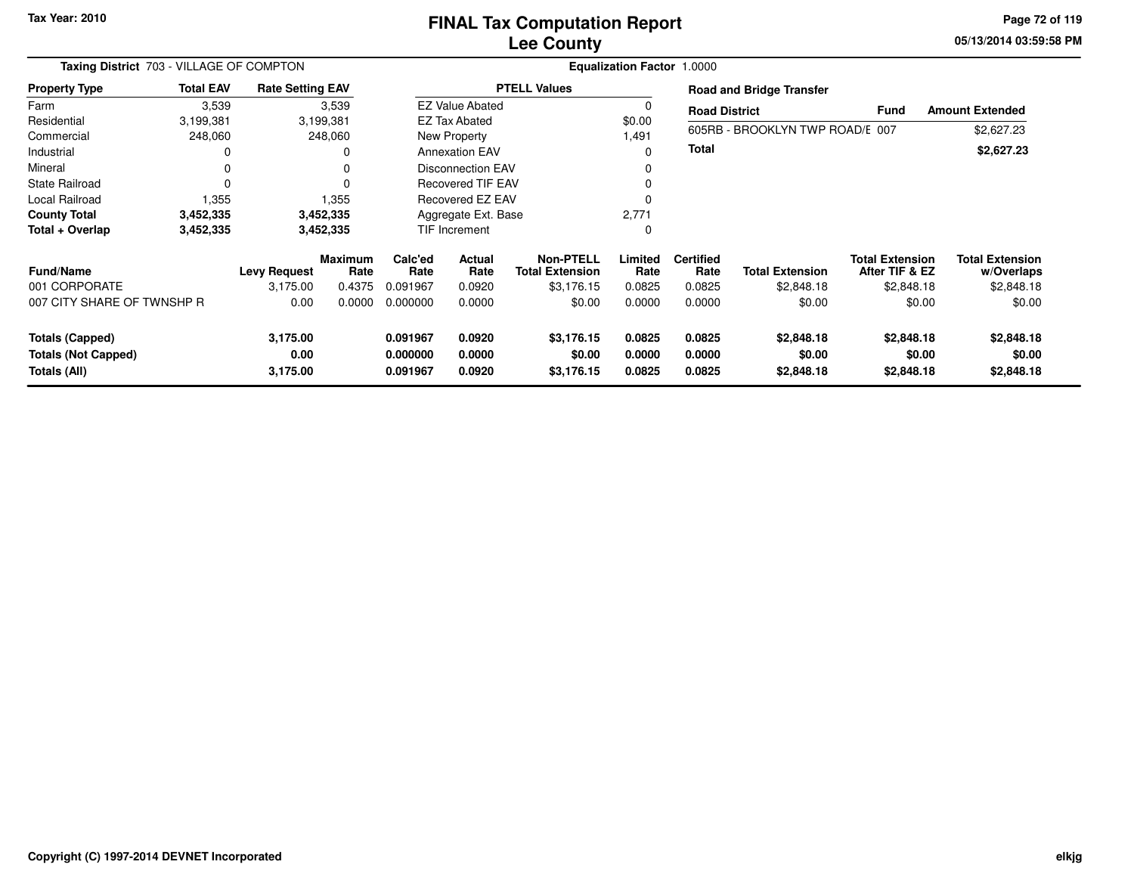#### **Lee CountyFINAL Tax Computation Report**

**05/13/2014 03:59:58 PM Page 72 of 119**

| Taxing District 703 - VILLAGE OF COMPTON                             |                  |                              |                        | Equalization Factor 1.0000       |                            |                                     |                            |                            |                                    |                                          |                                      |  |
|----------------------------------------------------------------------|------------------|------------------------------|------------------------|----------------------------------|----------------------------|-------------------------------------|----------------------------|----------------------------|------------------------------------|------------------------------------------|--------------------------------------|--|
| <b>Property Type</b>                                                 | <b>Total EAV</b> | <b>Rate Setting EAV</b>      |                        | <b>PTELL Values</b>              |                            |                                     |                            |                            | <b>Road and Bridge Transfer</b>    |                                          |                                      |  |
| Farm                                                                 | 3,539            |                              | 3,539                  |                                  | <b>EZ Value Abated</b>     |                                     | 0                          | <b>Road District</b>       |                                    | <b>Fund</b>                              | <b>Amount Extended</b>               |  |
| Residential                                                          | 3,199,381        |                              | 3,199,381              | <b>EZ Tax Abated</b>             |                            |                                     | \$0.00                     |                            |                                    |                                          |                                      |  |
| Commercial                                                           | 248,060          |                              | 248,060                | <b>New Property</b>              |                            |                                     | 1,491                      |                            | 605RB - BROOKLYN TWP ROAD/E 007    |                                          | \$2,627.23                           |  |
| Industrial                                                           | 0                |                              | 0                      |                                  | <b>Annexation EAV</b>      |                                     | 0                          | <b>Total</b>               |                                    |                                          | \$2,627.23                           |  |
| Mineral                                                              | 0                |                              | $\Omega$               |                                  | <b>Disconnection EAV</b>   |                                     |                            |                            |                                    |                                          |                                      |  |
| <b>State Railroad</b>                                                | 0                |                              |                        |                                  | <b>Recovered TIF EAV</b>   |                                     |                            |                            |                                    |                                          |                                      |  |
| Local Railroad                                                       | 1,355            |                              | 1,355                  |                                  | Recovered EZ EAV           |                                     |                            |                            |                                    |                                          |                                      |  |
| <b>County Total</b>                                                  | 3,452,335        |                              | 3,452,335              |                                  | Aggregate Ext. Base        |                                     | 2,771                      |                            |                                    |                                          |                                      |  |
| Total + Overlap                                                      | 3,452,335        |                              | 3,452,335              |                                  | <b>TIF Increment</b>       |                                     | 0                          |                            |                                    |                                          |                                      |  |
| <b>Fund/Name</b>                                                     |                  | Levy Request                 | <b>Maximum</b><br>Rate | Calc'ed<br>Rate                  | Actual<br>Rate             | Non-PTELL<br><b>Total Extension</b> | Limited<br>Rate            | <b>Certified</b><br>Rate   | <b>Total Extension</b>             | <b>Total Extension</b><br>After TIF & EZ | <b>Total Extension</b><br>w/Overlaps |  |
| 001 CORPORATE                                                        |                  | 3,175.00                     | 0.4375                 | 0.091967                         | 0.0920                     | \$3,176.15                          | 0.0825                     | 0.0825                     | \$2,848.18                         | \$2,848.18                               | \$2,848.18                           |  |
| 007 CITY SHARE OF TWNSHP R                                           |                  | 0.00                         | 0.0000                 | 0.000000                         | 0.0000                     | \$0.00                              | 0.0000                     | 0.0000                     | \$0.00                             | \$0.00                                   | \$0.00                               |  |
| <b>Totals (Capped)</b><br><b>Totals (Not Capped)</b><br>Totals (All) |                  | 3,175.00<br>0.00<br>3,175.00 |                        | 0.091967<br>0.000000<br>0.091967 | 0.0920<br>0.0000<br>0.0920 | \$3,176.15<br>\$0.00<br>\$3,176.15  | 0.0825<br>0.0000<br>0.0825 | 0.0825<br>0.0000<br>0.0825 | \$2,848.18<br>\$0.00<br>\$2,848.18 | \$2,848.18<br>\$0.00<br>\$2,848.18       | \$2,848.18<br>\$0.00<br>\$2,848.18   |  |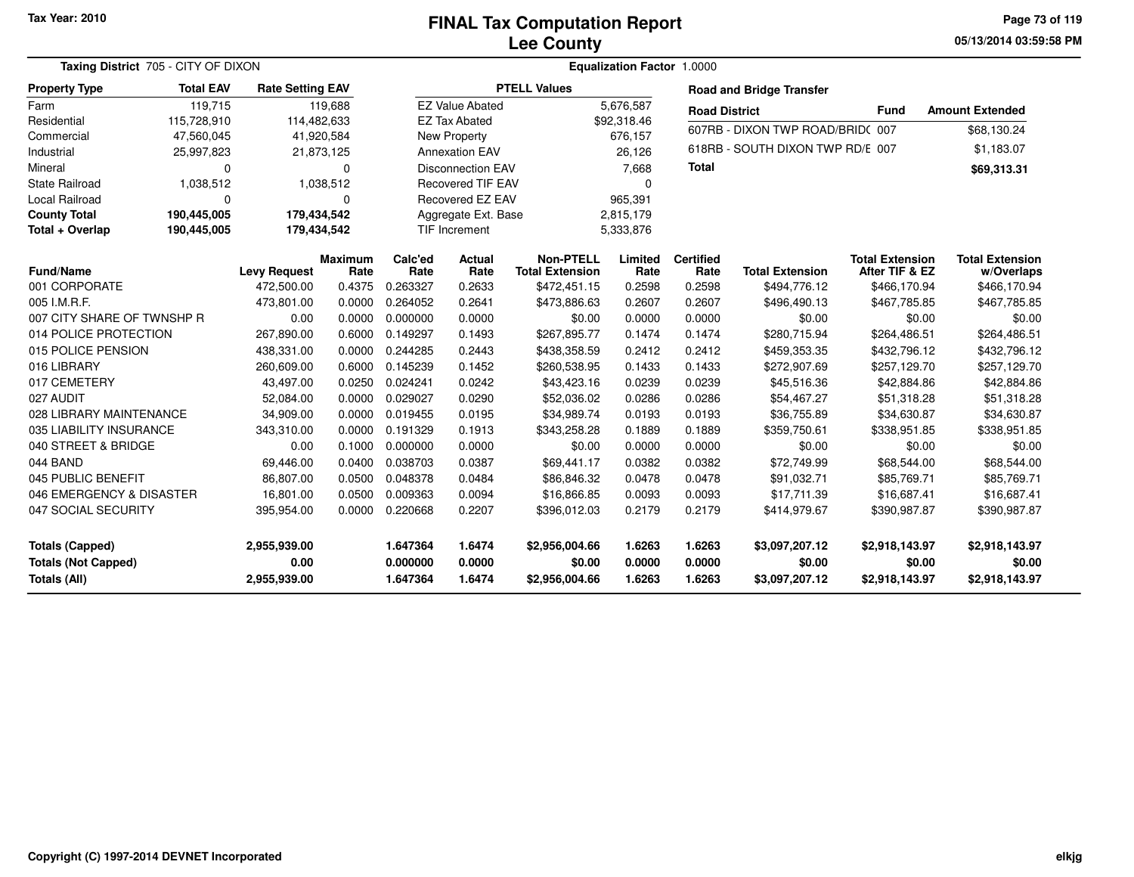#### **Lee CountyFINAL Tax Computation Report**

**05/13/2014 03:59:58 PM Page 73 of 119**

|                            | Taxing District 705 - CITY OF DIXON |                         |                 | Equalization Factor 1.0000 |                          |                                            |                 |                          |                                  |                                          |                                      |  |
|----------------------------|-------------------------------------|-------------------------|-----------------|----------------------------|--------------------------|--------------------------------------------|-----------------|--------------------------|----------------------------------|------------------------------------------|--------------------------------------|--|
| <b>Property Type</b>       | <b>Total EAV</b>                    | <b>Rate Setting EAV</b> |                 |                            |                          | <b>PTELL Values</b>                        |                 |                          | <b>Road and Bridge Transfer</b>  |                                          |                                      |  |
| Farm                       | 119,715                             |                         | 119,688         |                            | <b>EZ Value Abated</b>   |                                            | 5,676,587       | <b>Road District</b>     |                                  | <b>Fund</b>                              | <b>Amount Extended</b>               |  |
| Residential                | 115,728,910                         | 114,482,633             |                 |                            | <b>EZ Tax Abated</b>     |                                            | \$92,318.46     |                          |                                  |                                          |                                      |  |
| Commercial                 | 47,560,045                          |                         | 41,920,584      |                            | New Property             |                                            | 676,157         |                          | 607RB - DIXON TWP ROAD/BRID(007  |                                          | \$68,130.24                          |  |
| Industrial                 | 25,997,823                          |                         | 21,873,125      |                            | <b>Annexation EAV</b>    |                                            | 26,126          |                          | 618RB - SOUTH DIXON TWP RD/E 007 |                                          | \$1,183.07                           |  |
| Mineral                    | $\Omega$                            |                         | $\Omega$        |                            | <b>Disconnection EAV</b> |                                            | 7,668           | <b>Total</b>             |                                  |                                          | \$69,313.31                          |  |
| <b>State Railroad</b>      | 1,038,512                           |                         | 1,038,512       |                            | <b>Recovered TIF EAV</b> |                                            | $\Omega$        |                          |                                  |                                          |                                      |  |
| Local Railroad             | $\mathbf 0$                         |                         | $\Omega$        |                            | Recovered EZ EAV         |                                            | 965,391         |                          |                                  |                                          |                                      |  |
| <b>County Total</b>        | 190,445,005                         | 179,434,542             |                 |                            | Aggregate Ext. Base      |                                            | 2,815,179       |                          |                                  |                                          |                                      |  |
| Total + Overlap            | 190,445,005                         | 179,434,542             |                 |                            | <b>TIF Increment</b>     |                                            | 5,333,876       |                          |                                  |                                          |                                      |  |
| <b>Fund/Name</b>           |                                     | <b>Levy Request</b>     | Maximum<br>Rate | Calc'ed<br>Rate            | Actual<br>Rate           | <b>Non-PTELL</b><br><b>Total Extension</b> | Limited<br>Rate | <b>Certified</b><br>Rate | <b>Total Extension</b>           | <b>Total Extension</b><br>After TIF & EZ | <b>Total Extension</b><br>w/Overlaps |  |
| 001 CORPORATE              |                                     | 472,500.00              | 0.4375          | 0.263327                   | 0.2633                   | \$472,451.15                               | 0.2598          | 0.2598                   | \$494,776.12                     | \$466,170.94                             | \$466,170.94                         |  |
| 005 I.M.R.F.               |                                     | 473,801.00              | 0.0000          | 0.264052                   | 0.2641                   | \$473,886.63                               | 0.2607          | 0.2607                   | \$496,490.13                     | \$467,785.85                             | \$467,785.85                         |  |
| 007 CITY SHARE OF TWNSHP R |                                     | 0.00                    | 0.0000          | 0.000000                   | 0.0000                   | \$0.00                                     | 0.0000          | 0.0000                   | \$0.00                           | \$0.00                                   | \$0.00                               |  |
| 014 POLICE PROTECTION      |                                     | 267,890.00              | 0.6000          | 0.149297                   | 0.1493                   | \$267,895.77                               | 0.1474          | 0.1474                   | \$280,715.94                     | \$264,486.51                             | \$264,486.51                         |  |
| 015 POLICE PENSION         |                                     | 438,331.00              | 0.0000          | 0.244285                   | 0.2443                   | \$438,358.59                               | 0.2412          | 0.2412                   | \$459,353.35                     | \$432,796.12                             | \$432,796.12                         |  |
| 016 LIBRARY                |                                     | 260,609.00              | 0.6000          | 0.145239                   | 0.1452                   | \$260,538.95                               | 0.1433          | 0.1433                   | \$272,907.69                     | \$257,129.70                             | \$257,129.70                         |  |
| 017 CEMETERY               |                                     | 43,497.00               | 0.0250          | 0.024241                   | 0.0242                   | \$43,423.16                                | 0.0239          | 0.0239                   | \$45,516.36                      | \$42,884.86                              | \$42,884.86                          |  |
| 027 AUDIT                  |                                     | 52,084.00               | 0.0000          | 0.029027                   | 0.0290                   | \$52,036.02                                | 0.0286          | 0.0286                   | \$54,467.27                      | \$51,318.28                              | \$51,318.28                          |  |
| 028 LIBRARY MAINTENANCE    |                                     | 34,909.00               | 0.0000          | 0.019455                   | 0.0195                   | \$34,989.74                                | 0.0193          | 0.0193                   | \$36,755.89                      | \$34,630.87                              | \$34,630.87                          |  |
| 035 LIABILITY INSURANCE    |                                     | 343,310.00              | 0.0000          | 0.191329                   | 0.1913                   | \$343,258.28                               | 0.1889          | 0.1889                   | \$359,750.61                     | \$338,951.85                             | \$338,951.85                         |  |
| 040 STREET & BRIDGE        |                                     | 0.00                    | 0.1000          | 0.000000                   | 0.0000                   | \$0.00                                     | 0.0000          | 0.0000                   | \$0.00                           | \$0.00                                   | \$0.00                               |  |
| 044 BAND                   |                                     | 69,446.00               | 0.0400          | 0.038703                   | 0.0387                   | \$69,441.17                                | 0.0382          | 0.0382                   | \$72,749.99                      | \$68,544.00                              | \$68,544.00                          |  |
| 045 PUBLIC BENEFIT         |                                     | 86,807.00               | 0.0500          | 0.048378                   | 0.0484                   | \$86,846.32                                | 0.0478          | 0.0478                   | \$91,032.71                      | \$85,769.71                              | \$85,769.71                          |  |
| 046 EMERGENCY & DISASTER   |                                     | 16,801.00               | 0.0500          | 0.009363                   | 0.0094                   | \$16,866.85                                | 0.0093          | 0.0093                   | \$17,711.39                      | \$16,687.41                              | \$16,687.41                          |  |
| 047 SOCIAL SECURITY        |                                     | 395,954.00              | 0.0000          | 0.220668                   | 0.2207                   | \$396,012.03                               | 0.2179          | 0.2179                   | \$414,979.67                     | \$390,987.87                             | \$390,987.87                         |  |
| <b>Totals (Capped)</b>     |                                     | 2,955,939.00            |                 | 1.647364                   | 1.6474                   | \$2,956,004.66                             | 1.6263          | 1.6263                   | \$3,097,207.12                   | \$2,918,143.97                           | \$2,918,143.97                       |  |
| <b>Totals (Not Capped)</b> |                                     | 0.00                    |                 | 0.000000                   | 0.0000                   | \$0.00                                     | 0.0000          | 0.0000                   | \$0.00                           | \$0.00                                   | \$0.00                               |  |
| <b>Totals (All)</b>        |                                     | 2,955,939.00            |                 | 1.647364                   | 1.6474                   | \$2,956,004.66                             | 1.6263          | 1.6263                   | \$3,097,207.12                   | \$2,918,143.97                           | \$2,918,143.97                       |  |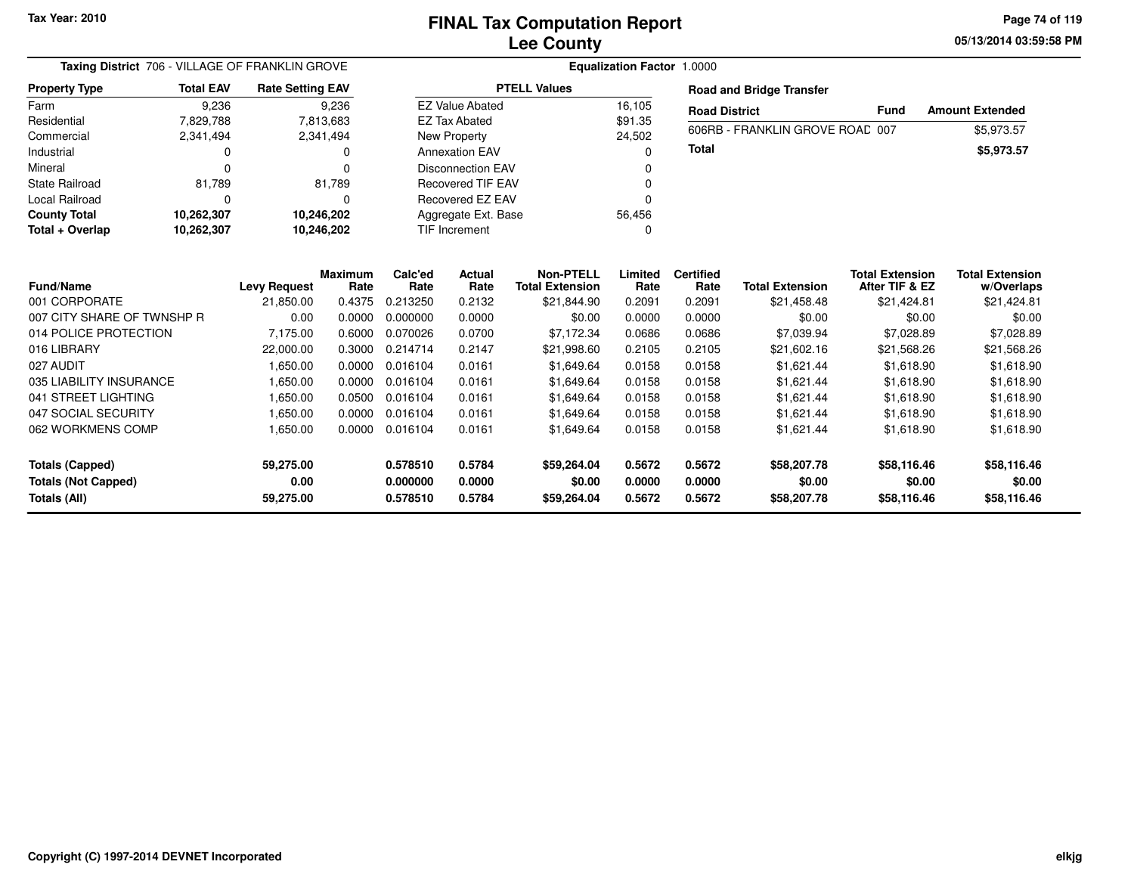**05/13/2014 03:59:58 PM Page 74 of 119**

| <b>Taxing District</b> 706 - VILLAGE OF FRANKLIN GROVE                                |                                                                                                        |                                               |                                                                                                           |                              |                                                                                                                                             |                                                                                                                                                                                |                                              |                                                                        |                                                                                                                 |                                                                                                                                                                                                                                                                |  |  |  |
|---------------------------------------------------------------------------------------|--------------------------------------------------------------------------------------------------------|-----------------------------------------------|-----------------------------------------------------------------------------------------------------------|------------------------------|---------------------------------------------------------------------------------------------------------------------------------------------|--------------------------------------------------------------------------------------------------------------------------------------------------------------------------------|----------------------------------------------|------------------------------------------------------------------------|-----------------------------------------------------------------------------------------------------------------|----------------------------------------------------------------------------------------------------------------------------------------------------------------------------------------------------------------------------------------------------------------|--|--|--|
| <b>Total EAV</b><br><b>Property Type</b><br>9,236<br>Farm<br>Residential<br>7,829,788 |                                                                                                        |                                               |                                                                                                           |                              |                                                                                                                                             |                                                                                                                                                                                |                                              |                                                                        |                                                                                                                 |                                                                                                                                                                                                                                                                |  |  |  |
|                                                                                       |                                                                                                        | 9,236                                         |                                                                                                           |                              |                                                                                                                                             | 16,105                                                                                                                                                                         |                                              |                                                                        |                                                                                                                 | <b>Amount Extended</b>                                                                                                                                                                                                                                         |  |  |  |
|                                                                                       |                                                                                                        |                                               |                                                                                                           |                              |                                                                                                                                             | \$91.35                                                                                                                                                                        |                                              |                                                                        |                                                                                                                 | \$5,973.57                                                                                                                                                                                                                                                     |  |  |  |
| 2,341,494                                                                             |                                                                                                        |                                               |                                                                                                           |                              |                                                                                                                                             |                                                                                                                                                                                |                                              |                                                                        |                                                                                                                 |                                                                                                                                                                                                                                                                |  |  |  |
| 0                                                                                     |                                                                                                        |                                               |                                                                                                           |                              |                                                                                                                                             | 0                                                                                                                                                                              |                                              |                                                                        |                                                                                                                 | \$5,973.57                                                                                                                                                                                                                                                     |  |  |  |
| $\Omega$                                                                              |                                                                                                        | ŋ                                             |                                                                                                           |                              |                                                                                                                                             |                                                                                                                                                                                |                                              |                                                                        |                                                                                                                 |                                                                                                                                                                                                                                                                |  |  |  |
|                                                                                       |                                                                                                        |                                               |                                                                                                           |                              |                                                                                                                                             |                                                                                                                                                                                |                                              |                                                                        |                                                                                                                 |                                                                                                                                                                                                                                                                |  |  |  |
| $\Omega$                                                                              |                                                                                                        |                                               |                                                                                                           |                              |                                                                                                                                             | $\Omega$                                                                                                                                                                       |                                              |                                                                        |                                                                                                                 |                                                                                                                                                                                                                                                                |  |  |  |
| <b>County Total</b>                                                                   |                                                                                                        |                                               |                                                                                                           |                              |                                                                                                                                             |                                                                                                                                                                                |                                              |                                                                        |                                                                                                                 |                                                                                                                                                                                                                                                                |  |  |  |
| Total + Overlap<br>10,262,307                                                         |                                                                                                        |                                               |                                                                                                           |                              |                                                                                                                                             | $\Omega$                                                                                                                                                                       |                                              |                                                                        |                                                                                                                 |                                                                                                                                                                                                                                                                |  |  |  |
|                                                                                       |                                                                                                        | <b>Maximum</b>                                | Calc'ed                                                                                                   | <b>Actual</b>                | <b>Non-PTELL</b>                                                                                                                            | Limited                                                                                                                                                                        | <b>Certified</b>                             |                                                                        |                                                                                                                 | <b>Total Extension</b><br>w/Overlaps                                                                                                                                                                                                                           |  |  |  |
|                                                                                       |                                                                                                        |                                               |                                                                                                           |                              |                                                                                                                                             |                                                                                                                                                                                |                                              |                                                                        |                                                                                                                 | \$21,424.81                                                                                                                                                                                                                                                    |  |  |  |
|                                                                                       | 0.00                                                                                                   | 0.0000                                        | 0.000000                                                                                                  | 0.0000                       | \$0.00                                                                                                                                      | 0.0000                                                                                                                                                                         | 0.0000                                       | \$0.00                                                                 |                                                                                                                 | \$0.00                                                                                                                                                                                                                                                         |  |  |  |
|                                                                                       | 7,175.00                                                                                               | 0.6000                                        | 0.070026                                                                                                  | 0.0700                       | \$7,172.34                                                                                                                                  | 0.0686                                                                                                                                                                         | 0.0686                                       | \$7,039.94                                                             |                                                                                                                 | \$7,028.89                                                                                                                                                                                                                                                     |  |  |  |
|                                                                                       | 22,000.00                                                                                              | 0.3000                                        | 0.214714                                                                                                  | 0.2147                       | \$21,998.60                                                                                                                                 | 0.2105                                                                                                                                                                         | 0.2105                                       | \$21,602.16                                                            |                                                                                                                 | \$21,568.26                                                                                                                                                                                                                                                    |  |  |  |
|                                                                                       | 1,650.00                                                                                               | 0.0000                                        | 0.016104                                                                                                  | 0.0161                       | \$1,649.64                                                                                                                                  | 0.0158                                                                                                                                                                         | 0.0158                                       | \$1,621.44                                                             |                                                                                                                 | \$1,618.90                                                                                                                                                                                                                                                     |  |  |  |
|                                                                                       | 1,650.00                                                                                               | 0.0000                                        | 0.016104                                                                                                  | 0.0161                       | \$1,649.64                                                                                                                                  | 0.0158                                                                                                                                                                         | 0.0158                                       | \$1,621.44                                                             |                                                                                                                 | \$1,618.90                                                                                                                                                                                                                                                     |  |  |  |
|                                                                                       | 1,650.00                                                                                               | 0.0500                                        | 0.016104                                                                                                  | 0.0161                       | \$1,649.64                                                                                                                                  | 0.0158                                                                                                                                                                         | 0.0158                                       | \$1,621.44                                                             |                                                                                                                 | \$1,618.90                                                                                                                                                                                                                                                     |  |  |  |
|                                                                                       | 1,650.00                                                                                               | 0.0000                                        | 0.016104                                                                                                  | 0.0161                       | \$1,649.64                                                                                                                                  | 0.0158                                                                                                                                                                         | 0.0158                                       | \$1,621.44                                                             |                                                                                                                 | \$1,618.90                                                                                                                                                                                                                                                     |  |  |  |
|                                                                                       | 1,650.00                                                                                               | 0.0000                                        | 0.016104                                                                                                  | 0.0161                       | \$1,649.64                                                                                                                                  | 0.0158                                                                                                                                                                         | 0.0158                                       | \$1,621.44                                                             |                                                                                                                 | \$1,618.90                                                                                                                                                                                                                                                     |  |  |  |
|                                                                                       | 59,275.00                                                                                              |                                               | 0.578510                                                                                                  | 0.5784                       | \$59,264.04                                                                                                                                 | 0.5672                                                                                                                                                                         | 0.5672                                       | \$58,207.78                                                            |                                                                                                                 | \$58,116.46                                                                                                                                                                                                                                                    |  |  |  |
|                                                                                       | 0.00                                                                                                   |                                               | 0.000000                                                                                                  | 0.0000                       | \$0.00                                                                                                                                      | 0.0000                                                                                                                                                                         | 0.0000                                       | \$0.00                                                                 |                                                                                                                 | \$0.00<br>\$58,116.46                                                                                                                                                                                                                                          |  |  |  |
| 062 WORKMENS COMP                                                                     | 81,789<br>10,262,307<br>007 CITY SHARE OF TWNSHP R<br>014 POLICE PROTECTION<br>035 LIABILITY INSURANCE | <b>Levy Request</b><br>21,850.00<br>59,275.00 | <b>Rate Setting EAV</b><br>7,813,683<br>2,341,494<br>81,789<br>10,246,202<br>10,246,202<br>Rate<br>0.4375 | Rate<br>0.213250<br>0.578510 | <b>EZ Value Abated</b><br><b>EZ Tax Abated</b><br>New Property<br><b>Annexation EAV</b><br><b>TIF Increment</b><br>Rate<br>0.2132<br>0.5784 | <b>PTELL Values</b><br><b>Disconnection EAV</b><br><b>Recovered TIF EAV</b><br>Recovered EZ EAV<br>Aggregate Ext. Base<br><b>Total Extension</b><br>\$21,844.90<br>\$59,264.04 | 24,502<br>56,456<br>Rate<br>0.2091<br>0.5672 | <b>Equalization Factor 1.0000</b><br>Total<br>Rate<br>0.2091<br>0.5672 | <b>Road and Bridge Transfer</b><br><b>Road District</b><br><b>Total Extension</b><br>\$21,458.48<br>\$58,207.78 | <b>Fund</b><br>606RB - FRANKLIN GROVE ROAD 007<br><b>Total Extension</b><br>After TIF & EZ<br>\$21,424.81<br>\$0.00<br>\$7,028.89<br>\$21,568.26<br>\$1,618.90<br>\$1,618.90<br>\$1,618.90<br>\$1,618.90<br>\$1,618.90<br>\$58,116.46<br>\$0.00<br>\$58,116.46 |  |  |  |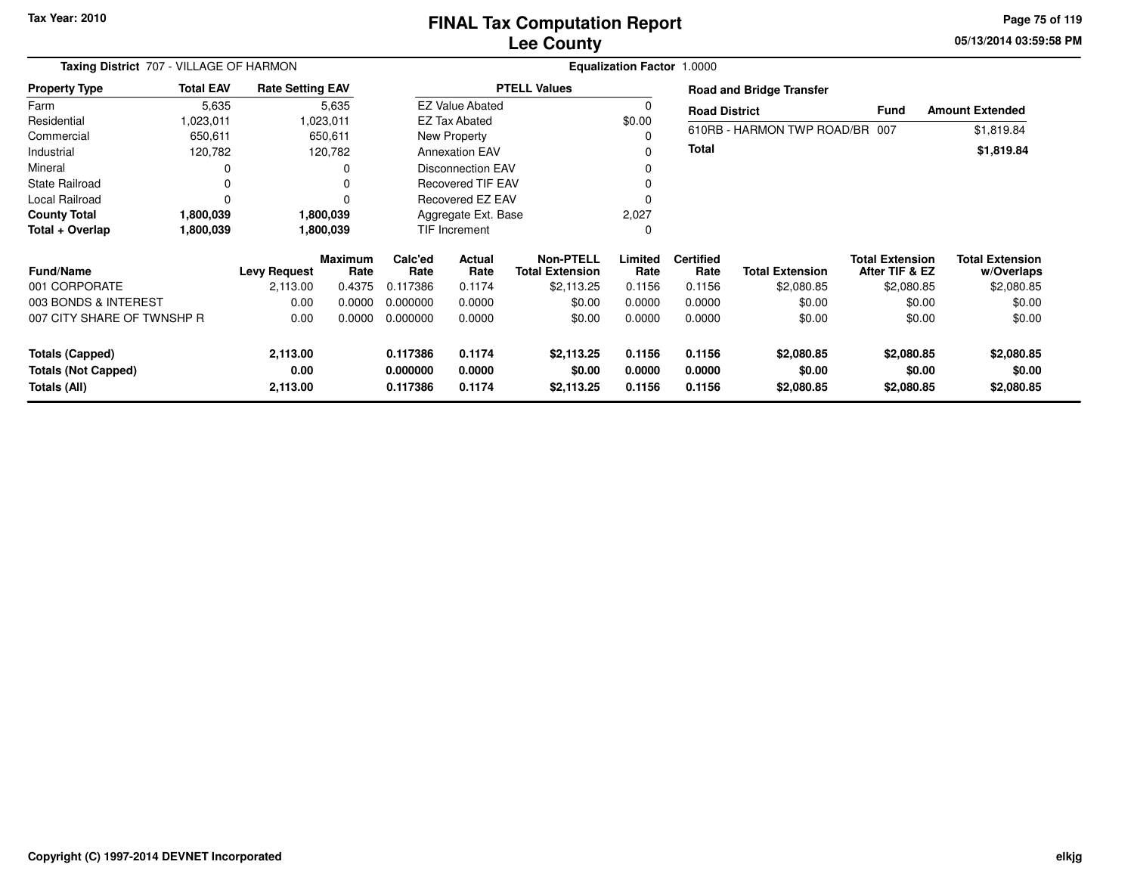# **Lee CountyFINAL Tax Computation Report**

**05/13/2014 03:59:58 PM Page 75 of 119**

| Taxing District 707 - VILLAGE OF HARMON |                  |                         |                        |                           |                          | Equalization Factor 1.0000                 |                 |                          |                                 |                                          |                                      |
|-----------------------------------------|------------------|-------------------------|------------------------|---------------------------|--------------------------|--------------------------------------------|-----------------|--------------------------|---------------------------------|------------------------------------------|--------------------------------------|
| <b>Property Type</b>                    | <b>Total EAV</b> | <b>Rate Setting EAV</b> |                        |                           |                          | <b>PTELL Values</b>                        |                 |                          | <b>Road and Bridge Transfer</b> |                                          |                                      |
| Farm                                    | 5,635            |                         | 5,635                  |                           | <b>EZ Value Abated</b>   |                                            | $\Omega$        | <b>Road District</b>     |                                 | <b>Fund</b>                              | <b>Amount Extended</b>               |
| Residential                             | 1,023,011        |                         | 1,023,011              |                           | EZ Tax Abated            |                                            | \$0.00          |                          |                                 |                                          |                                      |
| Commercial                              | 650,611          |                         | 650,611                |                           | New Property             |                                            |                 |                          | 610RB - HARMON TWP ROAD/BR 007  |                                          | \$1,819.84                           |
| Industrial                              | 120,782          |                         | 120,782                |                           | <b>Annexation EAV</b>    |                                            | 0               | <b>Total</b>             |                                 |                                          | \$1,819.84                           |
| Mineral                                 | 0                |                         | O                      |                           | <b>Disconnection EAV</b> |                                            | 0               |                          |                                 |                                          |                                      |
| <b>State Railroad</b>                   | 0                |                         | 0                      |                           | <b>Recovered TIF EAV</b> |                                            |                 |                          |                                 |                                          |                                      |
| Local Railroad                          | 0                |                         |                        |                           | <b>Recovered EZ EAV</b>  |                                            | $\Omega$        |                          |                                 |                                          |                                      |
| <b>County Total</b>                     | 1,800,039        |                         | 1,800,039              | Aggregate Ext. Base       |                          |                                            | 2,027           |                          |                                 |                                          |                                      |
| Total + Overlap                         | 1,800,039        |                         | 1,800,039              | <b>TIF Increment</b><br>0 |                          |                                            |                 |                          |                                 |                                          |                                      |
| <b>Fund/Name</b>                        |                  | <b>Levy Request</b>     | <b>Maximum</b><br>Rate | Calc'ed<br>Rate           | <b>Actual</b><br>Rate    | <b>Non-PTELL</b><br><b>Total Extension</b> | Limited<br>Rate | <b>Certified</b><br>Rate | <b>Total Extension</b>          | <b>Total Extension</b><br>After TIF & EZ | <b>Total Extension</b><br>w/Overlaps |
| 001 CORPORATE                           |                  | 2,113.00                | 0.4375                 | 0.117386                  | 0.1174                   | \$2,113.25                                 | 0.1156          | 0.1156                   | \$2,080.85                      | \$2,080.85                               | \$2,080.85                           |
| 003 BONDS & INTEREST                    |                  | 0.00                    | 0.0000                 | 0.000000                  | 0.0000                   | \$0.00                                     | 0.0000          | 0.0000                   | \$0.00                          | \$0.00                                   | \$0.00                               |
| 007 CITY SHARE OF TWNSHP R              |                  | 0.00                    | 0.0000                 | 0.000000                  | 0.0000                   | \$0.00                                     | 0.0000          | 0.0000                   | \$0.00                          | \$0.00                                   | \$0.00                               |
| <b>Totals (Capped)</b>                  |                  | 2,113.00                |                        | 0.117386                  | 0.1174                   | \$2,113.25                                 | 0.1156          | 0.1156                   | \$2,080.85                      | \$2,080.85                               | \$2,080.85                           |
| <b>Totals (Not Capped)</b>              |                  | 0.00                    |                        | 0.000000                  | 0.0000                   | \$0.00                                     | 0.0000          | 0.0000                   | \$0.00                          | \$0.00                                   | \$0.00                               |
| Totals (All)                            |                  | 2,113.00                |                        | 0.117386                  | 0.1174                   | \$2,113.25                                 | 0.1156          | 0.1156                   | \$2,080.85                      | \$2,080.85                               | \$2,080.85                           |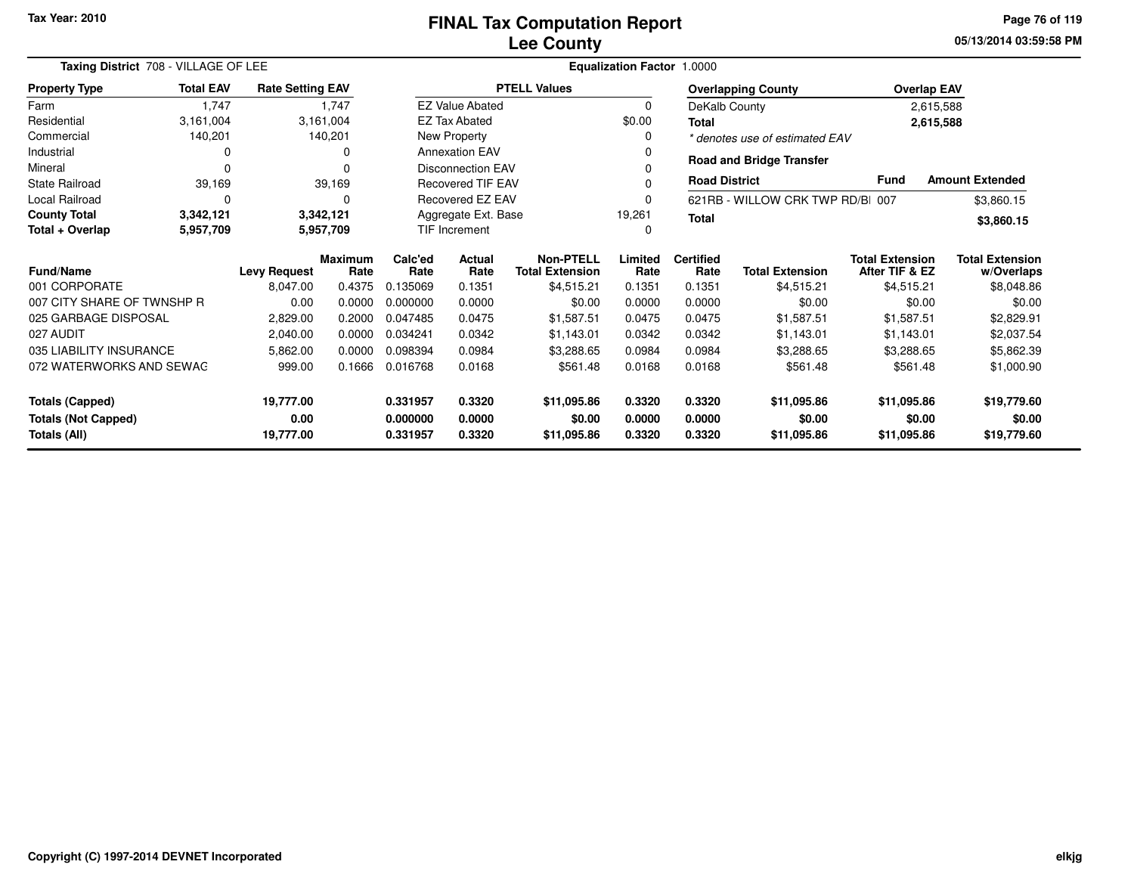**05/13/2014 03:59:58 PMPage 76 of 119**

| Taxing District 708 - VILLAGE OF LEE    |                  |                         |                 | <b>Equalization Factor 1.0000</b>             |                                            |                     |                              |                        |                                          |                                      |                        |  |
|-----------------------------------------|------------------|-------------------------|-----------------|-----------------------------------------------|--------------------------------------------|---------------------|------------------------------|------------------------|------------------------------------------|--------------------------------------|------------------------|--|
| <b>Property Type</b>                    | <b>Total EAV</b> | <b>Rate Setting EAV</b> |                 |                                               |                                            | <b>PTELL Values</b> |                              |                        | <b>Overlapping County</b>                | <b>Overlap EAV</b>                   |                        |  |
| Farm                                    | 1,747            |                         | 1,747           |                                               | <b>EZ Value Abated</b>                     |                     | $\Omega$                     | DeKalb County          |                                          |                                      | 2,615,588              |  |
| Residential                             | 3,161,004        |                         | 3,161,004       |                                               | <b>EZ Tax Abated</b>                       |                     | \$0.00                       | <b>Total</b>           |                                          |                                      | 2,615,588              |  |
| Commercial                              | 140,201          |                         | 140,201         |                                               | New Property                               |                     | 0                            |                        | * denotes use of estimated EAV           |                                      |                        |  |
| Industrial                              | 0                |                         |                 |                                               | <b>Annexation EAV</b>                      |                     | 0                            |                        | <b>Road and Bridge Transfer</b>          |                                      |                        |  |
| Mineral                                 | $\Omega$         |                         |                 |                                               | <b>Disconnection EAV</b>                   |                     |                              |                        |                                          |                                      |                        |  |
| State Railroad                          | 39,169           |                         | 39,169          |                                               | <b>Recovered TIF EAV</b>                   |                     | 0                            | <b>Road District</b>   |                                          | <b>Fund</b>                          | <b>Amount Extended</b> |  |
| Local Railroad                          | $\Omega$         |                         |                 |                                               | Recovered EZ EAV                           |                     | 0                            |                        | 621RB - WILLOW CRK TWP RD/B 007          |                                      | \$3,860.15             |  |
| <b>County Total</b>                     | 3,342,121        |                         | 3,342,121       | Aggregate Ext. Base<br>19,261<br><b>Total</b> |                                            |                     |                              |                        | \$3,860.15                               |                                      |                        |  |
| Total + Overlap                         | 5,957,709        |                         | 5,957,709       |                                               | <b>TIF Increment</b><br>0                  |                     |                              |                        |                                          |                                      |                        |  |
| <b>Fund/Name</b><br><b>Levy Request</b> |                  | <b>Maximum</b><br>Rate  | Calc'ed<br>Rate | Actual<br>Rate                                | <b>Non-PTELL</b><br><b>Total Extension</b> | Limited<br>Rate     | <b>Certified</b><br>Rate     | <b>Total Extension</b> | <b>Total Extension</b><br>After TIF & EZ | <b>Total Extension</b><br>w/Overlaps |                        |  |
| 001 CORPORATE                           |                  | 8,047.00                | 0.4375          | 0.135069                                      | 0.1351                                     | \$4,515.21          | 0.1351                       | 0.1351                 | \$4,515.21                               | \$4,515.21                           | \$8,048.86             |  |
| 007 CITY SHARE OF TWNSHP R              |                  | 0.00                    | 0.0000          | 0.000000                                      | 0.0000                                     | \$0.00              | 0.0000                       | 0.0000                 | \$0.00                                   | \$0.00                               | \$0.00                 |  |
| 025 GARBAGE DISPOSAL                    |                  | 2,829.00                | 0.2000          | 0.047485                                      | 0.0475                                     | \$1,587.51          | 0.0475                       | 0.0475                 | \$1,587.51                               | \$1,587.51                           | \$2,829.91             |  |
| 027 AUDIT                               |                  | 2,040.00                | 0.0000          | 0.034241                                      | 0.0342                                     | \$1,143.01          | 0.0342                       | 0.0342                 | \$1,143.01                               | \$1,143.01                           | \$2,037.54             |  |
| 035 LIABILITY INSURANCE                 |                  | 5,862.00                | 0.0000          | 0.098394                                      | 0.0984                                     | \$3,288.65          | 0.0984                       | 0.0984                 | \$3,288.65                               | \$3,288.65                           | \$5,862.39             |  |
| 072 WATERWORKS AND SEWAG                |                  | 999.00                  | 0.1666          | 0.016768                                      | 0.0168                                     | \$561.48            | 0.0168<br>\$561.48<br>0.0168 |                        |                                          | \$561.48                             | \$1,000.90             |  |
| <b>Totals (Capped)</b><br>19,777.00     |                  |                         |                 | 0.331957                                      | 0.3320                                     | \$11,095.86         | 0.3320                       | 0.3320                 | \$11,095.86                              | \$11,095.86                          | \$19,779.60            |  |
| <b>Totals (Not Capped)</b><br>0.00      |                  |                         |                 | 0.000000                                      | 0.0000                                     | \$0.00              | 0.0000                       | 0.0000                 | \$0.00                                   | \$0.00                               | \$0.00                 |  |
| Totals (All)<br>19,777.00               |                  |                         |                 | 0.331957                                      | 0.3320                                     | \$11,095.86         | 0.3320                       | 0.3320                 | \$11,095.86                              | \$11,095.86                          | \$19,779.60            |  |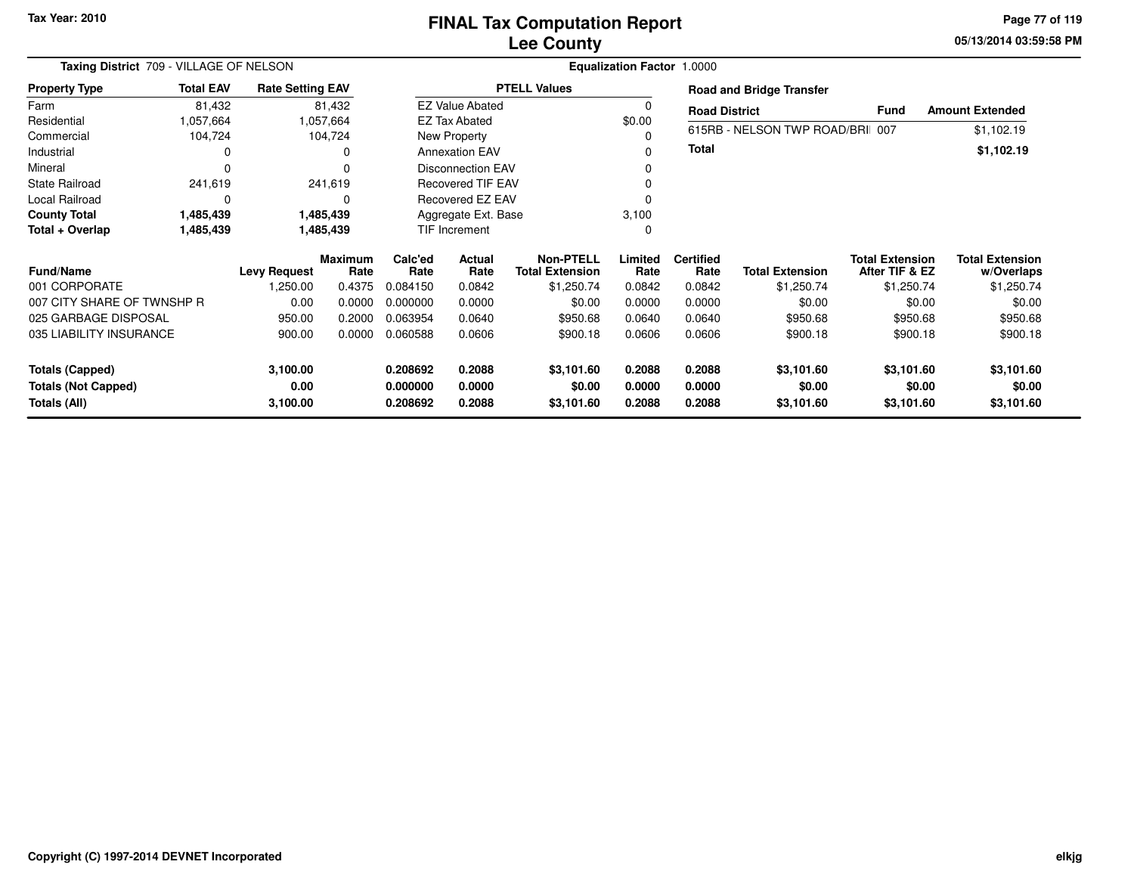# **Lee CountyFINAL Tax Computation Report**

**05/13/2014 03:59:58 PM Page 77 of 119**

| Taxing District 709 - VILLAGE OF NELSON    |                  |                         |                        |                      |                          |                                            | Equalization Factor 1.0000 |                          |                                 |                                          |                                      |  |
|--------------------------------------------|------------------|-------------------------|------------------------|----------------------|--------------------------|--------------------------------------------|----------------------------|--------------------------|---------------------------------|------------------------------------------|--------------------------------------|--|
| <b>Property Type</b>                       | <b>Total EAV</b> | <b>Rate Setting EAV</b> |                        |                      |                          | <b>PTELL Values</b>                        |                            |                          | <b>Road and Bridge Transfer</b> |                                          |                                      |  |
| Farm                                       | 81,432           |                         | 81,432                 |                      | <b>EZ Value Abated</b>   |                                            |                            | <b>Road District</b>     |                                 | Fund                                     | <b>Amount Extended</b>               |  |
| Residential                                | 1,057,664        |                         | 1,057,664              |                      | <b>EZ Tax Abated</b>     |                                            | \$0.00                     |                          |                                 |                                          |                                      |  |
| Commercial                                 | 104,724          |                         | 104,724                |                      | New Property             |                                            |                            |                          | 615RB - NELSON TWP ROAD/BRI 007 |                                          | \$1,102.19                           |  |
| Industrial                                 | 0                |                         | 0                      |                      | <b>Annexation EAV</b>    |                                            | 0                          | <b>Total</b>             |                                 |                                          | \$1,102.19                           |  |
| Mineral                                    | $\Omega$         |                         | $\Omega$               |                      | <b>Disconnection EAV</b> |                                            |                            |                          |                                 |                                          |                                      |  |
| <b>State Railroad</b>                      | 241,619          |                         | 241,619                |                      | <b>Recovered TIF EAV</b> |                                            |                            |                          |                                 |                                          |                                      |  |
| Local Railroad                             | 0                |                         | $\Omega$               |                      | Recovered EZ EAV         |                                            |                            |                          |                                 |                                          |                                      |  |
| <b>County Total</b>                        | 1,485,439        |                         | 1,485,439              |                      | Aggregate Ext. Base      |                                            | 3,100                      |                          |                                 |                                          |                                      |  |
| Total + Overlap                            | 1,485,439        |                         | 1,485,439              |                      | <b>TIF Increment</b>     |                                            | 0                          |                          |                                 |                                          |                                      |  |
| <b>Fund/Name</b>                           |                  | <b>Levy Request</b>     | <b>Maximum</b><br>Rate | Calc'ed<br>Rate      | Actual<br>Rate           | <b>Non-PTELL</b><br><b>Total Extension</b> | Limited<br>Rate            | <b>Certified</b><br>Rate | <b>Total Extension</b>          | <b>Total Extension</b><br>After TIF & EZ | <b>Total Extension</b><br>w/Overlaps |  |
| 001 CORPORATE                              |                  | 1,250.00                | 0.4375                 | 0.084150             | 0.0842                   | \$1,250.74                                 | 0.0842                     | 0.0842                   | \$1,250.74                      | \$1,250.74                               | \$1,250.74                           |  |
| 007 CITY SHARE OF TWNSHP R                 |                  | 0.00                    | 0.0000                 | 0.000000             | 0.0000                   | \$0.00                                     | 0.0000                     | 0.0000                   | \$0.00                          | \$0.00                                   | \$0.00                               |  |
| 025 GARBAGE DISPOSAL                       |                  | 950.00                  | 0.2000                 | 0.063954             | 0.0640                   | \$950.68                                   | 0.0640                     | 0.0640                   | \$950.68                        | \$950.68                                 | \$950.68                             |  |
| 035 LIABILITY INSURANCE                    |                  | 900.00                  | 0.0000                 | 0.060588             | 0.0606                   | \$900.18                                   | 0.0606                     | 0.0606                   | \$900.18                        | \$900.18                                 | \$900.18                             |  |
| <b>Totals (Capped)</b>                     |                  | 3,100.00                |                        | 0.208692             | 0.2088                   | \$3,101.60                                 | 0.2088                     | 0.2088                   | \$3,101.60                      | \$3,101.60                               | \$3,101.60                           |  |
| <b>Totals (Not Capped)</b><br>Totals (All) |                  | 0.00<br>3,100.00        |                        | 0.000000<br>0.208692 | 0.0000<br>0.2088         | \$0.00<br>\$3,101.60                       | 0.0000<br>0.2088           | 0.0000<br>0.2088         | \$0.00<br>\$3,101.60            | \$0.00<br>\$3,101.60                     | \$0.00<br>\$3,101.60                 |  |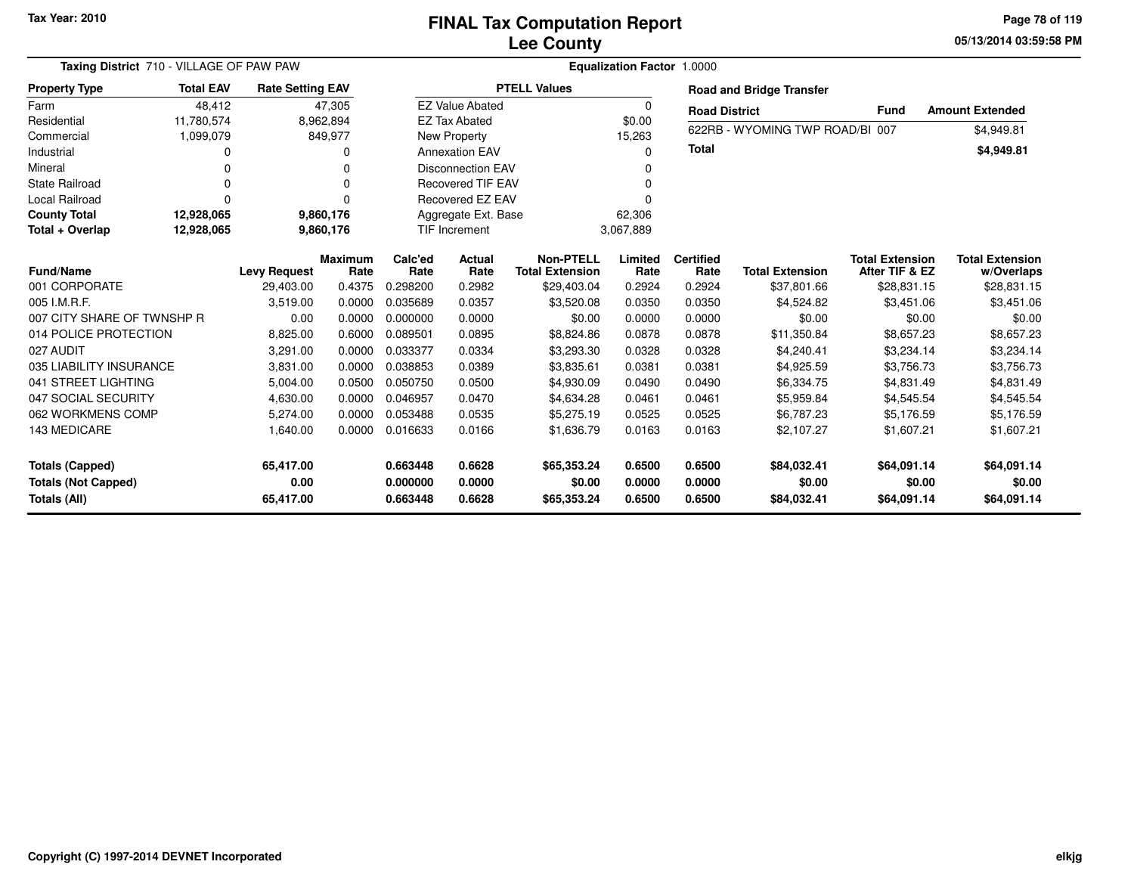**05/13/2014 03:59:58 PM Page 78 of 119**

| Taxing District 710 - VILLAGE OF PAW PAW                             |                  |                                |                        | <b>Equalization Factor 1.0000</b> |                            |                                            |                            |                            |                                      |                                          |                                      |  |  |
|----------------------------------------------------------------------|------------------|--------------------------------|------------------------|-----------------------------------|----------------------------|--------------------------------------------|----------------------------|----------------------------|--------------------------------------|------------------------------------------|--------------------------------------|--|--|
| <b>Property Type</b>                                                 | <b>Total EAV</b> | <b>Rate Setting EAV</b>        |                        |                                   |                            | <b>PTELL Values</b>                        |                            |                            | <b>Road and Bridge Transfer</b>      |                                          |                                      |  |  |
| Farm                                                                 | 48,412           |                                | 47,305                 |                                   | <b>EZ Value Abated</b>     |                                            | $\Omega$                   | <b>Road District</b>       |                                      | Fund                                     | <b>Amount Extended</b>               |  |  |
| Residential                                                          | 11,780,574       |                                | 8,962,894              |                                   | <b>EZ Tax Abated</b>       |                                            | \$0.00                     |                            |                                      |                                          |                                      |  |  |
| Commercial                                                           | 1,099,079        |                                | 849,977                |                                   | New Property               |                                            | 15,263                     |                            | 622RB - WYOMING TWP ROAD/BI 007      |                                          | \$4,949.81                           |  |  |
| Industrial                                                           |                  |                                | O                      |                                   | <b>Annexation EAV</b>      |                                            | n                          | Total                      |                                      |                                          | \$4,949.81                           |  |  |
| Mineral                                                              |                  |                                | 0                      |                                   | <b>Disconnection EAV</b>   |                                            |                            |                            |                                      |                                          |                                      |  |  |
| <b>State Railroad</b>                                                |                  |                                | O                      |                                   | <b>Recovered TIF EAV</b>   |                                            |                            |                            |                                      |                                          |                                      |  |  |
| Local Railroad                                                       |                  |                                | ŋ                      |                                   | Recovered EZ EAV           |                                            |                            |                            |                                      |                                          |                                      |  |  |
| <b>County Total</b>                                                  | 12,928,065       |                                | 9,860,176              |                                   | Aggregate Ext. Base        |                                            | 62,306                     |                            |                                      |                                          |                                      |  |  |
| Total + Overlap                                                      | 12,928,065       |                                | 9,860,176              |                                   | TIF Increment              |                                            | 3,067,889                  |                            |                                      |                                          |                                      |  |  |
| <b>Fund/Name</b>                                                     |                  | <b>Levy Request</b>            | <b>Maximum</b><br>Rate | Calc'ed<br>Rate                   | <b>Actual</b><br>Rate      | <b>Non-PTELL</b><br><b>Total Extension</b> | Limited<br>Rate            | <b>Certified</b><br>Rate   | <b>Total Extension</b>               | <b>Total Extension</b><br>After TIF & EZ | <b>Total Extension</b><br>w/Overlaps |  |  |
| 001 CORPORATE                                                        |                  | 29,403.00                      | 0.4375                 | 0.298200                          | 0.2982                     | \$29,403.04                                | 0.2924                     | 0.2924                     | \$37,801.66                          | \$28,831.15                              | \$28,831.15                          |  |  |
| 005 I.M.R.F.                                                         |                  | 3,519.00                       | 0.0000                 | 0.035689                          | 0.0357                     | \$3,520.08                                 | 0.0350                     | 0.0350                     | \$4,524.82                           | \$3,451.06                               | \$3,451.06                           |  |  |
| 007 CITY SHARE OF TWNSHP R                                           |                  | 0.00                           | 0.0000                 | 0.000000                          | 0.0000                     | \$0.00                                     | 0.0000                     | 0.0000                     | \$0.00                               | \$0.00                                   | \$0.00                               |  |  |
| 014 POLICE PROTECTION                                                |                  | 8,825.00                       | 0.6000                 | 0.089501                          | 0.0895                     | \$8,824.86                                 | 0.0878                     | 0.0878                     | \$11,350.84                          | \$8,657.23                               | \$8,657.23                           |  |  |
| 027 AUDIT                                                            |                  | 3,291.00                       | 0.0000                 | 0.033377                          | 0.0334                     | \$3,293.30                                 | 0.0328                     | 0.0328                     | \$4,240.41                           | \$3,234.14                               | \$3,234.14                           |  |  |
| 035 LIABILITY INSURANCE                                              |                  | 3,831.00                       | 0.0000                 | 0.038853                          | 0.0389                     | \$3,835.61                                 | 0.0381                     | 0.0381                     | \$4,925.59                           | \$3,756.73                               | \$3,756.73                           |  |  |
| 041 STREET LIGHTING                                                  |                  | 5,004.00                       | 0.0500                 | 0.050750                          | 0.0500                     | \$4,930.09                                 | 0.0490                     | 0.0490                     | \$6,334.75                           | \$4,831.49                               | \$4,831.49                           |  |  |
| 047 SOCIAL SECURITY                                                  |                  | 4,630.00                       | 0.0000                 | 0.046957                          | 0.0470                     | \$4,634.28                                 | 0.0461                     | 0.0461                     | \$5,959.84                           | \$4,545.54                               | \$4,545.54                           |  |  |
| 062 WORKMENS COMP                                                    |                  | 5,274.00                       | 0.0000                 | 0.053488                          | 0.0535                     | \$5,275.19                                 | 0.0525                     | 0.0525                     | \$6,787.23                           | \$5,176.59                               | \$5,176.59                           |  |  |
| <b>143 MEDICARE</b>                                                  |                  | 1,640.00                       | 0.0000                 | 0.016633                          | 0.0166                     | \$1,636.79                                 | 0.0163                     | 0.0163                     | \$2,107.27                           | \$1,607.21                               | \$1,607.21                           |  |  |
| <b>Totals (Capped)</b><br><b>Totals (Not Capped)</b><br>Totals (All) |                  | 65,417.00<br>0.00<br>65,417.00 |                        | 0.663448<br>0.000000<br>0.663448  | 0.6628<br>0.0000<br>0.6628 | \$65,353.24<br>\$0.00<br>\$65,353.24       | 0.6500<br>0.0000<br>0.6500 | 0.6500<br>0.0000<br>0.6500 | \$84,032.41<br>\$0.00<br>\$84,032.41 | \$64,091.14<br>\$0.00<br>\$64,091.14     | \$64,091.14<br>\$0.00<br>\$64,091.14 |  |  |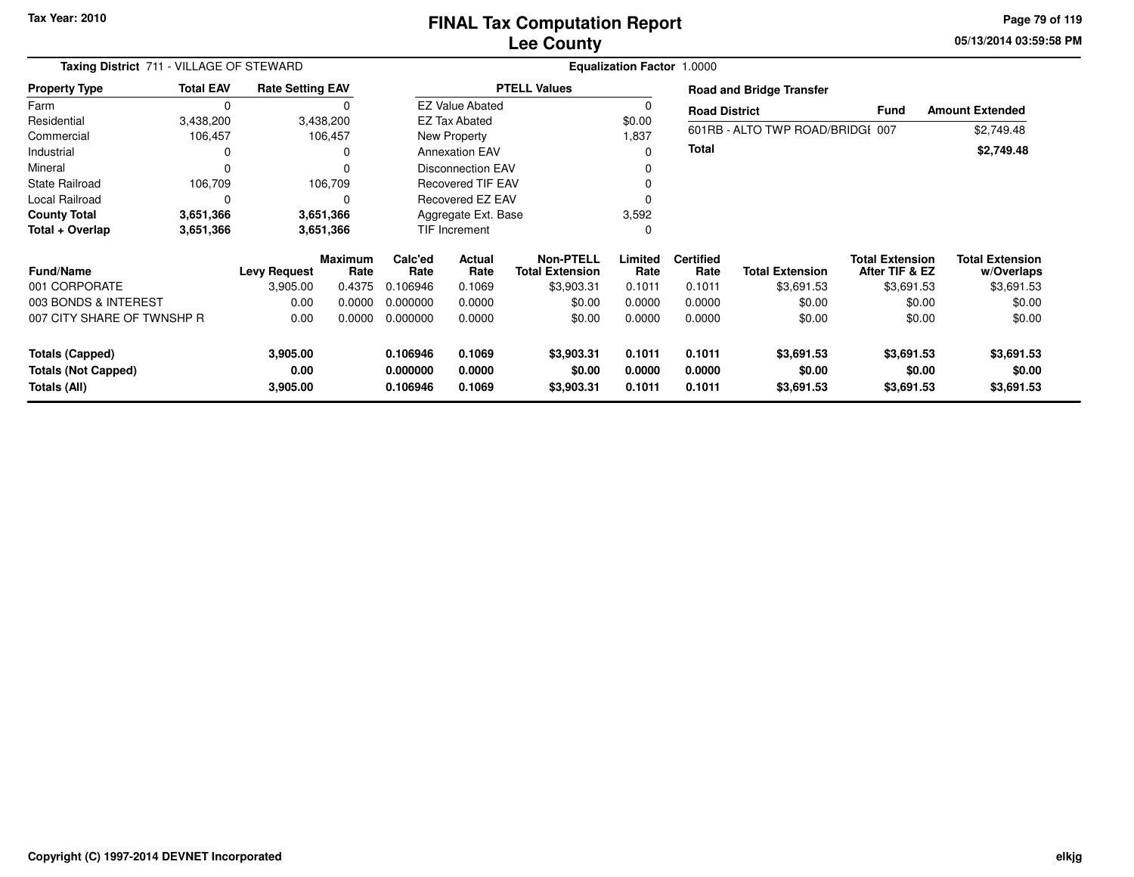**05/13/2014 03:59:58 PM Page 79 of 119**

| Taxing District 711 - VILLAGE OF STEWARD<br><b>Rate Setting EAV</b> |                  |                     |                        | Equalization Factor 1.0000 |                          |                                            |                  |                          |                                  |                                          |                                      |  |
|---------------------------------------------------------------------|------------------|---------------------|------------------------|----------------------------|--------------------------|--------------------------------------------|------------------|--------------------------|----------------------------------|------------------------------------------|--------------------------------------|--|
| <b>Property Type</b>                                                | <b>Total EAV</b> |                     |                        |                            |                          | <b>PTELL Values</b>                        |                  |                          | <b>Road and Bridge Transfer</b>  |                                          |                                      |  |
| Farm                                                                | $\Omega$         |                     |                        |                            | <b>EZ Value Abated</b>   |                                            | 0                | <b>Road District</b>     |                                  | <b>Fund</b>                              | <b>Amount Extended</b>               |  |
| Residential                                                         | 3,438,200        |                     | 3,438,200              |                            | EZ Tax Abated            |                                            | \$0.00           |                          |                                  |                                          |                                      |  |
| Commercial                                                          | 106,457          |                     | 106,457                |                            | New Property             |                                            | 1,837            |                          | 601RB - ALTO TWP ROAD/BRIDGI 007 |                                          | \$2,749.48                           |  |
| Industrial                                                          |                  |                     | 0                      |                            | <b>Annexation EAV</b>    |                                            | ი                | Total                    |                                  |                                          | \$2,749.48                           |  |
| Mineral                                                             | 0                |                     | 0                      |                            | <b>Disconnection EAV</b> |                                            |                  |                          |                                  |                                          |                                      |  |
| <b>State Railroad</b>                                               | 106,709          |                     | 106,709                |                            | <b>Recovered TIF EAV</b> |                                            |                  |                          |                                  |                                          |                                      |  |
| Local Railroad                                                      | $\Omega$<br>0    |                     |                        |                            | Recovered EZ EAV         |                                            | 0                |                          |                                  |                                          |                                      |  |
| <b>County Total</b>                                                 | 3,651,366        |                     | 3,651,366              | Aggregate Ext. Base        |                          | 3,592                                      |                  |                          |                                  |                                          |                                      |  |
| Total + Overlap                                                     | 3,651,366        |                     | 3,651,366              |                            | <b>TIF Increment</b>     |                                            | 0                |                          |                                  |                                          |                                      |  |
| <b>Fund/Name</b>                                                    |                  | <b>Levy Request</b> | <b>Maximum</b><br>Rate | Calc'ed<br>Rate            | <b>Actual</b><br>Rate    | <b>Non-PTELL</b><br><b>Total Extension</b> | Limited<br>Rate  | <b>Certified</b><br>Rate | <b>Total Extension</b>           | <b>Total Extension</b><br>After TIF & EZ | <b>Total Extension</b><br>w/Overlaps |  |
| 001 CORPORATE                                                       |                  | 3,905.00            | 0.4375                 | 0.106946                   | 0.1069                   | \$3,903.31                                 | 0.1011           | 0.1011                   | \$3,691.53                       | \$3,691.53                               | \$3,691.53                           |  |
| 003 BONDS & INTEREST                                                |                  | 0.00                | 0.0000                 | 0.000000                   | 0.0000                   | \$0.00                                     | 0.0000           | 0.0000                   | \$0.00                           | \$0.00                                   | \$0.00                               |  |
| 007 CITY SHARE OF TWNSHP R                                          |                  | 0.00                | 0.0000                 | 0.000000                   | 0.0000                   | \$0.00                                     | 0.0000           | 0.0000                   | \$0.00                           | \$0.00                                   | \$0.00                               |  |
| <b>Totals (Capped)</b>                                              |                  | 3,905.00            |                        | 0.106946                   | 0.1069                   | \$3,903.31                                 | 0.1011           | 0.1011                   | \$3,691.53                       | \$3,691.53                               | \$3,691.53                           |  |
| <b>Totals (Not Capped)</b><br>Totals (All)                          |                  | 0.00<br>3,905.00    |                        | 0.000000<br>0.106946       | 0.0000<br>0.1069         | \$0.00<br>\$3,903.31                       | 0.0000<br>0.1011 | 0.0000<br>0.1011         | \$0.00<br>\$3,691.53             | \$0.00<br>\$3,691.53                     | \$0.00<br>\$3,691.53                 |  |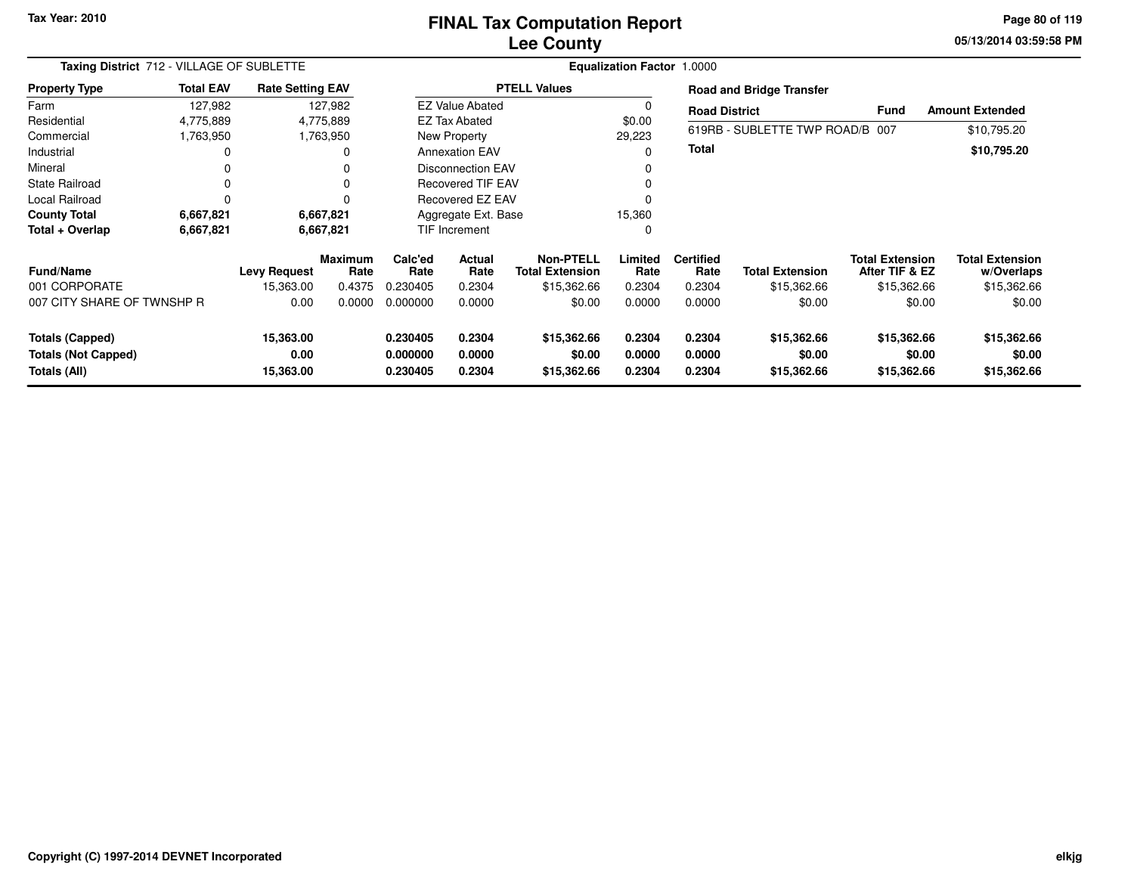### **Lee CountyFINAL Tax Computation Report**

**05/13/2014 03:59:58 PM Page 80 of 119**

| Taxing District 712 - VILLAGE OF SUBLETTE                            |                  |                                |                        |                                  | Equalization Factor 1.0000 |                                            |                            |                            |                                      |                                          |                                      |
|----------------------------------------------------------------------|------------------|--------------------------------|------------------------|----------------------------------|----------------------------|--------------------------------------------|----------------------------|----------------------------|--------------------------------------|------------------------------------------|--------------------------------------|
| <b>Property Type</b>                                                 | <b>Total EAV</b> | <b>Rate Setting EAV</b>        |                        |                                  |                            | <b>PTELL Values</b>                        |                            |                            | <b>Road and Bridge Transfer</b>      |                                          |                                      |
| Farm                                                                 | 127,982          |                                | 127,982                |                                  | <b>EZ Value Abated</b>     |                                            | 0                          | <b>Road District</b>       |                                      | <b>Fund</b>                              | <b>Amount Extended</b>               |
| Residential                                                          | 4,775,889        |                                | 4,775,889              |                                  | EZ Tax Abated              |                                            | \$0.00                     |                            |                                      |                                          |                                      |
| Commercial                                                           | 1,763,950        |                                | 1,763,950              |                                  | New Property               |                                            | 29,223                     |                            | 619RB - SUBLETTE TWP ROAD/B 007      |                                          | \$10,795.20                          |
| Industrial                                                           | 0                |                                | 0                      |                                  | <b>Annexation EAV</b>      |                                            | 0                          | Total                      |                                      |                                          | \$10,795.20                          |
| Mineral                                                              | 0                |                                | 0                      |                                  | <b>Disconnection EAV</b>   |                                            |                            |                            |                                      |                                          |                                      |
| State Railroad                                                       | 0                |                                | 0                      |                                  | <b>Recovered TIF EAV</b>   |                                            | $\Omega$                   |                            |                                      |                                          |                                      |
| Local Railroad                                                       | 0                |                                | $\Omega$               |                                  | <b>Recovered EZ EAV</b>    |                                            | $\Omega$                   |                            |                                      |                                          |                                      |
| <b>County Total</b>                                                  | 6,667,821        |                                | 6,667,821              |                                  | Aggregate Ext. Base        |                                            |                            |                            |                                      |                                          |                                      |
| Total + Overlap                                                      | 6,667,821        | TIF Increment<br>6,667,821     |                        |                                  | 0                          |                                            |                            |                            |                                      |                                          |                                      |
| <b>Fund/Name</b>                                                     |                  | <b>Levy Request</b>            | <b>Maximum</b><br>Rate | Calc'ed<br>Rate                  | <b>Actual</b><br>Rate      | <b>Non-PTELL</b><br><b>Total Extension</b> | Limited<br>Rate            | <b>Certified</b><br>Rate   | <b>Total Extension</b>               | <b>Total Extension</b><br>After TIF & EZ | <b>Total Extension</b><br>w/Overlaps |
| 001 CORPORATE                                                        |                  | 15,363.00                      | 0.4375                 | 0.230405                         | 0.2304                     | \$15,362.66                                | 0.2304                     | 0.2304                     | \$15,362.66                          | \$15,362.66                              | \$15,362.66                          |
| 007 CITY SHARE OF TWNSHP R                                           |                  | 0.00                           | 0.0000                 | 0.000000                         | 0.0000                     | \$0.00                                     | 0.0000                     | 0.0000                     | \$0.00                               | \$0.00                                   | \$0.00                               |
| <b>Totals (Capped)</b><br><b>Totals (Not Capped)</b><br>Totals (All) |                  | 15,363.00<br>0.00<br>15,363.00 |                        | 0.230405<br>0.000000<br>0.230405 | 0.2304<br>0.0000<br>0.2304 | \$15,362.66<br>\$0.00<br>\$15,362.66       | 0.2304<br>0.0000<br>0.2304 | 0.2304<br>0.0000<br>0.2304 | \$15,362.66<br>\$0.00<br>\$15,362.66 | \$15,362.66<br>\$0.00<br>\$15,362.66     | \$15,362.66<br>\$0.00<br>\$15,362.66 |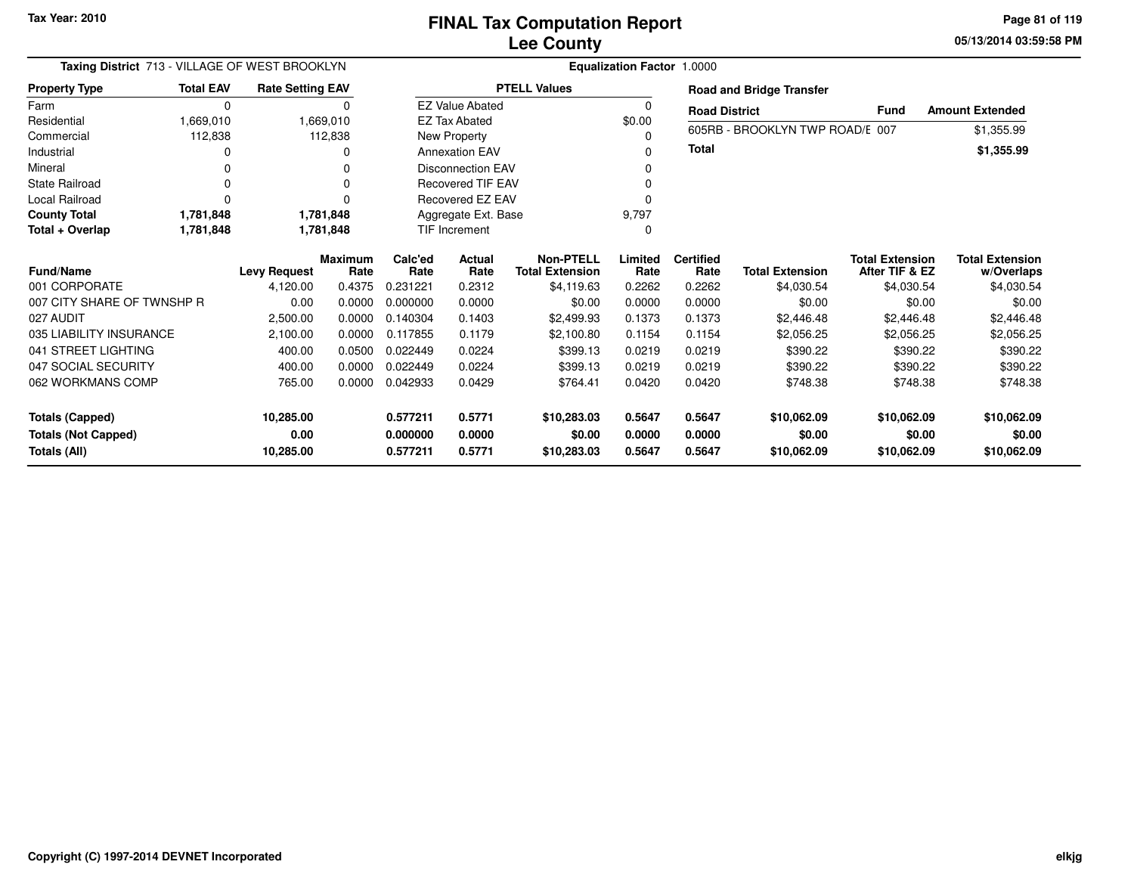**05/13/2014 03:59:58 PM Page 81 of 119**

| Taxing District 713 - VILLAGE OF WEST BROOKLYN |                  | <b>Equalization Factor 1.0000</b> |                        |                    |                          |                                     |                 |                          |                                 |                                          |                                      |
|------------------------------------------------|------------------|-----------------------------------|------------------------|--------------------|--------------------------|-------------------------------------|-----------------|--------------------------|---------------------------------|------------------------------------------|--------------------------------------|
| <b>Property Type</b>                           | <b>Total EAV</b> | <b>Rate Setting EAV</b>           |                        |                    |                          | <b>PTELL Values</b>                 |                 |                          | <b>Road and Bridge Transfer</b> |                                          |                                      |
| Farm                                           | $\Omega$         |                                   | 0                      |                    | <b>EZ Value Abated</b>   |                                     | 0               | <b>Road District</b>     |                                 | <b>Fund</b>                              | <b>Amount Extended</b>               |
| Residential                                    | 1,669,010        |                                   | 1,669,010              |                    | <b>EZ Tax Abated</b>     |                                     | \$0.00          |                          | 605RB - BROOKLYN TWP ROAD/E 007 |                                          |                                      |
| Commercial                                     | 112,838          |                                   | 112,838                |                    | New Property             |                                     | 0               |                          |                                 |                                          | \$1,355.99                           |
| Industrial                                     |                  |                                   | 0                      |                    | <b>Annexation EAV</b>    |                                     | n               | <b>Total</b>             |                                 |                                          | \$1,355.99                           |
| Mineral                                        |                  |                                   | U                      |                    | <b>Disconnection EAV</b> |                                     |                 |                          |                                 |                                          |                                      |
| <b>State Railroad</b>                          |                  |                                   | U                      |                    | <b>Recovered TIF EAV</b> |                                     |                 |                          |                                 |                                          |                                      |
| <b>Local Railroad</b>                          |                  |                                   | O                      |                    | Recovered EZ EAV         |                                     | 0               |                          |                                 |                                          |                                      |
| <b>County Total</b>                            | 1,781,848        |                                   | 1,781,848              |                    | Aggregate Ext. Base      |                                     | 9,797           |                          |                                 |                                          |                                      |
| Total + Overlap                                | 1,781,848        |                                   | 1,781,848              | TIF Increment<br>0 |                          |                                     |                 |                          |                                 |                                          |                                      |
| <b>Fund/Name</b>                               |                  | <b>Levy Request</b>               | <b>Maximum</b><br>Rate | Calc'ed<br>Rate    | Actual<br>Rate           | Non-PTELL<br><b>Total Extension</b> | Limited<br>Rate | <b>Certified</b><br>Rate | <b>Total Extension</b>          | <b>Total Extension</b><br>After TIF & EZ | <b>Total Extension</b><br>w/Overlaps |
| 001 CORPORATE                                  |                  | 4,120.00                          | 0.4375                 | 0.231221           | 0.2312                   | \$4,119.63                          | 0.2262          | 0.2262                   | \$4,030.54                      | \$4,030.54                               | \$4,030.54                           |
| 007 CITY SHARE OF TWNSHP R                     |                  | 0.00                              | 0.0000                 | 0.000000           | 0.0000                   | \$0.00                              | 0.0000          | 0.0000                   | \$0.00                          | \$0.00                                   | \$0.00                               |
| 027 AUDIT                                      |                  | 2,500.00                          | 0.0000                 | 0.140304           | 0.1403                   | \$2,499.93                          | 0.1373          | 0.1373                   | \$2,446.48                      | \$2,446.48                               | \$2,446.48                           |
| 035 LIABILITY INSURANCE                        |                  | 2,100.00                          | 0.0000                 | 0.117855           | 0.1179                   | \$2,100.80                          | 0.1154          | 0.1154                   | \$2,056.25                      | \$2,056.25                               | \$2,056.25                           |
| 041 STREET LIGHTING                            |                  | 400.00                            | 0.0500                 | 0.022449           | 0.0224                   | \$399.13                            | 0.0219          | 0.0219                   | \$390.22                        | \$390.22                                 | \$390.22                             |
| 047 SOCIAL SECURITY                            |                  | 400.00                            | 0.0000                 | 0.022449           | 0.0224                   | \$399.13                            | 0.0219          | 0.0219                   | \$390.22                        | \$390.22                                 | \$390.22                             |
| 062 WORKMANS COMP                              |                  | 765.00                            | 0.0000                 | 0.042933           | 0.0429                   | \$764.41                            | 0.0420          | 0.0420                   | \$748.38                        | \$748.38                                 | \$748.38                             |
| <b>Totals (Capped)</b>                         |                  | 10,285.00                         |                        | 0.577211           | 0.5771                   | \$10,283.03                         | 0.5647          | 0.5647                   | \$10,062.09                     | \$10,062.09                              | \$10,062.09                          |
| <b>Totals (Not Capped)</b>                     |                  | 0.00                              |                        | 0.000000           | 0.0000                   | \$0.00                              | 0.0000          | 0.0000                   | \$0.00                          | \$0.00                                   | \$0.00                               |
| Totals (All)                                   |                  | 10,285.00                         |                        | 0.577211           | 0.5771                   | \$10,283.03                         | 0.5647          | 0.5647                   | \$10,062.09                     | \$10,062.09                              | \$10,062.09                          |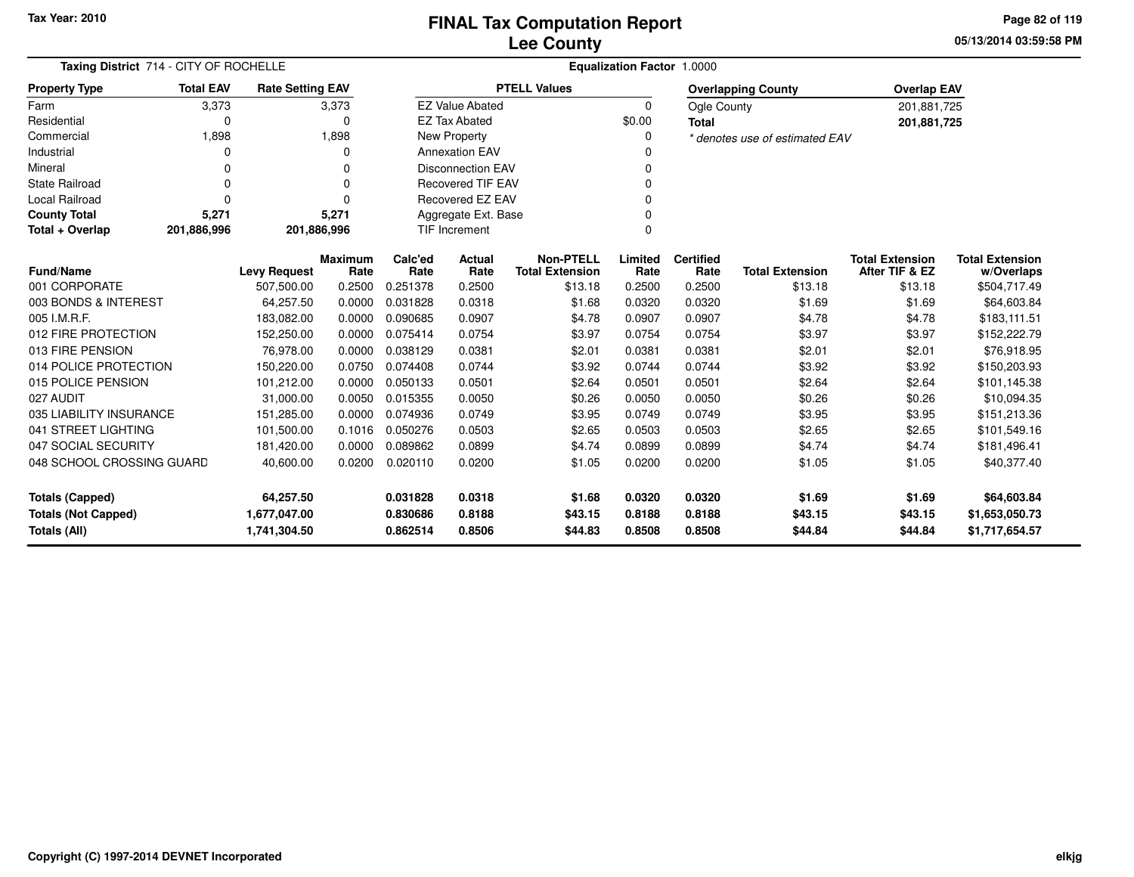**05/13/2014 03:59:58 PM Page 82 of 119**

| Taxing District 714 - CITY OF ROCHELLE<br><b>Rate Setting EAV</b> |                                                  |                     |                        |                  |                          |                                            | <b>Equalization Factor 1.0000</b> |                           |                                |                                          |                                      |
|-------------------------------------------------------------------|--------------------------------------------------|---------------------|------------------------|------------------|--------------------------|--------------------------------------------|-----------------------------------|---------------------------|--------------------------------|------------------------------------------|--------------------------------------|
| <b>Property Type</b>                                              | <b>Total EAV</b>                                 |                     |                        |                  | <b>PTELL Values</b>      |                                            |                                   | <b>Overlapping County</b> | <b>Overlap EAV</b>             |                                          |                                      |
| Farm                                                              | 3,373                                            |                     | 3,373                  |                  | <b>EZ Value Abated</b>   |                                            | 0                                 | Ogle County               |                                | 201,881,725                              |                                      |
| Residential                                                       | 0                                                |                     | 0                      |                  | <b>EZ Tax Abated</b>     |                                            | \$0.00                            | <b>Total</b>              |                                | 201,881,725                              |                                      |
| Commercial                                                        | 1,898                                            |                     | 1,898                  |                  | New Property             |                                            | 0                                 |                           | * denotes use of estimated EAV |                                          |                                      |
| Industrial                                                        | ∩                                                |                     | 0                      |                  | <b>Annexation EAV</b>    |                                            | ი                                 |                           |                                |                                          |                                      |
| Mineral                                                           |                                                  |                     | ŋ                      |                  | <b>Disconnection EAV</b> |                                            | 0                                 |                           |                                |                                          |                                      |
| <b>State Railroad</b>                                             | $\Omega$                                         |                     | $\Omega$               |                  | <b>Recovered TIF EAV</b> |                                            | 0                                 |                           |                                |                                          |                                      |
| Local Railroad                                                    | $\Omega$                                         |                     | $\Omega$               |                  | Recovered EZ EAV         |                                            | $\Omega$                          |                           |                                |                                          |                                      |
| <b>County Total</b>                                               | 5,271                                            |                     | 5,271                  |                  | Aggregate Ext. Base      |                                            | 0                                 |                           |                                |                                          |                                      |
| Total + Overlap                                                   | 201,886,996                                      | 201,886,996         |                        |                  | <b>TIF Increment</b>     |                                            | $\Omega$                          |                           |                                |                                          |                                      |
| <b>Fund/Name</b>                                                  |                                                  | <b>Levy Request</b> | <b>Maximum</b><br>Rate | Calc'ed<br>Rate  | <b>Actual</b><br>Rate    | <b>Non-PTELL</b><br><b>Total Extension</b> | Limited<br>Rate                   | <b>Certified</b><br>Rate  | <b>Total Extension</b>         | <b>Total Extension</b><br>After TIF & EZ | <b>Total Extension</b><br>w/Overlaps |
| 001 CORPORATE                                                     |                                                  | 507,500.00          | 0.2500                 | 0.251378         | 0.2500                   | \$13.18                                    | 0.2500                            | 0.2500                    | \$13.18                        | \$13.18                                  | \$504,717.49                         |
| 003 BONDS & INTEREST                                              |                                                  | 64,257.50           | 0.0000                 | 0.031828         | 0.0318                   | \$1.68                                     | 0.0320                            | 0.0320                    | \$1.69                         | \$1.69                                   | \$64,603.84                          |
| 005 I.M.R.F.                                                      |                                                  | 183,082.00          | 0.0000                 | 0.090685         | 0.0907                   | \$4.78                                     | 0.0907                            | 0.0907                    | \$4.78                         | \$4.78                                   | \$183,111.51                         |
| 012 FIRE PROTECTION                                               |                                                  | 152,250.00          | 0.0000                 | 0.075414         | 0.0754                   | \$3.97                                     | 0.0754                            | 0.0754                    | \$3.97                         | \$3.97                                   | \$152,222.79                         |
| 013 FIRE PENSION                                                  |                                                  | 76,978.00           | 0.0000                 | 0.038129         | 0.0381                   | \$2.01                                     | 0.0381                            | 0.0381                    | \$2.01                         | \$2.01                                   | \$76,918.95                          |
| 014 POLICE PROTECTION                                             |                                                  | 150,220.00          | 0.0750                 | 0.074408         | 0.0744                   | \$3.92                                     | 0.0744                            | 0.0744                    | \$3.92                         | \$3.92                                   | \$150,203.93                         |
| 015 POLICE PENSION                                                |                                                  | 101,212.00          | 0.0000                 | 0.050133         | 0.0501                   | \$2.64                                     | 0.0501                            | 0.0501                    | \$2.64                         | \$2.64                                   | \$101,145.38                         |
| 027 AUDIT                                                         |                                                  | 31,000.00           | 0.0050                 | 0.015355         | 0.0050                   | \$0.26                                     | 0.0050                            | 0.0050                    | \$0.26                         | \$0.26                                   | \$10,094.35                          |
| 035 LIABILITY INSURANCE                                           |                                                  | 151,285.00          | 0.0000                 | 0.074936         | 0.0749                   | \$3.95                                     | 0.0749                            | 0.0749                    | \$3.95                         | \$3.95                                   | \$151,213.36                         |
| 041 STREET LIGHTING                                               |                                                  | 101,500.00          | 0.1016                 | 0.050276         | 0.0503                   | \$2.65                                     | 0.0503                            | 0.0503                    | \$2.65                         | \$2.65                                   | \$101,549.16                         |
| 047 SOCIAL SECURITY                                               |                                                  | 181,420.00          | 0.0000                 | 0.089862         | 0.0899                   | \$4.74                                     | 0.0899                            | 0.0899                    | \$4.74                         | \$4.74                                   | \$181,496.41                         |
|                                                                   | 048 SCHOOL CROSSING GUARD<br>0.0200<br>40,600.00 |                     |                        | 0.020110         | 0.0200                   | \$1.05                                     | 0.0200                            | 0.0200                    | \$1.05                         | \$1.05                                   | \$40,377.40                          |
| <b>Totals (Capped)</b><br>64,257.50                               |                                                  |                     | 0.031828<br>0.830686   | 0.0318<br>0.8188 | \$1.68<br>\$43.15        | 0.0320<br>0.8188                           | 0.0320<br>0.8188                  | \$1.69<br>\$43.15         | \$1.69<br>\$43.15              | \$64,603.84<br>\$1,653,050.73            |                                      |
| 1,677,047.00<br><b>Totals (Not Capped)</b><br>Totals (All)        |                                                  | 1,741,304.50        |                        | 0.862514         | 0.8506                   | \$44.83                                    | 0.8508                            | 0.8508                    | \$44.84                        | \$44.84                                  | \$1,717,654.57                       |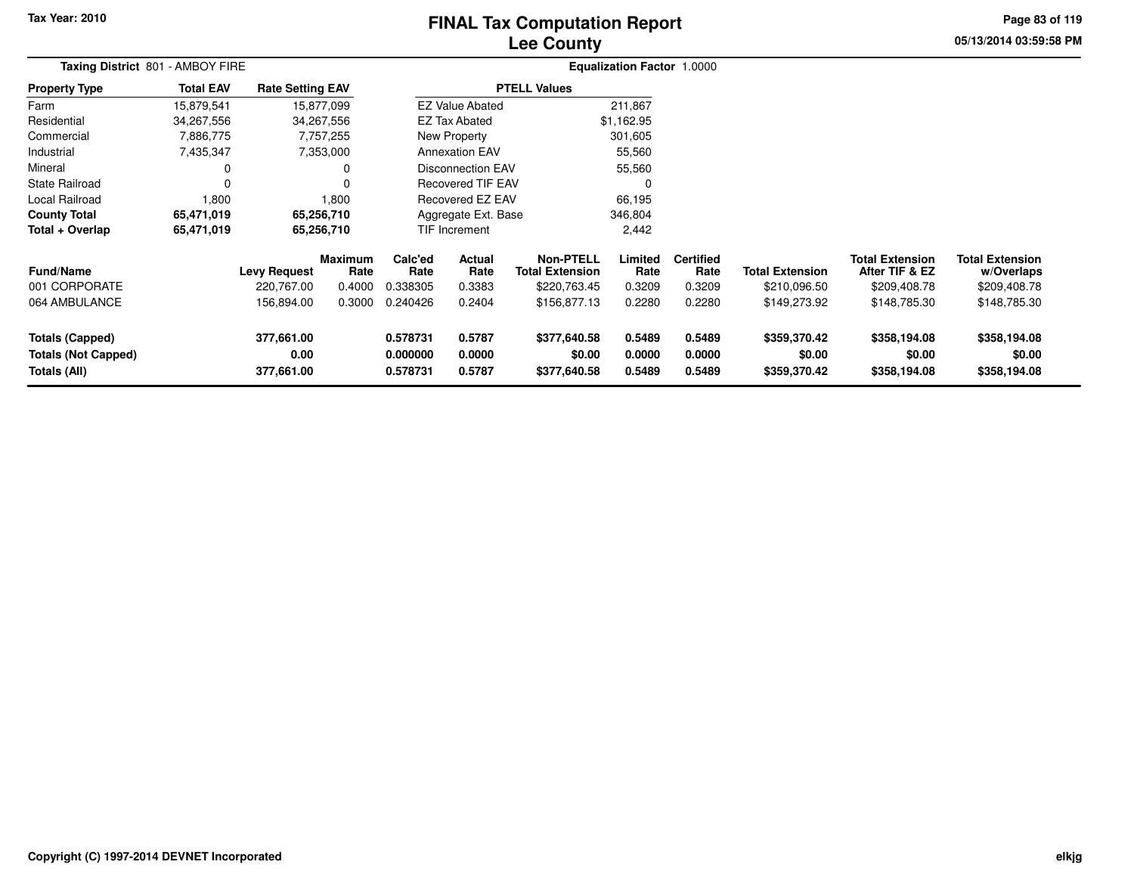# **Lee CountyFINAL Tax Computation Report**

**05/13/2014 03:59:58 PM Page 83 of 119**

| Taxing District 801 - AMBOY FIRE                                     |                  |                                  |                        | Equalization Factor 1.0000       |                            |                                        |                            |                            |                                        |                                          |                                        |  |
|----------------------------------------------------------------------|------------------|----------------------------------|------------------------|----------------------------------|----------------------------|----------------------------------------|----------------------------|----------------------------|----------------------------------------|------------------------------------------|----------------------------------------|--|
| <b>Property Type</b>                                                 | <b>Total EAV</b> | <b>Rate Setting EAV</b>          |                        |                                  |                            | <b>PTELL Values</b>                    |                            |                            |                                        |                                          |                                        |  |
| Farm                                                                 | 15,879,541       |                                  | 15,877,099             |                                  | <b>EZ Value Abated</b>     |                                        | 211,867                    |                            |                                        |                                          |                                        |  |
| Residential                                                          | 34,267,556       |                                  | 34,267,556             |                                  | <b>EZ Tax Abated</b>       |                                        | \$1,162.95                 |                            |                                        |                                          |                                        |  |
| Commercial                                                           | 7,886,775        |                                  | 7,757,255              |                                  | New Property               |                                        | 301,605                    |                            |                                        |                                          |                                        |  |
| Industrial                                                           | 7,435,347        |                                  | 7,353,000              |                                  | <b>Annexation EAV</b>      |                                        | 55,560                     |                            |                                        |                                          |                                        |  |
| Mineral                                                              |                  |                                  |                        |                                  | Disconnection EAV          |                                        | 55,560                     |                            |                                        |                                          |                                        |  |
| <b>State Railroad</b>                                                |                  |                                  |                        |                                  | <b>Recovered TIF EAV</b>   |                                        | 0                          |                            |                                        |                                          |                                        |  |
| Local Railroad                                                       | 1,800            |                                  | 1,800                  |                                  | Recovered EZ EAV           |                                        | 66,195                     |                            |                                        |                                          |                                        |  |
| <b>County Total</b>                                                  | 65,471,019       |                                  | 65,256,710             | Aggregate Ext. Base              |                            |                                        | 346,804                    |                            |                                        |                                          |                                        |  |
| Total + Overlap                                                      | 65,471,019       |                                  | 65,256,710             |                                  | <b>TIF Increment</b>       |                                        | 2,442                      |                            |                                        |                                          |                                        |  |
| <b>Fund/Name</b>                                                     |                  | <b>Levy Request</b>              | <b>Maximum</b><br>Rate | Calc'ed<br>Rate                  | <b>Actual</b><br>Rate      | Non-PTELL<br><b>Total Extension</b>    | Limited<br>Rate            | <b>Certified</b><br>Rate   | <b>Total Extension</b>                 | <b>Total Extension</b><br>After TIF & EZ | <b>Total Extension</b><br>w/Overlaps   |  |
| 001 CORPORATE                                                        |                  | 220,767.00                       | 0.4000                 | 0.338305                         | 0.3383                     | \$220,763.45                           | 0.3209                     | 0.3209                     | \$210,096.50                           | \$209,408.78                             | \$209,408.78                           |  |
| 064 AMBULANCE                                                        |                  | 156,894.00                       | 0.3000                 | 0.240426                         | 0.2404                     | \$156,877.13                           | 0.2280                     | 0.2280                     | \$149,273.92                           | \$148,785.30                             | \$148,785.30                           |  |
| <b>Totals (Capped)</b><br><b>Totals (Not Capped)</b><br>Totals (All) |                  | 377,661.00<br>0.00<br>377,661.00 |                        | 0.578731<br>0.000000<br>0.578731 | 0.5787<br>0.0000<br>0.5787 | \$377,640.58<br>\$0.00<br>\$377,640.58 | 0.5489<br>0.0000<br>0.5489 | 0.5489<br>0.0000<br>0.5489 | \$359,370.42<br>\$0.00<br>\$359,370.42 | \$358,194.08<br>\$0.00<br>\$358,194.08   | \$358,194.08<br>\$0.00<br>\$358,194.08 |  |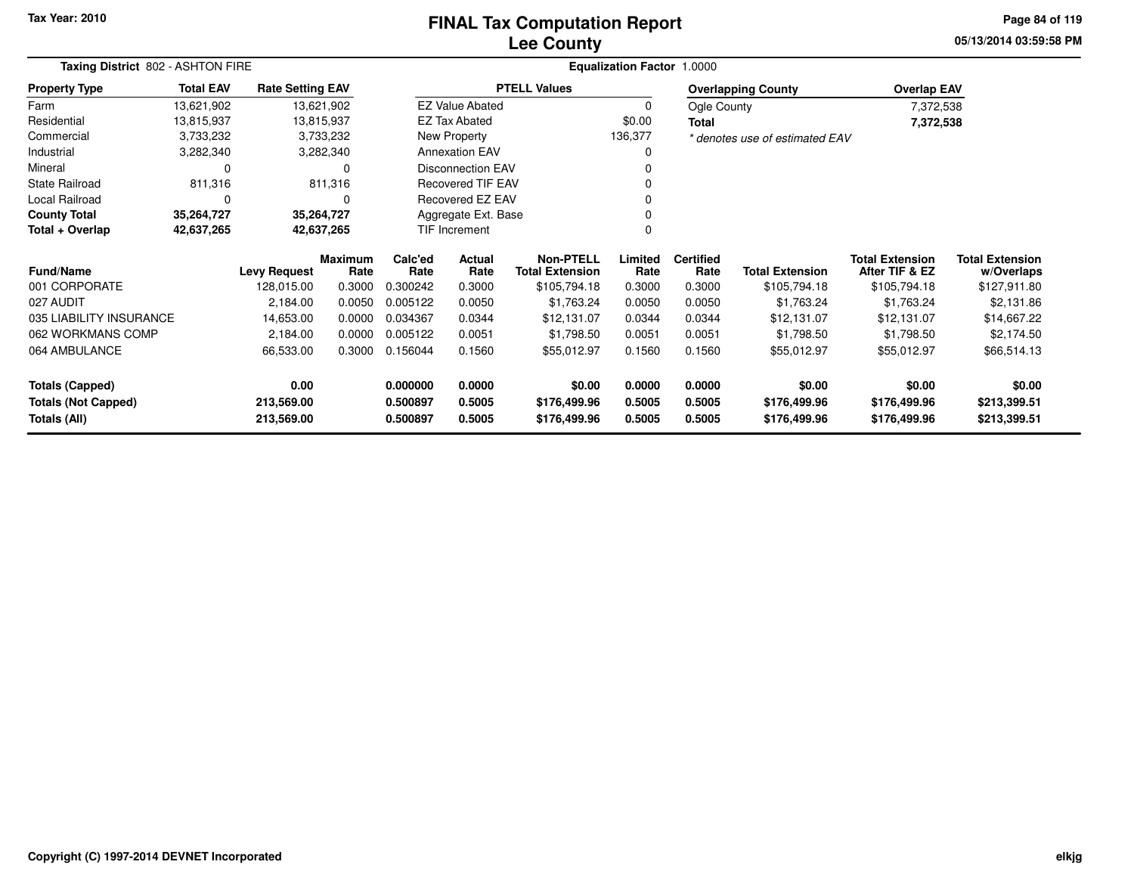### **Lee CountyFINAL Tax Computation Report**

**05/13/2014 03:59:58 PMPage 84 of 119**

| Taxing District 802 - ASHTON FIRE           |                          |                         |                        | <b>Equalization Factor 1.0000</b> |                          |                                     |                 |                          |                                |                                          |                                      |
|---------------------------------------------|--------------------------|-------------------------|------------------------|-----------------------------------|--------------------------|-------------------------------------|-----------------|--------------------------|--------------------------------|------------------------------------------|--------------------------------------|
| <b>Property Type</b>                        | <b>Total EAV</b>         | <b>Rate Setting EAV</b> |                        |                                   |                          | <b>PTELL Values</b>                 |                 |                          | <b>Overlapping County</b>      | <b>Overlap EAV</b>                       |                                      |
| Farm                                        | 13,621,902               |                         | 13,621,902             |                                   | <b>EZ Value Abated</b>   |                                     | 0               | Ogle County              |                                | 7,372,538                                |                                      |
| Residential                                 | 13,815,937               |                         | 13,815,937             |                                   | EZ Tax Abated            |                                     | \$0.00          | Total                    |                                | 7,372,538                                |                                      |
| Commercial                                  | 3,733,232                |                         | 3,733,232              |                                   | New Property             |                                     | 136,377         |                          | * denotes use of estimated EAV |                                          |                                      |
| Industrial                                  | 3,282,340                |                         | 3,282,340              |                                   | <b>Annexation EAV</b>    |                                     |                 |                          |                                |                                          |                                      |
| Mineral                                     | 0                        |                         | 0                      |                                   | <b>Disconnection EAV</b> |                                     |                 |                          |                                |                                          |                                      |
| State Railroad                              | 811,316                  |                         | 811,316                |                                   | <b>Recovered TIF EAV</b> |                                     |                 |                          |                                |                                          |                                      |
| Local Railroad                              | 0                        |                         | 0                      |                                   | Recovered EZ EAV         |                                     |                 |                          |                                |                                          |                                      |
| <b>County Total</b>                         | 35,264,727<br>35,264,727 |                         |                        |                                   | Aggregate Ext. Base      |                                     |                 |                          |                                |                                          |                                      |
| Total + Overlap<br>42,637,265<br>42,637,265 |                          |                         |                        | TIF Increment                     |                          |                                     |                 |                          |                                |                                          |                                      |
| <b>Fund/Name</b>                            |                          | <b>Levy Request</b>     | <b>Maximum</b><br>Rate | Calc'ed<br>Rate                   | <b>Actual</b><br>Rate    | Non-PTELL<br><b>Total Extension</b> | Limited<br>Rate | <b>Certified</b><br>Rate | <b>Total Extension</b>         | <b>Total Extension</b><br>After TIF & EZ | <b>Total Extension</b><br>w/Overlaps |
| 001 CORPORATE                               |                          | 128,015.00              | 0.3000                 | 0.300242                          | 0.3000                   | \$105,794.18                        | 0.3000          | 0.3000                   | \$105,794.18                   | \$105,794.18                             | \$127,911.80                         |
| 027 AUDIT                                   |                          | 2,184.00                | 0.0050                 | 0.005122                          | 0.0050                   | \$1,763.24                          | 0.0050          | 0.0050                   | \$1,763.24                     | \$1,763.24                               | \$2,131.86                           |
| 035 LIABILITY INSURANCE                     |                          | 14,653.00               | 0.0000                 | 0.034367                          | 0.0344                   | \$12,131.07                         | 0.0344          | 0.0344                   | \$12,131.07                    | \$12,131.07                              | \$14,667.22                          |
| 062 WORKMANS COMP                           |                          | 2,184.00                | 0.0000                 | 0.005122                          | 0.0051                   | \$1,798.50                          | 0.0051          | 0.0051                   | \$1,798.50                     | \$1,798.50                               | \$2,174.50                           |
| 064 AMBULANCE                               |                          | 66,533.00               | 0.3000                 | 0.156044                          | 0.1560                   | \$55,012.97                         | 0.1560          | 0.1560                   | \$55,012.97                    | \$55,012.97                              | \$66,514.13                          |
| <b>Totals (Capped)</b>                      |                          | 0.00                    |                        | 0.000000                          | 0.0000                   | \$0.00                              | 0.0000          | 0.0000                   | \$0.00                         | \$0.00                                   | \$0.00                               |
| <b>Totals (Not Capped)</b>                  |                          | 213,569.00              |                        | 0.500897                          | 0.5005                   | \$176,499.96                        | 0.5005          | 0.5005                   | \$176,499.96                   | \$176,499.96                             | \$213,399.51                         |
| Totals (All)                                |                          | 213,569.00              |                        | 0.500897                          | 0.5005                   | \$176,499.96                        | 0.5005          | 0.5005                   | \$176,499.96                   | \$176,499.96                             | \$213,399.51                         |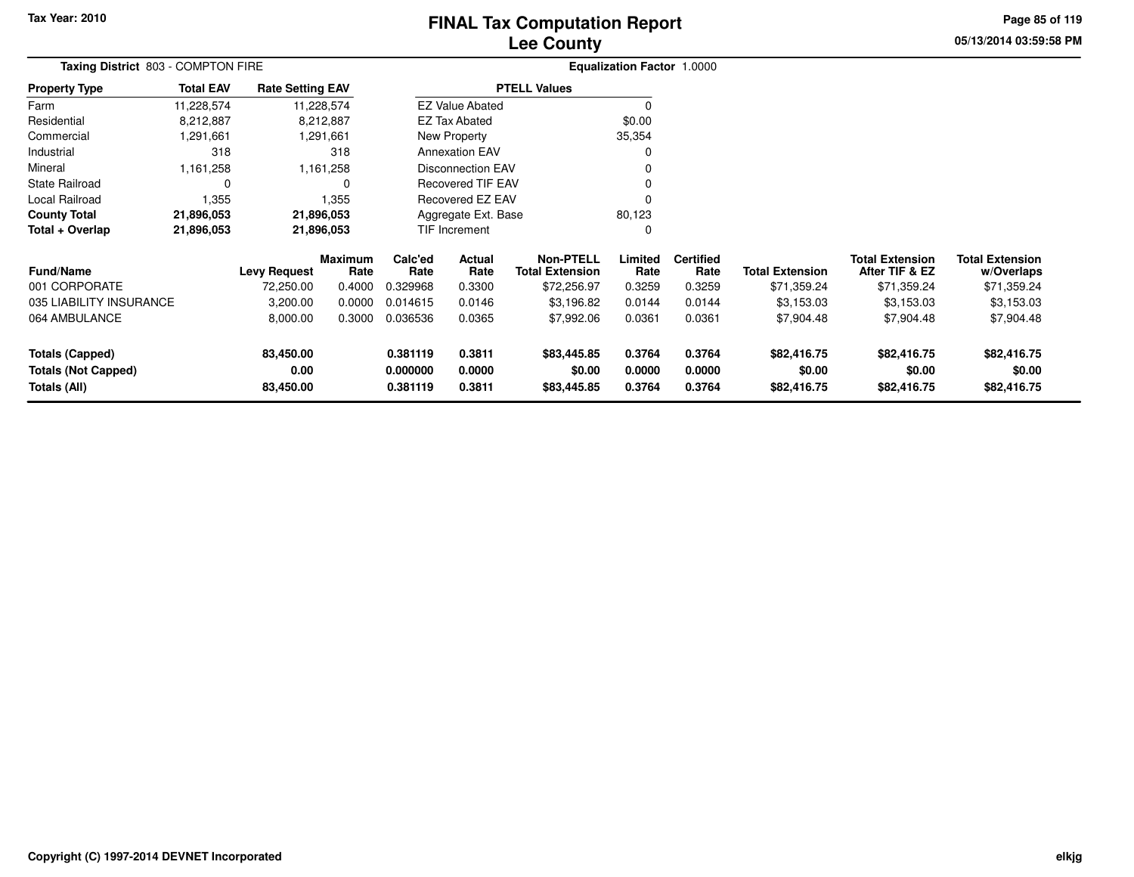# **Lee CountyFINAL Tax Computation Report**

**05/13/2014 03:59:58 PM Page 85 of 119**

|                                            | Taxing District 803 - COMPTON FIRE |                         |                        |                      |                                          |                       | Equalization Factor 1.0000 |                          |                        |                                          |                               |
|--------------------------------------------|------------------------------------|-------------------------|------------------------|----------------------|------------------------------------------|-----------------------|----------------------------|--------------------------|------------------------|------------------------------------------|-------------------------------|
| Property Type                              | <b>Total EAV</b>                   | <b>Rate Setting EAV</b> |                        |                      |                                          | <b>PTELL Values</b>   |                            |                          |                        |                                          |                               |
| Farm                                       | 11,228,574                         |                         | 11,228,574             |                      | <b>EZ Value Abated</b>                   |                       |                            |                          |                        |                                          |                               |
| Residential                                | 8,212,887                          |                         | 8,212,887              |                      | <b>EZ Tax Abated</b>                     |                       | \$0.00                     |                          |                        |                                          |                               |
| Commercial                                 | 1,291,661                          |                         | 1,291,661              |                      | New Property                             |                       | 35,354                     |                          |                        |                                          |                               |
| Industrial                                 | 318                                |                         | 318                    |                      | <b>Annexation EAV</b>                    |                       |                            |                          |                        |                                          |                               |
| Mineral                                    | 1,161,258                          |                         | 1,161,258              |                      | <b>Disconnection EAV</b>                 |                       |                            |                          |                        |                                          |                               |
| State Railroad                             | 0                                  |                         | O                      |                      | <b>Recovered TIF EAV</b>                 |                       |                            |                          |                        |                                          |                               |
| Local Railroad                             | 1,355                              |                         | 1,355                  |                      | Recovered EZ EAV                         |                       |                            |                          |                        |                                          |                               |
| <b>County Total</b>                        | 21,896,053                         |                         | 21,896,053             |                      | Aggregate Ext. Base                      |                       | 80,123                     |                          |                        |                                          |                               |
| Total + Overlap                            | 21,896,053                         |                         | 21,896,053             |                      | TIF Increment                            |                       |                            |                          |                        |                                          |                               |
| Fund/Name                                  |                                    | <b>Levy Request</b>     | <b>Maximum</b><br>Rate | Calc'ed<br>Rate      | Actual<br>Rate<br><b>Total Extension</b> |                       | Limited<br>Rate            | <b>Certified</b><br>Rate | <b>Total Extension</b> | <b>Total Extension</b><br>After TIF & EZ | Total Extension<br>w/Overlaps |
| 001 CORPORATE                              |                                    | 72,250.00               | 0.4000                 | 0.329968             | 0.3300                                   | \$72,256.97           | 0.3259                     | 0.3259                   | \$71,359.24            | \$71,359.24                              | \$71,359.24                   |
| 035 LIABILITY INSURANCE                    |                                    | 3,200.00                | 0.0000                 | 0.014615             | 0.0146                                   | \$3,196.82            | 0.0144                     | 0.0144                   | \$3,153.03             | \$3,153.03                               | \$3,153.03                    |
| 064 AMBULANCE                              |                                    | 8,000.00                | 0.3000                 | 0.036536             | 0.0365                                   | \$7,992.06            | 0.0361                     | 0.0361                   | \$7,904.48             | \$7,904.48                               | \$7,904.48                    |
| <b>Totals (Capped)</b>                     |                                    | 83,450.00               |                        | 0.381119             | 0.3811                                   | \$83,445.85           | 0.3764                     | 0.3764                   | \$82,416.75            | \$82,416.75                              | \$82,416.75                   |
| <b>Totals (Not Capped)</b><br>Totals (All) |                                    | 0.00<br>83,450.00       |                        | 0.000000<br>0.381119 | 0.0000<br>0.3811                         | \$0.00<br>\$83,445.85 | 0.0000<br>0.3764           | 0.0000<br>0.3764         | \$0.00<br>\$82,416.75  | \$0.00<br>\$82,416.75                    | \$0.00<br>\$82,416.75         |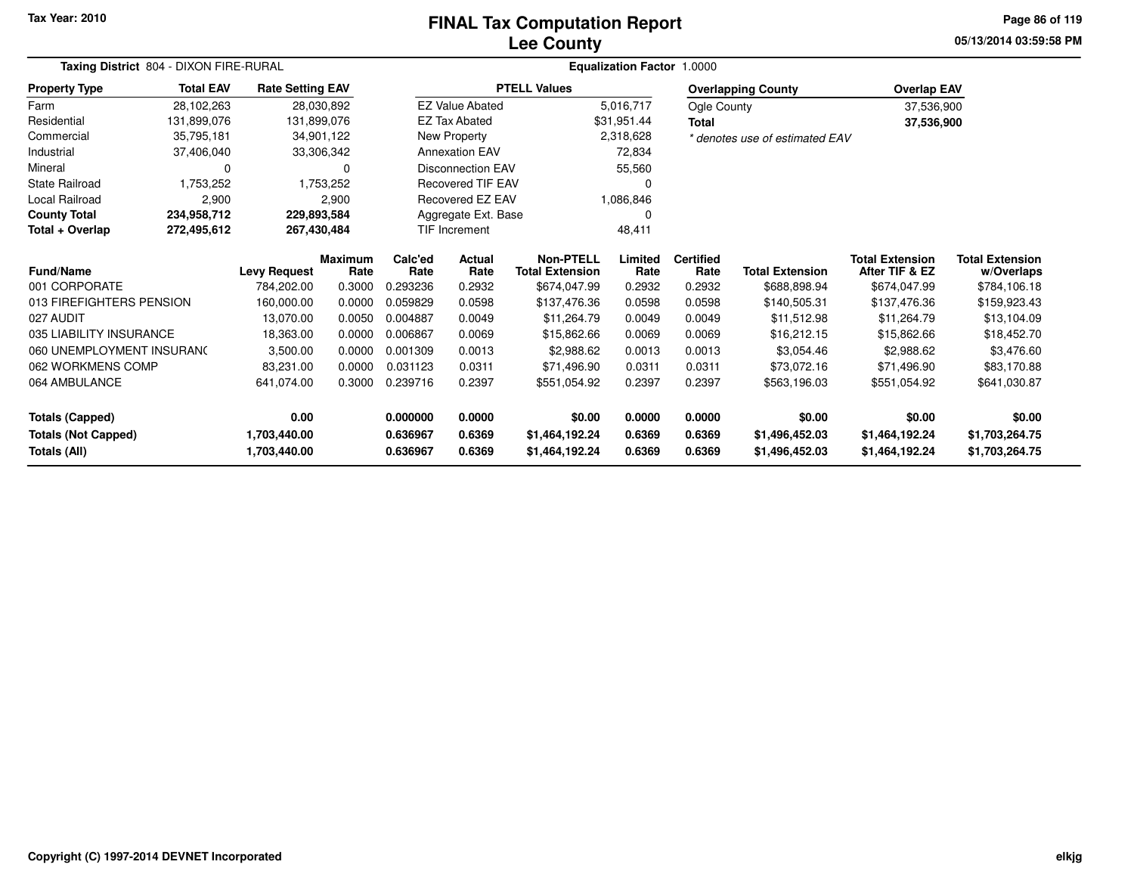#### **Lee CountyFINAL Tax Computation Report**

**05/13/2014 03:59:58 PM Page 86 of 119**

|                            | Taxing District 804 - DIXON FIRE-RURAL |                         |                        |                 |                          |                                            | Equalization Factor 1.0000 |                          |                                |                                          |                                      |
|----------------------------|----------------------------------------|-------------------------|------------------------|-----------------|--------------------------|--------------------------------------------|----------------------------|--------------------------|--------------------------------|------------------------------------------|--------------------------------------|
| <b>Property Type</b>       | <b>Total EAV</b>                       | <b>Rate Setting EAV</b> |                        |                 |                          | <b>PTELL Values</b>                        |                            |                          | <b>Overlapping County</b>      | <b>Overlap EAV</b>                       |                                      |
| Farm                       | 28,102,263                             | 28,030,892              |                        |                 | <b>EZ Value Abated</b>   |                                            | 5,016,717                  | Ogle County              |                                | 37,536,900                               |                                      |
| Residential                | 131,899,076                            | 131,899,076             |                        |                 | <b>EZ Tax Abated</b>     |                                            | \$31,951.44                | <b>Total</b>             |                                | 37,536,900                               |                                      |
| Commercial                 | 35,795,181                             | 34,901,122              |                        |                 | New Property             |                                            | 2,318,628                  |                          | * denotes use of estimated EAV |                                          |                                      |
| Industrial                 | 37,406,040                             | 33,306,342              |                        |                 | <b>Annexation EAV</b>    |                                            | 72,834                     |                          |                                |                                          |                                      |
| Mineral                    | ი                                      |                         | $\Omega$               |                 | <b>Disconnection EAV</b> |                                            | 55,560                     |                          |                                |                                          |                                      |
| <b>State Railroad</b>      | 1,753,252                              |                         | 1,753,252              |                 | <b>Recovered TIF EAV</b> |                                            |                            |                          |                                |                                          |                                      |
| Local Railroad             | 2,900                                  |                         | 2,900                  |                 | Recovered EZ EAV         |                                            | 1,086,846                  |                          |                                |                                          |                                      |
| <b>County Total</b>        | 234,958,712                            | 229,893,584             |                        |                 | Aggregate Ext. Base      |                                            |                            |                          |                                |                                          |                                      |
| Total + Overlap            | 272,495,612                            | 267,430,484             |                        |                 | <b>TIF Increment</b>     |                                            | 48,411                     |                          |                                |                                          |                                      |
| <b>Fund/Name</b>           |                                        | <b>Levy Request</b>     | <b>Maximum</b><br>Rate | Calc'ed<br>Rate | <b>Actual</b><br>Rate    | <b>Non-PTELL</b><br><b>Total Extension</b> | Limited<br>Rate            | <b>Certified</b><br>Rate | <b>Total Extension</b>         | <b>Total Extension</b><br>After TIF & EZ | <b>Total Extension</b><br>w/Overlaps |
| 001 CORPORATE              |                                        | 784.202.00              | 0.3000                 | 0.293236        | 0.2932                   | \$674,047.99                               | 0.2932                     | 0.2932                   | \$688,898.94                   | \$674,047.99                             | \$784,106.18                         |
| 013 FIREFIGHTERS PENSION   |                                        | 160.000.00              | 0.0000                 | 0.059829        | 0.0598                   | \$137,476.36                               | 0.0598                     | 0.0598                   | \$140,505.31                   | \$137,476.36                             | \$159,923.43                         |
| 027 AUDIT                  |                                        | 13,070.00               | 0.0050                 | 0.004887        | 0.0049                   | \$11,264.79                                | 0.0049                     | 0.0049                   | \$11,512.98                    | \$11,264.79                              | \$13,104.09                          |
| 035 LIABILITY INSURANCE    |                                        | 18,363.00               | 0.0000                 | 0.006867        | 0.0069                   | \$15,862.66                                | 0.0069                     | 0.0069                   | \$16,212.15                    | \$15,862.66                              | \$18,452.70                          |
| 060 UNEMPLOYMENT INSURANC  |                                        | 3,500.00                | 0.0000                 | 0.001309        | 0.0013                   | \$2,988.62                                 | 0.0013                     | 0.0013                   | \$3,054.46                     | \$2,988.62                               | \$3,476.60                           |
| 062 WORKMENS COMP          |                                        | 83,231.00               | 0.0000                 | 0.031123        | 0.0311                   | \$71,496.90                                | 0.0311                     | 0.0311                   | \$73,072.16                    | \$71.496.90                              | \$83,170.88                          |
| 064 AMBULANCE              |                                        | 641,074.00              | 0.3000                 | 0.239716        | 0.2397                   | \$551,054.92                               | 0.2397                     | 0.2397                   | \$563,196.03                   | \$551,054.92                             | \$641,030.87                         |
| <b>Totals (Capped)</b>     |                                        | 0.00                    |                        | 0.000000        | 0.0000                   | \$0.00                                     | 0.0000                     | 0.0000                   | \$0.00                         | \$0.00                                   | \$0.00                               |
| <b>Totals (Not Capped)</b> |                                        | 1,703,440.00            |                        | 0.636967        | 0.6369                   | \$1,464,192.24                             | 0.6369                     | 0.6369                   | \$1,496,452.03                 | \$1,464,192.24                           | \$1,703,264.75                       |
| <b>Totals (All)</b>        |                                        | 1,703,440.00            |                        | 0.636967        | 0.6369                   | \$1,464,192.24                             | 0.6369                     | 0.6369                   | \$1,496,452.03                 | \$1,464,192.24                           | \$1,703,264.75                       |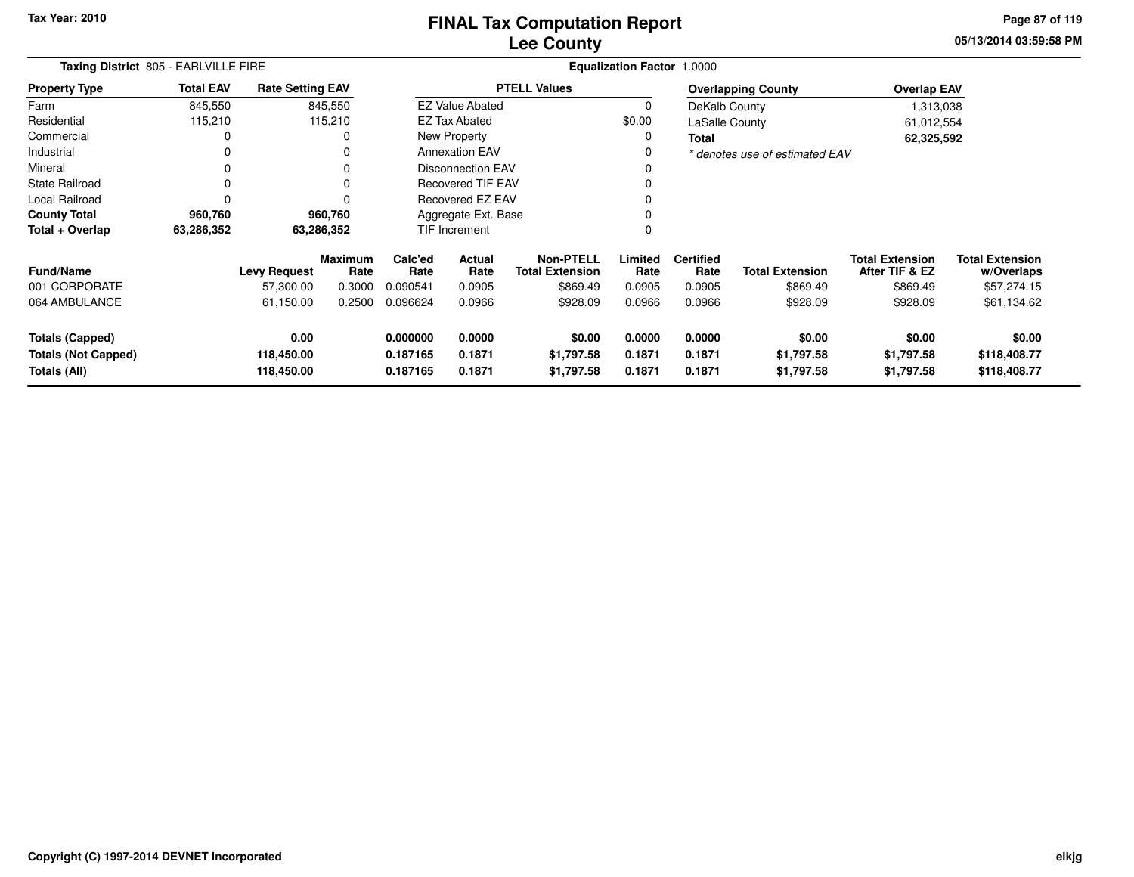### **Lee CountyFINAL Tax Computation Report**

**05/13/2014 03:59:58 PM Page 87 of 119**

|                                                                      | Taxing District 805 - EARLVILLE FIRE |                                  |                 |                                                                                                      |                        |                                            | <b>Equalization Factor 1.0000</b> |                            |                                    |                                          |                                        |  |
|----------------------------------------------------------------------|--------------------------------------|----------------------------------|-----------------|------------------------------------------------------------------------------------------------------|------------------------|--------------------------------------------|-----------------------------------|----------------------------|------------------------------------|------------------------------------------|----------------------------------------|--|
| <b>Property Type</b>                                                 | <b>Total EAV</b>                     | <b>Rate Setting EAV</b>          |                 |                                                                                                      |                        | <b>PTELL Values</b>                        |                                   |                            | <b>Overlapping County</b>          | <b>Overlap EAV</b>                       |                                        |  |
| Farm                                                                 | 845,550                              |                                  | 845,550         |                                                                                                      | <b>EZ Value Abated</b> |                                            | $\Omega$                          | DeKalb County              |                                    | 1,313,038                                |                                        |  |
| Residential                                                          | 115,210                              |                                  | 115,210         |                                                                                                      | <b>EZ Tax Abated</b>   |                                            | \$0.00                            | LaSalle County             |                                    | 61,012,554                               |                                        |  |
| Commercial                                                           |                                      |                                  | 0               |                                                                                                      | New Property           |                                            | 0                                 | <b>Total</b>               |                                    | 62,325,592                               |                                        |  |
| Industrial                                                           |                                      |                                  | 0               |                                                                                                      | <b>Annexation EAV</b>  |                                            | 0                                 |                            | * denotes use of estimated EAV     |                                          |                                        |  |
| Mineral                                                              |                                      |                                  |                 | <b>Disconnection EAV</b>                                                                             |                        |                                            |                                   |                            |                                    |                                          |                                        |  |
| <b>State Railroad</b>                                                |                                      |                                  | 0               | <b>Recovered TIF EAV</b>                                                                             |                        |                                            |                                   |                            |                                    |                                          |                                        |  |
| Local Railroad                                                       | 0                                    |                                  | O               | Recovered EZ EAV                                                                                     |                        |                                            |                                   |                            |                                    |                                          |                                        |  |
| <b>County Total</b>                                                  | 960,760                              |                                  | 960,760         | Aggregate Ext. Base                                                                                  |                        |                                            |                                   |                            |                                    |                                          |                                        |  |
| Total + Overlap                                                      | 63,286,352                           |                                  | 63,286,352      |                                                                                                      | TIF Increment          |                                            | 0                                 |                            |                                    |                                          |                                        |  |
| <b>Fund/Name</b>                                                     |                                      | <b>Levy Request</b>              | Maximum<br>Rate | Calc'ed<br>Rate                                                                                      | Actual<br>Rate         | <b>Non-PTELL</b><br><b>Total Extension</b> | Limited<br>Rate                   | <b>Certified</b><br>Rate   | <b>Total Extension</b>             | <b>Total Extension</b><br>After TIF & EZ | <b>Total Extension</b><br>w/Overlaps   |  |
| 001 CORPORATE                                                        |                                      | 57,300.00                        | 0.3000          | 0.090541                                                                                             | 0.0905                 | \$869.49                                   | 0.0905                            | 0.0905                     | \$869.49                           | \$869.49                                 | \$57,274.15                            |  |
| 064 AMBULANCE                                                        |                                      | 61,150.00                        | 0.2500          | 0.096624                                                                                             | 0.0966                 | \$928.09                                   | 0.0966                            | 0.0966                     | \$928.09                           | \$928.09                                 | \$61,134.62                            |  |
| <b>Totals (Capped)</b><br><b>Totals (Not Capped)</b><br>Totals (All) |                                      | 0.00<br>118,450.00<br>118,450.00 |                 | 0.000000<br>0.0000<br>\$0.00<br>0.1871<br>0.187165<br>\$1,797.58<br>0.1871<br>0.187165<br>\$1,797.58 |                        |                                            | 0.0000<br>0.1871<br>0.1871        | 0.0000<br>0.1871<br>0.1871 | \$0.00<br>\$1,797.58<br>\$1,797.58 | \$0.00<br>\$1,797.58<br>\$1,797.58       | \$0.00<br>\$118,408.77<br>\$118,408.77 |  |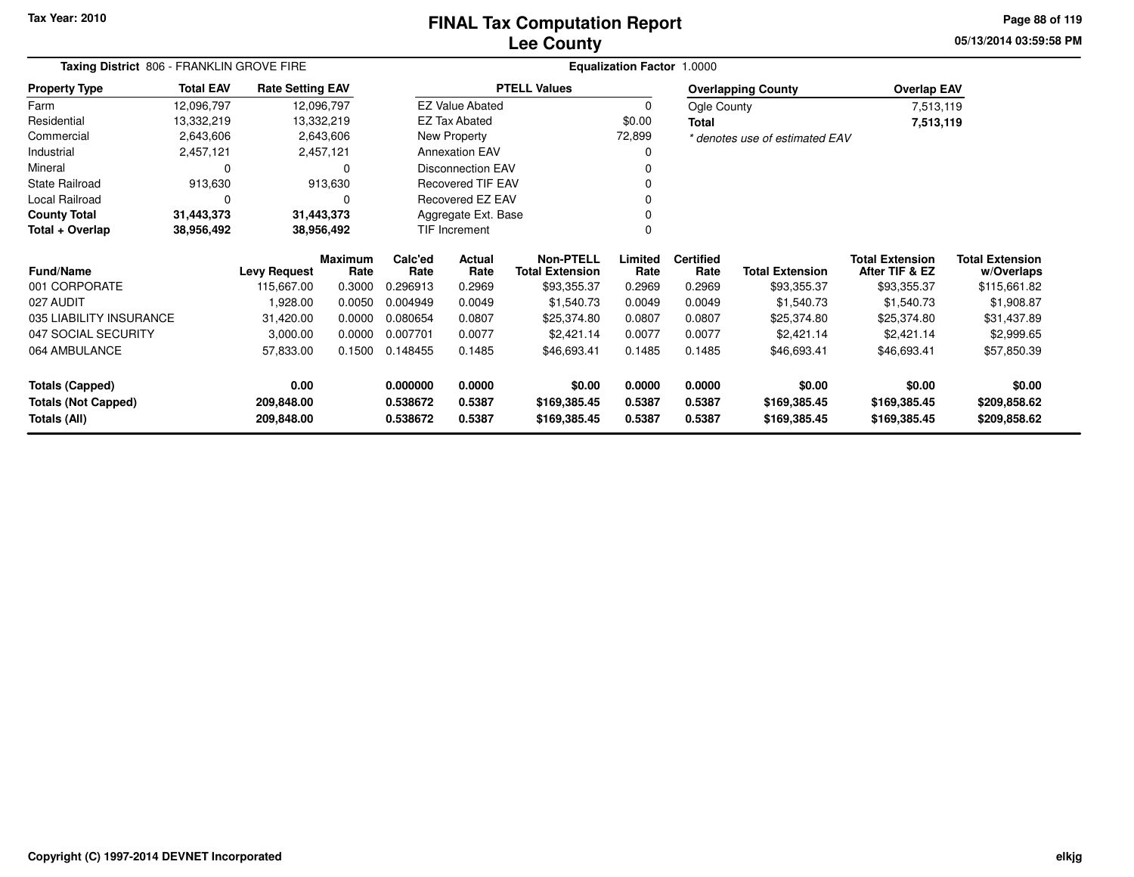### **Lee CountyFINAL Tax Computation Report**

**05/13/2014 03:59:58 PM Page 88 of 119**

|                            | Taxing District 806 - FRANKLIN GROVE FIRE |                         |                        |                 |                          |                                            | <b>Equalization Factor 1.0000</b> |                          |                                |                                          |                                      |
|----------------------------|-------------------------------------------|-------------------------|------------------------|-----------------|--------------------------|--------------------------------------------|-----------------------------------|--------------------------|--------------------------------|------------------------------------------|--------------------------------------|
| <b>Property Type</b>       | <b>Total EAV</b>                          | <b>Rate Setting EAV</b> |                        |                 |                          | <b>PTELL Values</b>                        |                                   |                          | <b>Overlapping County</b>      | <b>Overlap EAV</b>                       |                                      |
| Farm                       | 12,096,797                                | 12,096,797              |                        |                 | <b>EZ Value Abated</b>   |                                            | 0                                 | Ogle County              |                                | 7,513,119                                |                                      |
| Residential                | 13,332,219                                | 13,332,219              |                        |                 | <b>EZ Tax Abated</b>     |                                            | \$0.00                            | <b>Total</b>             |                                | 7,513,119                                |                                      |
| Commercial                 | 2,643,606                                 |                         | 2,643,606              |                 | New Property             |                                            | 72,899                            |                          | * denotes use of estimated EAV |                                          |                                      |
| Industrial                 | 2,457,121                                 |                         | 2,457,121              |                 | <b>Annexation EAV</b>    |                                            | 0                                 |                          |                                |                                          |                                      |
| Mineral                    | 0                                         |                         | 0                      |                 | <b>Disconnection EAV</b> |                                            | O                                 |                          |                                |                                          |                                      |
| <b>State Railroad</b>      | 913,630                                   |                         | 913,630                |                 | <b>Recovered TIF EAV</b> |                                            | O                                 |                          |                                |                                          |                                      |
| Local Railroad             | $\Omega$                                  |                         | O                      |                 | Recovered EZ EAV         |                                            | ŋ                                 |                          |                                |                                          |                                      |
| <b>County Total</b>        | 31,443,373                                | 31,443,373              |                        |                 | Aggregate Ext. Base      |                                            | 0                                 |                          |                                |                                          |                                      |
| Total + Overlap            | 38,956,492                                | 38,956,492              |                        |                 | TIF Increment            |                                            | $\Omega$                          |                          |                                |                                          |                                      |
| <b>Fund/Name</b>           | <b>Levy Request</b>                       |                         | <b>Maximum</b><br>Rate | Calc'ed<br>Rate | Actual<br>Rate           | <b>Non-PTELL</b><br><b>Total Extension</b> | Limited<br>Rate                   | <b>Certified</b><br>Rate | <b>Total Extension</b>         | <b>Total Extension</b><br>After TIF & EZ | <b>Total Extension</b><br>w/Overlaps |
| 001 CORPORATE              |                                           | 115,667.00              | 0.3000                 | 0.296913        | 0.2969                   | \$93,355.37                                | 0.2969                            | 0.2969                   | \$93,355.37                    | \$93,355.37                              | \$115,661.82                         |
| 027 AUDIT                  |                                           | 1,928.00                | 0.0050                 | 0.004949        | 0.0049                   | \$1,540.73                                 | 0.0049                            | 0.0049                   | \$1,540.73                     | \$1,540.73                               | \$1,908.87                           |
| 035 LIABILITY INSURANCE    |                                           | 31,420.00               | 0.0000                 | 0.080654        | 0.0807                   | \$25,374.80                                | 0.0807                            | 0.0807                   | \$25,374.80                    | \$25,374.80                              | \$31,437.89                          |
| 047 SOCIAL SECURITY        |                                           | 3,000.00                | 0.0000                 | 0.007701        | 0.0077                   | \$2,421.14                                 | 0.0077                            | 0.0077                   | \$2,421.14                     | \$2,421.14                               | \$2,999.65                           |
| 064 AMBULANCE              |                                           | 57,833.00               | 0.1500                 | 0.148455        | 0.1485                   | \$46,693.41                                | 0.1485                            | 0.1485                   | \$46,693.41                    | \$46,693.41                              | \$57,850.39                          |
| <b>Totals (Capped)</b>     |                                           | 0.00                    |                        | 0.000000        | 0.0000                   | \$0.00                                     | 0.0000                            | 0.0000                   | \$0.00                         | \$0.00                                   | \$0.00                               |
| <b>Totals (Not Capped)</b> |                                           | 209,848.00              |                        | 0.538672        | 0.5387                   | \$169,385.45                               | 0.5387                            | 0.5387                   | \$169,385.45                   | \$169,385.45                             | \$209,858.62                         |
| Totals (All)               |                                           | 209,848.00              |                        | 0.538672        | 0.5387                   | \$169,385.45                               | 0.5387                            | 0.5387                   | \$169,385.45                   | \$169,385.45                             | \$209,858.62                         |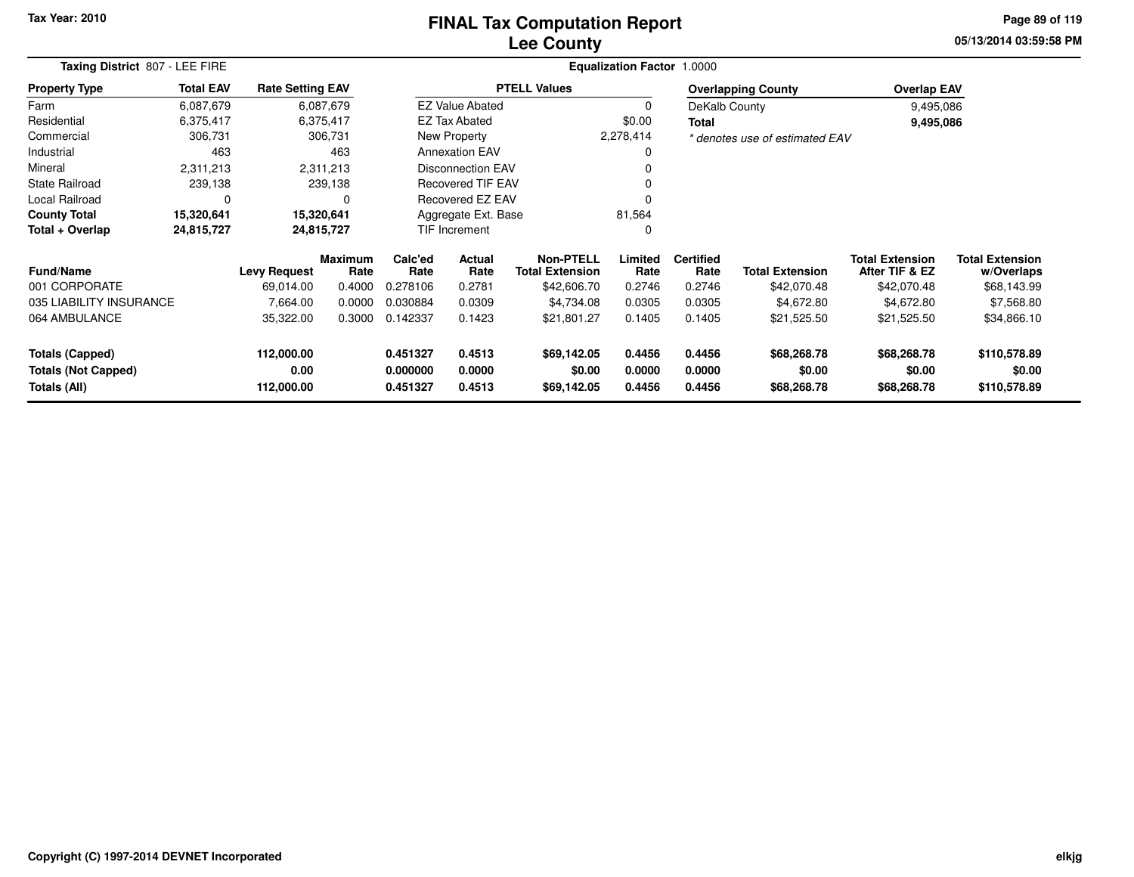### **Lee CountyFINAL Tax Computation Report**

**05/13/2014 03:59:58 PM Page 89 of 119**

| Taxing District 807 - LEE FIRE |                  |                         |                        |                 |                                          |                     | <b>Equalization Factor 1.0000</b>   |                          |                                |                                          |                                      |
|--------------------------------|------------------|-------------------------|------------------------|-----------------|------------------------------------------|---------------------|-------------------------------------|--------------------------|--------------------------------|------------------------------------------|--------------------------------------|
| <b>Property Type</b>           | <b>Total EAV</b> | <b>Rate Setting EAV</b> |                        |                 |                                          | <b>PTELL Values</b> |                                     |                          | <b>Overlapping County</b>      | <b>Overlap EAV</b>                       |                                      |
| Farm                           | 6,087,679        |                         | 6,087,679              |                 | <b>EZ Value Abated</b>                   |                     | $\Omega$                            | DeKalb County            |                                | 9,495,086                                |                                      |
| Residential                    | 6,375,417        |                         | 6,375,417              |                 | <b>EZ Tax Abated</b>                     |                     | \$0.00                              | Total                    |                                | 9,495,086                                |                                      |
| Commercial                     | 306,731          |                         | 306,731                |                 | New Property                             |                     | 2,278,414                           |                          | * denotes use of estimated EAV |                                          |                                      |
| Industrial                     | 463              |                         | 463                    |                 | <b>Annexation EAV</b>                    |                     |                                     |                          |                                |                                          |                                      |
| Mineral                        | 2,311,213        |                         | 2,311,213              |                 | <b>Disconnection EAV</b>                 |                     |                                     |                          |                                |                                          |                                      |
| <b>State Railroad</b>          | 239,138          |                         | 239,138                |                 | <b>Recovered TIF EAV</b>                 |                     |                                     |                          |                                |                                          |                                      |
| Local Railroad                 | 0                |                         | 0                      |                 | Recovered EZ EAV                         |                     |                                     |                          |                                |                                          |                                      |
| <b>County Total</b>            | 15,320,641       |                         | 15,320,641             |                 | Aggregate Ext. Base                      |                     | 81,564                              |                          |                                |                                          |                                      |
| Total + Overlap                | 24,815,727       |                         | 24,815,727             |                 | TIF Increment                            |                     | $\Omega$                            |                          |                                |                                          |                                      |
| <b>Fund/Name</b>               |                  | <b>Levy Request</b>     | <b>Maximum</b><br>Rate | Calc'ed<br>Rate | Actual<br>Rate<br><b>Total Extension</b> |                     | <b>Non-PTELL</b><br>Limited<br>Rate | <b>Certified</b><br>Rate | <b>Total Extension</b>         | <b>Total Extension</b><br>After TIF & EZ | <b>Total Extension</b><br>w/Overlaps |
| 001 CORPORATE                  |                  | 69,014.00               | 0.4000                 | 0.278106        | 0.2781                                   | \$42,606.70         | 0.2746                              | 0.2746                   | \$42,070.48                    | \$42,070.48                              | \$68,143.99                          |
| 035 LIABILITY INSURANCE        |                  | 7,664.00                | 0.0000                 | 0.030884        | 0.0309                                   | \$4,734.08          | 0.0305                              | 0.0305                   | \$4,672.80                     | \$4,672.80                               | \$7,568.80                           |
| 064 AMBULANCE                  |                  | 35,322.00               | 0.3000                 | 0.142337        | 0.1423                                   | \$21,801.27         | 0.1405                              | 0.1405                   | \$21,525.50                    | \$21,525.50                              | \$34,866.10                          |
| <b>Totals (Capped)</b>         |                  | 112,000.00              |                        | 0.451327        | 0.4513                                   | \$69,142.05         | 0.4456                              | 0.4456                   | \$68,268.78                    | \$68,268.78                              | \$110,578.89                         |
| <b>Totals (Not Capped)</b>     |                  | 0.00                    |                        | 0.000000        | 0.0000                                   | \$0.00              | 0.0000                              | 0.0000                   | \$0.00                         | \$0.00                                   | \$0.00                               |
| <b>Totals (All)</b>            |                  | 112,000.00              |                        | 0.451327        | 0.4513                                   | \$69,142.05         | 0.4456                              | 0.4456                   | \$68,268.78                    | \$68,268.78                              | \$110,578.89                         |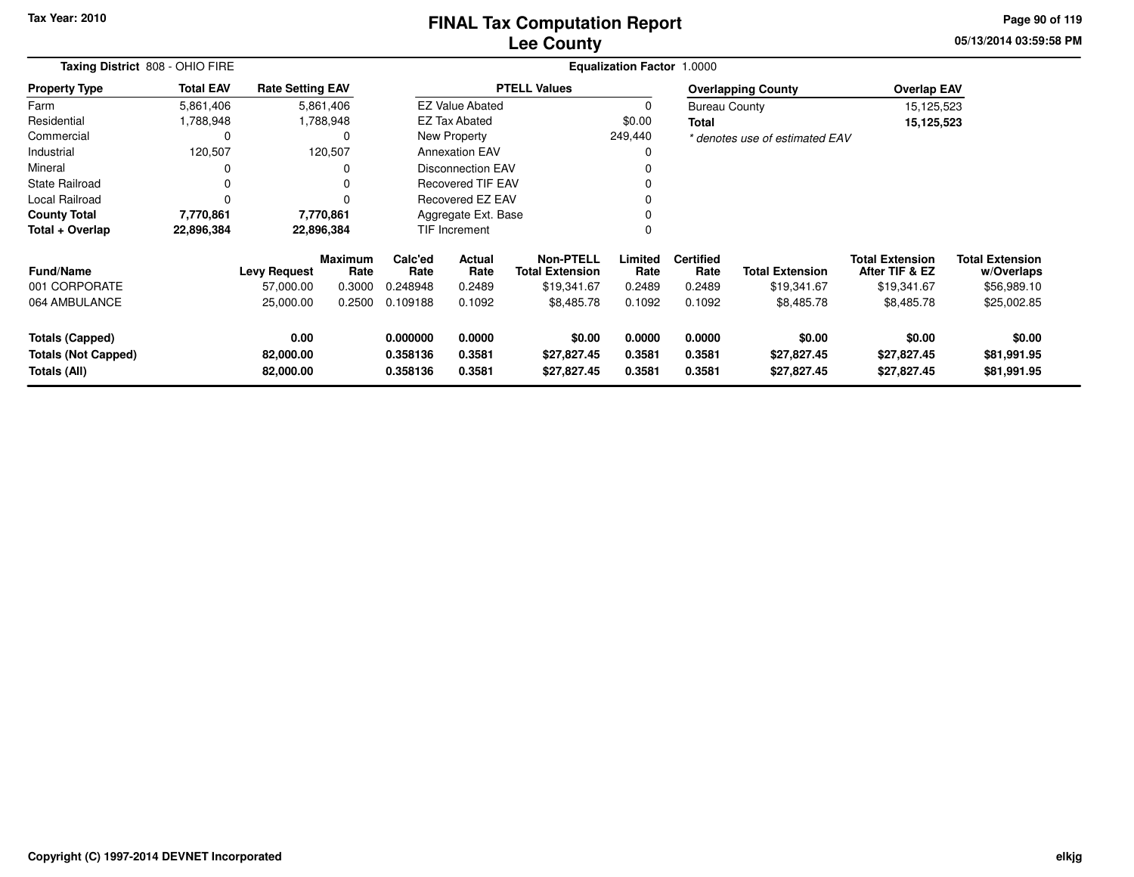### **Lee CountyFINAL Tax Computation Report**

**05/13/2014 03:59:58 PM Page 90 of 119**

|                                                                      | Taxing District 808 - OHIO FIRE |                                |                        |                                  |                            |                                            | Equalization Factor 1.0000 |                            |                                      |                                          |                                      |  |
|----------------------------------------------------------------------|---------------------------------|--------------------------------|------------------------|----------------------------------|----------------------------|--------------------------------------------|----------------------------|----------------------------|--------------------------------------|------------------------------------------|--------------------------------------|--|
| <b>Property Type</b>                                                 | <b>Total EAV</b>                | <b>Rate Setting EAV</b>        |                        |                                  |                            | <b>PTELL Values</b>                        |                            |                            | <b>Overlapping County</b>            | <b>Overlap EAV</b>                       |                                      |  |
| Farm                                                                 | 5,861,406                       |                                | 5,861,406              |                                  | <b>EZ Value Abated</b>     |                                            |                            | <b>Bureau County</b>       |                                      | 15,125,523                               |                                      |  |
| Residential                                                          | 1,788,948                       |                                | 1,788,948              |                                  | <b>EZ Tax Abated</b>       |                                            | \$0.00                     | <b>Total</b>               |                                      | 15,125,523                               |                                      |  |
| Commercial                                                           | 0                               |                                | 0                      |                                  | New Property               |                                            | 249,440                    |                            | * denotes use of estimated EAV       |                                          |                                      |  |
| Industrial                                                           | 120,507                         |                                | 120,507                |                                  | <b>Annexation EAV</b>      |                                            | 0                          |                            |                                      |                                          |                                      |  |
| Mineral                                                              |                                 |                                | 0                      |                                  | <b>Disconnection EAV</b>   |                                            |                            |                            |                                      |                                          |                                      |  |
| <b>State Railroad</b>                                                |                                 |                                | 0                      |                                  | <b>Recovered TIF EAV</b>   |                                            |                            |                            |                                      |                                          |                                      |  |
| Local Railroad                                                       |                                 |                                | $\Omega$               |                                  | <b>Recovered EZ EAV</b>    |                                            |                            |                            |                                      |                                          |                                      |  |
| <b>County Total</b>                                                  | 7,770,861                       | 7,770,861                      |                        |                                  | Aggregate Ext. Base        |                                            |                            |                            |                                      |                                          |                                      |  |
| Total + Overlap                                                      | 22,896,384                      | 22,896,384                     |                        |                                  | <b>TIF Increment</b>       |                                            |                            |                            |                                      |                                          |                                      |  |
| <b>Fund/Name</b>                                                     |                                 | <b>Levy Request</b>            | <b>Maximum</b><br>Rate | Calc'ed<br>Rate                  | <b>Actual</b><br>Rate      | <b>Non-PTELL</b><br><b>Total Extension</b> | Limited<br>Rate            | <b>Certified</b><br>Rate   | <b>Total Extension</b>               | <b>Total Extension</b><br>After TIF & EZ | <b>Total Extension</b><br>w/Overlaps |  |
| 001 CORPORATE                                                        |                                 | 57,000.00                      | 0.3000                 | 0.248948                         | 0.2489                     | \$19,341.67                                | 0.2489                     | 0.2489                     | \$19,341.67                          | \$19,341.67                              | \$56,989.10                          |  |
| 064 AMBULANCE                                                        |                                 | 25,000.00                      | 0.2500                 | 0.109188                         | 0.1092                     | \$8,485.78                                 | 0.1092                     | 0.1092                     | \$8,485.78                           | \$8,485.78                               | \$25,002.85                          |  |
| <b>Totals (Capped)</b><br><b>Totals (Not Capped)</b><br>Totals (All) |                                 | 0.00<br>82,000.00<br>82,000.00 |                        | 0.000000<br>0.358136<br>0.358136 | 0.0000<br>0.3581<br>0.3581 | \$0.00<br>\$27,827.45<br>\$27,827.45       | 0.0000<br>0.3581<br>0.3581 | 0.0000<br>0.3581<br>0.3581 | \$0.00<br>\$27,827.45<br>\$27,827.45 | \$0.00<br>\$27,827.45<br>\$27,827.45     | \$0.00<br>\$81,991.95<br>\$81,991.95 |  |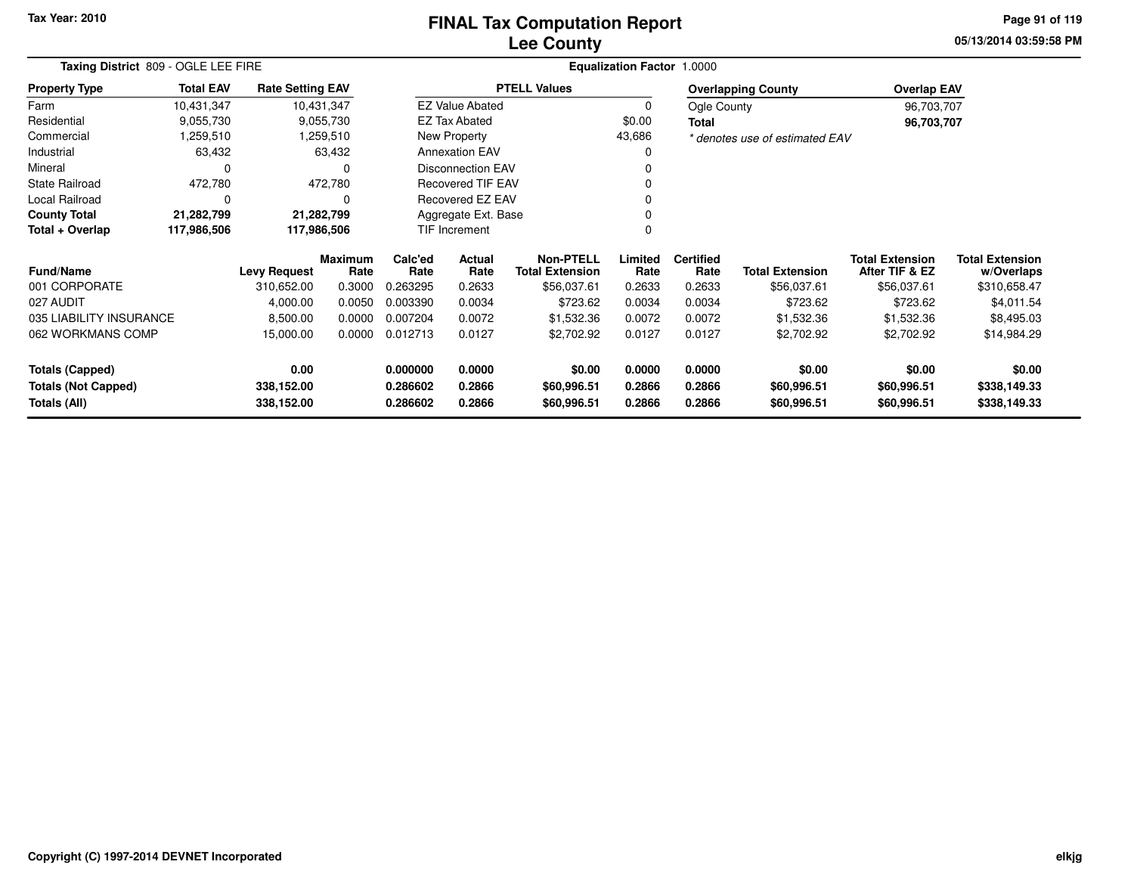### **Lee CountyFINAL Tax Computation Report**

**05/13/2014 03:59:58 PM Page 91 of 119**

|                                            | Taxing District 809 - OGLE LEE FIRE |                          |                 |                      |                                            |                            | Equalization Factor 1.0000 |                        |                                          |                                      |                              |
|--------------------------------------------|-------------------------------------|--------------------------|-----------------|----------------------|--------------------------------------------|----------------------------|----------------------------|------------------------|------------------------------------------|--------------------------------------|------------------------------|
| <b>Property Type</b>                       | <b>Total EAV</b>                    | <b>Rate Setting EAV</b>  |                 |                      |                                            | <b>PTELL Values</b>        |                            |                        | <b>Overlapping County</b>                | <b>Overlap EAV</b>                   |                              |
| Farm                                       | 10,431,347                          |                          | 10,431,347      |                      | <b>EZ Value Abated</b>                     |                            | 0                          | Ogle County            |                                          | 96,703,707                           |                              |
| Residential                                | 9,055,730                           |                          | 9,055,730       |                      | <b>EZ Tax Abated</b>                       |                            | \$0.00                     | Total                  |                                          | 96,703,707                           |                              |
| Commercial                                 | 1,259,510                           |                          | 1,259,510       |                      | New Property                               |                            | 43,686                     |                        | * denotes use of estimated EAV           |                                      |                              |
| Industrial                                 | 63,432                              |                          | 63,432          |                      | <b>Annexation EAV</b>                      |                            |                            |                        |                                          |                                      |                              |
| Mineral                                    | 0                                   |                          | O               |                      | <b>Disconnection EAV</b>                   |                            |                            |                        |                                          |                                      |                              |
| <b>State Railroad</b>                      | 472,780                             |                          | 472,780         |                      | <b>Recovered TIF EAV</b>                   |                            |                            |                        |                                          |                                      |                              |
| Local Railroad                             | 0                                   |                          | $\Omega$        |                      | Recovered EZ EAV                           |                            |                            |                        |                                          |                                      |                              |
| <b>County Total</b>                        | 21,282,799                          |                          | 21,282,799      |                      | Aggregate Ext. Base                        |                            |                            |                        |                                          |                                      |                              |
| Total + Overlap                            | 117,986,506                         | 117,986,506              |                 |                      | TIF Increment                              |                            | ი                          |                        |                                          |                                      |                              |
| <b>Fund/Name</b><br><b>Levy Request</b>    |                                     | <b>Maximum</b><br>Rate   | Calc'ed<br>Rate | Actual<br>Rate       | <b>Non-PTELL</b><br><b>Total Extension</b> | Limited<br>Rate            | <b>Certified</b><br>Rate   | <b>Total Extension</b> | <b>Total Extension</b><br>After TIF & EZ | <b>Total Extension</b><br>w/Overlaps |                              |
| 001 CORPORATE                              |                                     | 310,652.00               | 0.3000          | 0.263295             | 0.2633                                     | \$56,037.61                | 0.2633                     | 0.2633                 | \$56,037.61                              | \$56,037.61                          | \$310,658.47                 |
| 027 AUDIT                                  |                                     | 4,000.00                 | 0.0050          | 0.003390             | 0.0034                                     | \$723.62                   | 0.0034                     | 0.0034                 | \$723.62                                 | \$723.62                             | \$4,011.54                   |
| 035 LIABILITY INSURANCE                    |                                     | 8,500.00                 | 0.0000          | 0.007204             | 0.0072                                     | \$1,532.36                 | 0.0072                     | 0.0072                 | \$1,532.36                               | \$1,532.36                           | \$8,495.03                   |
| 062 WORKMANS COMP                          |                                     | 15,000.00                | 0.0000          | 0.012713             | 0.0127                                     | \$2,702.92                 | 0.0127                     | 0.0127                 | \$2,702.92                               | \$2,702.92                           | \$14,984.29                  |
| <b>Totals (Capped)</b>                     |                                     | 0.00                     |                 | 0.000000             | 0.0000                                     | \$0.00                     | 0.0000                     | 0.0000                 | \$0.00                                   | \$0.00                               | \$0.00                       |
| <b>Totals (Not Capped)</b><br>Totals (All) |                                     | 338,152.00<br>338,152.00 |                 | 0.286602<br>0.286602 | 0.2866<br>0.2866                           | \$60,996.51<br>\$60,996.51 | 0.2866<br>0.2866           | 0.2866<br>0.2866       | \$60,996.51<br>\$60,996.51               | \$60,996.51<br>\$60,996.51           | \$338,149.33<br>\$338,149.33 |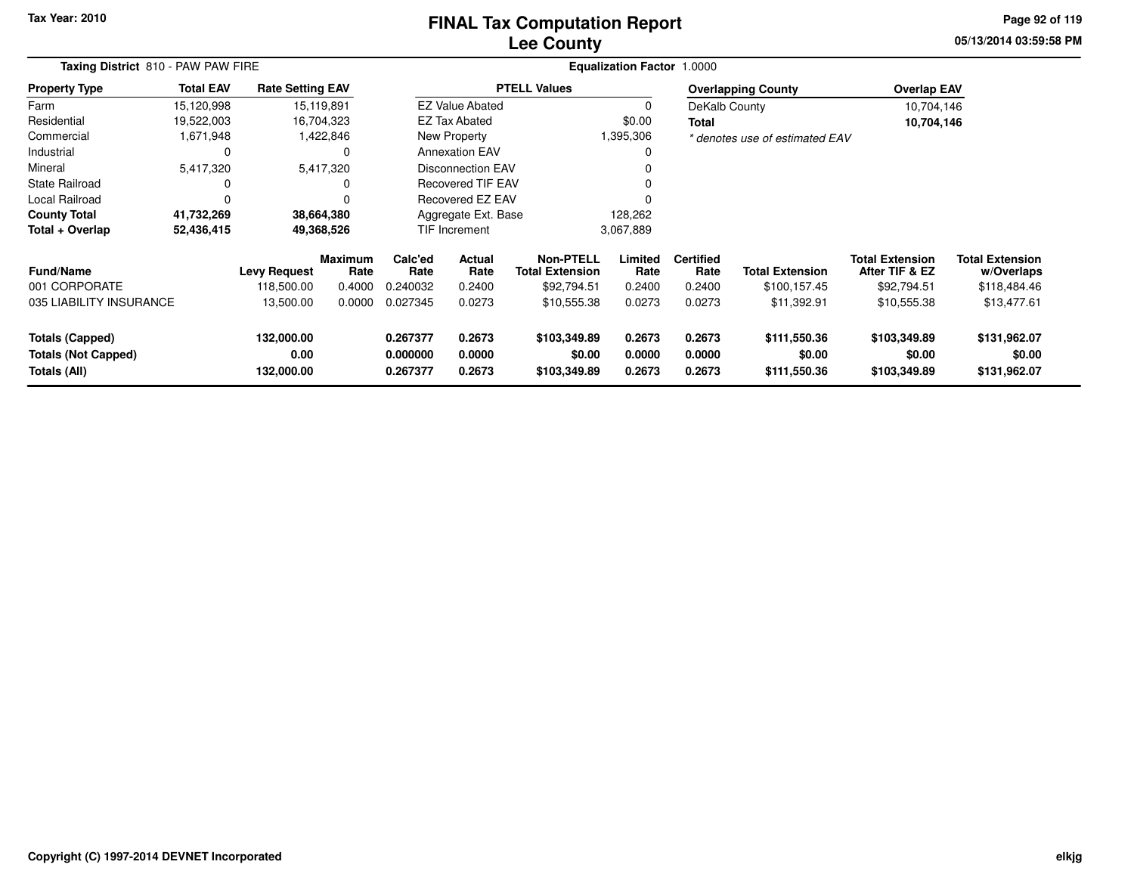### **Lee CountyFINAL Tax Computation Report**

**05/13/2014 03:59:58 PM Page 92 of 119**

| Taxing District 810 - PAW PAW FIRE                                   |                  |                                  |                        |                                  |                            |                                            | <b>Equalization Factor 1.0000</b> |                            |                                        |                                          |                                        |  |
|----------------------------------------------------------------------|------------------|----------------------------------|------------------------|----------------------------------|----------------------------|--------------------------------------------|-----------------------------------|----------------------------|----------------------------------------|------------------------------------------|----------------------------------------|--|
| <b>Property Type</b>                                                 | <b>Total EAV</b> | <b>Rate Setting EAV</b>          |                        |                                  |                            | <b>PTELL Values</b>                        |                                   |                            | <b>Overlapping County</b>              | <b>Overlap EAV</b>                       |                                        |  |
| Farm                                                                 | 15,120,998       |                                  | 15,119,891             |                                  | <b>EZ Value Abated</b>     |                                            |                                   | DeKalb County              |                                        | 10,704,146                               |                                        |  |
| Residential                                                          | 19,522,003       |                                  | 16,704,323             |                                  | <b>EZ Tax Abated</b>       |                                            | \$0.00                            | Total                      |                                        | 10,704,146                               |                                        |  |
| Commercial                                                           | 1,671,948        |                                  | 1,422,846              |                                  | <b>New Property</b>        |                                            | 1,395,306                         |                            | * denotes use of estimated EAV         |                                          |                                        |  |
| Industrial                                                           | $\Omega$         |                                  | 0                      |                                  | <b>Annexation EAV</b>      |                                            | 0                                 |                            |                                        |                                          |                                        |  |
| Mineral                                                              | 5,417,320        |                                  | 5,417,320              | <b>Disconnection EAV</b>         |                            |                                            |                                   |                            |                                        |                                          |                                        |  |
| <b>State Railroad</b>                                                | 0                |                                  | $\Omega$               |                                  | Recovered TIF EAV          |                                            |                                   |                            |                                        |                                          |                                        |  |
| Local Railroad                                                       | $\Omega$         |                                  | $\Omega$               | Recovered EZ EAV                 |                            |                                            |                                   |                            |                                        |                                          |                                        |  |
| <b>County Total</b>                                                  | 41,732,269       |                                  | 38,664,380             | Aggregate Ext. Base              |                            |                                            | 128,262                           |                            |                                        |                                          |                                        |  |
| Total + Overlap                                                      | 52,436,415       |                                  | 49,368,526             |                                  | TIF Increment              |                                            | 3,067,889                         |                            |                                        |                                          |                                        |  |
| <b>Fund/Name</b>                                                     |                  | <b>Levy Request</b>              | <b>Maximum</b><br>Rate | Calc'ed<br>Rate                  | Actual<br>Rate             | <b>Non-PTELL</b><br><b>Total Extension</b> | Limited<br>Rate                   | <b>Certified</b><br>Rate   | <b>Total Extension</b>                 | <b>Total Extension</b><br>After TIF & EZ | <b>Total Extension</b><br>w/Overlaps   |  |
| 001 CORPORATE                                                        |                  | 118,500.00                       | 0.4000                 | 0.240032                         | 0.2400                     | \$92,794.51                                | 0.2400                            | 0.2400                     | \$100,157.45                           | \$92,794.51                              | \$118,484.46                           |  |
| 035 LIABILITY INSURANCE                                              |                  | 13,500.00                        | 0.0000                 | 0.027345                         | 0.0273                     | \$10,555.38                                | 0.0273                            | 0.0273                     | \$11,392.91                            | \$10,555.38                              | \$13,477.61                            |  |
| <b>Totals (Capped)</b><br><b>Totals (Not Capped)</b><br>Totals (All) |                  | 132,000.00<br>0.00<br>132,000.00 |                        | 0.267377<br>0.000000<br>0.267377 | 0.2673<br>0.0000<br>0.2673 | \$103,349.89<br>\$0.00<br>\$103,349.89     | 0.2673<br>0.0000<br>0.2673        | 0.2673<br>0.0000<br>0.2673 | \$111,550.36<br>\$0.00<br>\$111,550.36 | \$103,349.89<br>\$0.00<br>\$103,349.89   | \$131,962.07<br>\$0.00<br>\$131,962.07 |  |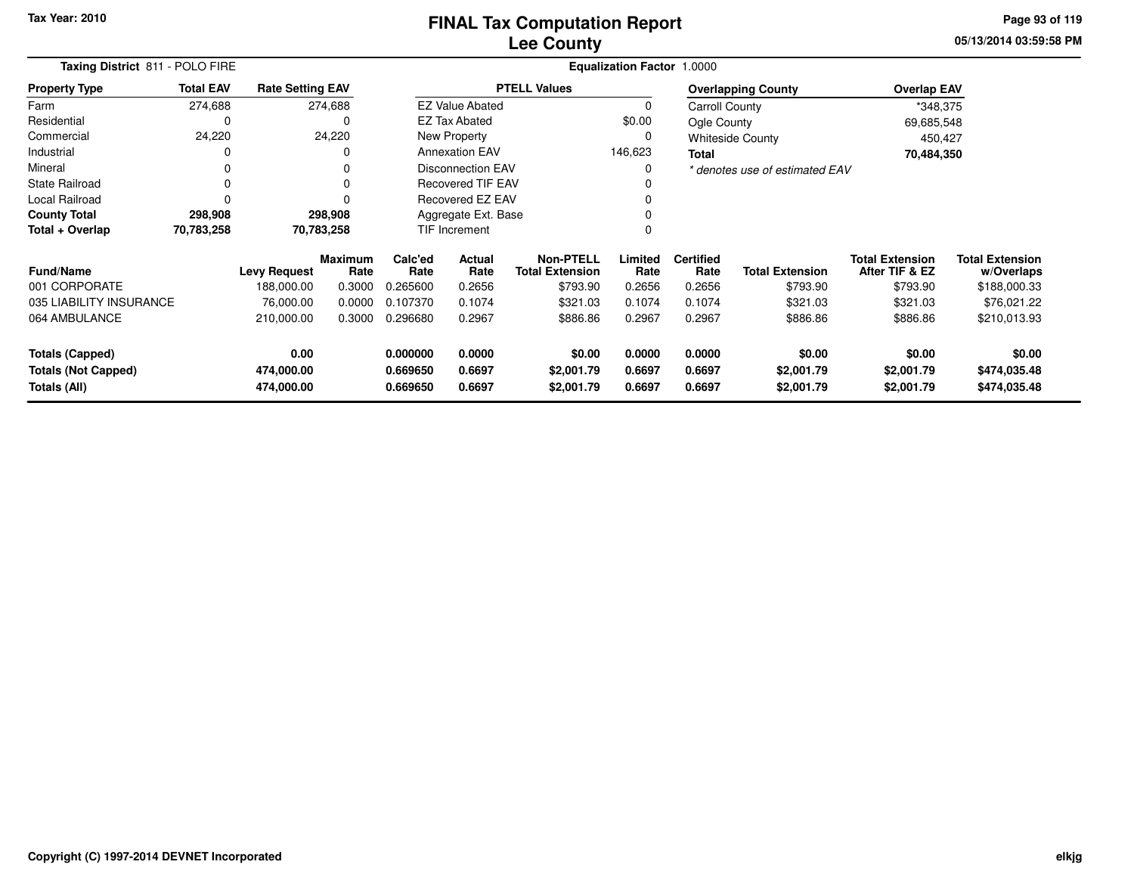# **Lee CountyFINAL Tax Computation Report**

**05/13/2014 03:59:58 PM Page 93 of 119**

|                                            | Taxing District 811 - POLO FIRE |                          |                        |                      |                                                 |                          | <b>Equalization Factor 1.0000</b> |                          |                                |                                          |                                      |
|--------------------------------------------|---------------------------------|--------------------------|------------------------|----------------------|-------------------------------------------------|--------------------------|-----------------------------------|--------------------------|--------------------------------|------------------------------------------|--------------------------------------|
| <b>Property Type</b>                       | <b>Total EAV</b>                | <b>Rate Setting EAV</b>  |                        |                      |                                                 | <b>PTELL Values</b>      |                                   |                          | <b>Overlapping County</b>      | <b>Overlap EAV</b>                       |                                      |
| Farm                                       | 274,688                         |                          | 274,688                |                      | <b>EZ Value Abated</b>                          |                          | $\Omega$                          | Carroll County           |                                | *348,375                                 |                                      |
| Residential                                | 0                               |                          | 0                      |                      | <b>EZ Tax Abated</b>                            |                          | \$0.00                            | Ogle County              |                                | 69,685,548                               |                                      |
| Commercial                                 | 24,220                          |                          | 24,220                 |                      | New Property                                    |                          | 0                                 |                          | <b>Whiteside County</b>        | 450,427                                  |                                      |
| Industrial                                 |                                 |                          |                        |                      | <b>Annexation EAV</b>                           |                          | 146,623                           | <b>Total</b>             |                                | 70,484,350                               |                                      |
| Mineral                                    |                                 |                          |                        |                      | <b>Disconnection EAV</b>                        |                          |                                   |                          | * denotes use of estimated EAV |                                          |                                      |
| <b>State Railroad</b>                      | 0                               |                          |                        |                      | <b>Recovered TIF EAV</b>                        |                          |                                   |                          |                                |                                          |                                      |
| Local Railroad                             |                                 |                          |                        | Recovered EZ EAV     |                                                 |                          |                                   |                          |                                |                                          |                                      |
| <b>County Total</b>                        | 298,908                         |                          | 298,908                | Aggregate Ext. Base  |                                                 |                          |                                   |                          |                                |                                          |                                      |
| Total + Overlap                            | 70,783,258                      |                          | 70,783,258             |                      | <b>TIF Increment</b>                            |                          |                                   |                          |                                |                                          |                                      |
| <b>Fund/Name</b>                           |                                 | <b>Levy Request</b>      | <b>Maximum</b><br>Rate | Calc'ed<br>Rate      | <b>Actual</b><br>Rate<br><b>Total Extension</b> |                          | Limited<br>Rate                   | <b>Certified</b><br>Rate | <b>Total Extension</b>         | <b>Total Extension</b><br>After TIF & EZ | <b>Total Extension</b><br>w/Overlaps |
| 001 CORPORATE                              |                                 | 188,000.00               | 0.3000                 | 0.265600             | 0.2656                                          | \$793.90                 | 0.2656                            | 0.2656                   | \$793.90                       | \$793.90                                 | \$188,000.33                         |
| 035 LIABILITY INSURANCE                    |                                 | 76,000.00                | 0.0000                 | 0.107370             | 0.1074                                          | \$321.03                 | 0.1074                            | 0.1074                   | \$321.03                       | \$321.03                                 | \$76,021.22                          |
| 064 AMBULANCE                              |                                 | 210,000.00               | 0.3000                 | 0.296680             | 0.2967                                          | \$886.86                 | 0.2967                            | 0.2967                   | \$886.86                       | \$886.86                                 | \$210,013.93                         |
| <b>Totals (Capped)</b>                     |                                 | 0.00                     |                        | 0.000000             | 0.0000                                          | \$0.00                   | 0.0000                            | 0.0000                   | \$0.00                         | \$0.00                                   | \$0.00                               |
| <b>Totals (Not Capped)</b><br>Totals (All) |                                 | 474,000.00<br>474,000.00 |                        | 0.669650<br>0.669650 | 0.6697<br>0.6697                                | \$2,001.79<br>\$2,001.79 | 0.6697<br>0.6697                  | 0.6697<br>0.6697         | \$2,001.79<br>\$2,001.79       | \$2,001.79<br>\$2,001.79                 | \$474,035.48<br>\$474,035.48         |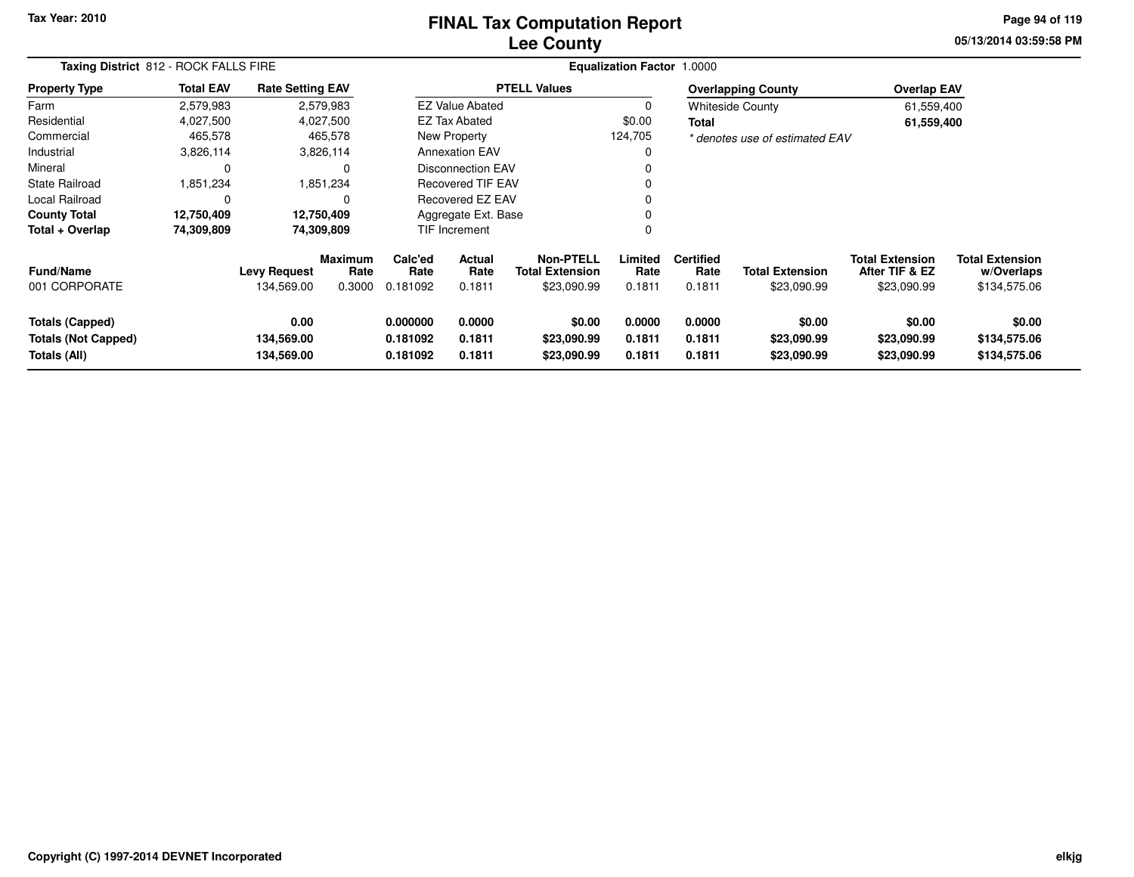### **Lee CountyFINAL Tax Computation Report**

**05/13/2014 03:59:58 PM Page 94 of 119**

|                                                                      | Taxing District 812 - ROCK FALLS FIRE |                                   |                                  |                                                                |                                                    |                                      | <b>Equalization Factor 1.0000</b> |                                    |                                       |                                                         |                                                      |
|----------------------------------------------------------------------|---------------------------------------|-----------------------------------|----------------------------------|----------------------------------------------------------------|----------------------------------------------------|--------------------------------------|-----------------------------------|------------------------------------|---------------------------------------|---------------------------------------------------------|------------------------------------------------------|
| <b>Property Type</b>                                                 | <b>Total EAV</b>                      | <b>Rate Setting EAV</b>           |                                  |                                                                |                                                    | <b>PTELL Values</b>                  |                                   |                                    | <b>Overlapping County</b>             | <b>Overlap EAV</b>                                      |                                                      |
| Farm                                                                 | 2,579,983                             |                                   | 2,579,983                        |                                                                | <b>EZ Value Abated</b>                             |                                      | 0                                 |                                    | <b>Whiteside County</b>               | 61,559,400                                              |                                                      |
| Residential                                                          | 4,027,500                             |                                   | 4,027,500                        |                                                                | <b>EZ Tax Abated</b>                               |                                      | \$0.00                            | <b>Total</b>                       |                                       | 61,559,400                                              |                                                      |
| Commercial                                                           | 465,578                               |                                   | 465,578                          |                                                                | New Property                                       |                                      | 124,705                           |                                    | * denotes use of estimated EAV        |                                                         |                                                      |
| Industrial                                                           | 3,826,114                             |                                   | 3,826,114                        |                                                                | <b>Annexation EAV</b>                              |                                      | <sup>0</sup>                      |                                    |                                       |                                                         |                                                      |
| Mineral                                                              | 0                                     |                                   | 0                                |                                                                | <b>Disconnection EAV</b>                           |                                      |                                   |                                    |                                       |                                                         |                                                      |
| <b>State Railroad</b>                                                | 1,851,234                             |                                   | 1,851,234                        |                                                                | <b>Recovered TIF EAV</b>                           |                                      |                                   |                                    |                                       |                                                         |                                                      |
| Local Railroad                                                       | C                                     |                                   | 0                                |                                                                | Recovered EZ EAV                                   |                                      | 0                                 |                                    |                                       |                                                         |                                                      |
| <b>County Total</b>                                                  | 12,750,409                            |                                   | 12,750,409                       |                                                                | Aggregate Ext. Base                                |                                      | <sup>0</sup>                      |                                    |                                       |                                                         |                                                      |
| Total + Overlap                                                      | 74,309,809                            |                                   | 74,309,809                       |                                                                | TIF Increment                                      |                                      | $\Omega$                          |                                    |                                       |                                                         |                                                      |
| <b>Fund/Name</b><br>001 CORPORATE                                    |                                       | <b>Levy Request</b><br>134,569.00 | <b>Maximum</b><br>Rate<br>0.3000 | Calc'ed<br>Rate<br>0.181092                                    | Actual<br>Rate<br><b>Total Extension</b><br>0.1811 |                                      | Limited<br>Rate<br>0.1811         | <b>Certified</b><br>Rate<br>0.1811 | <b>Total Extension</b><br>\$23,090.99 | <b>Total Extension</b><br>After TIF & EZ<br>\$23,090.99 | <b>Total Extension</b><br>w/Overlaps<br>\$134,575.06 |
| <b>Totals (Capped)</b><br><b>Totals (Not Capped)</b><br>Totals (All) |                                       | 0.00<br>134,569.00<br>134,569.00  |                                  | 0.000000<br>0.0000<br>0.181092<br>0.1811<br>0.1811<br>0.181092 |                                                    | \$0.00<br>\$23,090.99<br>\$23,090.99 | 0.0000<br>0.1811<br>0.1811        | 0.0000<br>0.1811<br>0.1811         | \$0.00<br>\$23,090.99<br>\$23,090.99  | \$0.00<br>\$23,090.99<br>\$23,090.99                    | \$0.00<br>\$134,575.06<br>\$134,575.06               |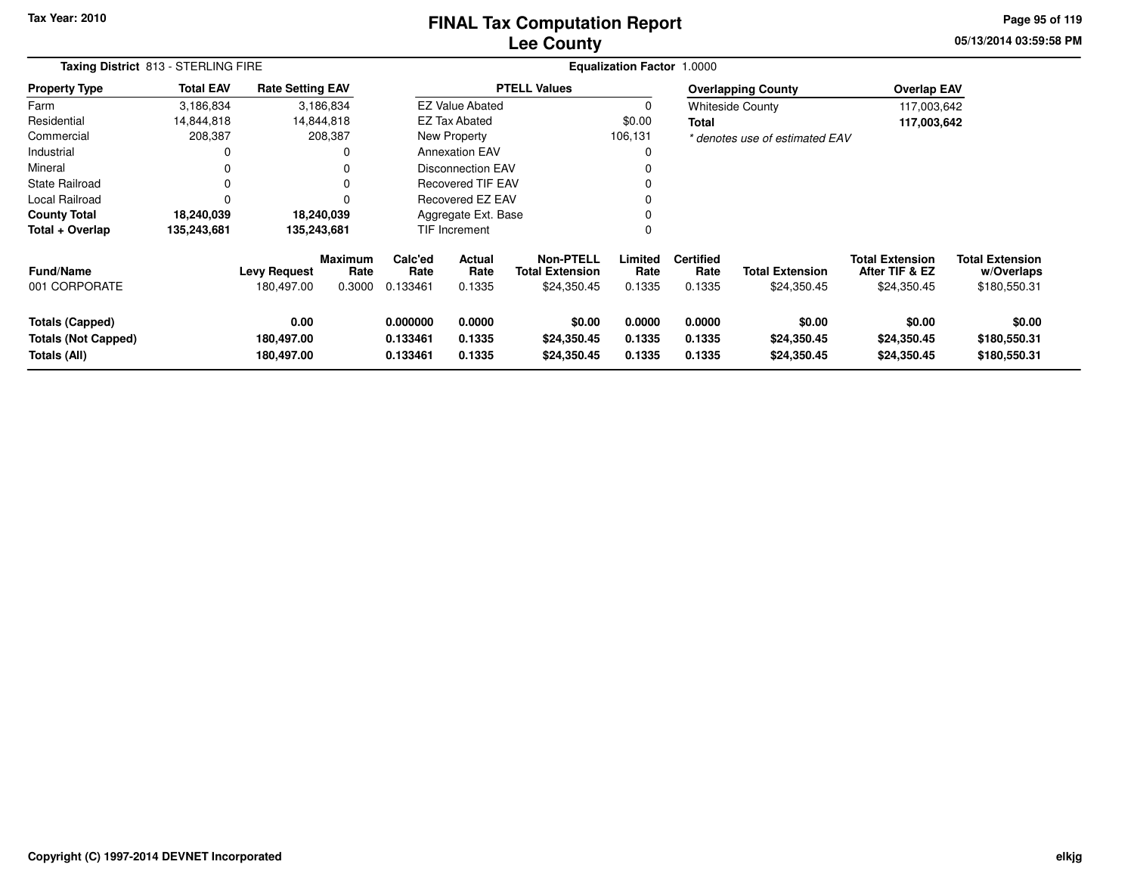### **Lee CountyFINAL Tax Computation Report**

**05/13/2014 03:59:58 PM Page 95 of 119**

| Taxing District 813 - STERLING FIRE                                  |                  |                                   |                           |                                  |                            |                                                           | <b>Equalization Factor 1.0000</b> |                                    |                                       |                                                         |                                                      |  |
|----------------------------------------------------------------------|------------------|-----------------------------------|---------------------------|----------------------------------|----------------------------|-----------------------------------------------------------|-----------------------------------|------------------------------------|---------------------------------------|---------------------------------------------------------|------------------------------------------------------|--|
| <b>Property Type</b>                                                 | <b>Total EAV</b> | <b>Rate Setting EAV</b>           |                           |                                  |                            | <b>PTELL Values</b>                                       |                                   |                                    | <b>Overlapping County</b>             | <b>Overlap EAV</b>                                      |                                                      |  |
| Farm                                                                 | 3,186,834        |                                   | 3,186,834                 |                                  | <b>EZ Value Abated</b>     |                                                           | $\Omega$                          |                                    | Whiteside County                      | 117,003,642                                             |                                                      |  |
| Residential                                                          | 14,844,818       |                                   | 14,844,818                |                                  | EZ Tax Abated              |                                                           | \$0.00                            | Total                              |                                       | 117,003,642                                             |                                                      |  |
| Commercial                                                           | 208,387          |                                   | 208,387                   |                                  | New Property               |                                                           | 106,131                           |                                    | * denotes use of estimated EAV        |                                                         |                                                      |  |
| Industrial                                                           | 0                |                                   |                           |                                  | <b>Annexation EAV</b>      |                                                           |                                   |                                    |                                       |                                                         |                                                      |  |
| Mineral                                                              |                  |                                   |                           |                                  | <b>Disconnection EAV</b>   |                                                           |                                   |                                    |                                       |                                                         |                                                      |  |
| <b>State Railroad</b>                                                | $\Omega$         |                                   |                           |                                  | <b>Recovered TIF EAV</b>   |                                                           |                                   |                                    |                                       |                                                         |                                                      |  |
| Local Railroad                                                       |                  |                                   |                           |                                  | Recovered EZ EAV           |                                                           |                                   |                                    |                                       |                                                         |                                                      |  |
| <b>County Total</b>                                                  | 18,240,039       |                                   | 18,240,039                |                                  | Aggregate Ext. Base        |                                                           |                                   |                                    |                                       |                                                         |                                                      |  |
| Total + Overlap                                                      | 135,243,681      | 135,243,681                       |                           |                                  | TIF Increment              |                                                           | 0                                 |                                    |                                       |                                                         |                                                      |  |
| <b>Fund/Name</b><br>001 CORPORATE                                    |                  | <b>Levy Request</b><br>180,497.00 | Maximum<br>Rate<br>0.3000 | Calc'ed<br>Rate<br>0.133461      | Actual<br>Rate<br>0.1335   | <b>Non-PTELL</b><br><b>Total Extension</b><br>\$24,350.45 | Limited<br>Rate<br>0.1335         | <b>Certified</b><br>Rate<br>0.1335 | <b>Total Extension</b><br>\$24,350.45 | <b>Total Extension</b><br>After TIF & EZ<br>\$24,350.45 | <b>Total Extension</b><br>w/Overlaps<br>\$180,550.31 |  |
| <b>Totals (Capped)</b><br><b>Totals (Not Capped)</b><br>Totals (All) |                  | 0.00<br>180,497.00<br>180,497.00  |                           | 0.000000<br>0.133461<br>0.133461 | 0.0000<br>0.1335<br>0.1335 | \$0.00<br>\$24,350.45<br>\$24,350.45                      | 0.0000<br>0.1335<br>0.1335        | 0.0000<br>0.1335<br>0.1335         | \$0.00<br>\$24,350.45<br>\$24,350.45  | \$0.00<br>\$24,350.45<br>\$24,350.45                    | \$0.00<br>\$180,550.31<br>\$180,550.31               |  |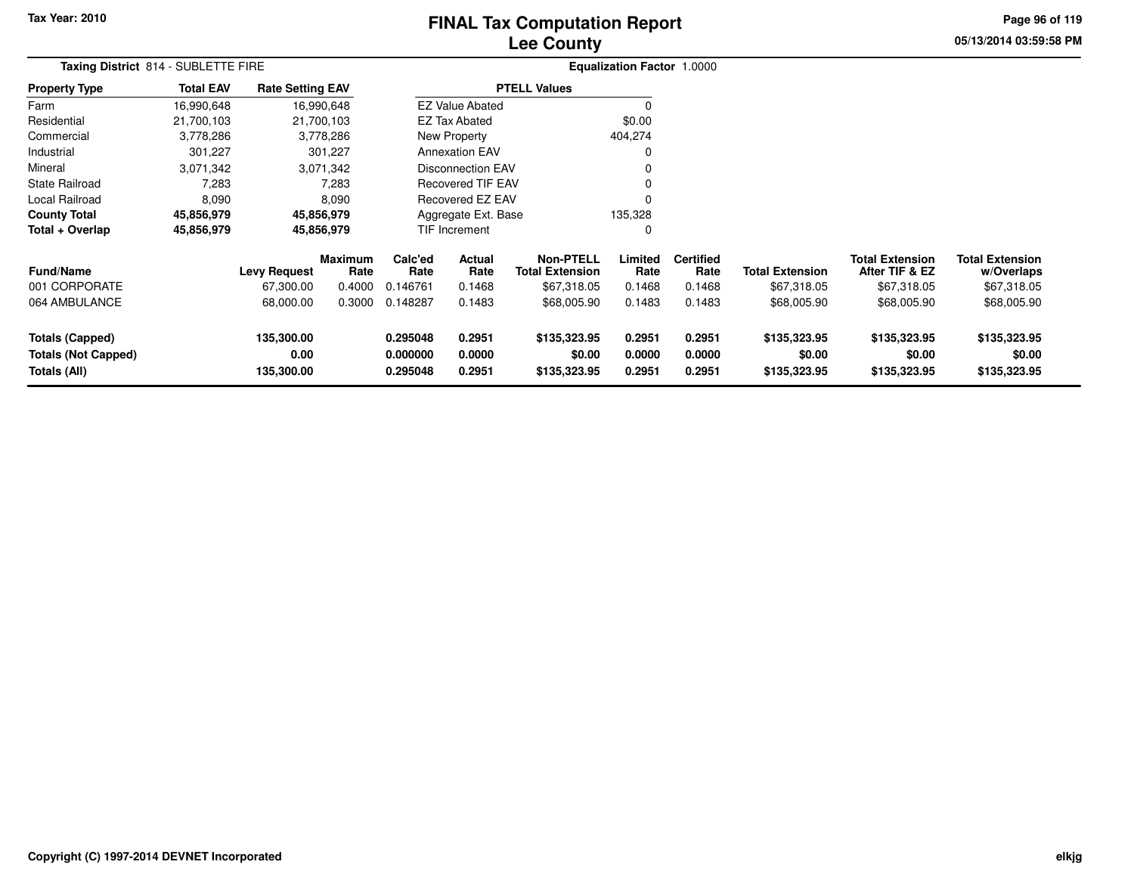# **Lee CountyFINAL Tax Computation Report**

**05/13/2014 03:59:58 PM Page 96 of 119**

| Taxing District 814 - SUBLETTE FIRE                                  |                  |                                  |                        |                                  |                                          |                                        | <b>Equalization Factor 1.0000</b> |                            |                                        |                                          |                                        |  |
|----------------------------------------------------------------------|------------------|----------------------------------|------------------------|----------------------------------|------------------------------------------|----------------------------------------|-----------------------------------|----------------------------|----------------------------------------|------------------------------------------|----------------------------------------|--|
| <b>Property Type</b>                                                 | <b>Total EAV</b> | <b>Rate Setting EAV</b>          |                        |                                  |                                          | <b>PTELL Values</b>                    |                                   |                            |                                        |                                          |                                        |  |
| Farm                                                                 | 16,990,648       |                                  | 16,990,648             |                                  | <b>EZ Value Abated</b>                   |                                        | $\mathbf 0$                       |                            |                                        |                                          |                                        |  |
| Residential                                                          | 21,700,103       |                                  | 21,700,103             |                                  | <b>EZ Tax Abated</b>                     |                                        | \$0.00                            |                            |                                        |                                          |                                        |  |
| Commercial                                                           | 3,778,286        |                                  | 3,778,286              | New Property                     |                                          |                                        | 404,274                           |                            |                                        |                                          |                                        |  |
| Industrial                                                           | 301,227          |                                  | 301,227                | <b>Annexation EAV</b>            |                                          |                                        | 0                                 |                            |                                        |                                          |                                        |  |
| Mineral                                                              | 3,071,342        |                                  | 3,071,342              |                                  | Disconnection EAV                        |                                        | 0                                 |                            |                                        |                                          |                                        |  |
| <b>State Railroad</b>                                                | 7,283            |                                  | 7,283                  |                                  | <b>Recovered TIF EAV</b>                 |                                        | 0                                 |                            |                                        |                                          |                                        |  |
| Local Railroad                                                       | 8,090            |                                  | 8,090                  |                                  | Recovered EZ EAV                         |                                        | $\mathbf 0$                       |                            |                                        |                                          |                                        |  |
| <b>County Total</b>                                                  | 45,856,979       |                                  | 45,856,979             |                                  | Aggregate Ext. Base                      |                                        | 135,328                           |                            |                                        |                                          |                                        |  |
| Total + Overlap                                                      | 45,856,979       |                                  | 45,856,979             |                                  | TIF Increment                            |                                        | $\mathbf 0$                       |                            |                                        |                                          |                                        |  |
| <b>Fund/Name</b>                                                     |                  | <b>Levy Request</b>              | <b>Maximum</b><br>Rate | Calc'ed<br>Rate                  | Actual<br><b>Total Extension</b><br>Rate |                                        | Limited<br>Rate                   | <b>Certified</b><br>Rate   | <b>Total Extension</b>                 | <b>Total Extension</b><br>After TIF & EZ | <b>Total Extension</b><br>w/Overlaps   |  |
| 001 CORPORATE                                                        |                  | 67,300.00                        | 0.4000                 | 0.146761                         | 0.1468                                   | \$67,318.05                            | 0.1468                            | 0.1468                     | \$67,318.05                            | \$67,318.05                              | \$67,318.05                            |  |
| 064 AMBULANCE                                                        |                  | 68,000.00                        | 0.3000                 | 0.148287                         | 0.1483                                   | \$68,005.90                            | 0.1483                            | 0.1483                     | \$68,005.90                            | \$68,005.90                              | \$68,005.90                            |  |
| <b>Totals (Capped)</b><br><b>Totals (Not Capped)</b><br>Totals (All) |                  | 135,300.00<br>0.00<br>135,300.00 |                        | 0.295048<br>0.000000<br>0.295048 | 0.2951<br>0.0000<br>0.2951               | \$135,323.95<br>\$0.00<br>\$135,323.95 | 0.2951<br>0.0000<br>0.2951        | 0.2951<br>0.0000<br>0.2951 | \$135,323.95<br>\$0.00<br>\$135,323.95 | \$135,323.95<br>\$0.00<br>\$135,323.95   | \$135,323.95<br>\$0.00<br>\$135,323.95 |  |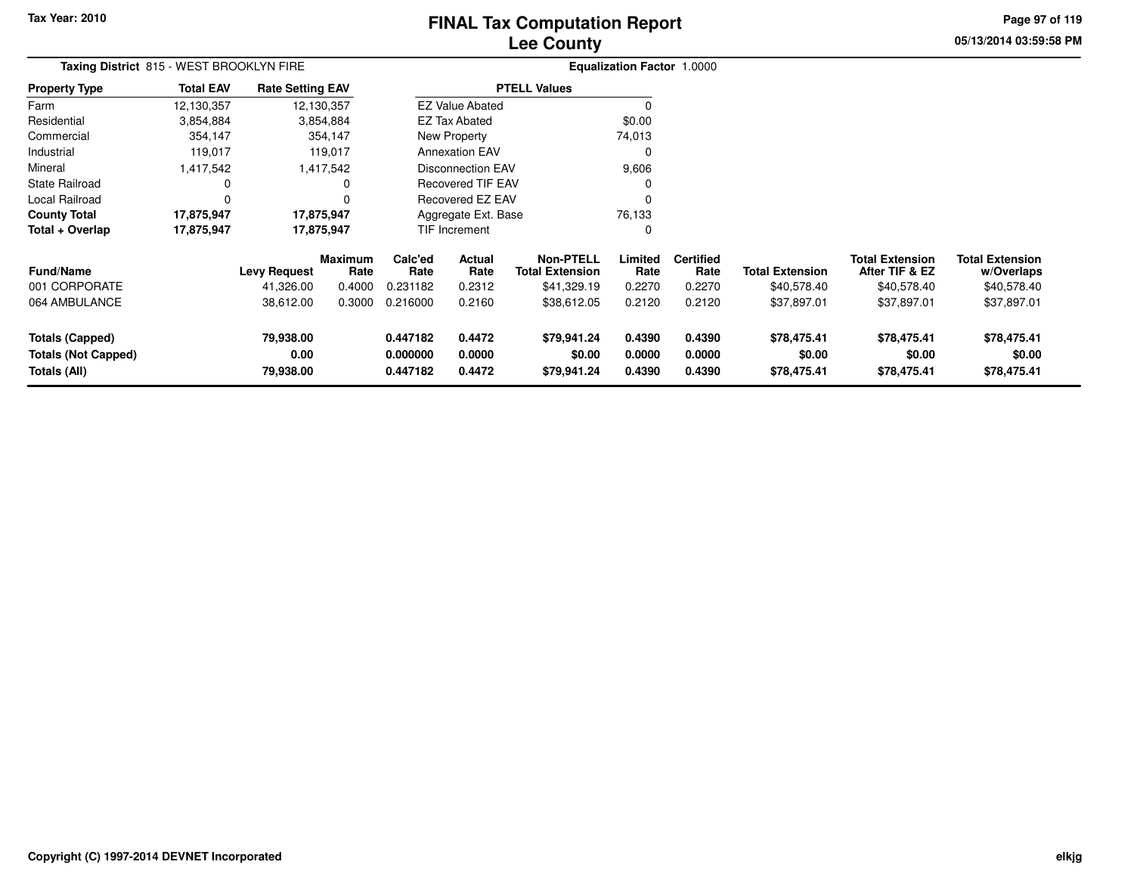# **Lee CountyFINAL Tax Computation Report**

**05/13/2014 03:59:58 PM Page 97 of 119**

| Taxing District 815 - WEST BROOKLYN FIRE                             |                  |                                |                        |                                  |                            |                                            | Equalization Factor 1.0000 |                            |                                      |                                          |                                      |  |
|----------------------------------------------------------------------|------------------|--------------------------------|------------------------|----------------------------------|----------------------------|--------------------------------------------|----------------------------|----------------------------|--------------------------------------|------------------------------------------|--------------------------------------|--|
| <b>Property Type</b>                                                 | <b>Total EAV</b> | <b>Rate Setting EAV</b>        |                        |                                  |                            | <b>PTELL Values</b>                        |                            |                            |                                      |                                          |                                      |  |
| Farm                                                                 | 12,130,357       | 12,130,357                     |                        |                                  | <b>EZ Value Abated</b>     |                                            |                            |                            |                                      |                                          |                                      |  |
| Residential                                                          | 3,854,884        |                                | 3,854,884              |                                  | <b>EZ Tax Abated</b>       |                                            | \$0.00                     |                            |                                      |                                          |                                      |  |
| Commercial                                                           | 354,147          |                                | 354,147                |                                  | <b>New Property</b>        |                                            | 74,013                     |                            |                                      |                                          |                                      |  |
| Industrial                                                           | 119,017          |                                | 119,017                |                                  | <b>Annexation EAV</b>      |                                            | 0                          |                            |                                      |                                          |                                      |  |
| Mineral                                                              | 1,417,542        |                                | 1,417,542              |                                  | <b>Disconnection EAV</b>   |                                            | 9,606                      |                            |                                      |                                          |                                      |  |
| <b>State Railroad</b>                                                | 0                |                                | $\Omega$               |                                  | <b>Recovered TIF EAV</b>   |                                            |                            |                            |                                      |                                          |                                      |  |
| Local Railroad                                                       | $\Omega$         |                                | $\Omega$               |                                  | <b>Recovered EZ EAV</b>    |                                            | $\Omega$                   |                            |                                      |                                          |                                      |  |
| <b>County Total</b>                                                  | 17,875,947       | 17,875,947                     |                        |                                  | Aggregate Ext. Base        |                                            | 76,133                     |                            |                                      |                                          |                                      |  |
| Total + Overlap                                                      | 17,875,947       | 17,875,947                     |                        |                                  | TIF Increment              |                                            | 0                          |                            |                                      |                                          |                                      |  |
| <b>Fund/Name</b>                                                     |                  | <b>Levy Request</b>            | <b>Maximum</b><br>Rate | Calc'ed<br>Rate                  | Actual<br>Rate             | <b>Non-PTELL</b><br><b>Total Extension</b> | Limited<br>Rate            | <b>Certified</b><br>Rate   | <b>Total Extension</b>               | <b>Total Extension</b><br>After TIF & EZ | <b>Total Extension</b><br>w/Overlaps |  |
| 001 CORPORATE                                                        |                  | 41,326.00                      | 0.4000                 | 0.231182                         | 0.2312                     | \$41,329.19                                | 0.2270                     | 0.2270                     | \$40,578.40                          | \$40,578.40                              | \$40,578.40                          |  |
| 064 AMBULANCE                                                        |                  | 38,612.00                      | 0.3000                 | 0.216000                         | 0.2160                     | \$38,612.05                                | 0.2120                     | 0.2120                     | \$37,897.01                          | \$37,897.01                              | \$37,897.01                          |  |
| <b>Totals (Capped)</b><br><b>Totals (Not Capped)</b><br>Totals (All) |                  | 79,938.00<br>0.00<br>79,938.00 |                        | 0.447182<br>0.000000<br>0.447182 | 0.4472<br>0.0000<br>0.4472 | \$79,941.24<br>\$0.00<br>\$79,941.24       | 0.4390<br>0.0000<br>0.4390 | 0.4390<br>0.0000<br>0.4390 | \$78,475.41<br>\$0.00<br>\$78,475.41 | \$78,475.41<br>\$0.00<br>\$78,475.41     | \$78,475.41<br>\$0.00<br>\$78,475.41 |  |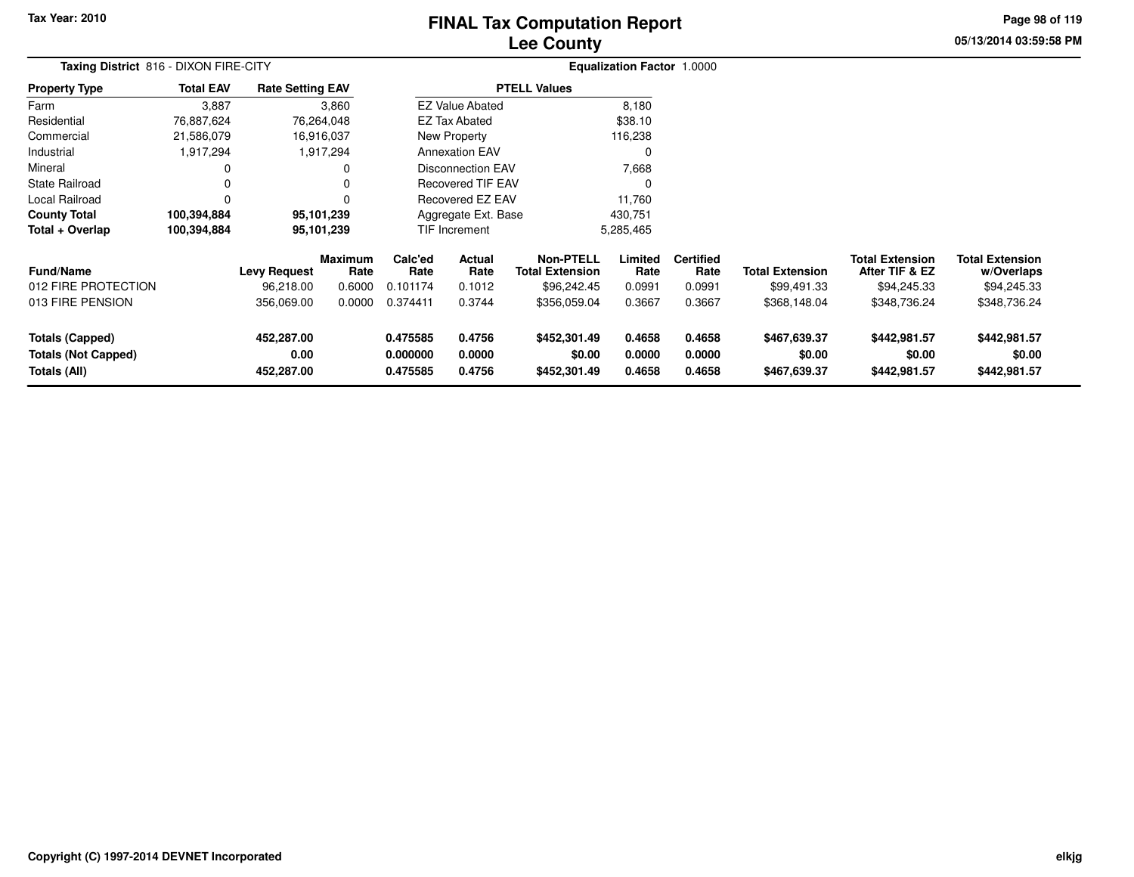# **Lee CountyFINAL Tax Computation Report**

**05/13/2014 03:59:58 PM Page 98 of 119**

|                                                               | Taxing District 816 - DIXON FIRE-CITY |                                  |                        |                                  |                            |                                            | <b>Equalization Factor 1.0000</b> |                            |                                        |                                          |                                        |  |
|---------------------------------------------------------------|---------------------------------------|----------------------------------|------------------------|----------------------------------|----------------------------|--------------------------------------------|-----------------------------------|----------------------------|----------------------------------------|------------------------------------------|----------------------------------------|--|
| <b>Property Type</b>                                          | <b>Total EAV</b>                      | <b>Rate Setting EAV</b>          |                        |                                  |                            | <b>PTELL Values</b>                        |                                   |                            |                                        |                                          |                                        |  |
| Farm                                                          | 3,887                                 |                                  | 3,860                  |                                  | <b>EZ Value Abated</b>     |                                            | 8,180                             |                            |                                        |                                          |                                        |  |
| Residential                                                   | 76,887,624                            |                                  | 76,264,048             |                                  | EZ Tax Abated              |                                            | \$38.10                           |                            |                                        |                                          |                                        |  |
| Commercial                                                    | 21,586,079                            |                                  | 16,916,037             |                                  | <b>New Property</b>        |                                            | 116,238                           |                            |                                        |                                          |                                        |  |
| Industrial                                                    | 1,917,294                             |                                  | 1,917,294              |                                  | <b>Annexation EAV</b>      |                                            |                                   |                            |                                        |                                          |                                        |  |
| Mineral                                                       |                                       |                                  |                        |                                  | <b>Disconnection EAV</b>   |                                            | 7,668                             |                            |                                        |                                          |                                        |  |
| <b>State Railroad</b>                                         |                                       |                                  |                        |                                  | <b>Recovered TIF EAV</b>   |                                            |                                   |                            |                                        |                                          |                                        |  |
| Local Railroad                                                | $\Omega$                              |                                  |                        |                                  | Recovered EZ EAV           |                                            | 11,760                            |                            |                                        |                                          |                                        |  |
| <b>County Total</b>                                           | 100,394,884                           |                                  | 95,101,239             |                                  | Aggregate Ext. Base        |                                            | 430,751                           |                            |                                        |                                          |                                        |  |
| Total + Overlap                                               | 100,394,884                           |                                  | 95,101,239             |                                  | TIF Increment              |                                            | 5,285,465                         |                            |                                        |                                          |                                        |  |
| <b>Fund/Name</b>                                              |                                       | <b>Levy Request</b>              | <b>Maximum</b><br>Rate | Calc'ed<br>Rate                  | Actual<br>Rate             | <b>Non-PTELL</b><br><b>Total Extension</b> | Limited<br>Rate                   | <b>Certified</b><br>Rate   | <b>Total Extension</b>                 | <b>Total Extension</b><br>After TIF & EZ | <b>Total Extension</b><br>w/Overlaps   |  |
| 012 FIRE PROTECTION                                           |                                       | 96,218.00                        | 0.6000                 | 0.101174                         | 0.1012                     | \$96,242.45                                | 0.0991                            | 0.0991                     | \$99,491.33                            | \$94,245.33                              | \$94,245.33                            |  |
| 013 FIRE PENSION                                              |                                       | 356,069.00                       | 0.0000                 | 0.374411                         | 0.3744                     | \$356,059.04                               | 0.3667                            | 0.3667                     | \$368,148.04                           | \$348,736.24                             | \$348,736.24                           |  |
| <b>Totals (Capped)</b><br>Totals (Not Capped)<br>Totals (All) |                                       | 452,287.00<br>0.00<br>452,287.00 |                        | 0.475585<br>0.000000<br>0.475585 | 0.4756<br>0.0000<br>0.4756 | \$452,301.49<br>\$0.00<br>\$452,301.49     | 0.4658<br>0.0000<br>0.4658        | 0.4658<br>0.0000<br>0.4658 | \$467,639.37<br>\$0.00<br>\$467,639.37 | \$442,981.57<br>\$0.00<br>\$442,981.57   | \$442,981.57<br>\$0.00<br>\$442,981.57 |  |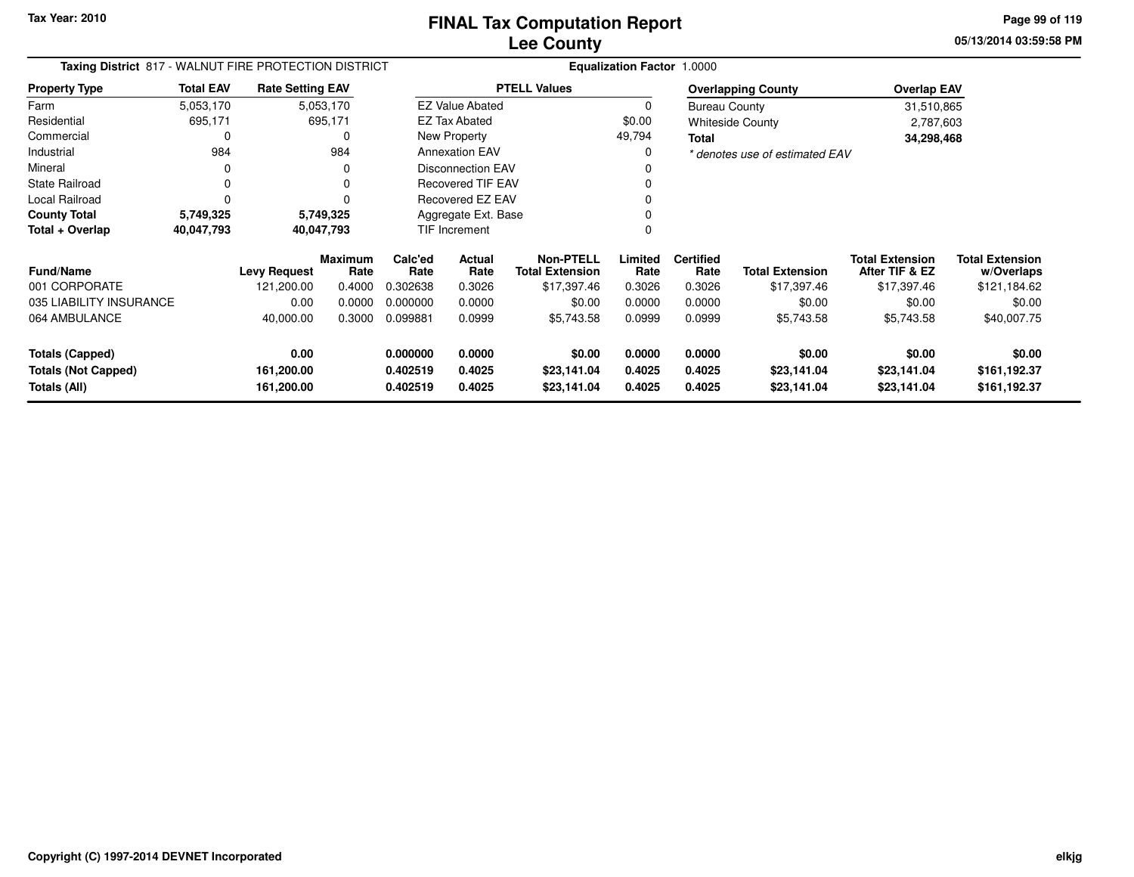**05/13/2014 03:59:58 PM Page 99 of 119**

| Taxing District 817 - WALNUT FIRE PROTECTION DISTRICT |                  |                          |                        |                      |                          |                                            | <b>Equalization Factor 1.0000</b> |                          |                                |                                          |                                      |
|-------------------------------------------------------|------------------|--------------------------|------------------------|----------------------|--------------------------|--------------------------------------------|-----------------------------------|--------------------------|--------------------------------|------------------------------------------|--------------------------------------|
| <b>Property Type</b>                                  | <b>Total EAV</b> | <b>Rate Setting EAV</b>  |                        |                      |                          | <b>PTELL Values</b>                        |                                   |                          | <b>Overlapping County</b>      | <b>Overlap EAV</b>                       |                                      |
| Farm                                                  | 5,053,170        |                          | 5,053,170              |                      | <b>EZ Value Abated</b>   |                                            | 0                                 | <b>Bureau County</b>     |                                | 31,510,865                               |                                      |
| Residential                                           | 695,171          |                          | 695,171                |                      | <b>EZ Tax Abated</b>     |                                            | \$0.00                            |                          | <b>Whiteside County</b>        | 2,787,603                                |                                      |
| Commercial                                            |                  |                          |                        |                      | New Property             |                                            | 49,794                            | Total                    |                                | 34,298,468                               |                                      |
| Industrial                                            | 984              |                          | 984                    |                      | <b>Annexation EAV</b>    |                                            | 0                                 |                          | * denotes use of estimated EAV |                                          |                                      |
| Mineral                                               |                  |                          |                        |                      | <b>Disconnection EAV</b> |                                            |                                   |                          |                                |                                          |                                      |
| <b>State Railroad</b>                                 |                  |                          |                        |                      | <b>Recovered TIF EAV</b> |                                            |                                   |                          |                                |                                          |                                      |
| Local Railroad                                        |                  |                          |                        |                      | Recovered EZ EAV         |                                            |                                   |                          |                                |                                          |                                      |
| <b>County Total</b>                                   | 5,749,325        |                          | 5,749,325              |                      | Aggregate Ext. Base      |                                            |                                   |                          |                                |                                          |                                      |
| Total + Overlap                                       | 40,047,793       |                          | 40,047,793             |                      | <b>TIF Increment</b>     |                                            |                                   |                          |                                |                                          |                                      |
| <b>Fund/Name</b>                                      |                  | <b>Levy Request</b>      | <b>Maximum</b><br>Rate | Calc'ed<br>Rate      | <b>Actual</b><br>Rate    | <b>Non-PTELL</b><br><b>Total Extension</b> | Limited<br>Rate                   | <b>Certified</b><br>Rate | <b>Total Extension</b>         | <b>Total Extension</b><br>After TIF & EZ | <b>Total Extension</b><br>w/Overlaps |
| 001 CORPORATE                                         |                  | 121,200.00               | 0.4000                 | 0.302638             | 0.3026                   | \$17,397.46                                | 0.3026                            | 0.3026                   | \$17,397.46                    | \$17,397.46                              | \$121,184.62                         |
| 035 LIABILITY INSURANCE                               |                  | 0.00                     | 0.0000                 | 0.000000             | 0.0000                   | \$0.00                                     | 0.0000                            | 0.0000                   | \$0.00                         | \$0.00                                   | \$0.00                               |
| 064 AMBULANCE                                         |                  | 40,000.00                | 0.3000                 | 0.099881             | 0.0999                   | \$5,743.58                                 | 0.0999                            | 0.0999                   | \$5,743.58                     | \$5,743.58                               | \$40,007.75                          |
| <b>Totals (Capped)</b>                                |                  | 0.00                     |                        | 0.000000             | 0.0000                   | \$0.00                                     | 0.0000                            | 0.0000                   | \$0.00                         | \$0.00                                   | \$0.00                               |
| <b>Totals (Not Capped)</b><br>Totals (All)            |                  | 161,200.00<br>161,200.00 |                        | 0.402519<br>0.402519 | 0.4025<br>0.4025         | \$23,141.04<br>\$23,141.04                 | 0.4025<br>0.4025                  | 0.4025<br>0.4025         | \$23,141.04<br>\$23,141.04     | \$23,141.04<br>\$23,141.04               | \$161,192.37<br>\$161,192.37         |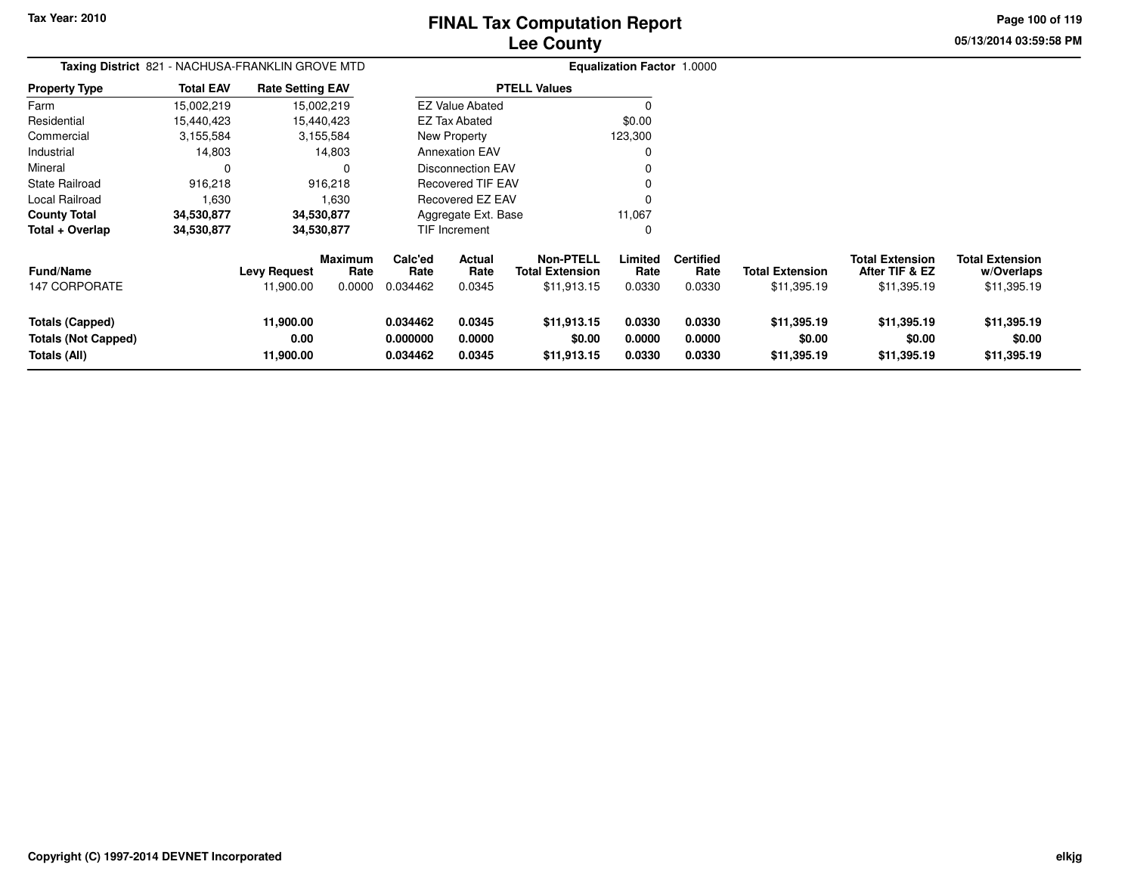**Page 100 of 119**

| Taxing District 821 - NACHUSA-FRANKLIN GROVE MTD              |                  |                                  |                                  |                                  |                            |                                                           | <b>Equalization Factor 1.0000</b> |                                    |                                       |                                                         |                                                     |
|---------------------------------------------------------------|------------------|----------------------------------|----------------------------------|----------------------------------|----------------------------|-----------------------------------------------------------|-----------------------------------|------------------------------------|---------------------------------------|---------------------------------------------------------|-----------------------------------------------------|
| <b>Property Type</b>                                          | <b>Total EAV</b> | <b>Rate Setting EAV</b>          |                                  |                                  |                            | <b>PTELL Values</b>                                       |                                   |                                    |                                       |                                                         |                                                     |
| Farm                                                          | 15,002,219       |                                  | 15,002,219                       |                                  | <b>EZ Value Abated</b>     |                                                           | 0                                 |                                    |                                       |                                                         |                                                     |
| Residential                                                   | 15,440,423       |                                  | 15,440,423                       |                                  | <b>EZ Tax Abated</b>       |                                                           | \$0.00                            |                                    |                                       |                                                         |                                                     |
| Commercial                                                    | 3,155,584        |                                  | 3,155,584                        |                                  | New Property               |                                                           | 123,300                           |                                    |                                       |                                                         |                                                     |
| Industrial                                                    | 14,803           |                                  | 14,803                           |                                  | <b>Annexation EAV</b>      |                                                           | 0                                 |                                    |                                       |                                                         |                                                     |
| Mineral                                                       |                  |                                  | 0                                |                                  | <b>Disconnection EAV</b>   |                                                           |                                   |                                    |                                       |                                                         |                                                     |
| <b>State Railroad</b>                                         | 916,218          |                                  | 916,218                          |                                  | Recovered TIF EAV          |                                                           |                                   |                                    |                                       |                                                         |                                                     |
| Local Railroad                                                | 1,630            |                                  | 1,630                            |                                  | Recovered EZ EAV           |                                                           |                                   |                                    |                                       |                                                         |                                                     |
| <b>County Total</b>                                           | 34,530,877       |                                  | 34,530,877                       |                                  | Aggregate Ext. Base        |                                                           | 11,067                            |                                    |                                       |                                                         |                                                     |
| Total + Overlap                                               | 34,530,877       |                                  | 34,530,877                       |                                  | TIF Increment              |                                                           | 0                                 |                                    |                                       |                                                         |                                                     |
| <b>Fund/Name</b><br><b>147 CORPORATE</b>                      |                  | <b>Levy Request</b><br>11,900.00 | <b>Maximum</b><br>Rate<br>0.0000 | Calc'ed<br>Rate<br>0.034462      | Actual<br>Rate<br>0.0345   | <b>Non-PTELL</b><br><b>Total Extension</b><br>\$11,913.15 | Limited<br>Rate<br>0.0330         | <b>Certified</b><br>Rate<br>0.0330 | <b>Total Extension</b><br>\$11,395.19 | <b>Total Extension</b><br>After TIF & EZ<br>\$11,395.19 | <b>Total Extension</b><br>w/Overlaps<br>\$11,395.19 |
| Totals (Capped)<br><b>Totals (Not Capped)</b><br>Totals (All) |                  | 11,900.00<br>0.00<br>11,900.00   |                                  | 0.034462<br>0.000000<br>0.034462 | 0.0345<br>0.0000<br>0.0345 | \$11,913.15<br>\$0.00<br>\$11,913.15                      | 0.0330<br>0.0000<br>0.0330        | 0.0330<br>0.0000<br>0.0330         | \$11,395.19<br>\$0.00<br>\$11,395.19  | \$11,395.19<br>\$0.00<br>\$11,395.19                    | \$11,395.19<br>\$0.00<br>\$11,395.19                |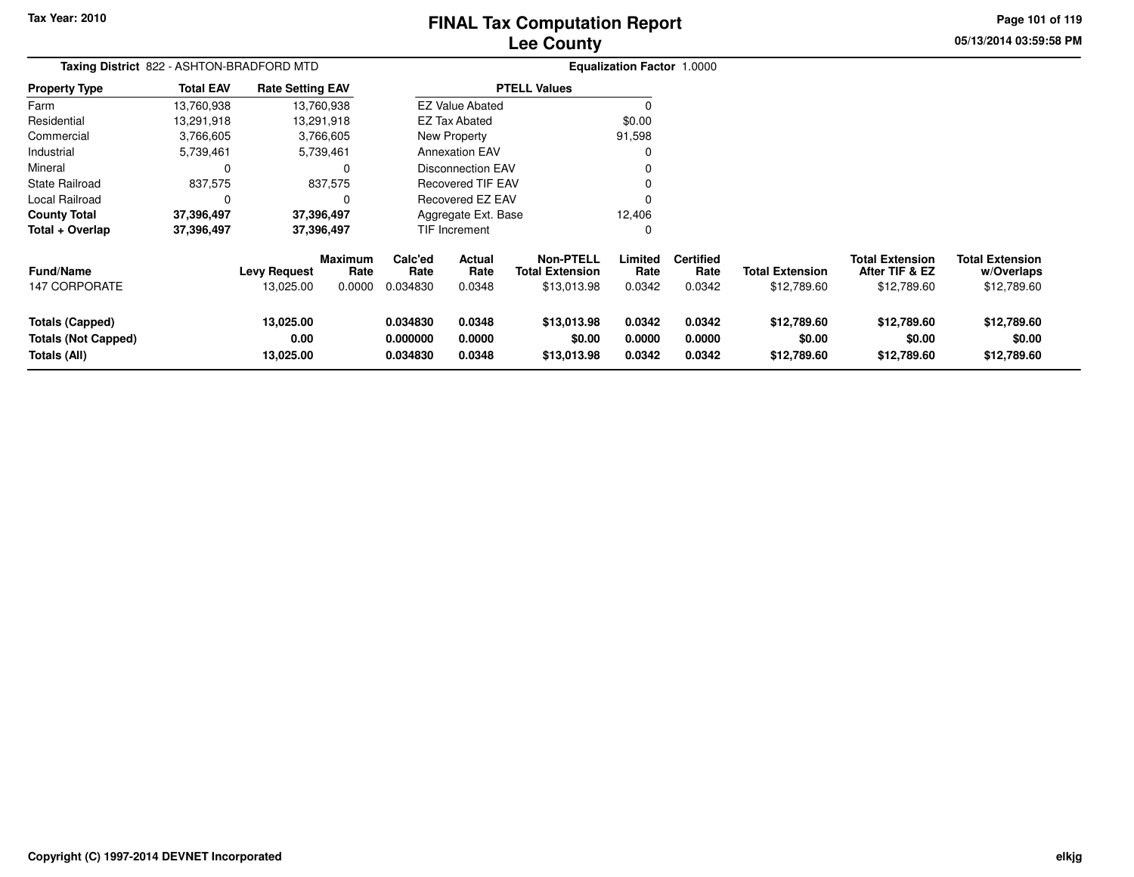# **Lee CountyFINAL Tax Computation Report**

**05/13/2014 03:59:58 PM Page 101 of 119**

| Taxing District 822 - ASHTON-BRADFORD MTD                            |                  |                                  |                                  |                                  |                                 |                                                           | <b>Equalization Factor 1.0000</b> |                                    |                                       |                                                         |                                                     |
|----------------------------------------------------------------------|------------------|----------------------------------|----------------------------------|----------------------------------|---------------------------------|-----------------------------------------------------------|-----------------------------------|------------------------------------|---------------------------------------|---------------------------------------------------------|-----------------------------------------------------|
| <b>Property Type</b>                                                 | <b>Total EAV</b> | <b>Rate Setting EAV</b>          |                                  |                                  |                                 | <b>PTELL Values</b>                                       |                                   |                                    |                                       |                                                         |                                                     |
| Farm                                                                 | 13,760,938       |                                  | 13,760,938                       |                                  | <b>EZ Value Abated</b>          |                                                           |                                   |                                    |                                       |                                                         |                                                     |
| Residential                                                          | 13,291,918       |                                  | 13,291,918                       |                                  | EZ Tax Abated                   |                                                           | \$0.00                            |                                    |                                       |                                                         |                                                     |
| Commercial                                                           | 3,766,605        |                                  | 3,766,605                        |                                  | New Property                    |                                                           | 91,598                            |                                    |                                       |                                                         |                                                     |
| Industrial                                                           | 5,739,461        |                                  | 5,739,461                        |                                  | <b>Annexation EAV</b>           |                                                           |                                   |                                    |                                       |                                                         |                                                     |
| Mineral                                                              | $\Omega$         |                                  | $\Omega$                         |                                  | <b>Disconnection EAV</b>        |                                                           |                                   |                                    |                                       |                                                         |                                                     |
| <b>State Railroad</b>                                                | 837,575          |                                  | 837,575                          |                                  | <b>Recovered TIF EAV</b>        |                                                           |                                   |                                    |                                       |                                                         |                                                     |
| Local Railroad                                                       | O                |                                  | $\Omega$                         |                                  | Recovered EZ EAV                |                                                           |                                   |                                    |                                       |                                                         |                                                     |
| <b>County Total</b>                                                  | 37,396,497       |                                  | 37,396,497                       |                                  | Aggregate Ext. Base             |                                                           | 12,406                            |                                    |                                       |                                                         |                                                     |
| Total + Overlap                                                      | 37,396,497       |                                  | 37,396,497                       |                                  | TIF Increment                   |                                                           | 0                                 |                                    |                                       |                                                         |                                                     |
| <b>Fund/Name</b><br>147 CORPORATE                                    |                  | <b>Levy Request</b><br>13,025.00 | <b>Maximum</b><br>Rate<br>0.0000 | Calc'ed<br>Rate<br>0.034830      | <b>Actual</b><br>Rate<br>0.0348 | <b>Non-PTELL</b><br><b>Total Extension</b><br>\$13,013.98 | Limited<br>Rate<br>0.0342         | <b>Certified</b><br>Rate<br>0.0342 | <b>Total Extension</b><br>\$12,789.60 | <b>Total Extension</b><br>After TIF & EZ<br>\$12,789.60 | <b>Total Extension</b><br>w/Overlaps<br>\$12,789.60 |
|                                                                      |                  |                                  |                                  |                                  |                                 |                                                           |                                   |                                    |                                       |                                                         |                                                     |
| <b>Totals (Capped)</b><br><b>Totals (Not Capped)</b><br>Totals (All) |                  | 13,025.00<br>0.00<br>13,025.00   |                                  | 0.034830<br>0.000000<br>0.034830 | 0.0348<br>0.0000<br>0.0348      | \$13,013.98<br>\$0.00<br>\$13,013.98                      | 0.0342<br>0.0000<br>0.0342        | 0.0342<br>0.0000<br>0.0342         | \$12,789.60<br>\$0.00<br>\$12,789.60  | \$12,789.60<br>\$0.00<br>\$12,789.60                    | \$12,789.60<br>\$0.00<br>\$12,789.60                |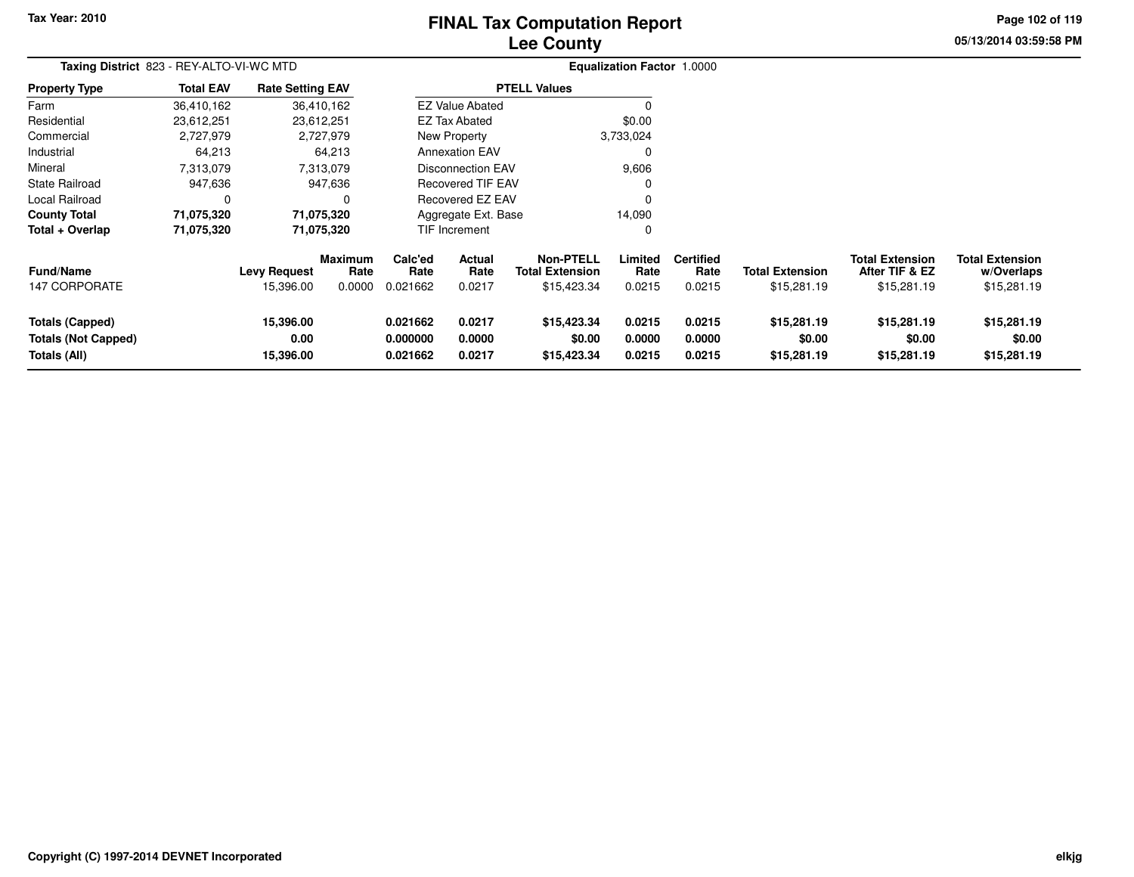# **Lee CountyFINAL Tax Computation Report**

**05/13/2014 03:59:58 PM Page 102 of 119**

|                                                                      | Taxing District 823 - REY-ALTO-VI-WC MTD |                                |                        |                                  |                            |                                            | <b>Equalization Factor 1.0000</b> |                            |                                      |                                          |                                      |  |
|----------------------------------------------------------------------|------------------------------------------|--------------------------------|------------------------|----------------------------------|----------------------------|--------------------------------------------|-----------------------------------|----------------------------|--------------------------------------|------------------------------------------|--------------------------------------|--|
| <b>Property Type</b>                                                 | <b>Total EAV</b>                         | <b>Rate Setting EAV</b>        |                        |                                  |                            | <b>PTELL Values</b>                        |                                   |                            |                                      |                                          |                                      |  |
| Farm                                                                 | 36,410,162                               |                                | 36,410,162             |                                  | <b>EZ Value Abated</b>     |                                            | $\Omega$                          |                            |                                      |                                          |                                      |  |
| Residential                                                          | 23,612,251                               | 23,612,251                     |                        |                                  | EZ Tax Abated              |                                            | \$0.00                            |                            |                                      |                                          |                                      |  |
| Commercial                                                           | 2,727,979                                |                                | 2,727,979              |                                  | New Property               |                                            | 3,733,024                         |                            |                                      |                                          |                                      |  |
| Industrial                                                           | 64,213                                   |                                | 64,213                 |                                  | <b>Annexation EAV</b>      |                                            | 0                                 |                            |                                      |                                          |                                      |  |
| Mineral                                                              | 7,313,079                                |                                | 7,313,079              |                                  | Disconnection EAV          |                                            | 9,606                             |                            |                                      |                                          |                                      |  |
| State Railroad                                                       | 947,636                                  |                                | 947,636                |                                  | <b>Recovered TIF EAV</b>   |                                            | 0                                 |                            |                                      |                                          |                                      |  |
| Local Railroad                                                       | 0                                        |                                | $\Omega$               |                                  | Recovered EZ EAV           |                                            | 0                                 |                            |                                      |                                          |                                      |  |
| <b>County Total</b>                                                  | 71,075,320                               |                                | 71,075,320             |                                  | Aggregate Ext. Base        |                                            | 14,090                            |                            |                                      |                                          |                                      |  |
| Total + Overlap                                                      | 71,075,320                               |                                | 71,075,320             |                                  | TIF Increment              |                                            | 0                                 |                            |                                      |                                          |                                      |  |
| <b>Fund/Name</b>                                                     |                                          | <b>Levy Request</b>            | <b>Maximum</b><br>Rate | Calc'ed<br>Rate                  | Actual<br>Rate             | <b>Non-PTELL</b><br><b>Total Extension</b> | Limited<br>Rate                   | <b>Certified</b><br>Rate   | <b>Total Extension</b>               | <b>Total Extension</b><br>After TIF & EZ | <b>Total Extension</b><br>w/Overlaps |  |
| 147 CORPORATE                                                        |                                          | 15,396.00                      | 0.0000                 | 0.021662                         | 0.0217                     | \$15,423.34                                | 0.0215                            | 0.0215                     | \$15,281.19                          | \$15,281.19                              | \$15,281.19                          |  |
| <b>Totals (Capped)</b><br><b>Totals (Not Capped)</b><br>Totals (All) |                                          | 15,396.00<br>0.00<br>15,396.00 |                        | 0.021662<br>0.000000<br>0.021662 | 0.0217<br>0.0000<br>0.0217 | \$15,423.34<br>\$0.00<br>\$15,423.34       | 0.0215<br>0.0000<br>0.0215        | 0.0215<br>0.0000<br>0.0215 | \$15,281.19<br>\$0.00<br>\$15,281.19 | \$15,281.19<br>\$0.00<br>\$15,281.19     | \$15,281.19<br>\$0.00<br>\$15,281.19 |  |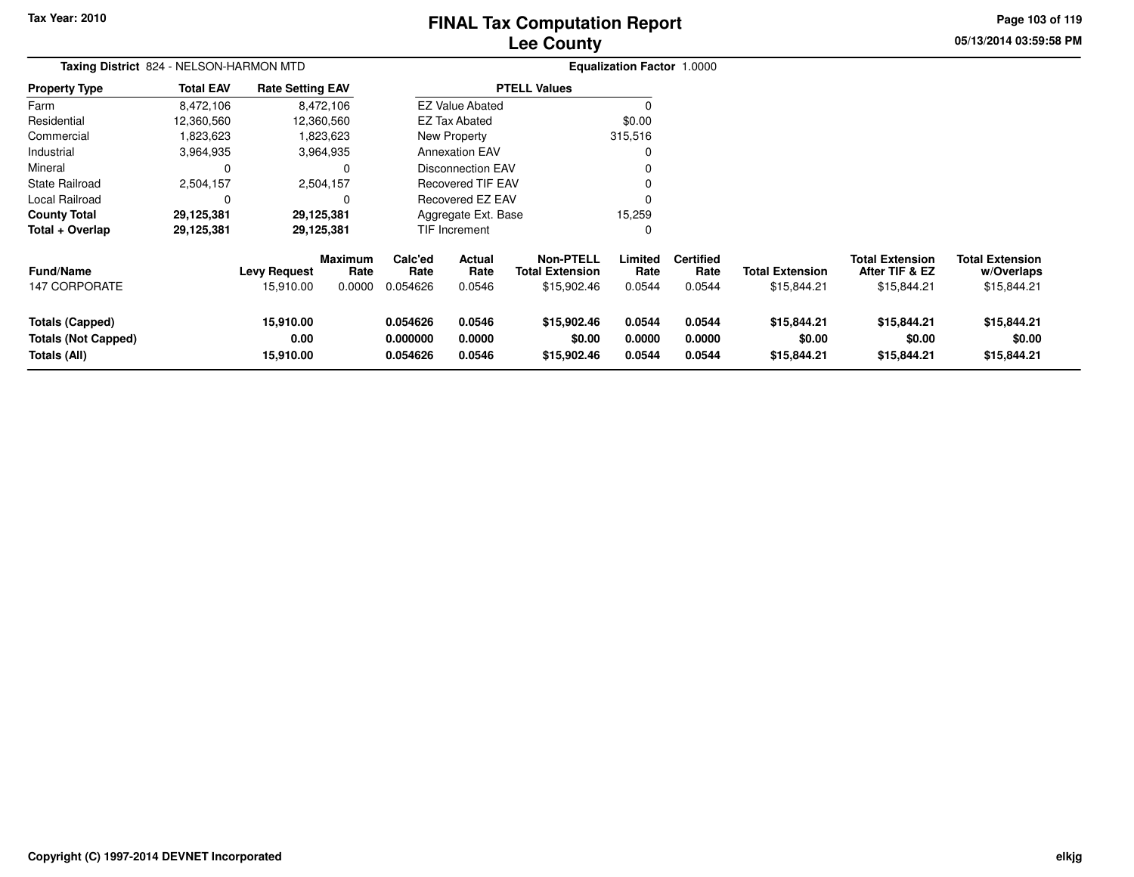# **Lee CountyFINAL Tax Computation Report**

**05/13/2014 03:59:58 PM Page 103 of 119**

|                                                                      | Taxing District 824 - NELSON-HARMON MTD |                                  |                                  |                                  |                            |                                                           | Equalization Factor 1.0000 |                                    |                                       |                                                         |                                                     |
|----------------------------------------------------------------------|-----------------------------------------|----------------------------------|----------------------------------|----------------------------------|----------------------------|-----------------------------------------------------------|----------------------------|------------------------------------|---------------------------------------|---------------------------------------------------------|-----------------------------------------------------|
| <b>Property Type</b>                                                 | <b>Total EAV</b>                        | <b>Rate Setting EAV</b>          |                                  |                                  |                            | <b>PTELL Values</b>                                       |                            |                                    |                                       |                                                         |                                                     |
| Farm                                                                 | 8,472,106                               |                                  | 8,472,106                        |                                  | <b>EZ Value Abated</b>     |                                                           |                            |                                    |                                       |                                                         |                                                     |
| Residential                                                          | 12,360,560                              |                                  | 12,360,560                       |                                  | EZ Tax Abated              |                                                           | \$0.00                     |                                    |                                       |                                                         |                                                     |
| Commercial                                                           | 1,823,623                               |                                  | 1,823,623                        |                                  | New Property               |                                                           | 315,516                    |                                    |                                       |                                                         |                                                     |
| Industrial                                                           | 3,964,935                               |                                  | 3,964,935                        |                                  | <b>Annexation EAV</b>      |                                                           |                            |                                    |                                       |                                                         |                                                     |
| Mineral                                                              | 0                                       |                                  | $\Omega$                         |                                  | <b>Disconnection EAV</b>   |                                                           |                            |                                    |                                       |                                                         |                                                     |
| <b>State Railroad</b>                                                | 2,504,157                               |                                  | 2,504,157                        |                                  | <b>Recovered TIF EAV</b>   |                                                           |                            |                                    |                                       |                                                         |                                                     |
| Local Railroad                                                       | 0                                       |                                  | O                                |                                  | Recovered EZ EAV           |                                                           |                            |                                    |                                       |                                                         |                                                     |
| <b>County Total</b>                                                  | 29,125,381                              |                                  | 29,125,381                       |                                  | Aggregate Ext. Base        |                                                           | 15,259                     |                                    |                                       |                                                         |                                                     |
| Total + Overlap                                                      | 29,125,381                              |                                  | 29,125,381                       |                                  | TIF Increment              |                                                           | 0                          |                                    |                                       |                                                         |                                                     |
| <b>Fund/Name</b><br><b>147 CORPORATE</b>                             |                                         | <b>Levy Request</b><br>15,910.00 | <b>Maximum</b><br>Rate<br>0.0000 | Calc'ed<br>Rate<br>0.054626      | Actual<br>Rate<br>0.0546   | <b>Non-PTELL</b><br><b>Total Extension</b><br>\$15,902.46 | Limited<br>Rate<br>0.0544  | <b>Certified</b><br>Rate<br>0.0544 | <b>Total Extension</b><br>\$15,844.21 | <b>Total Extension</b><br>After TIF & EZ<br>\$15,844.21 | <b>Total Extension</b><br>w/Overlaps<br>\$15,844.21 |
| <b>Totals (Capped)</b><br><b>Totals (Not Capped)</b><br>Totals (All) |                                         | 15,910.00<br>0.00<br>15,910.00   |                                  | 0.054626<br>0.000000<br>0.054626 | 0.0546<br>0.0000<br>0.0546 | \$15,902.46<br>\$0.00<br>\$15,902.46                      | 0.0544<br>0.0000<br>0.0544 | 0.0544<br>0.0000<br>0.0544         | \$15,844.21<br>\$0.00<br>\$15,844.21  | \$15,844.21<br>\$0.00<br>\$15,844.21                    | \$15,844.21<br>\$0.00<br>\$15,844.21                |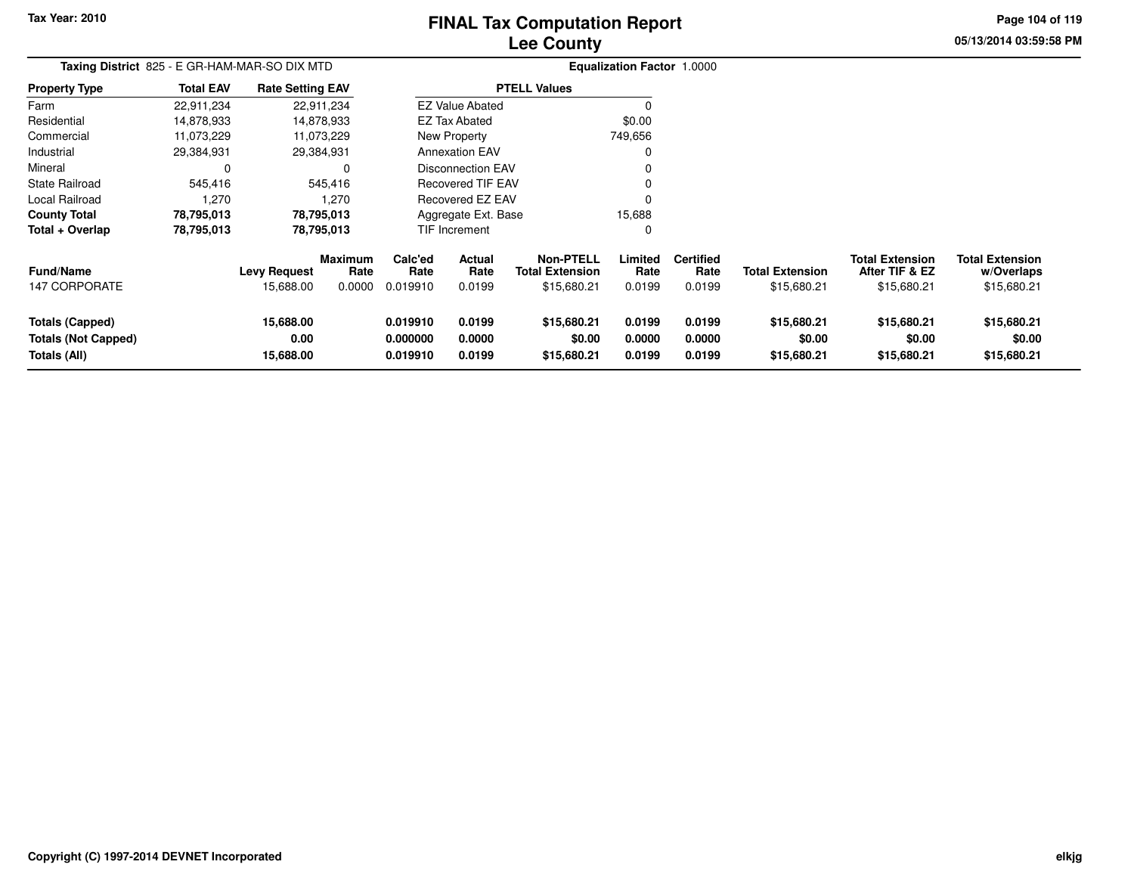# **Lee CountyFINAL Tax Computation Report**

**05/13/2014 03:59:58 PM Page 104 of 119**

| Taxing District 825 - E GR-HAM-MAR-SO DIX MTD                        |                  |                                  |                                  |                                  |                                 |                                                    | <b>Equalization Factor 1.0000</b> |                                    |                                       |                                                         |                                                     |
|----------------------------------------------------------------------|------------------|----------------------------------|----------------------------------|----------------------------------|---------------------------------|----------------------------------------------------|-----------------------------------|------------------------------------|---------------------------------------|---------------------------------------------------------|-----------------------------------------------------|
| <b>Property Type</b>                                                 | <b>Total EAV</b> | <b>Rate Setting EAV</b>          |                                  |                                  |                                 | <b>PTELL Values</b>                                |                                   |                                    |                                       |                                                         |                                                     |
| Farm                                                                 | 22,911,234       |                                  | 22,911,234                       |                                  | <b>EZ Value Abated</b>          |                                                    |                                   |                                    |                                       |                                                         |                                                     |
| Residential                                                          | 14,878,933       |                                  | 14,878,933                       |                                  | <b>EZ Tax Abated</b>            |                                                    | \$0.00                            |                                    |                                       |                                                         |                                                     |
| Commercial                                                           | 11,073,229       |                                  | 11,073,229                       |                                  | New Property                    |                                                    | 749,656                           |                                    |                                       |                                                         |                                                     |
| Industrial                                                           | 29,384,931       |                                  | 29,384,931                       |                                  | <b>Annexation EAV</b>           |                                                    |                                   |                                    |                                       |                                                         |                                                     |
| Mineral                                                              | 0                |                                  |                                  |                                  | Disconnection EAV               |                                                    |                                   |                                    |                                       |                                                         |                                                     |
| <b>State Railroad</b>                                                | 545,416          |                                  | 545,416                          |                                  | <b>Recovered TIF EAV</b>        |                                                    |                                   |                                    |                                       |                                                         |                                                     |
| <b>Local Railroad</b>                                                | 1,270            |                                  | 1,270                            |                                  | Recovered EZ EAV                |                                                    |                                   |                                    |                                       |                                                         |                                                     |
| <b>County Total</b>                                                  | 78,795,013       |                                  | 78,795,013                       |                                  | Aggregate Ext. Base             |                                                    | 15,688                            |                                    |                                       |                                                         |                                                     |
| Total + Overlap                                                      | 78,795,013       |                                  | 78,795,013                       |                                  | TIF Increment                   |                                                    | 0                                 |                                    |                                       |                                                         |                                                     |
| <b>Fund/Name</b><br>147 CORPORATE                                    |                  | <b>Levy Request</b><br>15,688.00 | <b>Maximum</b><br>Rate<br>0.0000 | Calc'ed<br>Rate<br>0.019910      | <b>Actual</b><br>Rate<br>0.0199 | Non-PTELL<br><b>Total Extension</b><br>\$15,680.21 | Limited<br>Rate<br>0.0199         | <b>Certified</b><br>Rate<br>0.0199 | <b>Total Extension</b><br>\$15,680.21 | <b>Total Extension</b><br>After TIF & EZ<br>\$15,680.21 | <b>Total Extension</b><br>w/Overlaps<br>\$15,680.21 |
| <b>Totals (Capped)</b><br><b>Totals (Not Capped)</b><br>Totals (All) |                  | 15,688.00<br>0.00<br>15,688.00   |                                  | 0.019910<br>0.000000<br>0.019910 | 0.0199<br>0.0000<br>0.0199      | \$15,680.21<br>\$0.00<br>\$15,680.21               | 0.0199<br>0.0000<br>0.0199        | 0.0199<br>0.0000<br>0.0199         | \$15,680.21<br>\$0.00<br>\$15,680.21  | \$15,680.21<br>\$0.00<br>\$15,680.21                    | \$15,680.21<br>\$0.00<br>\$15,680.21                |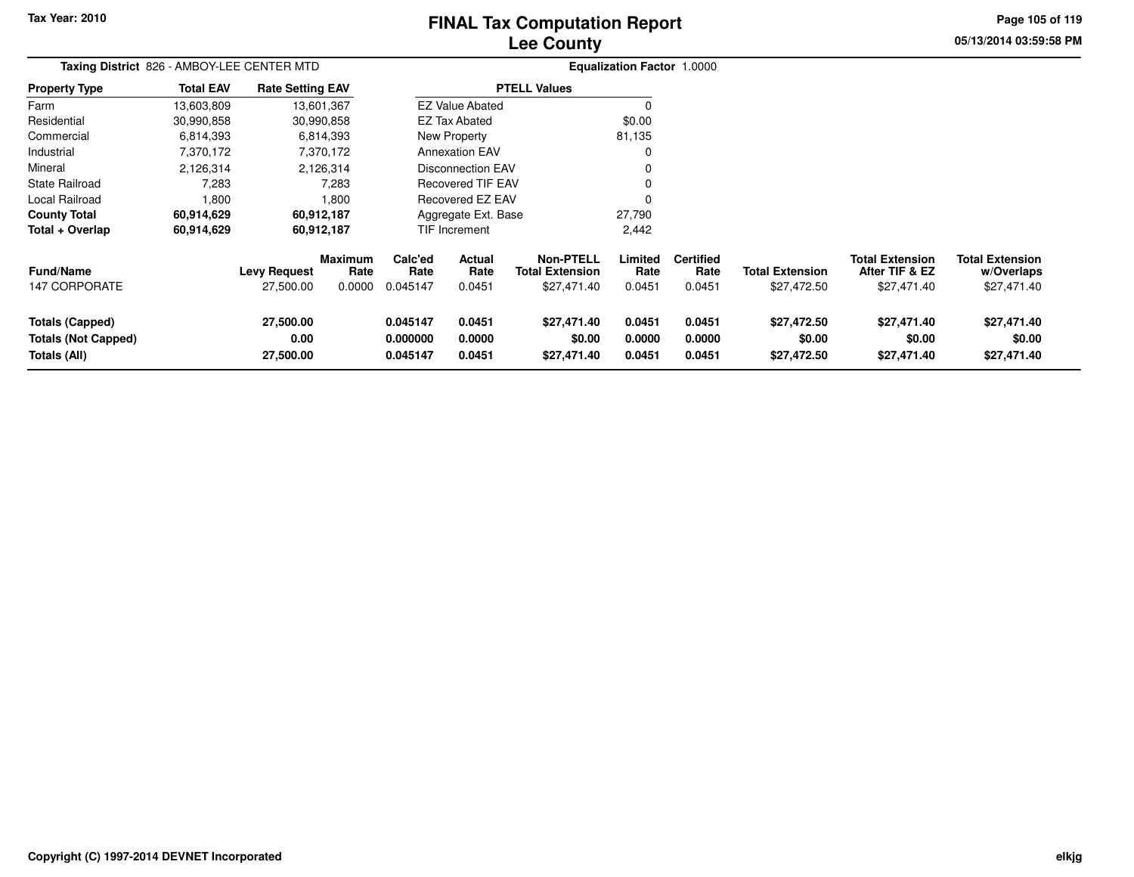# **Lee CountyFINAL Tax Computation Report**

**05/13/2014 03:59:58 PM Page 105 of 119**

|                                                                      | Taxing District 826 - AMBOY-LEE CENTER MTD |                                  |                                  |                                  |                                 |                                                           | Equalization Factor 1.0000 |                                    |                                       |                                                         |                                                     |
|----------------------------------------------------------------------|--------------------------------------------|----------------------------------|----------------------------------|----------------------------------|---------------------------------|-----------------------------------------------------------|----------------------------|------------------------------------|---------------------------------------|---------------------------------------------------------|-----------------------------------------------------|
| <b>Property Type</b>                                                 | <b>Total EAV</b>                           | <b>Rate Setting EAV</b>          |                                  |                                  |                                 | <b>PTELL Values</b>                                       |                            |                                    |                                       |                                                         |                                                     |
| Farm                                                                 | 13,603,809                                 |                                  | 13,601,367                       |                                  | <b>EZ Value Abated</b>          |                                                           |                            |                                    |                                       |                                                         |                                                     |
| Residential                                                          | 30,990,858                                 |                                  | 30,990,858                       |                                  | <b>EZ Tax Abated</b>            |                                                           | \$0.00                     |                                    |                                       |                                                         |                                                     |
| Commercial                                                           | 6,814,393                                  |                                  | 6,814,393                        |                                  | New Property                    |                                                           | 81,135                     |                                    |                                       |                                                         |                                                     |
| Industrial                                                           | 7,370,172                                  |                                  | 7,370,172                        |                                  | <b>Annexation EAV</b>           |                                                           |                            |                                    |                                       |                                                         |                                                     |
| Mineral                                                              | 2,126,314                                  |                                  | 2,126,314                        |                                  | Disconnection EAV               |                                                           |                            |                                    |                                       |                                                         |                                                     |
| State Railroad                                                       | 7,283                                      |                                  | 7,283                            |                                  | <b>Recovered TIF EAV</b>        |                                                           |                            |                                    |                                       |                                                         |                                                     |
| Local Railroad                                                       | 1,800                                      |                                  | 1,800                            |                                  | <b>Recovered EZ EAV</b>         |                                                           |                            |                                    |                                       |                                                         |                                                     |
| <b>County Total</b>                                                  | 60,914,629                                 |                                  | 60,912,187                       |                                  | Aggregate Ext. Base             |                                                           | 27,790                     |                                    |                                       |                                                         |                                                     |
| Total + Overlap                                                      | 60,914,629                                 |                                  | 60,912,187                       |                                  | TIF Increment                   |                                                           | 2,442                      |                                    |                                       |                                                         |                                                     |
| <b>Fund/Name</b><br><b>147 CORPORATE</b>                             |                                            | <b>Levy Request</b><br>27,500.00 | <b>Maximum</b><br>Rate<br>0.0000 | Calc'ed<br>Rate<br>0.045147      | <b>Actual</b><br>Rate<br>0.0451 | <b>Non-PTELL</b><br><b>Total Extension</b><br>\$27,471.40 | Limited<br>Rate<br>0.0451  | <b>Certified</b><br>Rate<br>0.0451 | <b>Total Extension</b><br>\$27,472.50 | <b>Total Extension</b><br>After TIF & EZ<br>\$27,471.40 | <b>Total Extension</b><br>w/Overlaps<br>\$27,471.40 |
| <b>Totals (Capped)</b><br><b>Totals (Not Capped)</b><br>Totals (All) |                                            | 27,500.00<br>0.00<br>27,500.00   |                                  | 0.045147<br>0.000000<br>0.045147 | 0.0451<br>0.0000<br>0.0451      | \$27,471.40<br>\$0.00<br>\$27,471.40                      | 0.0451<br>0.0000<br>0.0451 | 0.0451<br>0.0000<br>0.0451         | \$27,472.50<br>\$0.00<br>\$27,472.50  | \$27,471.40<br>\$0.00<br>\$27,471.40                    | \$27,471.40<br>\$0.00<br>\$27,471.40                |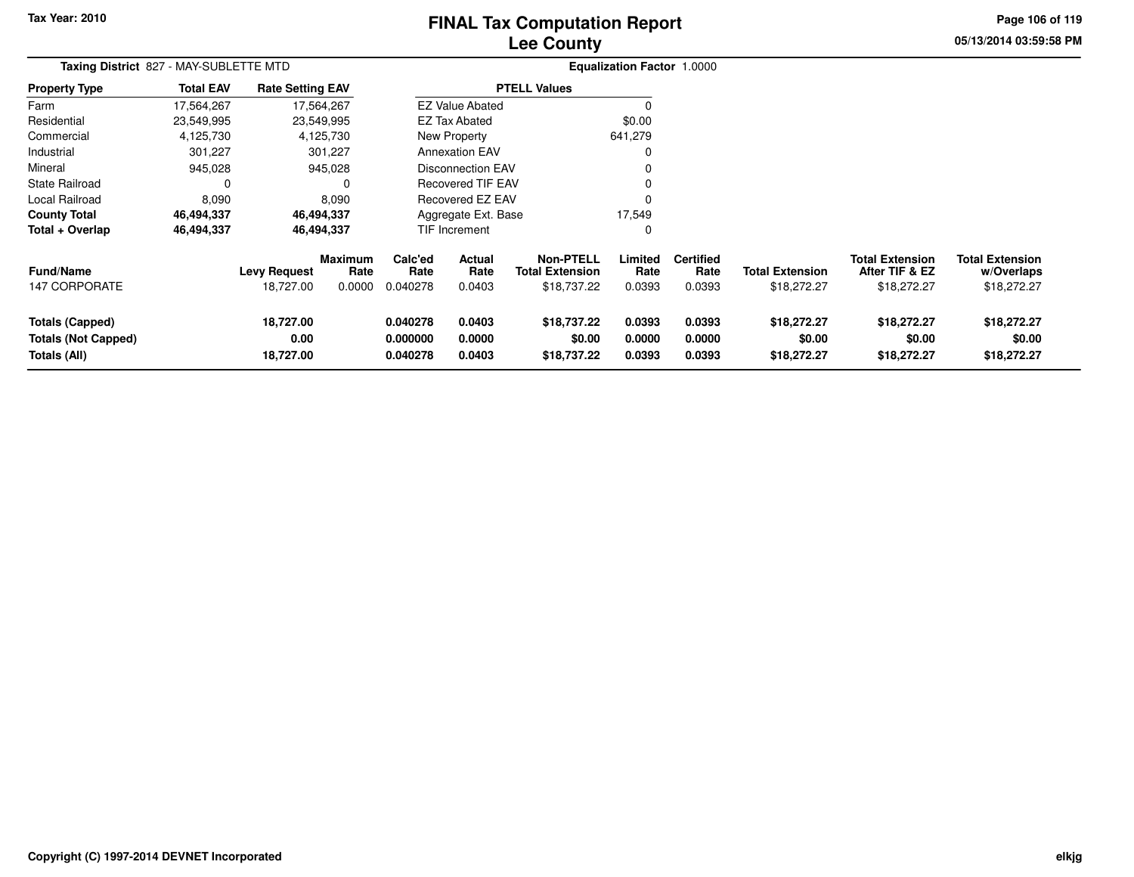# **Lee CountyFINAL Tax Computation Report**

**05/13/2014 03:59:58 PM Page 106 of 119**

| Taxing District 827 - MAY-SUBLETTE MTD                               |                  |                                  |                                  |                                  |                                 |                                                           | Equalization Factor 1.0000 |                                    |                                       |                                                         |                                                     |
|----------------------------------------------------------------------|------------------|----------------------------------|----------------------------------|----------------------------------|---------------------------------|-----------------------------------------------------------|----------------------------|------------------------------------|---------------------------------------|---------------------------------------------------------|-----------------------------------------------------|
| <b>Property Type</b>                                                 | <b>Total EAV</b> | <b>Rate Setting EAV</b>          |                                  |                                  |                                 | <b>PTELL Values</b>                                       |                            |                                    |                                       |                                                         |                                                     |
| Farm                                                                 | 17,564,267       |                                  | 17,564,267                       |                                  | <b>EZ Value Abated</b>          |                                                           | 0                          |                                    |                                       |                                                         |                                                     |
| Residential                                                          | 23,549,995       |                                  | 23,549,995                       |                                  | <b>EZ Tax Abated</b>            |                                                           | \$0.00                     |                                    |                                       |                                                         |                                                     |
| Commercial                                                           | 4,125,730        |                                  | 4,125,730                        |                                  | New Property                    |                                                           | 641,279                    |                                    |                                       |                                                         |                                                     |
| Industrial                                                           | 301,227          |                                  | 301,227                          |                                  | <b>Annexation EAV</b>           |                                                           | 0                          |                                    |                                       |                                                         |                                                     |
| Mineral                                                              | 945,028          |                                  | 945,028                          |                                  | <b>Disconnection EAV</b>        |                                                           | 0                          |                                    |                                       |                                                         |                                                     |
| State Railroad                                                       |                  |                                  | 0                                |                                  | <b>Recovered TIF EAV</b>        |                                                           | 0                          |                                    |                                       |                                                         |                                                     |
| Local Railroad                                                       | 8,090            |                                  | 8.090                            |                                  | <b>Recovered EZ EAV</b>         |                                                           | $\Omega$                   |                                    |                                       |                                                         |                                                     |
| <b>County Total</b>                                                  | 46,494,337       |                                  | 46,494,337                       |                                  | Aggregate Ext. Base             |                                                           | 17,549                     |                                    |                                       |                                                         |                                                     |
| Total + Overlap                                                      | 46,494,337       |                                  | 46,494,337                       |                                  | <b>TIF Increment</b>            |                                                           | 0                          |                                    |                                       |                                                         |                                                     |
| <b>Fund/Name</b><br><b>147 CORPORATE</b>                             |                  | <b>Levy Request</b><br>18,727.00 | <b>Maximum</b><br>Rate<br>0.0000 | Calc'ed<br>Rate<br>0.040278      | <b>Actual</b><br>Rate<br>0.0403 | <b>Non-PTELL</b><br><b>Total Extension</b><br>\$18,737.22 | Limited<br>Rate<br>0.0393  | <b>Certified</b><br>Rate<br>0.0393 | <b>Total Extension</b><br>\$18,272.27 | <b>Total Extension</b><br>After TIF & EZ<br>\$18,272.27 | <b>Total Extension</b><br>w/Overlaps<br>\$18,272.27 |
| <b>Totals (Capped)</b><br><b>Totals (Not Capped)</b><br>Totals (All) |                  | 18,727.00<br>0.00<br>18,727.00   |                                  | 0.040278<br>0.000000<br>0.040278 | 0.0403<br>0.0000<br>0.0403      | \$18,737.22<br>\$0.00<br>\$18,737.22                      | 0.0393<br>0.0000<br>0.0393 | 0.0393<br>0.0000<br>0.0393         | \$18,272.27<br>\$0.00<br>\$18,272.27  | \$18,272.27<br>\$0.00<br>\$18,272.27                    | \$18,272.27<br>\$0.00<br>\$18,272.27                |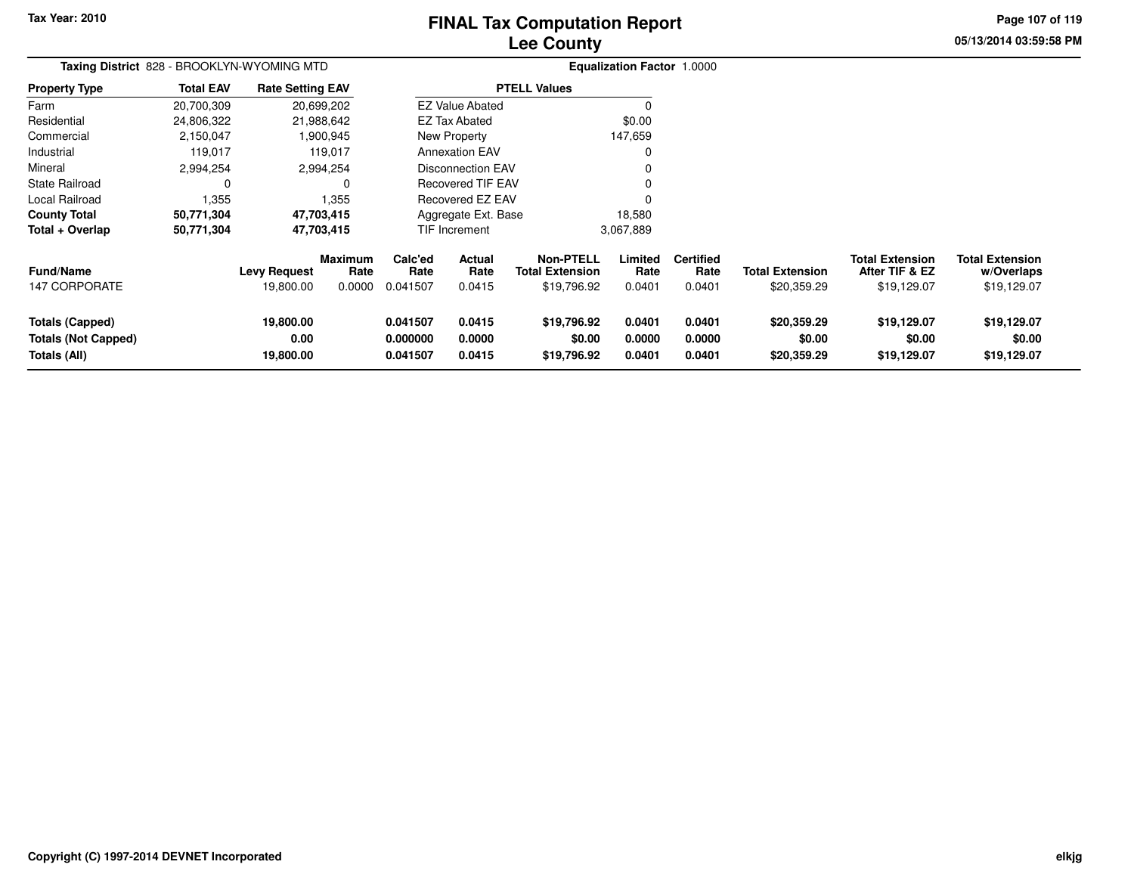# **Lee CountyFINAL Tax Computation Report**

**05/13/2014 03:59:58 PMPage 107 of 119**

| Taxing District 828 - BROOKLYN-WYOMING MTD                           |                  |                                  |                                  |                                  |                            |                                                           | <b>Equalization Factor 1.0000</b> |                                    |                                       |                                                         |                                                     |
|----------------------------------------------------------------------|------------------|----------------------------------|----------------------------------|----------------------------------|----------------------------|-----------------------------------------------------------|-----------------------------------|------------------------------------|---------------------------------------|---------------------------------------------------------|-----------------------------------------------------|
| <b>Property Type</b>                                                 | <b>Total EAV</b> | <b>Rate Setting EAV</b>          |                                  |                                  |                            | <b>PTELL Values</b>                                       |                                   |                                    |                                       |                                                         |                                                     |
| Farm                                                                 | 20,700,309       |                                  | 20,699,202                       |                                  | <b>EZ Value Abated</b>     |                                                           |                                   |                                    |                                       |                                                         |                                                     |
| Residential                                                          | 24,806,322       |                                  | 21,988,642                       |                                  | <b>EZ Tax Abated</b>       |                                                           | \$0.00                            |                                    |                                       |                                                         |                                                     |
| Commercial                                                           | 2,150,047        |                                  | 1,900,945                        |                                  | New Property               |                                                           | 147,659                           |                                    |                                       |                                                         |                                                     |
| Industrial                                                           | 119,017          |                                  | 119,017                          |                                  | <b>Annexation EAV</b>      |                                                           | 0                                 |                                    |                                       |                                                         |                                                     |
| Mineral                                                              | 2,994,254        |                                  | 2,994,254                        |                                  | <b>Disconnection EAV</b>   |                                                           | 0                                 |                                    |                                       |                                                         |                                                     |
| <b>State Railroad</b>                                                | 0                |                                  | 0                                |                                  | <b>Recovered TIF EAV</b>   |                                                           |                                   |                                    |                                       |                                                         |                                                     |
| Local Railroad                                                       | 1,355            |                                  | 1,355                            |                                  | Recovered EZ EAV           |                                                           | 0                                 |                                    |                                       |                                                         |                                                     |
| <b>County Total</b>                                                  | 50,771,304       |                                  | 47,703,415                       |                                  | Aggregate Ext. Base        |                                                           | 18,580                            |                                    |                                       |                                                         |                                                     |
| Total + Overlap                                                      | 50,771,304       |                                  | 47,703,415                       |                                  | TIF Increment              |                                                           | 3,067,889                         |                                    |                                       |                                                         |                                                     |
| <b>Fund/Name</b><br>147 CORPORATE                                    |                  | <b>Levy Request</b><br>19,800.00 | <b>Maximum</b><br>Rate<br>0.0000 | Calc'ed<br>Rate<br>0.041507      | Actual<br>Rate<br>0.0415   | <b>Non-PTELL</b><br><b>Total Extension</b><br>\$19,796.92 | Limited<br>Rate<br>0.0401         | <b>Certified</b><br>Rate<br>0.0401 | <b>Total Extension</b><br>\$20,359.29 | <b>Total Extension</b><br>After TIF & EZ<br>\$19,129.07 | <b>Total Extension</b><br>w/Overlaps<br>\$19,129.07 |
| <b>Totals (Capped)</b><br><b>Totals (Not Capped)</b><br>Totals (All) |                  | 19,800.00<br>0.00<br>19,800.00   |                                  | 0.041507<br>0.000000<br>0.041507 | 0.0415<br>0.0000<br>0.0415 | \$19,796.92<br>\$0.00<br>\$19,796.92                      | 0.0401<br>0.0000<br>0.0401        | 0.0401<br>0.0000<br>0.0401         | \$20,359.29<br>\$0.00<br>\$20,359.29  | \$19,129.07<br>\$0.00<br>\$19,129.07                    | \$19,129.07<br>\$0.00<br>\$19,129.07                |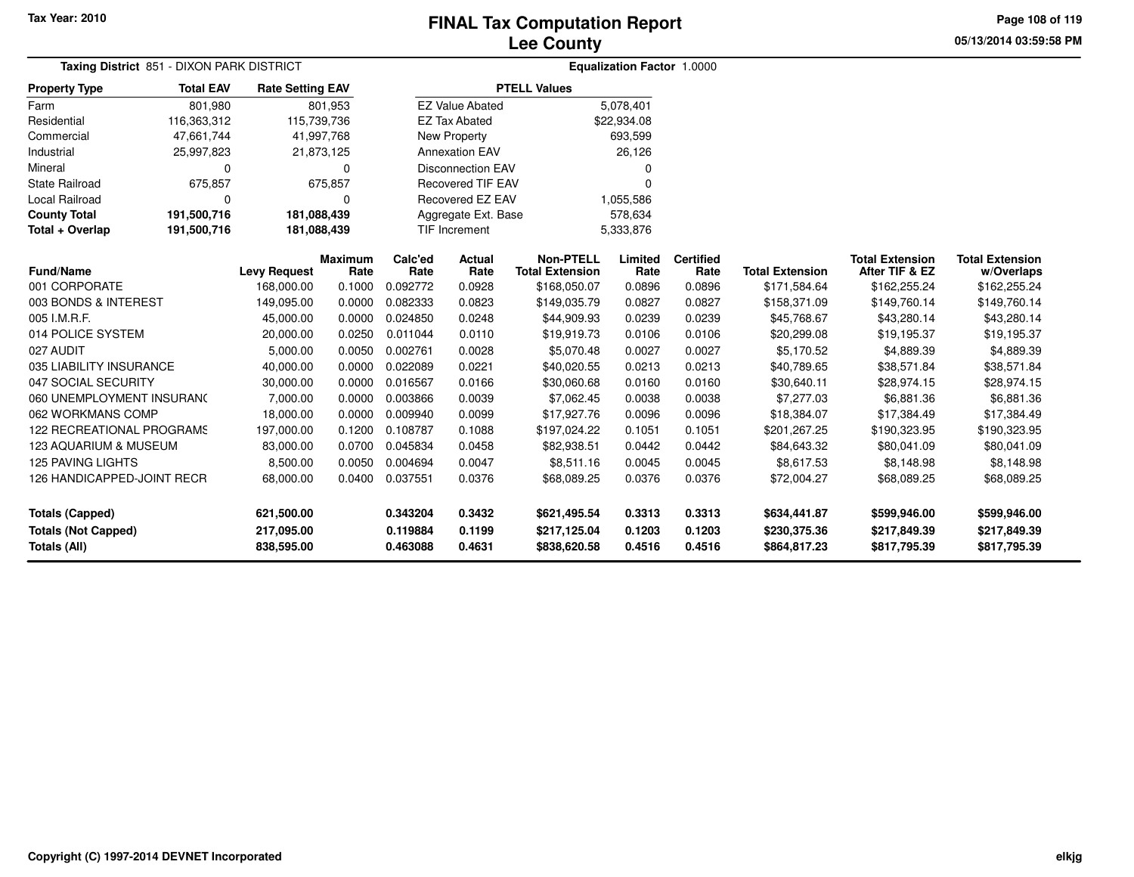**Page 108 of 119**

| Taxing District 851 - DIXON PARK DISTRICT |                    |                         |                        |                 | Equalization Factor 1.0000 |                                            |                 |                          |                        |                                          |                                      |
|-------------------------------------------|--------------------|-------------------------|------------------------|-----------------|----------------------------|--------------------------------------------|-----------------|--------------------------|------------------------|------------------------------------------|--------------------------------------|
| <b>Property Type</b>                      | <b>Total EAV</b>   | <b>Rate Setting EAV</b> |                        |                 |                            | <b>PTELL Values</b>                        |                 |                          |                        |                                          |                                      |
| Farm                                      | 801.980            |                         | 801,953                |                 | <b>EZ Value Abated</b>     |                                            | 5,078,401       |                          |                        |                                          |                                      |
| Residential                               | 116,363,312        | 115,739,736             |                        |                 | <b>EZ Tax Abated</b>       |                                            | \$22,934.08     |                          |                        |                                          |                                      |
| Commercial                                | 47,661,744         | 41,997,768              |                        |                 | New Property               |                                            | 693,599         |                          |                        |                                          |                                      |
| Industrial                                | 25,997,823         | 21,873,125              |                        |                 | <b>Annexation EAV</b>      |                                            | 26,126          |                          |                        |                                          |                                      |
| Mineral                                   | $\Omega$           |                         | 0                      |                 | <b>Disconnection EAV</b>   |                                            | 0               |                          |                        |                                          |                                      |
| <b>State Railroad</b>                     | 675,857<br>675,857 |                         |                        |                 | <b>Recovered TIF EAV</b>   |                                            | 0               |                          |                        |                                          |                                      |
| Local Railroad                            | $\Omega$<br>0      |                         |                        |                 | <b>Recovered EZ EAV</b>    |                                            | 1,055,586       |                          |                        |                                          |                                      |
| <b>County Total</b>                       | 191,500,716        | 181,088,439             |                        |                 | Aggregate Ext. Base        |                                            | 578,634         |                          |                        |                                          |                                      |
| Total + Overlap                           | 191,500,716        | 181,088,439             |                        |                 | <b>TIF Increment</b>       |                                            | 5,333,876       |                          |                        |                                          |                                      |
| <b>Fund/Name</b>                          |                    | <b>Levy Request</b>     | <b>Maximum</b><br>Rate | Calc'ed<br>Rate | <b>Actual</b><br>Rate      | <b>Non-PTELL</b><br><b>Total Extension</b> | Limited<br>Rate | <b>Certified</b><br>Rate | <b>Total Extension</b> | <b>Total Extension</b><br>After TIF & EZ | <b>Total Extension</b><br>w/Overlaps |
| 001 CORPORATE                             |                    | 168,000.00              | 0.1000                 | 0.092772        | 0.0928                     | \$168,050.07                               | 0.0896          | 0.0896                   | \$171,584.64           | \$162,255.24                             | \$162,255.24                         |
| 003 BONDS & INTEREST                      |                    | 149,095.00              | 0.0000                 | 0.082333        | 0.0823                     | \$149,035.79                               | 0.0827          | 0.0827                   | \$158,371.09           | \$149,760.14                             | \$149,760.14                         |
| 005 I.M.R.F.                              |                    | 45,000.00               | 0.0000                 | 0.024850        | 0.0248                     | \$44,909.93                                | 0.0239          | 0.0239                   | \$45,768.67            | \$43,280.14                              | \$43,280.14                          |
| 014 POLICE SYSTEM                         |                    | 20,000.00               | 0.0250                 | 0.011044        | 0.0110                     | \$19,919.73                                | 0.0106          | 0.0106                   | \$20,299.08            | \$19,195.37                              | \$19,195.37                          |
| 027 AUDIT                                 |                    | 5,000.00                | 0.0050                 | 0.002761        | 0.0028                     | \$5,070.48                                 | 0.0027          | 0.0027                   | \$5,170.52             | \$4,889.39                               | \$4,889.39                           |
| 035 LIABILITY INSURANCE                   |                    | 40,000.00               | 0.0000                 | 0.022089        | 0.0221                     | \$40,020.55                                | 0.0213          | 0.0213                   | \$40,789.65            | \$38,571.84                              | \$38,571.84                          |
| 047 SOCIAL SECURITY                       |                    | 30,000.00               | 0.0000                 | 0.016567        | 0.0166                     | \$30,060.68                                | 0.0160          | 0.0160                   | \$30,640.11            | \$28,974.15                              | \$28,974.15                          |
| 060 UNEMPLOYMENT INSURANC                 |                    | 7,000.00                | 0.0000                 | 0.003866        | 0.0039                     | \$7,062.45                                 | 0.0038          | 0.0038                   | \$7,277.03             | \$6,881.36                               | \$6,881.36                           |
| 062 WORKMANS COMP                         |                    | 18,000.00               | 0.0000                 | 0.009940        | 0.0099                     | \$17,927.76                                | 0.0096          | 0.0096                   | \$18,384.07            | \$17,384.49                              | \$17,384.49                          |
| 122 RECREATIONAL PROGRAMS                 |                    | 197,000.00              | 0.1200                 | 0.108787        | 0.1088                     | \$197,024.22                               | 0.1051          | 0.1051                   | \$201,267.25           | \$190,323.95                             | \$190,323.95                         |
| 123 AQUARIUM & MUSEUM                     |                    | 83,000.00               | 0.0700                 | 0.045834        | 0.0458                     | \$82,938.51                                | 0.0442          | 0.0442                   | \$84,643.32            | \$80,041.09                              | \$80,041.09                          |
| <b>125 PAVING LIGHTS</b>                  |                    | 8,500.00                | 0.0050                 | 0.004694        | 0.0047                     | \$8,511.16                                 | 0.0045          | 0.0045                   | \$8,617.53             | \$8,148.98                               | \$8,148.98                           |
| 126 HANDICAPPED-JOINT RECR                |                    | 68,000.00               | 0.0400                 | 0.037551        | 0.0376                     | \$68,089.25                                | 0.0376          | 0.0376                   | \$72,004.27            | \$68,089.25                              | \$68,089.25                          |
| <b>Totals (Capped)</b>                    |                    | 621,500.00              |                        | 0.343204        | 0.3432                     | \$621,495.54                               | 0.3313          | 0.3313                   | \$634,441.87           | \$599,946.00                             | \$599,946.00                         |
| <b>Totals (Not Capped)</b>                |                    | 217,095.00              |                        | 0.119884        | 0.1199                     | \$217,125.04                               | 0.1203          | 0.1203                   | \$230,375.36           | \$217,849.39                             | \$217,849.39                         |
| Totals (All)                              |                    | 838,595.00              |                        | 0.463088        | 0.4631                     | \$838,620.58                               | 0.4516          | 0.4516                   | \$864,817.23           | \$817,795.39                             | \$817,795.39                         |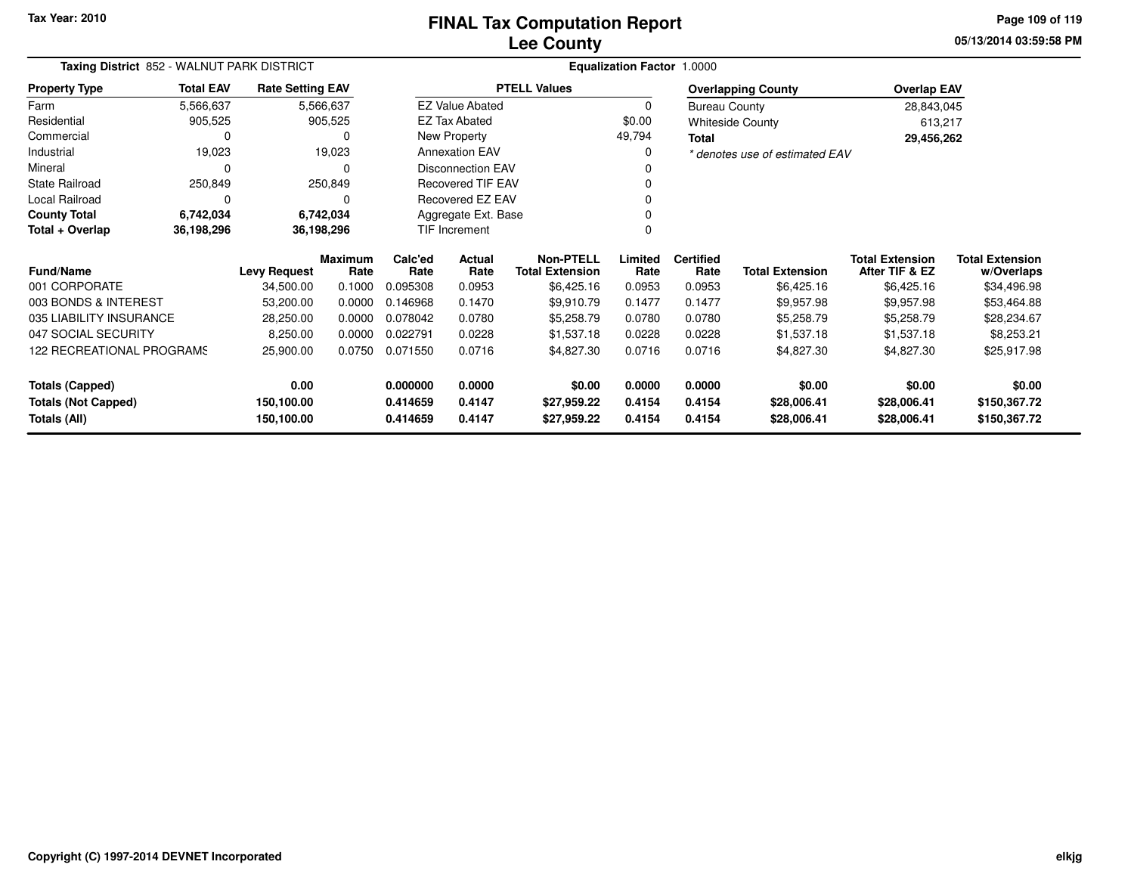**05/13/2014 03:59:58 PM Page 109 of 119**

| Taxing District 852 - WALNUT PARK DISTRICT | Equalization Factor 1.0000 |                         |                        |                 |                          |                                            |                 |                          |                                |                                          |                                      |
|--------------------------------------------|----------------------------|-------------------------|------------------------|-----------------|--------------------------|--------------------------------------------|-----------------|--------------------------|--------------------------------|------------------------------------------|--------------------------------------|
| <b>Property Type</b>                       | <b>Total EAV</b>           | <b>Rate Setting EAV</b> |                        |                 |                          | <b>PTELL Values</b>                        |                 |                          | <b>Overlapping County</b>      | <b>Overlap EAV</b>                       |                                      |
| Farm                                       | 5,566,637                  |                         | 5,566,637              |                 | <b>EZ Value Abated</b>   |                                            | 0               | <b>Bureau County</b>     |                                | 28,843,045                               |                                      |
| Residential                                | 905,525                    |                         | 905,525                |                 | <b>EZ Tax Abated</b>     |                                            | \$0.00          |                          | <b>Whiteside County</b>        | 613,217                                  |                                      |
| Commercial                                 | 0                          |                         | 0                      | New Property    |                          |                                            | 49,794          | Total                    |                                | 29,456,262                               |                                      |
| Industrial                                 | 19,023                     |                         | 19,023                 |                 | <b>Annexation EAV</b>    |                                            | 0               |                          | * denotes use of estimated EAV |                                          |                                      |
| Mineral                                    | 0                          |                         | 0                      |                 | <b>Disconnection EAV</b> |                                            |                 |                          |                                |                                          |                                      |
| <b>State Railroad</b>                      | 250,849                    |                         | 250,849                |                 | <b>Recovered TIF EAV</b> |                                            |                 |                          |                                |                                          |                                      |
| Local Railroad                             | 0                          |                         | 0                      |                 | Recovered EZ EAV         |                                            |                 |                          |                                |                                          |                                      |
| <b>County Total</b>                        | 6,742,034                  |                         | 6,742,034              |                 | Aggregate Ext. Base      |                                            |                 |                          |                                |                                          |                                      |
| Total + Overlap                            | 36,198,296                 |                         | 36,198,296             |                 | TIF Increment            |                                            |                 |                          |                                |                                          |                                      |
| <b>Fund/Name</b>                           |                            | <b>Levy Request</b>     | <b>Maximum</b><br>Rate | Calc'ed<br>Rate | Actual<br>Rate           | <b>Non-PTELL</b><br><b>Total Extension</b> | Limited<br>Rate | <b>Certified</b><br>Rate | <b>Total Extension</b>         | <b>Total Extension</b><br>After TIF & EZ | <b>Total Extension</b><br>w/Overlaps |
| 001 CORPORATE                              |                            | 34,500.00               | 0.1000                 | 0.095308        | 0.0953                   | \$6,425.16                                 | 0.0953          | 0.0953                   | \$6,425.16                     | \$6,425.16                               | \$34,496.98                          |
| 003 BONDS & INTEREST                       |                            | 53,200.00               | 0.0000                 | 0.146968        | 0.1470                   | \$9,910.79                                 | 0.1477          | 0.1477                   | \$9,957.98                     | \$9,957.98                               | \$53,464.88                          |
| 035 LIABILITY INSURANCE                    |                            | 28,250.00               | 0.0000                 | 0.078042        | 0.0780                   | \$5,258.79                                 | 0.0780          | 0.0780                   | \$5,258.79                     | \$5,258.79                               | \$28,234.67                          |
| 047 SOCIAL SECURITY                        |                            | 8,250.00                | 0.0000                 | 0.022791        | 0.0228                   | \$1,537.18                                 | 0.0228          | 0.0228                   | \$1,537.18                     | \$1,537.18                               | \$8,253.21                           |
| 122 RECREATIONAL PROGRAMS                  |                            | 25,900.00               | 0.0750                 | 0.071550        | 0.0716                   | \$4,827.30                                 | 0.0716          | 0.0716                   | \$4,827.30                     | \$4,827.30                               | \$25,917.98                          |
| <b>Totals (Capped)</b>                     |                            | 0.00                    |                        | 0.000000        | 0.0000                   | \$0.00                                     | 0.0000          | 0.0000                   | \$0.00                         | \$0.00                                   | \$0.00                               |
| <b>Totals (Not Capped)</b>                 |                            | 150,100.00              |                        | 0.414659        | 0.4147                   | \$27,959.22                                | 0.4154          | 0.4154                   | \$28,006.41                    | \$28,006.41                              | \$150,367.72                         |
| Totals (All)                               |                            | 150,100.00              |                        | 0.414659        | 0.4147                   | \$27,959.22                                | 0.4154          | 0.4154                   | \$28,006.41                    | \$28,006.41                              | \$150,367.72                         |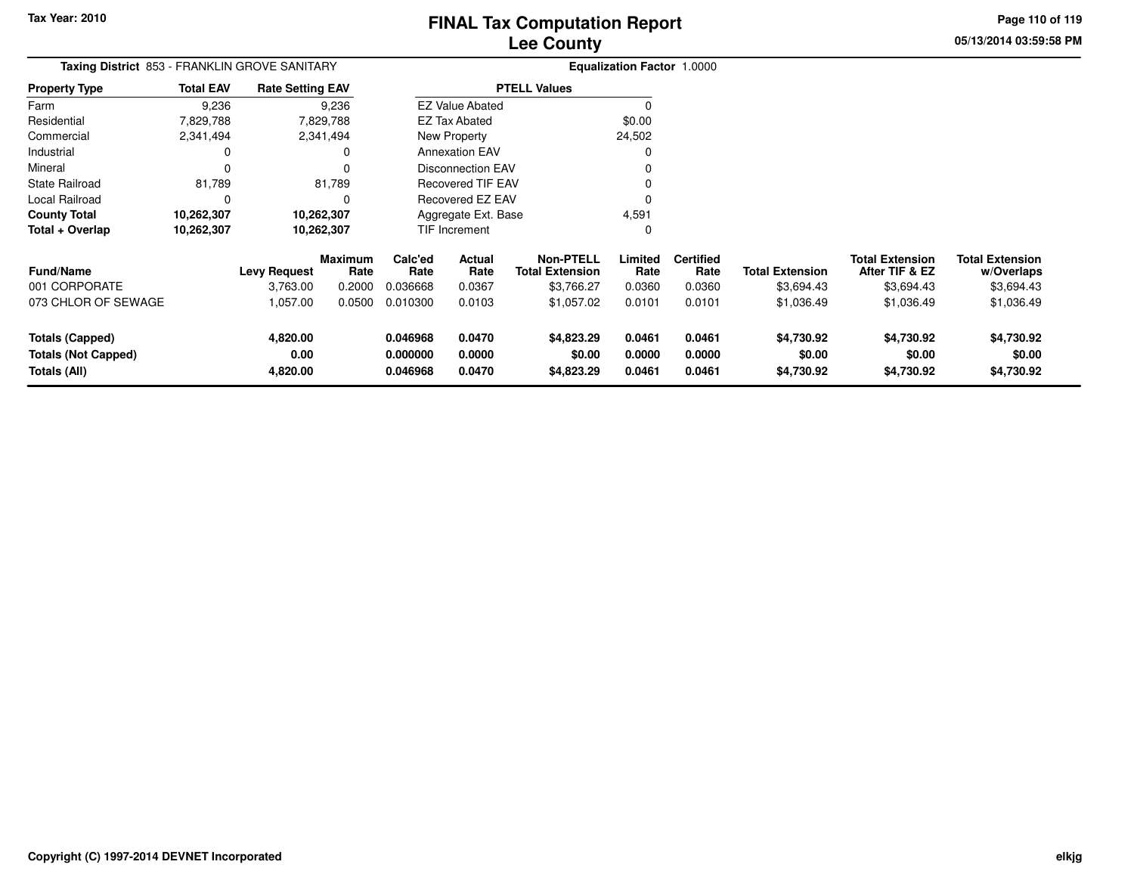**05/13/2014 03:59:58 PMPage 110 of 119**

| $\Omega$<br>\$0.00<br>24,502<br>0<br>0<br>0                                                                                                               |
|-----------------------------------------------------------------------------------------------------------------------------------------------------------|
|                                                                                                                                                           |
|                                                                                                                                                           |
|                                                                                                                                                           |
|                                                                                                                                                           |
|                                                                                                                                                           |
|                                                                                                                                                           |
|                                                                                                                                                           |
| 0                                                                                                                                                         |
| 4,591                                                                                                                                                     |
| 0                                                                                                                                                         |
| <b>Certified</b><br>Limited<br><b>Total Extension</b><br><b>Total Extension</b><br><b>Total Extension</b><br>After TIF & EZ<br>Rate<br>Rate<br>w/Overlaps |
| 0.0360<br>0.0360<br>\$3,694.43<br>\$3,694.43<br>\$3,694.43                                                                                                |
| 0.0101<br>0.0101<br>\$1,036.49<br>\$1,036.49<br>\$1,036.49                                                                                                |
| 0.0461<br>0.0461<br>\$4,730.92<br>\$4,730.92<br>\$4,730.92                                                                                                |
|                                                                                                                                                           |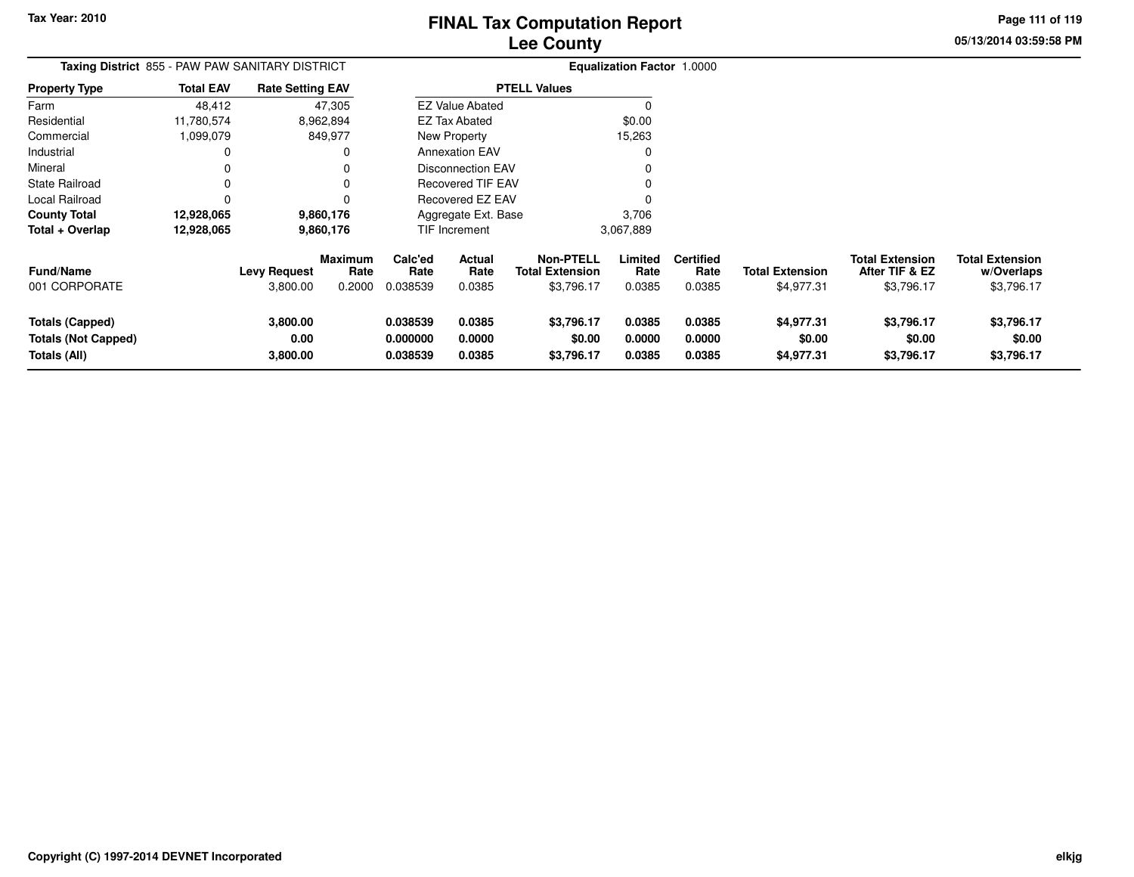**05/13/2014 03:59:58 PM Page 111 of 119**

| Taxing District 855 - PAW PAW SANITARY DISTRICT               |                  |                                 |                                  |                                  |                                 |                                                          | <b>Equalization Factor 1.0000</b> |                                    |                                      |                                                        |                                                    |
|---------------------------------------------------------------|------------------|---------------------------------|----------------------------------|----------------------------------|---------------------------------|----------------------------------------------------------|-----------------------------------|------------------------------------|--------------------------------------|--------------------------------------------------------|----------------------------------------------------|
| <b>Property Type</b>                                          | <b>Total EAV</b> | <b>Rate Setting EAV</b>         |                                  |                                  |                                 | <b>PTELL Values</b>                                      |                                   |                                    |                                      |                                                        |                                                    |
| Farm                                                          | 48,412           |                                 | 47,305                           |                                  | <b>EZ Value Abated</b>          |                                                          | 0                                 |                                    |                                      |                                                        |                                                    |
| Residential                                                   | 11,780,574       |                                 | 8,962,894                        |                                  | EZ Tax Abated                   |                                                          | \$0.00                            |                                    |                                      |                                                        |                                                    |
| Commercial                                                    | 1,099,079        |                                 | 849,977                          |                                  | New Property                    |                                                          | 15,263                            |                                    |                                      |                                                        |                                                    |
| Industrial                                                    | 0                |                                 | 0                                |                                  | <b>Annexation EAV</b>           |                                                          | 0                                 |                                    |                                      |                                                        |                                                    |
| Mineral                                                       | 0                |                                 | 0                                |                                  | <b>Disconnection EAV</b>        |                                                          |                                   |                                    |                                      |                                                        |                                                    |
| <b>State Railroad</b>                                         | 0                |                                 | 0                                |                                  | <b>Recovered TIF EAV</b>        |                                                          |                                   |                                    |                                      |                                                        |                                                    |
| Local Railroad                                                | 0                |                                 | 0                                |                                  | Recovered EZ EAV                |                                                          |                                   |                                    |                                      |                                                        |                                                    |
| <b>County Total</b>                                           | 12,928,065       |                                 | 9,860,176                        |                                  | Aggregate Ext. Base             |                                                          | 3,706                             |                                    |                                      |                                                        |                                                    |
| Total + Overlap                                               | 12,928,065       |                                 | 9,860,176                        |                                  | TIF Increment                   |                                                          | 3,067,889                         |                                    |                                      |                                                        |                                                    |
| <b>Fund/Name</b><br>001 CORPORATE                             |                  | <b>Levy Request</b><br>3,800.00 | <b>Maximum</b><br>Rate<br>0.2000 | Calc'ed<br>Rate<br>0.038539      | <b>Actual</b><br>Rate<br>0.0385 | <b>Non-PTELL</b><br><b>Total Extension</b><br>\$3,796.17 | Limited<br>Rate<br>0.0385         | <b>Certified</b><br>Rate<br>0.0385 | <b>Total Extension</b><br>\$4,977.31 | <b>Total Extension</b><br>After TIF & EZ<br>\$3,796.17 | <b>Total Extension</b><br>w/Overlaps<br>\$3,796.17 |
| Totals (Capped)<br><b>Totals (Not Capped)</b><br>Totals (All) |                  | 3,800.00<br>0.00<br>3,800.00    |                                  | 0.038539<br>0.000000<br>0.038539 | 0.0385<br>0.0000<br>0.0385      | \$3,796.17<br>\$0.00<br>\$3,796.17                       | 0.0385<br>0.0000<br>0.0385        | 0.0385<br>0.0000<br>0.0385         | \$4,977.31<br>\$0.00<br>\$4,977.31   | \$3,796.17<br>\$0.00<br>\$3,796.17                     | \$3,796.17<br>\$0.00<br>\$3,796.17                 |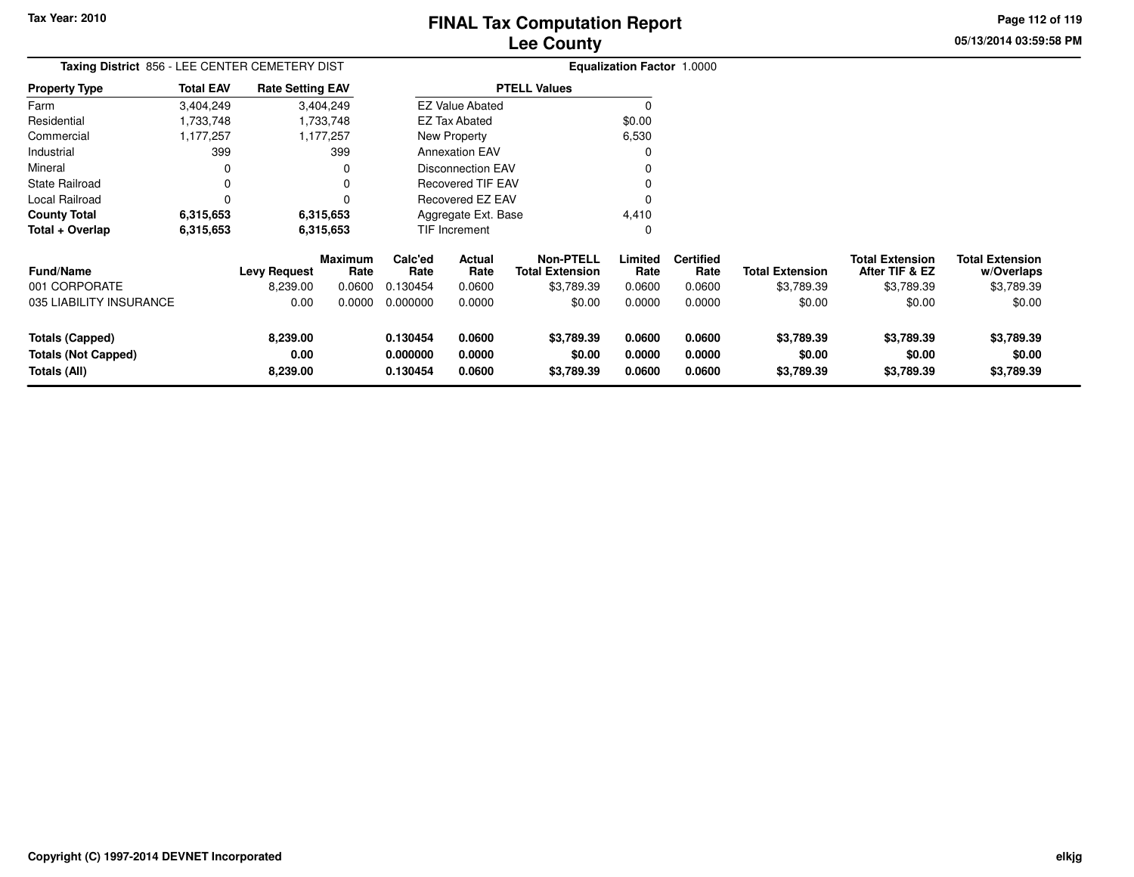**Tax Year: 2010**

## **Lee CountyFINAL Tax Computation Report**

**05/13/2014 03:59:58 PMPage 112 of 119**

| Taxing District 856 - LEE CENTER CEMETERY DIST |                  |                         |                        |                 |                          |                                            | <b>Equalization Factor 1.0000</b> |                          |                        |                                          |                                      |
|------------------------------------------------|------------------|-------------------------|------------------------|-----------------|--------------------------|--------------------------------------------|-----------------------------------|--------------------------|------------------------|------------------------------------------|--------------------------------------|
| <b>Property Type</b>                           | <b>Total EAV</b> | <b>Rate Setting EAV</b> |                        |                 |                          | <b>PTELL Values</b>                        |                                   |                          |                        |                                          |                                      |
| Farm                                           | 3,404,249        |                         | 3,404,249              |                 | <b>EZ Value Abated</b>   |                                            | $\Omega$                          |                          |                        |                                          |                                      |
| Residential                                    | 1,733,748        |                         | 1,733,748              |                 | <b>EZ Tax Abated</b>     |                                            | \$0.00                            |                          |                        |                                          |                                      |
| Commercial                                     | 1,177,257        |                         | 1,177,257              |                 | New Property             |                                            | 6,530                             |                          |                        |                                          |                                      |
| Industrial                                     | 399              |                         | 399                    |                 | <b>Annexation EAV</b>    |                                            |                                   |                          |                        |                                          |                                      |
| Mineral                                        | 0                |                         |                        |                 | <b>Disconnection EAV</b> |                                            |                                   |                          |                        |                                          |                                      |
| State Railroad                                 | 0                |                         |                        |                 | <b>Recovered TIF EAV</b> |                                            |                                   |                          |                        |                                          |                                      |
| Local Railroad                                 | 0                |                         |                        |                 | Recovered EZ EAV         |                                            |                                   |                          |                        |                                          |                                      |
| <b>County Total</b>                            | 6,315,653        |                         | 6,315,653              |                 | Aggregate Ext. Base      |                                            | 4,410                             |                          |                        |                                          |                                      |
| Total + Overlap                                | 6,315,653        |                         | 6,315,653              |                 | TIF Increment            |                                            | 0                                 |                          |                        |                                          |                                      |
| <b>Fund/Name</b>                               |                  | <b>Levy Request</b>     | <b>Maximum</b><br>Rate | Calc'ed<br>Rate | Actual<br>Rate           | <b>Non-PTELL</b><br><b>Total Extension</b> | Limited<br>Rate                   | <b>Certified</b><br>Rate | <b>Total Extension</b> | <b>Total Extension</b><br>After TIF & EZ | <b>Total Extension</b><br>w/Overlaps |
| 001 CORPORATE                                  |                  | 8,239.00                | 0.0600                 | 0.130454        | 0.0600                   | \$3,789.39                                 | 0.0600                            | 0.0600                   | \$3,789.39             | \$3,789.39                               | \$3,789.39                           |
| 035 LIABILITY INSURANCE                        |                  | 0.00                    | 0.0000                 | 0.000000        | 0.0000                   | \$0.00                                     | 0.0000                            | 0.0000                   | \$0.00                 | \$0.00                                   | \$0.00                               |
| Totals (Capped)                                |                  | 8,239.00                |                        | 0.130454        | 0.0600                   | \$3,789.39                                 | 0.0600                            | 0.0600                   | \$3,789.39             | \$3,789.39                               | \$3,789.39                           |
| <b>Totals (Not Capped)</b>                     |                  | 0.00                    |                        | 0.000000        | 0.0000                   | \$0.00                                     | 0.0000                            | 0.0000                   | \$0.00                 | \$0.00                                   | \$0.00                               |
| Totals (All)                                   |                  | 8,239.00                |                        | 0.130454        | 0.0600                   | \$3,789.39                                 | 0.0600                            | 0.0600                   | \$3,789.39             | \$3,789.39                               | \$3,789.39                           |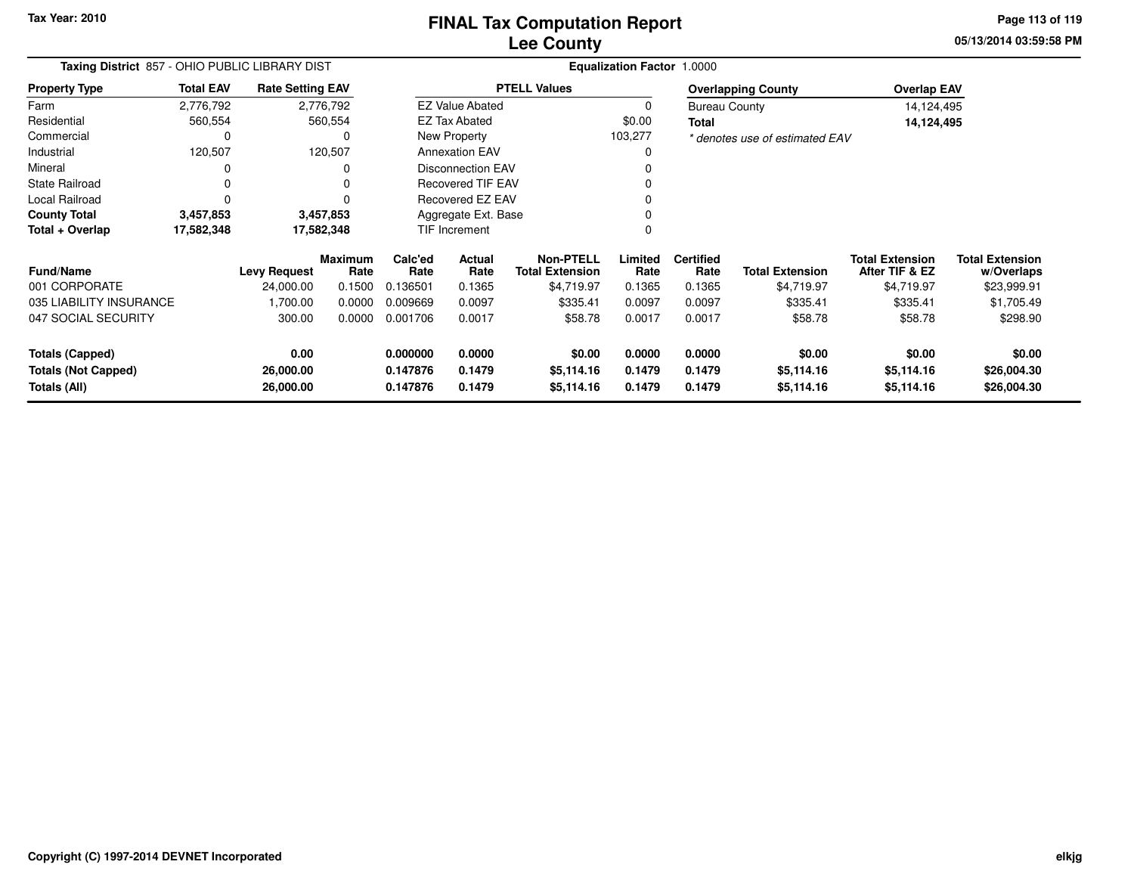**Tax Year: 2010**

### **Lee CountyFINAL Tax Computation Report**

**05/13/2014 03:59:58 PM Page 113 of 119**

| Taxing District 857 - OHIO PUBLIC LIBRARY DIST |                  | <b>Equalization Factor 1.0000</b> |                        |                     |                          |                                     |                 |                          |                                |                                          |                                      |
|------------------------------------------------|------------------|-----------------------------------|------------------------|---------------------|--------------------------|-------------------------------------|-----------------|--------------------------|--------------------------------|------------------------------------------|--------------------------------------|
| <b>Property Type</b>                           | <b>Total EAV</b> | <b>Rate Setting EAV</b>           |                        |                     |                          | <b>PTELL Values</b>                 |                 |                          | <b>Overlapping County</b>      | <b>Overlap EAV</b>                       |                                      |
| Farm                                           | 2,776,792        |                                   | 2,776,792              |                     | <b>EZ Value Abated</b>   |                                     | 0               |                          | <b>Bureau County</b>           | 14,124,495                               |                                      |
| Residential                                    | 560,554          |                                   | 560,554                |                     | <b>EZ Tax Abated</b>     |                                     | \$0.00          | <b>Total</b>             |                                | 14,124,495                               |                                      |
| Commercial                                     | 0                |                                   | 0                      |                     | New Property             |                                     | 103,277         |                          | * denotes use of estimated EAV |                                          |                                      |
| Industrial                                     | 120,507          |                                   | 120,507                |                     | <b>Annexation EAV</b>    |                                     | 0               |                          |                                |                                          |                                      |
| Mineral                                        | 0                |                                   | 0                      |                     | <b>Disconnection EAV</b> |                                     |                 |                          |                                |                                          |                                      |
| <b>State Railroad</b>                          | 0                |                                   | $\Omega$               |                     | <b>Recovered TIF EAV</b> |                                     |                 |                          |                                |                                          |                                      |
| Local Railroad                                 | $\Omega$         |                                   |                        |                     | Recovered EZ EAV         |                                     |                 |                          |                                |                                          |                                      |
| <b>County Total</b>                            | 3,457,853        |                                   | 3,457,853              | Aggregate Ext. Base |                          |                                     |                 |                          |                                |                                          |                                      |
| Total + Overlap                                | 17,582,348       |                                   | 17,582,348             |                     | TIF Increment<br>0       |                                     |                 |                          |                                |                                          |                                      |
| <b>Fund/Name</b>                               |                  | <b>Levy Request</b>               | <b>Maximum</b><br>Rate | Calc'ed<br>Rate     | Actual<br>Rate           | Non-PTELL<br><b>Total Extension</b> | Limited<br>Rate | <b>Certified</b><br>Rate | <b>Total Extension</b>         | <b>Total Extension</b><br>After TIF & EZ | <b>Total Extension</b><br>w/Overlaps |
| 001 CORPORATE                                  |                  | 24,000.00                         | 0.1500                 | 0.136501            | 0.1365                   | \$4,719.97                          | 0.1365          | 0.1365                   | \$4,719.97                     | \$4,719.97                               | \$23,999.91                          |
| 035 LIABILITY INSURANCE                        |                  | 1,700.00                          | 0.0000                 | 0.009669            | 0.0097                   | \$335.41                            | 0.0097          | 0.0097                   | \$335.41                       | \$335.41                                 | \$1,705.49                           |
| 047 SOCIAL SECURITY                            |                  | 300.00                            | 0.0000                 | 0.001706            | 0.0017                   | \$58.78                             | 0.0017          | 0.0017                   | \$58.78                        | \$58.78                                  | \$298.90                             |
| <b>Totals (Capped)</b>                         |                  | 0.00                              |                        | 0.000000            | 0.0000                   | \$0.00                              | 0.0000          | 0.0000                   | \$0.00                         | \$0.00                                   | \$0.00                               |
| <b>Totals (Not Capped)</b>                     |                  | 26,000.00                         |                        | 0.147876            | 0.1479                   | \$5,114.16                          | 0.1479          | 0.1479                   | \$5,114.16                     | \$5,114.16                               | \$26,004.30                          |
| Totals (All)                                   |                  | 26,000.00                         |                        | 0.147876            | 0.1479                   | \$5,114.16                          | 0.1479          | 0.1479                   | \$5,114.16                     | \$5,114.16                               | \$26,004.30                          |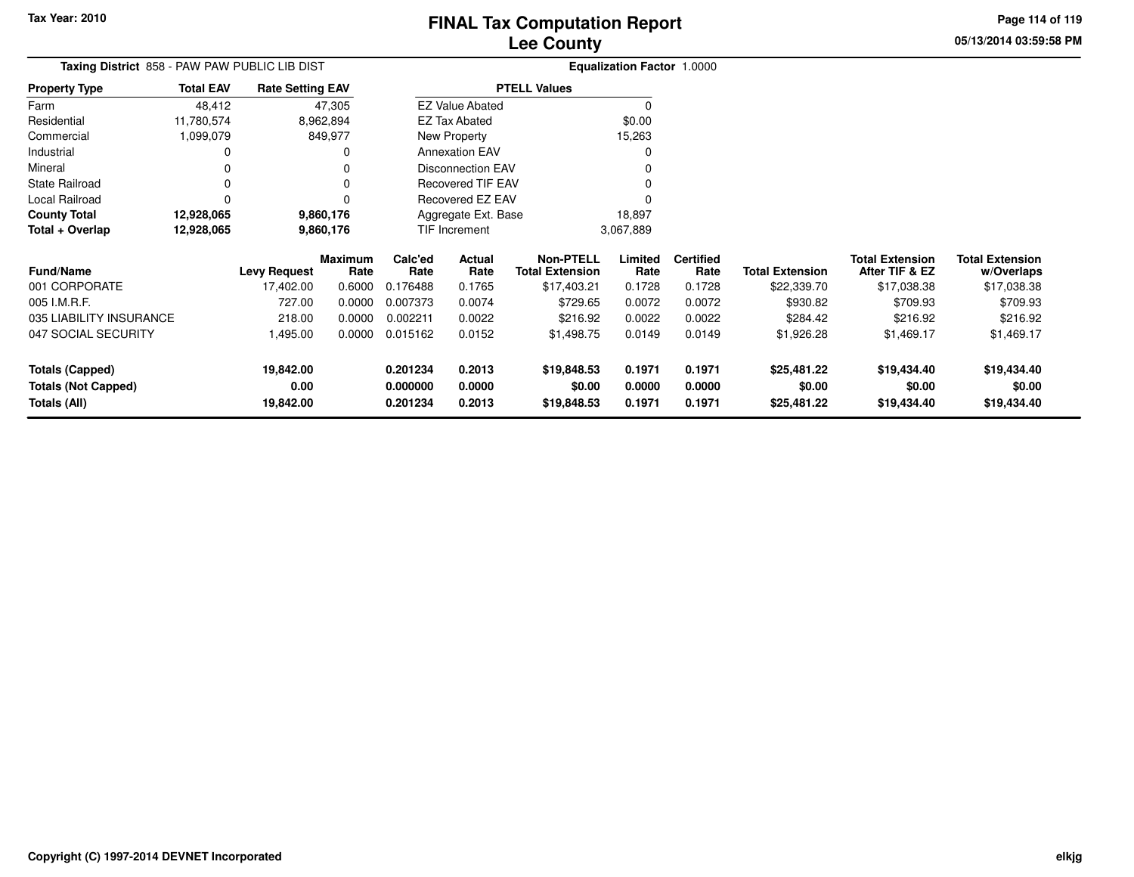**05/13/2014 03:59:58 PMPage 114 of 119**

| Taxing District 858 - PAW PAW PUBLIC LIB DIST |                  |                         |                 |                      | <b>Equalization Factor 1.0000</b> |                                            |                  |                          |                        |                                          |                                      |
|-----------------------------------------------|------------------|-------------------------|-----------------|----------------------|-----------------------------------|--------------------------------------------|------------------|--------------------------|------------------------|------------------------------------------|--------------------------------------|
| <b>Property Type</b>                          | <b>Total EAV</b> | <b>Rate Setting EAV</b> |                 |                      |                                   | <b>PTELL Values</b>                        |                  |                          |                        |                                          |                                      |
| Farm                                          | 48,412           |                         | 47,305          |                      | <b>EZ Value Abated</b>            |                                            |                  |                          |                        |                                          |                                      |
| Residential                                   | 11,780,574       |                         | 8,962,894       |                      | <b>EZ Tax Abated</b>              |                                            | \$0.00           |                          |                        |                                          |                                      |
| Commercial                                    | 1,099,079        |                         | 849,977         |                      | New Property                      |                                            | 15,263           |                          |                        |                                          |                                      |
| Industrial                                    |                  |                         |                 |                      | <b>Annexation EAV</b>             |                                            |                  |                          |                        |                                          |                                      |
| Mineral                                       |                  |                         |                 |                      | Disconnection EAV                 |                                            |                  |                          |                        |                                          |                                      |
| <b>State Railroad</b>                         |                  |                         |                 |                      | <b>Recovered TIF EAV</b>          |                                            |                  |                          |                        |                                          |                                      |
| Local Railroad                                |                  |                         |                 |                      | Recovered EZ EAV                  |                                            |                  |                          |                        |                                          |                                      |
| <b>County Total</b>                           | 12,928,065       |                         | 9,860,176       |                      | Aggregate Ext. Base               |                                            | 18,897           |                          |                        |                                          |                                      |
| Total + Overlap                               | 12,928,065       |                         | 9,860,176       |                      | TIF Increment                     |                                            | 3,067,889        |                          |                        |                                          |                                      |
| <b>Fund/Name</b>                              |                  | <b>Levy Request</b>     | Maximum<br>Rate | Calc'ed<br>Rate      | Actual<br>Rate                    | <b>Non-PTELL</b><br><b>Total Extension</b> | Limited<br>Rate  | <b>Certified</b><br>Rate | <b>Total Extension</b> | <b>Total Extension</b><br>After TIF & EZ | <b>Total Extension</b><br>w/Overlaps |
| 001 CORPORATE                                 |                  | 17,402.00               | 0.6000          | 0.176488             | 0.1765                            | \$17,403.21                                | 0.1728           | 0.1728                   | \$22,339.70            | \$17,038.38                              | \$17,038.38                          |
| 005 I.M.R.F.                                  |                  | 727.00                  | 0.0000          | 0.007373             | 0.0074                            | \$729.65                                   | 0.0072           | 0.0072                   | \$930.82               | \$709.93                                 | \$709.93                             |
| 035 LIABILITY INSURANCE                       |                  | 218.00                  | 0.0000          | 0.002211             | 0.0022                            | \$216.92                                   | 0.0022           | 0.0022                   | \$284.42               | \$216.92                                 | \$216.92                             |
| 047 SOCIAL SECURITY                           |                  | 1,495.00                | 0.0000          | 0.015162             | 0.0152                            | \$1,498.75                                 | 0.0149           | 0.0149                   | \$1,926.28             | \$1,469.17                               | \$1,469.17                           |
| <b>Totals (Capped)</b>                        |                  | 19,842.00               |                 | 0.201234             | 0.2013                            | \$19,848.53                                | 0.1971           | 0.1971                   | \$25,481.22            | \$19,434.40                              | \$19,434.40                          |
| <b>Totals (Not Capped)</b><br>Totals (All)    |                  | 0.00<br>19,842.00       |                 | 0.000000<br>0.201234 | 0.0000<br>0.2013                  | \$0.00<br>\$19,848.53                      | 0.0000<br>0.1971 | 0.0000<br>0.1971         | \$0.00<br>\$25,481.22  | \$0.00<br>\$19,434.40                    | \$0.00<br>\$19,434.40                |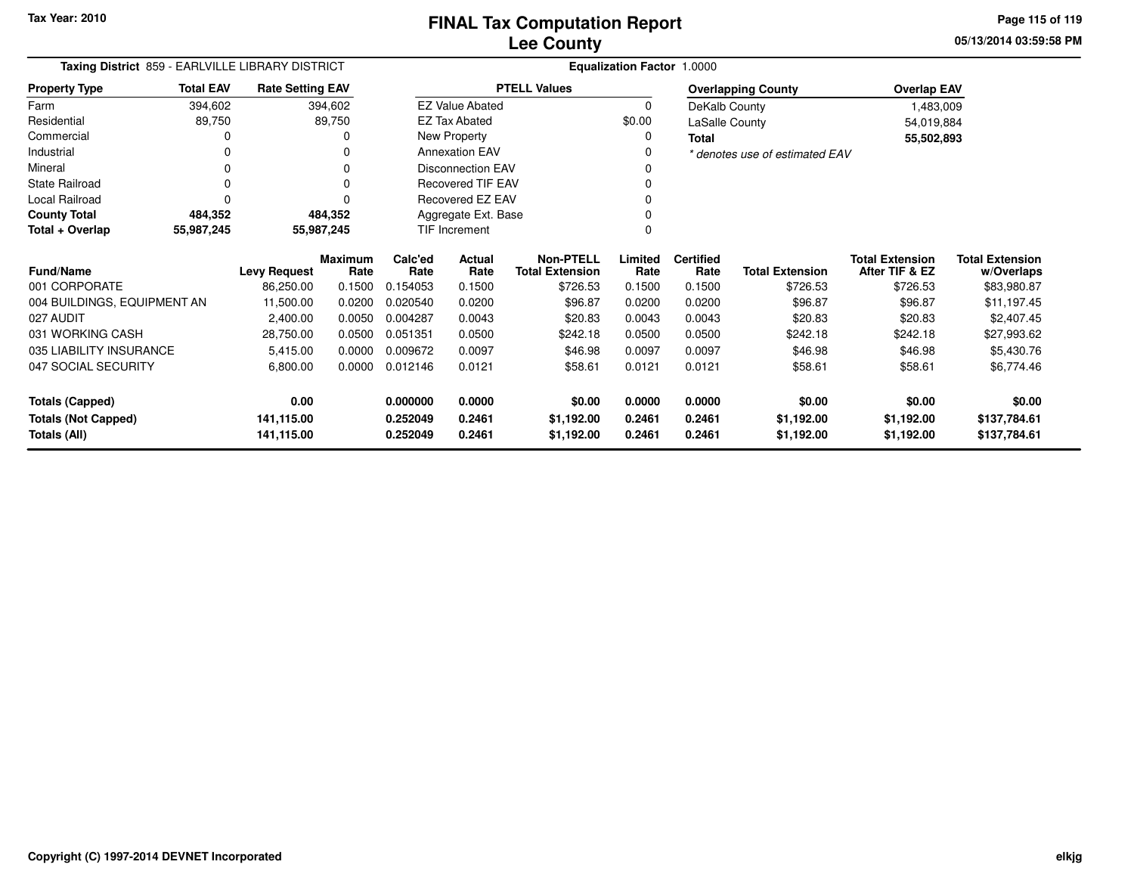**05/13/2014 03:59:58 PMPage 115 of 119**

| Taxing District 859 - EARLVILLE LIBRARY DISTRICT |                  | <b>Equalization Factor 1.0000</b> |                        |                 |                          |                                            |                 |                          |                                |                                          |                                      |
|--------------------------------------------------|------------------|-----------------------------------|------------------------|-----------------|--------------------------|--------------------------------------------|-----------------|--------------------------|--------------------------------|------------------------------------------|--------------------------------------|
| <b>Property Type</b>                             | <b>Total EAV</b> | <b>Rate Setting EAV</b>           |                        |                 |                          | <b>PTELL Values</b>                        |                 |                          | <b>Overlapping County</b>      | <b>Overlap EAV</b>                       |                                      |
| Farm                                             | 394,602          |                                   | 394,602                |                 | <b>EZ Value Abated</b>   |                                            | $\Omega$        | DeKalb County            |                                | 1,483,009                                |                                      |
| Residential                                      | 89,750           |                                   | 89,750                 |                 | <b>EZ Tax Abated</b>     |                                            | \$0.00          | LaSalle County           |                                | 54,019,884                               |                                      |
| Commercial                                       |                  |                                   | ი                      |                 | New Property             |                                            | 0               | <b>Total</b>             |                                | 55,502,893                               |                                      |
| Industrial                                       |                  |                                   |                        |                 | <b>Annexation EAV</b>    |                                            |                 |                          | * denotes use of estimated EAV |                                          |                                      |
| Mineral                                          |                  |                                   |                        |                 | <b>Disconnection EAV</b> |                                            |                 |                          |                                |                                          |                                      |
| State Railroad                                   |                  |                                   |                        |                 | Recovered TIF EAV        |                                            |                 |                          |                                |                                          |                                      |
| Local Railroad                                   |                  |                                   |                        |                 | Recovered EZ EAV         |                                            |                 |                          |                                |                                          |                                      |
| <b>County Total</b>                              | 484,352          |                                   | 484,352                |                 | Aggregate Ext. Base      |                                            |                 |                          |                                |                                          |                                      |
| Total + Overlap                                  | 55,987,245       |                                   | 55,987,245             |                 | <b>TIF Increment</b>     |                                            |                 |                          |                                |                                          |                                      |
| <b>Fund/Name</b>                                 |                  | <b>Levy Request</b>               | <b>Maximum</b><br>Rate | Calc'ed<br>Rate | <b>Actual</b><br>Rate    | <b>Non-PTELL</b><br><b>Total Extension</b> | Limited<br>Rate | <b>Certified</b><br>Rate | <b>Total Extension</b>         | <b>Total Extension</b><br>After TIF & EZ | <b>Total Extension</b><br>w/Overlaps |
| 001 CORPORATE                                    |                  | 86,250.00                         | 0.1500                 | 0.154053        | 0.1500                   | \$726.53                                   | 0.1500          | 0.1500                   | \$726.53                       | \$726.53                                 | \$83,980.87                          |
| 004 BUILDINGS, EQUIPMENT AN                      |                  | 11,500.00                         | 0.0200                 | 0.020540        | 0.0200                   | \$96.87                                    | 0.0200          | 0.0200                   | \$96.87                        | \$96.87                                  | \$11,197.45                          |
| 027 AUDIT                                        |                  | 2,400.00                          | 0.0050                 | 0.004287        | 0.0043                   | \$20.83                                    | 0.0043          | 0.0043                   | \$20.83                        | \$20.83                                  | \$2,407.45                           |
| 031 WORKING CASH                                 |                  | 28,750.00                         | 0.0500                 | 0.051351        | 0.0500                   | \$242.18                                   | 0.0500          | 0.0500                   | \$242.18                       | \$242.18                                 | \$27,993.62                          |
| 035 LIABILITY INSURANCE                          |                  | 5,415.00                          | 0.0000                 | 0.009672        | 0.0097                   | \$46.98                                    | 0.0097          | 0.0097                   | \$46.98                        | \$46.98                                  | \$5,430.76                           |
| 047 SOCIAL SECURITY                              |                  | 6,800.00                          | 0.0000                 | 0.012146        | 0.0121                   | \$58.61                                    | 0.0121          | 0.0121                   | \$58.61                        | \$58.61                                  | \$6,774.46                           |
| <b>Totals (Capped)</b>                           |                  | 0.00                              |                        | 0.000000        | 0.0000                   | \$0.00                                     | 0.0000          | 0.0000                   | \$0.00                         | \$0.00                                   | \$0.00                               |
| <b>Totals (Not Capped)</b><br>141,115.00         |                  |                                   | 0.252049               | 0.2461          | \$1,192.00               | 0.2461                                     | 0.2461          | \$1,192.00               | \$1,192.00                     | \$137,784.61                             |                                      |
| Totals (All)<br>141,115.00                       |                  |                                   |                        | 0.252049        | 0.2461                   | \$1,192.00                                 | 0.2461          | 0.2461                   | \$1,192.00                     | \$1,192.00                               | \$137,784.61                         |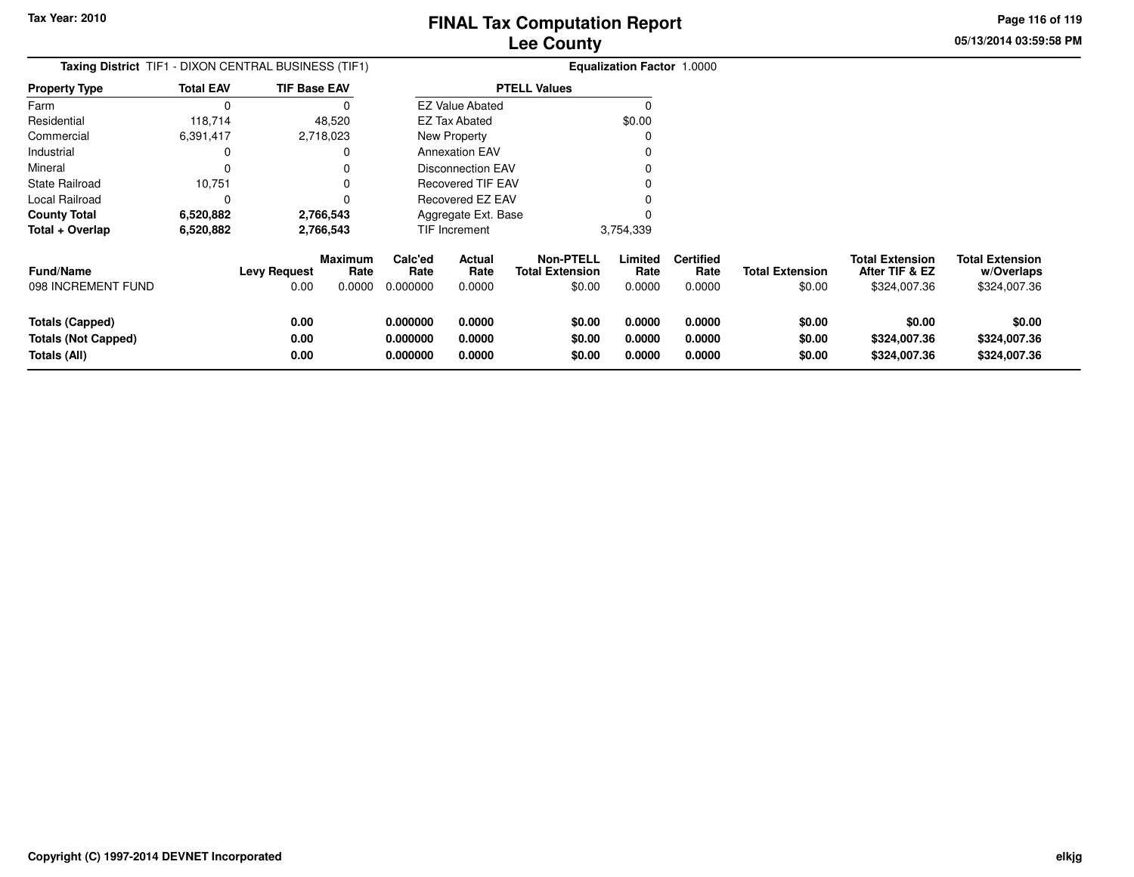**05/13/2014 03:59:58 PM Page 116 of 119**

| Taxing District TIF1 - DIXON CENTRAL BUSINESS (TIF1)          |                  |                             |                                  |                                  | <b>Equalization Factor 1.0000</b> |                                                      |                            |                                    |                                  |                                                          |                                                      |
|---------------------------------------------------------------|------------------|-----------------------------|----------------------------------|----------------------------------|-----------------------------------|------------------------------------------------------|----------------------------|------------------------------------|----------------------------------|----------------------------------------------------------|------------------------------------------------------|
| <b>Property Type</b>                                          | <b>Total EAV</b> | <b>TIF Base EAV</b>         |                                  |                                  |                                   | <b>PTELL Values</b>                                  |                            |                                    |                                  |                                                          |                                                      |
| Farm                                                          |                  |                             |                                  |                                  | <b>EZ Value Abated</b>            |                                                      | $\Omega$                   |                                    |                                  |                                                          |                                                      |
| Residential                                                   | 118,714          |                             | 48,520                           |                                  | EZ Tax Abated                     |                                                      | \$0.00                     |                                    |                                  |                                                          |                                                      |
| Commercial                                                    | 6,391,417        |                             | 2,718,023                        |                                  | <b>New Property</b>               |                                                      |                            |                                    |                                  |                                                          |                                                      |
| Industrial                                                    |                  |                             |                                  |                                  | <b>Annexation EAV</b>             |                                                      |                            |                                    |                                  |                                                          |                                                      |
| Mineral                                                       |                  |                             |                                  |                                  | Disconnection EAV                 |                                                      |                            |                                    |                                  |                                                          |                                                      |
| <b>State Railroad</b>                                         | 10,751           |                             |                                  |                                  | Recovered TIF EAV                 |                                                      |                            |                                    |                                  |                                                          |                                                      |
| Local Railroad                                                |                  |                             |                                  |                                  | <b>Recovered EZ EAV</b>           |                                                      |                            |                                    |                                  |                                                          |                                                      |
| <b>County Total</b>                                           | 6,520,882        |                             | 2,766,543                        |                                  | Aggregate Ext. Base               |                                                      |                            |                                    |                                  |                                                          |                                                      |
| Total + Overlap                                               | 6,520,882        |                             | 2,766,543                        |                                  | <b>TIF Increment</b>              |                                                      | 3,754,339                  |                                    |                                  |                                                          |                                                      |
| <b>Fund/Name</b><br>098 INCREMENT FUND                        |                  | <b>Levy Request</b><br>0.00 | <b>Maximum</b><br>Rate<br>0.0000 | Calc'ed<br>Rate<br>0.000000      | Actual<br>Rate<br>0.0000          | <b>Non-PTELL</b><br><b>Total Extension</b><br>\$0.00 | Limited<br>Rate<br>0.0000  | <b>Certified</b><br>Rate<br>0.0000 | <b>Total Extension</b><br>\$0.00 | <b>Total Extension</b><br>After TIF & EZ<br>\$324,007.36 | <b>Total Extension</b><br>w/Overlaps<br>\$324,007.36 |
| Totals (Capped)<br><b>Totals (Not Capped)</b><br>Totals (All) |                  | 0.00<br>0.00<br>0.00        |                                  | 0.000000<br>0.000000<br>0.000000 | 0.0000<br>0.0000<br>0.0000        | \$0.00<br>\$0.00<br>\$0.00                           | 0.0000<br>0.0000<br>0.0000 | 0.0000<br>0.0000<br>0.0000         | \$0.00<br>\$0.00<br>\$0.00       | \$0.00<br>\$324,007.36<br>\$324,007.36                   | \$0.00<br>\$324,007.36<br>\$324,007.36               |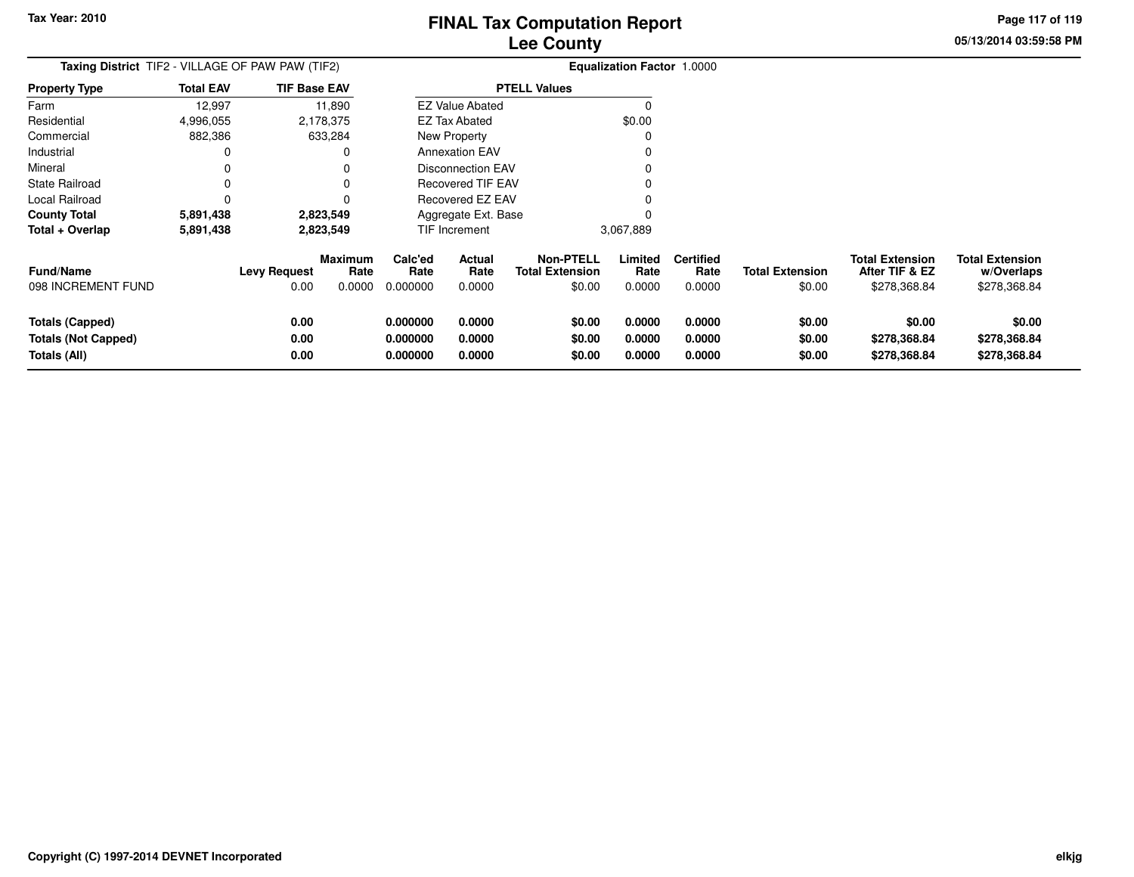**05/13/2014 03:59:58 PMPage 117 of 119**

| <b>Taxing District</b> TIF2 - VILLAGE OF PAW PAW (TIF2)              |                  |                      |                           |                                  |                                 |                                                      | <b>Equalization Factor 1.0000</b> |                                    |                                  |                                                          |                                                      |
|----------------------------------------------------------------------|------------------|----------------------|---------------------------|----------------------------------|---------------------------------|------------------------------------------------------|-----------------------------------|------------------------------------|----------------------------------|----------------------------------------------------------|------------------------------------------------------|
| <b>Property Type</b>                                                 | <b>Total EAV</b> | <b>TIF Base EAV</b>  |                           |                                  |                                 | <b>PTELL Values</b>                                  |                                   |                                    |                                  |                                                          |                                                      |
| Farm                                                                 | 12,997           |                      | 11,890                    |                                  | <b>EZ Value Abated</b>          |                                                      |                                   |                                    |                                  |                                                          |                                                      |
| Residential                                                          | 4,996,055        |                      | 2,178,375                 |                                  | <b>EZ Tax Abated</b>            |                                                      | \$0.00                            |                                    |                                  |                                                          |                                                      |
| Commercial                                                           | 882,386          |                      | 633,284                   |                                  | New Property                    |                                                      |                                   |                                    |                                  |                                                          |                                                      |
| Industrial                                                           |                  |                      |                           |                                  | <b>Annexation EAV</b>           |                                                      |                                   |                                    |                                  |                                                          |                                                      |
| Mineral                                                              |                  |                      |                           |                                  | <b>Disconnection EAV</b>        |                                                      |                                   |                                    |                                  |                                                          |                                                      |
| <b>State Railroad</b>                                                |                  |                      |                           |                                  | Recovered TIF EAV               |                                                      |                                   |                                    |                                  |                                                          |                                                      |
| Local Railroad                                                       |                  |                      |                           |                                  | Recovered EZ EAV                |                                                      |                                   |                                    |                                  |                                                          |                                                      |
| <b>County Total</b>                                                  | 5,891,438        |                      | 2,823,549                 |                                  | Aggregate Ext. Base             |                                                      |                                   |                                    |                                  |                                                          |                                                      |
| Total + Overlap                                                      | 5,891,438        |                      | 2,823,549                 |                                  | TIF Increment                   |                                                      | 3,067,889                         |                                    |                                  |                                                          |                                                      |
| <b>Fund/Name</b><br>098 INCREMENT FUND                               |                  | Levy Request<br>0.00 | Maximum<br>Rate<br>0.0000 | Calc'ed<br>Rate<br>0.000000      | <b>Actual</b><br>Rate<br>0.0000 | <b>Non-PTELL</b><br><b>Total Extension</b><br>\$0.00 | Limited<br>Rate<br>0.0000         | <b>Certified</b><br>Rate<br>0.0000 | <b>Total Extension</b><br>\$0.00 | <b>Total Extension</b><br>After TIF & EZ<br>\$278,368.84 | <b>Total Extension</b><br>w/Overlaps<br>\$278,368.84 |
| <b>Totals (Capped)</b><br><b>Totals (Not Capped)</b><br>Totals (All) |                  | 0.00<br>0.00<br>0.00 |                           | 0.000000<br>0.000000<br>0.000000 | 0.0000<br>0.0000<br>0.0000      | \$0.00<br>\$0.00<br>\$0.00                           | 0.0000<br>0.0000<br>0.0000        | 0.0000<br>0.0000<br>0.0000         | \$0.00<br>\$0.00<br>\$0.00       | \$0.00<br>\$278,368.84<br>\$278,368.84                   | \$0.00<br>\$278,368.84<br>\$278,368.84               |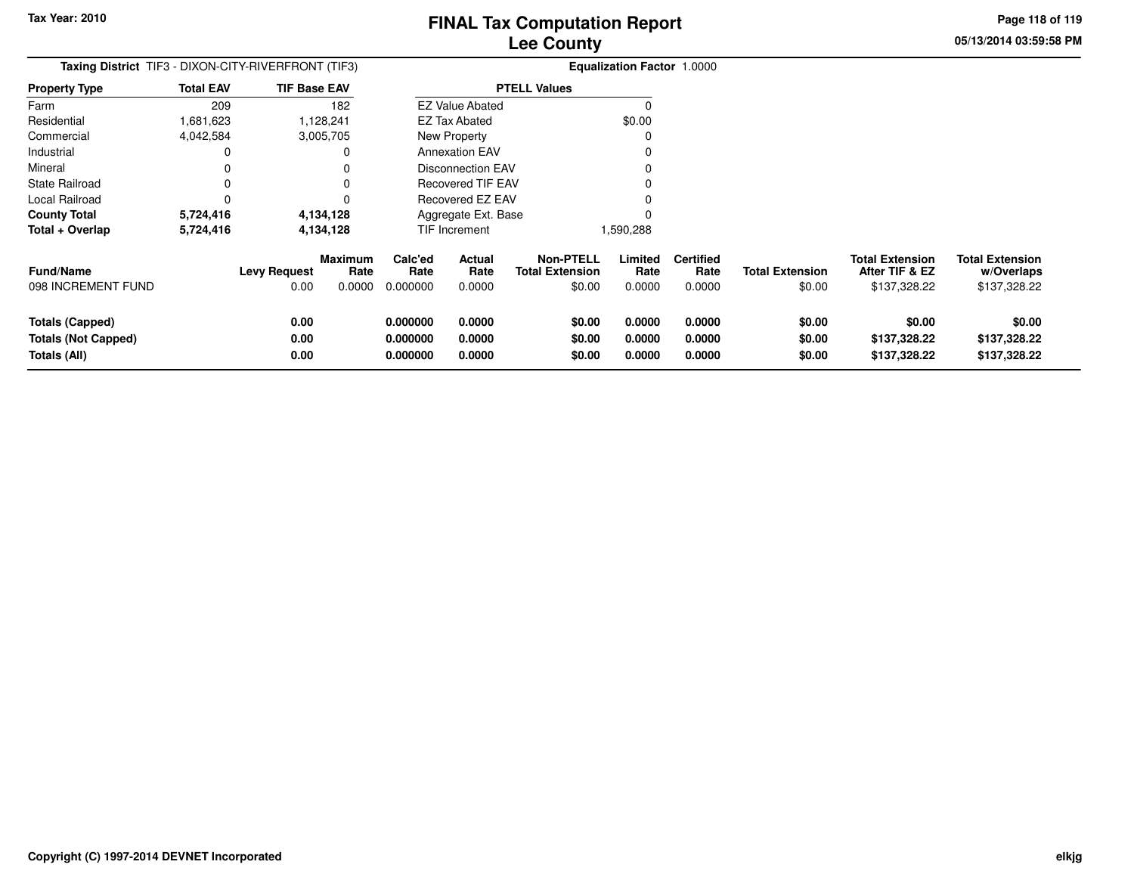**05/13/2014 03:59:58 PMPage 118 of 119**

|                                                               |                  | Taxing District TIF3 - DIXON-CITY-RIVERFRONT (TIF3)             |                                  |                            |                                                      | <b>Equalization Factor 1.0000</b> |                                    |                                  |                                                          |                                                      |
|---------------------------------------------------------------|------------------|-----------------------------------------------------------------|----------------------------------|----------------------------|------------------------------------------------------|-----------------------------------|------------------------------------|----------------------------------|----------------------------------------------------------|------------------------------------------------------|
| <b>Property Type</b>                                          | <b>Total EAV</b> | <b>TIF Base EAV</b>                                             |                                  |                            | <b>PTELL Values</b>                                  |                                   |                                    |                                  |                                                          |                                                      |
| Farm                                                          | 209              | 182                                                             |                                  | <b>EZ Value Abated</b>     |                                                      | $\Omega$                          |                                    |                                  |                                                          |                                                      |
| Residential                                                   | 1,681,623        | 1,128,241                                                       |                                  | EZ Tax Abated              |                                                      | \$0.00                            |                                    |                                  |                                                          |                                                      |
| Commercial                                                    | 4,042,584        | 3,005,705                                                       |                                  | New Property               |                                                      |                                   |                                    |                                  |                                                          |                                                      |
| Industrial                                                    | 0                | 0                                                               |                                  | <b>Annexation EAV</b>      |                                                      |                                   |                                    |                                  |                                                          |                                                      |
| Mineral                                                       | 0                | 0                                                               |                                  | Disconnection EAV          |                                                      |                                   |                                    |                                  |                                                          |                                                      |
| State Railroad                                                | 0                | 0                                                               |                                  | <b>Recovered TIF EAV</b>   |                                                      |                                   |                                    |                                  |                                                          |                                                      |
| Local Railroad                                                | 0                | 0                                                               |                                  | <b>Recovered EZ EAV</b>    |                                                      |                                   |                                    |                                  |                                                          |                                                      |
| <b>County Total</b>                                           | 5,724,416        | 4,134,128                                                       |                                  | Aggregate Ext. Base        |                                                      |                                   |                                    |                                  |                                                          |                                                      |
| Total + Overlap                                               | 5,724,416        | 4,134,128                                                       |                                  | TIF Increment              |                                                      | 1,590,288                         |                                    |                                  |                                                          |                                                      |
| <b>Fund/Name</b><br>098 INCREMENT FUND                        |                  | <b>Maximum</b><br><b>Levy Request</b><br>Rate<br>0.00<br>0.0000 | Calc'ed<br>Rate<br>0.000000      | Actual<br>Rate<br>0.0000   | <b>Non-PTELL</b><br><b>Total Extension</b><br>\$0.00 | Limited<br>Rate<br>0.0000         | <b>Certified</b><br>Rate<br>0.0000 | <b>Total Extension</b><br>\$0.00 | <b>Total Extension</b><br>After TIF & EZ<br>\$137,328.22 | <b>Total Extension</b><br>w/Overlaps<br>\$137,328.22 |
| Totals (Capped)<br><b>Totals (Not Capped)</b><br>Totals (All) |                  | 0.00<br>0.00<br>0.00                                            | 0.000000<br>0.000000<br>0.000000 | 0.0000<br>0.0000<br>0.0000 | \$0.00<br>\$0.00<br>\$0.00                           | 0.0000<br>0.0000<br>0.0000        | 0.0000<br>0.0000<br>0.0000         | \$0.00<br>\$0.00<br>\$0.00       | \$0.00<br>\$137,328.22<br>\$137,328.22                   | \$0.00<br>\$137,328.22<br>\$137,328.22               |